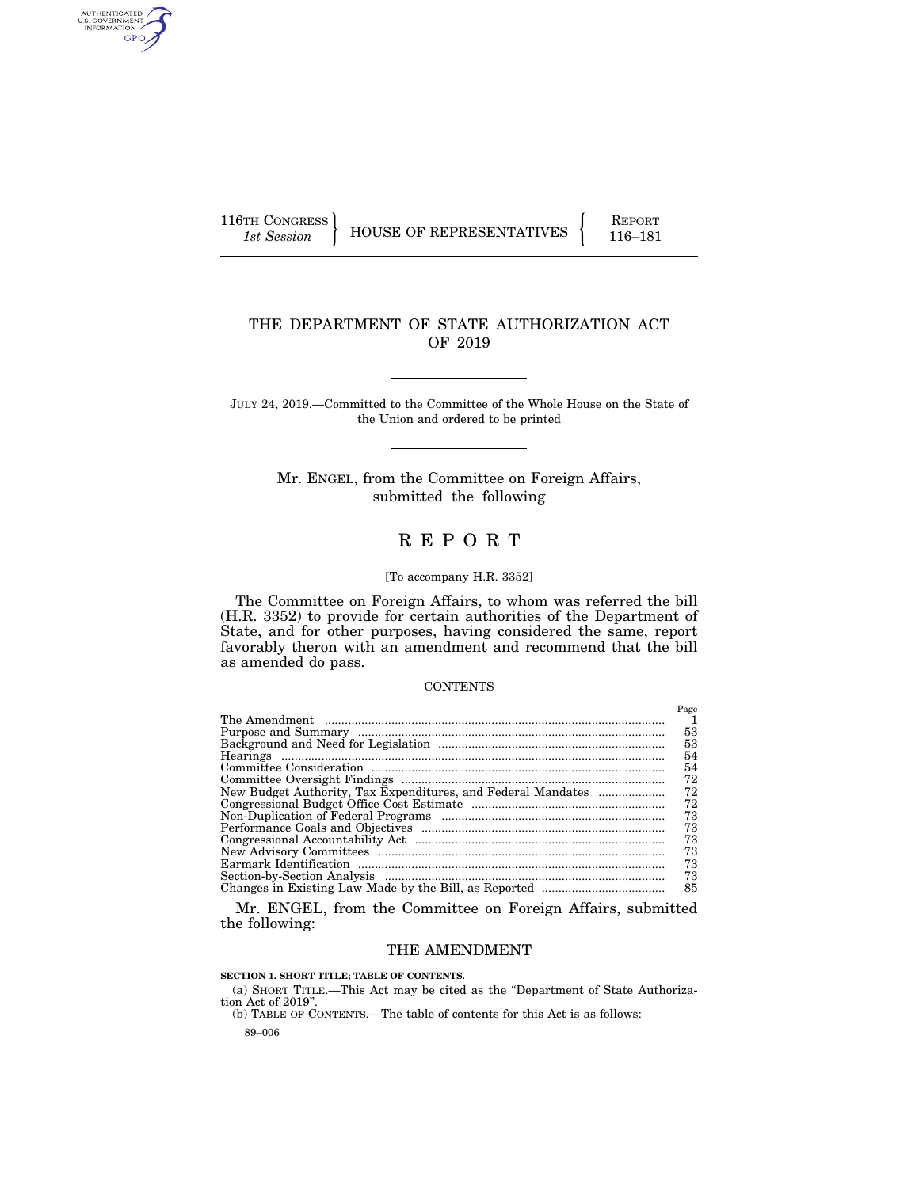AUTHENTICATED<br>U.S. GOVERNMENT<br>INFORMATION GPO

116TH CONGRESS HOUSE OF REPRESENTATIVES FEPORT 116–181

# THE DEPARTMENT OF STATE AUTHORIZATION ACT OF 2019

JULY 24, 2019.—Committed to the Committee of the Whole House on the State of the Union and ordered to be printed

> Mr. ENGEL, from the Committee on Foreign Affairs, submitted the following

# R E P O R T

# [To accompany H.R. 3352]

The Committee on Foreign Affairs, to whom was referred the bill (H.R. 3352) to provide for certain authorities of the Department of State, and for other purposes, having considered the same, report favorably theron with an amendment and recommend that the bill as amended do pass.

# **CONTENTS**

|                                                              | Page |
|--------------------------------------------------------------|------|
|                                                              |      |
|                                                              | 53   |
|                                                              | 53   |
|                                                              | 54   |
|                                                              | 54   |
|                                                              | 72   |
| New Budget Authority, Tax Expenditures, and Federal Mandates | 72   |
|                                                              | 72   |
|                                                              | 73   |
|                                                              | 73   |
|                                                              | 73   |
|                                                              | 73   |
|                                                              | 73   |
|                                                              | 73   |
|                                                              | 85   |

Mr. ENGEL, from the Committee on Foreign Affairs, submitted the following:

# THE AMENDMENT

# **SECTION 1. SHORT TITLE; TABLE OF CONTENTS.**

(a) SHORT TITLE.—This Act may be cited as the ''Department of State Authorization Act of 2019" (b) TABLE OF CONTENTS.—The table of contents for this Act is as follows:

89–006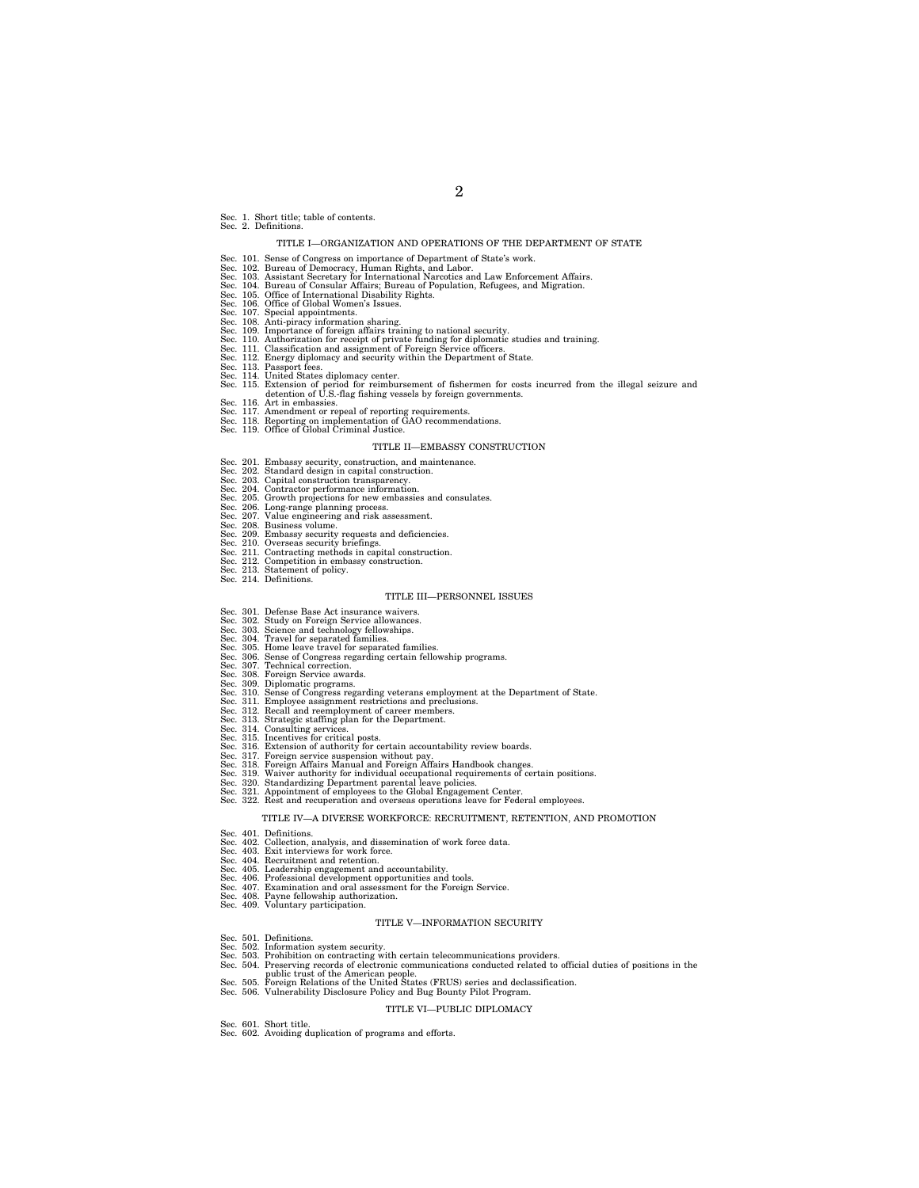# Sec. 1. Short title; table of contents. Sec. 2. Definitions.

### TITLE I—ORGANIZATION AND OPERATIONS OF THE DEPARTMENT OF STATE

2

- 
- 
- 
- 
- 
- 
- 
- 
- 
- 
- 
- 
- Sec. 101. Sense of Congress on importance of Department of State's work.<br>Sec. 102. Bureau of Democracy, Human Rights, and Labor.<br>Sec. 103. Assistant Secretary for International Narcotics and Law Enforcement Affairs.<br>Sec. 1
- 
- 
- Sec. 117. Amendment or repeal of reporting requirements. Sec. 118. Reporting on implementation of GAO recommendations. Sec. 119. Office of Global Criminal Justice.

# TITLE II—EMBASSY CONSTRUCTION

- 
- 
- 
- Sec. 201. Embassy security, construction, and maintenance.<br>Sec. 202. Standard design in capital construction.<br>Sec. 203. Capital construction transparency.<br>Sec. 203. Contractor performance information.<br>Sec. 205. Growth proj
- 
- 
- 
- 
- 
- 
- 
- 

### TITLE III—PERSONNEL ISSUES

- 
- 
- 
- 
- 
- 
- 
- 
- 
- 
- 
- 
- 
- 
- 
- 
- 
- 
- 

# TITLE IV—A DIVERSE WORKFORCE: RECRUITMENT, RETENTION, AND PROMOTION

- 
- Sec. 402. Collection, analysis, and dissemination of work force data. Sec. 403. Exit interviews for work force.
- Sec. 401. Definitions.<br>Sec. 402. Collection, a<br>Sec. 403. Exit intervisec. 404. Recruitmen<br>Sec. 405. Leadership
- 
- 
- Sec. 404. Recruitment and retention.<br>Sec. 405. Leadership engagement and accountability.<br>Sec. 406. Professional development opportunities and tools.<br>Sec. 407. Examination and oral assessment for the Foreign Service.<br>Sec. 4
- 
- 

# TITLE V—INFORMATION SECURITY

- 
- 
- Sec. 501. Definitions.<br>Sec. 502. Information system security.<br>Sec. 502. Information system security.<br>Sec. 503. Prohibition on contracting with certain telecommunications providers.<br>Sec. 504. Preserving records of electroni
- 
- 

# TITLE VI—PUBLIC DIPLOMACY

- 
- Sec. 601. Short title. Sec. 602. Avoiding duplication of programs and efforts.
- 
- 
- 
- 
- 
- 
- 
- 
- 
- 
- 
- 
- 
- 
- 
- 

# Sec. 301. Defense Base Act insurance waivers.<br>
Sec. 302. Study on Foreign Service allowances.<br>
Sec. 303. Science and technology fellowships.<br>
Sec. 304. Travel for separated families.<br>
Sec. 306. Sense of Congress regarding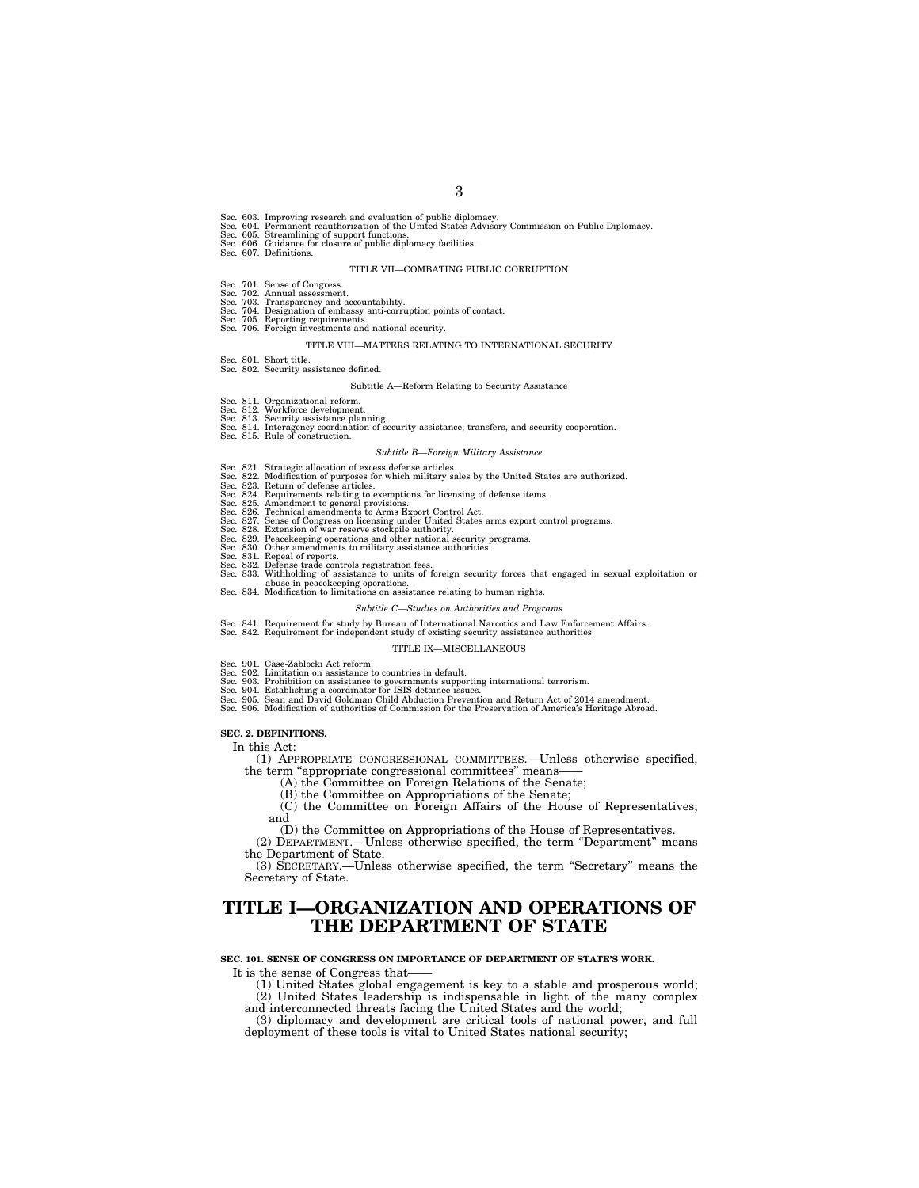- Sec. 603. Improving research and evaluation of public diplomacy. Sec. 604. Permanent reauthorization of the United States Advisory Commission on Public Diplomacy.
- 
- Sec. 605. Streamlining of support functions. Sec. 606. Guidance for closure of public diplomacy facilities. Sec. 607. Definitions.

### TITLE VII—COMBATING PUBLIC CORRUPTION

- 
- 
- Sec. 701. Sense of Congress.<br>Sec. 702. Annual assessment.<br>Sec. 703. Transparency and accountability.<br>Sec. 704. Designation of embassy anti-corruption points of contact.<br>Sec. 705. Reporting requirements.<br>Sec. 706. Foreign i
- 
- 

# TITLE VIII—MATTERS RELATING TO INTERNATIONAL SECURITY

Sec. 801. Short title. Sec. 802. Security assistance defined.

### Subtitle A—Reform Relating to Security Assistance

- 
- 
- 
- Sec. 811. Organizational reform.<br>Sec. 812. Workforce development.<br>Sec. 813. Security assistance planning.<br>Sec. 814. Interagency coordination of security assistance, transfers, and security cooperation.<br>Sec. 815. Rule of co

# *Subtitle B—Foreign Military Assistance*

- 
- Sec. 821. Strategic allocation of excess defense articles.<br>Sec. 822. Modification of purposes for which military sa<br>Sec. 823. Return of defense articles. Modification of purposes for which military sales by the United States are authorized.<br>Return of defense articles.
- 
- 
- 
- Sec. 823. Return of defense articles.<br>Sec. 824. Requirements relating to exemptions for licensing of defense items.<br>Sec. 825. Amendment to general provisions.<br>Sec. 826. Technical amendments to Arms Export Control Act.<br>Sec.
- 
- 
- 
- 
- Sec. 831. Repeal of reports. Sec. 832. Defense trade controls registration fees. Sec. 833. Withholding of assistance to units of foreign security forces that engaged in sexual exploitation or abuse in peacekeeping operations. Sec. 834. Modification to limitations on assistance relating to human rights.

- *Subtitle C—Studies on Authorities and Programs*
- Sec. 841. Requirement for study by Bureau of International Narcotics and Law Enforcement Affairs. Sec. 842. Requirement for independent study of existing security assistance authorities.

# TITLE IX—MISCELLANEOUS

- 
- 
- 
- 
- Sec. 901. Case-Zablocki Act reform.<br>Sec. 902. Limitation on assistance to countries in default.<br>Sec. 903. Prohibition on assistance to governments supporting international terrorism.<br>Sec. 904. Establishing a coordinator fo

# **SEC. 2. DEFINITIONS.**

In this Act:

(1) APPROPRIATE CONGRESSIONAL COMMITTEES.—Unless otherwise specified, the term "appropriate congressional committees" means

(A) the Committee on Foreign Relations of the Senate;

(B) the Committee on Appropriations of the Senate;

(C) the Committee on Foreign Affairs of the House of Representatives; and

(D) the Committee on Appropriations of the House of Representatives.

(2) DEPARTMENT.—Unless otherwise specified, the term ''Department'' means the Department of State.

(3) SECRETARY.—Unless otherwise specified, the term ''Secretary'' means the Secretary of State.

# **TITLE I—ORGANIZATION AND OPERATIONS OF THE DEPARTMENT OF STATE**

# **SEC. 101. SENSE OF CONGRESS ON IMPORTANCE OF DEPARTMENT OF STATE'S WORK.**

It is the sense of Congress that-

(1) United States global engagement is key to a stable and prosperous world; (2) United States leadership is indispensable in light of the many complex and interconnected threats facing the United States and the world;

(3) diplomacy and development are critical tools of national power, and full deployment of these tools is vital to United States national security;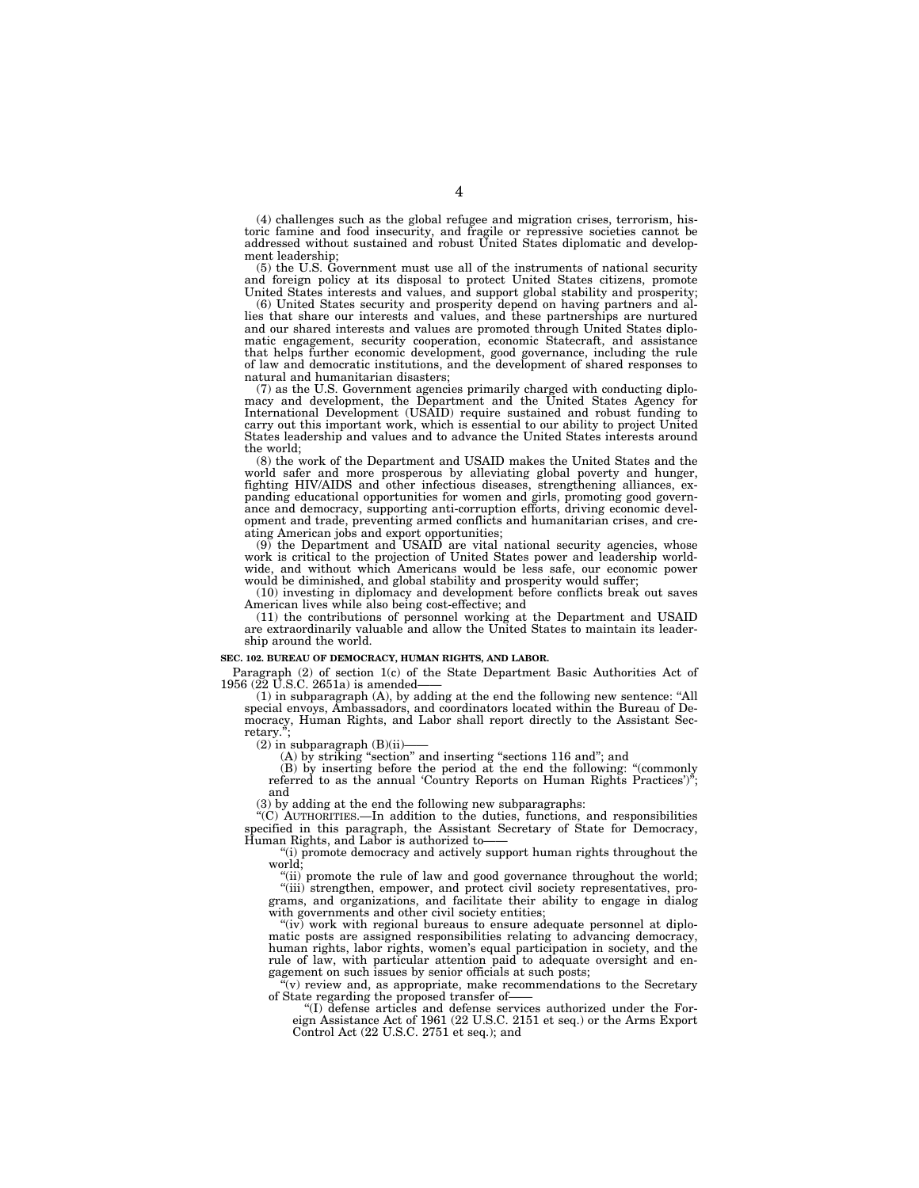(4) challenges such as the global refugee and migration crises, terrorism, historic famine and food insecurity, and fragile or repressive societies cannot be addressed without sustained and robust United States diplomatic and development leadership;

(5) the U.S. Government must use all of the instruments of national security and foreign policy at its disposal to protect United States citizens, promote United States interests and values, and support global stability and prosperity;

(6) United States security and prosperity depend on having partners and allies that share our interests and values, and these partnerships are nurtured and our shared interests and values are promoted through United States diplomatic engagement, security cooperation, economic Statecraft, and assistance that helps further economic development, good governance, including the rule of law and democratic institutions, and the development of shared responses to natural and humanitarian disasters;

(7) as the U.S. Government agencies primarily charged with conducting diplomacy and development, the Department and the United States Agency for International Development (USAID) require sustained and robust funding to carry out this important work, which is essential to our ability to project United States leadership and values and to advance the United States interests around the world;

(8) the work of the Department and USAID makes the United States and the world safer and more prosperous by alleviating global poverty and hunger, fighting HIV/AIDS and other infectious diseases, strengthening alliances, expanding educational opportunities for women and girls, promoting good governance and democracy, supporting anti-corruption efforts, driving economic development and trade, preventing armed conflicts and humanitarian crises, and creating American jobs and export opportunities;

(9) the Department and USAID are vital national security agencies, whose work is critical to the projection of United States power and leadership worldwide, and without which Americans would be less safe, our economic power would be diminished, and global stability and prosperity would suffer;

(10) investing in diplomacy and development before conflicts break out saves American lives while also being cost-effective; and

(11) the contributions of personnel working at the Department and USAID are extraordinarily valuable and allow the United States to maintain its leadership around the world.

# **SEC. 102. BUREAU OF DEMOCRACY, HUMAN RIGHTS, AND LABOR.**

Paragraph (2) of section 1(c) of the State Department Basic Authorities Act of 1956 (22 U.S.C. 2651a) is amended——

(1) in subparagraph (A), by adding at the end the following new sentence: ''All special envoys, Ambassadors, and coordinators located within the Bureau of Democracy, Human Rights, and Labor shall report directly to the Assistant Secretary.

 $(2)$  in subparagraph  $(B)(ii)$ 

 $(A)$  by striking "section" and inserting "sections 116 and"; and

(B) by inserting before the period at the end the following: ''(commonly referred to as the annual 'Country Reports on Human Rights Practices')<sup>;</sup> and

(3) by adding at the end the following new subparagraphs:

''(C) AUTHORITIES.—In addition to the duties, functions, and responsibilities specified in this paragraph, the Assistant Secretary of State for Democracy, Human Rights, and Labor is authorized to——

''(i) promote democracy and actively support human rights throughout the world;

''(ii) promote the rule of law and good governance throughout the world; ''(iii) strengthen, empower, and protect civil society representatives, programs, and organizations, and facilitate their ability to engage in dialog with governments and other civil society entities;

 $(i\bar{v})$  work with regional bureaus to ensure adequate personnel at diplomatic posts are assigned responsibilities relating to advancing democracy, human rights, labor rights, women's equal participation in society, and the rule of law, with particular attention paid to adequate oversight and engagement on such issues by senior officials at such posts;

 $\mathbf{F}(\mathbf{v})$  review and, as appropriate, make recommendations to the Secretary of State regarding the proposed transfer of——

''(I) defense articles and defense services authorized under the Foreign Assistance Act of 1961 (22 U.S.C. 2151 et seq.) or the Arms Export Control Act (22 U.S.C. 2751 et seq.); and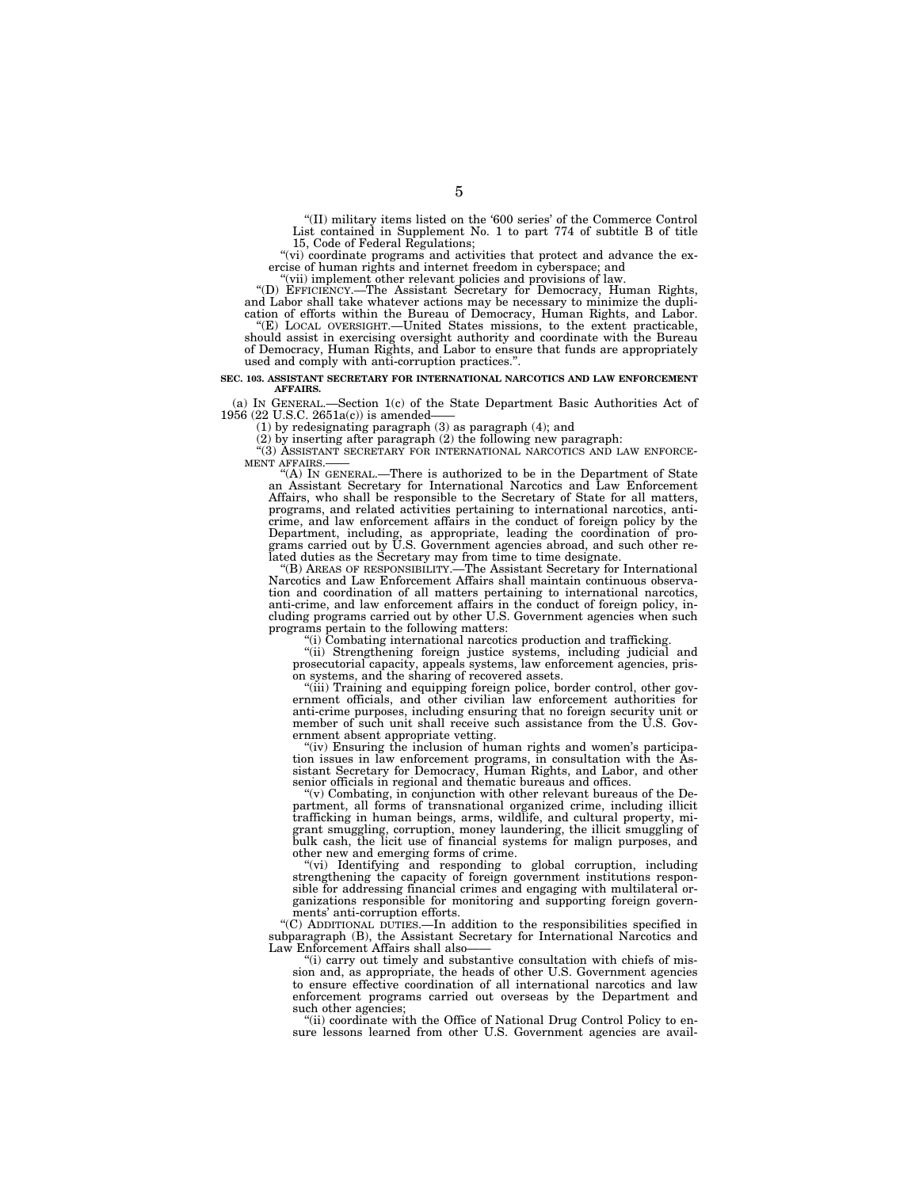''(II) military items listed on the '600 series' of the Commerce Control List contained in Supplement No. 1 to part 774 of subtitle B of title 15, Code of Federal Regulations;

"(vi) coordinate programs and activities that protect and advance the exercise of human rights and internet freedom in cyberspace; and

''(vii) implement other relevant policies and provisions of law. ''(D) EFFICIENCY.—The Assistant Secretary for Democracy, Human Rights, and Labor shall take whatever actions may be necessary to minimize the duplication of efforts within the Bureau of Democracy, Human Rights, and Labor.

''(E) LOCAL OVERSIGHT.—United States missions, to the extent practicable, should assist in exercising oversight authority and coordinate with the Bureau of Democracy, Human Rights, and Labor to ensure that funds are appropriately used and comply with anti-corruption practices."

### **SEC. 103. ASSISTANT SECRETARY FOR INTERNATIONAL NARCOTICS AND LAW ENFORCEMENT AFFAIRS.**

(a) IN GENERAL.—Section 1(c) of the State Department Basic Authorities Act of 1956 (22 U.S.C. 2651a(c)) is amended-

(1) by redesignating paragraph (3) as paragraph (4); and

(2) by inserting after paragraph (2) the following new paragraph:<br>"(3) ASSISTANT SECRETARY FOR INTERNATIONAL NARCOTICS AND LAW ENFORCE-MENT AFFAIRS.——<br>"(A) IN GENERAL.—There is authorized to be in the Department of State

an Assistant Secretary for International Narcotics and Law Enforcement Affairs, who shall be responsible to the Secretary of State for all matters, programs, and related activities pertaining to international narcotics, anticrime, and law enforcement affairs in the conduct of foreign policy by the Department, including, as appropriate, leading the coordination of pro-grams carried out by U.S. Government agencies abroad, and such other related duties as the Secretary may from time to time designate. ''(B) AREAS OF RESPONSIBILITY.—The Assistant Secretary for International

Narcotics and Law Enforcement Affairs shall maintain continuous observation and coordination of all matters pertaining to international narcotics, anti-crime, and law enforcement affairs in the conduct of foreign policy, including programs carried out by other U.S. Government agencies when such programs pertain to the following matters:

''(i) Combating international narcotics production and trafficking.

''(ii) Strengthening foreign justice systems, including judicial and prosecutorial capacity, appeals systems, law enforcement agencies, prison systems, and the sharing of recovered assets.

"(iii) Training and equipping foreign police, border control, other government officials, and other civilian law enforcement authorities for anti-crime purposes, including ensuring that no foreign security unit or member of such unit shall receive such assistance from the U.S. Government absent appropriate vetting.

" $(iv)$  Ensuring the inclusion of human rights and women's participation issues in law enforcement programs, in consultation with the Assistant Secretary for Democracy, Human Rights, and Labor, and other senior officials in regional and thematic bureaus and offices.

''(v) Combating, in conjunction with other relevant bureaus of the Department, all forms of transnational organized crime, including illicit trafficking in human beings, arms, wildlife, and cultural property, mi-grant smuggling, corruption, money laundering, the illicit smuggling of bulk cash, the licit use of financial systems for malign purposes, and other new and emerging forms of crime.

''(vi) Identifying and responding to global corruption, including strengthening the capacity of foreign government institutions responsible for addressing financial crimes and engaging with multilateral organizations responsible for monitoring and supporting foreign governments' anti-corruption efforts.

''(C) ADDITIONAL DUTIES.—In addition to the responsibilities specified in subparagraph (B), the Assistant Secretary for International Narcotics and Law Enforcement Affairs shall also——

''(i) carry out timely and substantive consultation with chiefs of mission and, as appropriate, the heads of other U.S. Government agencies to ensure effective coordination of all international narcotics and law enforcement programs carried out overseas by the Department and such other agencies;

"(ii) coordinate with the Office of National Drug Control Policy to ensure lessons learned from other U.S. Government agencies are avail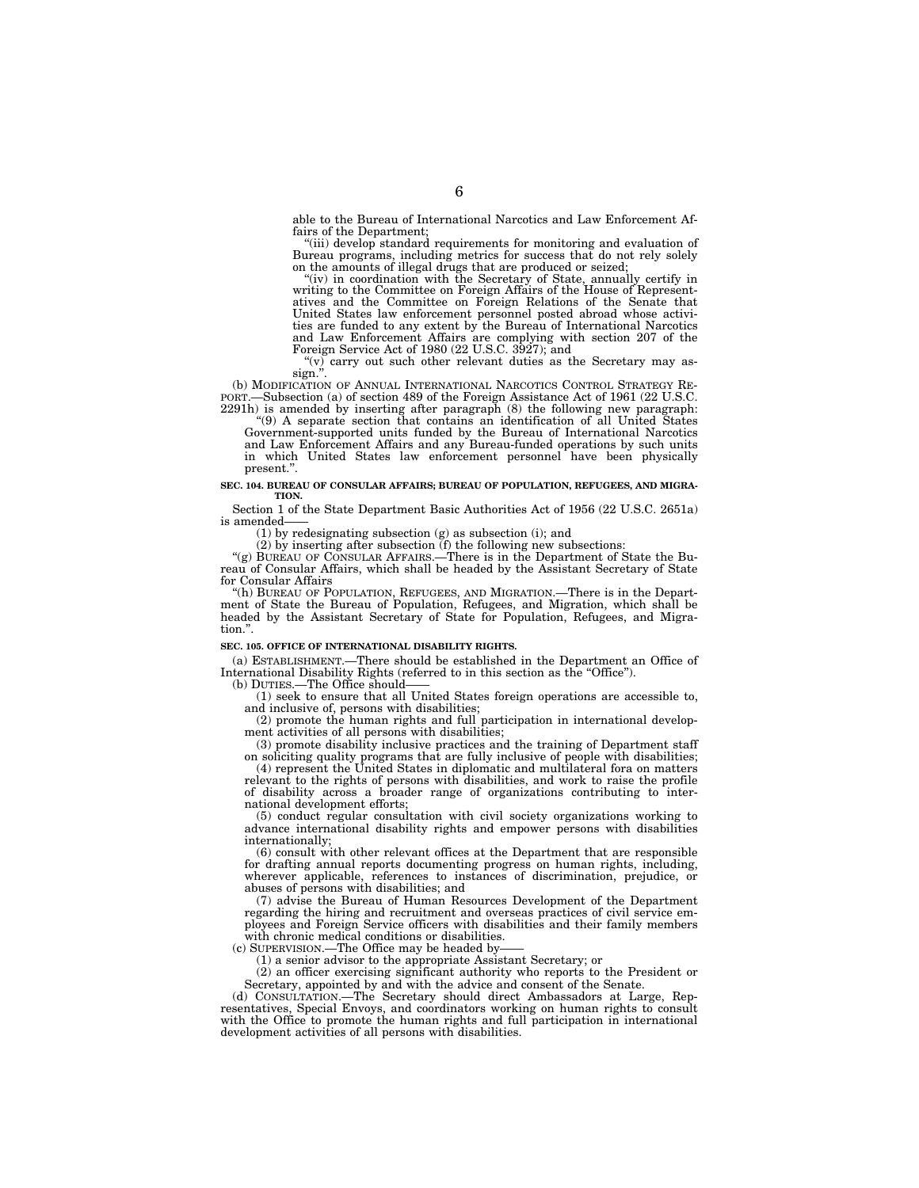able to the Bureau of International Narcotics and Law Enforcement Affairs of the Department;<br>"(iii) develop standard requirements for monitoring and evaluation of

Bureau programs, including metrics for success that do not rely solely on the amounts of illegal drugs that are produced or seized;

"(iv) in coordination with the Secretary of State, annually certify in writing to the Committee on Foreign Affairs of the House of Representatives and the Committee on Foreign Relations of the Senate that United States law enforcement personnel posted abroad whose activities are funded to any extent by the Bureau of International Narcotics and Law Enforcement Affairs are complying with section 207 of the Foreign Service Act of 1980 (22 U.S.C. 3927); and

"(v) carry out such other relevant duties as the Secretary may assign.".<br>(b) MODIFICATION OF ANNUAL INTERNATIONAL NARCOTICS CONTROL STRATEGY RE-

(b) MODIFICATION OF ANNUAL INTERNATIONAL NARCOTICS CONTROL STRATEGY REPORT.—Subsection (a) of section 489 of the Foreign Assistance Act of 1961 (22 U.S.C. 2291h) is amended by inserting after paragraph (8) the following ne

''(9) A separate section that contains an identification of all United States Government-supported units funded by the Bureau of International Narcotics and Law Enforcement Affairs and any Bureau-funded operations by such units in which United States law enforcement personnel have been physically present.''.

# **SEC. 104. BUREAU OF CONSULAR AFFAIRS; BUREAU OF POPULATION, REFUGEES, AND MIGRA-TION.**

Section 1 of the State Department Basic Authorities Act of 1956 (22 U.S.C. 2651a) is amended-

(1) by redesignating subsection (g) as subsection (i); and (2) by inserting after subsection (f) the following new subsections:

''(g) BUREAU OF CONSULAR AFFAIRS.—There is in the Department of State the Bureau of Consular Affairs, which shall be headed by the Assistant Secretary of State for Consular Affairs

''(h) BUREAU OF POPULATION, REFUGEES, AND MIGRATION.—There is in the Department of State the Bureau of Population, Refugees, and Migration, which shall be headed by the Assistant Secretary of State for Population, Refugees, and Migration."

# **SEC. 105. OFFICE OF INTERNATIONAL DISABILITY RIGHTS.**

(a) ESTABLISHMENT.—There should be established in the Department an Office of International Disability Rights (referred to in this section as the "Office").

(b) DUTIES.—The Office should-

(1) seek to ensure that all United States foreign operations are accessible to, and inclusive of, persons with disabilities;

(2) promote the human rights and full participation in international development activities of all persons with disabilities;

(3) promote disability inclusive practices and the training of Department staff on soliciting quality programs that are fully inclusive of people with disabilities;

(4) represent the United States in diplomatic and multilateral fora on matters relevant to the rights of persons with disabilities, and work to raise the profile of disability across a broader range of organizations contributing to international development efforts;

(5) conduct regular consultation with civil society organizations working to advance international disability rights and empower persons with disabilities internationally;

(6) consult with other relevant offices at the Department that are responsible for drafting annual reports documenting progress on human rights, including, wherever applicable, references to instances of discrimination, prejudice, or abuses of persons with disabilities; and

(7) advise the Bureau of Human Resources Development of the Department regarding the hiring and recruitment and overseas practices of civil service employees and Foreign Service officers with disabilities and their family members with chronic medical conditions or disabilities.

(c) SUPERVISION.—The Office may be headed by-

(1) a senior advisor to the appropriate Assistant Secretary; or

(2) an officer exercising significant authority who reports to the President or Secretary, appointed by and with the advice and consent of the Senate.

(d) CONSULTATION.—The Secretary should direct Ambassadors at Large, Representatives, Special Envoys, and coordinators working on human rights to consult with the Office to promote the human rights and full participation in international development activities of all persons with disabilities.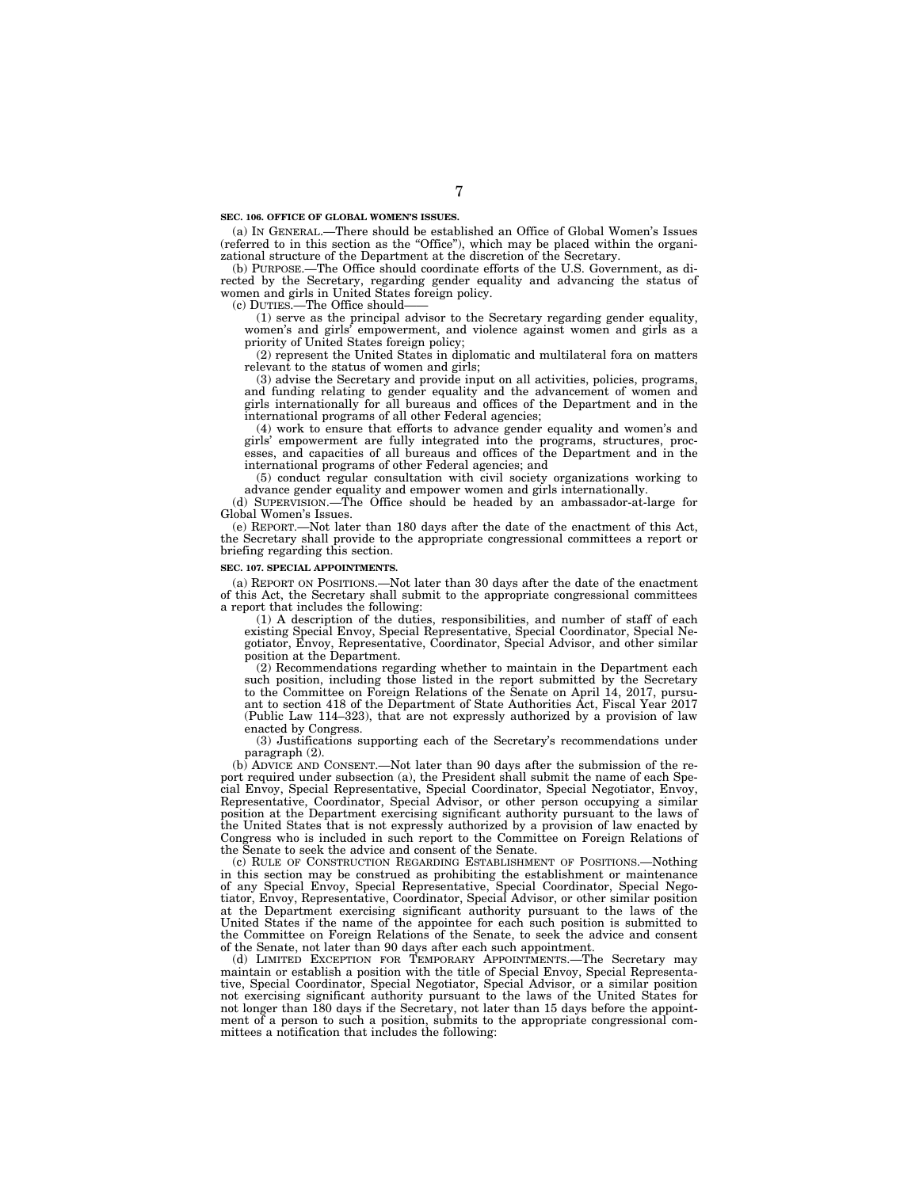# **SEC. 106. OFFICE OF GLOBAL WOMEN'S ISSUES.**

(a) IN GENERAL.—There should be established an Office of Global Women's Issues (referred to in this section as the ''Office''), which may be placed within the organizational structure of the Department at the discretion of the Secretary.

(b) PURPOSE.—The Office should coordinate efforts of the U.S. Government, as directed by the Secretary, regarding gender equality and advancing the status of women and girls in United States foreign policy.

(c) DUTIES.—The Office should——

(1) serve as the principal advisor to the Secretary regarding gender equality, women's and girls' empowerment, and violence against women and girls as a priority of United States foreign policy;

(2) represent the United States in diplomatic and multilateral fora on matters relevant to the status of women and girls;

(3) advise the Secretary and provide input on all activities, policies, programs, and funding relating to gender equality and the advancement of women and girls internationally for all bureaus and offices of the Department and in the international programs of all other Federal agencies;

(4) work to ensure that efforts to advance gender equality and women's and girls' empowerment are fully integrated into the programs, structures, processes, and capacities of all bureaus and offices of the Department and in the international programs of other Federal agencies; and

(5) conduct regular consultation with civil society organizations working to advance gender equality and empower women and girls internationally.

(d) SUPERVISION.—The Office should be headed by an ambassador-at-large for Global Women's Issues.

(e) REPORT.—Not later than 180 days after the date of the enactment of this Act, the Secretary shall provide to the appropriate congressional committees a report or briefing regarding this section.

# **SEC. 107. SPECIAL APPOINTMENTS.**

(a) REPORT ON POSITIONS.—Not later than 30 days after the date of the enactment of this Act, the Secretary shall submit to the appropriate congressional committees a report that includes the following:

(1) A description of the duties, responsibilities, and number of staff of each existing Special Envoy, Special Representative, Special Coordinator, Special Negotiator, Envoy, Representative, Coordinator, Special Advisor, and other similar position at the Department.

(2) Recommendations regarding whether to maintain in the Department each such position, including those listed in the report submitted by the Secretary to the Committee on Foreign Relations of the Senate on April 14, 2017, pursuant to section 418 of the Department of State Authorities Act, Fiscal Year 2017 (Public Law 114–323), that are not expressly authorized by a provision of law enacted by Congress.

(3) Justifications supporting each of the Secretary's recommendations under paragraph (2).

(b) ADVICE AND CONSENT.—Not later than 90 days after the submission of the report required under subsection (a), the President shall submit the name of each Special Envoy, Special Representative, Special Coordinator, Special Negotiator, Envoy, Representative, Coordinator, Special Advisor, or other person occupying a similar position at the Department exercising significant authority pursuant to the laws of the United States that is not expressly authorized by a provision of law enacted by Congress who is included in such report to the Committee on Foreign Relations of the Senate to seek the advice and consent of the Senate.

(c) RULE OF CONSTRUCTION REGARDING ESTABLISHMENT OF POSITIONS.—Nothing in this section may be construed as prohibiting the establishment or maintenance of any Special Envoy, Special Representative, Special Coordinator, Special Negotiator, Envoy, Representative, Coordinator, Special Advisor, or other similar position at the Department exercising significant authority pursuant to the laws of the United States if the name of the appointee for each such position is submitted to the Committee on Foreign Relations of the Senate, to seek the advice and consent of the Senate, not later than 90 days after each such appointment.

(d) LIMITED EXCEPTION FOR TEMPORARY APPOINTMENTS.—The Secretary may maintain or establish a position with the title of Special Envoy, Special Representative, Special Coordinator, Special Negotiator, Special Advisor, or a similar position not exercising significant authority pursuant to the laws of the United States for not longer than 180 days if the Secretary, not later than 15 days before the appointment of a person to such a position, submits to the appropriate congressional committees a notification that includes the following: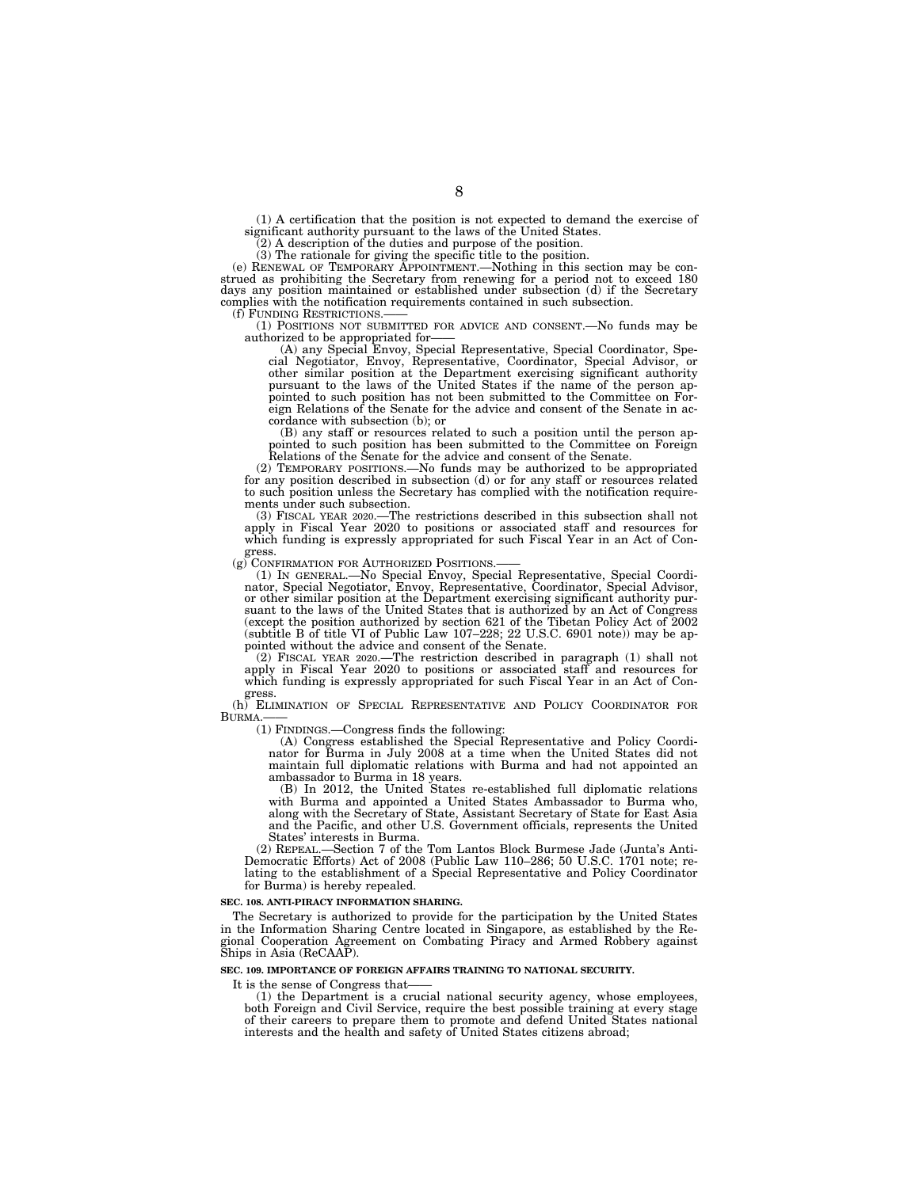(1) A certification that the position is not expected to demand the exercise of significant authority pursuant to the laws of the United States. (2) A description of the duties and purpose of the position.

(3) The rationale for giving the specific title to the position.

(e) RENEWAL OF TEMPORARY APPOINTMENT.—Nothing in this section may be construed as prohibiting the Secretary from renewing for a period not to exceed 180 days any position maintained or established under subsection (d) if the Secretary complies with the notification requirements contained in such subsection.

(f) FUNDING RESTRICTIONS.—— (1) POSITIONS NOT SUBMITTED FOR ADVICE AND CONSENT.—No funds may be authorized to be appropriated for——

(A) any Special Envoy, Special Representative, Special Coordinator, Spe-cial Negotiator, Envoy, Representative, Coordinator, Special Advisor, or other similar position at the Department exercising significant authority pursuant to the laws of the United States if the name of the person appointed to such position has not been submitted to the Committee on For-eign Relations of the Senate for the advice and consent of the Senate in accordance with subsection (b); or

(B) any staff or resources related to such a position until the person appointed to such position has been submitted to the Committee on Foreign Relations of the Senate for the advice and consent of the Senate.

(2) TEMPORARY POSITIONS.—No funds may be authorized to be appropriated for any position described in subsection (d) or for any staff or resources related to such position unless the Secretary has complied with the notification requirements under such subsection.

(3) FISCAL YEAR 2020.—The restrictions described in this subsection shall not apply in Fiscal Year 2020 to positions or associated staff and resources for which funding is expressly appropriated for such Fiscal Year in an Act of Con-

gress.<br>(g) CONFIRMATION FOR AUTHORIZED POSITIONS.-

(g) CONFIRMATION FOR AUTHORIZED POSITIONS.——<br>(1) IN GENERAL.—No Special Envoy, Special Representative, Special Coordinator, Special Negotiator, Envoy, Representative, Coordinator, Special Advisor,<br>or other similar position suant to the laws of the United States that is authorized by an Act of Congress (except the position authorized by section 621 of the Tibetan Policy Act of 2002 (subtitle B of title VI of Public Law 107–228; 22 U.S.C. 6901 note)) may be ap-

pointed without the advice and consent of the Senate. (2) FISCAL YEAR 2020.—The restriction described in paragraph (1) shall not apply in Fiscal Year 2020 to positions or associated staff and resources for which funding is expressly appropriated for such Fiscal Year in an Act of Congress.

(h) ELIMINATION OF SPECIAL REPRESENTATIVE AND POLICY COORDINATOR FOR BURMA.——

(1) FINDINGS.—Congress finds the following:

(A) Congress established the Special Representative and Policy Coordinator for Burma in July 2008 at a time when the United States did not maintain full diplomatic relations with Burma and had not appointed an ambassador to Burma in 18 years.

(B) In 2012, the United States re-established full diplomatic relations with Burma and appointed a United States Ambassador to Burma who, along with the Secretary of State, Assistant Secretary of State for East Asia and the Pacific, and other U.S. Government officials, represents the United States' interests in Burma.

(2) REPEAL.—Section 7 of the Tom Lantos Block Burmese Jade (Junta's Anti-Democratic Efforts) Act of 2008 (Public Law 110–286; 50 U.S.C. 1701 note; relating to the establishment of a Special Representative and Policy Coordinator for Burma) is hereby repealed.

### **SEC. 108. ANTI-PIRACY INFORMATION SHARING.**

The Secretary is authorized to provide for the participation by the United States in the Information Sharing Centre located in Singapore, as established by the Regional Cooperation Agreement on Combating Piracy and Armed Robbery against Ships in Asia (ReCAAP).

**SEC. 109. IMPORTANCE OF FOREIGN AFFAIRS TRAINING TO NATIONAL SECURITY.** 

It is the sense of Congress that-

(1) the Department is a crucial national security agency, whose employees, both Foreign and Civil Service, require the best possible training at every stage of their careers to prepare them to promote and defend United States national interests and the health and safety of United States citizens abroad;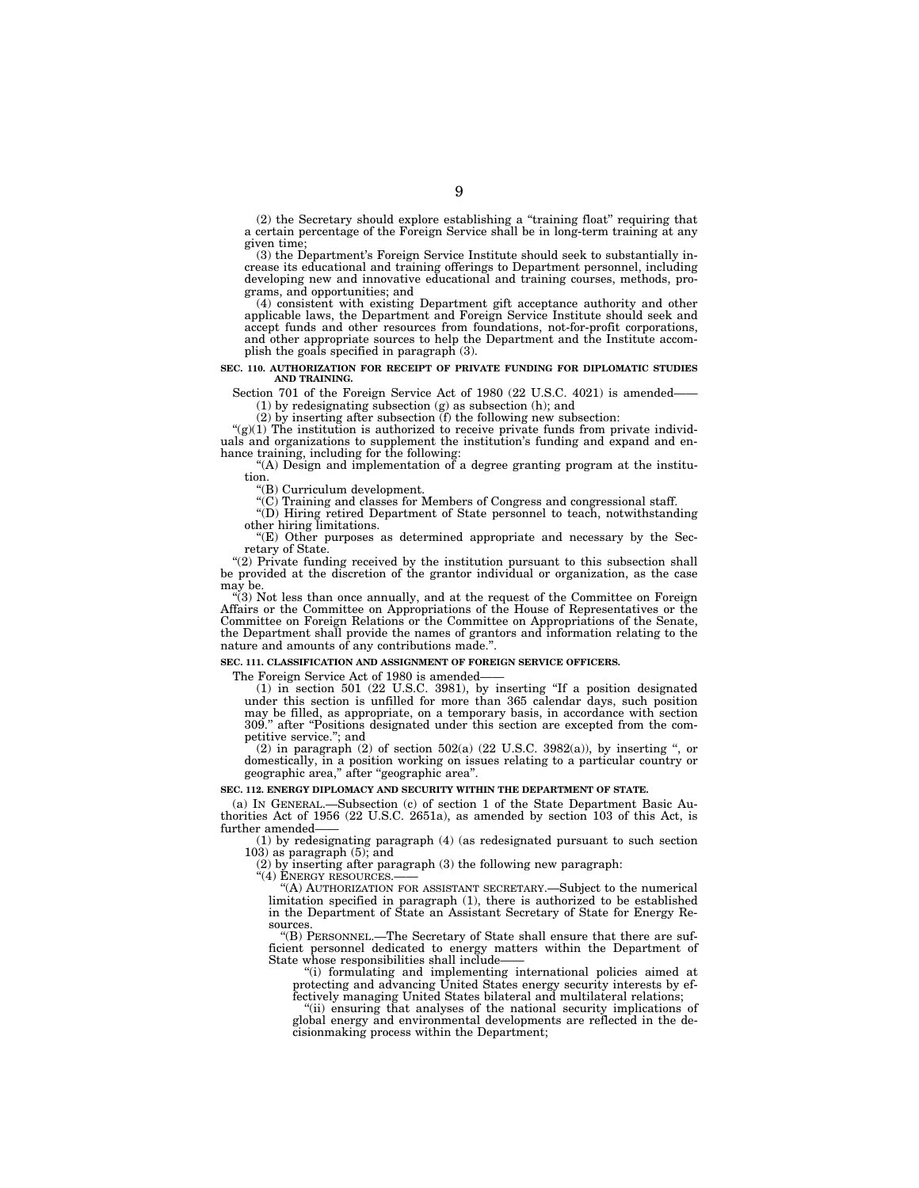$\left( 2\right)$  the Secretary should explore establishing a "training float" requiring that a certain percentage of the Foreign Service shall be in long-term training at any given time;

(3) the Department's Foreign Service Institute should seek to substantially increase its educational and training offerings to Department personnel, including developing new and innovative educational and training courses, methods, programs, and opportunities; and

(4) consistent with existing Department gift acceptance authority and other applicable laws, the Department and Foreign Service Institute should seek and accept funds and other resources from foundations, not-for-profit corporations, and other appropriate sources to help the Department and the Institute accomplish the goals specified in paragraph (3).

### **SEC. 110. AUTHORIZATION FOR RECEIPT OF PRIVATE FUNDING FOR DIPLOMATIC STUDIES AND TRAINING.**

Section 701 of the Foreign Service Act of 1980 (22 U.S.C. 4021) is amended-(1) by redesignating subsection (g) as subsection (h); and

(2) by inserting after subsection (f) the following new subsection:

 $''(g)(1)$  The institution is authorized to receive private funds from private individuals and organizations to supplement the institution's funding and expand and enhance training, including for the following:

''(A) Design and implementation of a degree granting program at the institution.

''(B) Curriculum development.

''(C) Training and classes for Members of Congress and congressional staff.

''(D) Hiring retired Department of State personnel to teach, notwithstanding other hiring limitations.

 $E$ ) Other purposes as determined appropriate and necessary by the Secretary of State.

"(2) Private funding received by the institution pursuant to this subsection shall be provided at the discretion of the grantor individual or organization, as the case may be.

''(3) Not less than once annually, and at the request of the Committee on Foreign Affairs or the Committee on Appropriations of the House of Representatives or the Committee on Foreign Relations or the Committee on Appropriations of the Senate, the Department shall provide the names of grantors and information relating to the nature and amounts of any contributions made.''.

# **SEC. 111. CLASSIFICATION AND ASSIGNMENT OF FOREIGN SERVICE OFFICERS.**

The Foreign Service Act of 1980 is amended——

(1) in section 501 (22 U.S.C. 3981), by inserting ''If a position designated under this section is unfilled for more than 365 calendar days, such position may be filled, as appropriate, on a temporary basis, in accordance with section 309.'' after ''Positions designated under this section are excepted from the competitive service.''; and

 $(2)$  in paragraph  $(2)$  of section  $502(a)$   $(22 \text{ U.S.C. } 3982(a))$ , by inserting ", or domestically, in a position working on issues relating to a particular country or geographic area,'' after ''geographic area''.

# **SEC. 112. ENERGY DIPLOMACY AND SECURITY WITHIN THE DEPARTMENT OF STATE.**

(a) IN GENERAL.—Subsection (c) of section 1 of the State Department Basic Authorities Act of 1956 (22 U.S.C. 2651a), as amended by section 103 of this Act, is further amended-

(1) by redesignating paragraph (4) (as redesignated pursuant to such section 103) as paragraph (5); and

(2) by inserting after paragraph (3) the following new paragraph:

"(4) ENERGY RESOURCES.

''(A) AUTHORIZATION FOR ASSISTANT SECRETARY.—Subject to the numerical limitation specified in paragraph (1), there is authorized to be established in the Department of State an Assistant Secretary of State for Energy Resources.

''(B) PERSONNEL.—The Secretary of State shall ensure that there are sufficient personnel dedicated to energy matters within the Department of State whose responsibilities shall include——

''(i) formulating and implementing international policies aimed at protecting and advancing United States energy security interests by effectively managing United States bilateral and multilateral relations;

''(ii) ensuring that analyses of the national security implications of global energy and environmental developments are reflected in the decisionmaking process within the Department;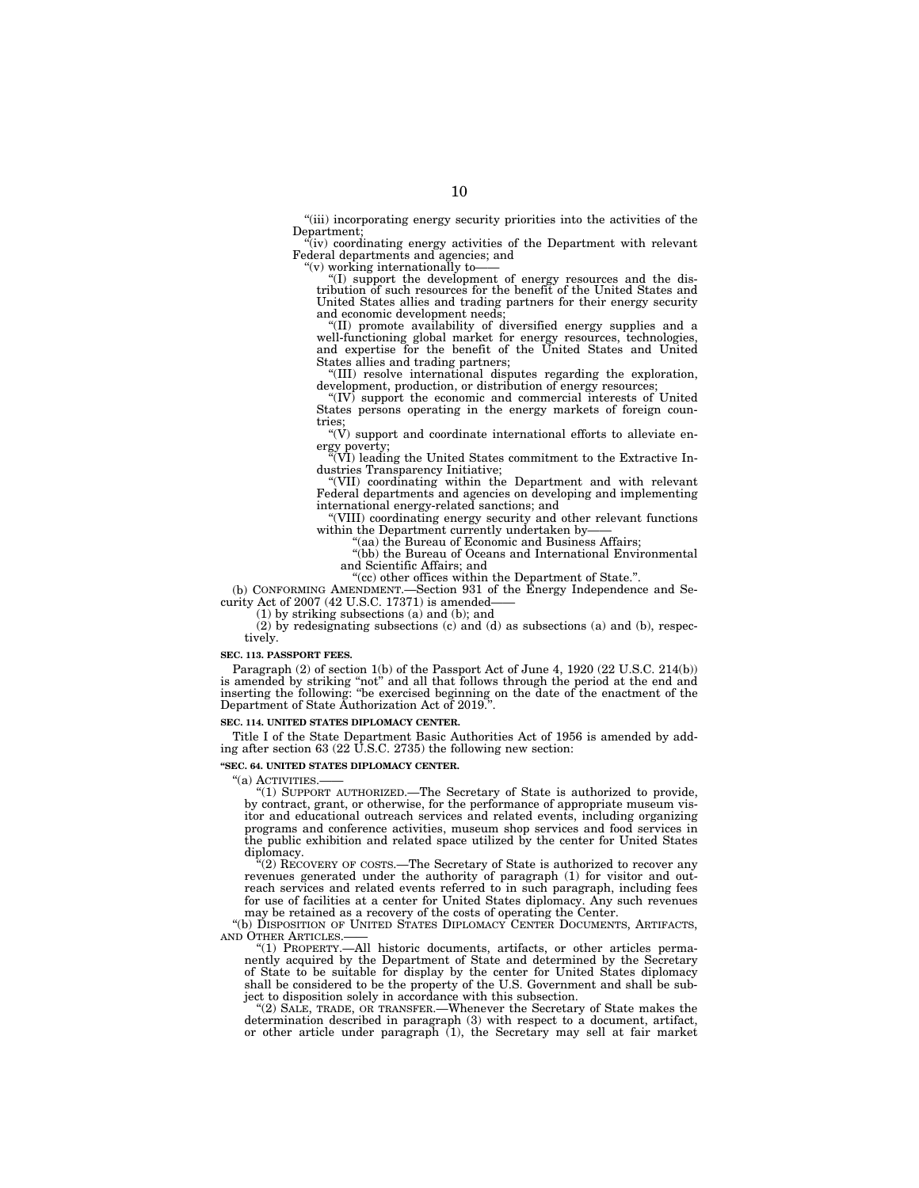"(iii) incorporating energy security priorities into the activities of the

Department; ''(iv) coordinating energy activities of the Department with relevant Federal departments and agencies; and Federal departments and agencies; and <br>"(v) working internationally to-

''(I) support the development of energy resources and the distribution of such resources for the benefit of the United States and United States allies and trading partners for their energy security and economic development needs;

''(II) promote availability of diversified energy supplies and a well-functioning global market for energy resources, technologies, and expertise for the benefit of the United States and United States allies and trading partners;

''(III) resolve international disputes regarding the exploration, development, production, or distribution of energy resources;

''(IV) support the economic and commercial interests of United States persons operating in the energy markets of foreign countries;

''(V) support and coordinate international efforts to alleviate energy poverty;

''(VI) leading the United States commitment to the Extractive Industries Transparency Initiative;

''(VII) coordinating within the Department and with relevant Federal departments and agencies on developing and implementing international energy-related sanctions; and

''(VIII) coordinating energy security and other relevant functions within the Department currently undertaken by-

"(aa) the Bureau of Economic and Business Affairs;

''(bb) the Bureau of Oceans and International Environmental and Scientific Affairs; and

''(cc) other offices within the Department of State.''.

(b) CONFORMING AMENDMENT.—Section 931 of the Energy Independence and Security Act of 2007 (42 U.S.C. 17371) is amended——

(1) by striking subsections (a) and (b); and

(2) by redesignating subsections (c) and (d) as subsections (a) and (b), respectively.

### **SEC. 113. PASSPORT FEES.**

Paragraph (2) of section 1(b) of the Passport Act of June 4, 1920 (22 U.S.C. 214(b)) is amended by striking ''not'' and all that follows through the period at the end and inserting the following: ''be exercised beginning on the date of the enactment of the Department of State Authorization Act of 2019.''.

# **SEC. 114. UNITED STATES DIPLOMACY CENTER.**

Title I of the State Department Basic Authorities Act of 1956 is amended by adding after section 63 (22 U.S.C. 2735) the following new section:

**''SEC. 64. UNITED STATES DIPLOMACY CENTER.** 

"(a) ACTIVITIES.

''(1) SUPPORT AUTHORIZED.—The Secretary of State is authorized to provide, by contract, grant, or otherwise, for the performance of appropriate museum visitor and educational outreach services and related events, including organizing programs and conference activities, museum shop services and food services in the public exhibition and related space utilized by the center for United States diplomacy.

''(2) RECOVERY OF COSTS.—The Secretary of State is authorized to recover any revenues generated under the authority of paragraph (1) for visitor and outreach services and related events referred to in such paragraph, including fees for use of facilities at a center for United States diplomacy. Any such revenues may be retained as a recovery of the costs of operating the Center.

''(b) DISPOSITION OF UNITED STATES DIPLOMACY CENTER DOCUMENTS, ARTIFACTS, AND OTHER ARTICLES.

"(1) PROPERTY.—All historic documents, artifacts, or other articles permanently acquired by the Department of State and determined by the Secretary of State to be suitable for display by the center for United States diplomacy shall be considered to be the property of the U.S. Government and shall be subject to disposition solely in accordance with this subsection.

''(2) SALE, TRADE, OR TRANSFER.—Whenever the Secretary of State makes the determination described in paragraph (3) with respect to a document, artifact, or other article under paragraph  $(1)$ , the Secretary may sell at fair market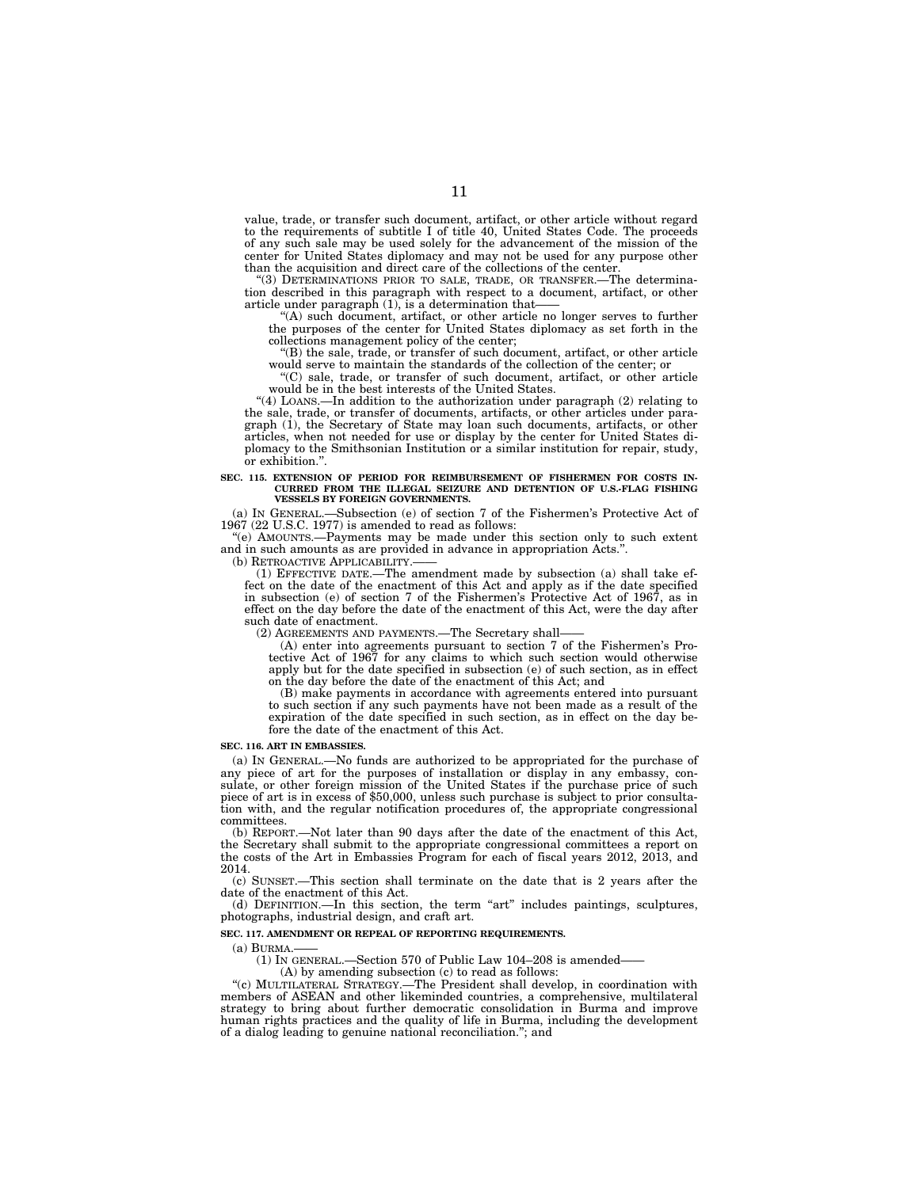value, trade, or transfer such document, artifact, or other article without regard to the requirements of subtitle I of title 40, United States Code. The proceeds of any such sale may be used solely for the advancement of the mission of the center for United States diplomacy and may not be used for any purpose other than the acquisition and direct care of the collections of the center.

''(3) DETERMINATIONS PRIOR TO SALE, TRADE, OR TRANSFER.—The determination described in this paragraph with respect to a document, artifact, or other article under paragraph  $(1)$ , is a determination that-

 $(A)$  such document, artifact, or other article no longer serves to further the purposes of the center for United States diplomacy as set forth in the collections management policy of the center;

''(B) the sale, trade, or transfer of such document, artifact, or other article would serve to maintain the standards of the collection of the center; or

''(C) sale, trade, or transfer of such document, artifact, or other article would be in the best interests of the United States.

''(4) LOANS.—In addition to the authorization under paragraph (2) relating to the sale, trade, or transfer of documents, artifacts, or other articles under paragraph (1), the Secretary of State may loan such documents, artifacts, or other articles, when not needed for use or display by the center for United States diplomacy to the Smithsonian Institution or a similar institution for repair, study, or exhibition.''.

# **SEC. 115. EXTENSION OF PERIOD FOR REIMBURSEMENT OF FISHERMEN FOR COSTS IN-CURRED FROM THE ILLEGAL SEIZURE AND DETENTION OF U.S.-FLAG FISHING VESSELS BY FOREIGN GOVERNMENTS.**

(a) IN GENERAL.—Subsection (e) of section 7 of the Fishermen's Protective Act of 1967 (22 U.S.C. 1977) is amended to read as follows:

''(e) AMOUNTS.—Payments may be made under this section only to such extent and in such amounts as are provided in advance in appropriation Acts.''.

(b) RETROACTIVE APPLICABILITY.-

(1) EFFECTIVE DATE.—The amendment made by subsection (a) shall take effect on the date of the enactment of this Act and apply as if the date specified in subsection (e) of section 7 of the Fishermen's Protective Act of 1967, as in effect on the day before the date of the enactment of this Act, were the day after such date of enactment.

(2) AGREEMENTS AND PAYMENTS.—The Secretary shall——

(A) enter into agreements pursuant to section 7 of the Fishermen's Protective Act of 1967 for any claims to which such section would otherwise apply but for the date specified in subsection (e) of such section, as in effect on the day before the date of the enactment of this Act; and

(B) make payments in accordance with agreements entered into pursuant to such section if any such payments have not been made as a result of the expiration of the date specified in such section, as in effect on the day before the date of the enactment of this Act.

### **SEC. 116. ART IN EMBASSIES.**

(a) IN GENERAL.—No funds are authorized to be appropriated for the purchase of any piece of art for the purposes of installation or display in any embassy, consulate, or other foreign mission of the United States if the purchase price of such piece of art is in excess of \$50,000, unless such purchase is subject to prior consultation with, and the regular notification procedures of, the appropriate congressional committees.

(b) REPORT.—Not later than 90 days after the date of the enactment of this Act, the Secretary shall submit to the appropriate congressional committees a report on the costs of the Art in Embassies Program for each of fiscal years 2012, 2013, and 2014.

(c) SUNSET.—This section shall terminate on the date that is 2 years after the date of the enactment of this Act.

(d) DEFINITION.—In this section, the term ''art'' includes paintings, sculptures, photographs, industrial design, and craft art.

# **SEC. 117. AMENDMENT OR REPEAL OF REPORTING REQUIREMENTS.**

 $(a)$  BURMA

(1) IN GENERAL.—Section 570 of Public Law 104–208 is amended——

(A) by amending subsection (c) to read as follows:

''(c) MULTILATERAL STRATEGY.—The President shall develop, in coordination with members of ASEAN and other likeminded countries, a comprehensive, multilateral strategy to bring about further democratic consolidation in Burma and improve human rights practices and the quality of life in Burma, including the development of a dialog leading to genuine national reconciliation.''; and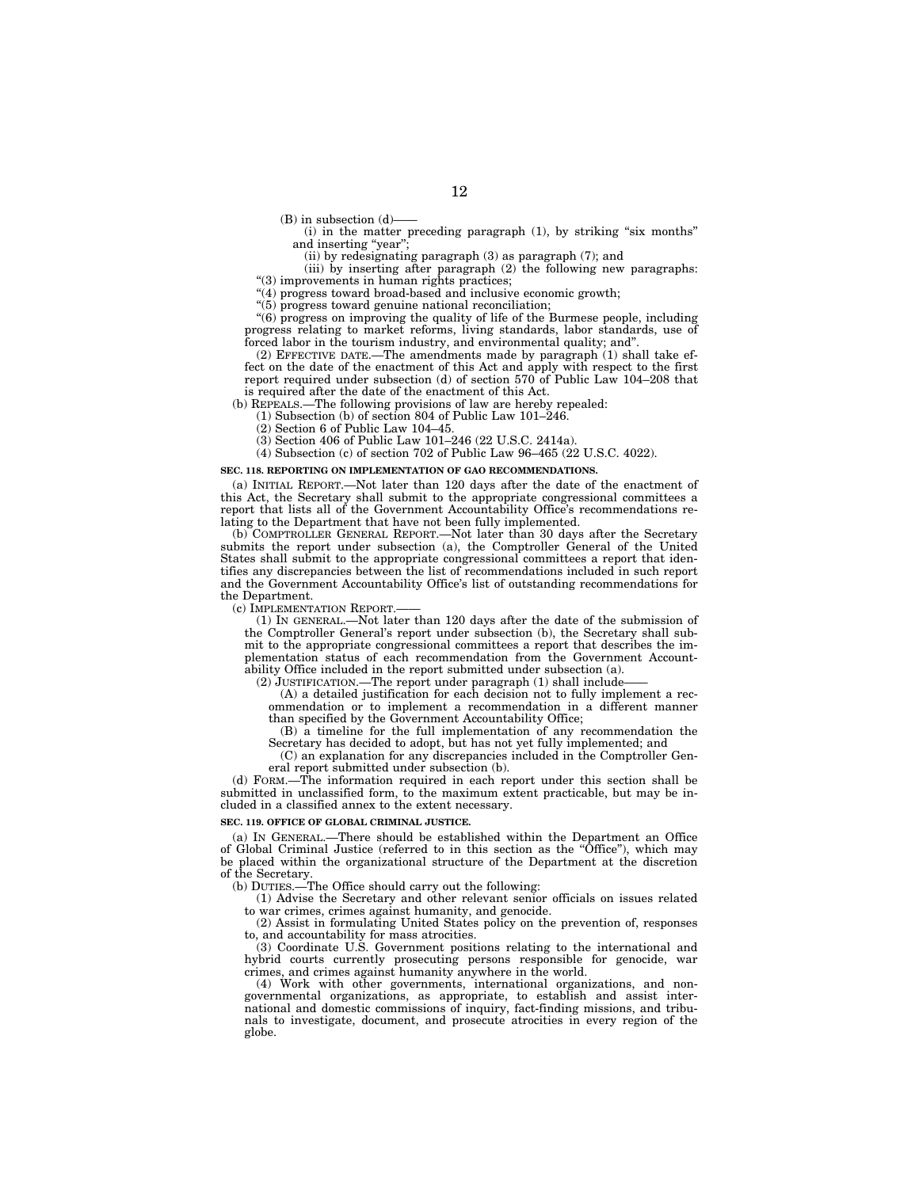$(B)$  in subsection  $(d)$ -

(i) in the matter preceding paragraph (1), by striking "six months" and inserting "year"

(ii) by redesignating paragraph (3) as paragraph (7); and

(iii) by inserting after paragraph (2) the following new paragraphs: ''(3) improvements in human rights practices;

 $\mathcal{L}(4)$  progress toward broad-based and inclusive economic growth;

''(5) progress toward genuine national reconciliation;

''(6) progress on improving the quality of life of the Burmese people, including

progress relating to market reforms, living standards, labor standards, use of forced labor in the tourism industry, and environmental quality; and".

(2) EFFECTIVE DATE.—The amendments made by paragraph (1) shall take effect on the date of the enactment of this Act and apply with respect to the first report required under subsection (d) of section  $570^\circ$  of Public Law 104–208 that is required after the date of the enactment of this Act.

(b) REPEALS.—The following provisions of law are hereby repealed:

(1) Subsection (b) of section 804 of Public Law 101–246.

(2) Section 6 of Public Law 104–45.

(3) Section 406 of Public Law 101–246 (22 U.S.C. 2414a).

(4) Subsection (c) of section 702 of Public Law 96–465 (22 U.S.C. 4022).

# **SEC. 118. REPORTING ON IMPLEMENTATION OF GAO RECOMMENDATIONS.**

(a) INITIAL REPORT.—Not later than 120 days after the date of the enactment of this Act, the Secretary shall submit to the appropriate congressional committees a report that lists all of the Government Accountability Office's recommendations relating to the Department that have not been fully implemented.

(b) COMPTROLLER GENERAL REPORT.—Not later than 30 days after the Secretary submits the report under subsection (a), the Comptroller General of the United States shall submit to the appropriate congressional committees a report that identifies any discrepancies between the list of recommendations included in such report and the Government Accountability Office's list of outstanding recommendations for the Department.

(c) IMPLEMENTATION REPORT.

(1) IN GENERAL.—Not later than 120 days after the date of the submission of the Comptroller General's report under subsection (b), the Secretary shall submit to the appropriate congressional committees a report that describes the implementation status of each recommendation from the Government Accountability Office included in the report submitted under subsection (a).

(2)  $J$ USTIFICATION.—The report under paragraph (1) shall include—

(A) a detailed justification for each decision not to fully implement a recommendation or to implement a recommendation in a different manner than specified by the Government Accountability Office;

(B) a timeline for the full implementation of any recommendation the Secretary has decided to adopt, but has not yet fully implemented; and

(C) an explanation for any discrepancies included in the Comptroller General report submitted under subsection (b).

(d) FORM.—The information required in each report under this section shall be submitted in unclassified form, to the maximum extent practicable, but may be included in a classified annex to the extent necessary.

# **SEC. 119. OFFICE OF GLOBAL CRIMINAL JUSTICE.**

(a) IN GENERAL.—There should be established within the Department an Office of Global Criminal Justice (referred to in this section as the "Office"), which may be placed within the organizational structure of the Department at the discretion of the Secretary.

(b) DUTIES.—The Office should carry out the following:

(1) Advise the Secretary and other relevant senior officials on issues related to war crimes, crimes against humanity, and genocide.

(2) Assist in formulating United States policy on the prevention of, responses to, and accountability for mass atrocities.

(3) Coordinate U.S. Government positions relating to the international and hybrid courts currently prosecuting persons responsible for genocide, war crimes, and crimes against humanity anywhere in the world.

(4) Work with other governments, international organizations, and nongovernmental organizations, as appropriate, to establish and assist international and domestic commissions of inquiry, fact-finding missions, and tribunals to investigate, document, and prosecute atrocities in every region of the globe.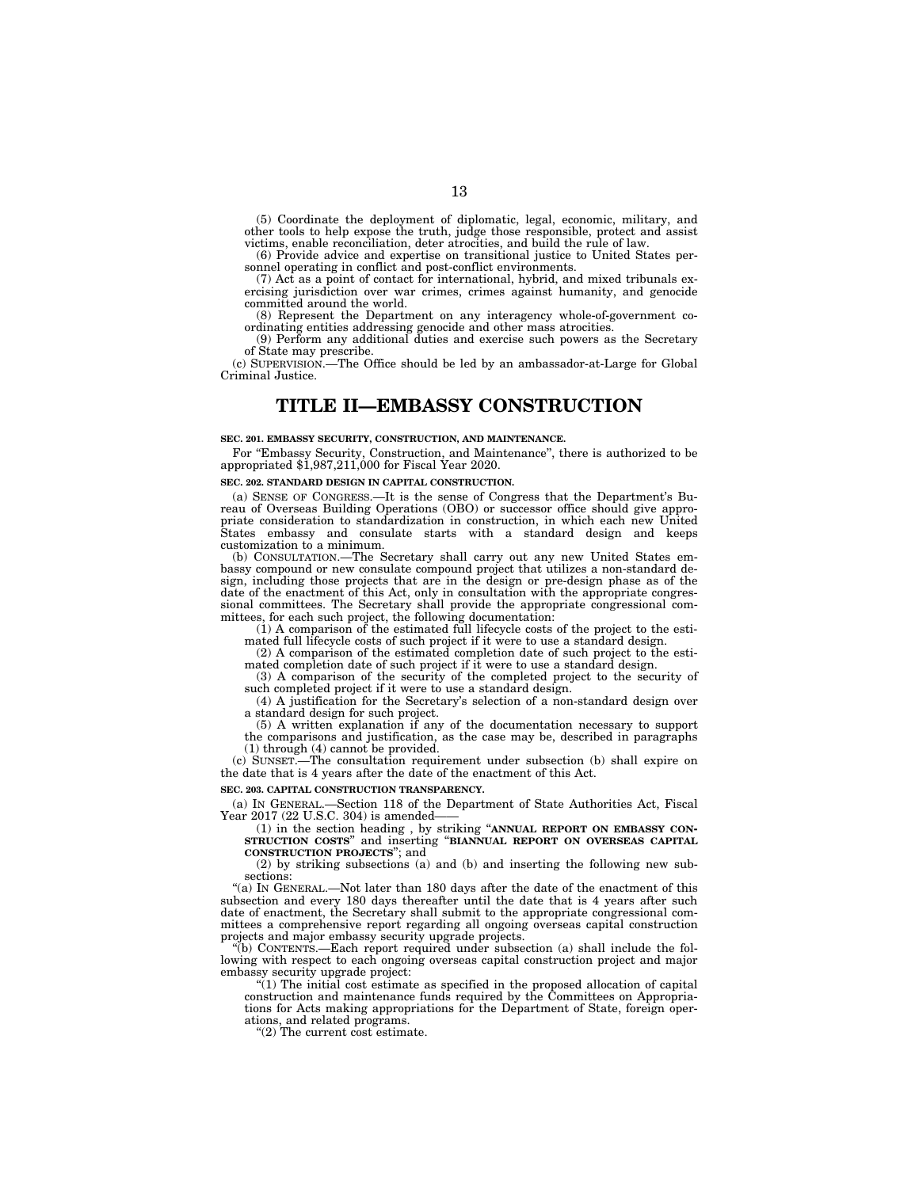(5) Coordinate the deployment of diplomatic, legal, economic, military, and other tools to help expose the truth, judge those responsible, protect and assist victims, enable reconciliation, deter atrocities, and build the rule of law.

(6) Provide advice and expertise on transitional justice to United States personnel operating in conflict and post-conflict environments.

(7) Act as a point of contact for international, hybrid, and mixed tribunals exercising jurisdiction over war crimes, crimes against humanity, and genocide committed around the world.

(8) Represent the Department on any interagency whole-of-government coordinating entities addressing genocide and other mass atrocities.

(9) Perform any additional duties and exercise such powers as the Secretary of State may prescribe.

(c) SUPERVISION.—The Office should be led by an ambassador-at-Large for Global Criminal Justice.

# **TITLE II—EMBASSY CONSTRUCTION**

**SEC. 201. EMBASSY SECURITY, CONSTRUCTION, AND MAINTENANCE.** 

For ''Embassy Security, Construction, and Maintenance'', there is authorized to be appropriated \$1,987,211,000 for Fiscal Year 2020.

# **SEC. 202. STANDARD DESIGN IN CAPITAL CONSTRUCTION.**

(a) SENSE OF CONGRESS.—It is the sense of Congress that the Department's Bureau of Overseas Building Operations (OBO) or successor office should give appropriate consideration to standardization in construction, in which each new United States embassy and consulate starts with a standard design and keeps customization to a minimum.

(b) CONSULTATION.—The Secretary shall carry out any new United States embassy compound or new consulate compound project that utilizes a non-standard design, including those projects that are in the design or pre-design phase as of the date of the enactment of this Act, only in consultation with the appropriate congressional committees. The Secretary shall provide the appropriate congressional committees, for each such project, the following documentation:

 $(1)$  A comparison of the estimated full lifecycle costs of the project to the estimated full lifecycle costs of such project if it were to use a standard design.

(2) A comparison of the estimated completion date of such project to the estimated completion date of such project if it were to use a standard design.

(3) A comparison of the security of the completed project to the security of such completed project if it were to use a standard design.

(4) A justification for the Secretary's selection of a non-standard design over a standard design for such project.

(5) A written explanation if any of the documentation necessary to support the comparisons and justification, as the case may be, described in paragraphs (1) through (4) cannot be provided.

(c) SUNSET.—The consultation requirement under subsection (b) shall expire on the date that is 4 years after the date of the enactment of this Act.

# **SEC. 203. CAPITAL CONSTRUCTION TRANSPARENCY.**

(a) IN GENERAL.—Section 118 of the Department of State Authorities Act, Fiscal Year 2017 (22 U.S.C. 304) is amended——

(1) in the section heading , by striking ''**ANNUAL REPORT ON EMBASSY CON-STRUCTION COSTS**'' and inserting ''**BIANNUAL REPORT ON OVERSEAS CAPITAL CONSTRUCTION PROJECTS**''; and

(2) by striking subsections (a) and (b) and inserting the following new subsections:

''(a) IN GENERAL.—Not later than 180 days after the date of the enactment of this subsection and every 180 days thereafter until the date that is 4 years after such date of enactment, the Secretary shall submit to the appropriate congressional committees a comprehensive report regarding all ongoing overseas capital construction projects and major embassy security upgrade projects.

''(b) CONTENTS.—Each report required under subsection (a) shall include the following with respect to each ongoing overseas capital construction project and major embassy security upgrade project:

''(1) The initial cost estimate as specified in the proposed allocation of capital construction and maintenance funds required by the Committees on Appropriations for Acts making appropriations for the Department of State, foreign operations, and related programs.

''(2) The current cost estimate.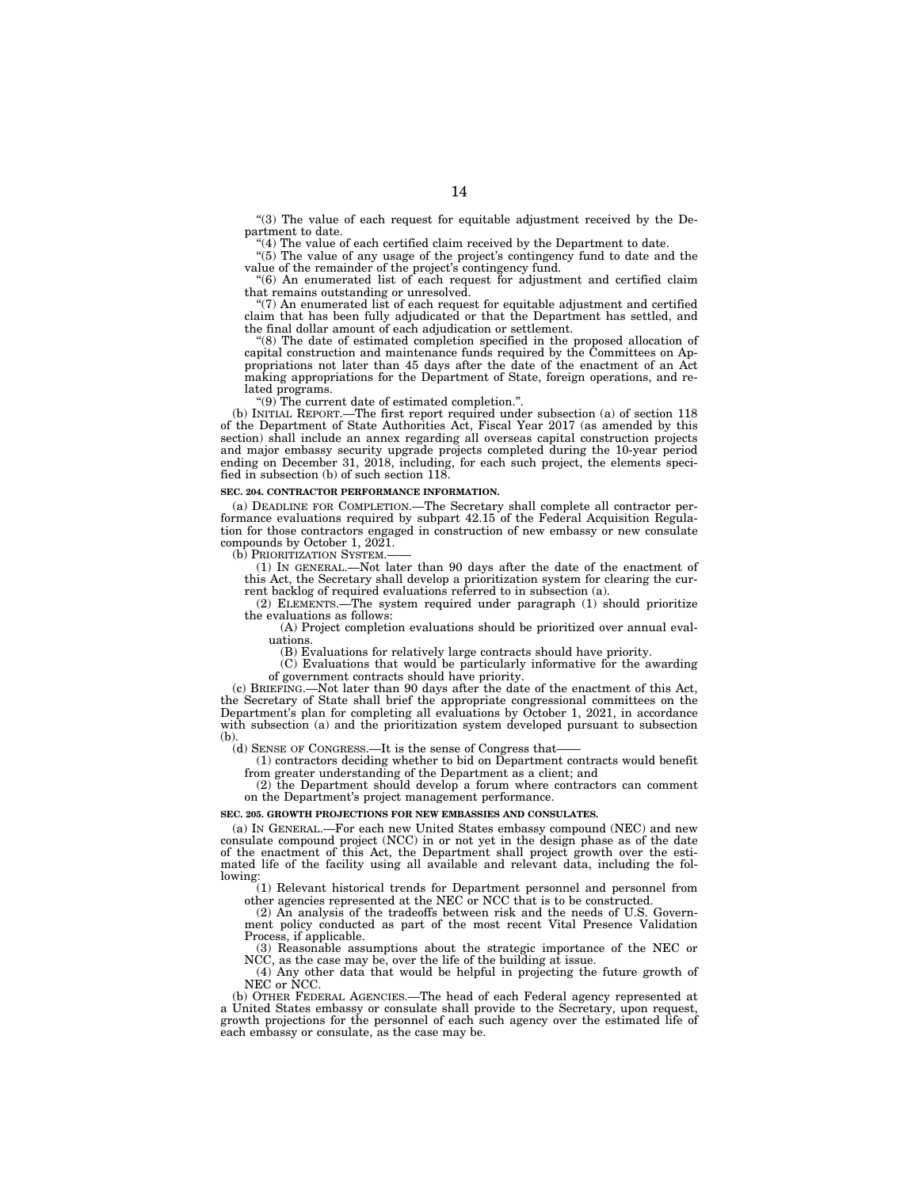"(3) The value of each request for equitable adjustment received by the Department to date.

"(4) The value of each certified claim received by the Department to date. ''(5) The value of any usage of the project's contingency fund to date and the

value of the remainder of the project's contingency fund. ''(6) An enumerated list of each request for adjustment and certified claim that remains outstanding or unresolved.

 $(7)$  An enumerated list of each request for equitable adjustment and certified claim that has been fully adjudicated or that the Department has settled, and the final dollar amount of each adjudication or settlement.

''(8) The date of estimated completion specified in the proposed allocation of capital construction and maintenance funds required by the Committees on Appropriations not later than 45 days after the date of the enactment of an Act making appropriations for the Department of State, foreign operations, and related programs.

''(9) The current date of estimated completion.''.

(b) INITIAL REPORT.—The first report required under subsection (a) of section 118 of the Department of State Authorities Act, Fiscal Year 2017 (as amended by this section) shall include an annex regarding all overseas capital construction projects and major embassy security upgrade projects completed during the 10-year period ending on December 31, 2018, including, for each such project, the elements specified in subsection (b) of such section 118.

### **SEC. 204. CONTRACTOR PERFORMANCE INFORMATION.**

(a) DEADLINE FOR COMPLETION.—The Secretary shall complete all contractor performance evaluations required by subpart 42.15 of the Federal Acquisition Regulation for those contractors engaged in construction of new embassy or new consulate compounds by October 1, 2021.

(b) PRIORITIZATION SYSTEM.——

(1) IN GENERAL.—Not later than 90 days after the date of the enactment of this Act, the Secretary shall develop a prioritization system for clearing the current backlog of required evaluations referred to in subsection (a).

(2) ELEMENTS.—The system required under paragraph (1) should prioritize the evaluations as follows:

(A) Project completion evaluations should be prioritized over annual evaluations.

(B) Evaluations for relatively large contracts should have priority.

(C) Evaluations that would be particularly informative for the awarding of government contracts should have priority.

(c) BRIEFING.—Not later than 90 days after the date of the enactment of this Act, the Secretary of State shall brief the appropriate congressional committees on the Department's plan for completing all evaluations by October 1, 2021, in accordance with subsection (a) and the prioritization system developed pursuant to subsection (b).

 $(d)$  SENSE OF CONGRESS.—It is the sense of Congress that—

(1) contractors deciding whether to bid on Department contracts would benefit from greater understanding of the Department as a client; and

(2) the Department should develop a forum where contractors can comment on the Department's project management performance.

**SEC. 205. GROWTH PROJECTIONS FOR NEW EMBASSIES AND CONSULATES.** 

(a) IN GENERAL.—For each new United States embassy compound (NEC) and new consulate compound project (NCC) in or not yet in the design phase as of the date of the enactment of this Act, the Department shall project growth over the estimated life of the facility using all available and relevant data, including the following:

(1) Relevant historical trends for Department personnel and personnel from other agencies represented at the NEC or NCC that is to be constructed.

(2) An analysis of the tradeoffs between risk and the needs of U.S. Government policy conducted as part of the most recent Vital Presence Validation Process, if applicable.

(3) Reasonable assumptions about the strategic importance of the NEC or NCC, as the case may be, over the life of the building at issue.

(4) Any other data that would be helpful in projecting the future growth of NEC or NCC.

(b) OTHER FEDERAL AGENCIES.—The head of each Federal agency represented at a United States embassy or consulate shall provide to the Secretary, upon request, growth projections for the personnel of each such agency over the estimated life of each embassy or consulate, as the case may be.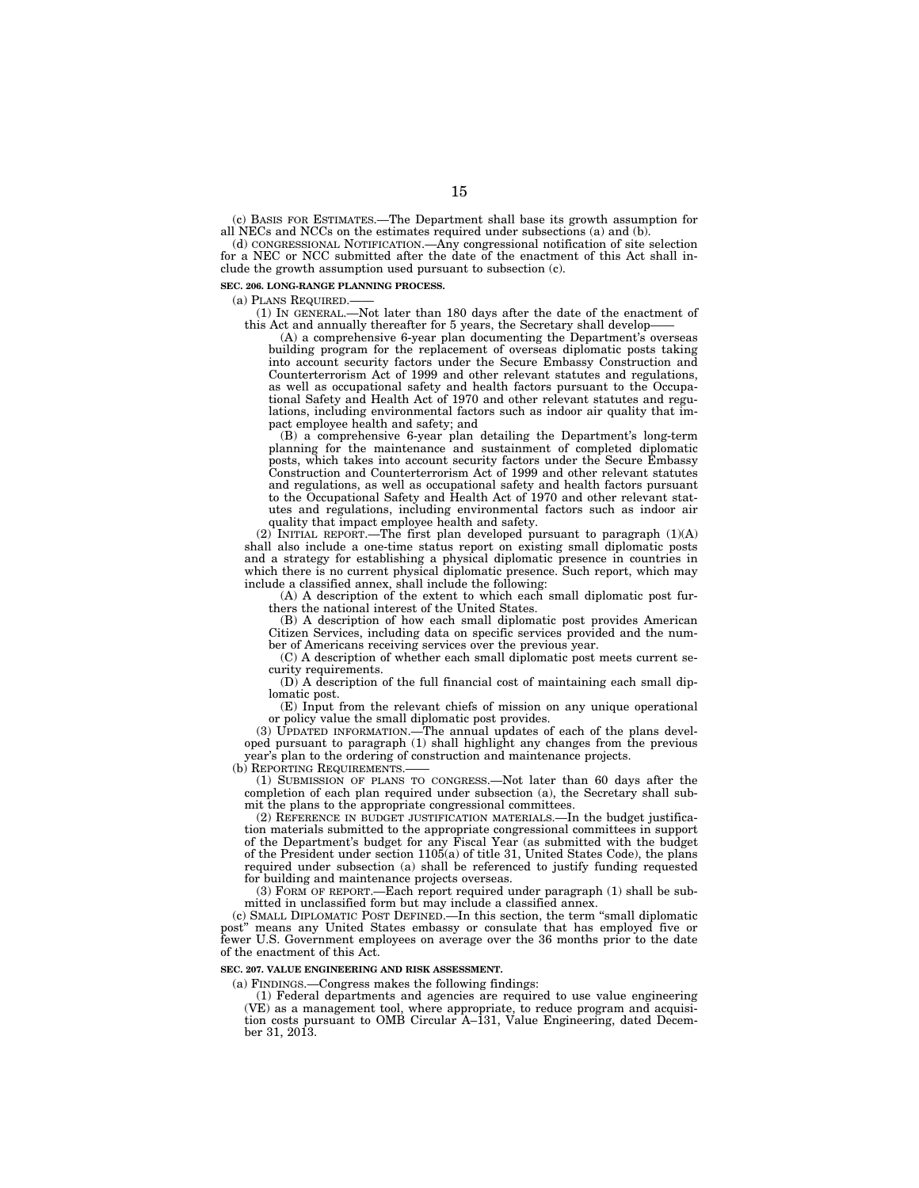(c) BASIS FOR ESTIMATES.—The Department shall base its growth assumption for all NECs and NCCs on the estimates required under subsections (a) and (b).

(d) CONGRESSIONAL NOTIFICATION.—Any congressional notification of site selection for a NEC or NCC submitted after the date of the enactment of this Act shall include the growth assumption used pursuant to subsection (c).

# **SEC. 206. LONG-RANGE PLANNING PROCESS.**

(a) PLANS REQUIRED.

(1) IN GENERAL.—Not later than 180 days after the date of the enactment of this Act and annually thereafter for 5 years, the Secretary shall develop-

(A) a comprehensive 6-year plan documenting the Department's overseas building program for the replacement of overseas diplomatic posts taking into account security factors under the Secure Embassy Construction and Counterterrorism Act of 1999 and other relevant statutes and regulations, as well as occupational safety and health factors pursuant to the Occupational Safety and Health Act of 1970 and other relevant statutes and regulations, including environmental factors such as indoor air quality that impact employee health and safety; and

(B) a comprehensive 6-year plan detailing the Department's long-term planning for the maintenance and sustainment of completed diplomatic posts, which takes into account security factors under the Secure Embassy Construction and Counterterrorism Act of 1999 and other relevant statutes and regulations, as well as occupational safety and health factors pursuant to the Occupational Safety and Health Act of 1970 and other relevant statutes and regulations, including environmental factors such as indoor air quality that impact employee health and safety.

 $(2)$  INITIAL REPORT.—The first plan developed pursuant to paragraph  $(1)(A)$ shall also include a one-time status report on existing small diplomatic posts and a strategy for establishing a physical diplomatic presence in countries in which there is no current physical diplomatic presence. Such report, which may include a classified annex, shall include the following:

(A) A description of the extent to which each small diplomatic post furthers the national interest of the United States.

(B) A description of how each small diplomatic post provides American Citizen Services, including data on specific services provided and the number of Americans receiving services over the previous year.

(C) A description of whether each small diplomatic post meets current security requirements.

(D) A description of the full financial cost of maintaining each small diplomatic post.

(E) Input from the relevant chiefs of mission on any unique operational or policy value the small diplomatic post provides.

(3) UPDATED INFORMATION.—The annual updates of each of the plans developed pursuant to paragraph (1) shall highlight any changes from the previous year's plan to the ordering of construction and maintenance projects.

(b) REPORTING REQUIREMENTS.

(1) SUBMISSION OF PLANS TO CONGRESS.—Not later than 60 days after the completion of each plan required under subsection (a), the Secretary shall submit the plans to the appropriate congressional committees.

(2) REFERENCE IN BUDGET JUSTIFICATION MATERIALS.—In the budget justification materials submitted to the appropriate congressional committees in support of the Department's budget for any Fiscal Year (as submitted with the budget of the President under section 1105(a) of title 31, United States Code), the plans required under subsection (a) shall be referenced to justify funding requested for building and maintenance projects overseas.

(3) FORM OF REPORT.—Each report required under paragraph (1) shall be submitted in unclassified form but may include a classified annex.

(c) SMALL DIPLOMATIC POST DEFINED.—In this section, the term ''small diplomatic post'' means any United States embassy or consulate that has employed five or fewer U.S. Government employees on average over the 36 months prior to the date of the enactment of this Act.

# **SEC. 207. VALUE ENGINEERING AND RISK ASSESSMENT.**

(a) FINDINGS.—Congress makes the following findings:

(1) Federal departments and agencies are required to use value engineering (VE) as a management tool, where appropriate, to reduce program and acquisition costs pursuant to OMB Circular A–131, Value Engineering, dated December 31, 2013.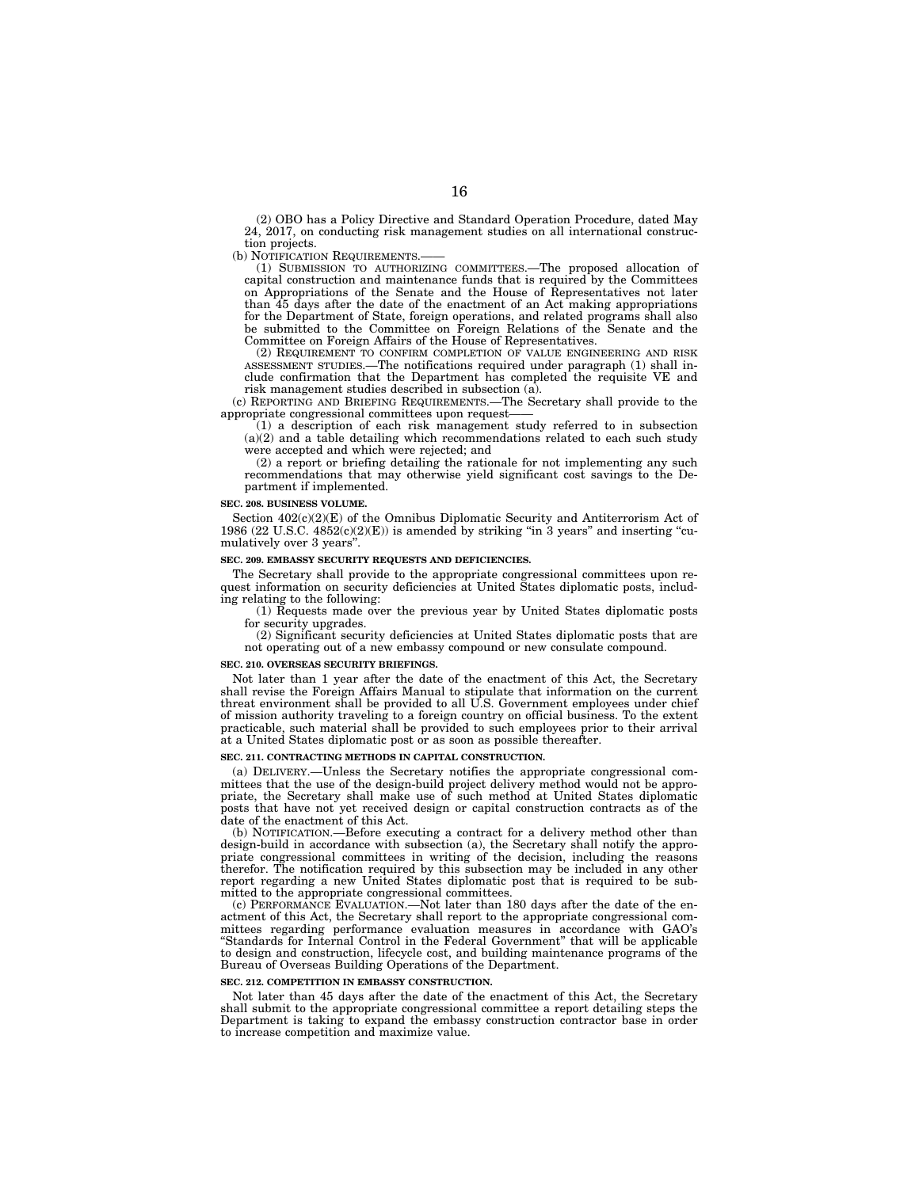(2) OBO has a Policy Directive and Standard Operation Procedure, dated May 24, 2017, on conducting risk management studies on all international construction projects.

# (b) NOTIFICATION REQUIREMENTS.

(1) SUBMISSION TO AUTHORIZING COMMITTEES.—The proposed allocation of capital construction and maintenance funds that is required by the Committees on Appropriations of the Senate and the House of Representatives not later than  $45$  days after the date of the enactment of an Act making appropriations for the Department of State, foreign operations, and related programs shall also be submitted to the Committee on Foreign Relations of the Senate and the Committee on Foreign Affairs of the House of Representatives.

(2) REQUIREMENT TO CONFIRM COMPLETION OF VALUE ENGINEERING AND RISK ASSESSMENT STUDIES.—The notifications required under paragraph (1) shall include confirmation that the Department has completed the requisite VE and risk management studies described in subsection (a).

(c) REPORTING AND BRIEFING REQUIREMENTS.—The Secretary shall provide to the appropriate congressional committees upon request——

(1) a description of each risk management study referred to in subsection (a)(2) and a table detailing which recommendations related to each such study were accepted and which were rejected; and

(2) a report or briefing detailing the rationale for not implementing any such recommendations that may otherwise yield significant cost savings to the Department if implemented.

# **SEC. 208. BUSINESS VOLUME.**

Section  $402(c)(2)(E)$  of the Omnibus Diplomatic Security and Antiterrorism Act of 1986 (22 U.S.C.  $4852(c)(2)(E)$ ) is amended by striking "in 3 years" and inserting "cumulatively over 3 years".

# **SEC. 209. EMBASSY SECURITY REQUESTS AND DEFICIENCIES.**

The Secretary shall provide to the appropriate congressional committees upon request information on security deficiencies at United States diplomatic posts, including relating to the following:

(1) Requests made over the previous year by United States diplomatic posts for security upgrades.

(2) Significant security deficiencies at United States diplomatic posts that are not operating out of a new embassy compound or new consulate compound.

### **SEC. 210. OVERSEAS SECURITY BRIEFINGS.**

Not later than 1 year after the date of the enactment of this Act, the Secretary shall revise the Foreign Affairs Manual to stipulate that information on the current threat environment shall be provided to all U.S. Government employees under chief of mission authority traveling to a foreign country on official business. To the extent practicable, such material shall be provided to such employees prior to their arrival at a United States diplomatic post or as soon as possible thereafter.

# **SEC. 211. CONTRACTING METHODS IN CAPITAL CONSTRUCTION.**

(a) DELIVERY.—Unless the Secretary notifies the appropriate congressional committees that the use of the design-build project delivery method would not be appropriate, the Secretary shall make use of such method at United States diplomatic posts that have not yet received design or capital construction contracts as of the date of the enactment of this Act.

(b) NOTIFICATION.—Before executing a contract for a delivery method other than design-build in accordance with subsection (a), the Secretary shall notify the appropriate congressional committees in writing of the decision, including the reasons therefor. The notification required by this subsection may be included in any other report regarding a new United States diplomatic post that is required to be submitted to the appropriate congressional committees.

(c) PERFORMANCE EVALUATION.—Not later than 180 days after the date of the enactment of this Act, the Secretary shall report to the appropriate congressional committees regarding performance evaluation measures in accordance with GAO's ''Standards for Internal Control in the Federal Government'' that will be applicable to design and construction, lifecycle cost, and building maintenance programs of the Bureau of Overseas Building Operations of the Department.

### **SEC. 212. COMPETITION IN EMBASSY CONSTRUCTION.**

Not later than 45 days after the date of the enactment of this Act, the Secretary shall submit to the appropriate congressional committee a report detailing steps the Department is taking to expand the embassy construction contractor base in order to increase competition and maximize value.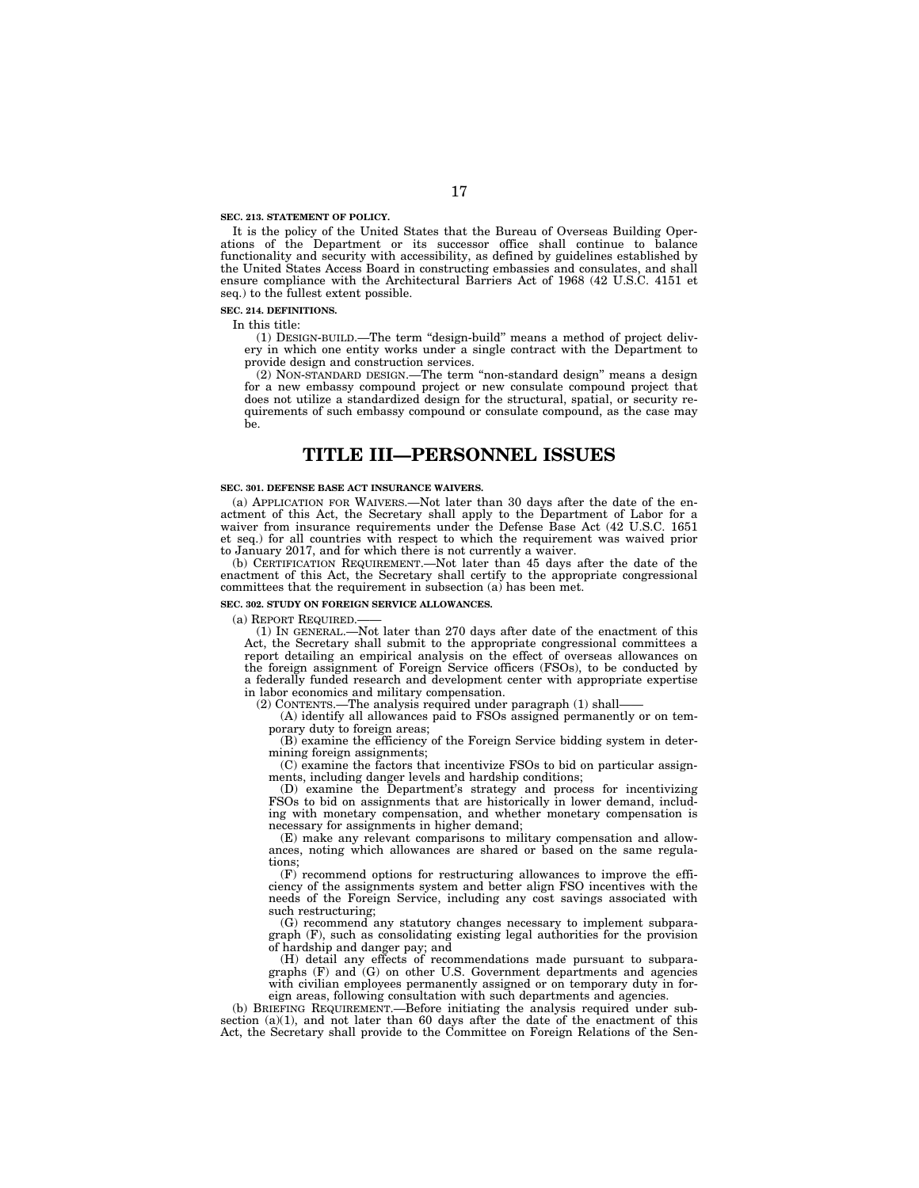# **SEC. 213. STATEMENT OF POLICY.**

It is the policy of the United States that the Bureau of Overseas Building Operations of the Department or its successor office shall continue to balance functionality and security with accessibility, as defined by guidelines established by the United States Access Board in constructing embassies and consulates, and shall ensure compliance with the Architectural Barriers Act of 1968 (42 U.S.C. 4151 et seq.) to the fullest extent possible.

# **SEC. 214. DEFINITIONS.**

In this title:

(1) DESIGN-BUILD.—The term ''design-build'' means a method of project delivery in which one entity works under a single contract with the Department to provide design and construction services.

(2) NON-STANDARD DESIGN.—The term ''non-standard design'' means a design for a new embassy compound project or new consulate compound project that does not utilize a standardized design for the structural, spatial, or security requirements of such embassy compound or consulate compound, as the case may be.

# **TITLE III—PERSONNEL ISSUES**

# **SEC. 301. DEFENSE BASE ACT INSURANCE WAIVERS.**

(a) APPLICATION FOR WAIVERS.—Not later than 30 days after the date of the enactment of this Act, the Secretary shall apply to the Department of Labor for a waiver from insurance requirements under the Defense Base Act (42 U.S.C. 1651 et seq.) for all countries with respect to which the requirement was waived prior to January 2017, and for which there is not currently a waiver.

(b) CERTIFICATION REQUIREMENT.—Not later than 45 days after the date of the enactment of this Act, the Secretary shall certify to the appropriate congressional committees that the requirement in subsection (a) has been met.

### **SEC. 302. STUDY ON FOREIGN SERVICE ALLOWANCES.**

(a) REPORT REQUIRED.

(1) IN GENERAL.—Not later than 270 days after date of the enactment of this Act, the Secretary shall submit to the appropriate congressional committees a report detailing an empirical analysis on the effect of overseas allowances on the foreign assignment of Foreign Service officers (FSOs), to be conducted by a federally funded research and development center with appropriate expertise in labor economics and military compensation.

 $(2)$  CONTENTS.—The analysis required under paragraph  $(1)$  shall-

(A) identify all allowances paid to FSOs assigned permanently or on temporary duty to foreign areas;

(B) examine the efficiency of the Foreign Service bidding system in determining foreign assignments;

(C) examine the factors that incentivize FSOs to bid on particular assignments, including danger levels and hardship conditions;

(D) examine the Department's strategy and process for incentivizing FSOs to bid on assignments that are historically in lower demand, including with monetary compensation, and whether monetary compensation is necessary for assignments in higher demand;

(E) make any relevant comparisons to military compensation and allowances, noting which allowances are shared or based on the same regulations;

(F) recommend options for restructuring allowances to improve the efficiency of the assignments system and better align FSO incentives with the needs of the Foreign Service, including any cost savings associated with such restructuring;

 $(G)$  recommend any statutory changes necessary to implement subparagraph (F), such as consolidating existing legal authorities for the provision of hardship and danger pay; and

(H) detail any effects of recommendations made pursuant to subparagraphs (F) and (G) on other U.S. Government departments and agencies with civilian employees permanently assigned or on temporary duty in foreign areas, following consultation with such departments and agencies.

(b) BRIEFING REQUIREMENT.—Before initiating the analysis required under subsection (a)(1), and not later than 60 days after the date of the enactment of this Act, the Secretary shall provide to the Committee on Foreign Relations of the Sen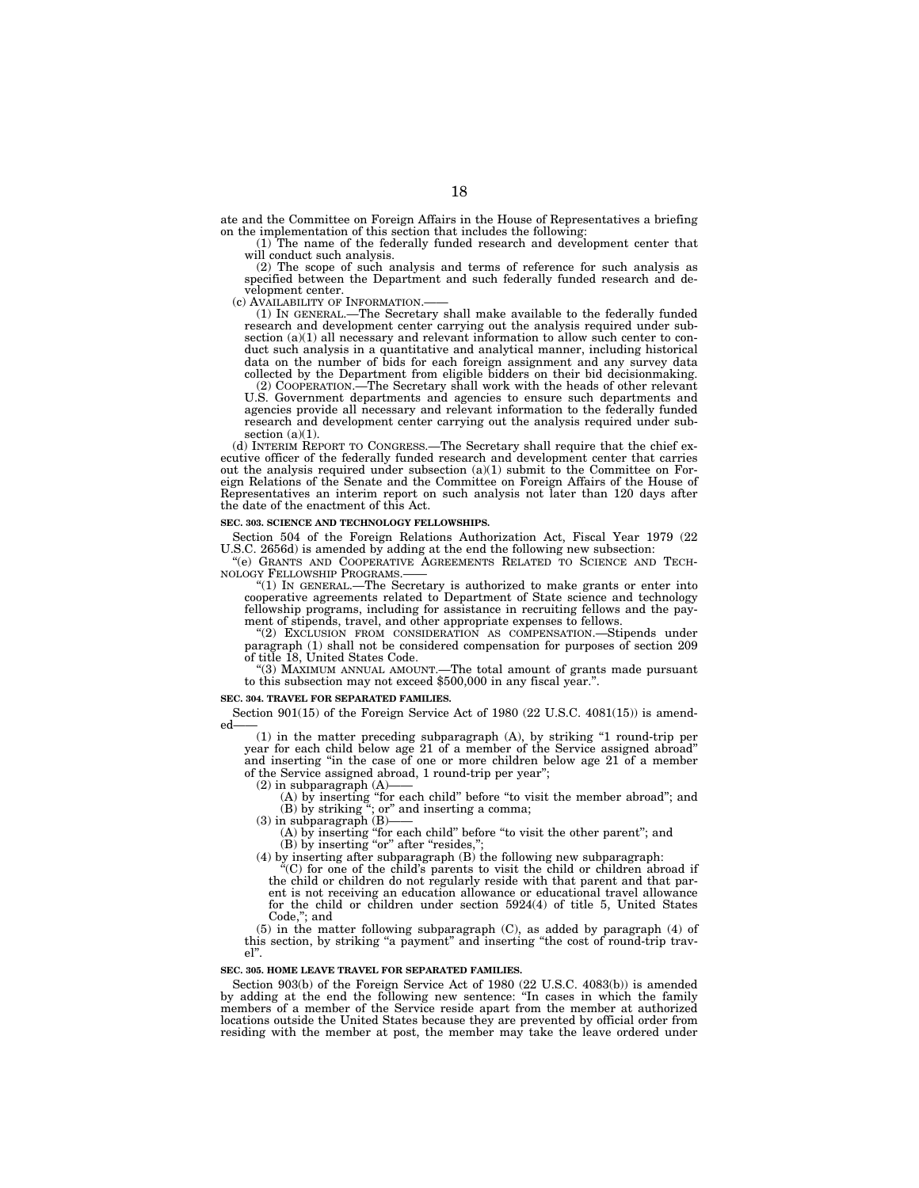ate and the Committee on Foreign Affairs in the House of Representatives a briefing on the implementation of this section that includes the following:

(1) The name of the federally funded research and development center that will conduct such analysis.

(2) The scope of such analysis and terms of reference for such analysis as specified between the Department and such federally funded research and development center.<br>(c) AVAILABILITY OF INFORMATION.-

(1) IN GENERAL.—The Secretary shall make available to the federally funded research and development center carrying out the analysis required under subsection  $(a)(1)$  all necessary and relevant information to allow such center to conduct such analysis in a quantitative and analytical manner, including historical data on the number of bids for each foreign assignment and any survey data collected by the Department from eligible bidders on their bid decisionmaking.

(2) COOPERATION.—The Secretary shall work with the heads of other relevant U.S. Government departments and agencies to ensure such departments and agencies provide all necessary and relevant information to the federally funded research and development center carrying out the analysis required under subsection (a)(1).

(d) INTERIM REPORT TO CONGRESS.—The Secretary shall require that the chief executive officer of the federally funded research and development center that carries out the analysis required under subsection  $(a)(1)$  submit to the Committee on Foreign Relations of the Senate and the Committee on Foreign Affairs of the House of Representatives an interim report on such analysis not later than 120 days after the date of the enactment of this Act.

# **SEC. 303. SCIENCE AND TECHNOLOGY FELLOWSHIPS.**

Section 504 of the Foreign Relations Authorization Act, Fiscal Year 1979 (22 U.S.C. 2656d) is amended by adding at the end the following new subsection:

"(e) GRANTS AND COOPERATIVE AGREEMENTS RELATED TO SCIENCE AND TECH-NOLOGY FELLOWSHIP PROGRAMS.

''(1) IN GENERAL.—The Secretary is authorized to make grants or enter into cooperative agreements related to Department of State science and technology fellowship programs, including for assistance in recruiting fellows and the payment of stipends, travel, and other appropriate expenses to fellows.

''(2) EXCLUSION FROM CONSIDERATION AS COMPENSATION.—Stipends under paragraph (1) shall not be considered compensation for purposes of section 209 of title 18, United States Code.

''(3) MAXIMUM ANNUAL AMOUNT.—The total amount of grants made pursuant to this subsection may not exceed \$500,000 in any fiscal year.''.

### **SEC. 304. TRAVEL FOR SEPARATED FAMILIES.**

Section 901(15) of the Foreign Service Act of 1980 (22 U.S.C. 4081(15)) is amended-

 $(1)$  in the matter preceding subparagraph  $(A)$ , by striking "1 round-trip per year for each child below age 21 of a member of the Service assigned abroad'' and inserting ''in the case of one or more children below age 21 of a member of the Service assigned abroad, 1 round-trip per year'';

 $(2)$  in subparagraph  $(A)$ 

(A) by inserting ''for each child'' before ''to visit the member abroad''; and (B) by striking ''; or'' and inserting a comma; (3) in subparagraph (B)–(3) in subparagraph  $(B)$ –

(A) by inserting ''for each child'' before ''to visit the other parent''; and (B) by inserting "or" after "resides,";

(4) by inserting after subparagraph (B) the following new subparagraph:

''(C) for one of the child's parents to visit the child or children abroad if the child or children do not regularly reside with that parent and that parent is not receiving an education allowance or educational travel allowance for the child or children under section 5924(4) of title 5, United States Code,''; and

(5) in the matter following subparagraph (C), as added by paragraph (4) of this section, by striking ''a payment'' and inserting ''the cost of round-trip travel''.

# **SEC. 305. HOME LEAVE TRAVEL FOR SEPARATED FAMILIES.**

Section 903(b) of the Foreign Service Act of 1980 (22 U.S.C. 4083(b)) is amended by adding at the end the following new sentence: "In cases in which the family members of a member of the Service reside apart from the member at authorized locations outside the United States because they are prevented by official order from residing with the member at post, the member may take the leave ordered under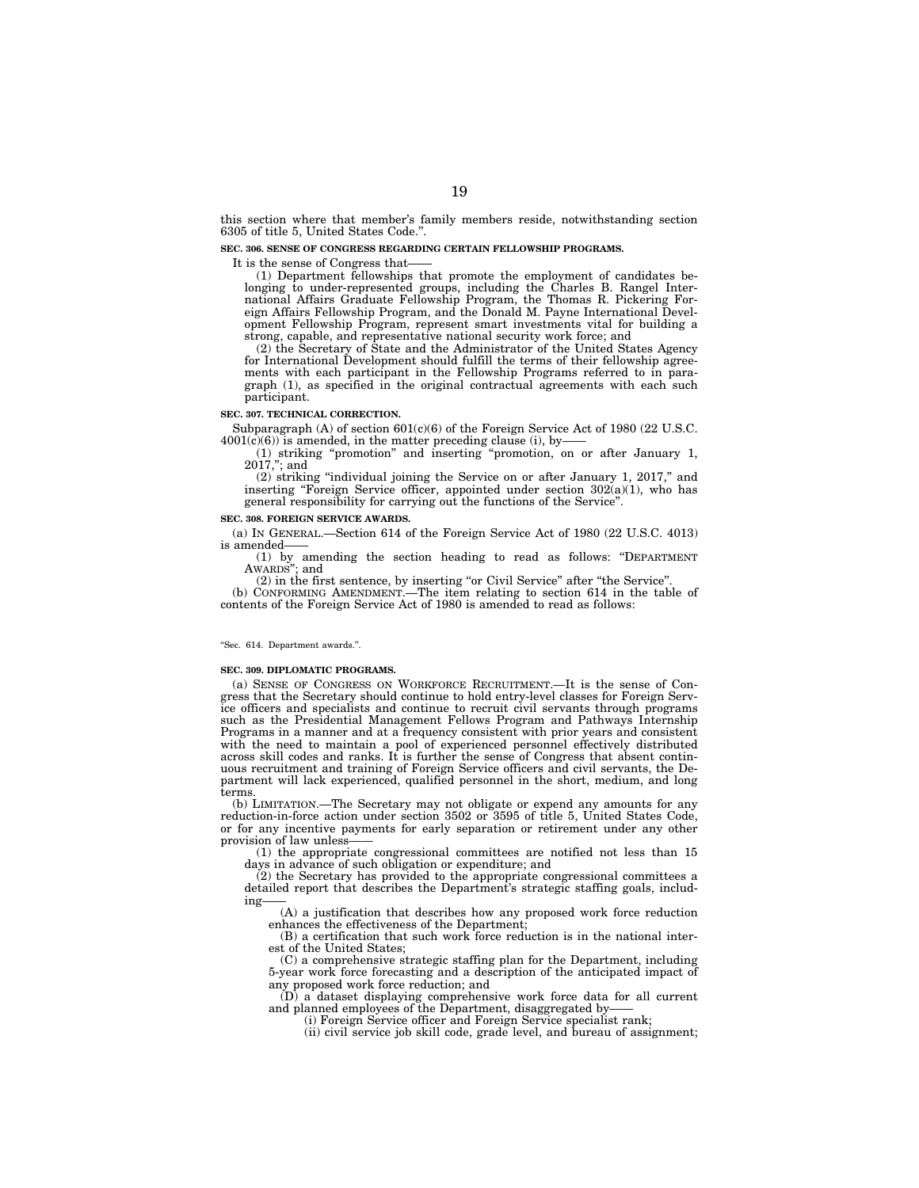this section where that member's family members reside, notwithstanding section 6305 of title 5, United States Code.''.

# **SEC. 306. SENSE OF CONGRESS REGARDING CERTAIN FELLOWSHIP PROGRAMS.**

It is the sense of Congress that——

(1) Department fellowships that promote the employment of candidates belonging to under-represented groups, including the Charles B. Rangel International Affairs Graduate Fellowship Program, the Thomas R. Pickering Foreign Affairs Fellowship Program, and the Donald M. Payne International Development Fellowship Program, represent smart investments vital for building a strong, capable, and representative national security work force; and

(2) the Secretary of State and the Administrator of the United States Agency for International Development should fulfill the terms of their fellowship agreements with each participant in the Fellowship Programs referred to in para $graph (1)$ , as specified in the original contractual agreements with each such participant.

# **SEC. 307. TECHNICAL CORRECTION.**

Subparagraph (A) of section  $601(c)(6)$  of the Foreign Service Act of 1980 (22 U.S.C.  $4001(c)(6)$ ) is amended, in the matter preceding clause (i), by-

(1) striking ''promotion'' and inserting ''promotion, on or after January 1, 2017,''; and

(2) striking ''individual joining the Service on or after January 1, 2017,'' and inserting "Foreign Service officer, appointed under section  $302(a)(1)$ , who has general responsibility for carrying out the functions of the Service''.

### **SEC. 308. FOREIGN SERVICE AWARDS.**

(a) IN GENERAL.—Section 614 of the Foreign Service Act of 1980 (22 U.S.C. 4013) is amended——

(1) by amending the section heading to read as follows: ''DEPARTMENT AWARDS''; and

(2) in the first sentence, by inserting "or Civil Service" after "the Service".

(b) CONFORMING AMENDMENT.—The item relating to section 614 in the table of contents of the Foreign Service Act of 1980 is amended to read as follows:

# ''Sec. 614. Department awards.''.

### **SEC. 309. DIPLOMATIC PROGRAMS.**

(a) SENSE OF CONGRESS ON WORKFORCE RECRUITMENT.—It is the sense of Congress that the Secretary should continue to hold entry-level classes for Foreign Service officers and specialists and continue to recruit civil servants through programs such as the Presidential Management Fellows Program and Pathways Internship Programs in a manner and at a frequency consistent with prior years and consistent with the need to maintain a pool of experienced personnel effectively distributed across skill codes and ranks. It is further the sense of Congress that absent continuous recruitment and training of Foreign Service officers and civil servants, the Department will lack experienced, qualified personnel in the short, medium, and long terms.

(b) LIMITATION.—The Secretary may not obligate or expend any amounts for any reduction-in-force action under section 3502 or 3595 of title 5, United States Code, or for any incentive payments for early separation or retirement under any other provision of law unless

(1) the appropriate congressional committees are notified not less than 15 days in advance of such obligation or expenditure; and

(2) the Secretary has provided to the appropriate congressional committees a detailed report that describes the Department's strategic staffing goals, including

(A) a justification that describes how any proposed work force reduction enhances the effectiveness of the Department;

(B) a certification that such work force reduction is in the national interest of the United States;

(C) a comprehensive strategic staffing plan for the Department, including 5-year work force forecasting and a description of the anticipated impact of any proposed work force reduction; and (D) a dataset displaying comprehensive work force data for all current

and planned employees of the Department, disaggregated by-

(i) Foreign Service officer and Foreign Service specialist rank;

(ii) civil service job skill code, grade level, and bureau of assignment;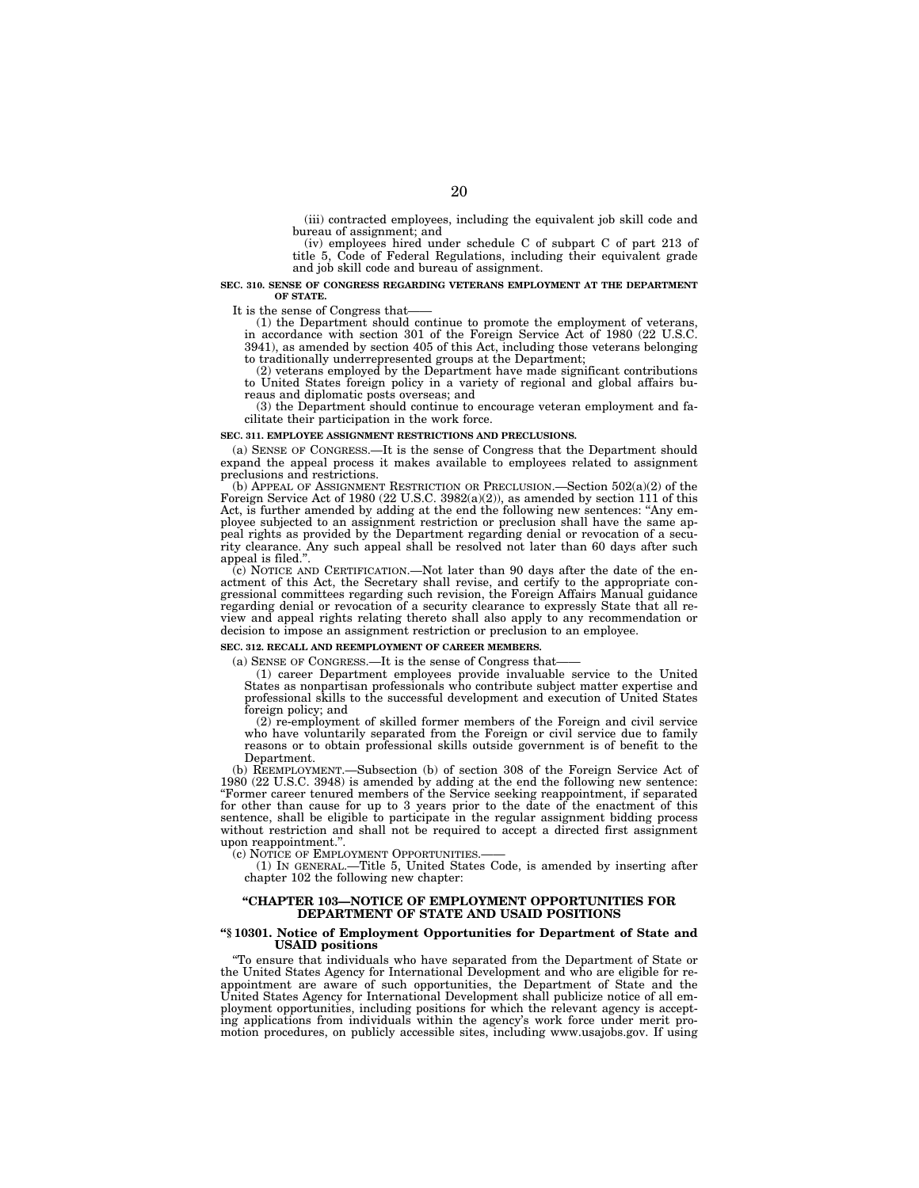(iii) contracted employees, including the equivalent job skill code and bureau of assignment; and

(iv) employees hired under schedule C of subpart C of part 213 of title 5, Code of Federal Regulations, including their equivalent grade and job skill code and bureau of assignment.

### **SEC. 310. SENSE OF CONGRESS REGARDING VETERANS EMPLOYMENT AT THE DEPARTMENT OF STATE.**

It is the sense of Congress that-

(1) the Department should continue to promote the employment of veterans, in accordance with section 301 of the Foreign Service Act of 1980 (22 U.S.C. 3941), as amended by section 405 of this Act, including those veterans belonging to traditionally underrepresented groups at the Department;

(2) veterans employed by the Department have made significant contributions to United States foreign policy in a variety of regional and global affairs bureaus and diplomatic posts overseas; and

(3) the Department should continue to encourage veteran employment and facilitate their participation in the work force.

# **SEC. 311. EMPLOYEE ASSIGNMENT RESTRICTIONS AND PRECLUSIONS.**

(a) SENSE OF CONGRESS.—It is the sense of Congress that the Department should expand the appeal process it makes available to employees related to assignment preclusions and restrictions.

(b) APPEAL OF ASSIGNMENT RESTRICTION OR PRECLUSION.—Section 502(a)(2) of the Foreign Service Act of 1980 (22 U.S.C. 3982(a)(2)), as amended by section 111 of this Act, is further amended by adding at the end the following new sentences: "Any employee subjected to an assignment restriction or preclusion shall have the same appeal rights as provided by the Department regarding denial or revocation of a security clearance. Any such appeal shall be resolved not later than 60 days after such appeal is filed.''.

(c) NOTICE AND CERTIFICATION.—Not later than 90 days after the date of the enactment of this Act, the Secretary shall revise, and certify to the appropriate congressional committees regarding such revision, the Foreign Affairs Manual guidance regarding denial or revocation of a security clearance to expressly State that all review and appeal rights relating thereto shall also apply to any recommendation or decision to impose an assignment restriction or preclusion to an employee.

# **SEC. 312. RECALL AND REEMPLOYMENT OF CAREER MEMBERS.**

(a) SENSE OF CONGRESS.—It is the sense of Congress that-

(1) career Department employees provide invaluable service to the United States as nonpartisan professionals who contribute subject matter expertise and professional skills to the successful development and execution of United States foreign policy; and

(2) re-employment of skilled former members of the Foreign and civil service who have voluntarily separated from the Foreign or civil service due to family reasons or to obtain professional skills outside government is of benefit to the Department.

(b) REEMPLOYMENT.—Subsection (b) of section 308 of the Foreign Service Act of 1980 (22 U.S.C. 3948) is amended by adding at the end the following new sentence: ''Former career tenured members of the Service seeking reappointment, if separated for other than cause for up to 3 years prior to the date of the enactment of this sentence, shall be eligible to participate in the regular assignment bidding process without restriction and shall not be required to accept a directed first assignment upon reappointment.''.

(c) NOTICE OF EMPLOYMENT OPPORTUNITIES.

(1) IN GENERAL.—Title 5, United States Code, is amended by inserting after chapter 102 the following new chapter:

# **''CHAPTER 103—NOTICE OF EMPLOYMENT OPPORTUNITIES FOR DEPARTMENT OF STATE AND USAID POSITIONS**

# **''§ 10301. Notice of Employment Opportunities for Department of State and USAID positions**

''To ensure that individuals who have separated from the Department of State or the United States Agency for International Development and who are eligible for reappointment are aware of such opportunities, the Department of State and the United States Agency for International Development shall publicize notice of all employment opportunities, including positions for which the relevant agency is accepting applications from individuals within the agency's work force under merit promotion procedures, on publicly accessible sites, including www.usajobs.gov. If using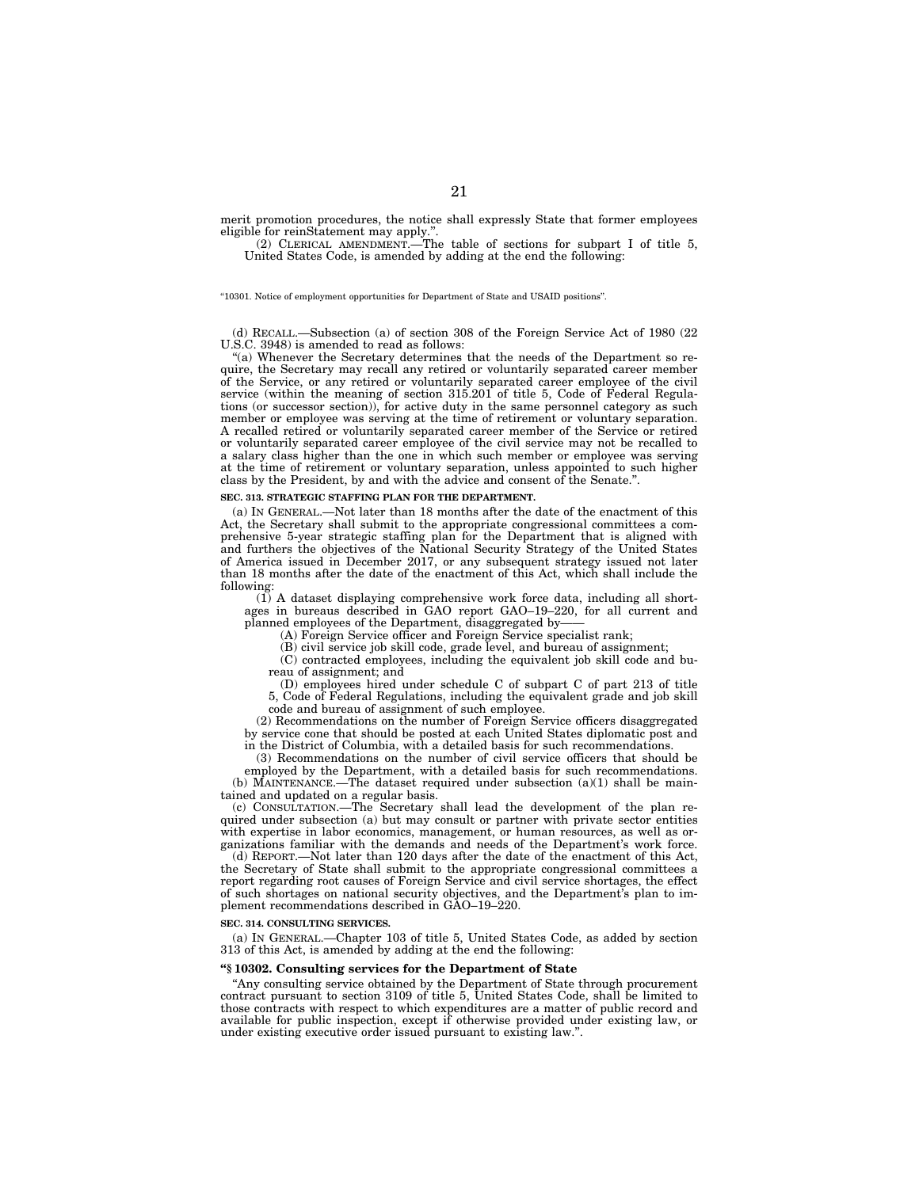merit promotion procedures, the notice shall expressly State that former employees eligible for reinStatement may apply.''.

(2) CLERICAL AMENDMENT.—The table of sections for subpart I of title 5, United States Code, is amended by adding at the end the following:

# ''10301. Notice of employment opportunities for Department of State and USAID positions''.

(d) RECALL.—Subsection (a) of section 308 of the Foreign Service Act of 1980 (22 U.S.C. 3948) is amended to read as follows:

''(a) Whenever the Secretary determines that the needs of the Department so require, the Secretary may recall any retired or voluntarily separated career member of the Service, or any retired or voluntarily separated career employee of the civil service (within the meaning of section 315.201 of title 5, Code of Federal Regulations (or successor section)), for active duty in the same personnel category as such member or employee was serving at the time of retirement or voluntary separation. A recalled retired or voluntarily separated career member of the Service or retired or voluntarily separated career employee of the civil service may not be recalled to a salary class higher than the one in which such member or employee was serving at the time of retirement or voluntary separation, unless appointed to such higher class by the President, by and with the advice and consent of the Senate.''.

# **SEC. 313. STRATEGIC STAFFING PLAN FOR THE DEPARTMENT.**

(a) IN GENERAL.—Not later than 18 months after the date of the enactment of this Act, the Secretary shall submit to the appropriate congressional committees a comprehensive 5-year strategic staffing plan for the Department that is aligned with and furthers the objectives of the National Security Strategy of the United States of America issued in December 2017, or any subsequent strategy issued not later than 18 months after the date of the enactment of this Act, which shall include the following:

(1) A dataset displaying comprehensive work force data, including all shortages in bureaus described in GAO report GAO–19–220, for all current and planned employees of the Department, disaggregated by——

(A) Foreign Service officer and Foreign Service specialist rank;

(B) civil service job skill code, grade level, and bureau of assignment;

(C) contracted employees, including the equivalent job skill code and bureau of assignment; and

(D) employees hired under schedule C of subpart C of part 213 of title 5, Code of Federal Regulations, including the equivalent grade and job skill code and bureau of assignment of such employee.

(2) Recommendations on the number of Foreign Service officers disaggregated by service cone that should be posted at each United States diplomatic post and in the District of Columbia, with a detailed basis for such recommendations.

(3) Recommendations on the number of civil service officers that should be employed by the Department, with a detailed basis for such recommendations. (b)  $M$ AINTENANCE.—The dataset required under subsection (a)(1) shall be maintained and updated on a regular basis.

(c) CONSULTATION.—The Secretary shall lead the development of the plan required under subsection (a) but may consult or partner with private sector entities with expertise in labor economics, management, or human resources, as well as organizations familiar with the demands and needs of the Department's work force.

(d) REPORT.—Not later than 120 days after the date of the enactment of this Act, the Secretary of State shall submit to the appropriate congressional committees a report regarding root causes of Foreign Service and civil service shortages, the effect of such shortages on national security objectives, and the Department's plan to implement recommendations described in GAO–19–220.

# **SEC. 314. CONSULTING SERVICES.**

(a) IN GENERAL.—Chapter 103 of title 5, United States Code, as added by section 313 of this Act, is amended by adding at the end the following:

# **''§ 10302. Consulting services for the Department of State**

''Any consulting service obtained by the Department of State through procurement contract pursuant to section 3109 of title 5, United States Code, shall be limited to those contracts with respect to which expenditures are a matter of public record and available for public inspection, except if otherwise provided under existing law, or under existing executive order issued pursuant to existing law.''.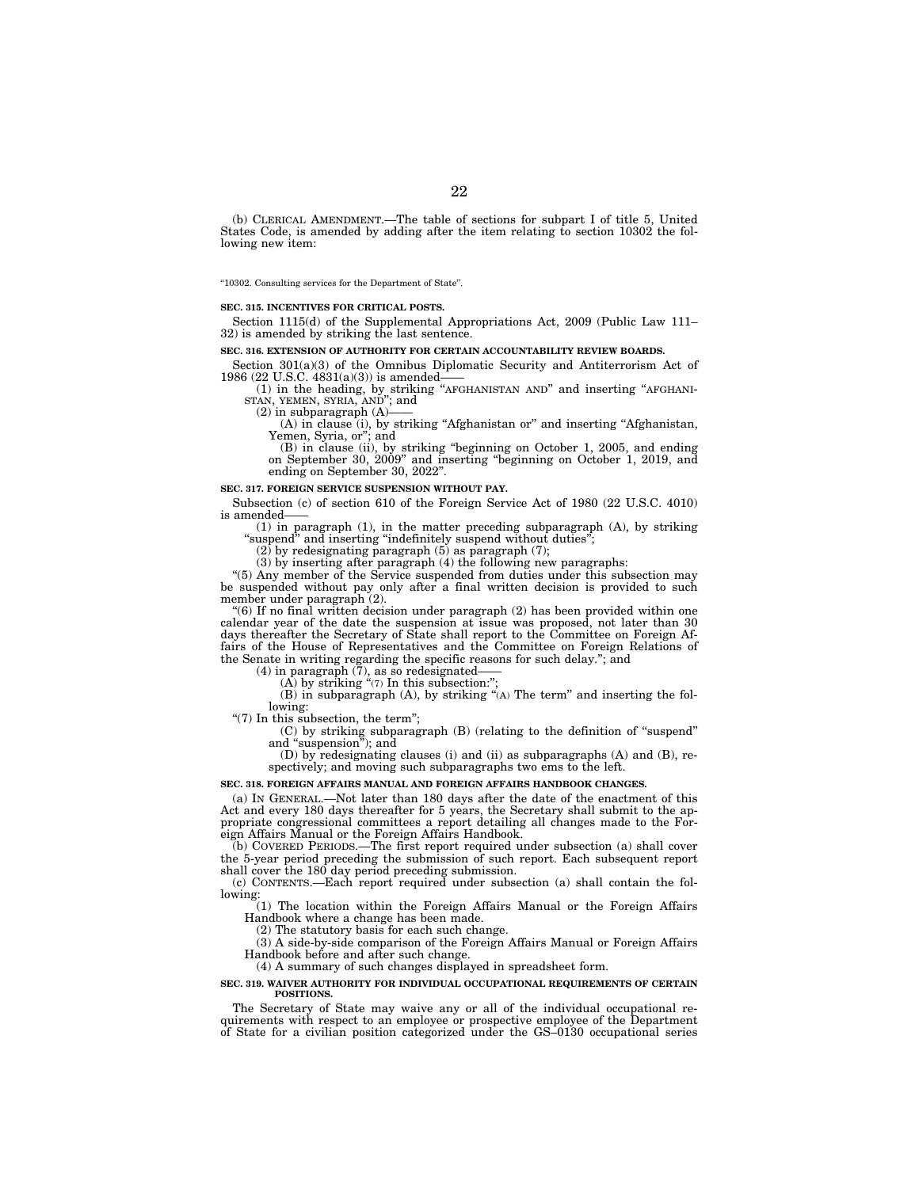(b) CLERICAL AMENDMENT.—The table of sections for subpart I of title 5, United States Code, is amended by adding after the item relating to section 10302 the following new item:

''10302. Consulting services for the Department of State''.

### **SEC. 315. INCENTIVES FOR CRITICAL POSTS.**

Section 1115(d) of the Supplemental Appropriations Act, 2009 (Public Law 111– 32) is amended by striking the last sentence.

# **SEC. 316. EXTENSION OF AUTHORITY FOR CERTAIN ACCOUNTABILITY REVIEW BOARDS.**

Section  $301(a)(3)$  of the Omnibus Diplomatic Security and Antiterrorism Act of 1986 (22 U.S.C. 4831(a)(3)) is amended-

(1) in the heading, by striking "AFGHANISTAN AND" and inserting "AFGHANISTAN, YEMEN, SYRIA, AND"; and

 $(2)$  in subparagraph  $(A)$ -

(A) in clause (i), by striking "Afghanistan or" and inserting "Afghanistan, Yemen, Syria, or"; and (B) in clause (ii), by striking "beginning on October 1, 2005, and ending on September 30, 2009" and inserting "beginning

ending on September 30, 2022''.

# **SEC. 317. FOREIGN SERVICE SUSPENSION WITHOUT PAY.**

Subsection (c) of section 610 of the Foreign Service Act of 1980 (22 U.S.C. 4010) is amended-

(1) in paragraph (1), in the matter preceding subparagraph (A), by striking "suspend" and inserting "indefinitely suspend without duties";

 $(2)$  by redesignating paragraph  $(5)$  as paragraph  $(7)$ ;

(3) by inserting after paragraph (4) the following new paragraphs:

''(5) Any member of the Service suspended from duties under this subsection may be suspended without pay only after a final written decision is provided to such member under paragraph (2).

''(6) If no final written decision under paragraph (2) has been provided within one calendar year of the date the suspension at issue was proposed, not later than 30 days thereafter the Secretary of State shall report to the Committee on Foreign Affairs of the House of Representatives and the Committee on Foreign Relations of the Senate in writing regarding the specific reasons for such delay.''; and

(4) in paragraph  $(7)$ , as so redesignated-

 $(A)$  by striking "(7) In this subsection:";

(B) in subparagraph (A), by striking ''(A) The term'' and inserting the following:

"(7) In this subsection, the term";

(C) by striking subparagraph (B) (relating to the definition of ''suspend'' and "suspension"); and

(D) by redesignating clauses (i) and (ii) as subparagraphs (A) and (B), respectively; and moving such subparagraphs two ems to the left.

# **SEC. 318. FOREIGN AFFAIRS MANUAL AND FOREIGN AFFAIRS HANDBOOK CHANGES.**

(a) IN GENERAL.—Not later than 180 days after the date of the enactment of this Act and every 180 days thereafter for 5 years, the Secretary shall submit to the appropriate congressional committees a report detailing all changes made to the Foreign Affairs Manual or the Foreign Affairs Handbook.

(b) COVERED PERIODS.—The first report required under subsection (a) shall cover the 5-year period preceding the submission of such report. Each subsequent report shall cover the 180 day period preceding submission.

(c) CONTENTS.—Each report required under subsection (a) shall contain the following:

(1) The location within the Foreign Affairs Manual or the Foreign Affairs Handbook where a change has been made.

(2) The statutory basis for each such change.

(3) A side-by-side comparison of the Foreign Affairs Manual or Foreign Affairs Handbook before and after such change.

(4) A summary of such changes displayed in spreadsheet form.

# **SEC. 319. WAIVER AUTHORITY FOR INDIVIDUAL OCCUPATIONAL REQUIREMENTS OF CERTAIN POSITIONS.**

The Secretary of State may waive any or all of the individual occupational requirements with respect to an employee or prospective employee of the Department of State for a civilian position categorized under the GS–0130 occupational series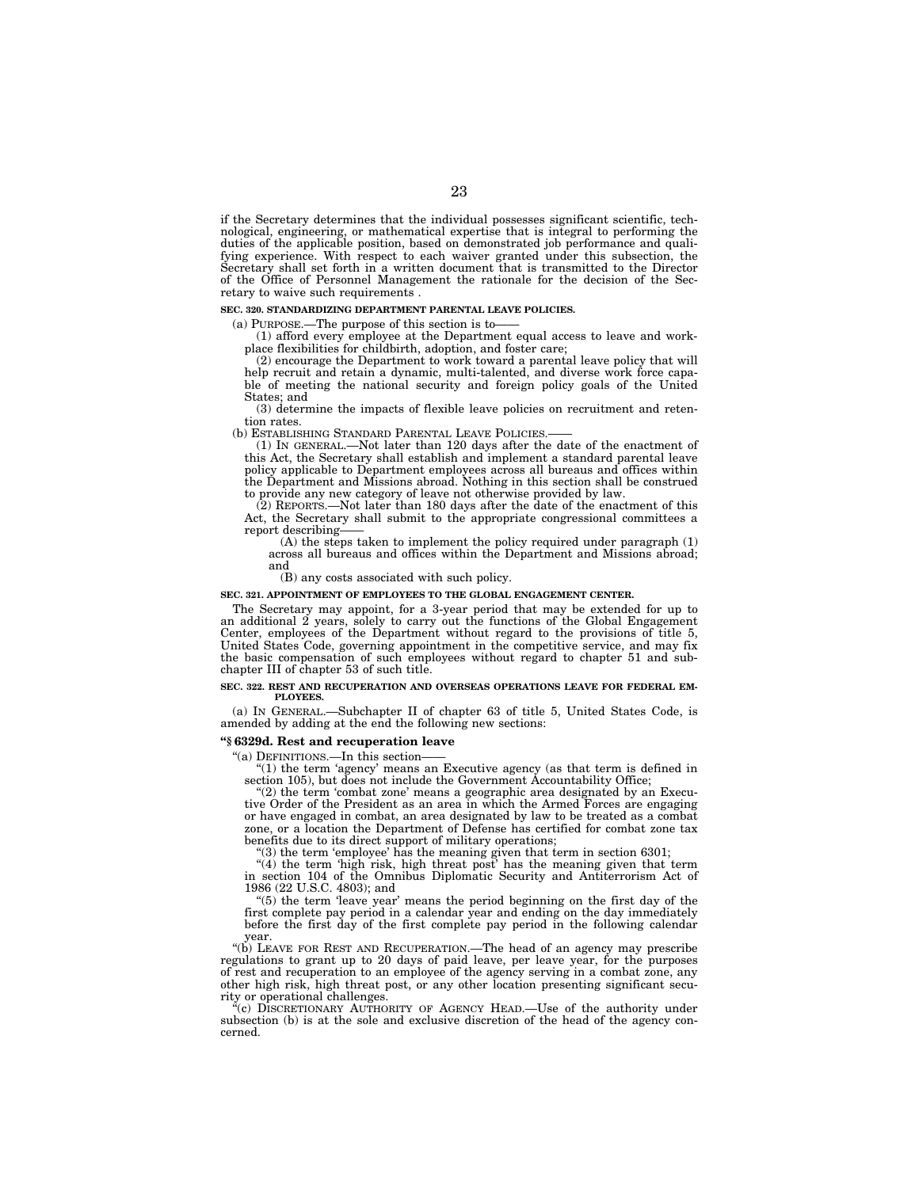if the Secretary determines that the individual possesses significant scientific, technological, engineering, or mathematical expertise that is integral to performing the duties of the applicable position, based on demonstrated job performance and qualifying experience. With respect to each waiver granted under this subsection, the Secretary shall set forth in a written document that is transmitted to the Director of the Office of Personnel Management the rationale for the decision of the Secretary to waive such requirements .

# **SEC. 320. STANDARDIZING DEPARTMENT PARENTAL LEAVE POLICIES.**

 $(a)$  PURPOSE.—The purpose of this section is to-

(1) afford every employee at the Department equal access to leave and workplace flexibilities for childbirth, adoption, and foster care;

(2) encourage the Department to work toward a parental leave policy that will help recruit and retain a dynamic, multi-talented, and diverse work force capable of meeting the national security and foreign policy goals of the United States; and

(3) determine the impacts of flexible leave policies on recruitment and retention rates.

(b) ESTABLISHING STANDARD PARENTAL LEAVE POLICIES.

(1) IN GENERAL.—Not later than 120 days after the date of the enactment of this Act, the Secretary shall establish and implement a standard parental leave policy applicable to Department employees across all bureaus and offices within the Department and Missions abroad. Nothing in this section shall be construed to provide any new category of leave not otherwise provided by law.

(2) REPORTS.—Not later than 180 days after the date of the enactment of this Act, the Secretary shall submit to the appropriate congressional committees a report describing-

(A) the steps taken to implement the policy required under paragraph (1) across all bureaus and offices within the Department and Missions abroad; and

(B) any costs associated with such policy.

# **SEC. 321. APPOINTMENT OF EMPLOYEES TO THE GLOBAL ENGAGEMENT CENTER.**

The Secretary may appoint, for a 3-year period that may be extended for up to an additional  $\tilde{2}$  years, solely to carry out the functions of the Global Engagement Center, employees of the Department without regard to the provisions of title 5, United States Code, governing appointment in the competitive service, and may fix the basic compensation of such employees without regard to chapter 51 and subchapter III of chapter 53 of such title.

# **SEC. 322. REST AND RECUPERATION AND OVERSEAS OPERATIONS LEAVE FOR FEDERAL EM-PLOYEES.**

(a) IN GENERAL.—Subchapter II of chapter 63 of title 5, United States Code, is amended by adding at the end the following new sections:

# **''§ 6329d. Rest and recuperation leave**

"(a) DEFINITIONS.—In this section-

''(1) the term 'agency' means an Executive agency (as that term is defined in section 105), but does not include the Government Accountability Office;

" $(2)$  the term 'combat zone' means a geographic area designated by an Executive Order of the President as an area in which the Armed Forces are engaging or have engaged in combat, an area designated by law to be treated as a combat zone, or a location the Department of Defense has certified for combat zone tax benefits due to its direct support of military operations;

''(3) the term 'employee' has the meaning given that term in section 6301;

''(4) the term 'high risk, high threat post' has the meaning given that term in section 104 of the Omnibus Diplomatic Security and Antiterrorism Act of 1986 (22 U.S.C. 4803); and

''(5) the term 'leave year' means the period beginning on the first day of the first complete pay period in a calendar year and ending on the day immediately before the first day of the first complete pay period in the following calendar year.

''(b) LEAVE FOR REST AND RECUPERATION.—The head of an agency may prescribe regulations to grant up to 20 days of paid leave, per leave year, for the purposes of rest and recuperation to an employee of the agency serving in a combat zone, any other high risk, high threat post, or any other location presenting significant security or operational challenges.

 $\tilde{f}(c)$  DISCRETIONARY AUTHORITY OF AGENCY HEAD.—Use of the authority under subsection (b) is at the sole and exclusive discretion of the head of the agency concerned.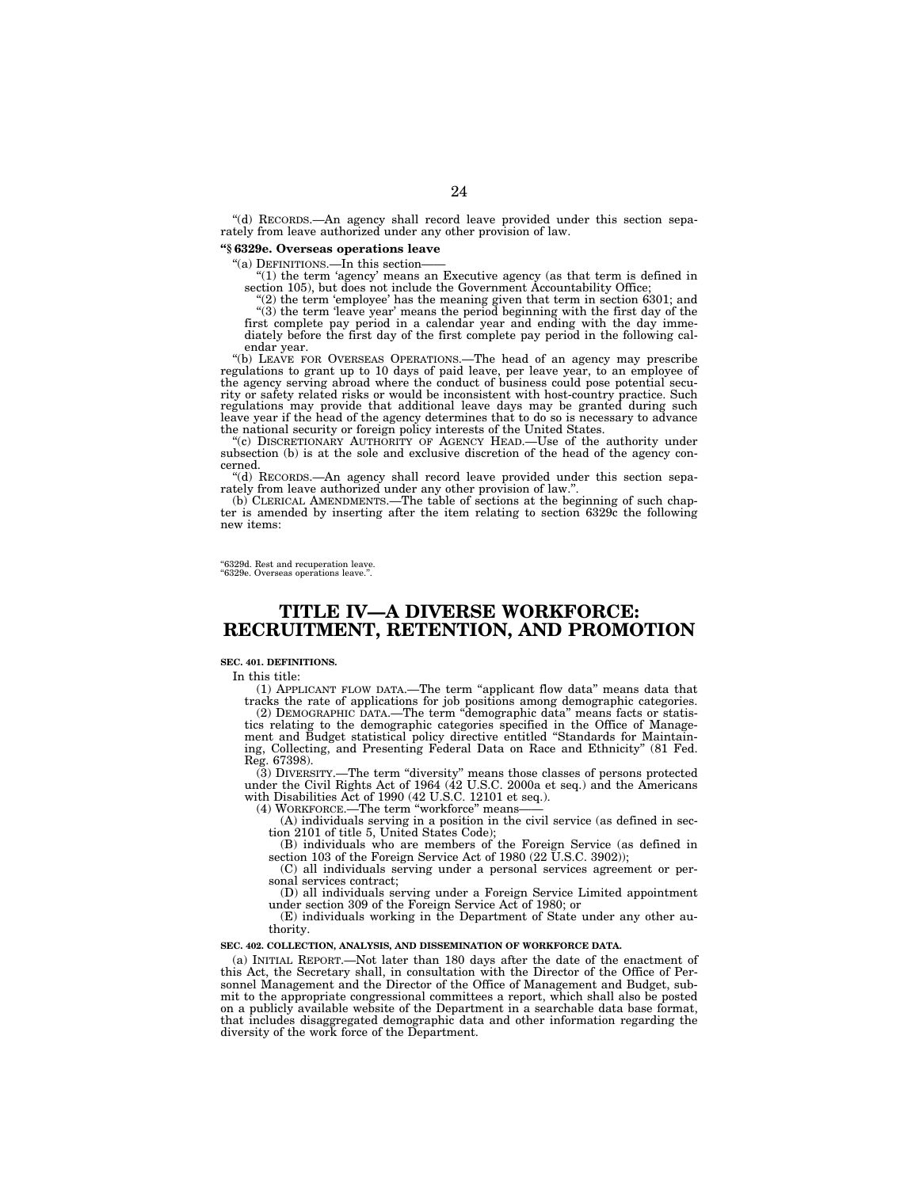''(d) RECORDS.—An agency shall record leave provided under this section separately from leave authorized under any other provision of law.

# **''§ 6329e. Overseas operations leave**

"(a) DEFINITIONS.—In this section-

''(1) the term 'agency' means an Executive agency (as that term is defined in section 105), but does not include the Government Accountability Office;

''(2) the term 'employee' has the meaning given that term in section 6301; and ''(3) the term 'leave year' means the period beginning with the first day of the first complete pay period in a calendar year and ending with the day imme-diately before the first day of the first complete pay period in the following calendar year.

''(b) LEAVE FOR OVERSEAS OPERATIONS.—The head of an agency may prescribe regulations to grant up to 10 days of paid leave, per leave year, to an employee of the agency serving abroad where the conduct of business could pose potential security or safety related risks or would be inconsistent with host-country practice. Such regulations may provide that additional leave days may be granted during such leave year if the head of the agency determines that to do so is necessary to advance

the national security or foreign policy interests of the United States. ''(c) DISCRETIONARY AUTHORITY OF AGENCY HEAD.—Use of the authority under subsection (b) is at the sole and exclusive discretion of the head of the agency concerned.

''(d) RECORDS.—An agency shall record leave provided under this section separately from leave authorized under any other provision of law.

(b) CLERICAL AMENDMENTS.—The table of sections at the beginning of such chapter is amended by inserting after the item relating to section 6329c the following new items:

''6329d. Rest and recuperation leave. ''6329e. Overseas operations leave.''.

# **TITLE IV—A DIVERSE WORKFORCE: RECRUITMENT, RETENTION, AND PROMOTION**

# **SEC. 401. DEFINITIONS.**

In this title:

(1) APPLICANT FLOW DATA.—The term ''applicant flow data'' means data that tracks the rate of applications for job positions among demographic categories. (2) DEMOGRAPHIC DATA.—The term ''demographic data'' means facts or statistics relating to the demographic categories specified in the Office of Management and Budget statistical policy directive entitled ''Standards for Maintaining, Collecting, and Presenting Federal Data on Race and Ethnicity'' (81 Fed. Reg. 67398).<br>(3) DIVERSITY.-

(3) DIVERSITY.—The term ''diversity'' means those classes of persons protected under the Civil Rights Act of 1964 (42 U.S.C. 2000a et seq.) and the Americans with Disabilities Act of 1990 (42 U.S.C. 12101 et seq.).

(4) WORKFORCE.—The term ''workforce'' means——

(A) individuals serving in a position in the civil service (as defined in section 2101 of title 5, United States Code);

(B) individuals who are members of the Foreign Service (as defined in section 103 of the Foreign Service Act of 1980 (22 U.S.C. 3902));

(C) all individuals serving under a personal services agreement or personal services contract;

(D) all individuals serving under a Foreign Service Limited appointment under section 309 of the Foreign Service Act of 1980; or

(E) individuals working in the Department of State under any other authority.

### **SEC. 402. COLLECTION, ANALYSIS, AND DISSEMINATION OF WORKFORCE DATA.**

(a) INITIAL REPORT.—Not later than 180 days after the date of the enactment of this Act, the Secretary shall, in consultation with the Director of the Office of Personnel Management and the Director of the Office of Management and Budget, submit to the appropriate congressional committees a report, which shall also be posted on a publicly available website of the Department in a searchable data base format, that includes disaggregated demographic data and other information regarding the diversity of the work force of the Department.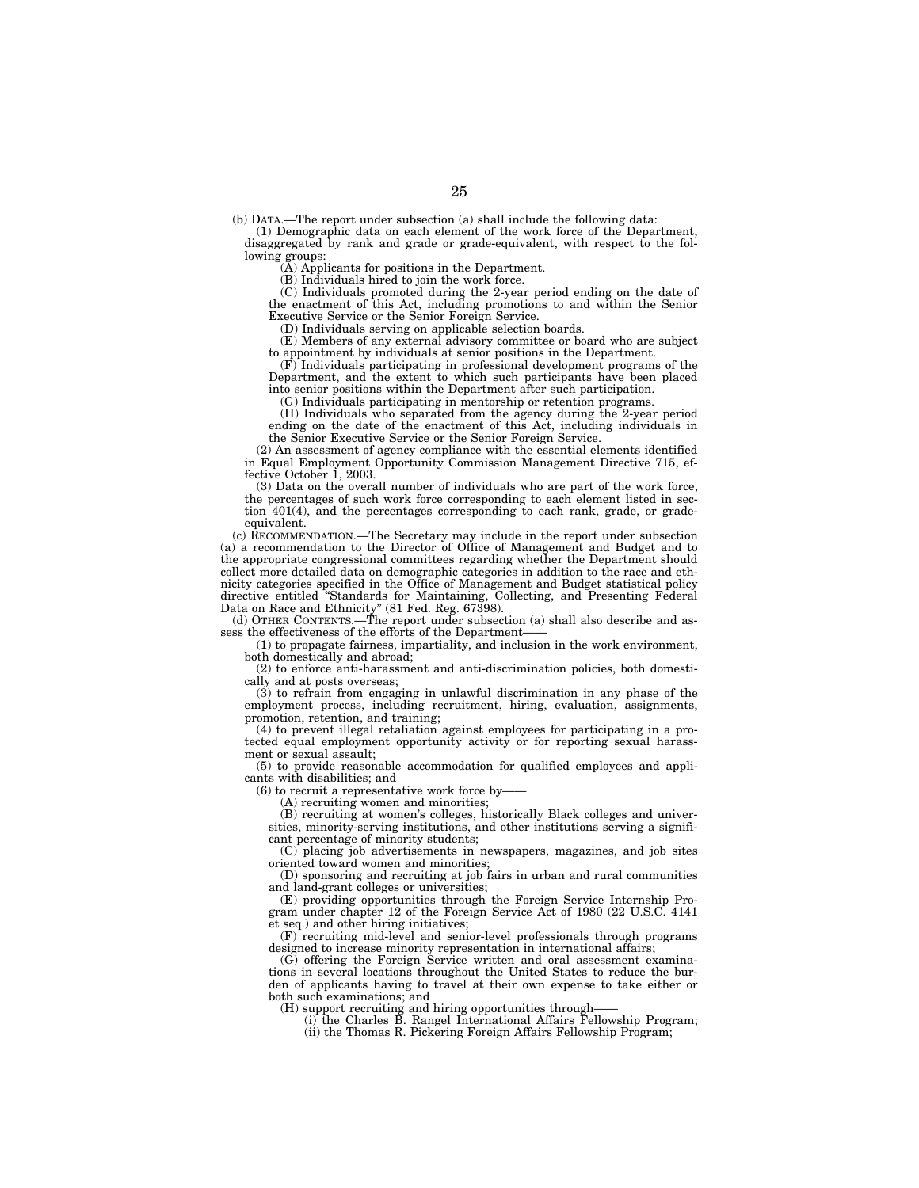(b) DATA.—The report under subsection (a) shall include the following data:

(1) Demographic data on each element of the work force of the Department, disaggregated by rank and grade or grade-equivalent, with respect to the following groups:

(A) Applicants for positions in the Department.

(B) Individuals hired to join the work force.

(C) Individuals promoted during the 2-year period ending on the date of the enactment of this Act, including promotions to and within the Senior Executive Service or the Senior Foreign Service.

(D) Individuals serving on applicable selection boards.

(E) Members of any external advisory committee or board who are subject to appointment by individuals at senior positions in the Department.

(F) Individuals participating in professional development programs of the Department, and the extent to which such participants have been placed into senior positions within the Department after such participation.

(G) Individuals participating in mentorship or retention programs.

(H) Individuals who separated from the agency during the 2-year period ending on the date of the enactment of this Act, including individuals in the Senior Executive Service or the Senior Foreign Service.

(2) An assessment of agency compliance with the essential elements identified in Equal Employment Opportunity Commission Management Directive 715, effective October 1, 2003.

(3) Data on the overall number of individuals who are part of the work force, the percentages of such work force corresponding to each element listed in section 401(4), and the percentages corresponding to each rank, grade, or gradeequivalent.

(c) RECOMMENDATION.—The Secretary may include in the report under subsection (a) a recommendation to the Director of Office of Management and Budget and to the appropriate congressional committees regarding whether the Department should collect more detailed data on demographic categories in addition to the race and ethnicity categories specified in the Office of Management and Budget statistical policy directive entitled ''Standards for Maintaining, Collecting, and Presenting Federal Data on Race and Ethnicity'' (81 Fed. Reg. 67398).

(d) OTHER CONTENTS.—The report under subsection (a) shall also describe and assess the effectiveness of the efforts of the Department-

(1) to propagate fairness, impartiality, and inclusion in the work environment, both domestically and abroad;

(2) to enforce anti-harassment and anti-discrimination policies, both domestically and at posts overseas;

 $(3)$  to refrain from engaging in unlawful discrimination in any phase of the employment process, including recruitment, hiring, evaluation, assignments, promotion, retention, and training;

(4) to prevent illegal retaliation against employees for participating in a protected equal employment opportunity activity or for reporting sexual harassment or sexual assault;

(5) to provide reasonable accommodation for qualified employees and applicants with disabilities; and

 $(6)$  to recruit a representative work force by-

(A) recruiting women and minorities;

(B) recruiting at women's colleges, historically Black colleges and universities, minority-serving institutions, and other institutions serving a significant percentage of minority students;

 $(C)$  placing job advertisements in newspapers, magazines, and job sites oriented toward women and minorities;

(D) sponsoring and recruiting at job fairs in urban and rural communities and land-grant colleges or universities;

(E) providing opportunities through the Foreign Service Internship Program under chapter 12 of the Foreign Service Act of 1980 (22 U.S.C. 4141 et seq.) and other hiring initiatives;

(F) recruiting mid-level and senior-level professionals through programs designed to increase minority representation in international affairs;

(G) offering the Foreign Service written and oral assessment examinations in several locations throughout the United States to reduce the burden of applicants having to travel at their own expense to take either or both such examinations; and

(H) support recruiting and hiring opportunities through——

(i) the Charles B. Rangel International Affairs Fellowship Program;

(ii) the Thomas R. Pickering Foreign Affairs Fellowship Program;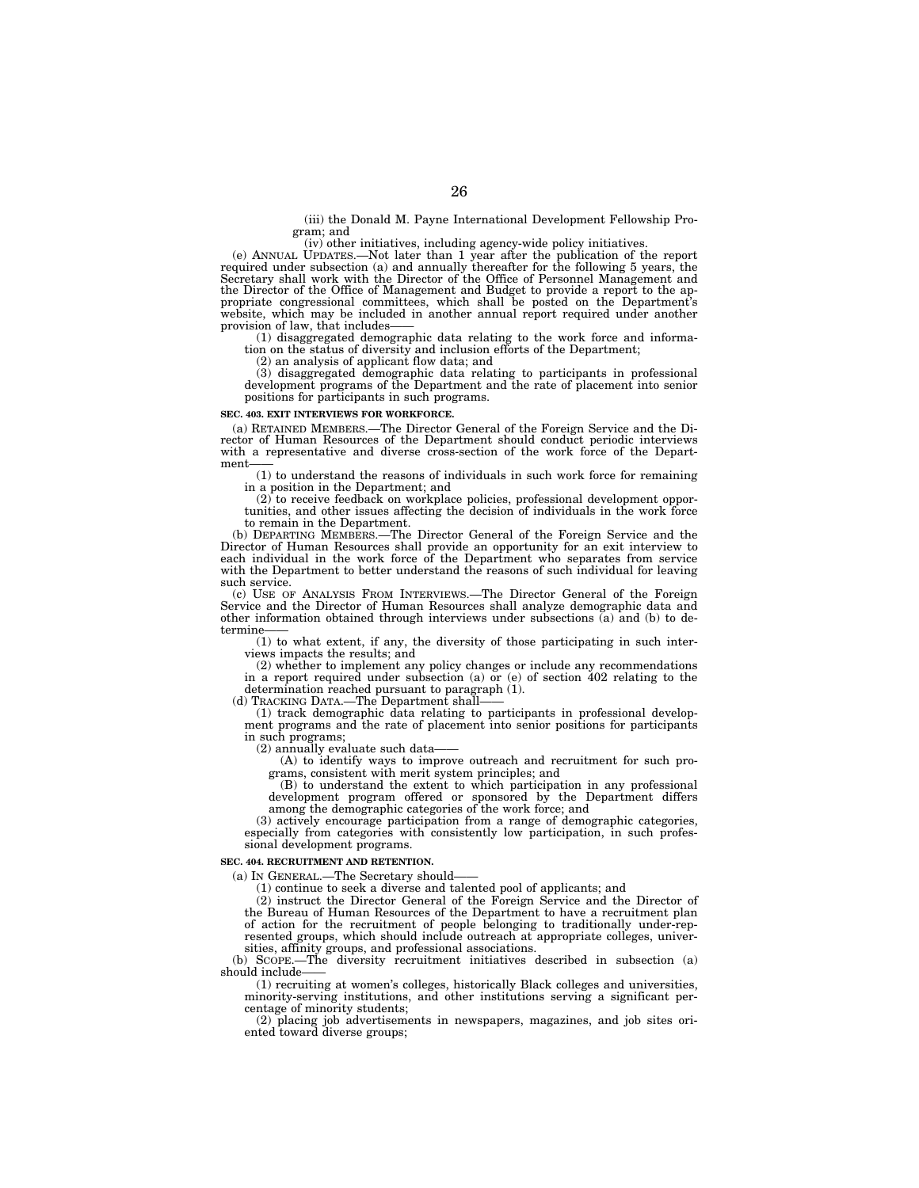(iii) the Donald M. Payne International Development Fellowship Program; and

(iv) other initiatives, including agency-wide policy initiatives.

(e) ANNUAL UPDATES.—Not later than 1 year after the publication of the report required under subsection (a) and annually thereafter for the following 5 years, the Secretary shall work with the Director of the Office of Personnel Management and<br>the Director of the Office of Management and Budget to provide a report to the ap-<br>propriate congressional committees, which shall be posted website, which may be included in another annual report required under another provision of law, that includes——

(1) disaggregated demographic data relating to the work force and information on the status of diversity and inclusion efforts of the Department; (2) an analysis of applicant flow data; and

(3) disaggregated demographic data relating to participants in professional development programs of the Department and the rate of placement into senior positions for participants in such programs.

# **SEC. 403. EXIT INTERVIEWS FOR WORKFORCE.**

(a) RETAINED MEMBERS.—The Director General of the Foreign Service and the Director of Human Resources of the Department should conduct periodic interviews with a representative and diverse cross-section of the work force of the Department

(1) to understand the reasons of individuals in such work force for remaining in a position in the Department; and

(2) to receive feedback on workplace policies, professional development oppor-tunities, and other issues affecting the decision of individuals in the work force to remain in the Department.

(b) DEPARTING MEMBERS.—The Director General of the Foreign Service and the Director of Human Resources shall provide an opportunity for an exit interview to each individual in the work force of the Department who separates from service with the Department to better understand the reasons of such individual for leaving such service.

(c) USE OF ANALYSIS FROM INTERVIEWS.—The Director General of the Foreign Service and the Director of Human Resources shall analyze demographic data and other information obtained through interviews under subsections (a) and (b) to determine

(1) to what extent, if any, the diversity of those participating in such interviews impacts the results; and

(2) whether to implement any policy changes or include any recommendations in a report required under subsection (a) or (e) of section 402 relating to the determination reached pursuant to paragraph (1).

(d) TRACKING DATA.—The Department shall-

(1) track demographic data relating to participants in professional development programs and the rate of placement into senior positions for participants in such programs;

(2) annually evaluate such data-

(A) to identify ways to improve outreach and recruitment for such programs, consistent with merit system principles; and

(B) to understand the extent to which participation in any professional development program offered or sponsored by the Department differs among the demographic categories of the work force; and

(3) actively encourage participation from a range of demographic categories, especially from categories with consistently low participation, in such professional development programs.

### **SEC. 404. RECRUITMENT AND RETENTION.**

(a) IN GENERAL.—The Secretary should——

(1) continue to seek a diverse and talented pool of applicants; and

(2) instruct the Director General of the Foreign Service and the Director of the Bureau of Human Resources of the Department to have a recruitment plan of action for the recruitment of people belonging to traditionally under-represented groups, which should include outreach at appropriate colleges, universities, affinity groups, and professional associations.

(b) SCOPE.—The diversity recruitment initiatives described in subsection (a) should include——

(1) recruiting at women's colleges, historically Black colleges and universities, minority-serving institutions, and other institutions serving a significant percentage of minority students;

(2) placing job advertisements in newspapers, magazines, and job sites oriented toward diverse groups;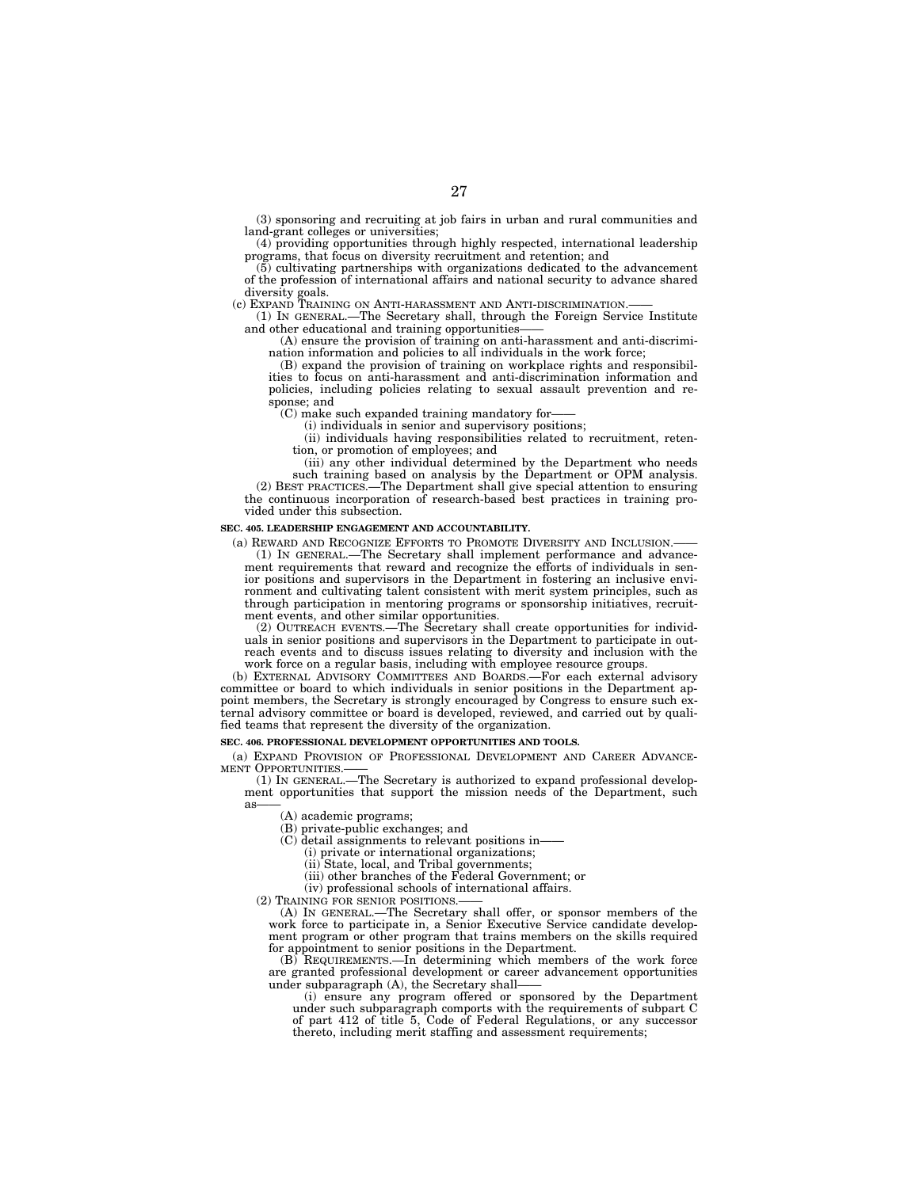(3) sponsoring and recruiting at job fairs in urban and rural communities and land-grant colleges or universities;

(4) providing opportunities through highly respected, international leadership programs, that focus on diversity recruitment and retention; and

(5) cultivating partnerships with organizations dedicated to the advancement of the profession of international affairs and national security to advance shared diversity goals.

(c) EXPAND TRAINING ON ANTI-HARASSMENT AND ANTI-DISCRIMINATION.——

(1) IN GENERAL.—The Secretary shall, through the Foreign Service Institute and other educational and training opportunities

(A) ensure the provision of training on anti-harassment and anti-discrimination information and policies to all individuals in the work force;

(B) expand the provision of training on workplace rights and responsibilities to focus on anti-harassment and anti-discrimination information and policies, including policies relating to sexual assault prevention and response; and

 $(C)$  make such expanded training mandatory for-

(i) individuals in senior and supervisory positions;

(ii) individuals having responsibilities related to recruitment, retention, or promotion of employees; and

(iii) any other individual determined by the Department who needs

such training based on analysis by the Department or OPM analysis. (2) BEST PRACTICES.—The Department shall give special attention to ensuring the continuous incorporation of research-based best practices in training provided under this subsection.

# **SEC. 405. LEADERSHIP ENGAGEMENT AND ACCOUNTABILITY.**

(a) REWARD AND RECOGNIZE EFFORTS TO PROMOTE DIVERSITY AND INCLUSION. (1) IN GENERAL.—The Secretary shall implement performance and advancement requirements that reward and recognize the efforts of individuals in senior positions and supervisors in the Department in fostering an inclusive environment and cultivating talent consistent with merit system principles, such as

through participation in mentoring programs or sponsorship initiatives, recruitment events, and other similar opportunities. (2) OUTREACH EVENTS.—The Secretary shall create opportunities for individ-

uals in senior positions and supervisors in the Department to participate in outreach events and to discuss issues relating to diversity and inclusion with the work force on a regular basis, including with employee resource groups.

(b) EXTERNAL ADVISORY COMMITTEES AND BOARDS.—For each external advisory committee or board to which individuals in senior positions in the Department appoint members, the Secretary is strongly encouraged by Congress to ensure such external advisory committee or board is developed, reviewed, and carried out by qualified teams that represent the diversity of the organization.

# **SEC. 406. PROFESSIONAL DEVELOPMENT OPPORTUNITIES AND TOOLS.**

(a) EXPAND PROVISION OF PROFESSIONAL DEVELOPMENT AND CAREER ADVANCE-MENT OPPORTUNITIES.

(1) IN GENERAL.—The Secretary is authorized to expand professional development opportunities that support the mission needs of the Department, such as

(A) academic programs;

(B) private-public exchanges; and

(C) detail assignments to relevant positions in——

(i) private or international organizations;

(ii) State, local, and Tribal governments;

(iii) other branches of the Federal Government; or

(iv) professional schools of international affairs.

(2) TRAINING FOR SENIOR POSITIONS.

(A) IN GENERAL.—The Secretary shall offer, or sponsor members of the work force to participate in, a Senior Executive Service candidate development program or other program that trains members on the skills required for appointment to senior positions in the Department.

(B) REQUIREMENTS.—In determining which members of the work force are granted professional development or career advancement opportunities under subparagraph (A), the Secretary shall——

(i) ensure any program offered or sponsored by the Department under such subparagraph comports with the requirements of subpart C of part 412 of title 5, Code of Federal Regulations, or any successor thereto, including merit staffing and assessment requirements;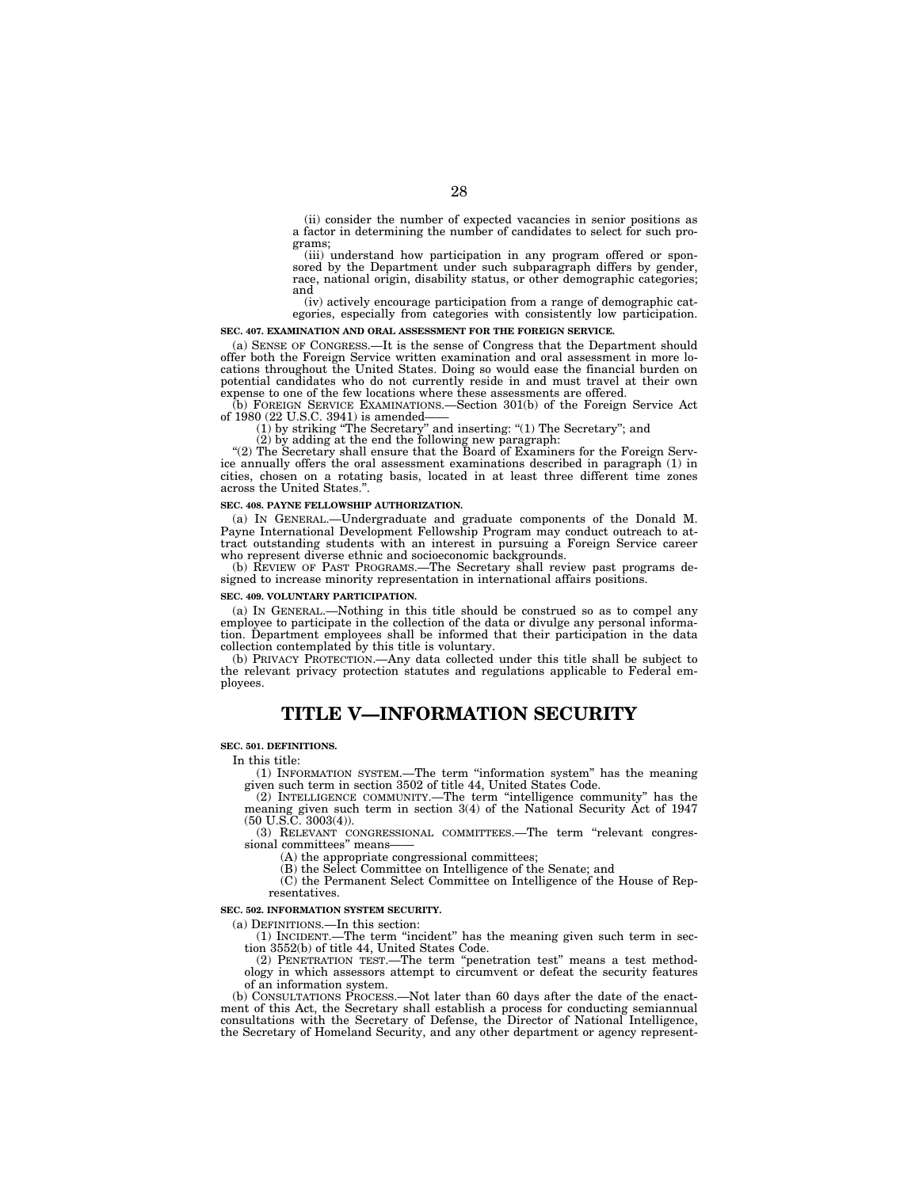(ii) consider the number of expected vacancies in senior positions as a factor in determining the number of candidates to select for such programs;

(iii) understand how participation in any program offered or sponsored by the Department under such subparagraph differs by gender, race, national origin, disability status, or other demographic categories; and

(iv) actively encourage participation from a range of demographic categories, especially from categories with consistently low participation.

# **SEC. 407. EXAMINATION AND ORAL ASSESSMENT FOR THE FOREIGN SERVICE.**

(a) SENSE OF CONGRESS.—It is the sense of Congress that the Department should offer both the Foreign Service written examination and oral assessment in more locations throughout the United States. Doing so would ease the financial burden on potential candidates who do not currently reside in and must travel at their own expense to one of the few locations where these assessments are offered.

(b) FOREIGN SERVICE EXAMINATIONS.—Section 301(b) of the Foreign Service Act of 1980 (22 U.S.C. 3941) is amended——

(1) by striking ''The Secretary'' and inserting: ''(1) The Secretary''; and (2) by adding at the end the following new paragraph: ''(2) The Secretary shall ensure that the Board of Examiners for the Foreign Service annually offers the oral assessment examinations described in paragraph (1) in cities, chosen on a rotating basis, located in at least three different time zones across the United States.''.

# **SEC. 408. PAYNE FELLOWSHIP AUTHORIZATION.**

(a) IN GENERAL.—Undergraduate and graduate components of the Donald M. Payne International Development Fellowship Program may conduct outreach to attract outstanding students with an interest in pursuing a Foreign Service career who represent diverse ethnic and socioeconomic backgrounds.

(b) REVIEW OF PAST PROGRAMS.—The Secretary shall review past programs designed to increase minority representation in international affairs positions.

### **SEC. 409. VOLUNTARY PARTICIPATION.**

(a) IN GENERAL.—Nothing in this title should be construed so as to compel any employee to participate in the collection of the data or divulge any personal information. Department employees shall be informed that their participation in the data collection contemplated by this title is voluntary.

(b) PRIVACY PROTECTION.—Any data collected under this title shall be subject to the relevant privacy protection statutes and regulations applicable to Federal employees.

# **TITLE V—INFORMATION SECURITY**

# **SEC. 501. DEFINITIONS.**

In this title:

(1) INFORMATION SYSTEM.—The term ''information system'' has the meaning given such term in section 3502 of title 44, United States Code.

(2) INTELLIGENCE COMMUNITY.—The term ''intelligence community'' has the meaning given such term in section 3(4) of the National Security Act of 1947 (50 U.S.C. 3003(4)).

(3) RELEVANT CONGRESSIONAL COMMITTEES.—The term ''relevant congres-sional committees'' means——

(A) the appropriate congressional committees;

(B) the Select Committee on Intelligence of the Senate; and

(C) the Permanent Select Committee on Intelligence of the House of Representatives.

# **SEC. 502. INFORMATION SYSTEM SECURITY.**

(a) DEFINITIONS.—In this section:

(1) INCIDENT.—The term ''incident'' has the meaning given such term in section 3552(b) of title 44, United States Code.

(2) PENETRATION TEST.—The term ''penetration test'' means a test methodology in which assessors attempt to circumvent or defeat the security features of an information system.

(b) CONSULTATIONS PROCESS.—Not later than 60 days after the date of the enactment of this Act, the Secretary shall establish a process for conducting semiannual consultations with the Secretary of Defense, the Director of National Intelligence, the Secretary of Homeland Security, and any other department or agency represent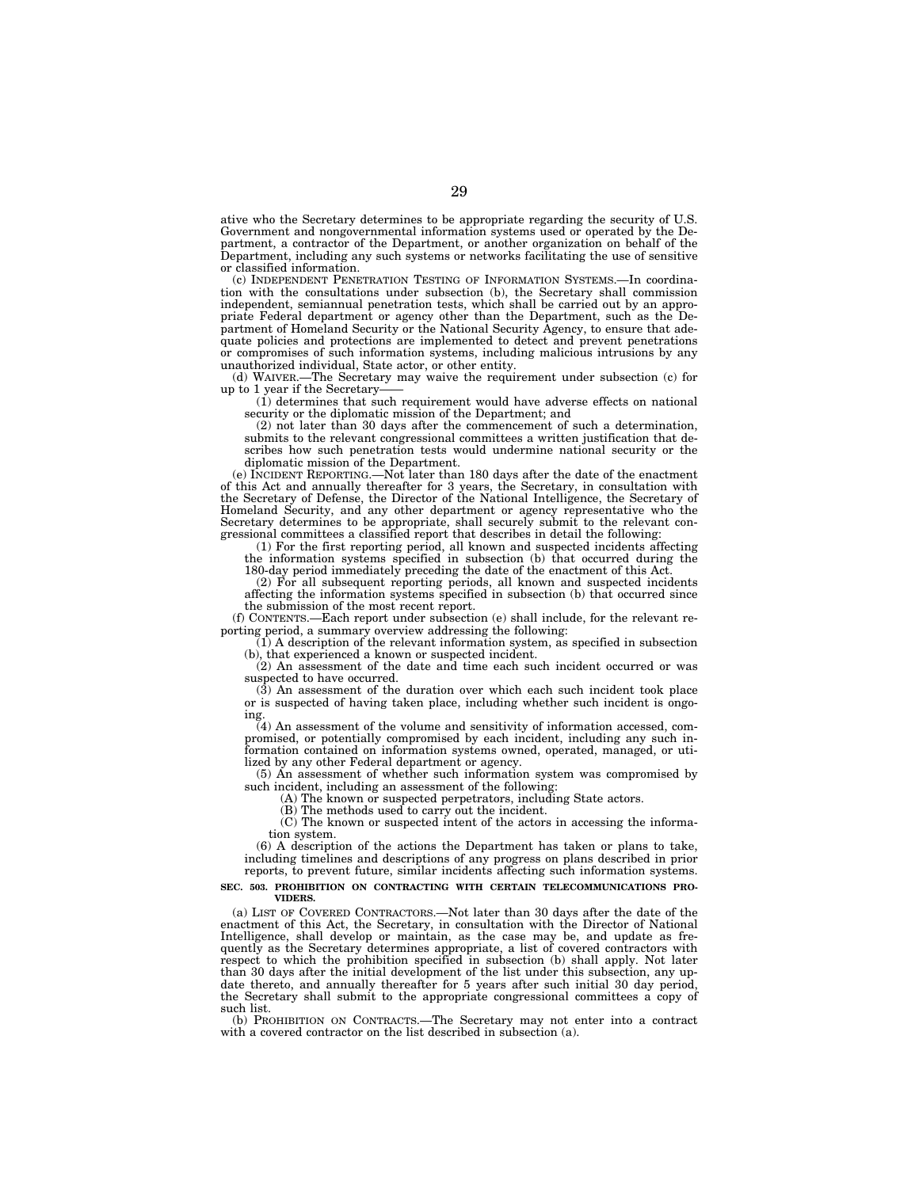ative who the Secretary determines to be appropriate regarding the security of U.S. Government and nongovernmental information systems used or operated by the Department, a contractor of the Department, or another organization on behalf of the Department, including any such systems or networks facilitating the use of sensitive or classified information.

(c) INDEPENDENT PENETRATION TESTING OF INFORMATION SYSTEMS.—In coordination with the consultations under subsection (b), the Secretary shall commission independent, semiannual penetration tests, which shall be carried out by an appropriate Federal department or agency other than the Department, such as the Department of Homeland Security or the National Security Agency, to ensure that adequate policies and protections are implemented to detect and prevent penetrations or compromises of such information systems, including malicious intrusions by any unauthorized individual, State actor, or other entity.

(d) WAIVER.—The Secretary may waive the requirement under subsection (c) for up to 1 year if the Secretary——

(1) determines that such requirement would have adverse effects on national security or the diplomatic mission of the Department; and

(2) not later than 30 days after the commencement of such a determination, submits to the relevant congressional committees a written justification that describes how such penetration tests would undermine national security or the diplomatic mission of the Department.

(e) INCIDENT REPORTING.—Not later than 180 days after the date of the enactment of this Act and annually thereafter for 3 years, the Secretary, in consultation with the Secretary of Defense, the Director of the National Intelligence, the Secretary of Homeland Security, and any other department or agency representative who the Secretary determines to be appropriate, shall securely submit to the relevant congressional committees a classified report that describes in detail the following:

(1) For the first reporting period, all known and suspected incidents affecting the information systems specified in subsection (b) that occurred during the 180-day period immediately preceding the date of the enactment of this Act.

(2) For all subsequent reporting periods, all known and suspected incidents affecting the information systems specified in subsection (b) that occurred since the submission of the most recent report.

(f) CONTENTS.—Each report under subsection (e) shall include, for the relevant reporting period, a summary overview addressing the following:

 $(1)$  A description of the relevant information system, as specified in subsection (b), that experienced a known or suspected incident.

 $(2)$  An assessment of the date and time each such incident occurred or was suspected to have occurred.

 $(3)$  An assessment of the duration over which each such incident took place or is suspected of having taken place, including whether such incident is ongoing.

(4) An assessment of the volume and sensitivity of information accessed, compromised, or potentially compromised by each incident, including any such information contained on information systems owned, operated, managed, or utilized by any other Federal department or agency.

(5) An assessment of whether such information system was compromised by such incident, including an assessment of the following:

(A) The known or suspected perpetrators, including State actors.

(B) The methods used to carry out the incident.

(C) The known or suspected intent of the actors in accessing the information system.

(6) A description of the actions the Department has taken or plans to take, including timelines and descriptions of any progress on plans described in prior reports, to prevent future, similar incidents affecting such information systems.

### **SEC. 503. PROHIBITION ON CONTRACTING WITH CERTAIN TELECOMMUNICATIONS PRO-VIDERS.**

(a) LIST OF COVERED CONTRACTORS.—Not later than 30 days after the date of the enactment of this Act, the Secretary, in consultation with the Director of National Intelligence, shall develop or maintain, as the case may be, and update as frequently as the Secretary determines appropriate, a list of covered contractors with respect to which the prohibition specified in subsection (b) shall apply. Not later than 30 days after the initial development of the list under this subsection, any update thereto, and annually thereafter for 5 years after such initial 30 day period, the Secretary shall submit to the appropriate congressional committees a copy of such list.

(b) PROHIBITION ON CONTRACTS.—The Secretary may not enter into a contract with a covered contractor on the list described in subsection (a).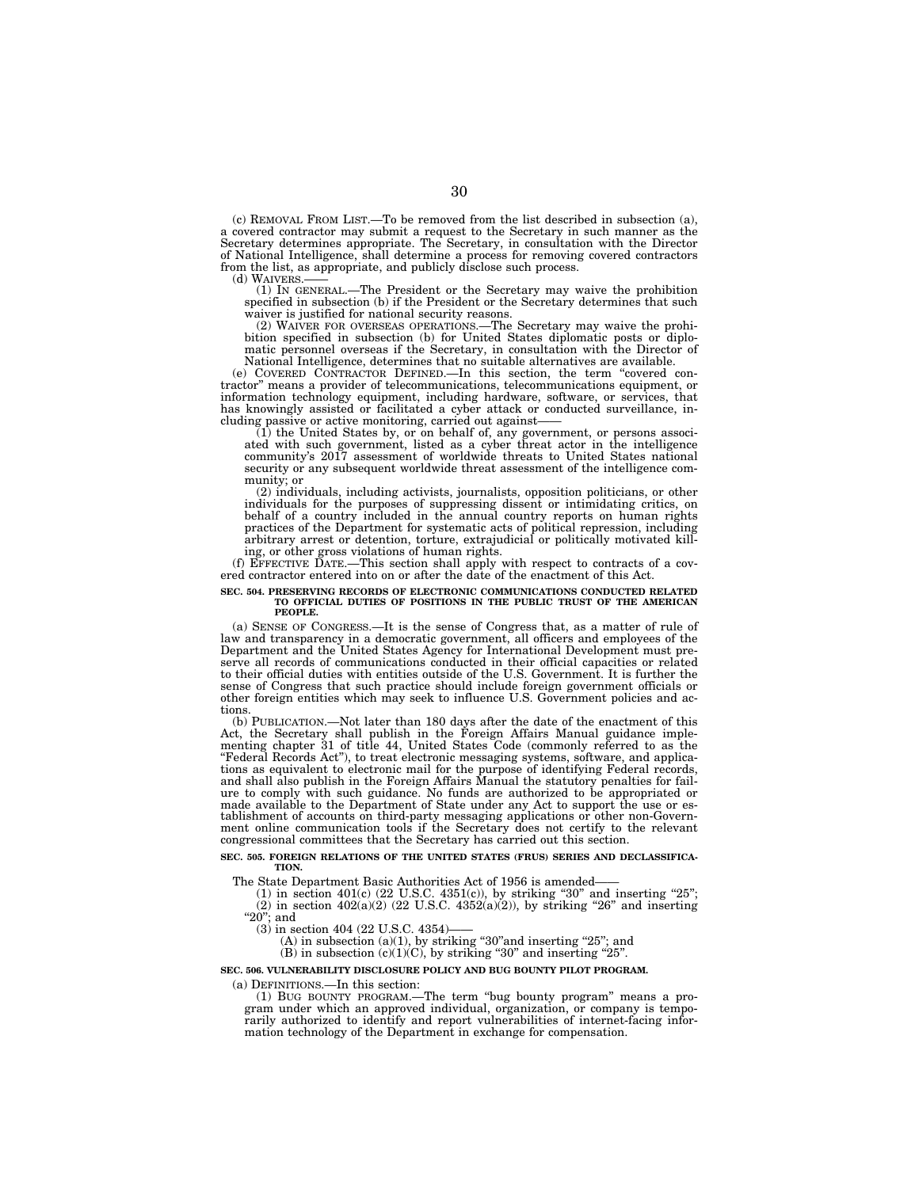(c) REMOVAL FROM LIST.—To be removed from the list described in subsection (a), a covered contractor may submit a request to the Secretary in such manner as the Secretary determines appropriate. The Secretary, in consultation with the Director of National Intelligence, shall determine a process for removing covered contractors from the list, as appropriate, and publicly disclose such process.<br>(d) WAIVERS

(1) IN GENERAL.—The President or the Secretary may waive the prohibition specified in subsection (b) if the President or the Secretary determines that such

waiver is justified for national security reasons. (2) WAIVER FOR OVERSEAS OPERATIONS.—The Secretary may waive the prohi-bition specified in subsection (b) for United States diplomatic posts or diplomatic personnel overseas if the Secretary, in consultation with the Director of National Intelligence, determines that no suitable alternatives are available.

(e) COVERED CONTRACTOR DEFINED.—In this section, the term ''covered contractor'' means a provider of telecommunications, telecommunications equipment, or information technology equipment, including hardware, software, or services, that has knowingly assisted or facilitated a cyber attack or conducted surveillance, including passive or active monitoring, carried out against—— (1) the United States by, or on behalf of, any government, or persons associ-

ated with such government, listed as a cyber threat actor in the intelligence community's 2017 assessment of worldwide threats to United States national security or any subsequent worldwide threat assessment of the intelligence community; or

(2) individuals, including activists, journalists, opposition politicians, or other individuals for the purposes of suppressing dissent or intimidating critics, on behalf of a country included in the annual country reports on human rights practices of the Department for systematic acts of political repression, including arbitrary arrest or detention, torture, extrajudicial or politically motivated kill-

ing, or other gross violations of human rights. (f) EFFECTIVE DATE.—This section shall apply with respect to contracts of a covered contractor entered into on or after the date of the enactment of this Act.

### **SEC. 504. PRESERVING RECORDS OF ELECTRONIC COMMUNICATIONS CONDUCTED RELATED TO OFFICIAL DUTIES OF POSITIONS IN THE PUBLIC TRUST OF THE AMERICAN PEOPLE.**

(a) SENSE OF CONGRESS.—It is the sense of Congress that, as a matter of rule of law and transparency in a democratic government, all officers and employees of the Department and the United States Agency for International Development must pre-serve all records of communications conducted in their official capacities or related to their official duties with entities outside of the U.S. Government. It is further the sense of Congress that such practice should include foreign government officials or other foreign entities which may seek to influence U.S. Government policies and actions.

(b) PUBLICATION.—Not later than 180 days after the date of the enactment of this Act, the Secretary shall publish in the Foreign Affairs Manual guidance implementing chapter 31 of title 44, United States Code (commonly referred to as the "Federal Records Act"), to treat electronic messaging systems, so made available to the Department of State under any Act to support the use or establishment of accounts on third-party messaging applications or other non-Government online communication tools if the Secretary does not certify to the relevant congressional committees that the Secretary has carried out this section.

# **SEC. 505. FOREIGN RELATIONS OF THE UNITED STATES (FRUS) SERIES AND DECLASSIFICA-TION.**

The State Department Basic Authorities Act of 1956 is amended-

(1) in section  $401(c)$  (22 U.S.C. 4351(c)), by striking "30" and inserting "25"; (2) in section  $402(a)(2)$  (22 U.S.C. 4352(a)(2)), by striking "26" and inserting

" $20$ "; and

 $(3)$  in section 404 (22 U.S.C. 4354)-

(A) in subsection (a)(1), by striking "30" and inserting "25"; and

 $(B)$  in subsection  $(c)(1)(C)$ , by striking "30" and inserting "25".

# **SEC. 506. VULNERABILITY DISCLOSURE POLICY AND BUG BOUNTY PILOT PROGRAM.**

# (a) DEFINITIONS.—In this section:

(1) BUG BOUNTY PROGRAM.—The term ''bug bounty program'' means a program under which an approved individual, organization, or company is temporarily authorized to identify and report vulnerabilities of internet-facing information technology of the Department in exchange for compensation.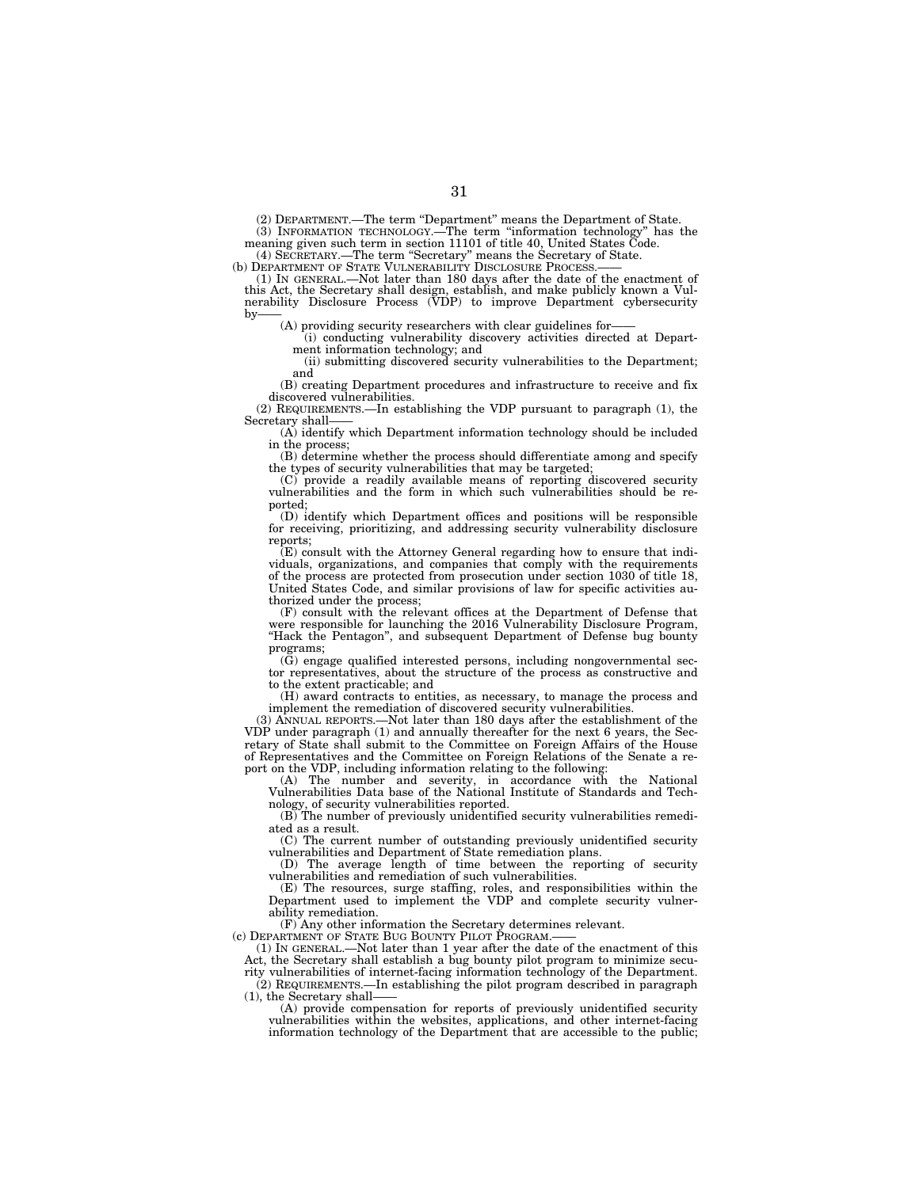(2) DEPARTMENT.—The term "Department" means the Department of State. (3) INFORMATION TECHNOLOGY.—The term "information technology" has the meaning given such term in section 11101 of title 40, United States Code.<br>
(4) SECRETARY.—The term "Secretary" means the Secretary of State.<br>
(b) DEPAR

this Act, the Secretary shall design, establish, and make publicly known a Vul-nerability Disclosure Process (VDP) to improve Department cybersecurity  $_{\rm by}$ 

(A) providing security researchers with clear guidelines for——

(i) conducting vulnerability discovery activities directed at Department information technology; and

(ii) submitting discovered security vulnerabilities to the Department; and

(B) creating Department procedures and infrastructure to receive and fix discovered vulnerabilities.

(2) REQUIREMENTS.—In establishing the VDP pursuant to paragraph (1), the

Secretary shall—— (A) identify which Department information technology should be included

in the process; (B) determine whether the process should differentiate among and specify the types of security vulnerabilities that may be targeted;

(C) provide a readily available means of reporting discovered security vulnerabilities and the form in which such vulnerabilities should be reported;

(D) identify which Department offices and positions will be responsible for receiving, prioritizing, and addressing security vulnerability disclosure reports;

(E) consult with the Attorney General regarding how to ensure that individuals, organizations, and companies that comply with the requirements of the process are protected from prosecution under section 1030 of title 18, United States Code, and similar provisions of law for specific activities authorized under the process;

(F) consult with the relevant offices at the Department of Defense that were responsible for launching the 2016 Vulnerability Disclosure Program, ''Hack the Pentagon'', and subsequent Department of Defense bug bounty programs;

(G) engage qualified interested persons, including nongovernmental sector representatives, about the structure of the process as constructive and to the extent practicable; and

(H) award contracts to entities, as necessary, to manage the process and implement the remediation of discovered security vulnerabilities.

(3) ANNUAL REPORTS.—Not later than 180 days after the establishment of the VDP under paragraph (1) and annually thereafter for the next 6 years, the Secretary of State shall submit to the Committee on Foreign Affairs of the House of Representatives and the Committee on Foreign Relations of the Senate a report on the VDP, including information relating to the following:

(A) The number and severity, in accordance with the National Vulnerabilities Data base of the National Institute of Standards and Technology, of security vulnerabilities reported.

(B) The number of previously unidentified security vulnerabilities remediated as a result.

(C) The current number of outstanding previously unidentified security vulnerabilities and Department of State remediation plans.

(D) The average length of time between the reporting of security vulnerabilities and remediation of such vulnerabilities.

(E) The resources, surge staffing, roles, and responsibilities within the Department used to implement the VDP and complete security vulnerability remediation.

(F) Any other information the Secretary determines relevant.

(c) DEPARTMENT OF STATE BUG BOUNTY PILOT PROGRAM.

(1) IN GENERAL.—Not later than 1 year after the date of the enactment of this Act, the Secretary shall establish a bug bounty pilot program to minimize security vulnerabilities of internet-facing information technology of the Department.

(2) REQUIREMENTS.—In establishing the pilot program described in paragraph (1), the Secretary shall——

(A) provide compensation for reports of previously unidentified security vulnerabilities within the websites, applications, and other internet-facing information technology of the Department that are accessible to the public;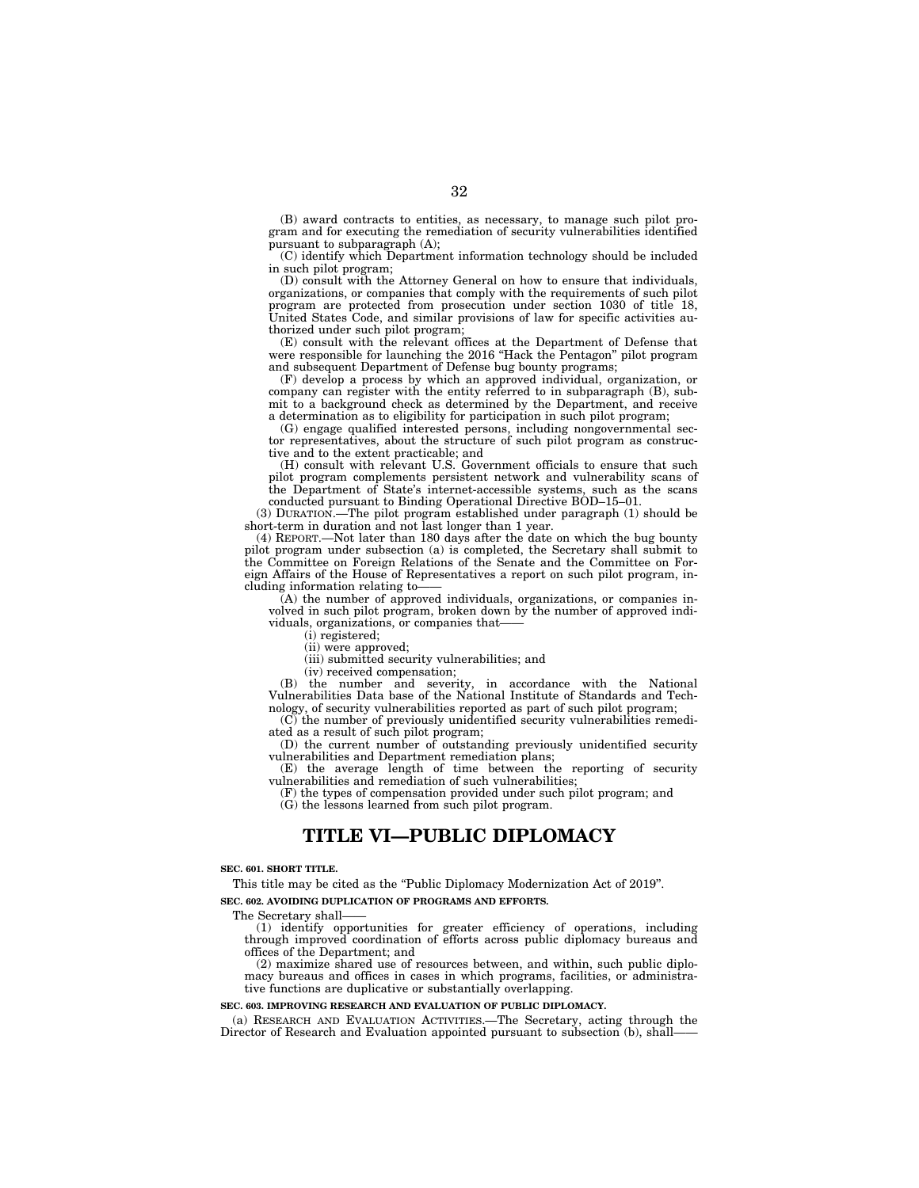(B) award contracts to entities, as necessary, to manage such pilot program and for executing the remediation of security vulnerabilities identified pursuant to subparagraph (A);

(C) identify which Department information technology should be included in such pilot program;

(D) consult with the Attorney General on how to ensure that individuals, organizations, or companies that comply with the requirements of such pilot program are protected from prosecution under section 1030 of title 18, United States Code, and similar provisions of law for specific activities authorized under such pilot program;

(E) consult with the relevant offices at the Department of Defense that were responsible for launching the 2016 ''Hack the Pentagon'' pilot program and subsequent Department of Defense bug bounty programs;

(F) develop a process by which an approved individual, organization, or company can register with the entity referred to in subparagraph (B), submit to a background check as determined by the Department, and receive a determination as to eligibility for participation in such pilot program;

(G) engage qualified interested persons, including nongovernmental sector representatives, about the structure of such pilot program as constructive and to the extent practicable; and

(H) consult with relevant U.S. Government officials to ensure that such pilot program complements persistent network and vulnerability scans of the Department of State's internet-accessible systems, such as the scans conducted pursuant to Binding Operational Directive BOD–15–01.

(3) DURATION.—The pilot program established under paragraph (1) should be short-term in duration and not last longer than 1 year.

(4) REPORT.—Not later than 180 days after the date on which the bug bounty pilot program under subsection (a) is completed, the Secretary shall submit to the Committee on Foreign Relations of the Senate and the Committee on Foreign Affairs of the House of Representatives a report on such pilot program, including information relating to——

(A) the number of approved individuals, organizations, or companies involved in such pilot program, broken down by the number of approved individuals, organizations, or companies that——

(i) registered;

(ii) were approved;

(iii) submitted security vulnerabilities; and

(iv) received compensation;

(B) the number and severity, in accordance with the National Vulnerabilities Data base of the National Institute of Standards and Technology, of security vulnerabilities reported as part of such pilot program;

(C) the number of previously unidentified security vulnerabilities remediated as a result of such pilot program;

(D) the current number of outstanding previously unidentified security vulnerabilities and Department remediation plans;

(E) the average length of time between the reporting of security vulnerabilities and remediation of such vulnerabilities;

(F) the types of compensation provided under such pilot program; and

(G) the lessons learned from such pilot program.

# **TITLE VI—PUBLIC DIPLOMACY**

# **SEC. 601. SHORT TITLE.**

This title may be cited as the "Public Diplomacy Modernization Act of 2019".

# **SEC. 602. AVOIDING DUPLICATION OF PROGRAMS AND EFFORTS.**

The Secretary shall-

(1) identify opportunities for greater efficiency of operations, including through improved coordination of efforts across public diplomacy bureaus and offices of the Department; and

(2) maximize shared use of resources between, and within, such public diplomacy bureaus and offices in cases in which programs, facilities, or administrative functions are duplicative or substantially overlapping.

### **SEC. 603. IMPROVING RESEARCH AND EVALUATION OF PUBLIC DIPLOMACY.**

(a) RESEARCH AND EVALUATION ACTIVITIES.—The Secretary, acting through the Director of Research and Evaluation appointed pursuant to subsection (b), shall——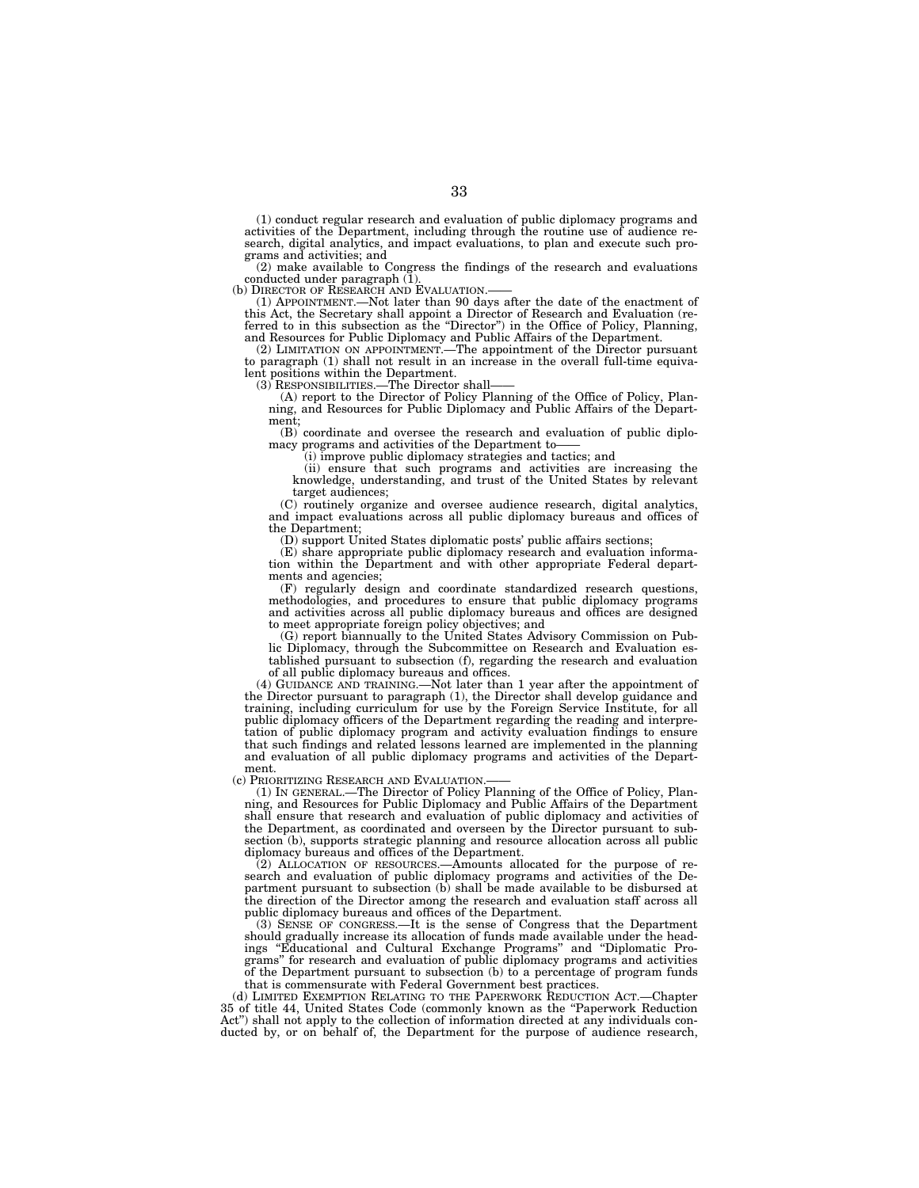(1) conduct regular research and evaluation of public diplomacy programs and activities of the Department, including through the routine use of audience research, digital analytics, and impact evaluations, to plan and execute such programs and activities; and

(2) make available to Congress the findings of the research and evaluations conducted under paragraph (1).<br>(b) DIRECTOR OF RESEARCH AND EVALUATION.

(1) APPOINTMENT.—Not later than 90 days after the date of the enactment of this Act, the Secretary shall appoint a Director of Research and Evaluation (re-ferred to in this subsection as the ''Director'') in the Office of Policy, Planning, and Resources for Public Diplomacy and Public Affairs of the Department.

(2) LIMITATION ON APPOINTMENT.—The appointment of the Director pursuant to paragraph (1) shall not result in an increase in the overall full-time equivalent positions within the Department. (3) RESPONSIBILITIES.—The Director shall——

(A) report to the Director of Policy Planning of the Office of Policy, Plan-ning, and Resources for Public Diplomacy and Public Affairs of the Department;

(B) coordinate and oversee the research and evaluation of public diplomacy programs and activities of the Department to——

(i) improve public diplomacy strategies and tactics; and

(ii) ensure that such programs and activities are increasing the knowledge, understanding, and trust of the United States by relevant target audiences;

(C) routinely organize and oversee audience research, digital analytics, and impact evaluations across all public diplomacy bureaus and offices of the Department;

(D) support United States diplomatic posts' public affairs sections;

(E) share appropriate public diplomacy research and evaluation information within the Department and with other appropriate Federal departments and agencies;

(F) regularly design and coordinate standardized research questions, methodologies, and procedures to ensure that public diplomacy programs and activities across all public diplomacy bureaus and offices are designed to meet appropriate foreign policy objectives; and

(G) report biannually to the United States Advisory Commission on Public Diplomacy, through the Subcommittee on Research and Evaluation established pursuant to subsection (f), regarding the research and evaluation of all public diplomacy bureaus and offices.

(4) GUIDANCE AND TRAINING.—Not later than 1 year after the appointment of the Director pursuant to paragraph (1), the Director shall develop guidance and training, including curriculum for use by the Foreign Service Institute, for all public diplomacy officers of the Department regarding the reading and interpretation of public diplomacy program and activity evaluation findings to ensure that such findings and related lessons learned are implemented in the planning and evaluation of all public diplomacy programs and activities of the Department.

(c) PRIORITIZING RESEARCH AND EVALUATION.

(1) IN GENERAL.—The Director of Policy Planning of the Office of Policy, Planning, and Resources for Public Diplomacy and Public Affairs of the Department shall ensure that research and evaluation of public diplomacy and activities of the Department, as coordinated and overseen by the Director pursuant to subsection (b), supports strategic planning and resource allocation across all public diplomacy bureaus and offices of the Department.

(2) ALLOCATION OF RESOURCES.—Amounts allocated for the purpose of research and evaluation of public diplomacy programs and activities of the Department pursuant to subsection (b) shall be made available to be disbursed at the direction of the Director among the research and evaluation staff across all public diplomacy bureaus and offices of the Department.

(3) SENSE OF CONGRESS.—It is the sense of Congress that the Department should gradually increase its allocation of funds made available under the headings ''Educational and Cultural Exchange Programs'' and ''Diplomatic Programs'' for research and evaluation of public diplomacy programs and activities of the Department pursuant to subsection (b) to a percentage of program funds that is commensurate with Federal Government best practices.

(d) LIMITED EXEMPTION RELATING TO THE PAPERWORK REDUCTION ACT.—Chapter 35 of title 44, United States Code (commonly known as the ''Paperwork Reduction Act'') shall not apply to the collection of information directed at any individuals conducted by, or on behalf of, the Department for the purpose of audience research,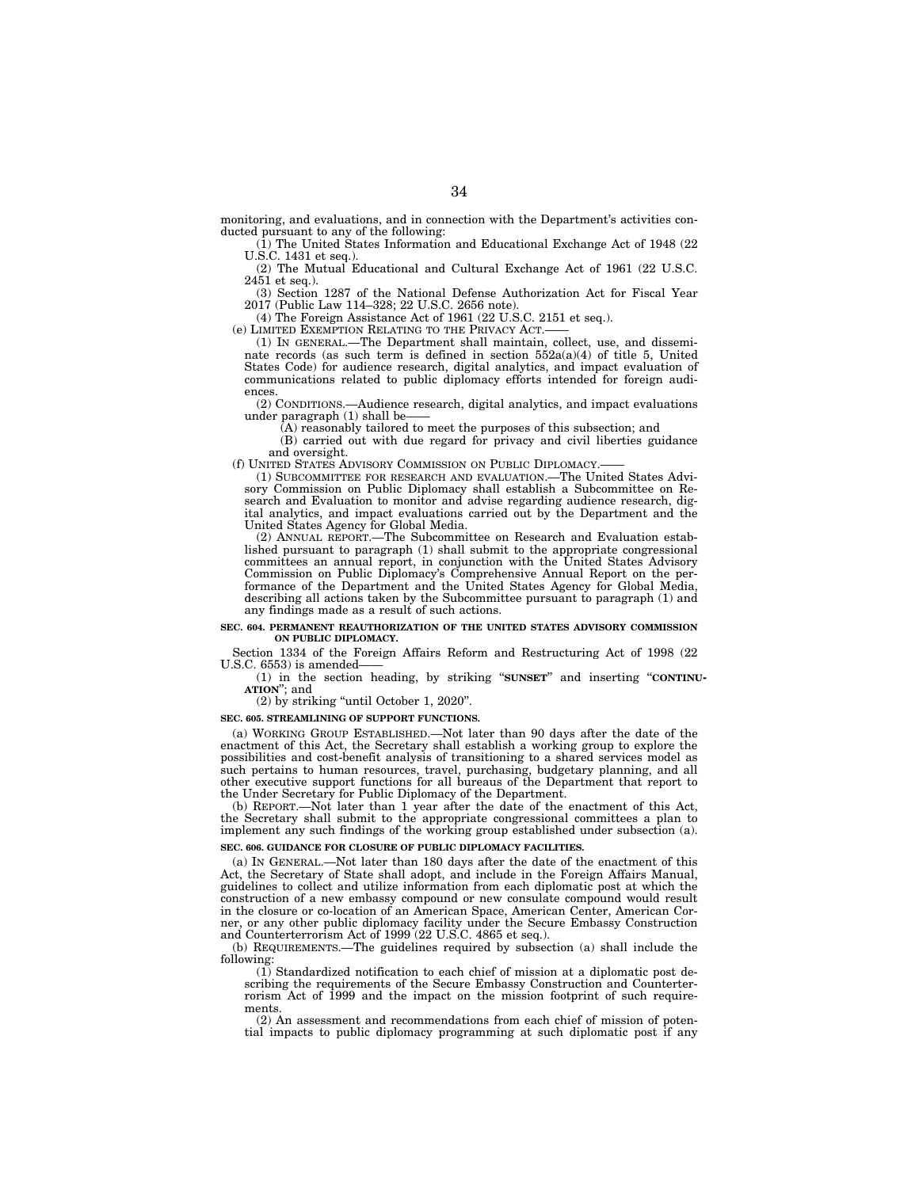monitoring, and evaluations, and in connection with the Department's activities conducted pursuant to any of the following:

(1) The United States Information and Educational Exchange Act of 1948 (22 U.S.C. 1431 et seq.).

(2) The Mutual Educational and Cultural Exchange Act of 1961 (22 U.S.C. 2451 et seq.).

(3) Section 1287 of the National Defense Authorization Act for Fiscal Year 2017 (Public Law 114–328; 22 U.S.C. 2656 note).

(4) The Foreign Assistance Act of 1961 (22 U.S.C. 2151 et seq.).

(e) LIMITED EXEMPTION RELATING TO THE PRIVACY ACT.-(1) IN GENERAL.—The Department shall maintain, collect, use, and disseminate records (as such term is defined in section  $552a(a)(4)$  of title 5, United States Code) for audience research, digital analytics, and impact evaluation of communications related to public diplomacy efforts intended for foreign audiences.

(2) CONDITIONS.—Audience research, digital analytics, and impact evaluations under paragraph (1) shall be——

(A) reasonably tailored to meet the purposes of this subsection; and

(B) carried out with due regard for privacy and civil liberties guidance

and oversight.

(f) UNITED STATES ADVISORY COMMISSION ON PUBLIC DIPLOMACY.——

(1) SUBCOMMITTEE FOR RESEARCH AND EVALUATION.—The United States Advisory Commission on Public Diplomacy shall establish a Subcommittee on Research and Evaluation to monitor and advise regarding audience research, digital analytics, and impact evaluations carried out by the Department and the United States Agency for Global Media.

(2) ANNUAL REPORT.—The Subcommittee on Research and Evaluation established pursuant to paragraph (1) shall submit to the appropriate congressional committees an annual report, in conjunction with the United States Advisory Commission on Public Diplomacy's Comprehensive Annual Report on the performance of the Department and the United States Agency for Global Media, describing all actions taken by the Subcommittee pursuant to paragraph (1) and any findings made as a result of such actions.

# **SEC. 604. PERMANENT REAUTHORIZATION OF THE UNITED STATES ADVISORY COMMISSION ON PUBLIC DIPLOMACY.**

Section 1334 of the Foreign Affairs Reform and Restructuring Act of 1998 (22 U.S.C.  $6553$ ) is amended-

(1) in the section heading, by striking ''**SUNSET**'' and inserting ''**CONTINU-ATION**''; and

 $(2)$  by striking "until October 1, 2020".

# **SEC. 605. STREAMLINING OF SUPPORT FUNCTIONS.**

(a) WORKING GROUP ESTABLISHED.—Not later than 90 days after the date of the enactment of this Act, the Secretary shall establish a working group to explore the possibilities and cost-benefit analysis of transitioning to a shared services model as such pertains to human resources, travel, purchasing, budgetary planning, and all other executive support functions for all bureaus of the Department that report to the Under Secretary for Public Diplomacy of the Department.

(b) REPORT.—Not later than 1 year after the date of the enactment of this Act, the Secretary shall submit to the appropriate congressional committees a plan to implement any such findings of the working group established under subsection (a). **SEC. 606. GUIDANCE FOR CLOSURE OF PUBLIC DIPLOMACY FACILITIES.** 

(a) IN GENERAL.—Not later than 180 days after the date of the enactment of this Act, the Secretary of State shall adopt, and include in the Foreign Affairs Manual, guidelines to collect and utilize information from each diplomatic post at which the construction of a new embassy compound or new consulate compound would result in the closure or co-location of an American Space, American Center, American Corner, or any other public diplomacy facility under the Secure Embassy Construction and Counterterrorism Act of 1999 (22 U.S.C. 4865 et seq.).

(b) REQUIREMENTS.—The guidelines required by subsection (a) shall include the following:

(1) Standardized notification to each chief of mission at a diplomatic post describing the requirements of the Secure Embassy Construction and Counterterrorism Act of 1999 and the impact on the mission footprint of such requirements.

(2) An assessment and recommendations from each chief of mission of potential impacts to public diplomacy programming at such diplomatic post if any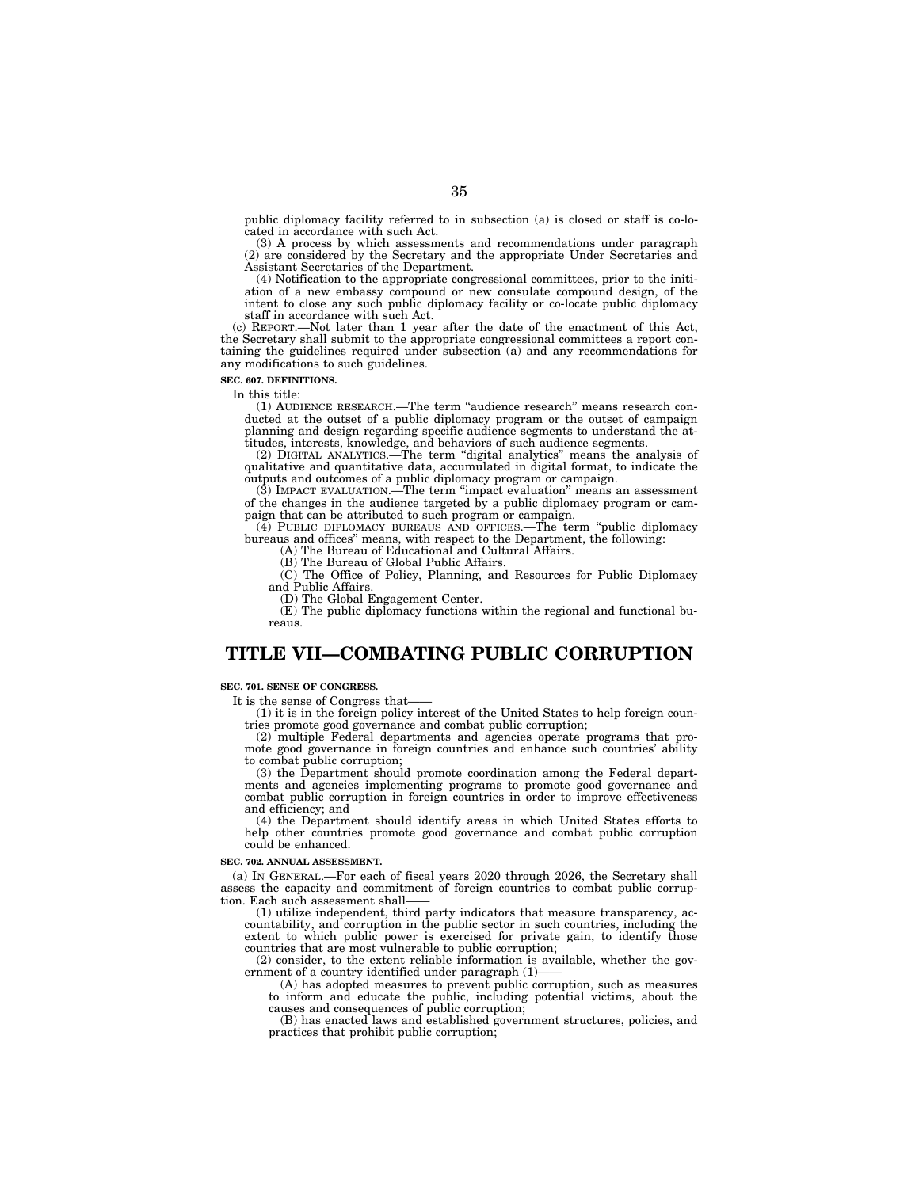public diplomacy facility referred to in subsection (a) is closed or staff is co-located in accordance with such Act.

(3) A process by which assessments and recommendations under paragraph (2) are considered by the Secretary and the appropriate Under Secretaries and Assistant Secretaries of the Department.

(4) Notification to the appropriate congressional committees, prior to the initiation of a new embassy compound or new consulate compound design, of the intent to close any such public diplomacy facility or co-locate public diplomacy staff in accordance with such Act.

(c) REPORT.—Not later than 1 year after the date of the enactment of this Act, the Secretary shall submit to the appropriate congressional committees a report containing the guidelines required under subsection (a) and any recommendations for any modifications to such guidelines.

# **SEC. 607. DEFINITIONS.**

In this title:

(1) AUDIENCE RESEARCH.—The term ''audience research'' means research conducted at the outset of a public diplomacy program or the outset of campaign planning and design regarding specific audience segments to understand the attitudes, interests, knowledge, and behaviors of such audience segments.

(2) DIGITAL ANALYTICS.—The term ''digital analytics'' means the analysis of qualitative and quantitative data, accumulated in digital format, to indicate the outputs and outcomes of a public diplomacy program or campaign.

(3) IMPACT EVALUATION.—The term ''impact evaluation'' means an assessment of the changes in the audience targeted by a public diplomacy program or campaign that can be attributed to such program or campaign.

(4) PUBLIC DIPLOMACY BUREAUS AND OFFICES.—The term ''public diplomacy bureaus and offices'' means, with respect to the Department, the following:

(A) The Bureau of Educational and Cultural Affairs.

(B) The Bureau of Global Public Affairs.

(C) The Office of Policy, Planning, and Resources for Public Diplomacy and Public Affairs.

(D) The Global Engagement Center.

(E) The public diplomacy functions within the regional and functional bureaus.

# **TITLE VII—COMBATING PUBLIC CORRUPTION**

# **SEC. 701. SENSE OF CONGRESS.**

It is the sense of Congress that——

(1) it is in the foreign policy interest of the United States to help foreign countries promote good governance and combat public corruption;

(2) multiple Federal departments and agencies operate programs that promote good governance in foreign countries and enhance such countries' ability to combat public corruption;

(3) the Department should promote coordination among the Federal departments and agencies implementing programs to promote good governance and combat public corruption in foreign countries in order to improve effectiveness and efficiency; and

(4) the Department should identify areas in which United States efforts to help other countries promote good governance and combat public corruption could be enhanced.

### **SEC. 702. ANNUAL ASSESSMENT.**

(a) IN GENERAL.—For each of fiscal years 2020 through 2026, the Secretary shall assess the capacity and commitment of foreign countries to combat public corruption. Each such assessment shall——

(1) utilize independent, third party indicators that measure transparency, accountability, and corruption in the public sector in such countries, including the extent to which public power is exercised for private gain, to identify those countries that are most vulnerable to public corruption;

(2) consider, to the extent reliable information is available, whether the government of a country identified under paragraph (1)-

(A) has adopted measures to prevent public corruption, such as measures to inform and educate the public, including potential victims, about the causes and consequences of public corruption;

(B) has enacted laws and established government structures, policies, and practices that prohibit public corruption;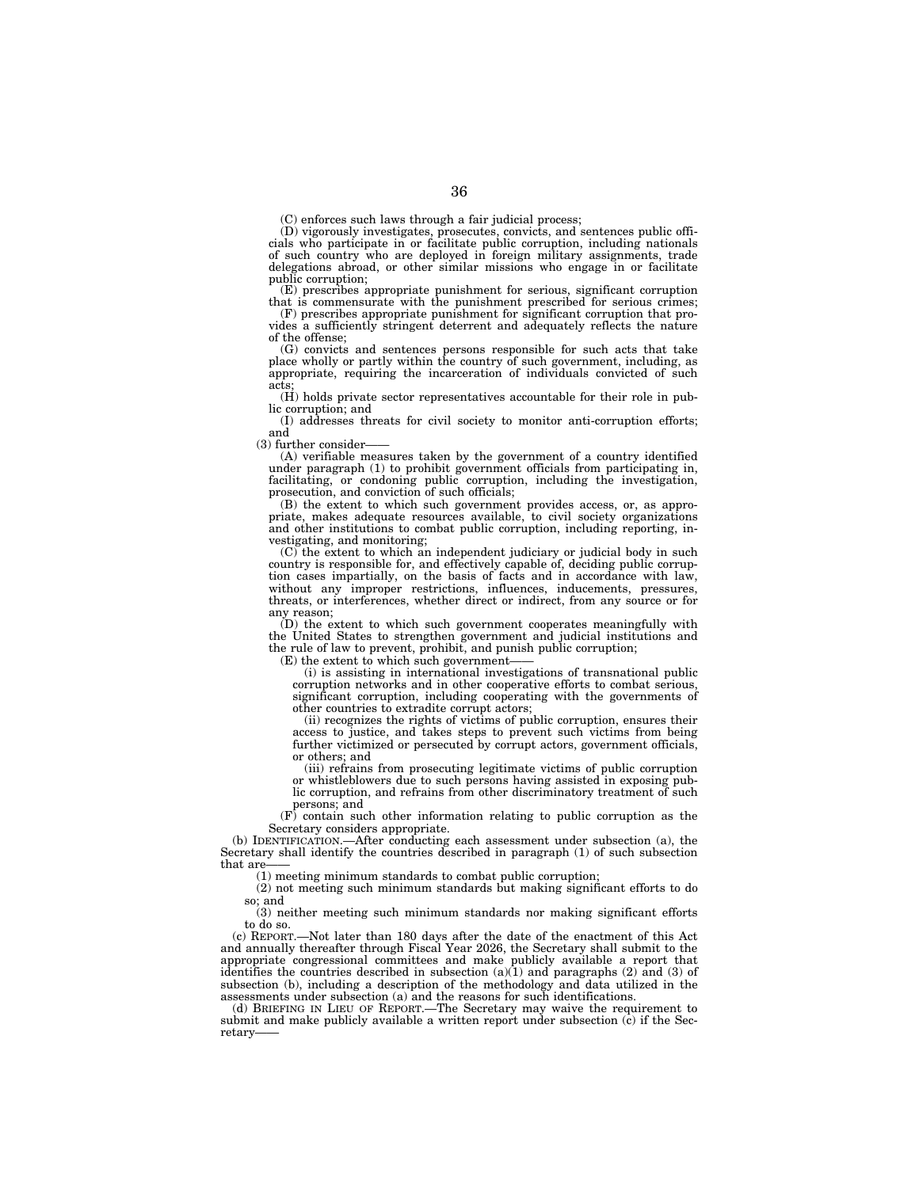(C) enforces such laws through a fair judicial process;

(D) vigorously investigates, prosecutes, convicts, and sentences public officials who participate in or facilitate public corruption, including nationals of such country who are deployed in foreign military assignments, trade delegations abroad, or other similar missions who engage in or facilitate public corruption;

(E) prescribes appropriate punishment for serious, significant corruption that is commensurate with the punishment prescribed for serious crimes; (F) prescribes appropriate punishment for significant corruption that pro-

vides a sufficiently stringent deterrent and adequately reflects the nature of the offense;

(G) convicts and sentences persons responsible for such acts that take place wholly or partly within the country of such government, including, as appropriate, requiring the incarceration of individuals convicted of such acts;

(H) holds private sector representatives accountable for their role in public corruption; and

(I) addresses threats for civil society to monitor anti-corruption efforts; and

(3) further consider-

(A) verifiable measures taken by the government of a country identified under paragraph (1) to prohibit government officials from participating in, facilitating, or condoning public corruption, including the investigation, prosecution, and conviction of such officials;

(B) the extent to which such government provides access, or, as appropriate, makes adequate resources available, to civil society organizations and other institutions to combat public corruption, including reporting, investigating, and monitoring;

(C) the extent to which an independent judiciary or judicial body in such country is responsible for, and effectively capable of, deciding public corruption cases impartially, on the basis of facts and in accordance with law, without any improper restrictions, influences, inducements, pressures, threats, or interferences, whether direct or indirect, from any source or for any reason;

(D) the extent to which such government cooperates meaningfully with the United States to strengthen government and judicial institutions and the rule of law to prevent, prohibit, and punish public corruption;

(E) the extent to which such government-

(i) is assisting in international investigations of transnational public corruption networks and in other cooperative efforts to combat serious, significant corruption, including cooperating with the governments of other countries to extradite corrupt actors;

(ii) recognizes the rights of victims of public corruption, ensures their access to justice, and takes steps to prevent such victims from being further victimized or persecuted by corrupt actors, government officials, or others; and

(iii) refrains from prosecuting legitimate victims of public corruption or whistleblowers due to such persons having assisted in exposing public corruption, and refrains from other discriminatory treatment of such persons; and

(F) contain such other information relating to public corruption as the Secretary considers appropriate.

(b) IDENTIFICATION.—After conducting each assessment under subsection (a), the Secretary shall identify the countries described in paragraph (1) of such subsection that are

(1) meeting minimum standards to combat public corruption;

(2) not meeting such minimum standards but making significant efforts to do so; and

(3) neither meeting such minimum standards nor making significant efforts to do so.

(c) REPORT.—Not later than 180 days after the date of the enactment of this Act and annually thereafter through Fiscal Year 2026, the Secretary shall submit to the appropriate congressional committees and make publicly available a report that identifies the countries described in subsection  $(a)(1)$  and paragraphs  $(2)$  and  $(3)$  of subsection (b), including a description of the methodology and data utilized in the assessments under subsection (a) and the reasons for such identifications.

(d) BRIEFING IN LIEU OF REPORT.—The Secretary may waive the requirement to submit and make publicly available a written report under subsection (c) if the Secretary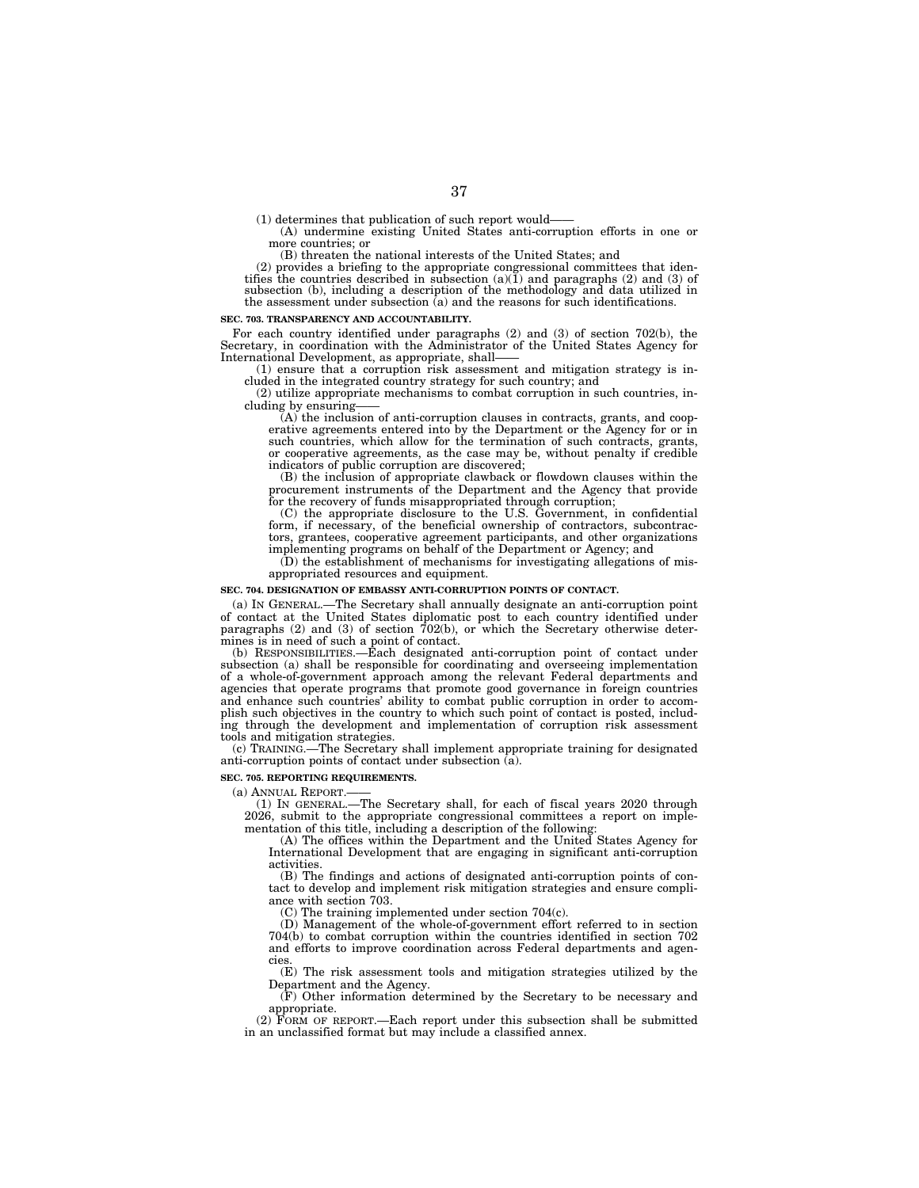(A) undermine existing United States anti-corruption efforts in one or more countries; or

(B) threaten the national interests of the United States; and

(2) provides a briefing to the appropriate congressional committees that identifies the countries described in subsection  $(a)(1)$  and paragraphs (2) and (3) of subsection (b), including a description of the methodology and data utilized in the assessment under subsection (a) and the reasons for such identifications.

### **SEC. 703. TRANSPARENCY AND ACCOUNTABILITY.**

For each country identified under paragraphs (2) and (3) of section 702(b), the Secretary, in coordination with the Administrator of the United States Agency for International Development, as appropriate, shall——

(1) ensure that a corruption risk assessment and mitigation strategy is included in the integrated country strategy for such country; and

(2) utilize appropriate mechanisms to combat corruption in such countries, including by ensuring-

(A) the inclusion of anti-corruption clauses in contracts, grants, and cooperative agreements entered into by the Department or the Agency for or in such countries, which allow for the termination of such contracts, grants, or cooperative agreements, as the case may be, without penalty if credible indicators of public corruption are discovered;

(B) the inclusion of appropriate clawback or flowdown clauses within the procurement instruments of the Department and the Agency that provide for the recovery of funds misappropriated through corruption;

(C) the appropriate disclosure to the U.S. Government, in confidential form, if necessary, of the beneficial ownership of contractors, subcontractors, grantees, cooperative agreement participants, and other organizations implementing programs on behalf of the Department or Agency; and

(D) the establishment of mechanisms for investigating allegations of misappropriated resources and equipment.

#### **SEC. 704. DESIGNATION OF EMBASSY ANTI-CORRUPTION POINTS OF CONTACT.**

(a) IN GENERAL.—The Secretary shall annually designate an anti-corruption point of contact at the United States diplomatic post to each country identified under paragraphs (2) and (3) of section  $702(b)$ , or which the Secretary otherwise determines is in need of such a point of contact.

(b) RESPONSIBILITIES.—Each designated anti-corruption point of contact under subsection (a) shall be responsible for coordinating and overseeing implementation of a whole-of-government approach among the relevant Federal departments and agencies that operate programs that promote good governance in foreign countries and enhance such countries' ability to combat public corruption in order to accomplish such objectives in the country to which such point of contact is posted, including through the development and implementation of corruption risk assessment tools and mitigation strategies.

(c) TRAINING.—The Secretary shall implement appropriate training for designated anti-corruption points of contact under subsection (a).

#### **SEC. 705. REPORTING REQUIREMENTS.**

(a) ANNUAL REPORT.

(1) IN GENERAL.—The Secretary shall, for each of fiscal years 2020 through 2026, submit to the appropriate congressional committees a report on implementation of this title, including a description of the following:

(A) The offices within the Department and the United States Agency for International Development that are engaging in significant anti-corruption activities.

(B) The findings and actions of designated anti-corruption points of contact to develop and implement risk mitigation strategies and ensure compliance with section 703.

(C) The training implemented under section 704(c).

(D) Management of the whole-of-government effort referred to in section 704(b) to combat corruption within the countries identified in section 702 and efforts to improve coordination across Federal departments and agencies

(E) The risk assessment tools and mitigation strategies utilized by the Department and the Agency.

(F) Other information determined by the Secretary to be necessary and appropriate.

(2) FORM OF REPORT.—Each report under this subsection shall be submitted in an unclassified format but may include a classified annex.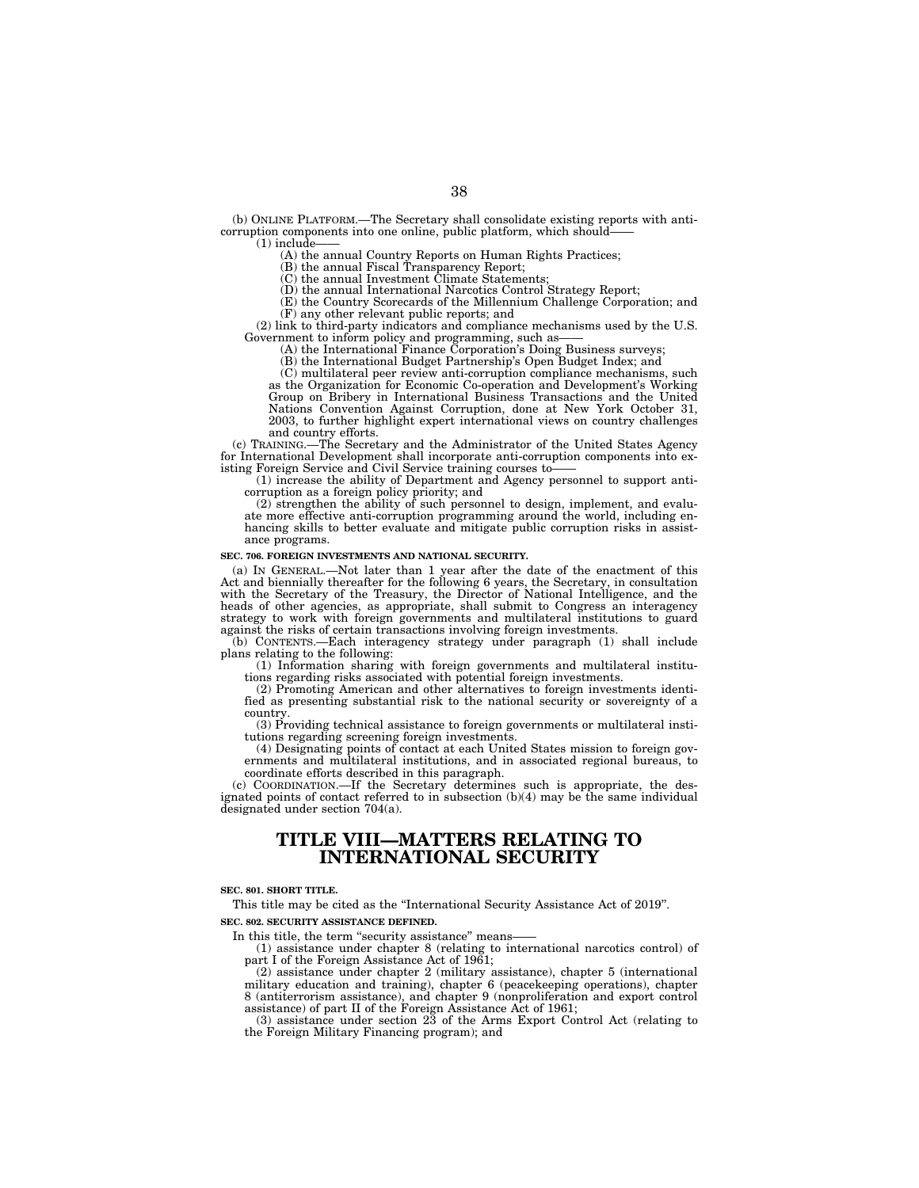(b) ONLINE PLATFORM.—The Secretary shall consolidate existing reports with anticorruption components into one online, public platform, which should——  $(1)$  include

(A) the annual Country Reports on Human Rights Practices;

(B) the annual Fiscal Transparency Report; (C) the annual Investment Climate Statements;

(D) the annual International Narcotics Control Strategy Report;

(E) the Country Scorecards of the Millennium Challenge Corporation; and (F) any other relevant public reports; and

(2) link to third-party indicators and compliance mechanisms used by the U.S. Government to inform policy and programming, such as-

(A) the International Finance Corporation's Doing Business surveys; (B) the International Budget Partnership's Open Budget Index; and

(C) multilateral peer review anti-corruption compliance mechanisms, such as the Organization for Economic Co-operation and Development's Working Group on Bribery in International Business Transactions and the United Nations Convention Against Corruption, done at New York October 31, 2003, to further highlight expert international views on country challenges and country efforts.

(c) TRAINING.—The Secretary and the Administrator of the United States Agency for International Development shall incorporate anti-corruption components into ex-

isting Foreign Service and Civil Service training courses to—— (1) increase the ability of Department and Agency personnel to support anti-

corruption as a foreign policy priority; and (2) strengthen the ability of such personnel to design, implement, and evaluate more effective anti-corruption programming around the world, including enhancing skills to better evaluate and mitigate public corruption risks in assistance programs.

# **SEC. 706. FOREIGN INVESTMENTS AND NATIONAL SECURITY.**

(a) IN GENERAL.—Not later than 1 year after the date of the enactment of this Act and biennially thereafter for the following 6 years, the Secretary, in consultation with the Secretary of the Treasury, the Director of National Intelligence, and the heads of other agencies, as appropriate, shall submit to Congress an interagency strategy to work with foreign governments and multilateral institutions to guard against the risks of certain transactions involving foreign investments.

(b) CONTENTS.—Each interagency strategy under paragraph (1) shall include plans relating to the following:

(1) Information sharing with foreign governments and multilateral institutions regarding risks associated with potential foreign investments. (2) Promoting American and other alternatives to foreign investments identi-

fied as presenting substantial risk to the national security or sovereignty of a country.

(3) Providing technical assistance to foreign governments or multilateral institutions regarding screening foreign investments.

(4) Designating points of contact at each United States mission to foreign governments and multilateral institutions, and in associated regional bureaus, to coordinate efforts described in this paragraph.

(c) COORDINATION.—If the Secretary determines such is appropriate, the designated points of contact referred to in subsection (b)(4) may be the same individual designated under section 704(a).

# **TITLE VIII—MATTERS RELATING TO INTERNATIONAL SECURITY**

#### **SEC. 801. SHORT TITLE.**

This title may be cited as the "International Security Assistance Act of 2019".

**SEC. 802. SECURITY ASSISTANCE DEFINED.** 

In this title, the term "security assistance" means-

(1) assistance under chapter 8 (relating to international narcotics control) of part I of the Foreign Assistance Act of 1961;

(2) assistance under chapter 2 (military assistance), chapter 5 (international military education and training), chapter 6 (peacekeeping operations), chapter 8 (antiterrorism assistance), and chapter 9 (nonproliferation and export control assistance) of part II of the Foreign Assistance Act of 1961;

(3) assistance under section 23 of the Arms Export Control Act (relating to the Foreign Military Financing program); and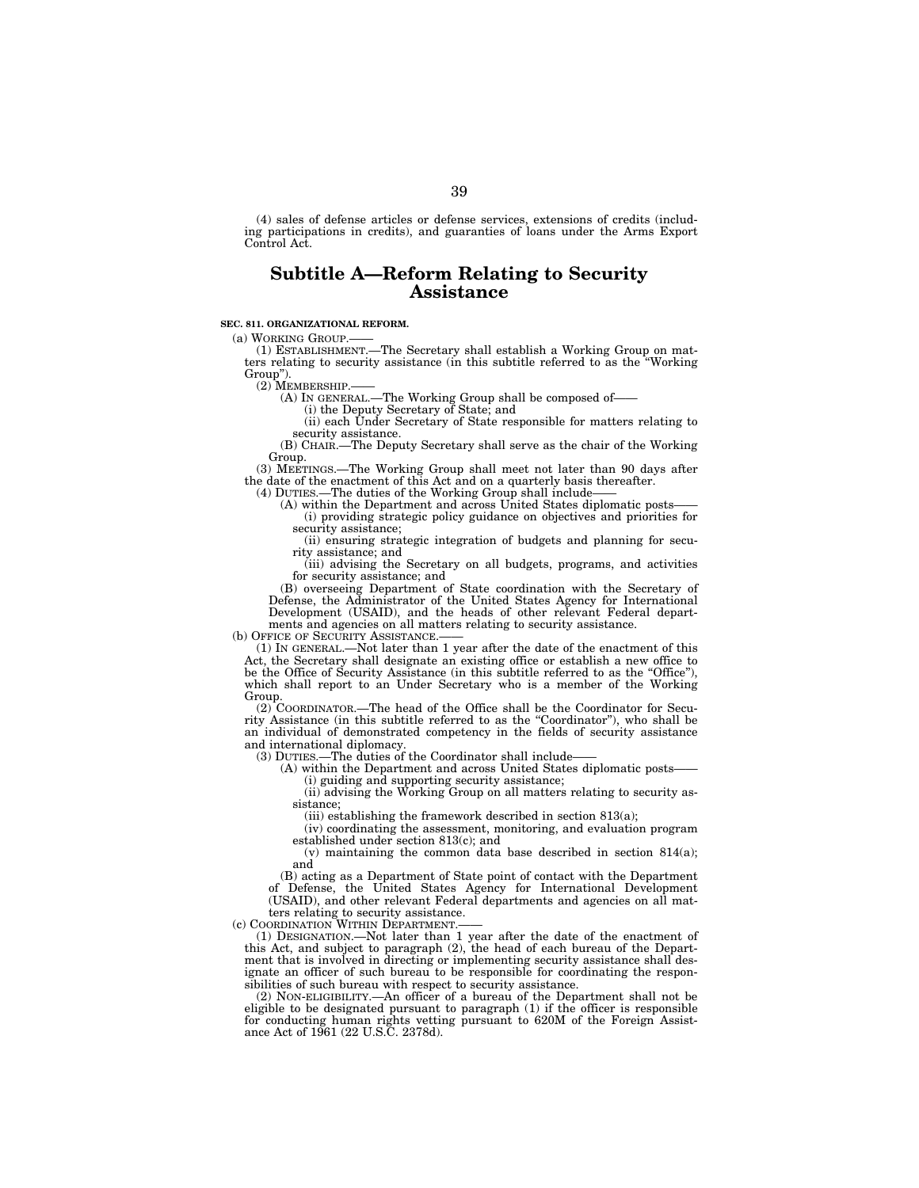(4) sales of defense articles or defense services, extensions of credits (including participations in credits), and guaranties of loans under the Arms Export Control Act.

# **Subtitle A—Reform Relating to Security Assistance**

#### **SEC. 811. ORGANIZATIONAL REFORM.**

(a) WORKING GROUP.—— (1) ESTABLISHMENT.—The Secretary shall establish a Working Group on matters relating to security assistance (in this subtitle referred to as the ''Working Group").<br>(2) MEMBERSHIP.

(A) IN GENERAL.—The Working Group shall be composed of—

(i) the Deputy Secretary of State; and

(ii) each Under Secretary of State responsible for matters relating to security assistance.

(B) CHAIR.—The Deputy Secretary shall serve as the chair of the Working Group.

(3) MEETINGS.—The Working Group shall meet not later than 90 days after the date of the enactment of this Act and on a quarterly basis thereafter.

(4) DUTIES.—The duties of the Working Group shall include——

(A) within the Department and across United States diplomatic posts—— (i) providing strategic policy guidance on objectives and priorities for security assistance;

(ii) ensuring strategic integration of budgets and planning for security assistance; and

(iii) advising the Secretary on all budgets, programs, and activities for security assistance; and

(B) overseeing Department of State coordination with the Secretary of Defense, the Administrator of the United States Agency for International Development (USAID), and the heads of other relevant Federal departments and agencies on all matters relating to security assistance.

(b) OFFICE OF SECURITY ASSISTANCE.

(1) IN GENERAL.—Not later than 1 year after the date of the enactment of this Act, the Secretary shall designate an existing office or establish a new office to be the Office of Security Assistance (in this subtitle referred to as the "Office"), which shall report to an Under Secretary who is a member of the Working Group.

 $(2)$  COORDINATOR.—The head of the Office shall be the Coordinator for Security Assistance (in this subtitle referred to as the ''Coordinator''), who shall be an individual of demonstrated competency in the fields of security assistance and international diplomacy.

(3) DUTIES.—The duties of the Coordinator shall include——

(A) within the Department and across United States diplomatic posts—— (i) guiding and supporting security assistance;

(ii) advising the Working Group on all matters relating to security assistance;

(iii) establishing the framework described in section  $813(a)$ ;

(iv) coordinating the assessment, monitoring, and evaluation program

established under section 813(c); and (v) maintaining the common data base described in section 814(a);

and (B) acting as a Department of State point of contact with the Department of Defense, the United States Agency for International Development (USAID), and other relevant Federal departments and agencies on all mat-

ters relating to security assistance. (c) COORDINATION WITHIN DEPARTMENT.——

(1) DESIGNATION.—Not later than 1 year after the date of the enactment of this Act, and subject to paragraph (2), the head of each bureau of the Department that is involved in directing or implementing security assistance shall designate an officer of such bureau to be responsible for coordinating the responsibilities of such bureau with respect to security assistance.

(2) NON-ELIGIBILITY.—An officer of a bureau of the Department shall not be eligible to be designated pursuant to paragraph (1) if the officer is responsible for conducting human rights vetting pursuant to 620M of the Foreign Assistance Act of 1961 (22 U.S.C. 2378d).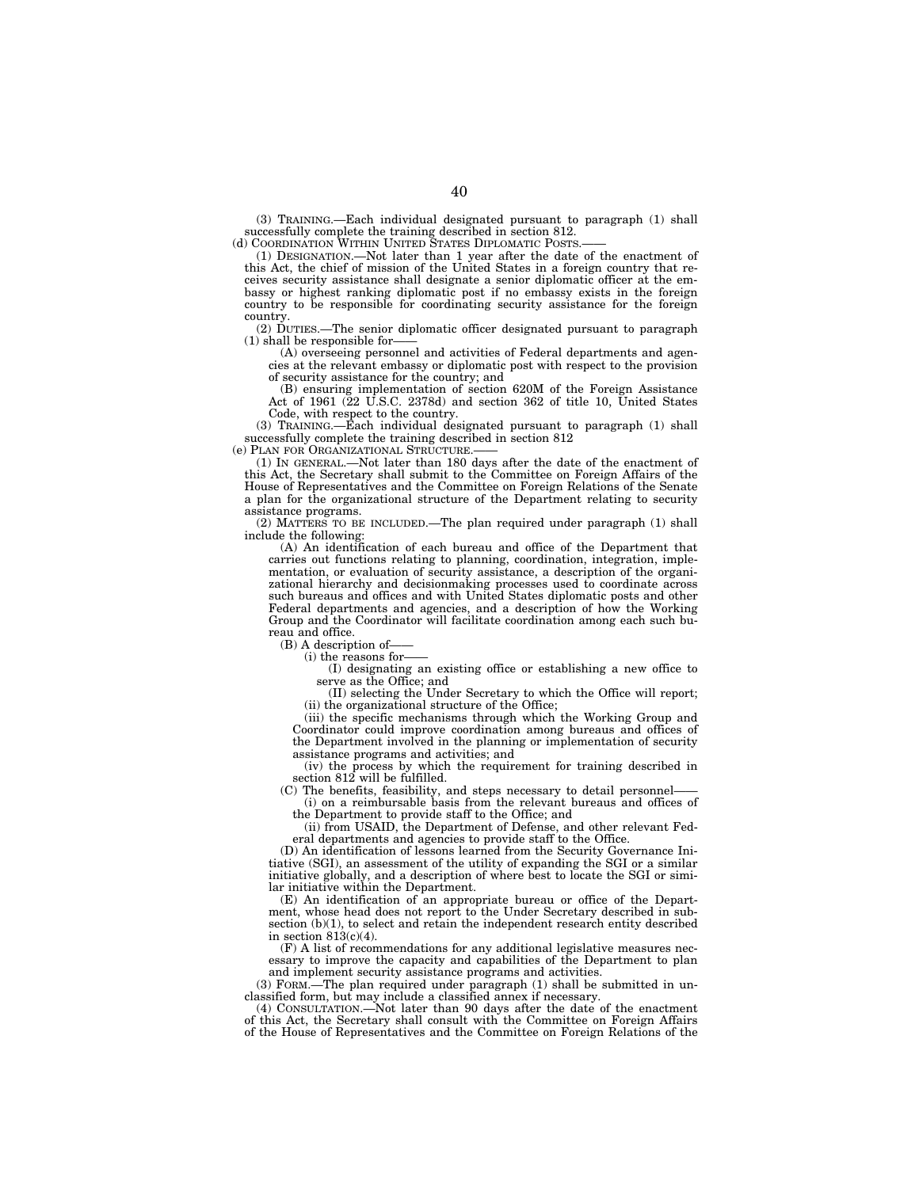(3) TRAINING.—Each individual designated pursuant to paragraph (1) shall successfully complete the training described in section 812.

(d) COORDINATION WITHIN UNITED STATES DIPLOMATIC POSTS.—— (1) DESIGNATION.—Not later than 1 year after the date of the enactment of

this Act, the chief of mission of the United States in a foreign country that receives security assistance shall designate a senior diplomatic officer at the embassy or highest ranking diplomatic post if no embassy exists in the foreign country to be responsible for coordinating security assistance for the foreign country.

(2) DUTIES.—The senior diplomatic officer designated pursuant to paragraph  $(1)$  shall be responsible for

(A) overseeing personnel and activities of Federal departments and agencies at the relevant embassy or diplomatic post with respect to the provision of security assistance for the country; and

(B) ensuring implementation of section 620M of the Foreign Assistance Act of 1961 (22 U.S.C. 2378d) and section 362 of title 10, United States Code, with respect to the country.

(3) TRAINING.—Each individual designated pursuant to paragraph (1) shall successfully complete the training described in section 812

(e) PLAN FOR ORGANIZATIONAL STRUCTURE.——

(1) IN GENERAL.—Not later than 180 days after the date of the enactment of this Act, the Secretary shall submit to the Committee on Foreign Affairs of the House of Representatives and the Committee on Foreign Relations of the Senate a plan for the organizational structure of the Department relating to security assistance programs.

(2) MATTERS TO BE INCLUDED.—The plan required under paragraph (1) shall include the following:

(A) An identification of each bureau and office of the Department that carries out functions relating to planning, coordination, integration, implementation, or evaluation of security assistance, a description of the organizational hierarchy and decisionmaking processes used to coordinate across such bureaus and offices and with United States diplomatic posts and other Federal departments and agencies, and a description of how the Working Group and the Coordinator will facilitate coordination among each such bureau and office.

 $(B)$  A description of-

(i) the reasons for——

(I) designating an existing office or establishing a new office to serve as the Office; and

(II) selecting the Under Secretary to which the Office will report; (ii) the organizational structure of the Office;

(iii) the specific mechanisms through which the Working Group and Coordinator could improve coordination among bureaus and offices of the Department involved in the planning or implementation of security assistance programs and activities; and

(iv) the process by which the requirement for training described in section 812 will be fulfilled.

(C) The benefits, feasibility, and steps necessary to detail personnel-(i) on a reimbursable basis from the relevant bureaus and offices of

the Department to provide staff to the Office; and (ii) from USAID, the Department of Defense, and other relevant Federal departments and agencies to provide staff to the Office.

(D) An identification of lessons learned from the Security Governance Initiative (SGI), an assessment of the utility of expanding the SGI or a similar initiative globally, and a description of where best to locate the SGI or similar initiative within the Department.

(E) An identification of an appropriate bureau or office of the Department, whose head does not report to the Under Secretary described in subsection (b)(1), to select and retain the independent research entity described in section  $813(c)(4)$ .

(F) A list of recommendations for any additional legislative measures necessary to improve the capacity and capabilities of the Department to plan and implement security assistance programs and activities.

(3) FORM.—The plan required under paragraph (1) shall be submitted in unclassified form, but may include a classified annex if necessary.

(4) CONSULTATION.—Not later than 90 days after the date of the enactment of this Act, the Secretary shall consult with the Committee on Foreign Affairs of the House of Representatives and the Committee on Foreign Relations of the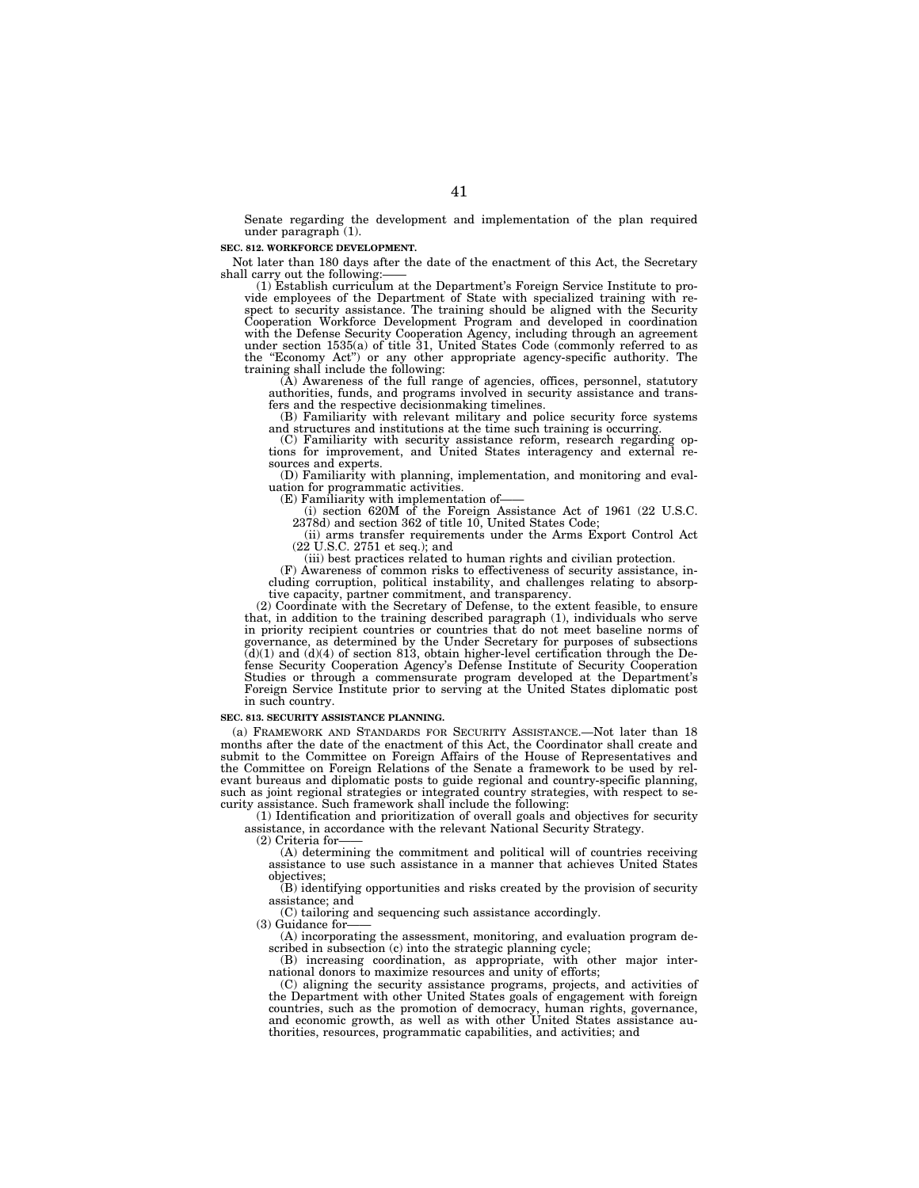Senate regarding the development and implementation of the plan required under paragraph (1).

#### **SEC. 812. WORKFORCE DEVELOPMENT.**

Not later than 180 days after the date of the enactment of this Act, the Secretary shall carry out the following:

(1) Establish curriculum at the Department's Foreign Service Institute to provide employees of the Department of State with specialized training with respect to security assistance. The training should be aligned with the Security Cooperation Workforce Development Program and developed in coordinat with the Defense Security Cooperation Agency, including through an agreement under section 1535(a) of title 31, United States Code (commonly referred to as the ''Economy Act'') or any other appropriate agency-specific authority. The training shall include the following:

(A) Awareness of the full range of agencies, offices, personnel, statutory authorities, funds, and programs involved in security assistance and trans-fers and the respective decisionmaking timelines.

(B) Familiarity with relevant military and police security force systems and structures and institutions at the time such training is occurring.

(C) Familiarity with security assistance reform, research regarding options for improvement, and United States interagency and external resources and experts.

(D) Familiarity with planning, implementation, and monitoring and evaluation for programmatic activities.

(E) Familiarity with implementation of—<br>(i) section 620M of the Foreign Assistance Act of 1961 (22 U.S.C.<br>2378d) and section 362 of title 10, United States Code;<br>(ii) arms transfer requirements under the Arms Export Contro

(22 U.S.C. 2751 et seq.); and (iii) best practices related to human rights and civilian protection.

(F) Awareness of common risks to effectiveness of security assistance, in-cluding corruption, political instability, and challenges relating to absorp-

tive capacity, partner commitment, and transparency. (2) Coordinate with the Secretary of Defense, to the extent feasible, to ensure that, in addition to the training described paragraph (1), individuals who serve in priority recipient countries or countries that do not meet baseline norms of governance, as determined by the Under Secretary for purposes of subsections  $(d)(1)$  and  $(d)(4)$  of section 813, obtain higher-level certification through the Defense Security Cooperation Agency's Defense Institute of Security Cooperation Studies or through a commensurate program developed at the Department's Foreign Service Institute prior to serving at the United States diplomatic post in such country.

#### **SEC. 813. SECURITY ASSISTANCE PLANNING.**

(a) FRAMEWORK AND STANDARDS FOR SECURITY ASSISTANCE.—Not later than 18 months after the date of the enactment of this Act, the Coordinator shall create and submit to the Committee on Foreign Affairs of the House of Representatives and the Committee on Foreign Relations of the Senate a framework to be used by relevant bureaus and diplomatic posts to guide regional and country-specific planning, such as joint regional strategies or integrated country strategies, with respect to security assistance. Such framework shall include the following:

(1) Identification and prioritization of overall goals and objectives for security assistance, in accordance with the relevant National Security Strategy.

 $(2)$  Criteria for

(A) determining the commitment and political will of countries receiving assistance to use such assistance in a manner that achieves United States objectives;

(B) identifying opportunities and risks created by the provision of security assistance; and

(C) tailoring and sequencing such assistance accordingly.

(3) Guidance for

(A) incorporating the assessment, monitoring, and evaluation program described in subsection (c) into the strategic planning cycle;

(B) increasing coordination, as appropriate, with other major international donors to maximize resources and unity of efforts;

(C) aligning the security assistance programs, projects, and activities of the Department with other United States goals of engagement with foreign countries, such as the promotion of democracy, human rights, governance, and economic growth, as well as with other United States assistance authorities, resources, programmatic capabilities, and activities; and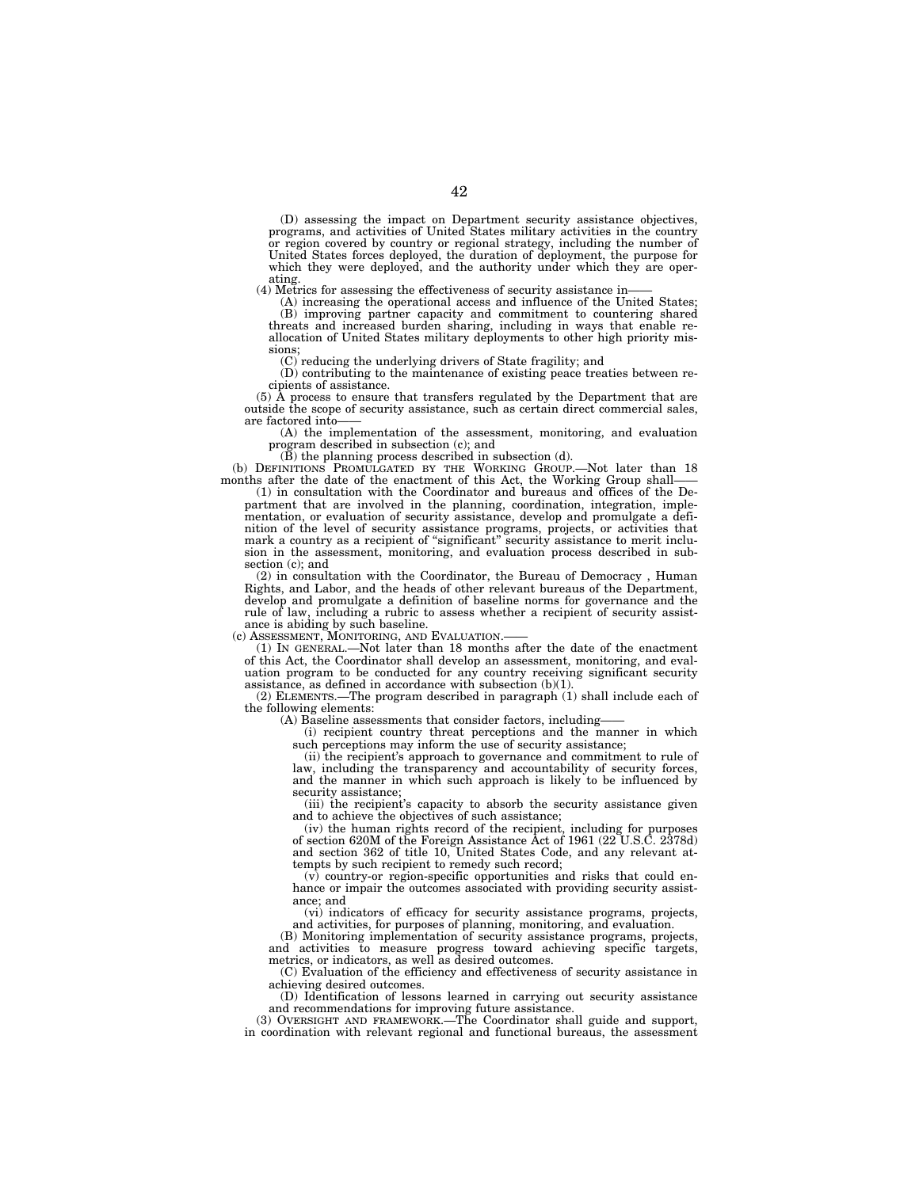(D) assessing the impact on Department security assistance objectives, programs, and activities of United States military activities in the country or region covered by country or regional strategy, including the number of United States forces deployed, the duration of deployment, the purpose for which they were deployed, and the authority under which they are operating.

(4) Metrics for assessing the effectiveness of security assistance in——

(A) increasing the operational access and influence of the United States: (B) improving partner capacity and commitment to countering shared threats and increased burden sharing, including in ways that enable reallocation of United States military deployments to other high priority missions;

(C) reducing the underlying drivers of State fragility; and

(D) contributing to the maintenance of existing peace treaties between recipients of assistance.

(5) A process to ensure that transfers regulated by the Department that are outside the scope of security assistance, such as certain direct commercial sales, are factored into——

(A) the implementation of the assessment, monitoring, and evaluation program described in subsection (c); and

 $(\check{B})$  the planning process described in subsection (d).

(b) DEFINITIONS PROMULGATED BY THE WORKING GROUP.—Not later than 18 months after the date of the enactment of this Act, the Working Group shall——

(1) in consultation with the Coordinator and bureaus and offices of the Department that are involved in the planning, coordination, integration, implementation, or evaluation of security assistance, develop and promulgate a definition of the level of security assistance programs, projects, or activities that mark a country as a recipient of "significant" security assistance to merit inclusion in the assessment, monitoring, and evaluation process described in subsection (c); and

(2) in consultation with the Coordinator, the Bureau of Democracy , Human Rights, and Labor, and the heads of other relevant bureaus of the Department, develop and promulgate a definition of baseline norms for governance and the rule of law, including a rubric to assess whether a recipient of security assistance is abiding by such baseline.

(c) ASSESSMENT, MONITORING, AND EVALUATION.

(1) IN GENERAL.—Not later than 18 months after the date of the enactment of this Act, the Coordinator shall develop an assessment, monitoring, and evaluation program to be conducted for any country receiving significant security assistance, as defined in accordance with subsection (b)(1).

(2) ELEMENTS.—The program described in paragraph (1) shall include each of the following elements:

(A) Baseline assessments that consider factors, including——

(i) recipient country threat perceptions and the manner in which

such perceptions may inform the use of security assistance;

(ii) the recipient's approach to governance and commitment to rule of law, including the transparency and accountability of security forces, and the manner in which such approach is likely to be influenced by security assistance;

(iii) the recipient's capacity to absorb the security assistance given and to achieve the objectives of such assistance;

(iv) the human rights record of the recipient, including for purposes of section 620M of the Foreign Assistance Act of 1961 (22 U.S.C. 2378d) and section 362 of title 10, United States Code, and any relevant attempts by such recipient to remedy such record;

(v) country-or region-specific opportunities and risks that could enhance or impair the outcomes associated with providing security assistance; and

(vi) indicators of efficacy for security assistance programs, projects, and activities, for purposes of planning, monitoring, and evaluation.

(B) Monitoring implementation of security assistance programs, projects, and activities to measure progress toward achieving specific targets, metrics, or indicators, as well as desired outcomes.

(C) Evaluation of the efficiency and effectiveness of security assistance in achieving desired outcomes.

(D) Identification of lessons learned in carrying out security assistance and recommendations for improving future assistance.

(3) OVERSIGHT AND FRAMEWORK.—The Coordinator shall guide and support, in coordination with relevant regional and functional bureaus, the assessment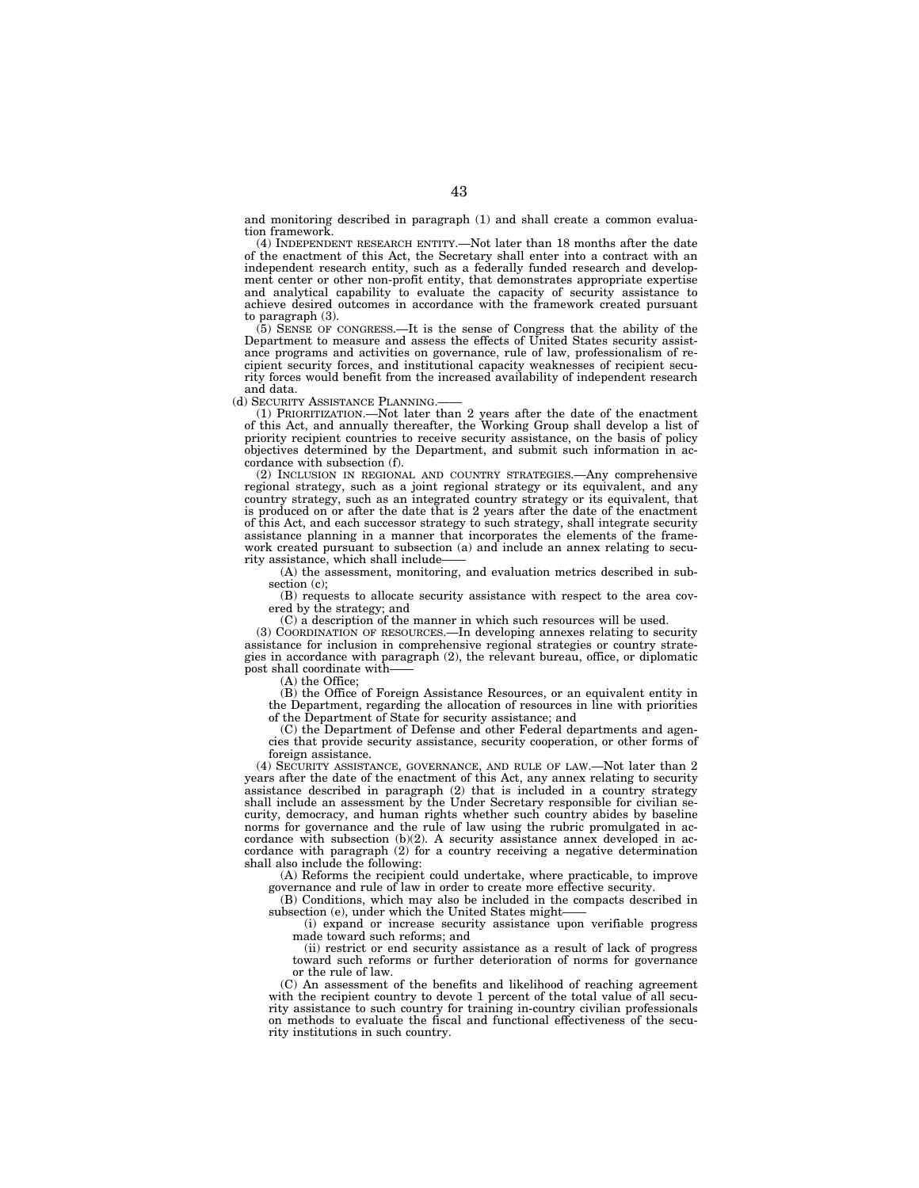and monitoring described in paragraph (1) and shall create a common evaluation framework.

(4) INDEPENDENT RESEARCH ENTITY.—Not later than 18 months after the date of the enactment of this Act, the Secretary shall enter into a contract with an independent research entity, such as a federally funded research and development center or other non-profit entity, that demonstrates appropriate expertise and analytical capability to evaluate the capacity of security assistance to achieve desired outcomes in accordance with the framework created pursuant to paragraph (3).

(5) SENSE OF CONGRESS.—It is the sense of Congress that the ability of the Department to measure and assess the effects of United States security assistance programs and activities on governance, rule of law, professionalism of recipient security forces, and institutional capacity weaknesses of recipient security forces would benefit from the increased availability of independent research and data.

(d) SECURITY ASSISTANCE PLANNING.

(1) PRIORITIZATION.—Not later than 2 years after the date of the enactment of this Act, and annually thereafter, the Working Group shall develop a list of priority recipient countries to receive security assistance, on the basis of policy objectives determined by the Department, and submit such information in accordance with subsection (f).

(2) INCLUSION IN REGIONAL AND COUNTRY STRATEGIES.—Any comprehensive regional strategy, such as a joint regional strategy or its equivalent, and any country strategy, such as an integrated country strategy or its equivalent, that is produced on or after the date that is 2 years after the date of the enactment of this Act, and each successor strategy to such strategy, shall integrate security assistance planning in a manner that incorporates the elements of the framework created pursuant to subsection (a) and include an annex relating to security assistance, which shall include-

(A) the assessment, monitoring, and evaluation metrics described in subsection (c);

(B) requests to allocate security assistance with respect to the area covered by the strategy; and

(C) a description of the manner in which such resources will be used.

(3) COORDINATION OF RESOURCES.—In developing annexes relating to security assistance for inclusion in comprehensive regional strategies or country strategies in accordance with paragraph (2), the relevant bureau, office, or diplomatic post shall coordinate with——

(A) the Office;

(B) the Office of Foreign Assistance Resources, or an equivalent entity in the Department, regarding the allocation of resources in line with priorities of the Department of State for security assistance; and

(C) the Department of Defense and other Federal departments and agencies that provide security assistance, security cooperation, or other forms of foreign assistance.

(4) SECURITY ASSISTANCE, GOVERNANCE, AND RULE OF LAW.—Not later than 2 years after the date of the enactment of this Act, any annex relating to security assistance described in paragraph (2) that is included in a country strategy shall include an assessment by the Under Secretary responsible for civilian security, democracy, and human rights whether such country abides by baseline norms for governance and the rule of law using the rubric promulgated in accordance with subsection (b)(2). A security assistance annex developed in accordance with paragraph  $(2)$  for a country receiving a negative determination shall also include the following:

(A) Reforms the recipient could undertake, where practicable, to improve governance and rule of law in order to create more effective security.

(B) Conditions, which may also be included in the compacts described in subsection (e), under which the United States might-

(i) expand or increase security assistance upon verifiable progress made toward such reforms; and

(ii) restrict or end security assistance as a result of lack of progress toward such reforms or further deterioration of norms for governance or the rule of law.

(C) An assessment of the benefits and likelihood of reaching agreement with the recipient country to devote 1 percent of the total value of all security assistance to such country for training in-country civilian professionals on methods to evaluate the fiscal and functional effectiveness of the security institutions in such country.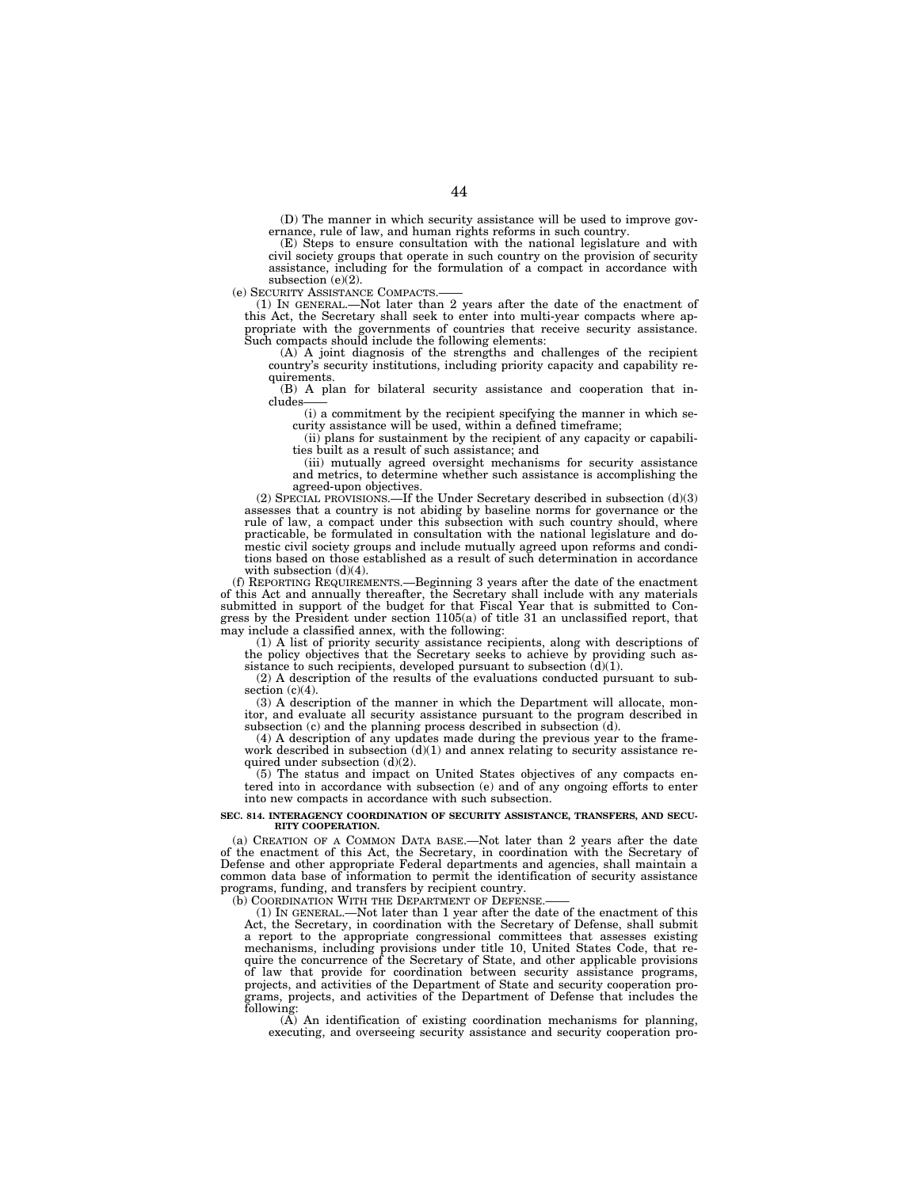(D) The manner in which security assistance will be used to improve governance, rule of law, and human rights reforms in such country.

(E) Steps to ensure consultation with the national legislature and with civil society groups that operate in such country on the provision of security assistance, including for the formulation of a compact in accordance with subsection (e)(2).

(e) SECURITY ASSISTANCE COMPACTS.——

(1) IN GENERAL.—Not later than 2 years after the date of the enactment of this Act, the Secretary shall seek to enter into multi-year compacts where appropriate with the governments of countries that receive security assistance. Such compacts should include the following elements:

(A) A joint diagnosis of the strengths and challenges of the recipient country's security institutions, including priority capacity and capability requirements.

(B) A plan for bilateral security assistance and cooperation that includes

(i) a commitment by the recipient specifying the manner in which security assistance will be used, within a defined timeframe;

(ii) plans for sustainment by the recipient of any capacity or capabilities built as a result of such assistance; and

(iii) mutually agreed oversight mechanisms for security assistance and metrics, to determine whether such assistance is accomplishing the agreed-upon objectives.

 $(2)$  SPECIAL PROVISIONS.—If the Under Secretary described in subsection  $(d)(3)$ assesses that a country is not abiding by baseline norms for governance or the rule of law, a compact under this subsection with such country should, where practicable, be formulated in consultation with the national legislature and domestic civil society groups and include mutually agreed upon reforms and conditions based on those established as a result of such determination in accordance with subsection (d)(4).

(f) REPORTING REQUIREMENTS.—Beginning 3 years after the date of the enactment of this Act and annually thereafter, the Secretary shall include with any materials submitted in support of the budget for that Fiscal Year that is submitted to Congress by the President under section 1105(a) of title 31 an unclassified report, that may include a classified annex, with the following:

(1) A list of priority security assistance recipients, along with descriptions of the policy objectives that the Secretary seeks to achieve by providing such assistance to such recipients, developed pursuant to subsection (d)(1).

(2) A description of the results of the evaluations conducted pursuant to subsection  $(c)(4)$ .

(3) A description of the manner in which the Department will allocate, monitor, and evaluate all security assistance pursuant to the program described in subsection (c) and the planning process described in subsection (d).

(4) A description of any updates made during the previous year to the framework described in subsection  $(d)(1)$  and annex relating to security assistance required under subsection (d)(2).

(5) The status and impact on United States objectives of any compacts entered into in accordance with subsection (e) and of any ongoing efforts to enter into new compacts in accordance with such subsection.

#### **SEC. 814. INTERAGENCY COORDINATION OF SECURITY ASSISTANCE, TRANSFERS, AND SECU-RITY COOPERATION.**

(a) CREATION OF A COMMON DATA BASE.—Not later than 2 years after the date of the enactment of this Act, the Secretary, in coordination with the Secretary of Defense and other appropriate Federal departments and agencies, shall maintain a common data base of information to permit the identification of security assistance programs, funding, and transfers by recipient country.

(b) COORDINATION WITH THE DEPARTMENT OF DEFENSE.

(1) IN GENERAL.—Not later than 1 year after the date of the enactment of this Act, the Secretary, in coordination with the Secretary of Defense, shall submit a report to the appropriate congressional committees that assesses existing mechanisms, including provisions under title 10, United States Code, that require the concurrence of the Secretary of State, and other applicable provisions of law that provide for coordination between security assistance programs, projects, and activities of the Department of State and security cooperation programs, projects, and activities of the Department of Defense that includes the following:

(A) An identification of existing coordination mechanisms for planning, executing, and overseeing security assistance and security cooperation pro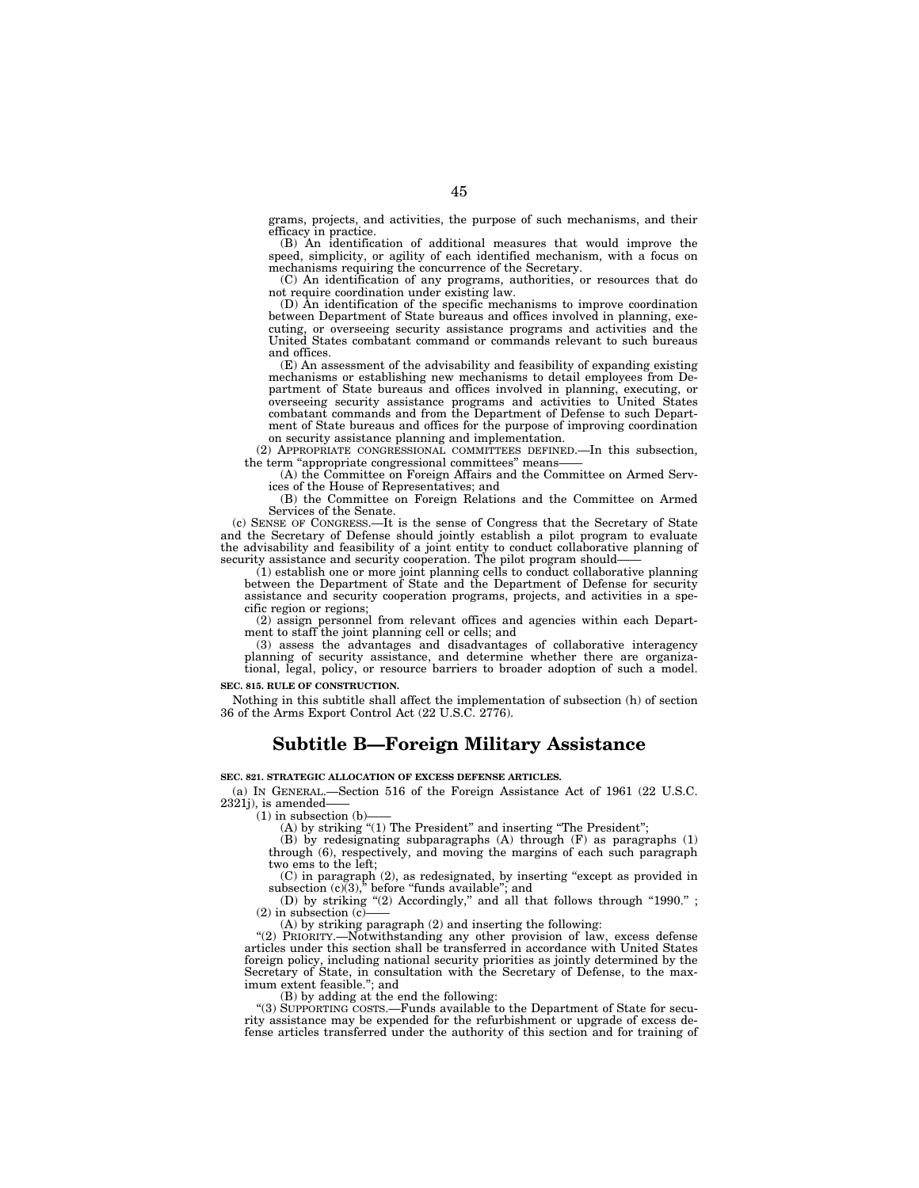grams, projects, and activities, the purpose of such mechanisms, and their efficacy in practice.

(B) An identification of additional measures that would improve the speed, simplicity, or agility of each identified mechanism, with a focus on mechanisms requiring the concurrence of the Secretary.

(C) An identification of any programs, authorities, or resources that do not require coordination under existing law.

(D) An identification of the specific mechanisms to improve coordination between Department of State bureaus and offices involved in planning, executing, or overseeing security assistance programs and activities and the United States combatant command or commands relevant to such bureaus and offices.

(E) An assessment of the advisability and feasibility of expanding existing mechanisms or establishing new mechanisms to detail employees from Department of State bureaus and offices involved in planning, executing, or overseeing security assistance programs and activities to United States combatant commands and from the Department of Defense to such Department of State bureaus and offices for the purpose of improving coordination on security assistance planning and implementation.

(2) APPROPRIATE CONGRESSIONAL COMMITTEES DEFINED.—In this subsection, the term "appropriate congressional committees" means-

(A) the Committee on Foreign Affairs and the Committee on Armed Services of the House of Representatives; and

(B) the Committee on Foreign Relations and the Committee on Armed Services of the Senate.

(c) SENSE OF CONGRESS.—It is the sense of Congress that the Secretary of State and the Secretary of Defense should jointly establish a pilot program to evaluate the advisability and feasibility of a joint entity to conduct collaborative planning of security assistance and security cooperation. The pilot program should-

(1) establish one or more joint planning cells to conduct collaborative planning between the Department of State and the Department of Defense for security assistance and security cooperation programs, projects, and activities in a specific region or regions;

(2) assign personnel from relevant offices and agencies within each Department to staff the joint planning cell or cells; and

(3) assess the advantages and disadvantages of collaborative interagency planning of security assistance, and determine whether there are organizational, legal, policy, or resource barriers to broader adoption of such a model.

**SEC. 815. RULE OF CONSTRUCTION.** 

Nothing in this subtitle shall affect the implementation of subsection (h) of section 36 of the Arms Export Control Act (22 U.S.C. 2776).

# **Subtitle B—Foreign Military Assistance**

**SEC. 821. STRATEGIC ALLOCATION OF EXCESS DEFENSE ARTICLES.** 

(a) IN GENERAL.—Section 516 of the Foreign Assistance Act of 1961 (22 U.S.C. 2321j), is amended-

 $(1)$  in subsection  $(b)$ -

(A) by striking "(1) The President" and inserting "The President";

(B) by redesignating subparagraphs (A) through (F) as paragraphs (1) through (6), respectively, and moving the margins of each such paragraph two ems to the left;

(C) in paragraph (2), as redesignated, by inserting ''except as provided in subsection  $(c)(3)$ ," before "funds available"; and

(D) by striking "(2) Accordingly," and all that follows through "1990." ;  $(2)$  in subsection  $(c)$ 

(A) by striking paragraph (2) and inserting the following:

''(2) PRIORITY.—Notwithstanding any other provision of law, excess defense articles under this section shall be transferred in accordance with United States foreign policy, including national security priorities as jointly determined by the Secretary of State, in consultation with the Secretary of Defense, to the maximum extent feasible.''; and

(B) by adding at the end the following:

''(3) SUPPORTING COSTS.—Funds available to the Department of State for security assistance may be expended for the refurbishment or upgrade of excess defense articles transferred under the authority of this section and for training of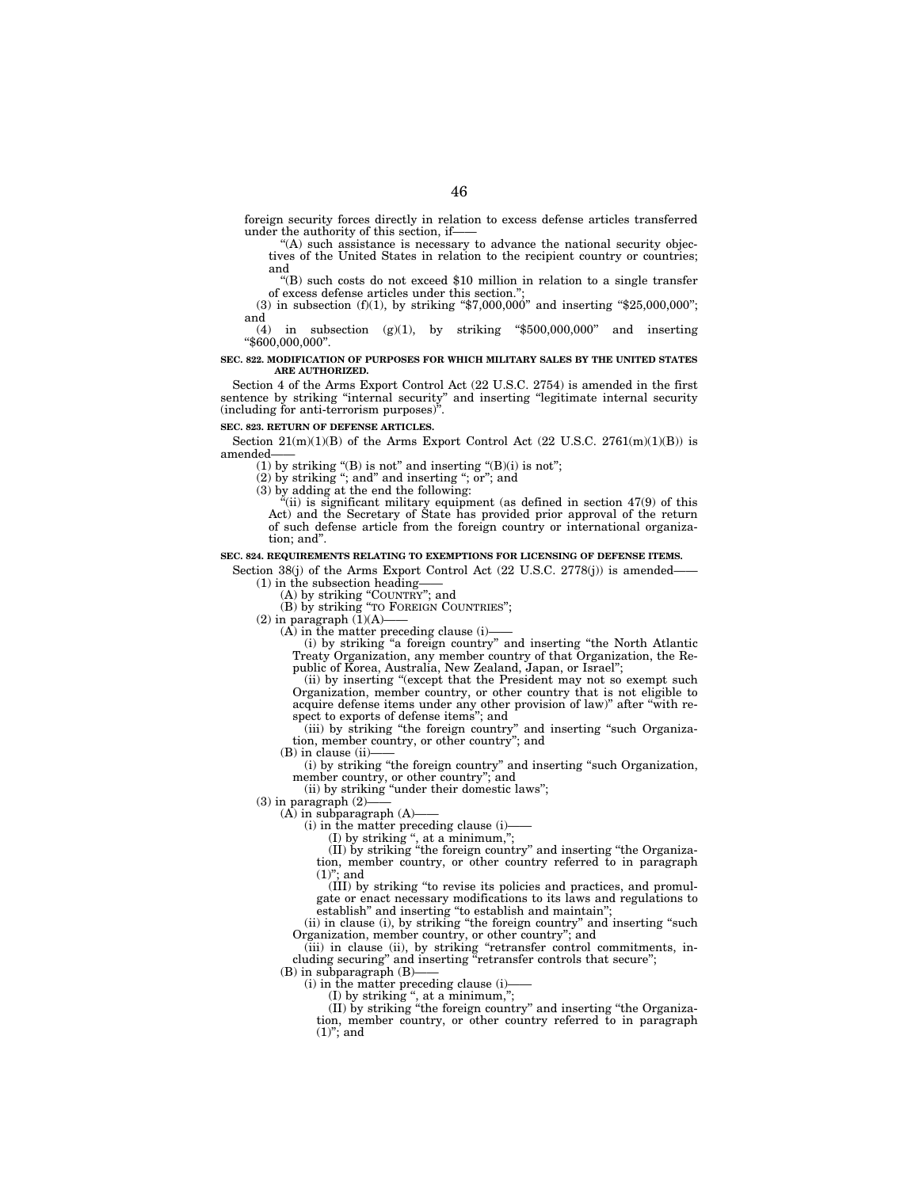foreign security forces directly in relation to excess defense articles transferred under the authority of this section, if——

''(A) such assistance is necessary to advance the national security objectives of the United States in relation to the recipient country or countries; and

''(B) such costs do not exceed \$10 million in relation to a single transfer of excess defense articles under this section.'

(3) in subsection (f)(1), by striking "\$7,000,000" and inserting "\$25,000,000"; and  $\frac{(4)}{4}$ 

in subsection  $(g)(1)$ , by striking "\$500,000,000" and inserting ''\$600,000,000''.

#### **SEC. 822. MODIFICATION OF PURPOSES FOR WHICH MILITARY SALES BY THE UNITED STATES ARE AUTHORIZED.**

Section 4 of the Arms Export Control Act (22 U.S.C. 2754) is amended in the first sentence by striking ''internal security'' and inserting ''legitimate internal security (including for anti-terrorism purposes)''.

# **SEC. 823. RETURN OF DEFENSE ARTICLES.**

Section  $21(m)(1)(B)$  of the Arms Export Control Act (22 U.S.C. 2761 $(m)(1)(B)$ ) is amended-

(1) by striking " $(B)$  is not" and inserting " $(B)(i)$  is not";

(2) by striking ''; and'' and inserting ''; or''; and

(3) by adding at the end the following:

 $\ddot{H}$ <sup>i</sup>(ii) is significant military equipment (as defined in section 47(9) of this Act) and the Secretary of State has provided prior approval of the return of such defense article from the foreign country or international organization; and''.

# **SEC. 824. REQUIREMENTS RELATING TO EXEMPTIONS FOR LICENSING OF DEFENSE ITEMS.**

Section  $38(j)$  of the Arms Export Control Act  $(22 \text{ U.S.C. } 2778(j))$  is amended- $(1)$  in the subsection heading-

(A) by striking "COUNTRY"; and (B) by striking ''TO FOREIGN COUNTRIES'';

(2) in paragraph  $(1)(A)$ -

 $(A)$  in the matter preceding clause (i)-

(i) by striking ''a foreign country'' and inserting ''the North Atlantic Treaty Organization, any member country of that Organization, the Republic of Korea, Australia, New Zealand, Japan, or Israel";

(ii) by inserting ''(except that the President may not so exempt such Organization, member country, or other country that is not eligible to acquire defense items under any other provision of law)'' after ''with respect to exports of defense items''; and

(iii) by striking "the foreign country" and inserting "such Organization, member country, or other country''; and

 $(B)$  in clause  $(ii)$ 

(i) by striking "the foreign country" and inserting "such Organization, member country, or other country''; and

(ii) by striking ''under their domestic laws'';

 $(3)$  in paragraph  $(2)$ -

 $(A)$  in subparagraph  $(A)$ -

 $(i)$  in the matter preceding clause  $(i)$ 

(I) by striking ", at a minimum,";

(II) by striking ''the foreign country'' and inserting ''the Organization, member country, or other country referred to in paragraph  $(1)$ "; and

(III) by striking ''to revise its policies and practices, and promulgate or enact necessary modifications to its laws and regulations to establish" and inserting "to establish and maintain";

(ii) in clause (i), by striking "the foreign country" and inserting "such Organization, member country, or other country''; and

(iii) in clause (ii), by striking ''retransfer control commitments, including securing'' and inserting ''retransfer controls that secure'';

 $(B)$  in subparagraph  $(B)$ -

(i) in the matter preceding clause (i)-

(I) by striking ", at a minimum,";

(II) by striking ''the foreign country'' and inserting ''the Organization, member country, or other country referred to in paragraph  $(1)$ "; and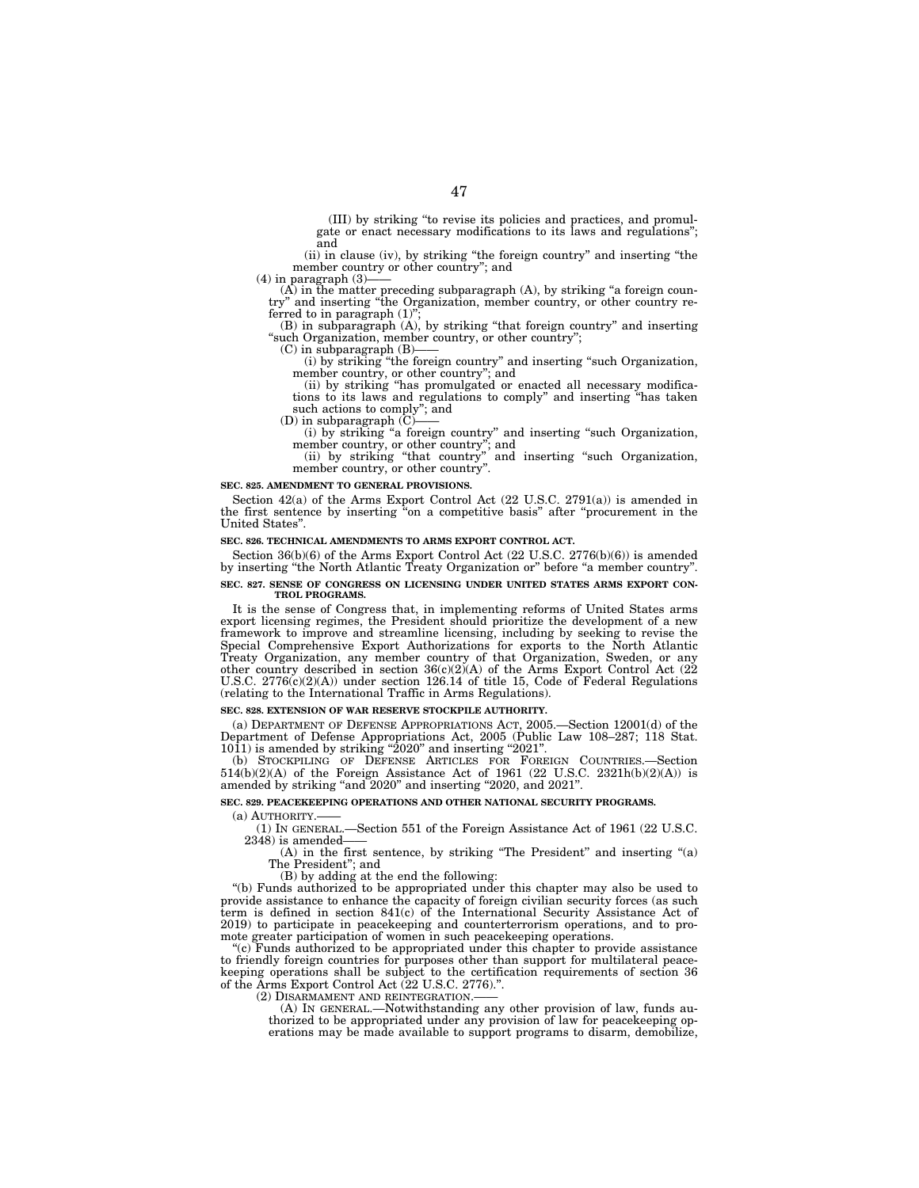(III) by striking ''to revise its policies and practices, and promulgate or enact necessary modifications to its laws and regulations''; and

(ii) in clause (iv), by striking ''the foreign country'' and inserting ''the member country or other country''; and

 $(4)$  in paragraph  $(3)$ -

(A) in the matter preceding subparagraph (A), by striking "a foreign country" and inserting "the Organization, member country, or other country referred to in paragraph  $(1)'$ 

The control of the paragraph  $(1)$ ;<br>(B) in subparagraph  $(A)$ , by striking "that foreign country" and inserting "such Organization, member country, or other country";

(C) in subparagraph (B)—— (i) by striking ''the foreign country'' and inserting ''such Organization, member country, or other country"; and<br>(ii) by striking "has promulgated or enacted all necessary modifica-

tions to its laws and regulations to comply'' and inserting ''has taken such actions to comply''; and

 $(D)$  in subparagraph  $(C)$ 

(i) by striking ''a foreign country'' and inserting ''such Organization,

member country, or other country"; and<br>
(ii) by striking "that country" and inserting "such Organization, member country, or other country".

#### **SEC. 825. AMENDMENT TO GENERAL PROVISIONS.**

Section 42(a) of the Arms Export Control Act (22 U.S.C. 2791(a)) is amended in the first sentence by inserting ''on a competitive basis'' after ''procurement in the United States''.

#### **SEC. 826. TECHNICAL AMENDMENTS TO ARMS EXPORT CONTROL ACT.**

Section  $36(b)(6)$  of the Arms Export Control Act  $(22 \text{ U.S.C. } 2776(b)(6))$  is amended by inserting "the North Atlantic Treaty Organization or" before "a member country".

#### **SEC. 827. SENSE OF CONGRESS ON LICENSING UNDER UNITED STATES ARMS EXPORT CON-TROL PROGRAMS.**

It is the sense of Congress that, in implementing reforms of United States arms export licensing regimes, the President should prioritize the development of a new framework to improve and streamline licensing, including by seeking to revise the Special Comprehensive Export Authorizations for exports to the North Atlantic Treaty Organization, any member country of that Organization, Sweden, or any other country described in section  $36(c)(2)(A)$  of the Arms Export Control Act (22) U.S.C. 2776(c)(2)(A)) under section 126.14 of title 15, Code of Federal Regulations (relating to the International Traffic in Arms Regulations).

#### **SEC. 828. EXTENSION OF WAR RESERVE STOCKPILE AUTHORITY.**

(a) DEPARTMENT OF DEFENSE APPROPRIATIONS ACT, 2005.—Section 12001(d) of the Department of Defense Appropriations Act, 2005 (Public Law 108–287; 118 Stat.  $1011$ ) is amended by striking "2020" and inserting "2021".

(b) STOCKPILING OF DEFENSE ARTICLES FOR FOREIGN COUNTRIES.—Section  $514(b)(2)(A)$  of the Foreign Assistance Act of 1961 (22 U.S.C. 2321h(b)(2)(A)) is amended by striking "and 2020" and inserting "2020, and 2021".

#### **SEC. 829. PEACEKEEPING OPERATIONS AND OTHER NATIONAL SECURITY PROGRAMS.**

(a) AUTHORITY.-

(1) IN GENERAL.—Section 551 of the Foreign Assistance Act of 1961 (22 U.S.C.  $2348$ ) is amended-

(A) in the first sentence, by striking ''The President'' and inserting ''(a) The President''; and

(B) by adding at the end the following:

''(b) Funds authorized to be appropriated under this chapter may also be used to provide assistance to enhance the capacity of foreign civilian security forces (as such term is defined in section 841(c) of the International Security Assistance Act of 2019) to participate in peacekeeping and counterterrorism operations, and to promote greater participation of women in such peacekeeping operations.

''(c) Funds authorized to be appropriated under this chapter to provide assistance to friendly foreign countries for purposes other than support for multilateral peacekeeping operations shall be subject to the certification requirements of section 36 of the Arms Export Control Act (22 U.S.C. 2776).''.

(2) DISARMAMENT AND REINTEGRATION.

(A) IN GENERAL.—Notwithstanding any other provision of law, funds authorized to be appropriated under any provision of law for peacekeeping operations may be made available to support programs to disarm, demobilize,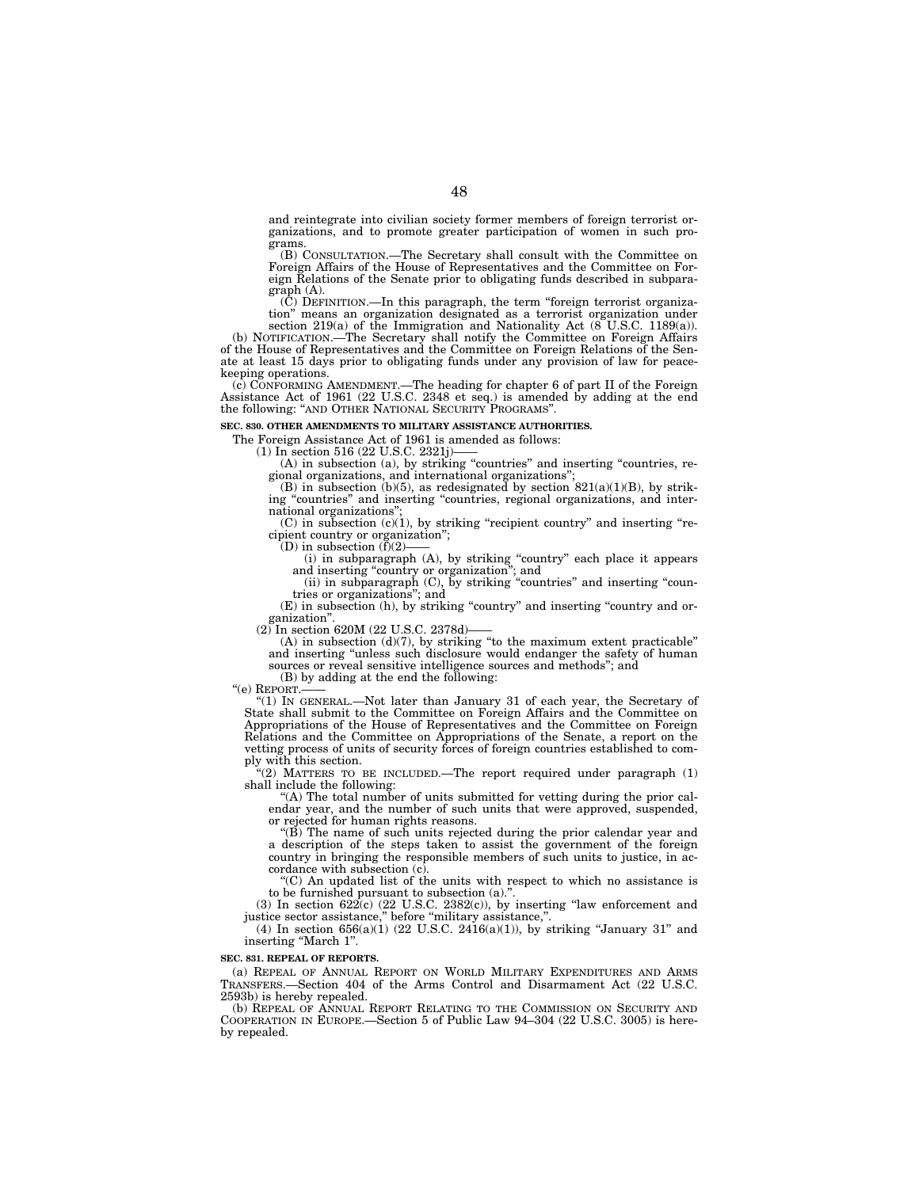and reintegrate into civilian society former members of foreign terrorist organizations, and to promote greater participation of women in such programs.

(B) CONSULTATION.—The Secretary shall consult with the Committee on Foreign Affairs of the House of Representatives and the Committee on For-eign Relations of the Senate prior to obligating funds described in subparagraph (A).

(C) DEFINITION.—In this paragraph, the term ''foreign terrorist organization'' means an organization designated as a terrorist organization under

section 219(a) of the Immigration and Nationality Act  $(8^{\circ}$  U.S.C. 1189(a)). (b) NOTIFICATION.—The Secretary shall notify the Committee on Foreign Affairs of the House of Representatives and the Committee on Foreign Relations of the Sen-ate at least 15 days prior to obligating funds under any provision of law for peacekeeping operations.

(c) CONFORMING AMENDMENT.—The heading for chapter 6 of part II of the Foreign Assistance Act of 1961 (22 U.S.C. 2348 et seq.) is amended by adding at the end the following: ''AND OTHER NATIONAL SECURITY PROGRAMS''.

**SEC. 830. OTHER AMENDMENTS TO MILITARY ASSISTANCE AUTHORITIES.** 

The Foreign Assistance Act of 1961 is amended as follows:

(1) In section 516 (22 U.S.C. 2321j)—— (A) in subsection (a), by striking ''countries'' and inserting ''countries, re-

gional organizations, and international organizations''; (B) in subsection (b)(5), as redesignated by section 821(a)(1)(B), by striking ''countries'' and inserting ''countries, regional organizations, and international organizations'

 $(C)$  in subsection  $(c)(1)$ , by striking "recipient country" and inserting "recipient country or organization";

 $\tilde{f}(D)$  in subsection  $\tilde{f}(2)$ 

(i) in subparagraph (A), by striking ''country'' each place it appears and inserting ''country or organization''; and (ii) in subparagraph (C), by striking ''countries'' and inserting ''coun-

tries or organizations''; and (E) in subsection (h), by striking ''country'' and inserting ''country and organization''.

 $(2)$  In section 620M (22 U.S.C. 2378d)

(A) in subsection  $(d)(7)$ , by striking "to the maximum extent practicable" and inserting ''unless such disclosure would endanger the safety of human sources or reveal sensitive intelligence sources and methods''; and

(B) by adding at the end the following:<br>"(e)  $REPORT.$ —–

" $(1)$  IN GENERAL.—Not later than January 31 of each year, the Secretary of State shall submit to the Committee on Foreign Affairs and the Committee on Appropriations of the House of Representatives and the Committee on Foreign Relations and the Committee on Appropriations of the Senate, a report on the vetting process of units of security forces of foreign countries established to comply with this section.

''(2) MATTERS TO BE INCLUDED.—The report required under paragraph (1) shall include the following:

 $H(A)$  The total number of units submitted for vetting during the prior calendar year, and the number of such units that were approved, suspended, or rejected for human rights reasons.

''(B) The name of such units rejected during the prior calendar year and a description of the steps taken to assist the government of the foreign country in bringing the responsible members of such units to justice, in accordance with subsection (c).

''(C) An updated list of the units with respect to which no assistance is to be furnished pursuant to subsection  $(a)$ .

(3) In section  $622(c)$  (22 U.S.C. 2382(c)), by inserting "law enforcement and justice sector assistance,'' before ''military assistance,''.

(4) In section  $656(a)(1)$  (22 U.S.C. 2416(a)(1)), by striking "January 31" and inserting "March 1".

**SEC. 831. REPEAL OF REPORTS.** 

(a) REPEAL OF ANNUAL REPORT ON WORLD MILITARY EXPENDITURES AND ARMS TRANSFERS.—Section 404 of the Arms Control and Disarmament Act (22 U.S.C. 2593b) is hereby repealed.

(b) REPEAL OF ANNUAL REPORT RELATING TO THE COMMISSION ON SECURITY AND COOPERATION IN EUROPE.—Section 5 of Public Law 94–304 (22 U.S.C. 3005) is hereby repealed.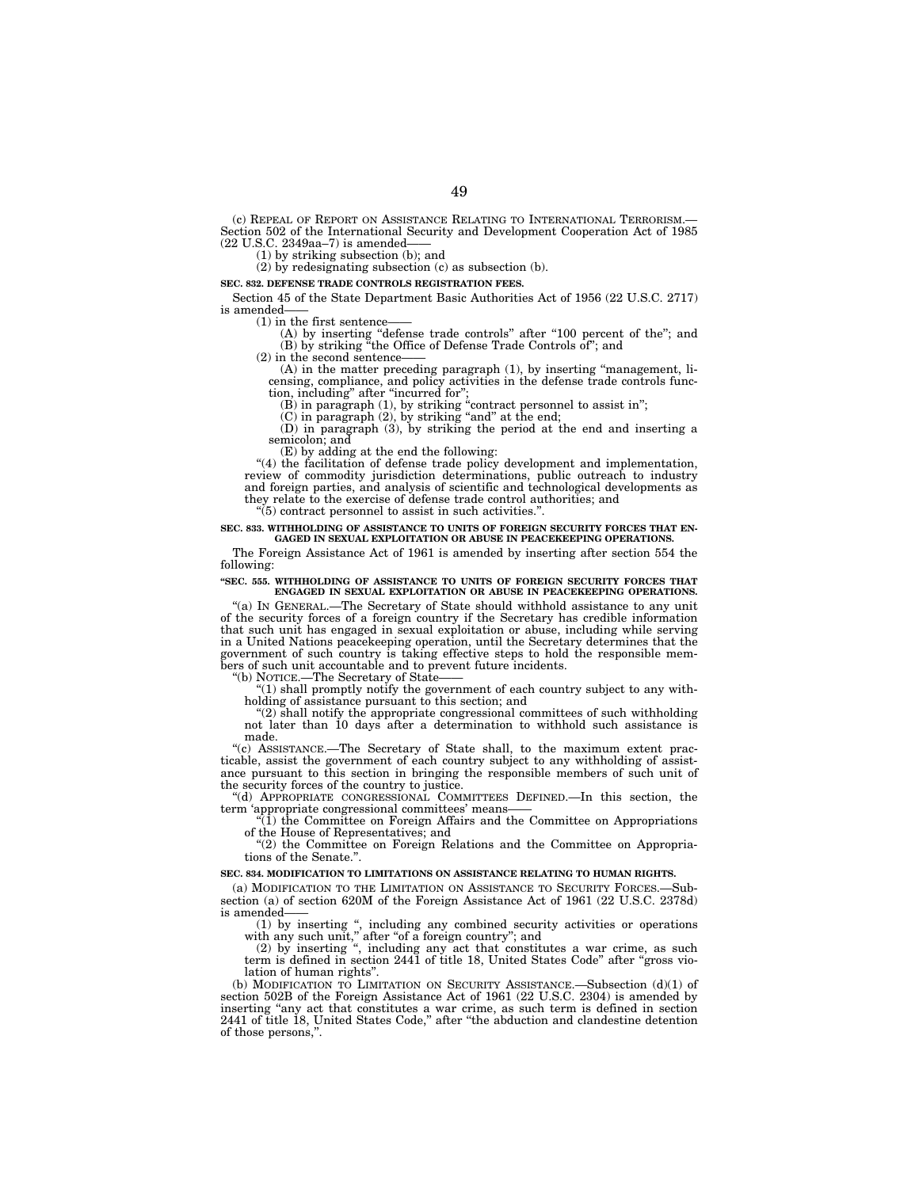(c) REPEAL OF REPORT ON ASSISTANCE RELATING TO INTERNATIONAL TERRORISM.— Section 502 of the International Security and Development Cooperation Act of 1985  $(22 \text{ U.S.C. } 2349$ aa-7) is amended-

(1) by striking subsection (b); and

(2) by redesignating subsection (c) as subsection (b).

# **SEC. 832. DEFENSE TRADE CONTROLS REGISTRATION FEES.**

Section 45 of the State Department Basic Authorities Act of 1956 (22 U.S.C. 2717) is amended

 $(1)$  in the first sentence

(A) by inserting ''defense trade controls'' after ''100 percent of the''; and (B) by striking ''the Office of Defense Trade Controls of''; and

 $(2)$  in the second sentence

(A) in the matter preceding paragraph (1), by inserting "management, li-<br>censing, compliance, and policy activities in the defense trade controls func-<br>tion, including "after "incurred for";<br>(B) in paragraph (1), by strik

(D) in paragraph (3), by striking the period at the end and inserting a semicolon; and

(E) by adding at the end the following:

''(4) the facilitation of defense trade policy development and implementation, review of commodity jurisdiction determinations, public outreach to industry and foreign parties, and analysis of scientific and technological developments as they relate to the exercise of defense trade control authorities; and ''(5) contract personnel to assist in such activities.''.

#### **SEC. 833. WITHHOLDING OF ASSISTANCE TO UNITS OF FOREIGN SECURITY FORCES THAT EN-GAGED IN SEXUAL EXPLOITATION OR ABUSE IN PEACEKEEPING OPERATIONS.**

The Foreign Assistance Act of 1961 is amended by inserting after section 554 the following:

# **''SEC. 555. WITHHOLDING OF ASSISTANCE TO UNITS OF FOREIGN SECURITY FORCES THAT ENGAGED IN SEXUAL EXPLOITATION OR ABUSE IN PEACEKEEPING OPERATIONS.**

''(a) IN GENERAL.—The Secretary of State should withhold assistance to any unit of the security forces of a foreign country if the Secretary has credible information that such unit has engaged in sexual exploitation or abuse, including while serving in a United Nations peacekeeping operation, until the Secretary determines that the government of such country is taking effective steps to hold the responsible mem-bers of such unit accountable and to prevent future incidents.

''(b) NOTICE.—The Secretary of State——

''(1) shall promptly notify the government of each country subject to any withholding of assistance pursuant to this section; and

''(2) shall notify the appropriate congressional committees of such withholding not later than 10 days after a determination to withhold such assistance is made.

''(c) ASSISTANCE.—The Secretary of State shall, to the maximum extent practicable, assist the government of each country subject to any withholding of assistance pursuant to this section in bringing the responsible members of such unit of the security forces of the country to justice.

''(d) APPROPRIATE CONGRESSIONAL COMMITTEES DEFINED.—In this section, the term 'appropriate congressional committees' means——

 $\sqrt[n]{(1)}$  the Committee on Foreign Affairs and the Committee on Appropriations of the House of Representatives; and

''(2) the Committee on Foreign Relations and the Committee on Appropriations of the Senate.''.

#### **SEC. 834. MODIFICATION TO LIMITATIONS ON ASSISTANCE RELATING TO HUMAN RIGHTS.**

(a) MODIFICATION TO THE LIMITATION ON ASSISTANCE TO SECURITY FORCES.—Subsection (a) of section 620M of the Foreign Assistance Act of 1961 (22 U.S.C. 2378d) is amended

(1) by inserting '', including any combined security activities or operations with any such unit," after "of a foreign country"; and

(2) by inserting '', including any act that constitutes a war crime, as such term is defined in section 2441 of title 18, United States Code" after "gross violation of human rights''.

(b) MODIFICATION TO LIMITATION ON SECURITY ASSISTANCE.—Subsection (d)(1) of section 502B of the Foreign Assistance Act of 1961 (22 U.S.C. 2304) is amended by inserting "any act that constitutes a war crime, as such term is defined in section 2441 of title 18, United States Code,'' after ''the abduction and clandestine detention of those persons,'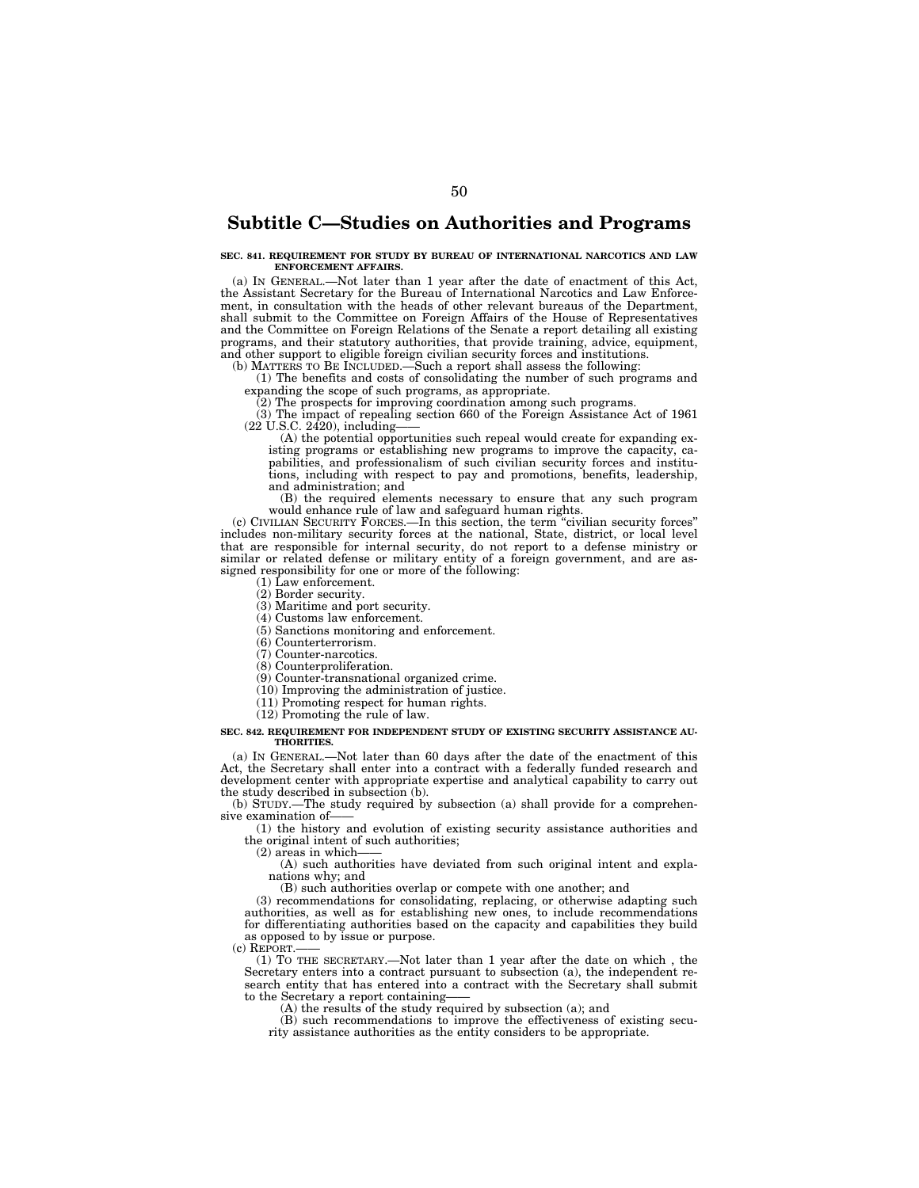# **Subtitle C—Studies on Authorities and Programs**

# **SEC. 841. REQUIREMENT FOR STUDY BY BUREAU OF INTERNATIONAL NARCOTICS AND LAW ENFORCEMENT AFFAIRS.**

(a) IN GENERAL.—Not later than 1 year after the date of enactment of this Act, the Assistant Secretary for the Bureau of International Narcotics and Law Enforcement, in consultation with the heads of other relevant bureaus of the Department, shall submit to the Committee on Foreign Affairs of the House of Representatives and the Committee on Foreign Relations of the Senate a report detailing all existing programs, and their statutory authorities, that provide training, advice, equipment, and other support to eligible foreign civilian security forces and institutions.

(b) MATTERS TO BE INCLUDED.—Such a report shall assess the following:

(1) The benefits and costs of consolidating the number of such programs and expanding the scope of such programs, as appropriate.

(2) The prospects for improving coordination among such programs.

(3) The impact of repealing section 660 of the Foreign Assistance Act of 1961  $(22$  U.S.C.  $2420$ ), including-

(A) the potential opportunities such repeal would create for expanding existing programs or establishing new programs to improve the capacity, capabilities, and professionalism of such civilian security forces and institutions, including with respect to pay and promotions, benefits, leadership, and administration; and

(B) the required elements necessary to ensure that any such program would enhance rule of law and safeguard human rights.

(c) CIVILIAN SECURITY FORCES.—In this section, the term ''civilian security forces'' includes non-military security forces at the national, State, district, or local level that are responsible for internal security, do not report to a defense ministry or similar or related defense or military entity of a foreign government, and are assigned responsibility for one or more of the following:

(1) Law enforcement.

(2) Border security.

(3) Maritime and port security.

(4) Customs law enforcement.

(5) Sanctions monitoring and enforcement.

(6) Counterterrorism.

(7) Counter-narcotics.

(8) Counterproliferation.

(9) Counter-transnational organized crime.

(10) Improving the administration of justice.

(11) Promoting respect for human rights.

(12) Promoting the rule of law.

#### **SEC. 842. REQUIREMENT FOR INDEPENDENT STUDY OF EXISTING SECURITY ASSISTANCE AU-THORITIES.**

(a) IN GENERAL.—Not later than 60 days after the date of the enactment of this Act, the Secretary shall enter into a contract with a federally funded research and development center with appropriate expertise and analytical capability to carry out the study described in subsection (b).

(b) STUDY.—The study required by subsection (a) shall provide for a comprehensive examination of-

(1) the history and evolution of existing security assistance authorities and the original intent of such authorities;

 $(2)$  areas in which

(A) such authorities have deviated from such original intent and explanations why; and

(B) such authorities overlap or compete with one another; and

(3) recommendations for consolidating, replacing, or otherwise adapting such authorities, as well as for establishing new ones, to include recommendations for differentiating authorities based on the capacity and capabilities they build as opposed to by issue or purpose.

 $(c)$  REPORT.

(1) TO THE SECRETARY.—Not later than 1 year after the date on which , the Secretary enters into a contract pursuant to subsection (a), the independent research entity that has entered into a contract with the Secretary shall submit to the Secretary a report containing-

(A) the results of the study required by subsection (a); and

(B) such recommendations to improve the effectiveness of existing security assistance authorities as the entity considers to be appropriate.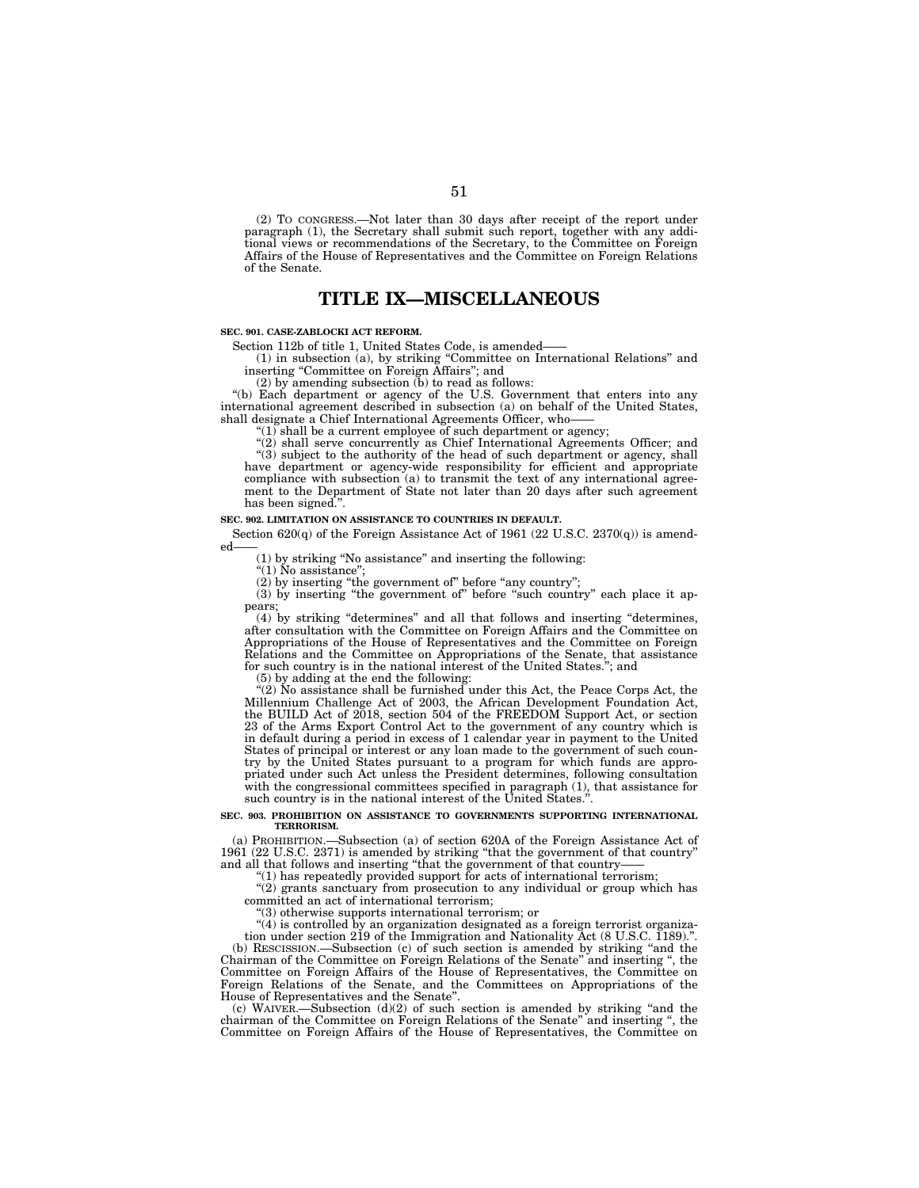(2) TO CONGRESS.—Not later than 30 days after receipt of the report under paragraph (1), the Secretary shall submit such report, together with any additional views or recommendations of the Secretary, to the Committee on Foreign Affairs of the House of Representatives and the Committee on Foreign Relations of the Senate.

# **TITLE IX—MISCELLANEOUS**

### **SEC. 901. CASE-ZABLOCKI ACT REFORM.**

Section 112b of title 1, United States Code, is amended——

(1) in subsection (a), by striking ''Committee on International Relations'' and inserting ''Committee on Foreign Affairs''; and

(2) by amending subsection (b) to read as follows:

''(b) Each department or agency of the U.S. Government that enters into any international agreement described in subsection (a) on behalf of the United States, shall designate a Chief International Agreements Officer, who——

 $(1)$  shall be a current employee of such department or agency;

''(2) shall serve concurrently as Chief International Agreements Officer; and  $'(3)$  subject to the authority of the head of such department or agency, shall have department or agency-wide responsibility for efficient and appropriate compliance with subsection (a) to transmit the text of any international agreement to the Department of State not later than 20 days after such agreement has been signed.".

#### **SEC. 902. LIMITATION ON ASSISTANCE TO COUNTRIES IN DEFAULT.**

Section  $620(q)$  of the Foreign Assistance Act of 1961 (22 U.S.C. 2370 $(q)$ ) is amended-

(1) by striking ''No assistance'' and inserting the following:

''(1) No assistance'';

 $(2)$  by inserting "the government of" before "any country";

(3) by inserting ''the government of'' before ''such country'' each place it appears;

(4) by striking ''determines'' and all that follows and inserting ''determines, after consultation with the Committee on Foreign Affairs and the Committee on Appropriations of the House of Representatives and the Committee on Foreign Relations and the Committee on Appropriations of the Senate, that assistance for such country is in the national interest of the United States.''; and

(5) by adding at the end the following:

 $\mathcal{L}(2)$  No assistance shall be furnished under this Act, the Peace Corps Act, the Millennium Challenge Act of 2003, the African Development Foundation Act, the BUILD Act of 2018, section 504 of the FREEDOM Support Act, or section 23 of the Arms Export Control Act to the government of any country which is in default during a period in excess of 1 calendar year in payment to the United States of principal or interest or any loan made to the government of such country by the United States pursuant to a program for which funds are appropriated under such Act unless the President determines, following consultation with the congressional committees specified in paragraph (1), that assistance for such country is in the national interest of the United States.''.

#### **SEC. 903. PROHIBITION ON ASSISTANCE TO GOVERNMENTS SUPPORTING INTERNATIONAL TERRORISM.**

(a) PROHIBITION.—Subsection (a) of section 620A of the Foreign Assistance Act of 1961 (22 U.S.C. 2371) is amended by striking ''that the government of that country'' and all that follows and inserting "that the government of that country

 $(1)$  has repeatedly provided support for acts of international terrorism;

"(2) grants sanctuary from prosecution to any individual or group which has committed an act of international terrorism;

''(3) otherwise supports international terrorism; or

''(4) is controlled by an organization designated as a foreign terrorist organization under section 219 of the Immigration and Nationality Act (8 U.S.C. 1189).''. (b) RESCISSION.—Subsection (c) of such section is amended by striking ''and the Chairman of the Committee on Foreign Relations of the Senate'' and inserting '', the Committee on Foreign Affairs of the House of Representatives, the Committee on Foreign Relations of the Senate, and the Committees on Appropriations of the House of Representatives and the Senate''.

(c) WAIVER.—Subsection  $(d)(2)$  of such section is amended by striking "and the chairman of the Committee on Foreign Relations of the Senate" and inserting Committee on Foreign Affairs of the House of Representatives, the Committee on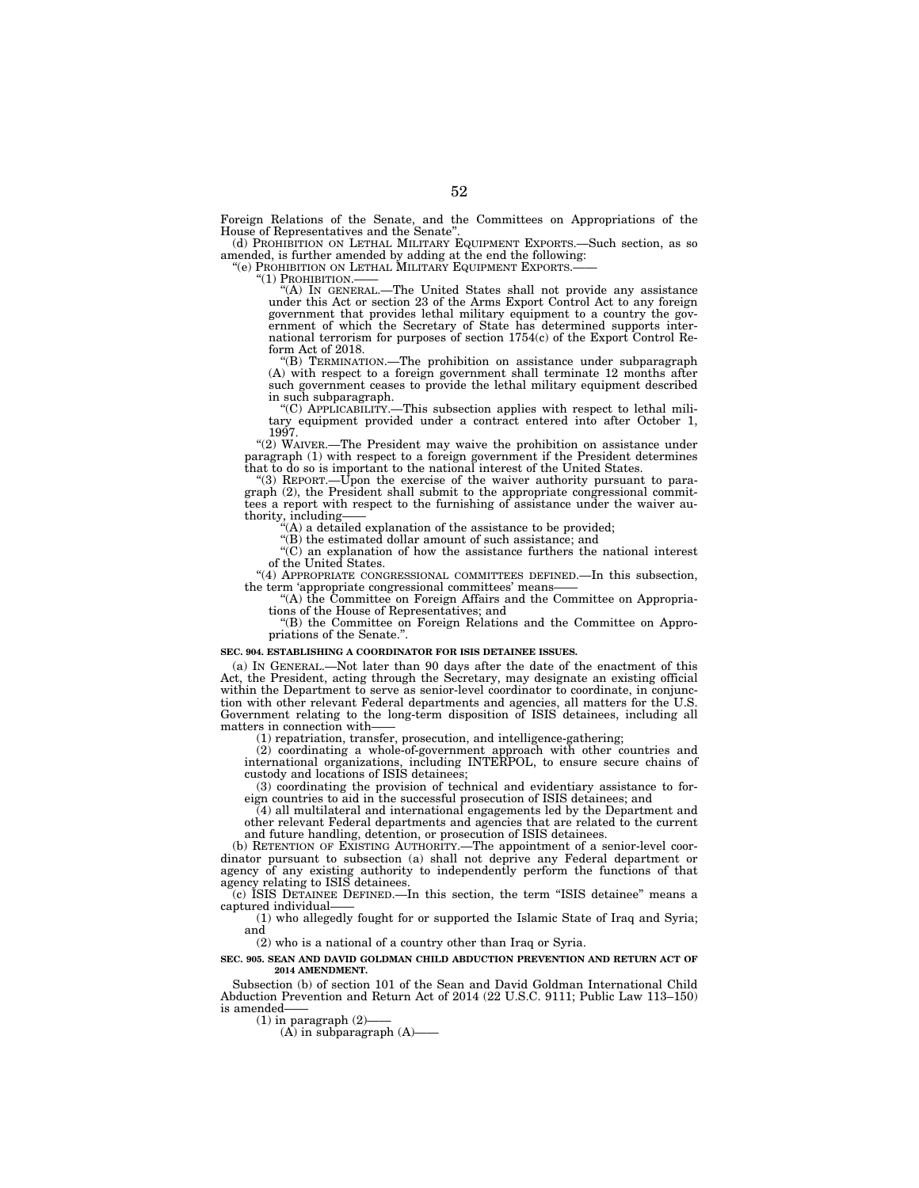Foreign Relations of the Senate, and the Committees on Appropriations of the House of Representatives and the Senate''.

(d) PROHIBITION ON LETHAL MILITARY EQUIPMENT EXPORTS.—Such section, as so amended, is further amended by adding at the end the following:

''(e) PROHIBITION ON LETHAL MILITARY EQUIPMENT EXPORTS.—— ''(1) PROHIBITION.—— ''(A) IN GENERAL.—The United States shall not provide any assistance under this Act or section 23 of the Arms Export Control Act to any foreign government that provides lethal military equipment to a country the government of which the Secretary of State has determined supports inter-national terrorism for purposes of section 1754(c) of the Export Control Re-

form Act of 2018.<br>"(B) TERMINATION.—The prohibition on assistance under subparagraph (A) with respect to a foreign government shall terminate 12 months after such government ceases to provide the lethal military equipment described in such subparagraph.

''(C) APPLICABILITY.—This subsection applies with respect to lethal military equipment provided under a contract entered into after October 1, 1997.

''(2) WAIVER.—The President may waive the prohibition on assistance under paragraph (1) with respect to a foreign government if the President determines

that to do so is important to the national interest of the United States. ''(3) REPORT.—Upon the exercise of the waiver authority pursuant to paragraph (2), the President shall submit to the appropriate congressional commit-tees a report with respect to the furnishing of assistance under the waiver authority, including——

''(A) a detailed explanation of the assistance to be provided; ''(B) the estimated dollar amount of such assistance; and

''(C) an explanation of how the assistance furthers the national interest of the United States.

''(4) APPROPRIATE CONGRESSIONAL COMMITTEES DEFINED.—In this subsection, the term 'appropriate congressional committees' means

''(A) the Committee on Foreign Affairs and the Committee on Appropriations of the House of Representatives; and

"(B) the Committee on Foreign Relations and the Committee on Appropriations of the Senate.''.

#### **SEC. 904. ESTABLISHING A COORDINATOR FOR ISIS DETAINEE ISSUES.**

(a) IN GENERAL.—Not later than 90 days after the date of the enactment of this Act, the President, acting through the Secretary, may designate an existing official within the Department to serve as senior-level coordinator to coordinate, in conjunction with other relevant Federal departments and agencies, all matters for the U.S. Government relating to the long-term disposition of ISIS detainees, including all matters in connection with-

(1) repatriation, transfer, prosecution, and intelligence-gathering;

(2) coordinating a whole-of-government approach with other countries and international organizations, including INTERPOL, to ensure secure chains of custody and locations of ISIS detainees;

(3) coordinating the provision of technical and evidentiary assistance to foreign countries to aid in the successful prosecution of ISIS detainees; and

(4) all multilateral and international engagements led by the Department and other relevant Federal departments and agencies that are related to the current and future handling, detention, or prosecution of ISIS detainees.

(b) RETENTION OF EXISTING AUTHORITY.—The appointment of a senior-level coordinator pursuant to subsection (a) shall not deprive any Federal department or agency of any existing authority to independently perform the functions of that agency relating to ISIS detainees.

(c) ISIS DETAINEE DEFINED.—In this section, the term ''ISIS detainee'' means a captured individual-

(1) who allegedly fought for or supported the Islamic State of Iraq and Syria; and

(2) who is a national of a country other than Iraq or Syria.

#### **SEC. 905. SEAN AND DAVID GOLDMAN CHILD ABDUCTION PREVENTION AND RETURN ACT OF 2014 AMENDMENT.**

Subsection (b) of section 101 of the Sean and David Goldman International Child Abduction Prevention and Return Act of 2014 (22 U.S.C. 9111; Public Law 113–150) is amended-

 $(1)$  in paragraph  $(2)$ -

 $(A)$  in subparagraph  $(A)$ —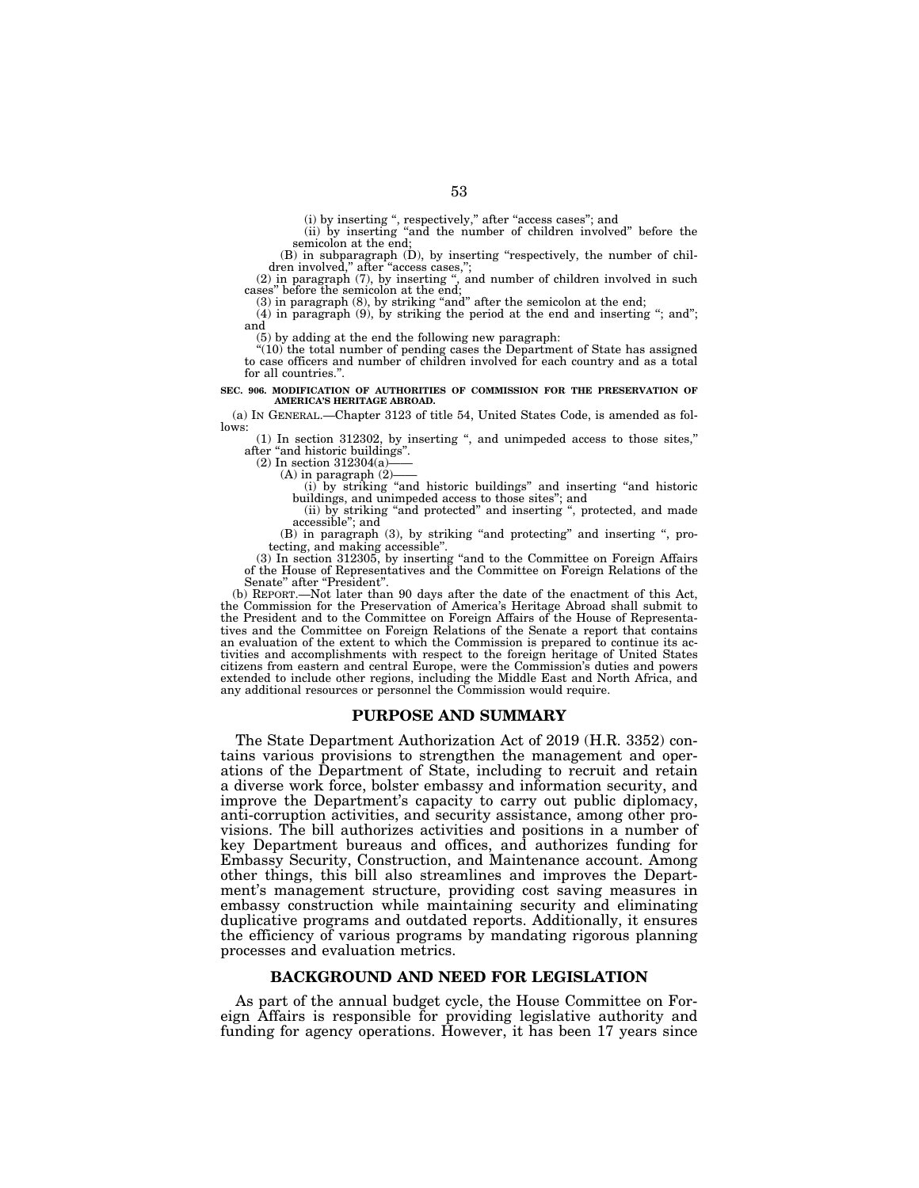(i) by inserting '', respectively,'' after ''access cases''; and (ii) by inserting ''and the number of children involved'' before the

semicolon at the end;

(B) in subparagraph (D), by inserting "respectively, the number of chil-<br>dren involved," after "access cases,";<br>(2) in paragraph (7), by inserting ", and number of children involved in such

cases'' before the semicolon at the end;

(3) in paragraph  $(8)$ , by striking "and" after the semicolon at the end;

(4) in paragraph (9), by striking the period at the end and inserting ''; and''; and

(5) by adding at the end the following new paragraph:

''(10) the total number of pending cases the Department of State has assigned to case officers and number of children involved for each country and as a total for all countries."

#### **SEC. 906. MODIFICATION OF AUTHORITIES OF COMMISSION FOR THE PRESERVATION OF AMERICA'S HERITAGE ABROAD.**

(a) IN GENERAL.—Chapter 3123 of title 54, United States Code, is amended as follows:

(1) In section 312302, by inserting '', and unimpeded access to those sites,'' after ''and historic buildings''.

 $(2)$  In section 312304(a)

 $(A)$  in paragraph  $(2)$ -

(i) by striking ''and historic buildings'' and inserting ''and historic buildings, and unimpeded access to those sites''; and

(ii) by striking "and protected" and inserting ", protected, and made accessible''; and

(B) in paragraph (3), by striking "and protecting" and inserting ", protecting, and making accessible''.

(3) In section 312305, by inserting ''and to the Committee on Foreign Affairs of the House of Representatives and the Committee on Foreign Relations of the Senate" after "President".

(b) REPORT.—Not later than 90 days after the date of the enactment of this Act, the Commission for the Preservation of America's Heritage Abroad shall submit to the President and to the Committee on Foreign Affairs of the House of Representatives and the Committee on Foreign Relations of the Senate a report that contains an evaluation of the extent to which the Commission is prepared to continue its activities and accomplishments with respect to the foreign heritage of United States citizens from eastern and central Europe, were the Commission's duties and powers extended to include other regions, including the Middle East and North Africa, and any additional resources or personnel the Commission would require.

#### **PURPOSE AND SUMMARY**

The State Department Authorization Act of 2019 (H.R. 3352) contains various provisions to strengthen the management and operations of the Department of State, including to recruit and retain a diverse work force, bolster embassy and information security, and improve the Department's capacity to carry out public diplomacy, anti-corruption activities, and security assistance, among other provisions. The bill authorizes activities and positions in a number of key Department bureaus and offices, and authorizes funding for Embassy Security, Construction, and Maintenance account. Among other things, this bill also streamlines and improves the Department's management structure, providing cost saving measures in embassy construction while maintaining security and eliminating duplicative programs and outdated reports. Additionally, it ensures the efficiency of various programs by mandating rigorous planning processes and evaluation metrics.

# **BACKGROUND AND NEED FOR LEGISLATION**

As part of the annual budget cycle, the House Committee on Foreign Affairs is responsible for providing legislative authority and funding for agency operations. However, it has been 17 years since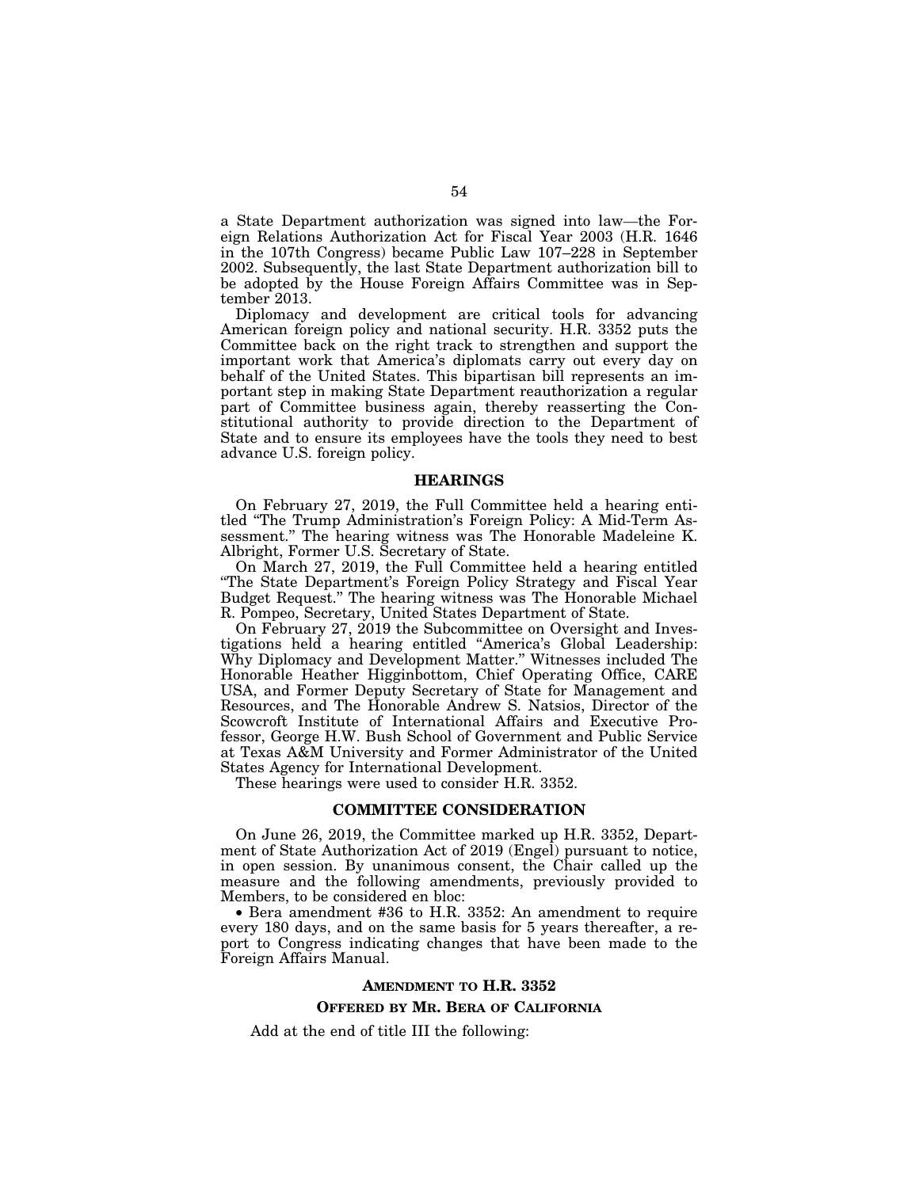a State Department authorization was signed into law—the Foreign Relations Authorization Act for Fiscal Year 2003 (H.R. 1646 in the 107th Congress) became Public Law 107–228 in September 2002. Subsequently, the last State Department authorization bill to be adopted by the House Foreign Affairs Committee was in September 2013.

Diplomacy and development are critical tools for advancing American foreign policy and national security. H.R. 3352 puts the Committee back on the right track to strengthen and support the important work that America's diplomats carry out every day on behalf of the United States. This bipartisan bill represents an important step in making State Department reauthorization a regular part of Committee business again, thereby reasserting the Constitutional authority to provide direction to the Department of State and to ensure its employees have the tools they need to best advance U.S. foreign policy.

# **HEARINGS**

On February 27, 2019, the Full Committee held a hearing entitled ''The Trump Administration's Foreign Policy: A Mid-Term Assessment.'' The hearing witness was The Honorable Madeleine K. Albright, Former U.S. Secretary of State.

On March 27, 2019, the Full Committee held a hearing entitled ''The State Department's Foreign Policy Strategy and Fiscal Year Budget Request.'' The hearing witness was The Honorable Michael R. Pompeo, Secretary, United States Department of State.

On February 27, 2019 the Subcommittee on Oversight and Investigations held a hearing entitled ''America's Global Leadership: Why Diplomacy and Development Matter.'' Witnesses included The Honorable Heather Higginbottom, Chief Operating Office, CARE USA, and Former Deputy Secretary of State for Management and Resources, and The Honorable Andrew S. Natsios, Director of the Scowcroft Institute of International Affairs and Executive Professor, George H.W. Bush School of Government and Public Service at Texas A&M University and Former Administrator of the United States Agency for International Development.

These hearings were used to consider H.R. 3352.

# **COMMITTEE CONSIDERATION**

On June 26, 2019, the Committee marked up H.R. 3352, Department of State Authorization Act of 2019 (Engel) pursuant to notice, in open session. By unanimous consent, the Chair called up the measure and the following amendments, previously provided to Members, to be considered en bloc:

• Bera amendment #36 to H.R. 3352: An amendment to require every 180 days, and on the same basis for 5 years thereafter, a report to Congress indicating changes that have been made to the Foreign Affairs Manual.

#### **AMENDMENT TO H.R. 3352**

# **OFFERED BY MR. BERA OF CALIFORNIA**

Add at the end of title III the following: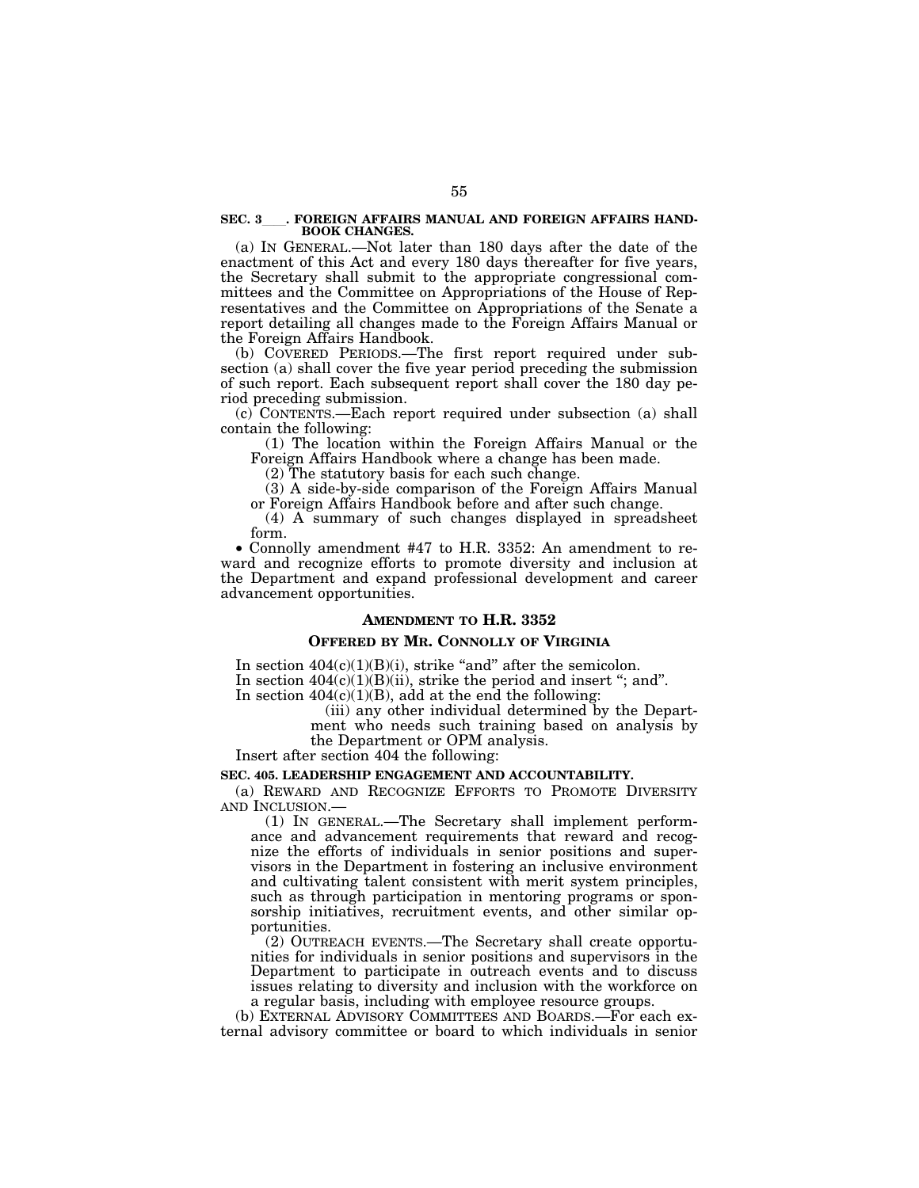# **SEC. 3**ll**. FOREIGN AFFAIRS MANUAL AND FOREIGN AFFAIRS HAND-BOOK CHANGES.**

(a) IN GENERAL.—Not later than 180 days after the date of the enactment of this Act and every 180 days thereafter for five years, the Secretary shall submit to the appropriate congressional committees and the Committee on Appropriations of the House of Representatives and the Committee on Appropriations of the Senate a report detailing all changes made to the Foreign Affairs Manual or the Foreign Affairs Handbook.

(b) COVERED PERIODS.—The first report required under subsection (a) shall cover the five year period preceding the submission of such report. Each subsequent report shall cover the 180 day period preceding submission.

(c) CONTENTS.—Each report required under subsection (a) shall contain the following:

(1) The location within the Foreign Affairs Manual or the Foreign Affairs Handbook where a change has been made.

(2) The statutory basis for each such change.

(3) A side-by-side comparison of the Foreign Affairs Manual or Foreign Affairs Handbook before and after such change.

(4) A summary of such changes displayed in spreadsheet form.

• Connolly amendment #47 to H.R. 3352: An amendment to reward and recognize efforts to promote diversity and inclusion at the Department and expand professional development and career advancement opportunities.

# **AMENDMENT TO H.R. 3352**

# **OFFERED BY MR. CONNOLLY OF VIRGINIA**

In section  $404(c)(1)(B)(i)$ , strike "and" after the semicolon.

In section  $404(c)(1)(B)(ii)$ , strike the period and insert "; and". In section  $404(c)(1)(B)$ , add at the end the following:

(iii) any other individual determined by the Depart-

ment who needs such training based on analysis by the Department or OPM analysis.

Insert after section 404 the following:

#### **SEC. 405. LEADERSHIP ENGAGEMENT AND ACCOUNTABILITY.**

(a) REWARD AND RECOGNIZE EFFORTS TO PROMOTE DIVERSITY

AND INCLUSION.— (1) IN GENERAL.—The Secretary shall implement performance and advancement requirements that reward and recognize the efforts of individuals in senior positions and supervisors in the Department in fostering an inclusive environment and cultivating talent consistent with merit system principles, such as through participation in mentoring programs or sponsorship initiatives, recruitment events, and other similar opportunities.

(2) OUTREACH EVENTS.—The Secretary shall create opportunities for individuals in senior positions and supervisors in the Department to participate in outreach events and to discuss issues relating to diversity and inclusion with the workforce on a regular basis, including with employee resource groups.

(b) EXTERNAL ADVISORY COMMITTEES AND BOARDS.—For each external advisory committee or board to which individuals in senior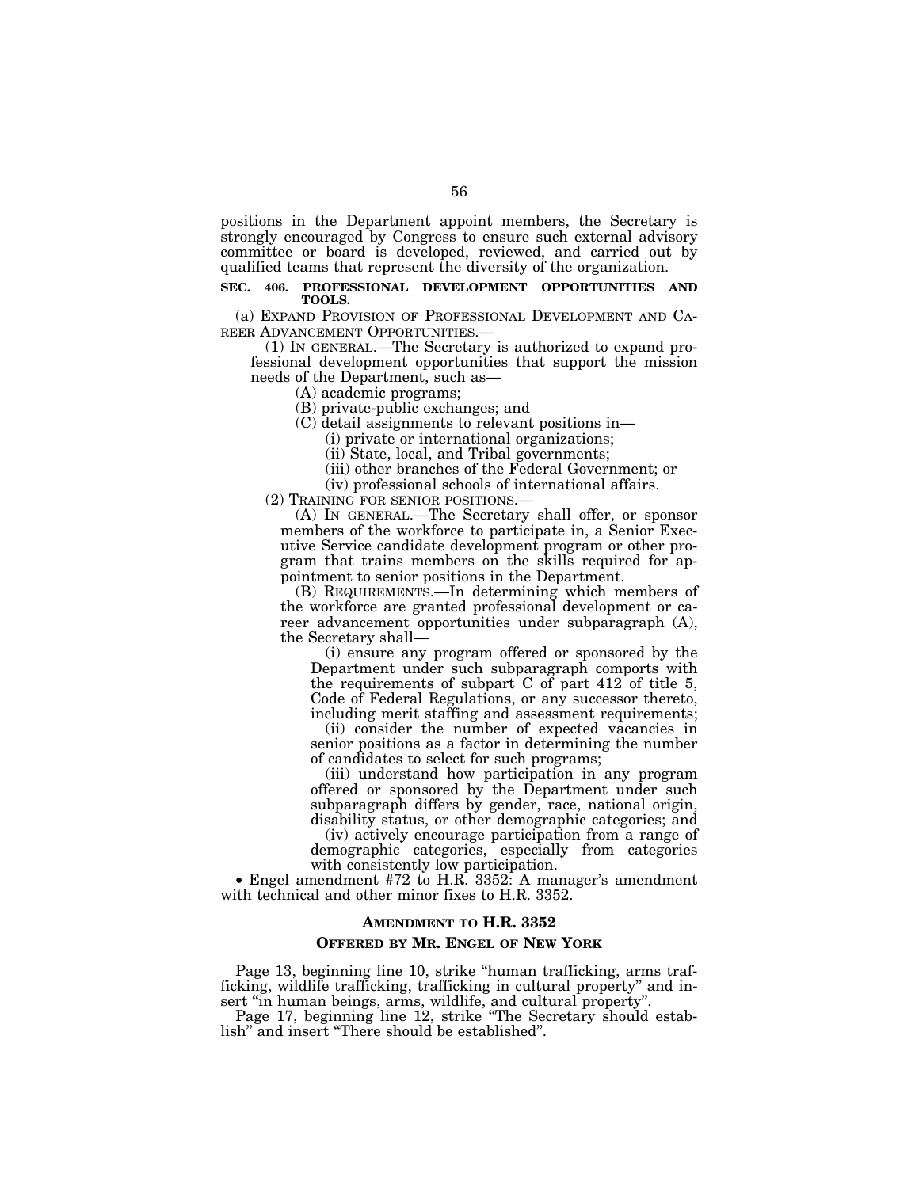positions in the Department appoint members, the Secretary is strongly encouraged by Congress to ensure such external advisory committee or board is developed, reviewed, and carried out by qualified teams that represent the diversity of the organization.

# **SEC. 406. PROFESSIONAL DEVELOPMENT OPPORTUNITIES AND TOOLS.**

(a) EXPAND PROVISION OF PROFESSIONAL DEVELOPMENT AND CA-REER ADVANCEMENT OPPORTUNITIES.

(1) IN GENERAL.—The Secretary is authorized to expand professional development opportunities that support the mission needs of the Department, such as—

(A) academic programs;

(B) private-public exchanges; and

(C) detail assignments to relevant positions in—

(i) private or international organizations;

(ii) State, local, and Tribal governments;

(iii) other branches of the Federal Government; or

(iv) professional schools of international affairs.

(2) TRAINING FOR SENIOR POSITIONS.—

(A) IN GENERAL.—The Secretary shall offer, or sponsor members of the workforce to participate in, a Senior Executive Service candidate development program or other program that trains members on the skills required for appointment to senior positions in the Department.

(B) REQUIREMENTS.—In determining which members of the workforce are granted professional development or career advancement opportunities under subparagraph (A), the Secretary shall—

(i) ensure any program offered or sponsored by the Department under such subparagraph comports with the requirements of subpart C of part 412 of title 5, Code of Federal Regulations, or any successor thereto, including merit staffing and assessment requirements;

(ii) consider the number of expected vacancies in senior positions as a factor in determining the number of candidates to select for such programs;

(iii) understand how participation in any program offered or sponsored by the Department under such subparagraph differs by gender, race, national origin, disability status, or other demographic categories; and

(iv) actively encourage participation from a range of demographic categories, especially from categories with consistently low participation.

• Engel amendment #72 to H.R. 3352: A manager's amendment with technical and other minor fixes to H.R. 3352.

#### **AMENDMENT TO H.R. 3352**

#### **OFFERED BY MR. ENGEL OF NEW YORK**

Page 13, beginning line 10, strike ''human trafficking, arms trafficking, wildlife trafficking, trafficking in cultural property'' and insert "in human beings, arms, wildlife, and cultural property".

Page 17, beginning line 12, strike "The Secretary should establish'' and insert ''There should be established''.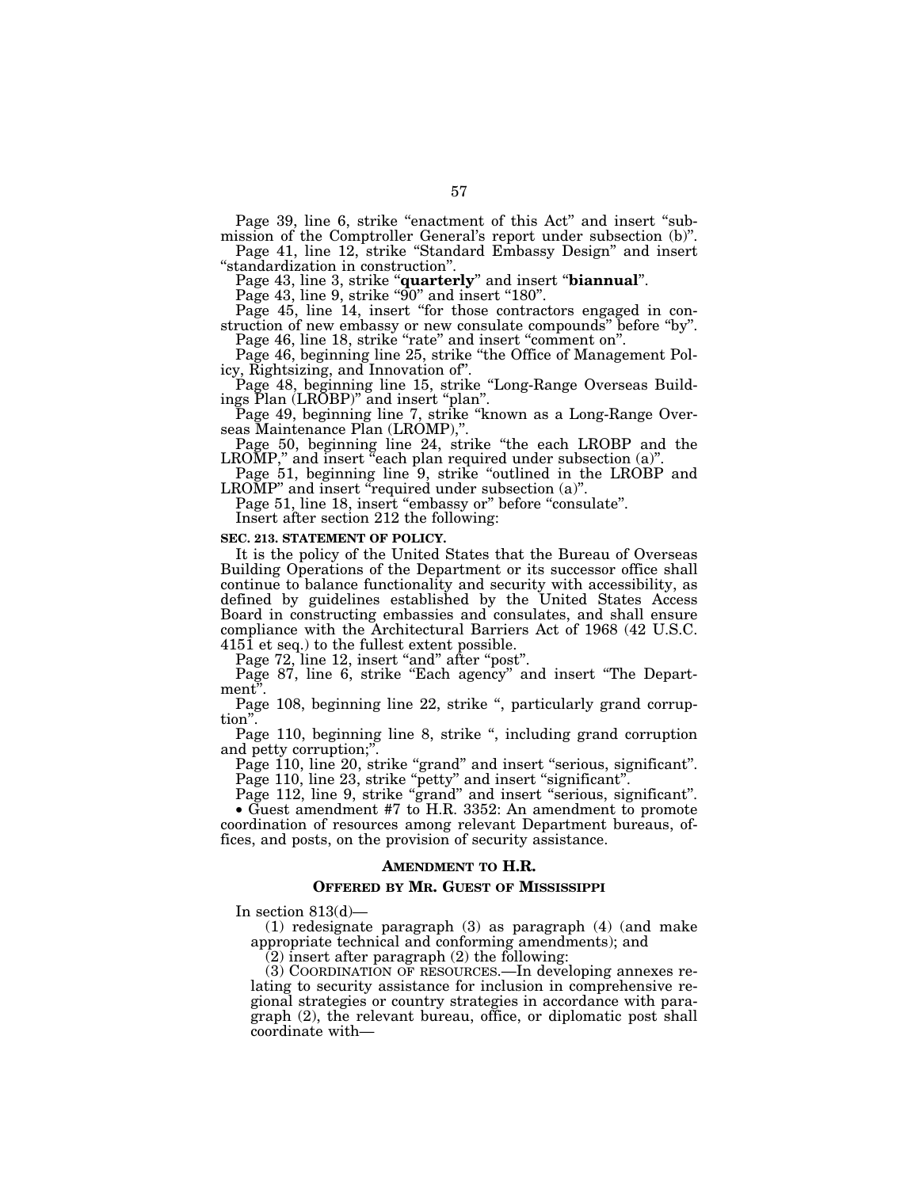Page 39, line 6, strike "enactment of this Act" and insert "submission of the Comptroller General's report under subsection (b)''.

Page 41, line 12, strike ''Standard Embassy Design'' and insert ''standardization in construction''.

Page 43, line 3, strike "**quarterly**" and insert "**biannual**".

Page  $43$ , line  $9$ , strike " $90$ " and insert " $180$ ".

Page 45, line 14, insert "for those contractors engaged in construction of new embassy or new consulate compounds'' before ''by''. Page 46, line 18, strike "rate" and insert "comment on".

Page 46, beginning line 25, strike ''the Office of Management Policy, Rightsizing, and Innovation of''.

Page 48, beginning line 15, strike "Long-Range Overseas Buildings Plan (LROBP)'' and insert ''plan''.

Page 49, beginning line 7, strike ''known as a Long-Range Overseas Maintenance Plan (LROMP),"

Page 50, beginning line 24, strike "the each LROBP and the LROMP," and insert "each plan required under subsection (a)".

Page 51, beginning line 9, strike "outlined in the LROBP and LROMP" and insert "required under subsection (a)".

Page 51, line 18, insert "embassy or" before "consulate".

Insert after section 212 the following:

#### **SEC. 213. STATEMENT OF POLICY.**

It is the policy of the United States that the Bureau of Overseas Building Operations of the Department or its successor office shall continue to balance functionality and security with accessibility, as defined by guidelines established by the United States Access Board in constructing embassies and consulates, and shall ensure compliance with the Architectural Barriers Act of 1968 (42 U.S.C. 4151 et seq.) to the fullest extent possible.

Page 72, line 12, insert "and" after "post".

Page 87, line 6, strike "Each agency" and insert "The Department''.

Page 108, beginning line 22, strike ", particularly grand corruption''.

Page 110, beginning line 8, strike ", including grand corruption and petty corruption;"

Page 110, line 20, strike "grand" and insert "serious, significant". Page 110, line 23, strike "petty" and insert "significant".

Page 112, line 9, strike "grand" and insert "serious, significant".

• Guest amendment #7 to H.R. 3352: An amendment to promote coordination of resources among relevant Department bureaus, offices, and posts, on the provision of security assistance.

## **AMENDMENT TO H.R.**

#### **OFFERED BY MR. GUEST OF MISSISSIPPI**

In section  $813(d)$ —

(1) redesignate paragraph (3) as paragraph (4) (and make appropriate technical and conforming amendments); and

(2) insert after paragraph (2) the following:

(3) COORDINATION OF RESOURCES.—In developing annexes relating to security assistance for inclusion in comprehensive regional strategies or country strategies in accordance with paragraph (2), the relevant bureau, office, or diplomatic post shall coordinate with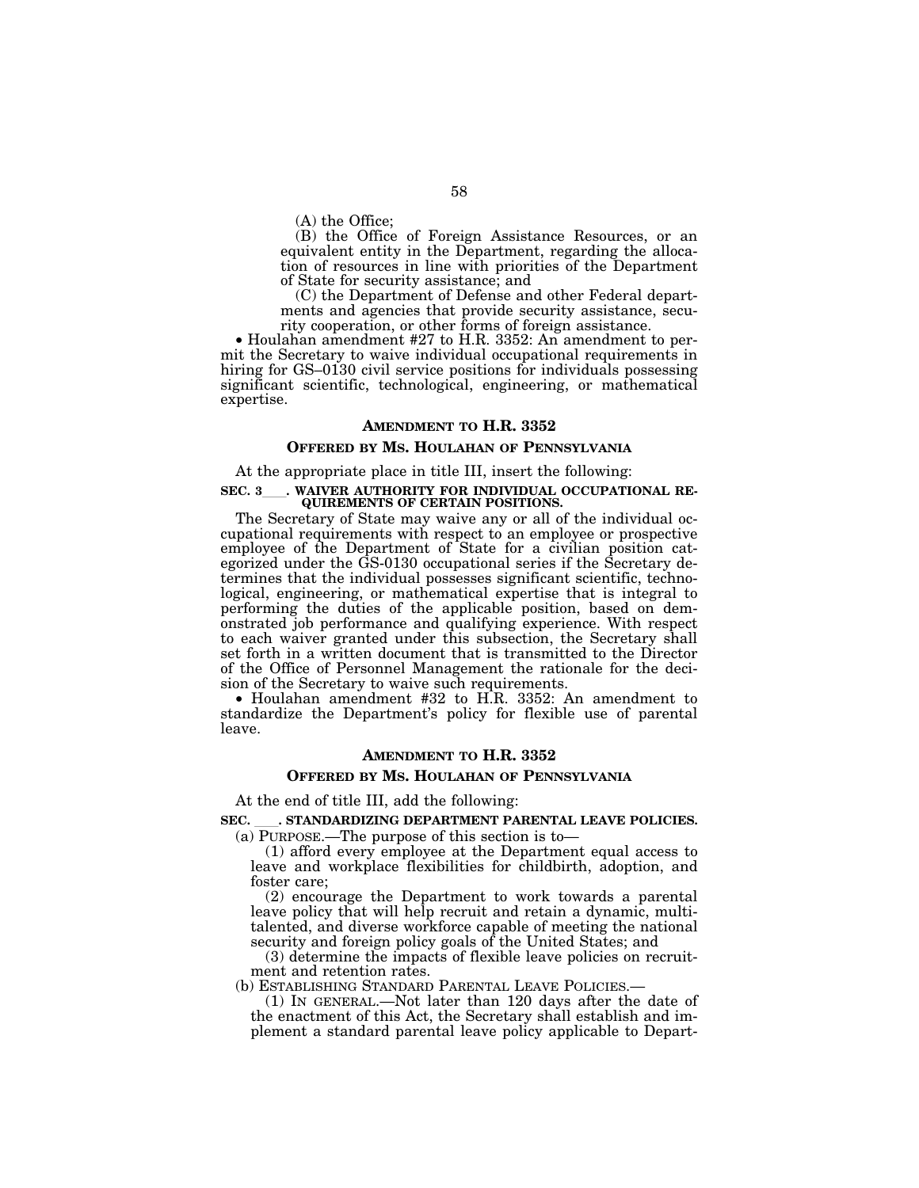(A) the Office;

(B) the Office of Foreign Assistance Resources, or an equivalent entity in the Department, regarding the allocation of resources in line with priorities of the Department of State for security assistance; and

(C) the Department of Defense and other Federal departments and agencies that provide security assistance, security cooperation, or other forms of foreign assistance.

• Houlahan amendment #27 to H.R. 3352: An amendment to permit the Secretary to waive individual occupational requirements in hiring for GS–0130 civil service positions for individuals possessing significant scientific, technological, engineering, or mathematical expertise.

# **AMENDMENT TO H.R. 3352**

# **OFFERED BY MS. HOULAHAN OF PENNSYLVANIA**

At the appropriate place in title III, insert the following:

# **SEC. 3**ll**. WAIVER AUTHORITY FOR INDIVIDUAL OCCUPATIONAL RE-QUIREMENTS OF CERTAIN POSITIONS.**

The Secretary of State may waive any or all of the individual occupational requirements with respect to an employee or prospective employee of the Department of State for a civilian position categorized under the GS-0130 occupational series if the Secretary determines that the individual possesses significant scientific, technological, engineering, or mathematical expertise that is integral to performing the duties of the applicable position, based on demonstrated job performance and qualifying experience. With respect to each waiver granted under this subsection, the Secretary shall set forth in a written document that is transmitted to the Director of the Office of Personnel Management the rationale for the decision of the Secretary to waive such requirements.

• Houlahan amendment #32 to H.R. 3352: An amendment to standardize the Department's policy for flexible use of parental leave.

# **AMENDMENT TO H.R. 3352**

# **OFFERED BY MS. HOULAHAN OF PENNSYLVANIA**

At the end of title III, add the following:

**SEC.** ll**. STANDARDIZING DEPARTMENT PARENTAL LEAVE POLICIES.**  (a) PURPOSE.—The purpose of this section is to—

(1) afford every employee at the Department equal access to leave and workplace flexibilities for childbirth, adoption, and foster care;

(2) encourage the Department to work towards a parental leave policy that will help recruit and retain a dynamic, multitalented, and diverse workforce capable of meeting the national security and foreign policy goals of the United States; and

(3) determine the impacts of flexible leave policies on recruitment and retention rates.

(b) ESTABLISHING STANDARD PARENTAL LEAVE POLICIES.—

(1) IN GENERAL.—Not later than 120 days after the date of the enactment of this Act, the Secretary shall establish and implement a standard parental leave policy applicable to Depart-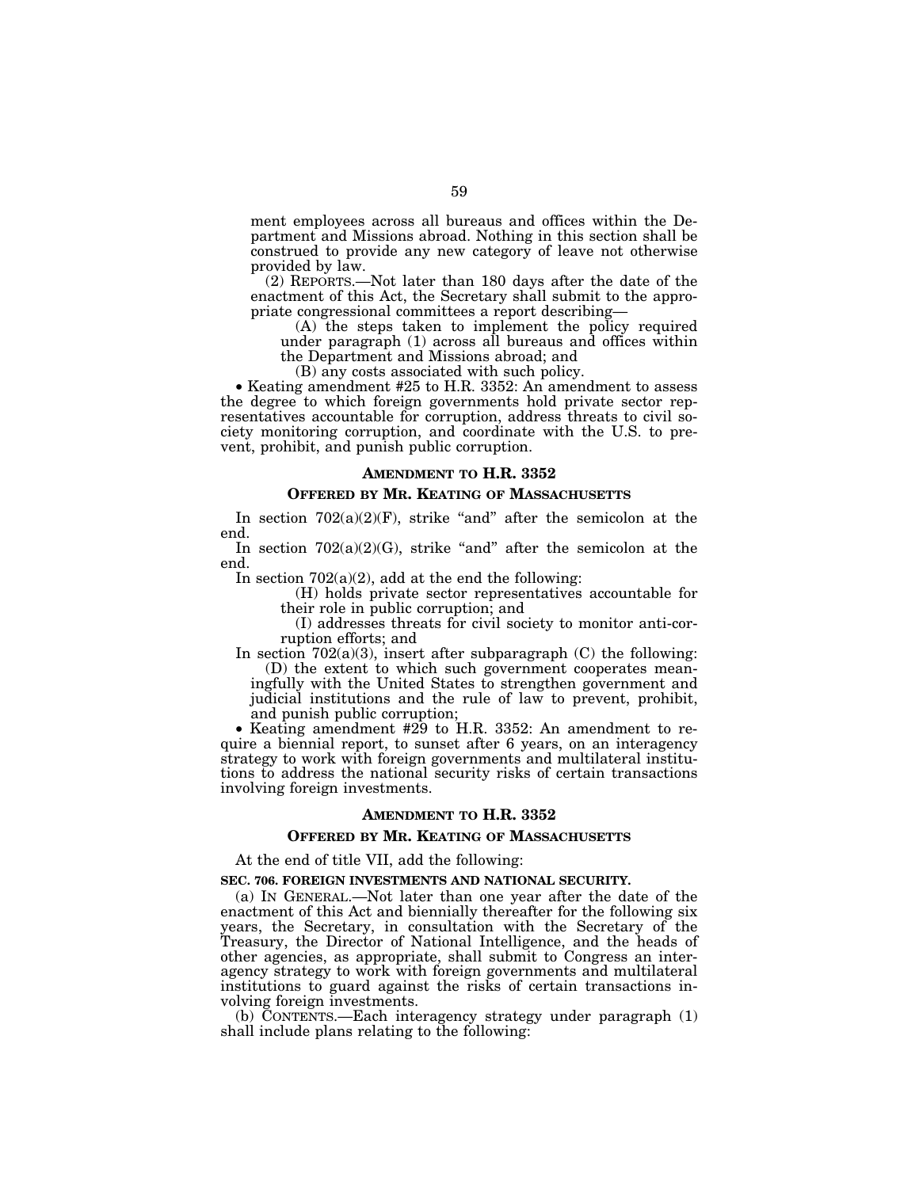ment employees across all bureaus and offices within the Department and Missions abroad. Nothing in this section shall be construed to provide any new category of leave not otherwise provided by law.

(2) REPORTS.—Not later than 180 days after the date of the enactment of this Act, the Secretary shall submit to the appropriate congressional committees a report describing—

(A) the steps taken to implement the policy required under paragraph (1) across all bureaus and offices within the Department and Missions abroad; and

(B) any costs associated with such policy.

• Keating amendment #25 to H.R. 3352: An amendment to assess the degree to which foreign governments hold private sector representatives accountable for corruption, address threats to civil society monitoring corruption, and coordinate with the U.S. to prevent, prohibit, and punish public corruption.

# **AMENDMENT TO H.R. 3352**

# **OFFERED BY MR. KEATING OF MASSACHUSETTS**

In section  $702(a)(2)(F)$ , strike "and" after the semicolon at the end.

In section  $702(a)(2)(G)$ , strike "and" after the semicolon at the end.

In section  $702(a)(2)$ , add at the end the following:

(H) holds private sector representatives accountable for their role in public corruption; and

(I) addresses threats for civil society to monitor anti-corruption efforts; and

In section  $702(a)(3)$ , insert after subparagraph (C) the following:

(D) the extent to which such government cooperates meaningfully with the United States to strengthen government and judicial institutions and the rule of law to prevent, prohibit, and punish public corruption;

• Keating amendment #29 to H.R. 3352: An amendment to require a biennial report, to sunset after 6 years, on an interagency strategy to work with foreign governments and multilateral institutions to address the national security risks of certain transactions involving foreign investments.

#### **AMENDMENT TO H.R. 3352**

#### **OFFERED BY MR. KEATING OF MASSACHUSETTS**

At the end of title VII, add the following:

# **SEC. 706. FOREIGN INVESTMENTS AND NATIONAL SECURITY.**

(a) IN GENERAL.—Not later than one year after the date of the enactment of this Act and biennially thereafter for the following six years, the Secretary, in consultation with the Secretary of the Treasury, the Director of National Intelligence, and the heads of other agencies, as appropriate, shall submit to Congress an interagency strategy to work with foreign governments and multilateral institutions to guard against the risks of certain transactions involving foreign investments.

(b) CONTENTS.—Each interagency strategy under paragraph (1) shall include plans relating to the following: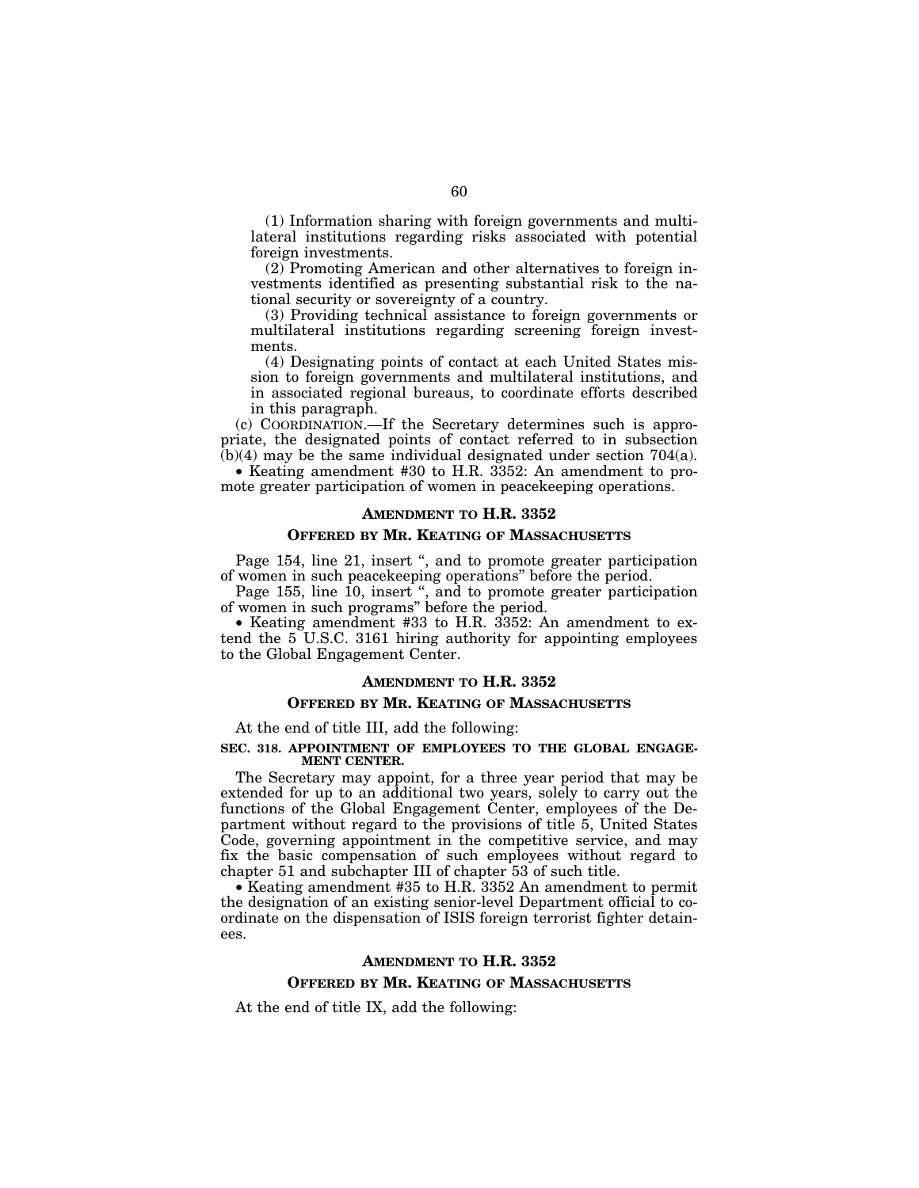(1) Information sharing with foreign governments and multilateral institutions regarding risks associated with potential foreign investments.

(2) Promoting American and other alternatives to foreign investments identified as presenting substantial risk to the national security or sovereignty of a country.

(3) Providing technical assistance to foreign governments or multilateral institutions regarding screening foreign investments.

(4) Designating points of contact at each United States mission to foreign governments and multilateral institutions, and in associated regional bureaus, to coordinate efforts described in this paragraph.

(c) COORDINATION.—If the Secretary determines such is appropriate, the designated points of contact referred to in subsection  $(b)(4)$  may be the same individual designated under section 704(a).

• Keating amendment #30 to H.R. 3352: An amendment to promote greater participation of women in peacekeeping operations.

# **AMENDMENT TO H.R. 3352**

# **OFFERED BY MR. KEATING OF MASSACHUSETTS**

Page 154, line 21, insert ", and to promote greater participation of women in such peacekeeping operations'' before the period.

Page 155, line 10, insert ", and to promote greater participation of women in such programs'' before the period.

• Keating amendment #33 to H.R. 3352: An amendment to extend the 5 U.S.C. 3161 hiring authority for appointing employees to the Global Engagement Center.

# **AMENDMENT TO H.R. 3352**

## **OFFERED BY MR. KEATING OF MASSACHUSETTS**

At the end of title III, add the following:

#### **SEC. 318. APPOINTMENT OF EMPLOYEES TO THE GLOBAL ENGAGE-MENT CENTER.**

The Secretary may appoint, for a three year period that may be extended for up to an additional two years, solely to carry out the functions of the Global Engagement Center, employees of the Department without regard to the provisions of title 5, United States Code, governing appointment in the competitive service, and may fix the basic compensation of such employees without regard to chapter 51 and subchapter III of chapter 53 of such title.

• Keating amendment #35 to H.R. 3352 An amendment to permit the designation of an existing senior-level Department official to coordinate on the dispensation of ISIS foreign terrorist fighter detainees.

## **AMENDMENT TO H.R. 3352**

## **OFFERED BY MR. KEATING OF MASSACHUSETTS**

At the end of title IX, add the following: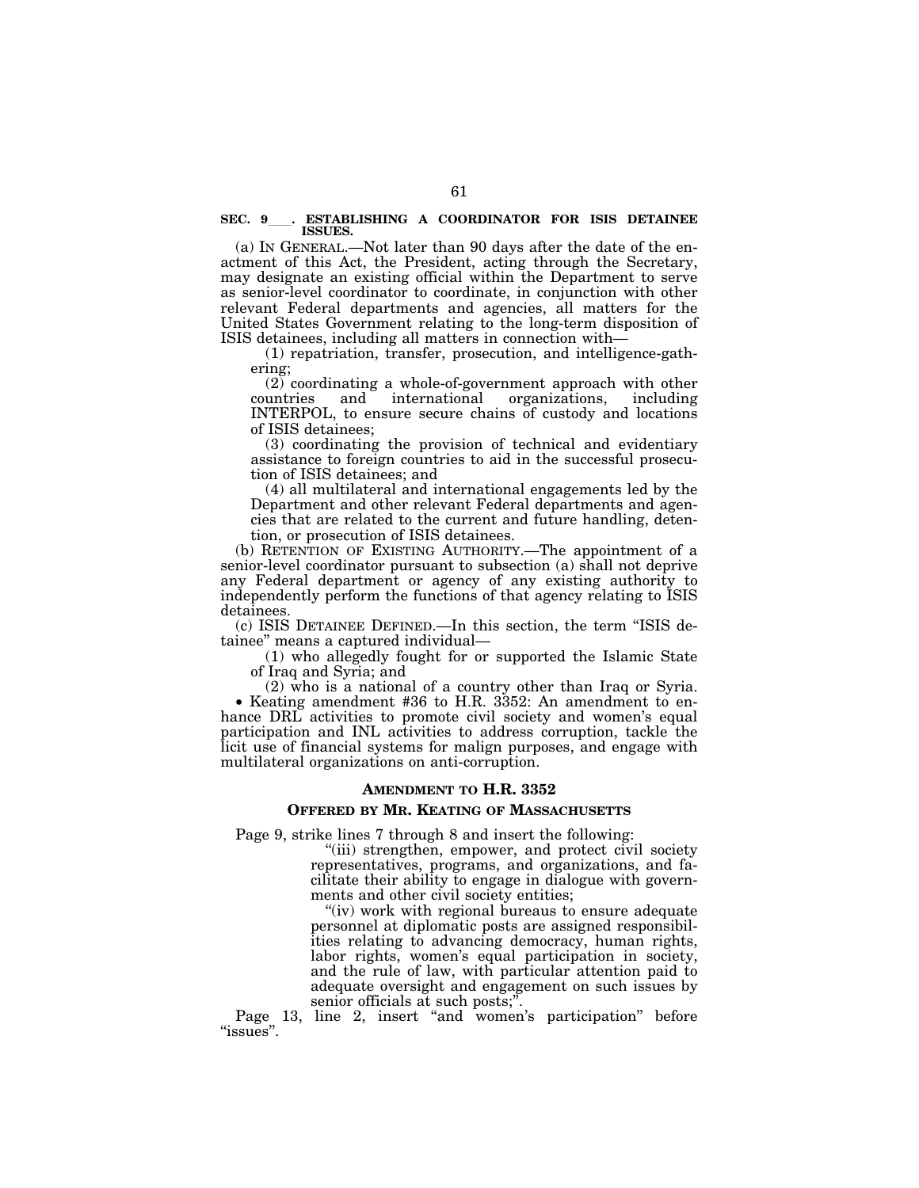# **SEC. 9**ll**. ESTABLISHING A COORDINATOR FOR ISIS DETAINEE ISSUES.**

(a) IN GENERAL.—Not later than 90 days after the date of the enactment of this Act, the President, acting through the Secretary, may designate an existing official within the Department to serve as senior-level coordinator to coordinate, in conjunction with other relevant Federal departments and agencies, all matters for the United States Government relating to the long-term disposition of ISIS detainees, including all matters in connection with—

(1) repatriation, transfer, prosecution, and intelligence-gathering;

(2) coordinating a whole-of-government approach with other countries and international organizations, including INTERPOL, to ensure secure chains of custody and locations of ISIS detainees;

(3) coordinating the provision of technical and evidentiary assistance to foreign countries to aid in the successful prosecution of ISIS detainees; and

(4) all multilateral and international engagements led by the Department and other relevant Federal departments and agencies that are related to the current and future handling, detention, or prosecution of ISIS detainees.

(b) RETENTION OF EXISTING AUTHORITY.—The appointment of a senior-level coordinator pursuant to subsection (a) shall not deprive any Federal department or agency of any existing authority to independently perform the functions of that agency relating to ISIS detainees.

(c) ISIS DETAINEE DEFINED.—In this section, the term ''ISIS detainee'' means a captured individual—

(1) who allegedly fought for or supported the Islamic State of Iraq and Syria; and

(2) who is a national of a country other than Iraq or Syria. • Keating amendment #36 to H.R. 3352: An amendment to enhance DRL activities to promote civil society and women's equal participation and INL activities to address corruption, tackle the licit use of financial systems for malign purposes, and engage with multilateral organizations on anti-corruption.

## **AMENDMENT TO H.R. 3352**

# **OFFERED BY MR. KEATING OF MASSACHUSETTS**

Page 9, strike lines 7 through 8 and insert the following:

"(iii) strengthen, empower, and protect civil society representatives, programs, and organizations, and facilitate their ability to engage in dialogue with governments and other civil society entities;

"(iv) work with regional bureaus to ensure adequate" personnel at diplomatic posts are assigned responsibilities relating to advancing democracy, human rights, labor rights, women's equal participation in society, and the rule of law, with particular attention paid to adequate oversight and engagement on such issues by senior officials at such posts;''.

Page 13, line 2, insert "and women's participation" before ''issues''.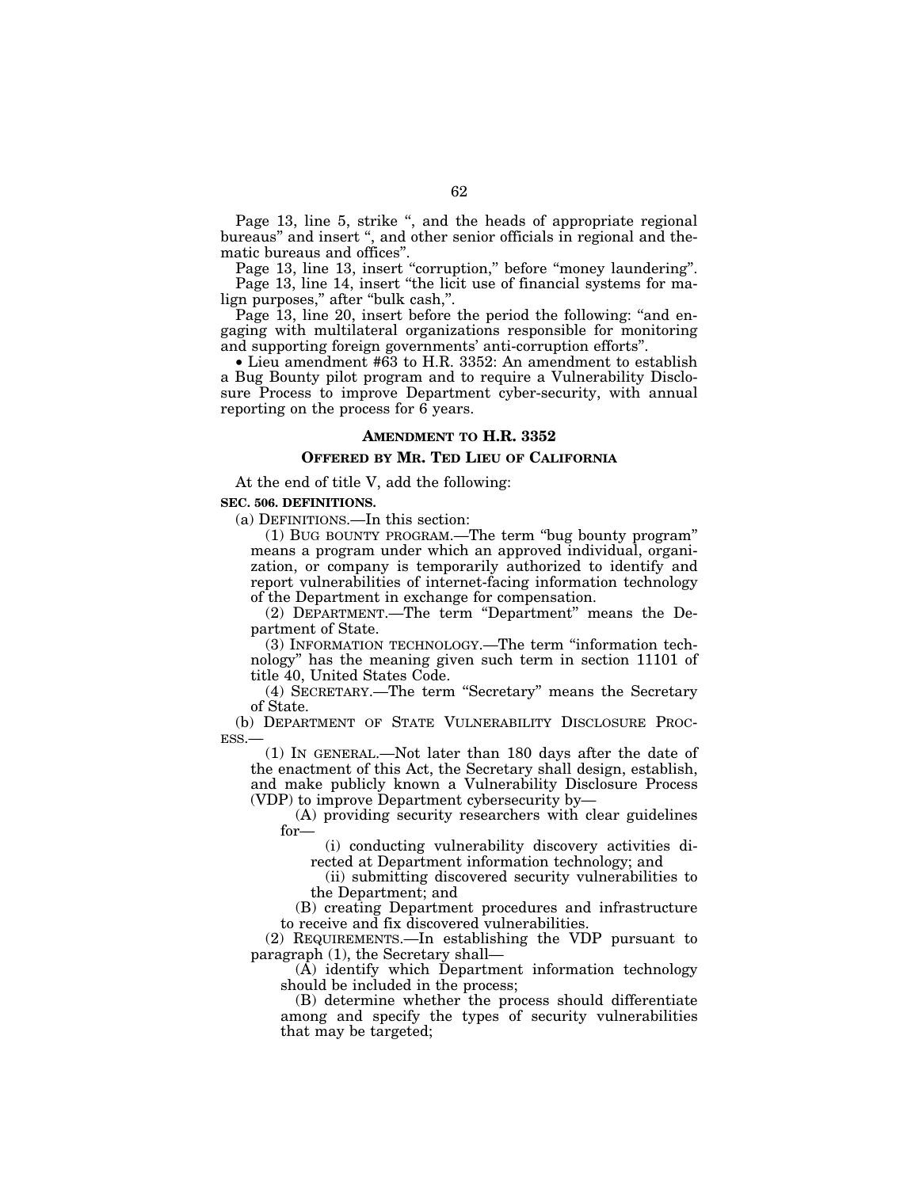Page 13, line 5, strike ", and the heads of appropriate regional bureaus" and insert ", and other senior officials in regional and thematic bureaus and offices''.

Page 13, line 13, insert "corruption," before "money laundering". Page 13, line 14, insert "the licit use of financial systems for malign purposes," after "bulk cash,".

Page 13, line 20, insert before the period the following: "and engaging with multilateral organizations responsible for monitoring and supporting foreign governments' anti-corruption efforts''.

• Lieu amendment #63 to H.R. 3352: An amendment to establish a Bug Bounty pilot program and to require a Vulnerability Disclosure Process to improve Department cyber-security, with annual reporting on the process for 6 years.

# **AMENDMENT TO H.R. 3352**

# **OFFERED BY MR. TED LIEU OF CALIFORNIA**

At the end of title V, add the following:

# **SEC. 506. DEFINITIONS.**

(a) DEFINITIONS.—In this section:

(1) BUG BOUNTY PROGRAM.—The term ''bug bounty program'' means a program under which an approved individual, organization, or company is temporarily authorized to identify and report vulnerabilities of internet-facing information technology of the Department in exchange for compensation.

(2) DEPARTMENT.—The term "Department" means the Department of State.

(3) INFORMATION TECHNOLOGY.—The term ''information technology'' has the meaning given such term in section 11101 of title 40, United States Code.

(4) SECRETARY.—The term ''Secretary'' means the Secretary of State.

(b) DEPARTMENT OF STATE VULNERABILITY DISCLOSURE PROC-ESS.—

(1) IN GENERAL.—Not later than 180 days after the date of the enactment of this Act, the Secretary shall design, establish, and make publicly known a Vulnerability Disclosure Process (VDP) to improve Department cybersecurity by—

(A) providing security researchers with clear guidelines for—

(i) conducting vulnerability discovery activities directed at Department information technology; and

(ii) submitting discovered security vulnerabilities to the Department; and

(B) creating Department procedures and infrastructure to receive and fix discovered vulnerabilities.

(2) REQUIREMENTS.—In establishing the VDP pursuant to paragraph (1), the Secretary shall—

 $(\overline{A})$  identify which Department information technology should be included in the process;

(B) determine whether the process should differentiate among and specify the types of security vulnerabilities that may be targeted;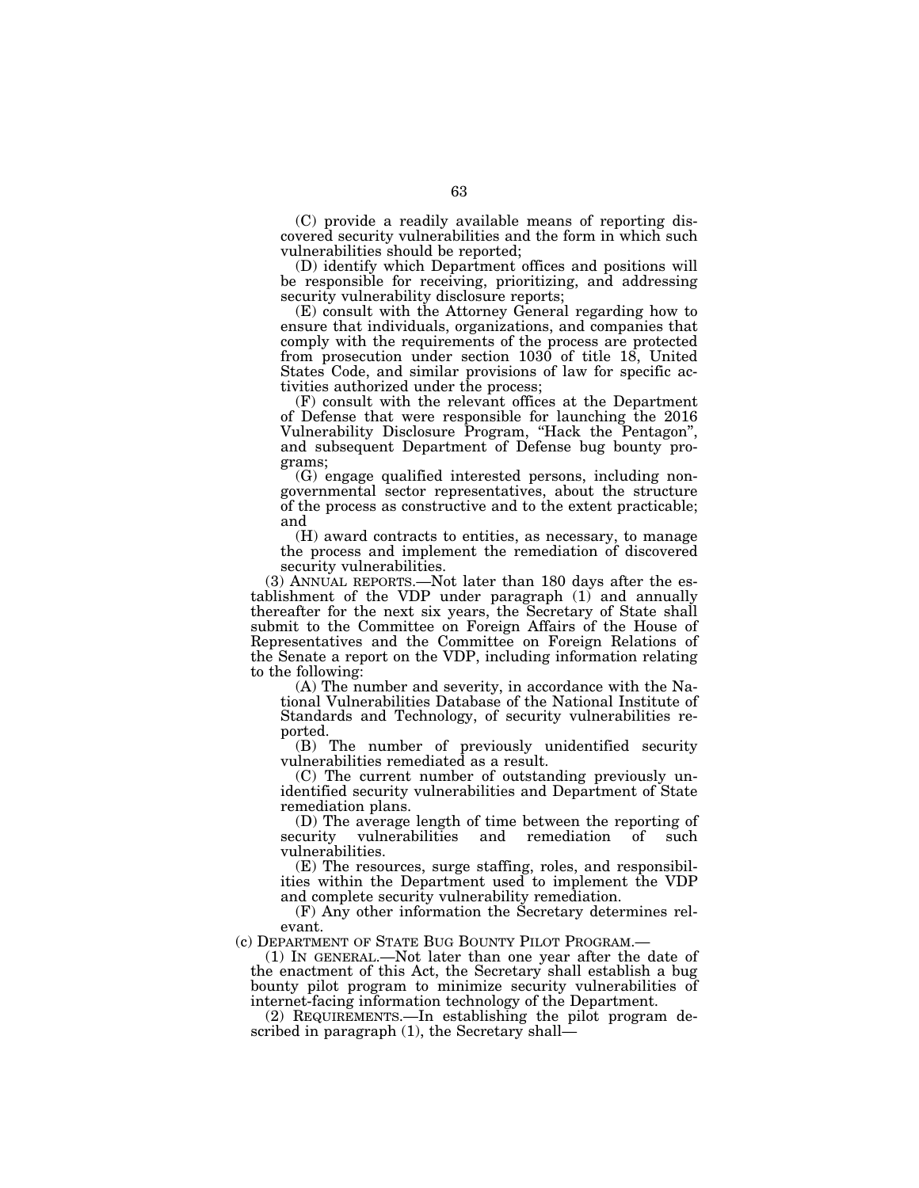(C) provide a readily available means of reporting discovered security vulnerabilities and the form in which such vulnerabilities should be reported;

(D) identify which Department offices and positions will be responsible for receiving, prioritizing, and addressing security vulnerability disclosure reports;

(E) consult with the Attorney General regarding how to ensure that individuals, organizations, and companies that comply with the requirements of the process are protected from prosecution under section 1030 of title 18, United States Code, and similar provisions of law for specific activities authorized under the process;

(F) consult with the relevant offices at the Department of Defense that were responsible for launching the 2016 Vulnerability Disclosure Program, ''Hack the Pentagon'', and subsequent Department of Defense bug bounty programs;

(G) engage qualified interested persons, including nongovernmental sector representatives, about the structure of the process as constructive and to the extent practicable; and

(H) award contracts to entities, as necessary, to manage the process and implement the remediation of discovered security vulnerabilities.

(3) ANNUAL REPORTS.—Not later than 180 days after the establishment of the VDP under paragraph (1) and annually thereafter for the next six years, the Secretary of State shall submit to the Committee on Foreign Affairs of the House of Representatives and the Committee on Foreign Relations of the Senate a report on the VDP, including information relating to the following:

(A) The number and severity, in accordance with the National Vulnerabilities Database of the National Institute of Standards and Technology, of security vulnerabilities reported.

(B) The number of previously unidentified security vulnerabilities remediated as a result.

(C) The current number of outstanding previously unidentified security vulnerabilities and Department of State remediation plans.

(D) The average length of time between the reporting of security vulnerabilities and remediation of such vulnerabilities.

(E) The resources, surge staffing, roles, and responsibilities within the Department used to implement the VDP and complete security vulnerability remediation.

(F) Any other information the Secretary determines rel-

evant.<br>(c) DEPARTMENT OF STATE BUG BOUNTY PILOT PROGRAM.—

 $(1)$  In GENERAL.—Not later than one year after the date of the enactment of this Act, the Secretary shall establish a bug bounty pilot program to minimize security vulnerabilities of internet-facing information technology of the Department.

(2) REQUIREMENTS.—In establishing the pilot program described in paragraph (1), the Secretary shall—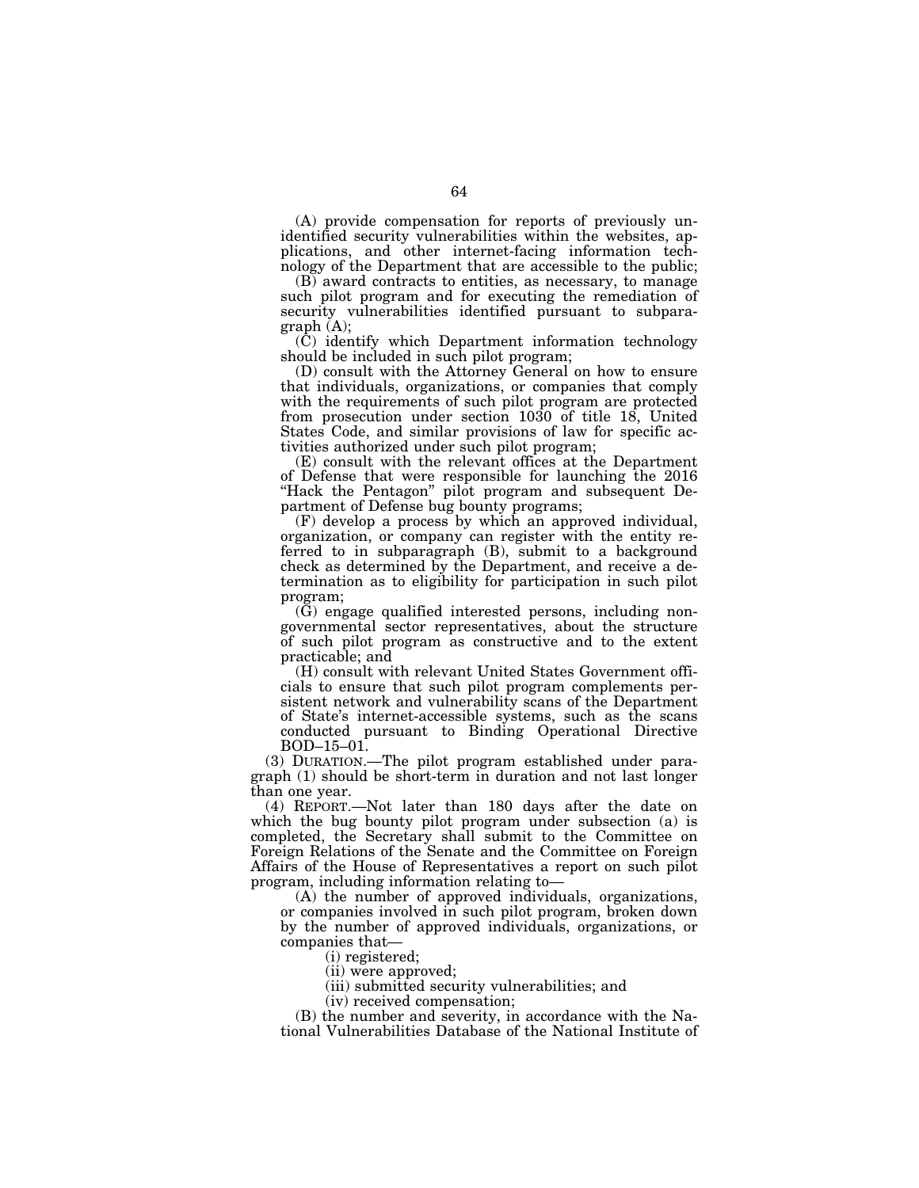(A) provide compensation for reports of previously unidentified security vulnerabilities within the websites, applications, and other internet-facing information technology of the Department that are accessible to the public;

(B) award contracts to entities, as necessary, to manage such pilot program and for executing the remediation of security vulnerabilities identified pursuant to subparagraph (A);

(C) identify which Department information technology should be included in such pilot program;

(D) consult with the Attorney General on how to ensure that individuals, organizations, or companies that comply with the requirements of such pilot program are protected from prosecution under section 1030 of title 18, United States Code, and similar provisions of law for specific activities authorized under such pilot program;

(E) consult with the relevant offices at the Department of Defense that were responsible for launching the 2016 ''Hack the Pentagon'' pilot program and subsequent Department of Defense bug bounty programs;

(F) develop a process by which an approved individual, organization, or company can register with the entity referred to in subparagraph (B), submit to a background check as determined by the Department, and receive a determination as to eligibility for participation in such pilot program;

(G) engage qualified interested persons, including nongovernmental sector representatives, about the structure of such pilot program as constructive and to the extent practicable; and

(H) consult with relevant United States Government officials to ensure that such pilot program complements persistent network and vulnerability scans of the Department of State's internet-accessible systems, such as the scans conducted pursuant to Binding Operational Directive BOD–15–01.

(3) DURATION.—The pilot program established under paragraph (1) should be short-term in duration and not last longer than one year.

(4) REPORT.—Not later than 180 days after the date on which the bug bounty pilot program under subsection (a) is completed, the Secretary shall submit to the Committee on Foreign Relations of the Senate and the Committee on Foreign Affairs of the House of Representatives a report on such pilot program, including information relating to—

(A) the number of approved individuals, organizations, or companies involved in such pilot program, broken down by the number of approved individuals, organizations, or companies that—

(i) registered;

(ii) were approved;

(iii) submitted security vulnerabilities; and

(iv) received compensation;

(B) the number and severity, in accordance with the National Vulnerabilities Database of the National Institute of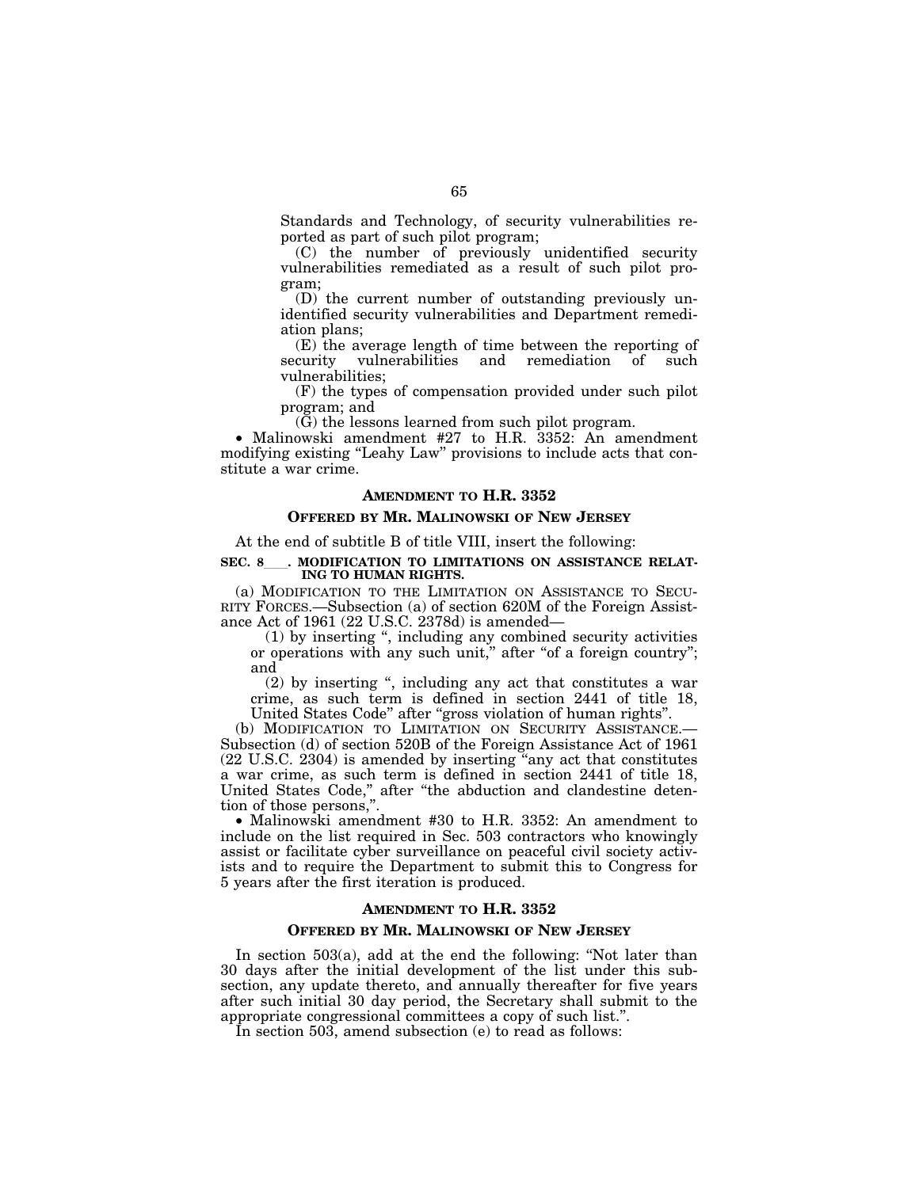Standards and Technology, of security vulnerabilities reported as part of such pilot program;

(C) the number of previously unidentified security vulnerabilities remediated as a result of such pilot program;

(D) the current number of outstanding previously unidentified security vulnerabilities and Department remediation plans;

(E) the average length of time between the reporting of security vulnerabilities and remediation of such remediation of such vulnerabilities;

(F) the types of compensation provided under such pilot program; and

(G) the lessons learned from such pilot program.

• Malinowski amendment #27 to H.R. 3352: An amendment modifying existing "Leahy Law" provisions to include acts that constitute a war crime.

# **AMENDMENT TO H.R. 3352**

# **OFFERED BY MR. MALINOWSKI OF NEW JERSEY**

At the end of subtitle B of title VIII, insert the following:

# SEC. 8 . MODIFICATION TO LIMITATIONS ON ASSISTANCE RELAT-**ING TO HUMAN RIGHTS.**

(a) MODIFICATION TO THE LIMITATION ON ASSISTANCE TO SECU-RITY FORCES.—Subsection (a) of section 620M of the Foreign Assistance Act of 1961 (22 U.S.C. 2378d) is amended—

(1) by inserting '', including any combined security activities or operations with any such unit," after "of a foreign country"; and

(2) by inserting '', including any act that constitutes a war crime, as such term is defined in section 2441 of title 18, United States Code'' after ''gross violation of human rights''.

(b) MODIFICATION TO LIMITATION ON SECURITY ASSISTANCE.— Subsection (d) of section 520B of the Foreign Assistance Act of 1961 (22 U.S.C. 2304) is amended by inserting ''any act that constitutes a war crime, as such term is defined in section 2441 of title 18, United States Code,'' after ''the abduction and clandestine detention of those persons,''.

• Malinowski amendment #30 to H.R. 3352: An amendment to include on the list required in Sec. 503 contractors who knowingly assist or facilitate cyber surveillance on peaceful civil society activists and to require the Department to submit this to Congress for 5 years after the first iteration is produced.

# **AMENDMENT TO H.R. 3352**

# **OFFERED BY MR. MALINOWSKI OF NEW JERSEY**

In section  $503(a)$ , add at the end the following: "Not later than 30 days after the initial development of the list under this subsection, any update thereto, and annually thereafter for five years after such initial 30 day period, the Secretary shall submit to the appropriate congressional committees a copy of such list.''.

In section 503, amend subsection (e) to read as follows: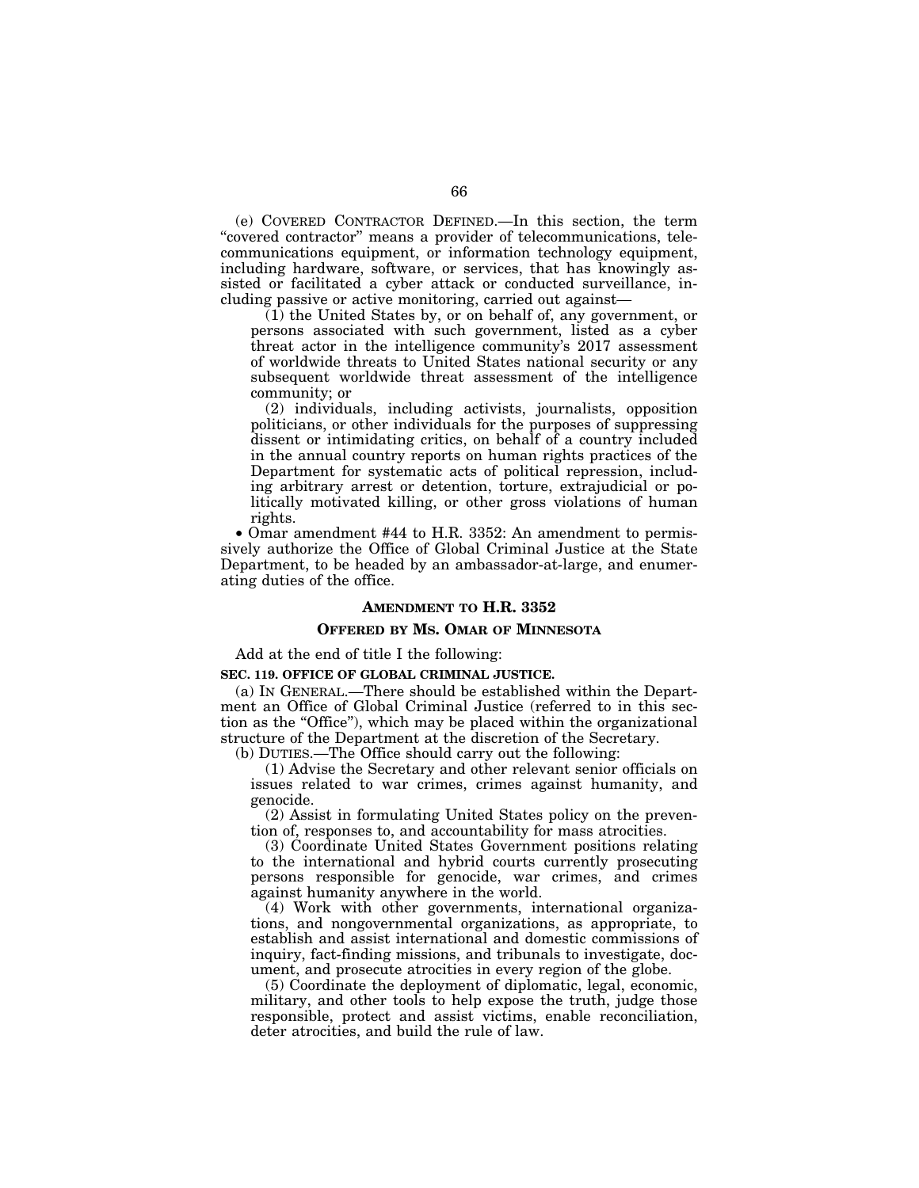(e) COVERED CONTRACTOR DEFINED.—In this section, the term "covered contractor" means a provider of telecommunications, telecommunications equipment, or information technology equipment, including hardware, software, or services, that has knowingly assisted or facilitated a cyber attack or conducted surveillance, including passive or active monitoring, carried out against—

(1) the United States by, or on behalf of, any government, or persons associated with such government, listed as a cyber threat actor in the intelligence community's 2017 assessment of worldwide threats to United States national security or any subsequent worldwide threat assessment of the intelligence community; or

(2) individuals, including activists, journalists, opposition politicians, or other individuals for the purposes of suppressing dissent or intimidating critics, on behalf of a country included in the annual country reports on human rights practices of the Department for systematic acts of political repression, including arbitrary arrest or detention, torture, extrajudicial or politically motivated killing, or other gross violations of human rights.

• Omar amendment #44 to H.R. 3352: An amendment to permissively authorize the Office of Global Criminal Justice at the State Department, to be headed by an ambassador-at-large, and enumerating duties of the office.

## **AMENDMENT TO H.R. 3352**

# **OFFERED BY MS. OMAR OF MINNESOTA**

Add at the end of title I the following:

# **SEC. 119. OFFICE OF GLOBAL CRIMINAL JUSTICE.**

(a) IN GENERAL.—There should be established within the Department an Office of Global Criminal Justice (referred to in this section as the ''Office''), which may be placed within the organizational structure of the Department at the discretion of the Secretary.

(b) DUTIES.—The Office should carry out the following:

(1) Advise the Secretary and other relevant senior officials on issues related to war crimes, crimes against humanity, and genocide.

(2) Assist in formulating United States policy on the prevention of, responses to, and accountability for mass atrocities.

(3) Coordinate United States Government positions relating to the international and hybrid courts currently prosecuting persons responsible for genocide, war crimes, and crimes against humanity anywhere in the world.

(4) Work with other governments, international organizations, and nongovernmental organizations, as appropriate, to establish and assist international and domestic commissions of inquiry, fact-finding missions, and tribunals to investigate, document, and prosecute atrocities in every region of the globe.

(5) Coordinate the deployment of diplomatic, legal, economic, military, and other tools to help expose the truth, judge those responsible, protect and assist victims, enable reconciliation, deter atrocities, and build the rule of law.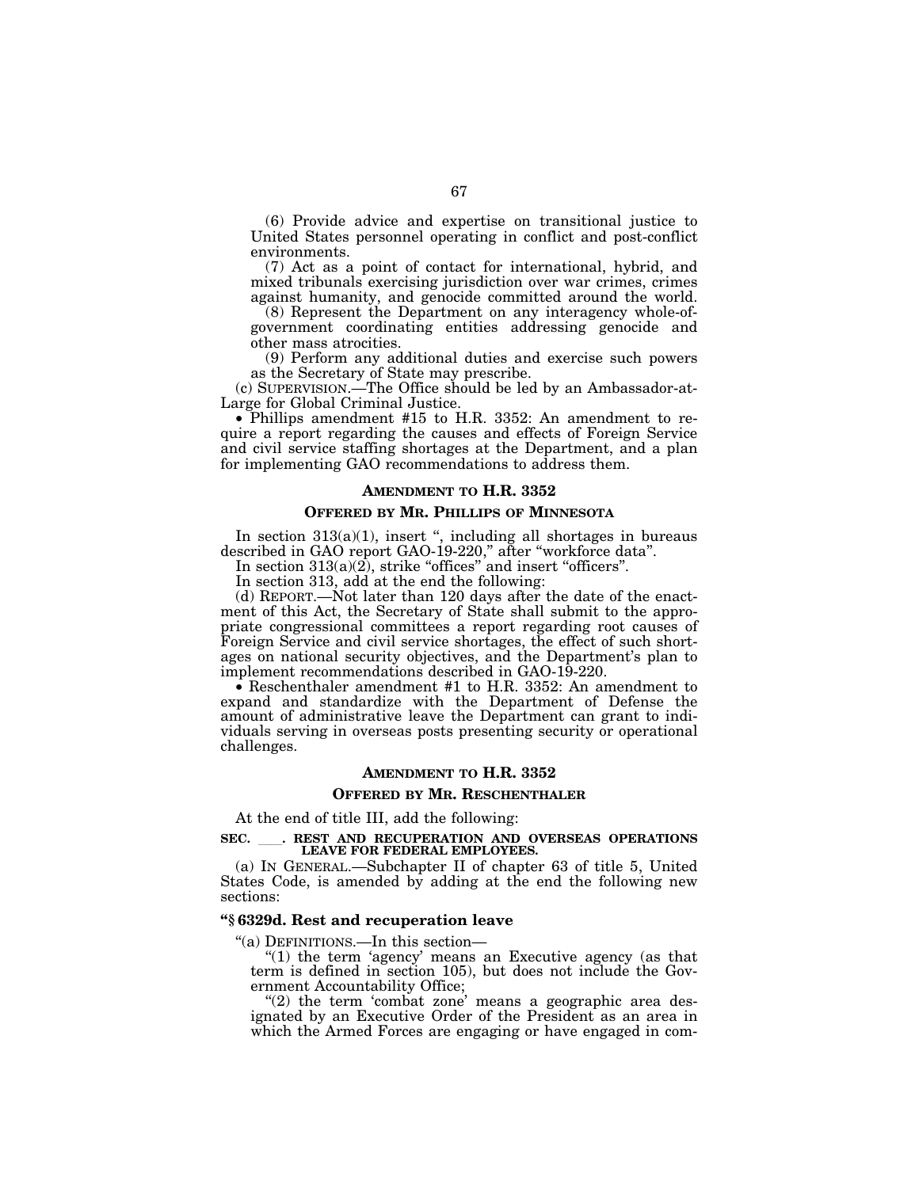(6) Provide advice and expertise on transitional justice to United States personnel operating in conflict and post-conflict environments.

(7) Act as a point of contact for international, hybrid, and mixed tribunals exercising jurisdiction over war crimes, crimes against humanity, and genocide committed around the world.

(8) Represent the Department on any interagency whole-ofgovernment coordinating entities addressing genocide and other mass atrocities.

(9) Perform any additional duties and exercise such powers as the Secretary of State may prescribe.

(c) SUPERVISION.—The Office should be led by an Ambassador-at-Large for Global Criminal Justice.

• Phillips amendment #15 to H.R. 3352: An amendment to require a report regarding the causes and effects of Foreign Service and civil service staffing shortages at the Department, and a plan for implementing GAO recommendations to address them.

## **AMENDMENT TO H.R. 3352**

## **OFFERED BY MR. PHILLIPS OF MINNESOTA**

In section  $313(a)(1)$ , insert ", including all shortages in bureaus described in GAO report GAO-19-220,'' after ''workforce data''.

In section  $313(a)(2)$ , strike "offices" and insert "officers".

In section 313, add at the end the following:

(d) REPORT.—Not later than 120 days after the date of the enactment of this Act, the Secretary of State shall submit to the appropriate congressional committees a report regarding root causes of Foreign Service and civil service shortages, the effect of such shortages on national security objectives, and the Department's plan to implement recommendations described in GAO-19-220.

• Reschenthaler amendment #1 to H.R. 3352: An amendment to expand and standardize with the Department of Defense the amount of administrative leave the Department can grant to individuals serving in overseas posts presenting security or operational challenges.

## **AMENDMENT TO H.R. 3352**

#### **OFFERED BY MR. RESCHENTHALER**

At the end of title III, add the following:

#### **SEC.** ll**. REST AND RECUPERATION AND OVERSEAS OPERATIONS LEAVE FOR FEDERAL EMPLOYEES.**

(a) IN GENERAL.—Subchapter II of chapter 63 of title 5, United States Code, is amended by adding at the end the following new sections:

# **''§ 6329d. Rest and recuperation leave**

''(a) DEFINITIONS.—In this section—

" $(1)$  the term 'agency' means an Executive agency (as that term is defined in section 105), but does not include the Government Accountability Office;

"(2) the term 'combat zone' means a geographic area designated by an Executive Order of the President as an area in which the Armed Forces are engaging or have engaged in com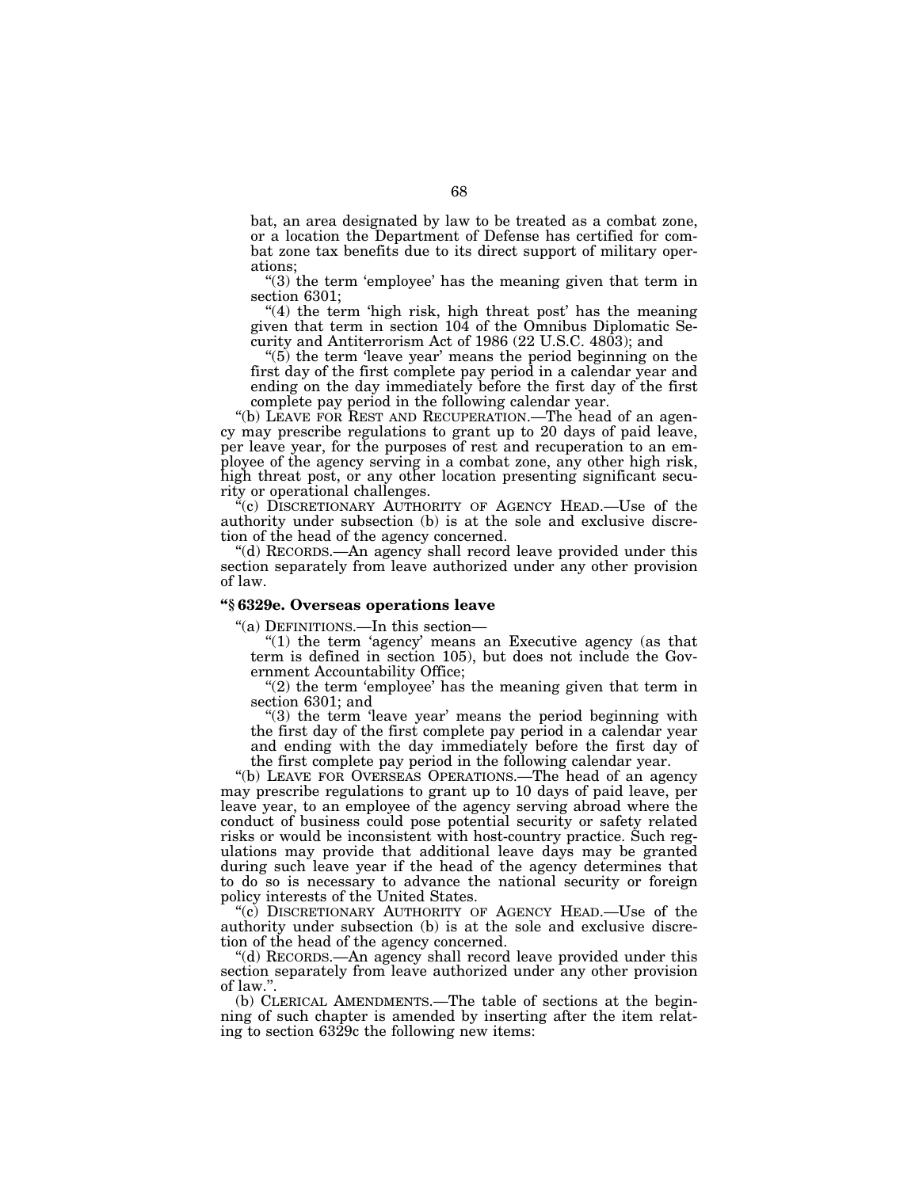bat, an area designated by law to be treated as a combat zone, or a location the Department of Defense has certified for combat zone tax benefits due to its direct support of military operations;

''(3) the term 'employee' has the meaning given that term in section 6301;

 $(4)$  the term 'high risk, high threat post' has the meaning given that term in section 104 of the Omnibus Diplomatic Security and Antiterrorism Act of 1986 (22 U.S.C. 4803); and

" $(5)$  the term 'leave year' means the period beginning on the first day of the first complete pay period in a calendar year and ending on the day immediately before the first day of the first complete pay period in the following calendar year.

''(b) LEAVE FOR REST AND RECUPERATION.—The head of an agency may prescribe regulations to grant up to 20 days of paid leave, per leave year, for the purposes of rest and recuperation to an employee of the agency serving in a combat zone, any other high risk, high threat post, or any other location presenting significant security or operational challenges.

"(c) DISCRETIONARY AUTHORITY OF AGENCY HEAD.—Use of the authority under subsection (b) is at the sole and exclusive discretion of the head of the agency concerned.

"(d) RECORDS.—An agency shall record leave provided under this section separately from leave authorized under any other provision of law.

# **''§ 6329e. Overseas operations leave**

''(a) DEFINITIONS.—In this section—

''(1) the term 'agency' means an Executive agency (as that term is defined in section 105), but does not include the Government Accountability Office;

"(2) the term 'employee' has the meaning given that term in section 6301; and

 $(3)$  the term 'leave year' means the period beginning with the first day of the first complete pay period in a calendar year and ending with the day immediately before the first day of the first complete pay period in the following calendar year.

''(b) LEAVE FOR OVERSEAS OPERATIONS.—The head of an agency may prescribe regulations to grant up to 10 days of paid leave, per leave year, to an employee of the agency serving abroad where the conduct of business could pose potential security or safety related risks or would be inconsistent with host-country practice. Such regulations may provide that additional leave days may be granted during such leave year if the head of the agency determines that to do so is necessary to advance the national security or foreign policy interests of the United States.

"(c) DISCRETIONARY AUTHORITY OF AGENCY HEAD.—Use of the authority under subsection (b) is at the sole and exclusive discretion of the head of the agency concerned.

''(d) RECORDS.—An agency shall record leave provided under this section separately from leave authorized under any other provision of law.''.

(b) CLERICAL AMENDMENTS.—The table of sections at the beginning of such chapter is amended by inserting after the item relating to section 6329c the following new items: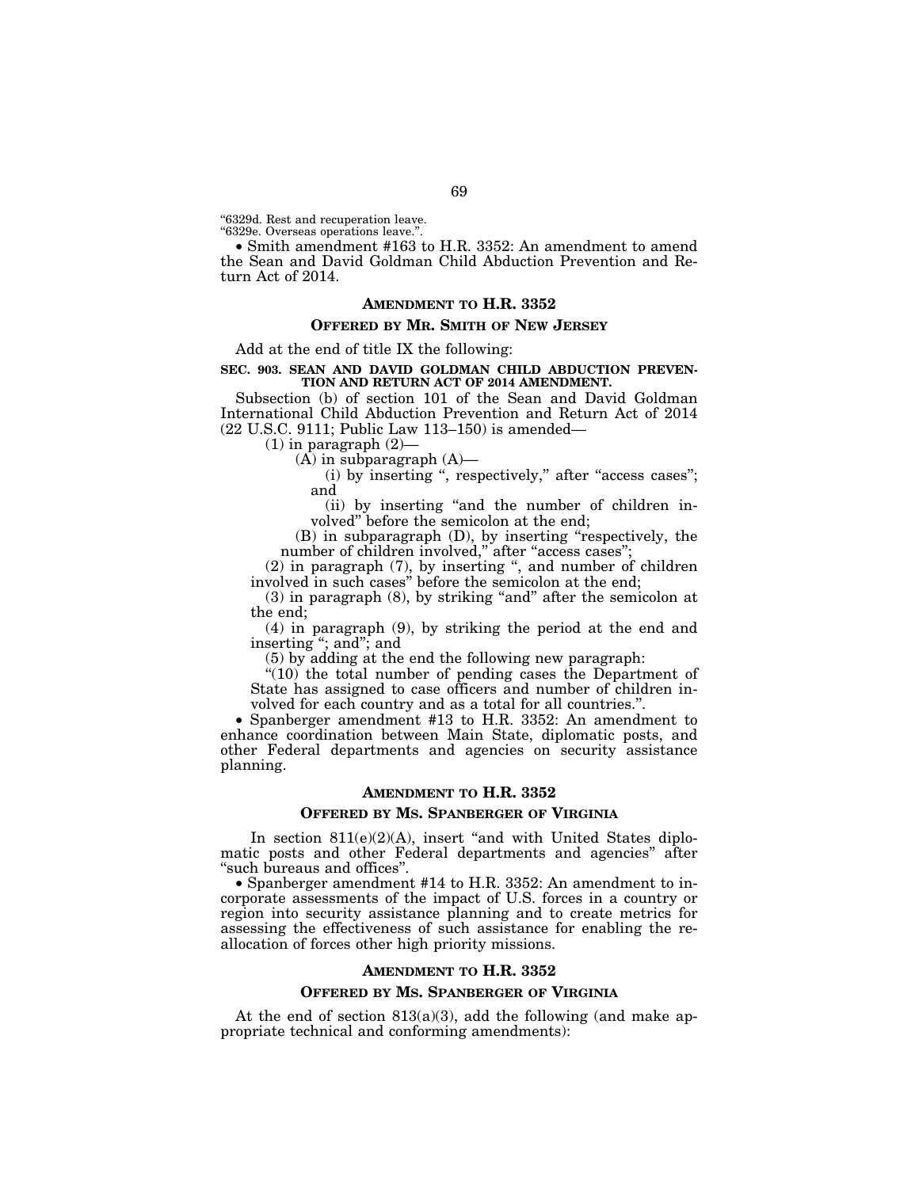''6329d. Rest and recuperation leave.

''6329e. Overseas operations leave.''.

• Smith amendment #163 to H.R. 3352: An amendment to amend the Sean and David Goldman Child Abduction Prevention and Return Act of 2014.

# **AMENDMENT TO H.R. 3352**

# **OFFERED BY MR. SMITH OF NEW JERSEY**

## Add at the end of title IX the following:

#### **SEC. 903. SEAN AND DAVID GOLDMAN CHILD ABDUCTION PREVEN-TION AND RETURN ACT OF 2014 AMENDMENT.**

Subsection (b) of section 101 of the Sean and David Goldman International Child Abduction Prevention and Return Act of 2014 (22 U.S.C. 9111; Public Law 113–150) is amended—

 $(1)$  in paragraph  $(2)$ —

 $(A)$  in subparagraph  $(A)$ —

(i) by inserting ", respectively," after "access cases"; and

(ii) by inserting ''and the number of children involved" before the semicolon at the end;

(B) in subparagraph (D), by inserting ''respectively, the number of children involved," after "access cases";

(2) in paragraph (7), by inserting ", and number of children involved in such cases'' before the semicolon at the end;

 $(3)$  in paragraph  $(8)$ , by striking "and" after the semicolon at the end;

(4) in paragraph (9), by striking the period at the end and inserting ''; and''; and

(5) by adding at the end the following new paragraph:

"(10) the total number of pending cases the Department of State has assigned to case officers and number of children involved for each country and as a total for all countries.''.

• Spanberger amendment #13 to H.R. 3352: An amendment to enhance coordination between Main State, diplomatic posts, and other Federal departments and agencies on security assistance planning.

# **AMENDMENT TO H.R. 3352**

# **OFFERED BY MS. SPANBERGER OF VIRGINIA**

In section  $811(e)(2)(A)$ , insert "and with United States diplomatic posts and other Federal departments and agencies'' after 'such bureaus and offices".

• Spanberger amendment #14 to H.R. 3352: An amendment to incorporate assessments of the impact of U.S. forces in a country or region into security assistance planning and to create metrics for assessing the effectiveness of such assistance for enabling the reallocation of forces other high priority missions.

# **AMENDMENT TO H.R. 3352**

# **OFFERED BY MS. SPANBERGER OF VIRGINIA**

At the end of section  $813(a)(3)$ , add the following (and make appropriate technical and conforming amendments):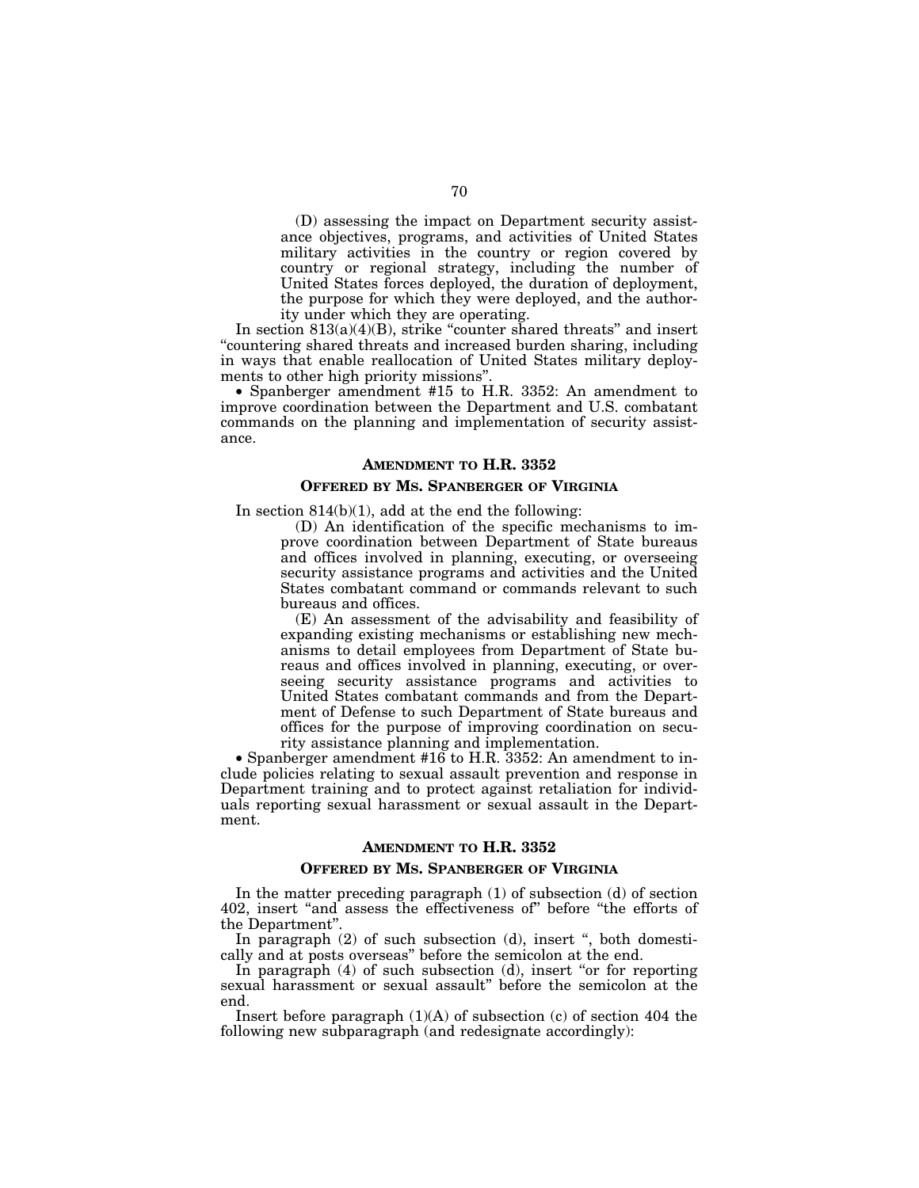(D) assessing the impact on Department security assistance objectives, programs, and activities of United States military activities in the country or region covered by country or regional strategy, including the number of United States forces deployed, the duration of deployment, the purpose for which they were deployed, and the authority under which they are operating.

In section  $813(a)(4)(B)$ , strike "counter shared threats" and insert ''countering shared threats and increased burden sharing, including in ways that enable reallocation of United States military deployments to other high priority missions''.

• Spanberger amendment #15 to H.R. 3352: An amendment to improve coordination between the Department and U.S. combatant commands on the planning and implementation of security assistance.

# **AMENDMENT TO H.R. 3352**

# **OFFERED BY MS. SPANBERGER OF VIRGINIA**

In section  $814(b)(1)$ , add at the end the following:

(D) An identification of the specific mechanisms to improve coordination between Department of State bureaus and offices involved in planning, executing, or overseeing security assistance programs and activities and the United States combatant command or commands relevant to such bureaus and offices.

(E) An assessment of the advisability and feasibility of expanding existing mechanisms or establishing new mechanisms to detail employees from Department of State bureaus and offices involved in planning, executing, or overseeing security assistance programs and activities to United States combatant commands and from the Department of Defense to such Department of State bureaus and offices for the purpose of improving coordination on security assistance planning and implementation.

• Spanberger amendment #16 to H.R. 3352: An amendment to include policies relating to sexual assault prevention and response in Department training and to protect against retaliation for individuals reporting sexual harassment or sexual assault in the Department.

## **AMENDMENT TO H.R. 3352**

#### **OFFERED BY MS. SPANBERGER OF VIRGINIA**

In the matter preceding paragraph (1) of subsection (d) of section 402, insert ''and assess the effectiveness of'' before ''the efforts of the Department''.

In paragraph (2) of such subsection (d), insert ", both domestically and at posts overseas'' before the semicolon at the end.

In paragraph  $(4)$  of such subsection  $(d)$ , insert "or for reporting sexual harassment or sexual assault'' before the semicolon at the end.

Insert before paragraph  $(1)(A)$  of subsection  $(c)$  of section 404 the following new subparagraph (and redesignate accordingly):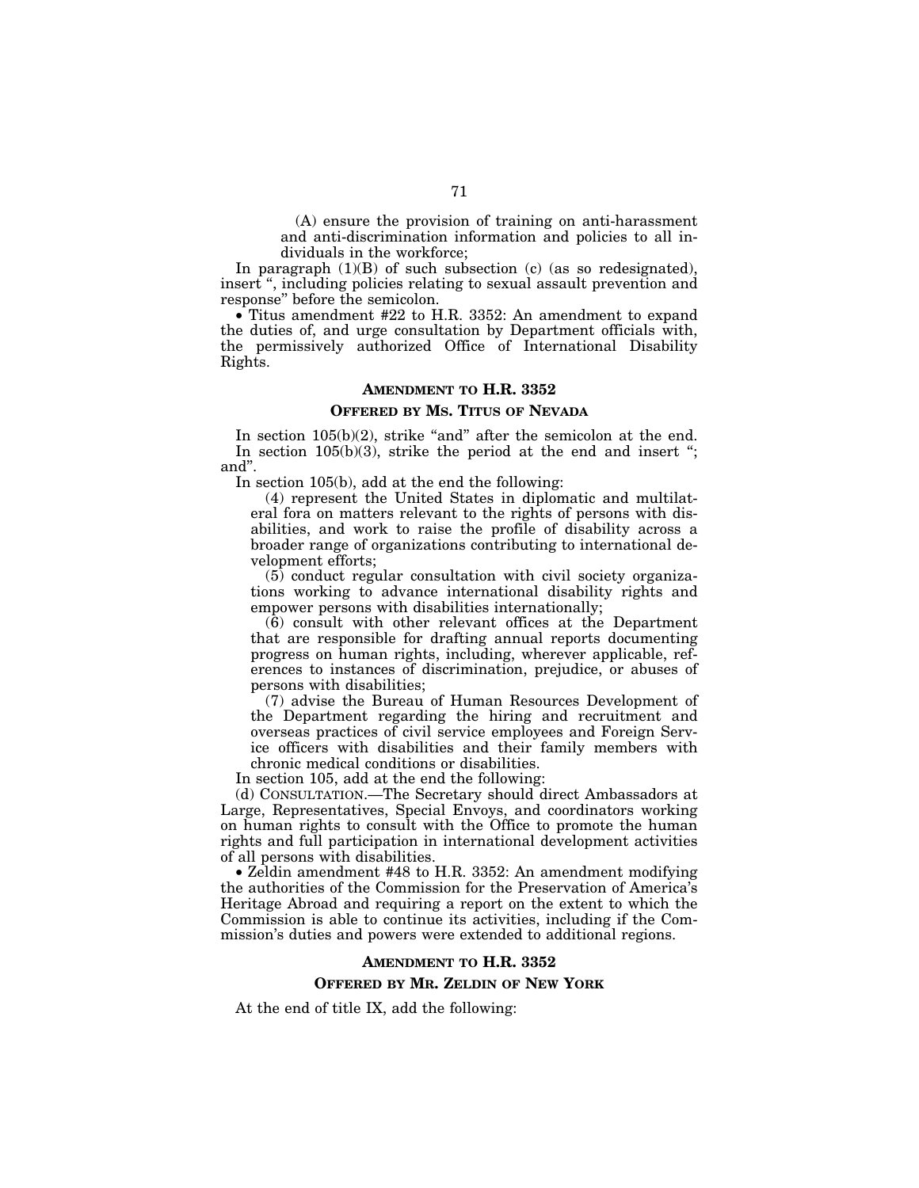(A) ensure the provision of training on anti-harassment and anti-discrimination information and policies to all individuals in the workforce;

In paragraph  $(1)(B)$  of such subsection (c) (as so redesignated), insert '', including policies relating to sexual assault prevention and response'' before the semicolon.

• Titus amendment #22 to H.R. 3352: An amendment to expand the duties of, and urge consultation by Department officials with, the permissively authorized Office of International Disability Rights.

# **AMENDMENT TO H.R. 3352**

# **OFFERED BY MS. TITUS OF NEVADA**

In section  $105(b)(2)$ , strike "and" after the semicolon at the end. In section  $105(b)(3)$ , strike the period at the end and insert "; and''.

In section 105(b), add at the end the following:

(4) represent the United States in diplomatic and multilateral fora on matters relevant to the rights of persons with disabilities, and work to raise the profile of disability across a broader range of organizations contributing to international development efforts;

 $(5)$  conduct regular consultation with civil society organizations working to advance international disability rights and empower persons with disabilities internationally;

(6) consult with other relevant offices at the Department that are responsible for drafting annual reports documenting progress on human rights, including, wherever applicable, references to instances of discrimination, prejudice, or abuses of persons with disabilities;

(7) advise the Bureau of Human Resources Development of the Department regarding the hiring and recruitment and overseas practices of civil service employees and Foreign Service officers with disabilities and their family members with chronic medical conditions or disabilities.

In section 105, add at the end the following:

(d) CONSULTATION.—The Secretary should direct Ambassadors at Large, Representatives, Special Envoys, and coordinators working on human rights to consult with the Office to promote the human rights and full participation in international development activities of all persons with disabilities.

• Zeldin amendment #48 to H.R. 3352: An amendment modifying the authorities of the Commission for the Preservation of America's Heritage Abroad and requiring a report on the extent to which the Commission is able to continue its activities, including if the Commission's duties and powers were extended to additional regions.

# **AMENDMENT TO H.R. 3352**

# **OFFERED BY MR. ZELDIN OF NEW YORK**

At the end of title IX, add the following: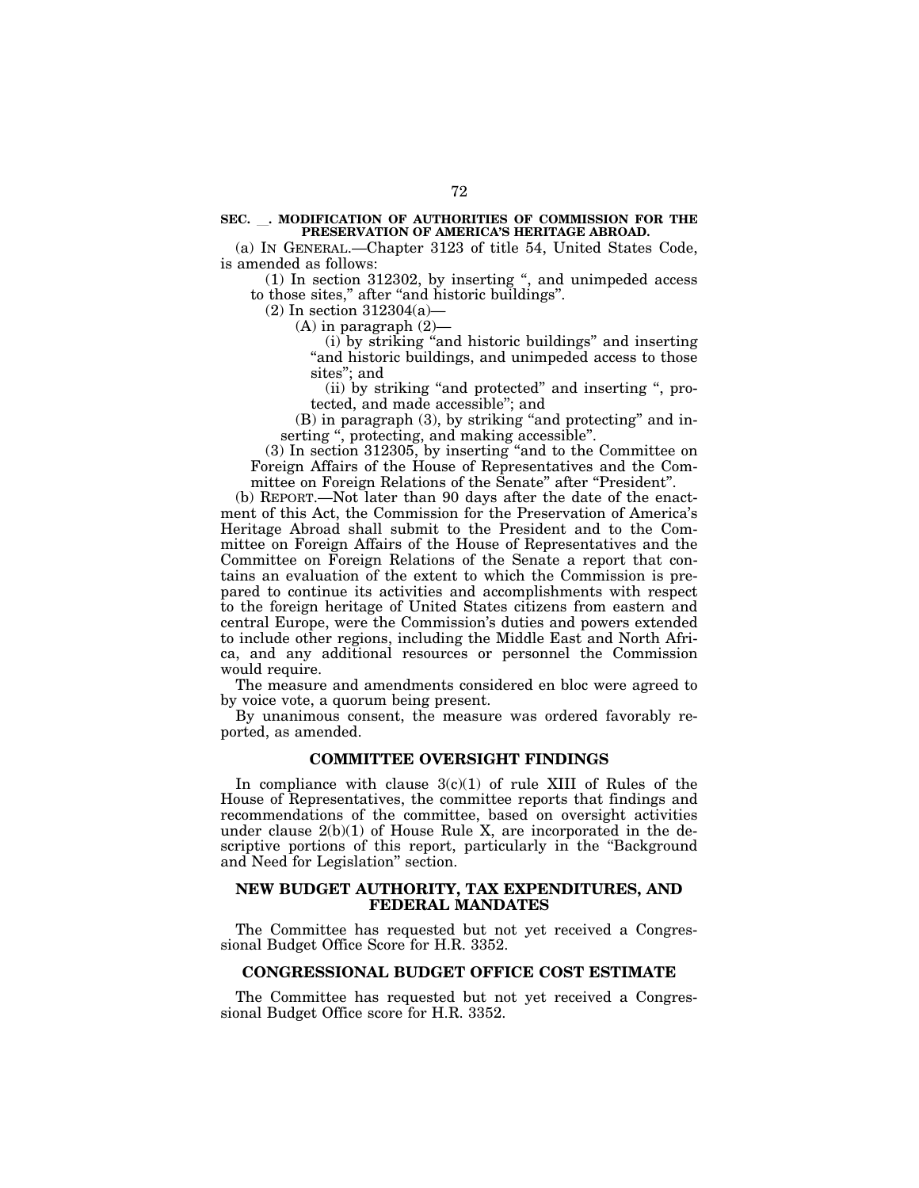# **SEC.** l**. MODIFICATION OF AUTHORITIES OF COMMISSION FOR THE PRESERVATION OF AMERICA'S HERITAGE ABROAD.**

(a) IN GENERAL.—Chapter 3123 of title 54, United States Code, is amended as follows:

(1) In section 312302, by inserting '', and unimpeded access to those sites,'' after ''and historic buildings''.

(2) In section 312304(a)—

(A) in paragraph (2)—

(i) by striking ''and historic buildings'' and inserting "and historic buildings, and unimpeded access to those sites''; and

(ii) by striking ''and protected'' and inserting '', protected, and made accessible''; and

(B) in paragraph (3), by striking "and protecting" and inserting ", protecting, and making accessible".

(3) In section 312305, by inserting ''and to the Committee on Foreign Affairs of the House of Representatives and the Committee on Foreign Relations of the Senate" after "President".

(b) REPORT.—Not later than 90 days after the date of the enactment of this Act, the Commission for the Preservation of America's Heritage Abroad shall submit to the President and to the Committee on Foreign Affairs of the House of Representatives and the Committee on Foreign Relations of the Senate a report that contains an evaluation of the extent to which the Commission is prepared to continue its activities and accomplishments with respect to the foreign heritage of United States citizens from eastern and central Europe, were the Commission's duties and powers extended to include other regions, including the Middle East and North Africa, and any additional resources or personnel the Commission would require.

The measure and amendments considered en bloc were agreed to by voice vote, a quorum being present.

By unanimous consent, the measure was ordered favorably reported, as amended.

# **COMMITTEE OVERSIGHT FINDINGS**

In compliance with clause  $3(c)(1)$  of rule XIII of Rules of the House of Representatives, the committee reports that findings and recommendations of the committee, based on oversight activities under clause  $2(b)(1)$  of House Rule X, are incorporated in the descriptive portions of this report, particularly in the ''Background and Need for Legislation'' section.

# **NEW BUDGET AUTHORITY, TAX EXPENDITURES, AND FEDERAL MANDATES**

The Committee has requested but not yet received a Congressional Budget Office Score for H.R. 3352.

# **CONGRESSIONAL BUDGET OFFICE COST ESTIMATE**

The Committee has requested but not yet received a Congressional Budget Office score for H.R. 3352.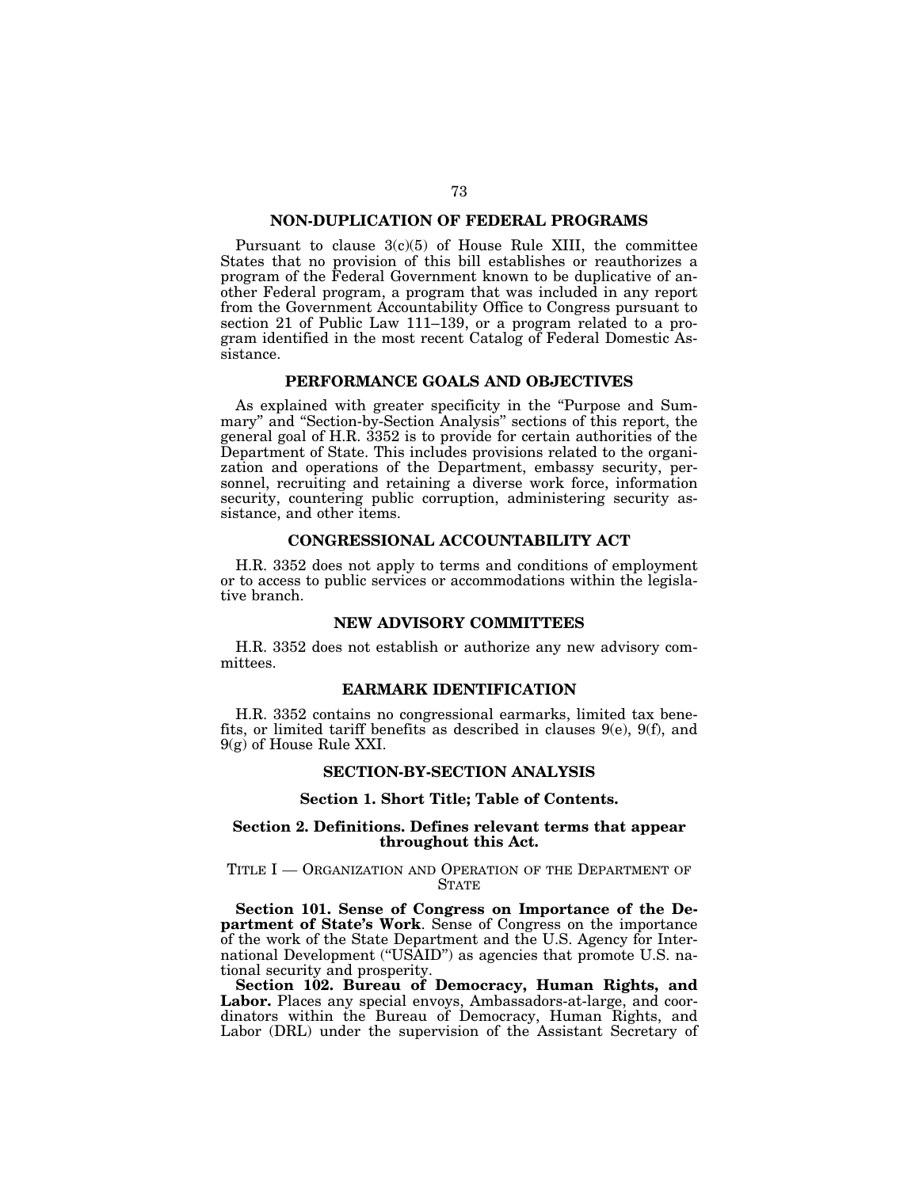## **NON-DUPLICATION OF FEDERAL PROGRAMS**

Pursuant to clause  $3(c)(5)$  of House Rule XIII, the committee States that no provision of this bill establishes or reauthorizes a program of the Federal Government known to be duplicative of another Federal program, a program that was included in any report from the Government Accountability Office to Congress pursuant to section 21 of Public Law 111–139, or a program related to a program identified in the most recent Catalog of Federal Domestic Assistance.

## **PERFORMANCE GOALS AND OBJECTIVES**

As explained with greater specificity in the "Purpose and Summary'' and ''Section-by-Section Analysis'' sections of this report, the general goal of H.R. 3352 is to provide for certain authorities of the Department of State. This includes provisions related to the organization and operations of the Department, embassy security, personnel, recruiting and retaining a diverse work force, information security, countering public corruption, administering security assistance, and other items.

# **CONGRESSIONAL ACCOUNTABILITY ACT**

H.R. 3352 does not apply to terms and conditions of employment or to access to public services or accommodations within the legislative branch.

# **NEW ADVISORY COMMITTEES**

H.R. 3352 does not establish or authorize any new advisory committees.

## **EARMARK IDENTIFICATION**

H.R. 3352 contains no congressional earmarks, limited tax benefits, or limited tariff benefits as described in clauses 9(e), 9(f), and 9(g) of House Rule XXI.

### **SECTION-BY-SECTION ANALYSIS**

## **Section 1. Short Title; Table of Contents.**

## **Section 2. Definitions. Defines relevant terms that appear throughout this Act.**

### TITLE I — ORGANIZATION AND OPERATION OF THE DEPARTMENT OF **STATE**

**Section 101. Sense of Congress on Importance of the Department of State's Work**. Sense of Congress on the importance of the work of the State Department and the U.S. Agency for International Development ("USAID") as agencies that promote U.S. national security and prosperity.

**Section 102. Bureau of Democracy, Human Rights, and Labor.** Places any special envoys, Ambassadors-at-large, and coordinators within the Bureau of Democracy, Human Rights, and Labor (DRL) under the supervision of the Assistant Secretary of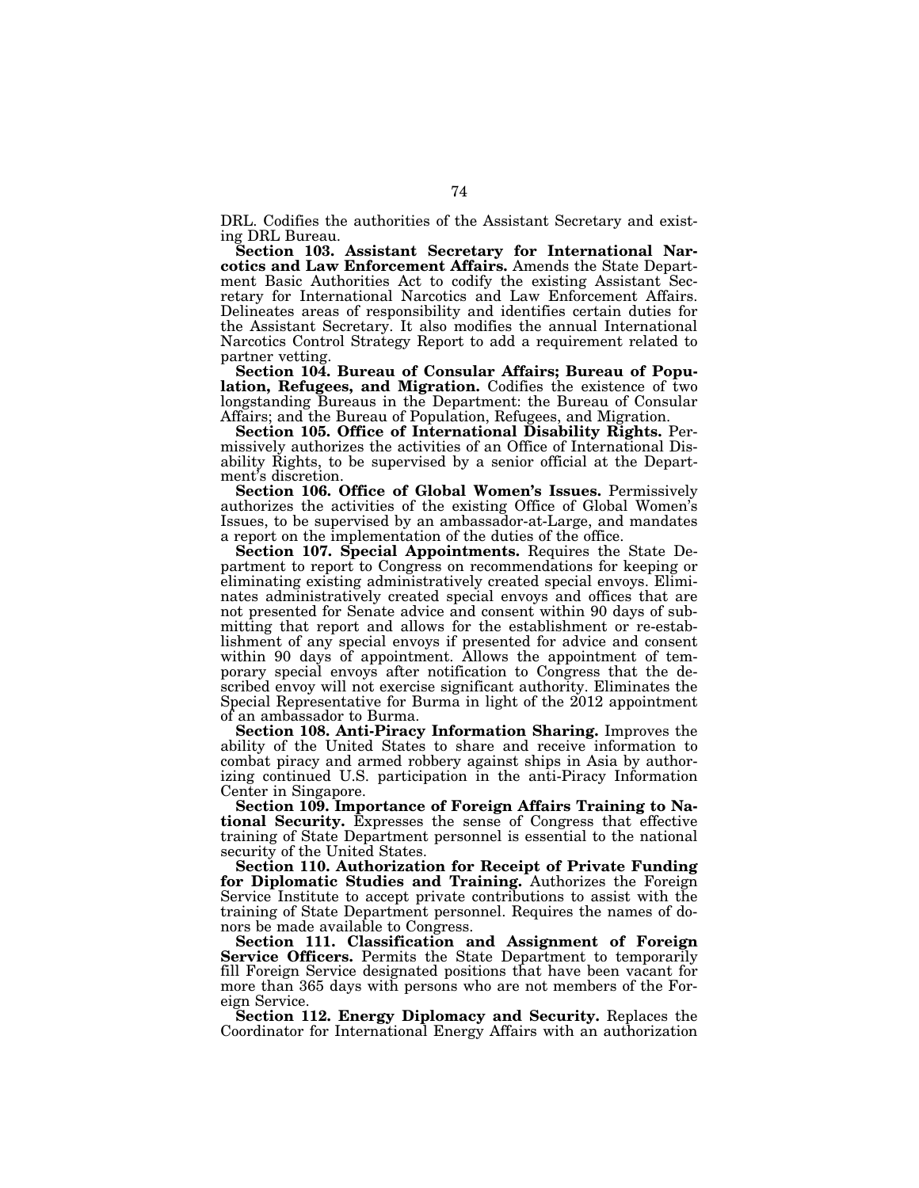DRL. Codifies the authorities of the Assistant Secretary and existing DRL Bureau.

**Section 103. Assistant Secretary for International Narcotics and Law Enforcement Affairs.** Amends the State Department Basic Authorities Act to codify the existing Assistant Secretary for International Narcotics and Law Enforcement Affairs. Delineates areas of responsibility and identifies certain duties for the Assistant Secretary. It also modifies the annual International Narcotics Control Strategy Report to add a requirement related to partner vetting.

**Section 104. Bureau of Consular Affairs; Bureau of Popu**lation, Refugees, and Migration. Codifies the existence of two longstanding Bureaus in the Department: the Bureau of Consular Affairs; and the Bureau of Population, Refugees, and Migration.

**Section 105. Office of International Disability Rights.** Permissively authorizes the activities of an Office of International Disability Rights, to be supervised by a senior official at the Department's discretion.

**Section 106. Office of Global Women's Issues.** Permissively authorizes the activities of the existing Office of Global Women's Issues, to be supervised by an ambassador-at-Large, and mandates a report on the implementation of the duties of the office.

**Section 107. Special Appointments.** Requires the State Department to report to Congress on recommendations for keeping or eliminating existing administratively created special envoys. Eliminates administratively created special envoys and offices that are not presented for Senate advice and consent within 90 days of submitting that report and allows for the establishment or re-establishment of any special envoys if presented for advice and consent within 90 days of appointment. Allows the appointment of temporary special envoys after notification to Congress that the described envoy will not exercise significant authority. Eliminates the Special Representative for Burma in light of the 2012 appointment of an ambassador to Burma.

**Section 108. Anti-Piracy Information Sharing.** Improves the ability of the United States to share and receive information to combat piracy and armed robbery against ships in Asia by authorizing continued U.S. participation in the anti-Piracy Information Center in Singapore.

**Section 109. Importance of Foreign Affairs Training to National Security.** Expresses the sense of Congress that effective training of State Department personnel is essential to the national security of the United States.

**Section 110. Authorization for Receipt of Private Funding for Diplomatic Studies and Training.** Authorizes the Foreign Service Institute to accept private contributions to assist with the training of State Department personnel. Requires the names of donors be made available to Congress.

**Section 111. Classification and Assignment of Foreign Service Officers.** Permits the State Department to temporarily fill Foreign Service designated positions that have been vacant for more than 365 days with persons who are not members of the Foreign Service.

**Section 112. Energy Diplomacy and Security.** Replaces the Coordinator for International Energy Affairs with an authorization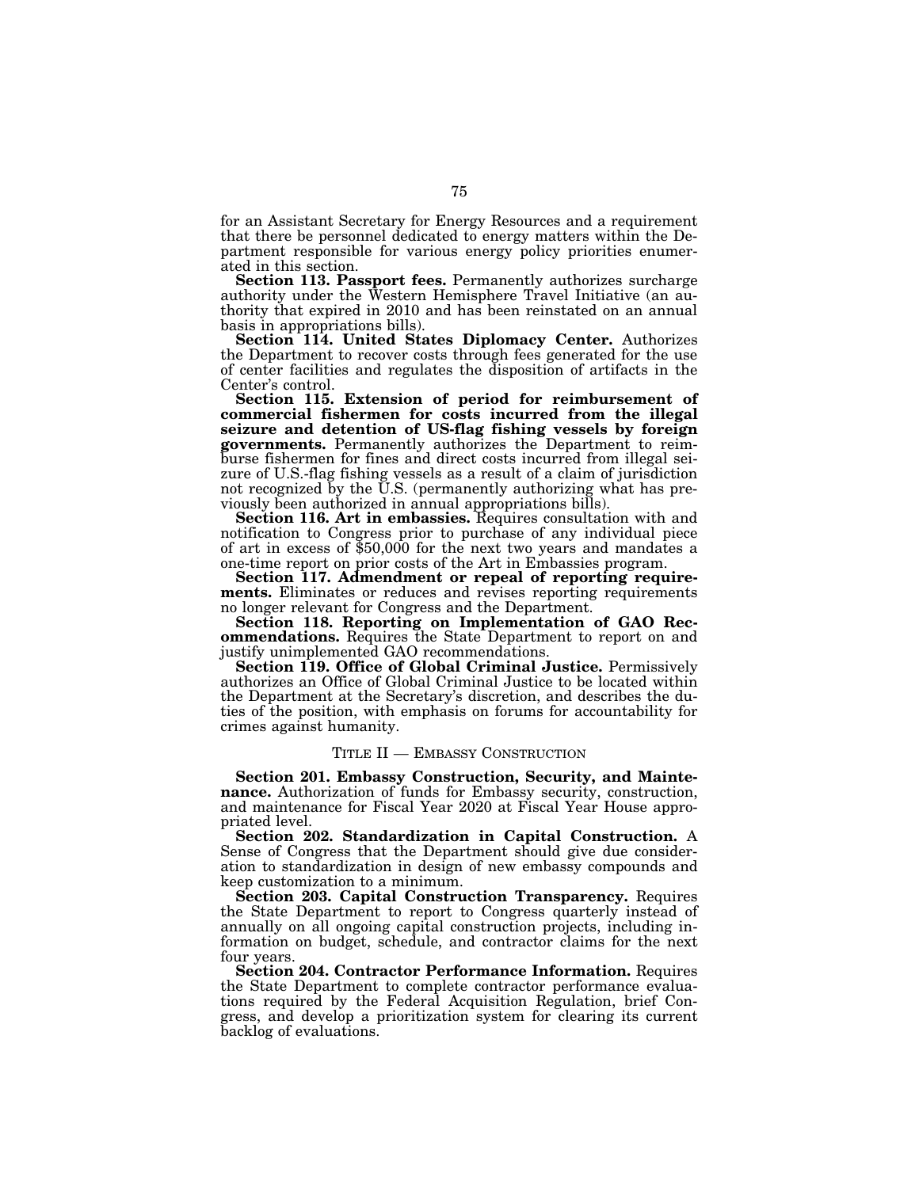for an Assistant Secretary for Energy Resources and a requirement that there be personnel dedicated to energy matters within the Department responsible for various energy policy priorities enumerated in this section.

**Section 113. Passport fees.** Permanently authorizes surcharge authority under the Western Hemisphere Travel Initiative (an authority that expired in 2010 and has been reinstated on an annual basis in appropriations bills).

**Section 114. United States Diplomacy Center.** Authorizes the Department to recover costs through fees generated for the use of center facilities and regulates the disposition of artifacts in the Center's control.

**Section 115. Extension of period for reimbursement of commercial fishermen for costs incurred from the illegal seizure and detention of US-flag fishing vessels by foreign governments.** Permanently authorizes the Department to reimburse fishermen for fines and direct costs incurred from illegal seizure of U.S.-flag fishing vessels as a result of a claim of jurisdiction not recognized by the U.S. (permanently authorizing what has previously been authorized in annual appropriations bills).

**Section 116. Art in embassies.** Requires consultation with and notification to Congress prior to purchase of any individual piece of art in excess of \$50,000 for the next two years and mandates a one-time report on prior costs of the Art in Embassies program.

**Section 117. Admendment or repeal of reporting requirements.** Eliminates or reduces and revises reporting requirements no longer relevant for Congress and the Department.

**Section 118. Reporting on Implementation of GAO Recommendations.** Requires the State Department to report on and justify unimplemented GAO recommendations.

**Section 119. Office of Global Criminal Justice.** Permissively authorizes an Office of Global Criminal Justice to be located within the Department at the Secretary's discretion, and describes the duties of the position, with emphasis on forums for accountability for crimes against humanity.

#### TITLE II — EMBASSY CONSTRUCTION

**Section 201. Embassy Construction, Security, and Maintenance.** Authorization of funds for Embassy security, construction, and maintenance for Fiscal Year 2020 at Fiscal Year House appropriated level.

**Section 202. Standardization in Capital Construction.** A Sense of Congress that the Department should give due consideration to standardization in design of new embassy compounds and keep customization to a minimum.

**Section 203. Capital Construction Transparency.** Requires the State Department to report to Congress quarterly instead of annually on all ongoing capital construction projects, including information on budget, schedule, and contractor claims for the next four years.

**Section 204. Contractor Performance Information.** Requires the State Department to complete contractor performance evaluations required by the Federal Acquisition Regulation, brief Congress, and develop a prioritization system for clearing its current backlog of evaluations.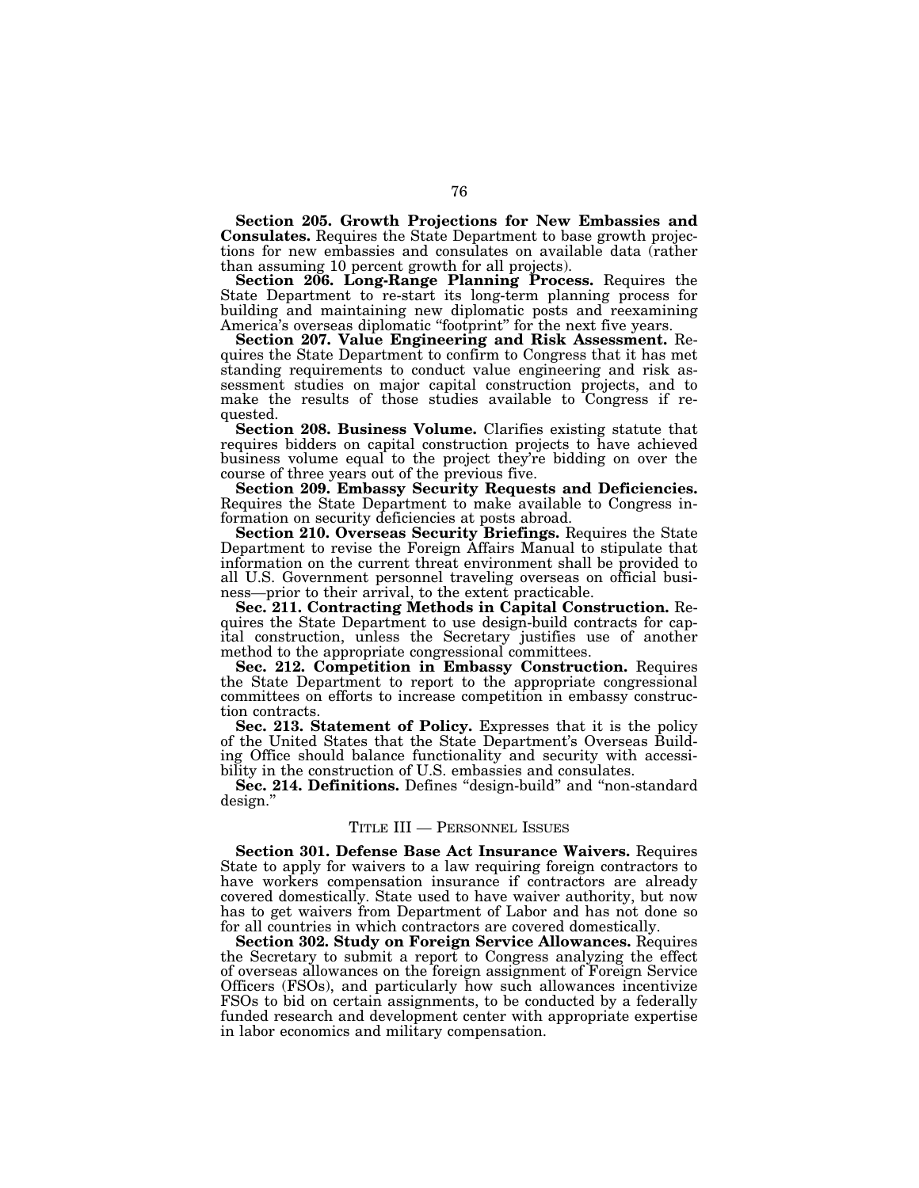**Section 205. Growth Projections for New Embassies and Consulates.** Requires the State Department to base growth projections for new embassies and consulates on available data (rather than assuming 10 percent growth for all projects).

**Section 206. Long-Range Planning Process.** Requires the State Department to re-start its long-term planning process for building and maintaining new diplomatic posts and reexamining America's overseas diplomatic "footprint" for the next five years.

**Section 207. Value Engineering and Risk Assessment.** Requires the State Department to confirm to Congress that it has met standing requirements to conduct value engineering and risk assessment studies on major capital construction projects, and to make the results of those studies available to Congress if requested.

**Section 208. Business Volume.** Clarifies existing statute that requires bidders on capital construction projects to have achieved business volume equal to the project they're bidding on over the course of three years out of the previous five.

**Section 209. Embassy Security Requests and Deficiencies.**  Requires the State Department to make available to Congress information on security deficiencies at posts abroad.

**Section 210. Overseas Security Briefings.** Requires the State Department to revise the Foreign Affairs Manual to stipulate that information on the current threat environment shall be provided to all U.S. Government personnel traveling overseas on official business—prior to their arrival, to the extent practicable.

**Sec. 211. Contracting Methods in Capital Construction.** Requires the State Department to use design-build contracts for capital construction, unless the Secretary justifies use of another method to the appropriate congressional committees.

**Sec. 212. Competition in Embassy Construction.** Requires the State Department to report to the appropriate congressional committees on efforts to increase competition in embassy construction contracts.

**Sec. 213. Statement of Policy.** Expresses that it is the policy of the United States that the State Department's Overseas Building Office should balance functionality and security with accessibility in the construction of U.S. embassies and consulates.

**Sec. 214. Definitions.** Defines "design-build" and "non-standard design.''

#### TITLE III — PERSONNEL ISSUES

**Section 301. Defense Base Act Insurance Waivers.** Requires State to apply for waivers to a law requiring foreign contractors to have workers compensation insurance if contractors are already covered domestically. State used to have waiver authority, but now has to get waivers from Department of Labor and has not done so for all countries in which contractors are covered domestically.

**Section 302. Study on Foreign Service Allowances.** Requires the Secretary to submit a report to Congress analyzing the effect of overseas allowances on the foreign assignment of Foreign Service Officers (FSOs), and particularly how such allowances incentivize FSOs to bid on certain assignments, to be conducted by a federally funded research and development center with appropriate expertise in labor economics and military compensation.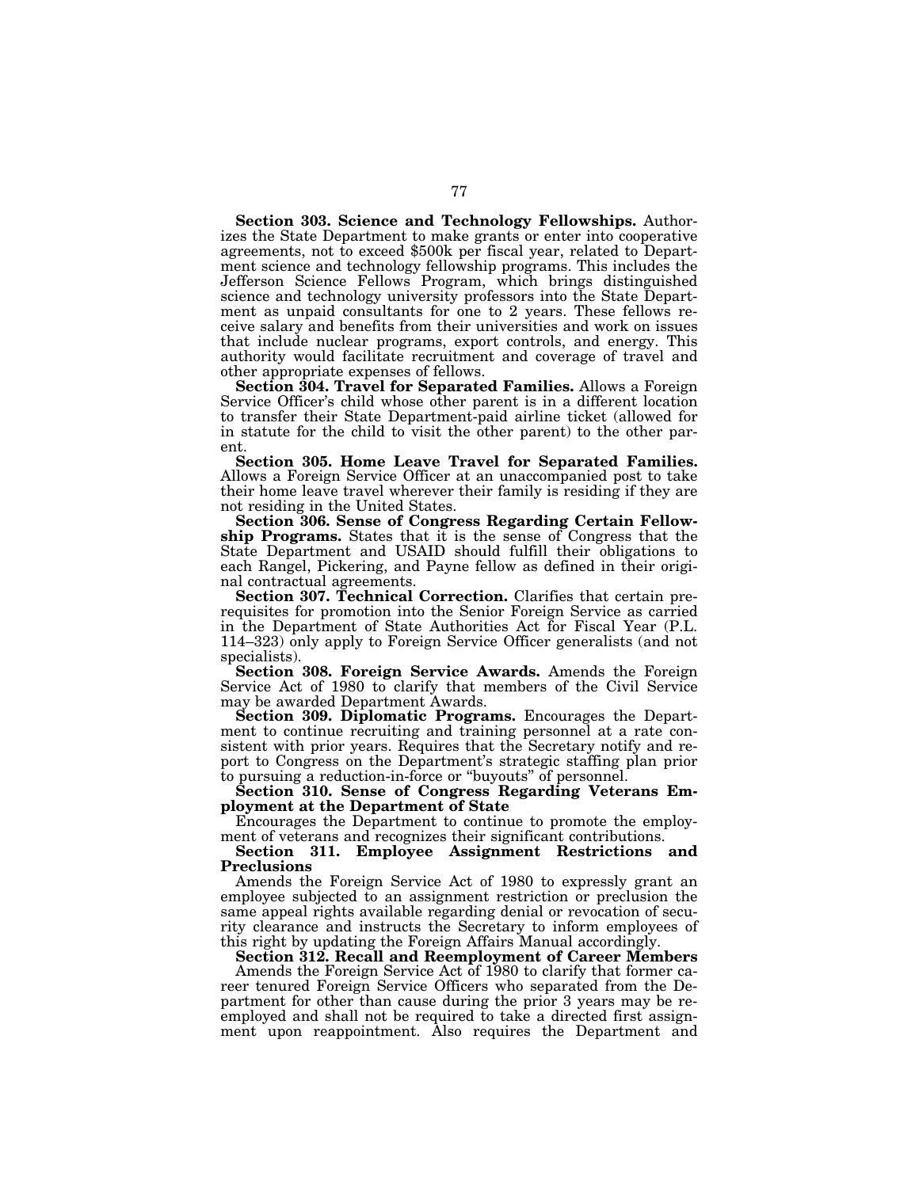**Section 303. Science and Technology Fellowships.** Authorizes the State Department to make grants or enter into cooperative agreements, not to exceed \$500k per fiscal year, related to Department science and technology fellowship programs. This includes the Jefferson Science Fellows Program, which brings distinguished science and technology university professors into the State Department as unpaid consultants for one to 2 years. These fellows receive salary and benefits from their universities and work on issues that include nuclear programs, export controls, and energy. This authority would facilitate recruitment and coverage of travel and other appropriate expenses of fellows.

**Section 304. Travel for Separated Families.** Allows a Foreign Service Officer's child whose other parent is in a different location to transfer their State Department-paid airline ticket (allowed for in statute for the child to visit the other parent) to the other parent.

**Section 305. Home Leave Travel for Separated Families.**  Allows a Foreign Service Officer at an unaccompanied post to take their home leave travel wherever their family is residing if they are not residing in the United States.

**Section 306. Sense of Congress Regarding Certain Fellow**ship Programs. States that it is the sense of Congress that the State Department and USAID should fulfill their obligations to each Rangel, Pickering, and Payne fellow as defined in their original contractual agreements.

**Section 307. Technical Correction.** Clarifies that certain prerequisites for promotion into the Senior Foreign Service as carried in the Department of State Authorities Act for Fiscal Year (P.L. 114–323) only apply to Foreign Service Officer generalists (and not specialists).

**Section 308. Foreign Service Awards.** Amends the Foreign Service Act of 1980 to clarify that members of the Civil Service may be awarded Department Awards.

**Section 309. Diplomatic Programs.** Encourages the Department to continue recruiting and training personnel at a rate consistent with prior years. Requires that the Secretary notify and report to Congress on the Department's strategic staffing plan prior to pursuing a reduction-in-force or ''buyouts'' of personnel.

**Section 310. Sense of Congress Regarding Veterans Employment at the Department of State** 

Encourages the Department to continue to promote the employment of veterans and recognizes their significant contributions.

**Section 311. Employee Assignment Restrictions and Preclusions** 

Amends the Foreign Service Act of 1980 to expressly grant an employee subjected to an assignment restriction or preclusion the same appeal rights available regarding denial or revocation of security clearance and instructs the Secretary to inform employees of this right by updating the Foreign Affairs Manual accordingly.

**Section 312. Recall and Reemployment of Career Members**  Amends the Foreign Service Act of 1980 to clarify that former career tenured Foreign Service Officers who separated from the Department for other than cause during the prior 3 years may be reemployed and shall not be required to take a directed first assignment upon reappointment. Also requires the Department and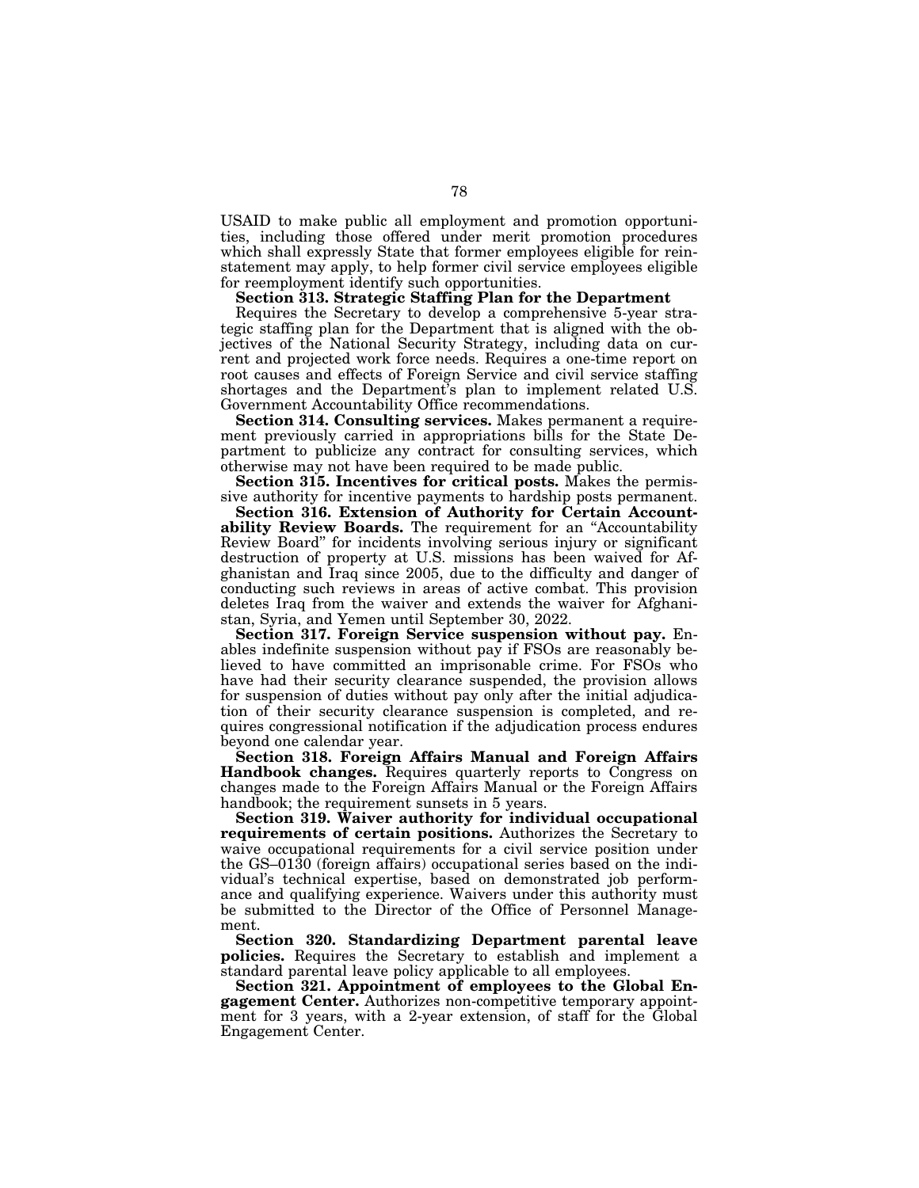USAID to make public all employment and promotion opportunities, including those offered under merit promotion procedures which shall expressly State that former employees eligible for reinstatement may apply, to help former civil service employees eligible for reemployment identify such opportunities.

**Section 313. Strategic Staffing Plan for the Department** 

Requires the Secretary to develop a comprehensive 5-year strategic staffing plan for the Department that is aligned with the objectives of the National Security Strategy, including data on current and projected work force needs. Requires a one-time report on root causes and effects of Foreign Service and civil service staffing shortages and the Department's plan to implement related U.S. Government Accountability Office recommendations.

**Section 314. Consulting services.** Makes permanent a requirement previously carried in appropriations bills for the State Department to publicize any contract for consulting services, which otherwise may not have been required to be made public.

**Section 315. Incentives for critical posts.** Makes the permissive authority for incentive payments to hardship posts permanent.

**Section 316. Extension of Authority for Certain Accountability Review Boards.** The requirement for an ''Accountability Review Board'' for incidents involving serious injury or significant destruction of property at U.S. missions has been waived for Afghanistan and Iraq since 2005, due to the difficulty and danger of conducting such reviews in areas of active combat. This provision deletes Iraq from the waiver and extends the waiver for Afghanistan, Syria, and Yemen until September 30, 2022.

**Section 317. Foreign Service suspension without pay.** Enables indefinite suspension without pay if FSOs are reasonably believed to have committed an imprisonable crime. For FSOs who have had their security clearance suspended, the provision allows for suspension of duties without pay only after the initial adjudication of their security clearance suspension is completed, and requires congressional notification if the adjudication process endures beyond one calendar year.

**Section 318. Foreign Affairs Manual and Foreign Affairs Handbook changes.** Requires quarterly reports to Congress on changes made to the Foreign Affairs Manual or the Foreign Affairs handbook; the requirement sunsets in 5 years.

**Section 319. Waiver authority for individual occupational requirements of certain positions.** Authorizes the Secretary to waive occupational requirements for a civil service position under the GS–0130 (foreign affairs) occupational series based on the individual's technical expertise, based on demonstrated job performance and qualifying experience. Waivers under this authority must be submitted to the Director of the Office of Personnel Management.

**Section 320. Standardizing Department parental leave policies.** Requires the Secretary to establish and implement a standard parental leave policy applicable to all employees.

**Section 321. Appointment of employees to the Global Engagement Center.** Authorizes non-competitive temporary appointment for 3 years, with a 2-year extension, of staff for the Global Engagement Center.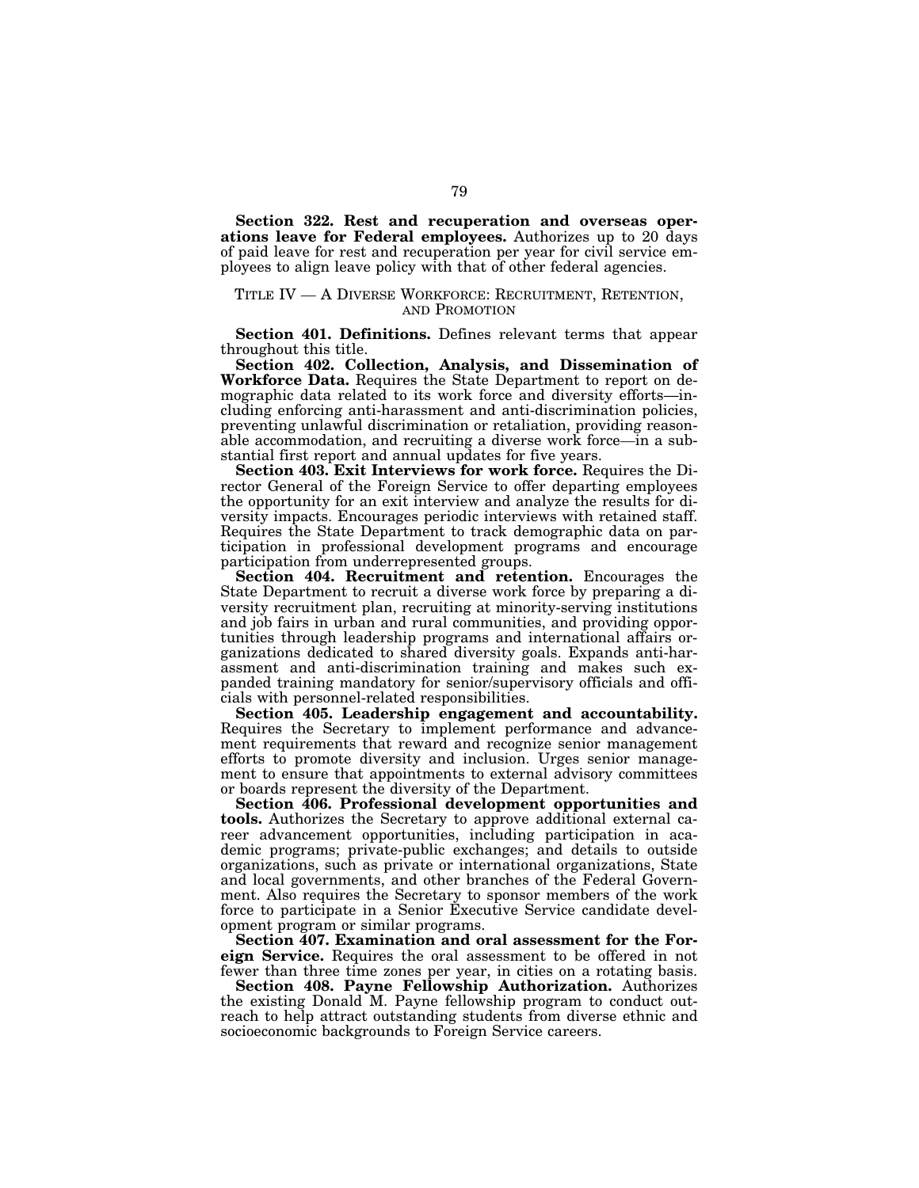**Section 322. Rest and recuperation and overseas operations leave for Federal employees.** Authorizes up to 20 days of paid leave for rest and recuperation per year for civil service employees to align leave policy with that of other federal agencies.

## TITLE IV — A DIVERSE WORKFORCE: RECRUITMENT, RETENTION, AND PROMOTION

**Section 401. Definitions.** Defines relevant terms that appear throughout this title.

**Section 402. Collection, Analysis, and Dissemination of Workforce Data.** Requires the State Department to report on demographic data related to its work force and diversity efforts—including enforcing anti-harassment and anti-discrimination policies, preventing unlawful discrimination or retaliation, providing reasonable accommodation, and recruiting a diverse work force—in a substantial first report and annual updates for five years.

**Section 403. Exit Interviews for work force.** Requires the Director General of the Foreign Service to offer departing employees the opportunity for an exit interview and analyze the results for diversity impacts. Encourages periodic interviews with retained staff. Requires the State Department to track demographic data on participation in professional development programs and encourage participation from underrepresented groups.

**Section 404. Recruitment and retention.** Encourages the State Department to recruit a diverse work force by preparing a diversity recruitment plan, recruiting at minority-serving institutions and job fairs in urban and rural communities, and providing opportunities through leadership programs and international affairs organizations dedicated to shared diversity goals. Expands anti-harassment and anti-discrimination training and makes such expanded training mandatory for senior/supervisory officials and officials with personnel-related responsibilities.

**Section 405. Leadership engagement and accountability.**  Requires the Secretary to implement performance and advancement requirements that reward and recognize senior management efforts to promote diversity and inclusion. Urges senior management to ensure that appointments to external advisory committees or boards represent the diversity of the Department.

**Section 406. Professional development opportunities and tools.** Authorizes the Secretary to approve additional external career advancement opportunities, including participation in academic programs; private-public exchanges; and details to outside organizations, such as private or international organizations, State and local governments, and other branches of the Federal Government. Also requires the Secretary to sponsor members of the work force to participate in a Senior Executive Service candidate development program or similar programs.

**Section 407. Examination and oral assessment for the Foreign Service.** Requires the oral assessment to be offered in not fewer than three time zones per year, in cities on a rotating basis.

**Section 408. Payne Fellowship Authorization.** Authorizes the existing Donald M. Payne fellowship program to conduct outreach to help attract outstanding students from diverse ethnic and socioeconomic backgrounds to Foreign Service careers.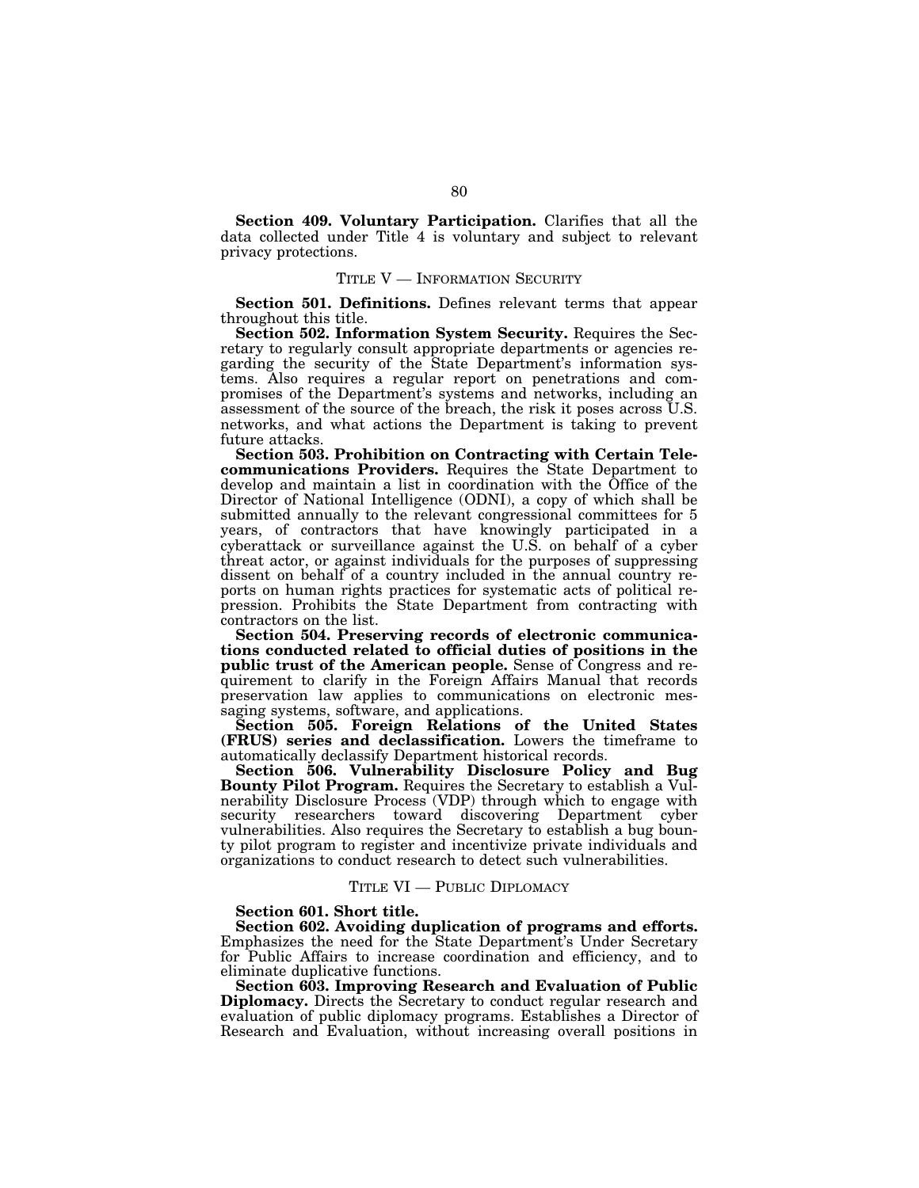**Section 409. Voluntary Participation.** Clarifies that all the data collected under Title 4 is voluntary and subject to relevant privacy protections.

#### TITLE V — INFORMATION SECURITY

**Section 501. Definitions.** Defines relevant terms that appear throughout this title.

**Section 502. Information System Security.** Requires the Secretary to regularly consult appropriate departments or agencies regarding the security of the State Department's information systems. Also requires a regular report on penetrations and compromises of the Department's systems and networks, including an assessment of the source of the breach, the risk it poses across U.S. networks, and what actions the Department is taking to prevent future attacks.

**Section 503. Prohibition on Contracting with Certain Telecommunications Providers.** Requires the State Department to develop and maintain a list in coordination with the Office of the Director of National Intelligence (ODNI), a copy of which shall be submitted annually to the relevant congressional committees for 5 years, of contractors that have knowingly participated in a cyberattack or surveillance against the U.S. on behalf of a cyber threat actor, or against individuals for the purposes of suppressing dissent on behalf of a country included in the annual country reports on human rights practices for systematic acts of political repression. Prohibits the State Department from contracting with contractors on the list.

**Section 504. Preserving records of electronic communications conducted related to official duties of positions in the public trust of the American people.** Sense of Congress and requirement to clarify in the Foreign Affairs Manual that records preservation law applies to communications on electronic messaging systems, software, and applications.

**Section 505. Foreign Relations of the United States (FRUS) series and declassification.** Lowers the timeframe to automatically declassify Department historical records.

**Section 506. Vulnerability Disclosure Policy and Bug Bounty Pilot Program.** Requires the Secretary to establish a Vulnerability Disclosure Process (VDP) through which to engage with security researchers toward discovering Department cyber vulnerabilities. Also requires the Secretary to establish a bug bounty pilot program to register and incentivize private individuals and organizations to conduct research to detect such vulnerabilities.

#### TITLE VI — PUBLIC DIPLOMACY

**Section 601. Short title.** 

**Section 602. Avoiding duplication of programs and efforts.**  Emphasizes the need for the State Department's Under Secretary for Public Affairs to increase coordination and efficiency, and to eliminate duplicative functions.

**Section 603. Improving Research and Evaluation of Public Diplomacy.** Directs the Secretary to conduct regular research and evaluation of public diplomacy programs. Establishes a Director of Research and Evaluation, without increasing overall positions in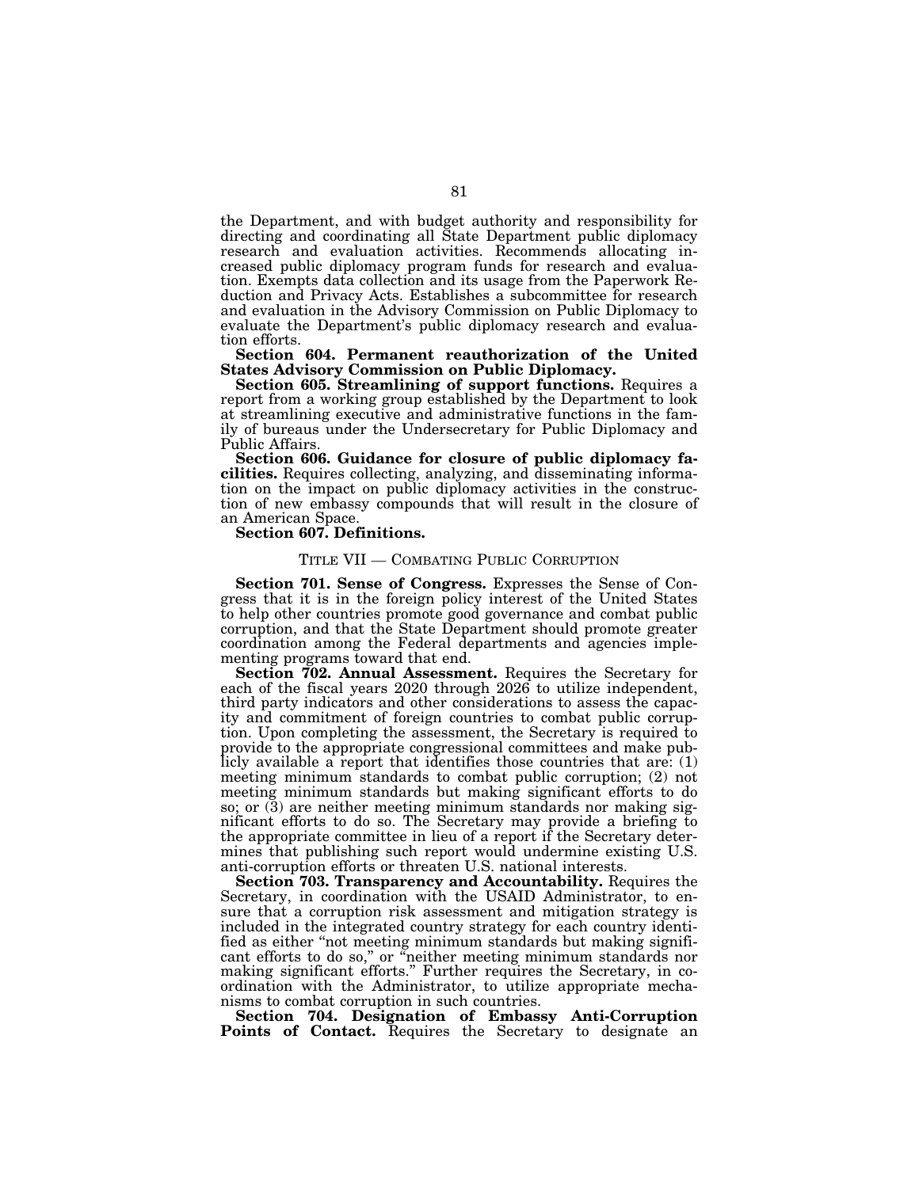the Department, and with budget authority and responsibility for directing and coordinating all State Department public diplomacy research and evaluation activities. Recommends allocating increased public diplomacy program funds for research and evaluation. Exempts data collection and its usage from the Paperwork Reduction and Privacy Acts. Establishes a subcommittee for research and evaluation in the Advisory Commission on Public Diplomacy to evaluate the Department's public diplomacy research and evaluation efforts.

**Section 604. Permanent reauthorization of the United States Advisory Commission on Public Diplomacy.** 

**Section 605. Streamlining of support functions.** Requires a report from a working group established by the Department to look at streamlining executive and administrative functions in the family of bureaus under the Undersecretary for Public Diplomacy and Public Affairs.

**Section 606. Guidance for closure of public diplomacy facilities.** Requires collecting, analyzing, and disseminating information on the impact on public diplomacy activities in the construction of new embassy compounds that will result in the closure of an American Space.

**Section 607. Definitions.** 

### TITLE VII — COMBATING PUBLIC CORRUPTION

**Section 701. Sense of Congress.** Expresses the Sense of Congress that it is in the foreign policy interest of the United States to help other countries promote good governance and combat public corruption, and that the State Department should promote greater coordination among the Federal departments and agencies implementing programs toward that end.

**Section 702. Annual Assessment.** Requires the Secretary for each of the fiscal years 2020 through 2026 to utilize independent, third party indicators and other considerations to assess the capacity and commitment of foreign countries to combat public corruption. Upon completing the assessment, the Secretary is required to provide to the appropriate congressional committees and make publicly available a report that identifies those countries that are: (1) meeting minimum standards to combat public corruption; (2) not meeting minimum standards but making significant efforts to do so; or (3) are neither meeting minimum standards nor making significant efforts to do so. The Secretary may provide a briefing to the appropriate committee in lieu of a report if the Secretary determines that publishing such report would undermine existing U.S. anti-corruption efforts or threaten U.S. national interests.

**Section 703. Transparency and Accountability.** Requires the Secretary, in coordination with the USAID Administrator, to ensure that a corruption risk assessment and mitigation strategy is included in the integrated country strategy for each country identified as either "not meeting minimum standards but making significant efforts to do so,'' or ''neither meeting minimum standards nor making significant efforts.'' Further requires the Secretary, in coordination with the Administrator, to utilize appropriate mechanisms to combat corruption in such countries.

**Section 704. Designation of Embassy Anti-Corruption**  Points of Contact. Requires the Secretary to designate an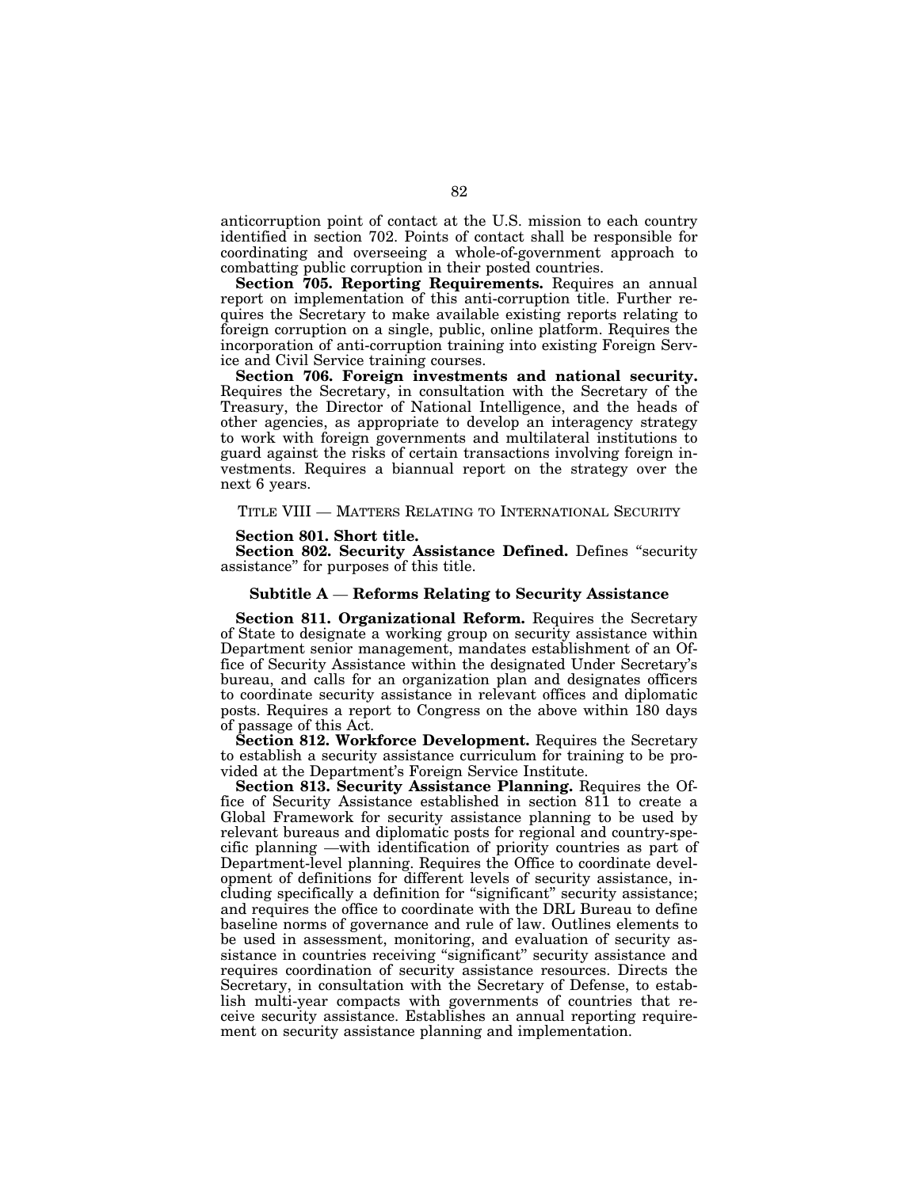anticorruption point of contact at the U.S. mission to each country identified in section 702. Points of contact shall be responsible for coordinating and overseeing a whole-of-government approach to combatting public corruption in their posted countries.

Section 705. Reporting Requirements. Requires an annual report on implementation of this anti-corruption title. Further requires the Secretary to make available existing reports relating to foreign corruption on a single, public, online platform. Requires the incorporation of anti-corruption training into existing Foreign Service and Civil Service training courses.

**Section 706. Foreign investments and national security.**  Requires the Secretary, in consultation with the Secretary of the Treasury, the Director of National Intelligence, and the heads of other agencies, as appropriate to develop an interagency strategy to work with foreign governments and multilateral institutions to guard against the risks of certain transactions involving foreign investments. Requires a biannual report on the strategy over the next 6 years.

# TITLE VIII — MATTERS RELATING TO INTERNATIONAL SECURITY

### **Section 801. Short title.**

**Section 802. Security Assistance Defined.** Defines ''security assistance'' for purposes of this title.

### **Subtitle A** — **Reforms Relating to Security Assistance**

**Section 811. Organizational Reform.** Requires the Secretary of State to designate a working group on security assistance within Department senior management, mandates establishment of an Office of Security Assistance within the designated Under Secretary's bureau, and calls for an organization plan and designates officers to coordinate security assistance in relevant offices and diplomatic posts. Requires a report to Congress on the above within 180 days of passage of this Act.

**Section 812. Workforce Development.** Requires the Secretary to establish a security assistance curriculum for training to be provided at the Department's Foreign Service Institute.

**Section 813. Security Assistance Planning.** Requires the Office of Security Assistance established in section 811 to create a Global Framework for security assistance planning to be used by relevant bureaus and diplomatic posts for regional and country-specific planning —with identification of priority countries as part of Department-level planning. Requires the Office to coordinate development of definitions for different levels of security assistance, including specifically a definition for ''significant'' security assistance; and requires the office to coordinate with the DRL Bureau to define baseline norms of governance and rule of law. Outlines elements to be used in assessment, monitoring, and evaluation of security assistance in countries receiving "significant" security assistance and requires coordination of security assistance resources. Directs the Secretary, in consultation with the Secretary of Defense, to establish multi-year compacts with governments of countries that receive security assistance. Establishes an annual reporting requirement on security assistance planning and implementation.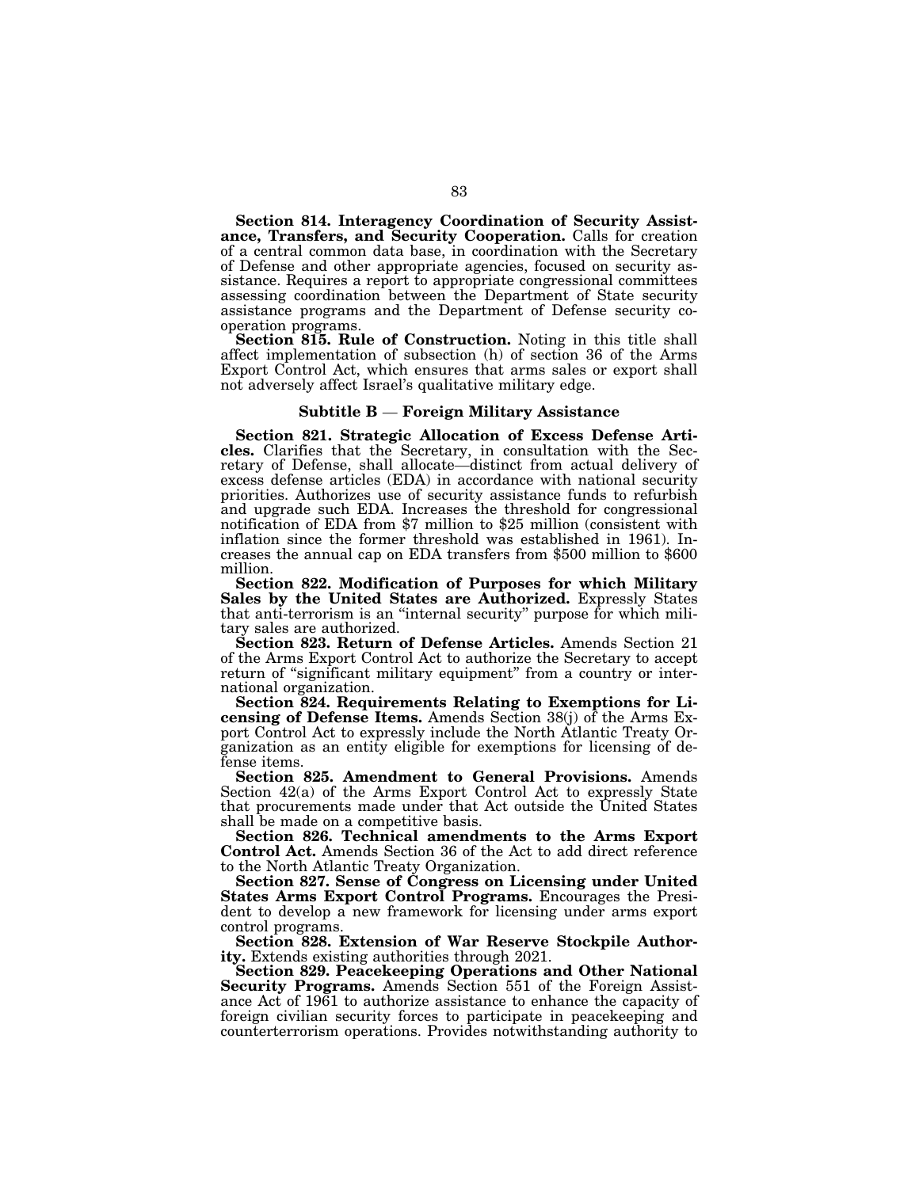**Section 814. Interagency Coordination of Security Assistance, Transfers, and Security Cooperation.** Calls for creation of a central common data base, in coordination with the Secretary of Defense and other appropriate agencies, focused on security assistance. Requires a report to appropriate congressional committees assessing coordination between the Department of State security assistance programs and the Department of Defense security cooperation programs.

**Section 815. Rule of Construction.** Noting in this title shall affect implementation of subsection (h) of section 36 of the Arms Export Control Act, which ensures that arms sales or export shall not adversely affect Israel's qualitative military edge.

### **Subtitle B** — **Foreign Military Assistance**

**Section 821. Strategic Allocation of Excess Defense Articles.** Clarifies that the Secretary, in consultation with the Secretary of Defense, shall allocate—distinct from actual delivery of excess defense articles (EDA) in accordance with national security priorities. Authorizes use of security assistance funds to refurbish and upgrade such EDA. Increases the threshold for congressional notification of EDA from \$7 million to \$25 million (consistent with inflation since the former threshold was established in 1961). Increases the annual cap on EDA transfers from \$500 million to \$600 million.

**Section 822. Modification of Purposes for which Military Sales by the United States are Authorized.** Expressly States that anti-terrorism is an ''internal security'' purpose for which military sales are authorized.

**Section 823. Return of Defense Articles.** Amends Section 21 of the Arms Export Control Act to authorize the Secretary to accept return of "significant military equipment" from a country or international organization.

**Section 824. Requirements Relating to Exemptions for Licensing of Defense Items.** Amends Section 38(j) of the Arms Export Control Act to expressly include the North Atlantic Treaty Organization as an entity eligible for exemptions for licensing of defense items.

**Section 825. Amendment to General Provisions.** Amends Section 42(a) of the Arms Export Control Act to expressly State that procurements made under that Act outside the United States shall be made on a competitive basis.

**Section 826. Technical amendments to the Arms Export Control Act.** Amends Section 36 of the Act to add direct reference to the North Atlantic Treaty Organization.

**Section 827. Sense of Congress on Licensing under United States Arms Export Control Programs.** Encourages the President to develop a new framework for licensing under arms export control programs.

**Section 828. Extension of War Reserve Stockpile Authority.** Extends existing authorities through 2021.

**Section 829. Peacekeeping Operations and Other National Security Programs.** Amends Section 551 of the Foreign Assistance Act of 1961 to authorize assistance to enhance the capacity of foreign civilian security forces to participate in peacekeeping and counterterrorism operations. Provides notwithstanding authority to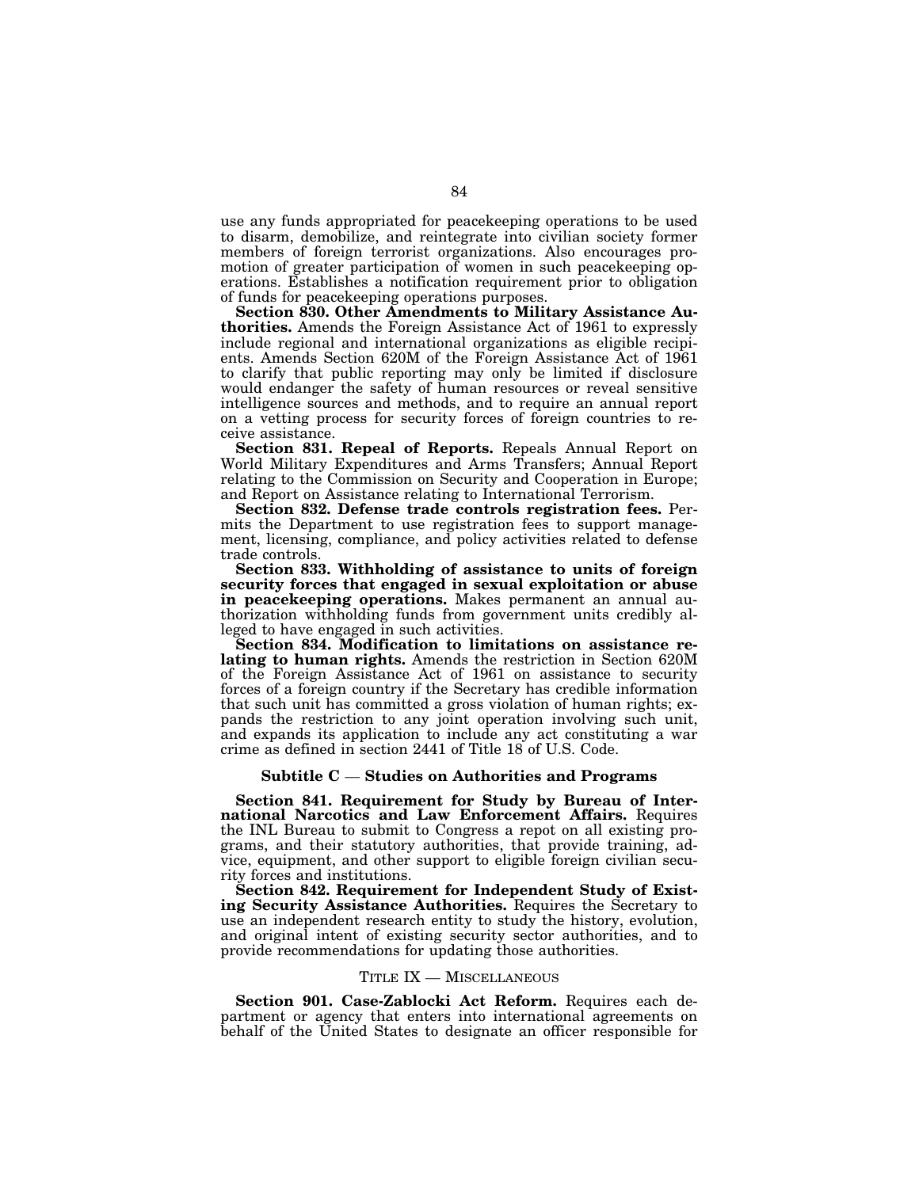use any funds appropriated for peacekeeping operations to be used to disarm, demobilize, and reintegrate into civilian society former members of foreign terrorist organizations. Also encourages promotion of greater participation of women in such peacekeeping operations. Establishes a notification requirement prior to obligation of funds for peacekeeping operations purposes.

**Section 830. Other Amendments to Military Assistance Authorities.** Amends the Foreign Assistance Act of 1961 to expressly include regional and international organizations as eligible recipients. Amends Section 620M of the Foreign Assistance Act of 1961 to clarify that public reporting may only be limited if disclosure would endanger the safety of human resources or reveal sensitive intelligence sources and methods, and to require an annual report on a vetting process for security forces of foreign countries to receive assistance.

**Section 831. Repeal of Reports.** Repeals Annual Report on World Military Expenditures and Arms Transfers; Annual Report relating to the Commission on Security and Cooperation in Europe; and Report on Assistance relating to International Terrorism.

**Section 832. Defense trade controls registration fees.** Permits the Department to use registration fees to support management, licensing, compliance, and policy activities related to defense trade controls.

**Section 833. Withholding of assistance to units of foreign security forces that engaged in sexual exploitation or abuse in peacekeeping operations.** Makes permanent an annual authorization withholding funds from government units credibly alleged to have engaged in such activities.

**Section 834. Modification to limitations on assistance relating to human rights.** Amends the restriction in Section 620M of the Foreign Assistance Act of 1961 on assistance to security forces of a foreign country if the Secretary has credible information that such unit has committed a gross violation of human rights; expands the restriction to any joint operation involving such unit, and expands its application to include any act constituting a war crime as defined in section 2441 of Title 18 of U.S. Code.

## **Subtitle C** — **Studies on Authorities and Programs**

**Section 841. Requirement for Study by Bureau of International Narcotics and Law Enforcement Affairs.** Requires the INL Bureau to submit to Congress a repot on all existing programs, and their statutory authorities, that provide training, advice, equipment, and other support to eligible foreign civilian security forces and institutions.

**Section 842. Requirement for Independent Study of Existing Security Assistance Authorities.** Requires the Secretary to use an independent research entity to study the history, evolution, and original intent of existing security sector authorities, and to provide recommendations for updating those authorities.

#### TITLE IX — MISCELLANEOUS

**Section 901. Case-Zablocki Act Reform.** Requires each department or agency that enters into international agreements on behalf of the United States to designate an officer responsible for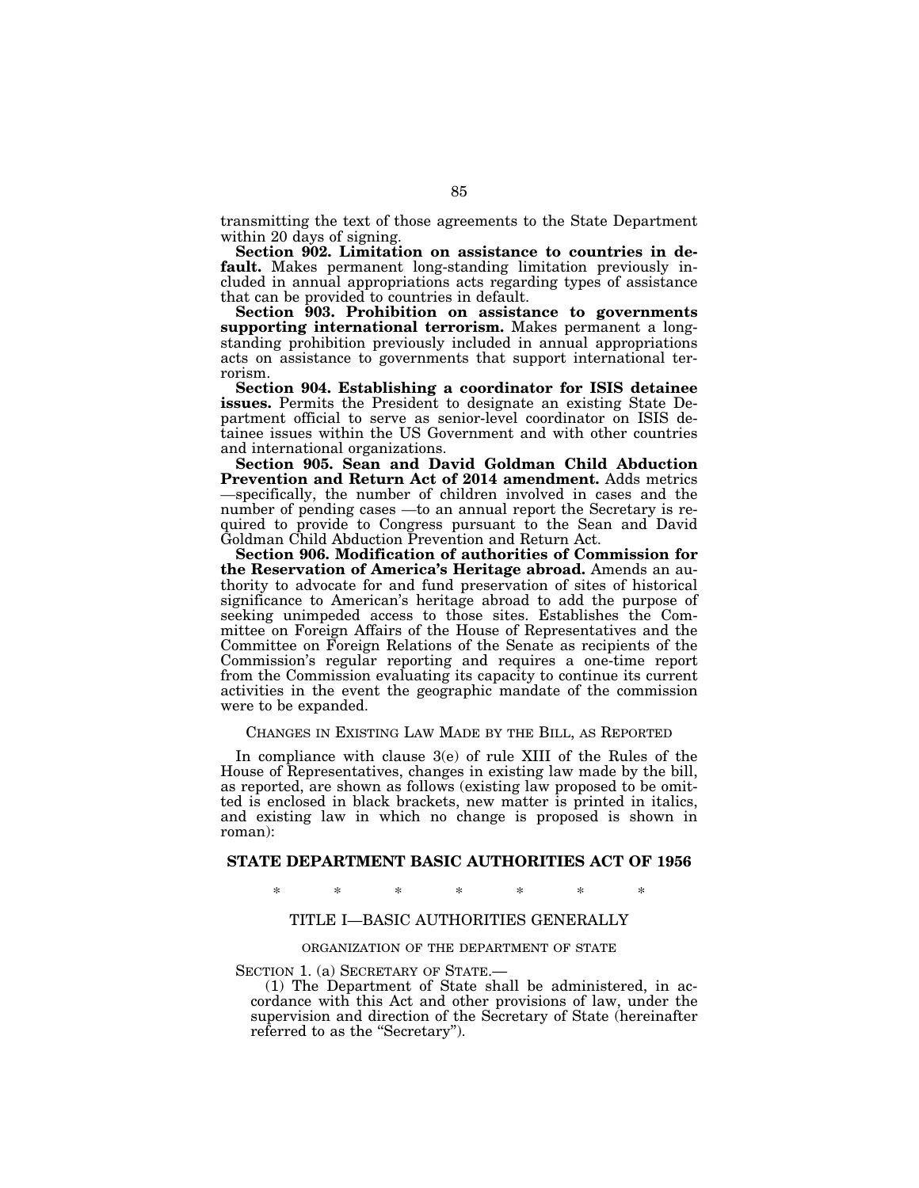transmitting the text of those agreements to the State Department within 20 days of signing.

**Section 902. Limitation on assistance to countries in default.** Makes permanent long-standing limitation previously included in annual appropriations acts regarding types of assistance that can be provided to countries in default.

**Section 903. Prohibition on assistance to governments supporting international terrorism.** Makes permanent a longstanding prohibition previously included in annual appropriations acts on assistance to governments that support international terrorism.

**Section 904. Establishing a coordinator for ISIS detainee issues.** Permits the President to designate an existing State Department official to serve as senior-level coordinator on ISIS detainee issues within the US Government and with other countries and international organizations.

**Section 905. Sean and David Goldman Child Abduction Prevention and Return Act of 2014 amendment.** Adds metrics —specifically, the number of children involved in cases and the number of pending cases —to an annual report the Secretary is required to provide to Congress pursuant to the Sean and David Goldman Child Abduction Prevention and Return Act.

**Section 906. Modification of authorities of Commission for the Reservation of America's Heritage abroad.** Amends an authority to advocate for and fund preservation of sites of historical significance to American's heritage abroad to add the purpose of seeking unimpeded access to those sites. Establishes the Committee on Foreign Affairs of the House of Representatives and the Committee on Foreign Relations of the Senate as recipients of the Commission's regular reporting and requires a one-time report from the Commission evaluating its capacity to continue its current activities in the event the geographic mandate of the commission were to be expanded.

CHANGES IN EXISTING LAW MADE BY THE BILL, AS REPORTED

In compliance with clause 3(e) of rule XIII of the Rules of the House of Representatives, changes in existing law made by the bill, as reported, are shown as follows (existing law proposed to be omitted is enclosed in black brackets, new matter is printed in italics, and existing law in which no change is proposed is shown in roman):

## **STATE DEPARTMENT BASIC AUTHORITIES ACT OF 1956**

\* \* \* \* \* \* \*

# TITLE I—BASIC AUTHORITIES GENERALLY

## ORGANIZATION OF THE DEPARTMENT OF STATE

SECTION 1. (a) SECRETARY OF STATE.—<br>(1) The Department of State shall be administered, in accordance with this Act and other provisions of law, under the supervision and direction of the Secretary of State (hereinafter referred to as the "Secretary".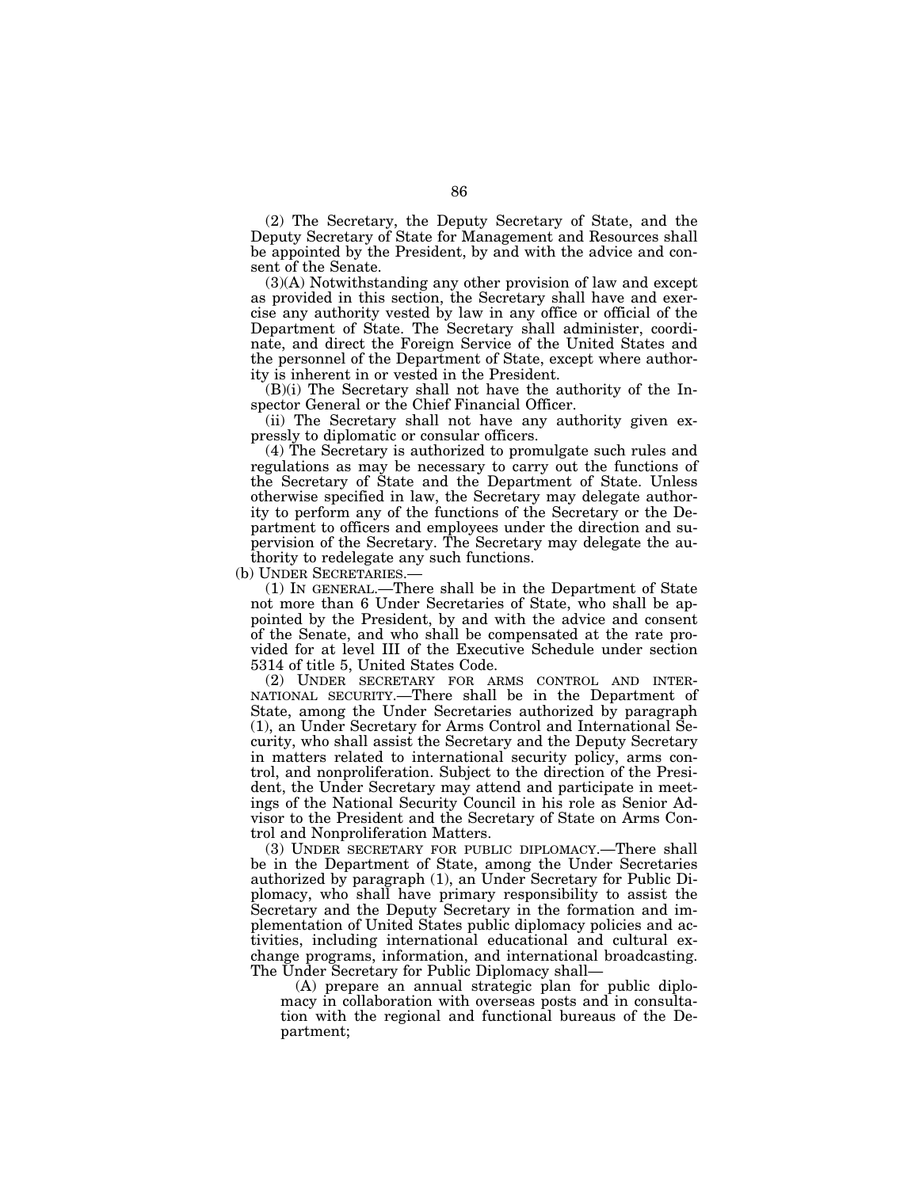(2) The Secretary, the Deputy Secretary of State, and the Deputy Secretary of State for Management and Resources shall be appointed by the President, by and with the advice and consent of the Senate.

(3)(A) Notwithstanding any other provision of law and except as provided in this section, the Secretary shall have and exercise any authority vested by law in any office or official of the Department of State. The Secretary shall administer, coordinate, and direct the Foreign Service of the United States and the personnel of the Department of State, except where authority is inherent in or vested in the President.

(B)(i) The Secretary shall not have the authority of the Inspector General or the Chief Financial Officer.

(ii) The Secretary shall not have any authority given expressly to diplomatic or consular officers.

(4) The Secretary is authorized to promulgate such rules and regulations as may be necessary to carry out the functions of the Secretary of State and the Department of State. Unless otherwise specified in law, the Secretary may delegate authority to perform any of the functions of the Secretary or the Department to officers and employees under the direction and supervision of the Secretary. The Secretary may delegate the authority to redelegate any such functions.

(b) UNDER SECRETARIES.—

(1) IN GENERAL.—There shall be in the Department of State not more than 6 Under Secretaries of State, who shall be appointed by the President, by and with the advice and consent of the Senate, and who shall be compensated at the rate provided for at level III of the Executive Schedule under section 5314 of title 5, United States Code.

(2) UNDER SECRETARY FOR ARMS CONTROL AND INTER-NATIONAL SECURITY.—There shall be in the Department of State, among the Under Secretaries authorized by paragraph (1), an Under Secretary for Arms Control and International Security, who shall assist the Secretary and the Deputy Secretary in matters related to international security policy, arms control, and nonproliferation. Subject to the direction of the President, the Under Secretary may attend and participate in meetings of the National Security Council in his role as Senior Advisor to the President and the Secretary of State on Arms Control and Nonproliferation Matters.

(3) UNDER SECRETARY FOR PUBLIC DIPLOMACY.—There shall be in the Department of State, among the Under Secretaries authorized by paragraph (1), an Under Secretary for Public Diplomacy, who shall have primary responsibility to assist the Secretary and the Deputy Secretary in the formation and implementation of United States public diplomacy policies and activities, including international educational and cultural exchange programs, information, and international broadcasting. The Under Secretary for Public Diplomacy shall—

(A) prepare an annual strategic plan for public diplomacy in collaboration with overseas posts and in consultation with the regional and functional bureaus of the Department;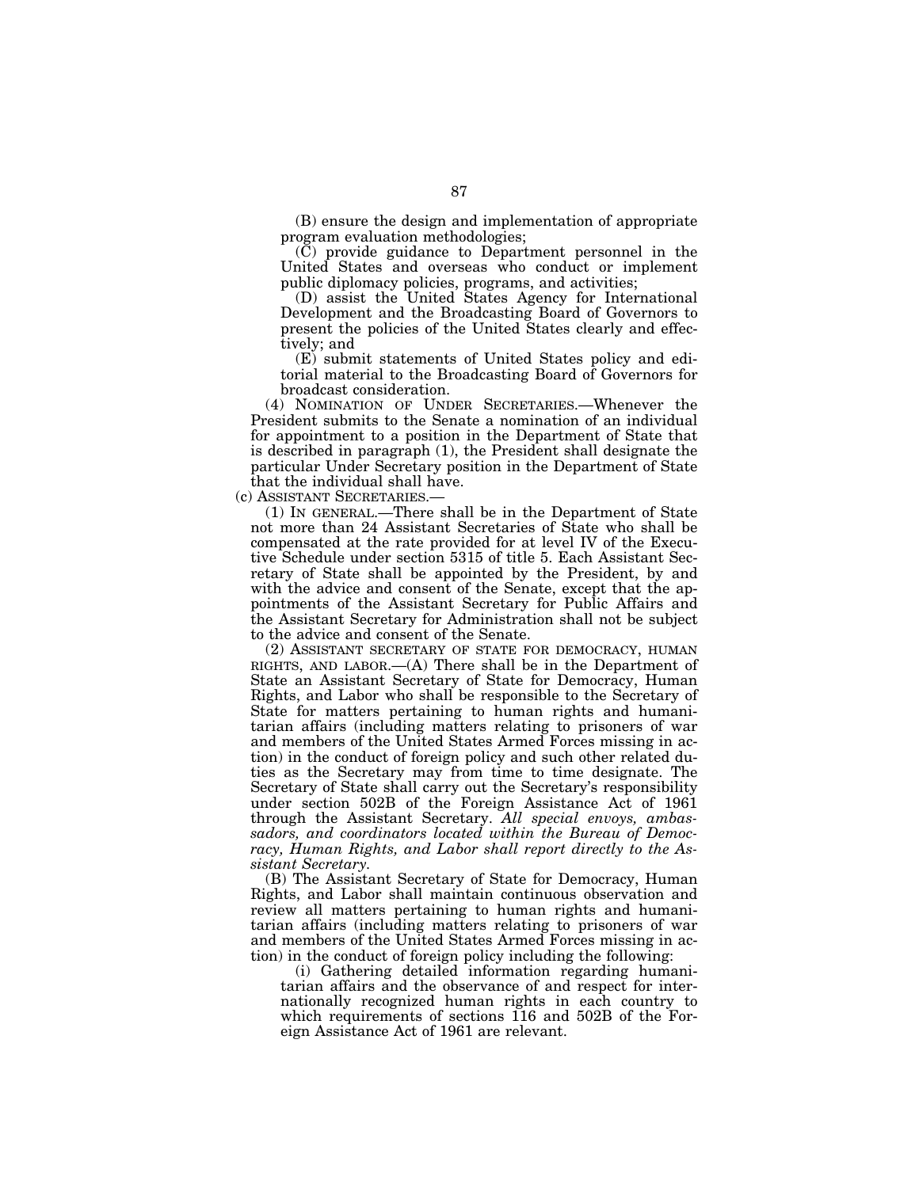(B) ensure the design and implementation of appropriate program evaluation methodologies;

(C) provide guidance to Department personnel in the United States and overseas who conduct or implement public diplomacy policies, programs, and activities;

(D) assist the United States Agency for International Development and the Broadcasting Board of Governors to present the policies of the United States clearly and effectively; and

(E) submit statements of United States policy and editorial material to the Broadcasting Board of Governors for broadcast consideration.

(4) NOMINATION OF UNDER SECRETARIES.—Whenever the President submits to the Senate a nomination of an individual for appointment to a position in the Department of State that is described in paragraph (1), the President shall designate the particular Under Secretary position in the Department of State that the individual shall have.

(c) ASSISTANT SECRETARIES.—

(1) IN GENERAL.—There shall be in the Department of State not more than 24 Assistant Secretaries of State who shall be compensated at the rate provided for at level IV of the Executive Schedule under section 5315 of title 5. Each Assistant Secretary of State shall be appointed by the President, by and with the advice and consent of the Senate, except that the appointments of the Assistant Secretary for Public Affairs and the Assistant Secretary for Administration shall not be subject to the advice and consent of the Senate.

(2) ASSISTANT SECRETARY OF STATE FOR DEMOCRACY, HUMAN RIGHTS, AND LABOR.—(A) There shall be in the Department of State an Assistant Secretary of State for Democracy, Human Rights, and Labor who shall be responsible to the Secretary of State for matters pertaining to human rights and humanitarian affairs (including matters relating to prisoners of war and members of the United States Armed Forces missing in action) in the conduct of foreign policy and such other related duties as the Secretary may from time to time designate. The Secretary of State shall carry out the Secretary's responsibility under section 502B of the Foreign Assistance Act of 1961 through the Assistant Secretary. *All special envoys, ambassadors, and coordinators located within the Bureau of Democracy, Human Rights, and Labor shall report directly to the Assistant Secretary.* 

(B) The Assistant Secretary of State for Democracy, Human Rights, and Labor shall maintain continuous observation and review all matters pertaining to human rights and humanitarian affairs (including matters relating to prisoners of war and members of the United States Armed Forces missing in action) in the conduct of foreign policy including the following:

(i) Gathering detailed information regarding humanitarian affairs and the observance of and respect for internationally recognized human rights in each country to which requirements of sections 116 and 502B of the Foreign Assistance Act of 1961 are relevant.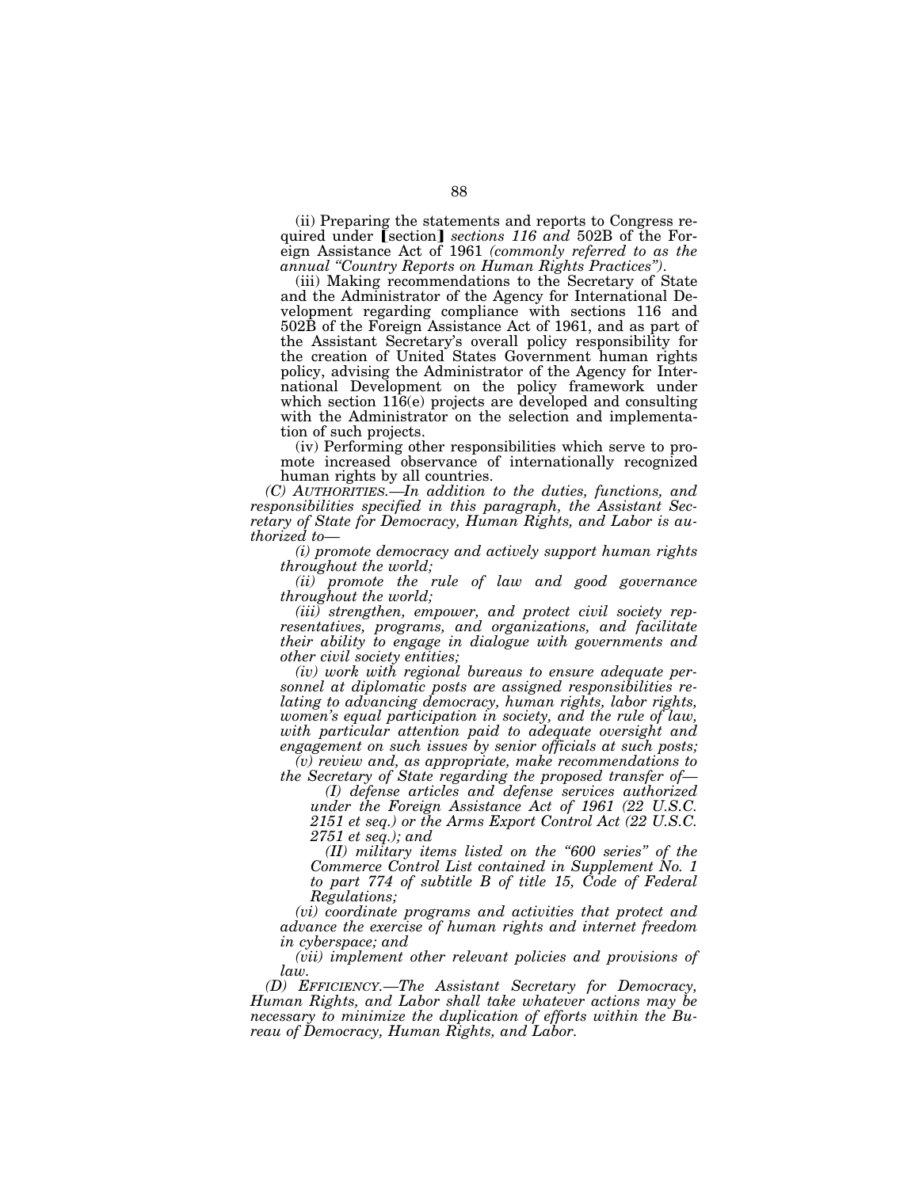(ii) Preparing the statements and reports to Congress required under [section] *sections 116 and* 502B of the Foreign Assistance Act of 1961 *(commonly referred to as the* 

*(iii)* Making recommendations to the Secretary of State and the Administrator of the Agency for International Development regarding compliance with sections 116 and 502B of the Foreign Assistance Act of 1961, and as part of the Assistant Secretary's overall policy responsibility for the creation of United States Government human rights policy, advising the Administrator of the Agency for International Development on the policy framework under which section 116(e) projects are developed and consulting with the Administrator on the selection and implementation of such projects.

(iv) Performing other responsibilities which serve to promote increased observance of internationally recognized human rights by all countries.

*(C) AUTHORITIES.—In addition to the duties, functions, and responsibilities specified in this paragraph, the Assistant Secretary of State for Democracy, Human Rights, and Labor is authorized to—* 

*(i) promote democracy and actively support human rights throughout the world;* 

*(ii) promote the rule of law and good governance throughout the world;* 

*(iii) strengthen, empower, and protect civil society representatives, programs, and organizations, and facilitate their ability to engage in dialogue with governments and other civil society entities;* 

*(iv) work with regional bureaus to ensure adequate personnel at diplomatic posts are assigned responsibilities relating to advancing democracy, human rights, labor rights, women's equal participation in society, and the rule of law, with particular attention paid to adequate oversight and engagement on such issues by senior officials at such posts;* 

*(v) review and, as appropriate, make recommendations to the Secretary of State regarding the proposed transfer of—* 

*(I) defense articles and defense services authorized under the Foreign Assistance Act of 1961 (22 U.S.C. 2151 et seq.) or the Arms Export Control Act (22 U.S.C. 2751 et seq.); and* 

*(II) military items listed on the ''600 series'' of the Commerce Control List contained in Supplement No. 1 to part 774 of subtitle B of title 15, Code of Federal Regulations;* 

*(vi) coordinate programs and activities that protect and advance the exercise of human rights and internet freedom in cyberspace; and* 

*(vii) implement other relevant policies and provisions of law.* 

*(D) EFFICIENCY.—The Assistant Secretary for Democracy, Human Rights, and Labor shall take whatever actions may be necessary to minimize the duplication of efforts within the Bureau of Democracy, Human Rights, and Labor.*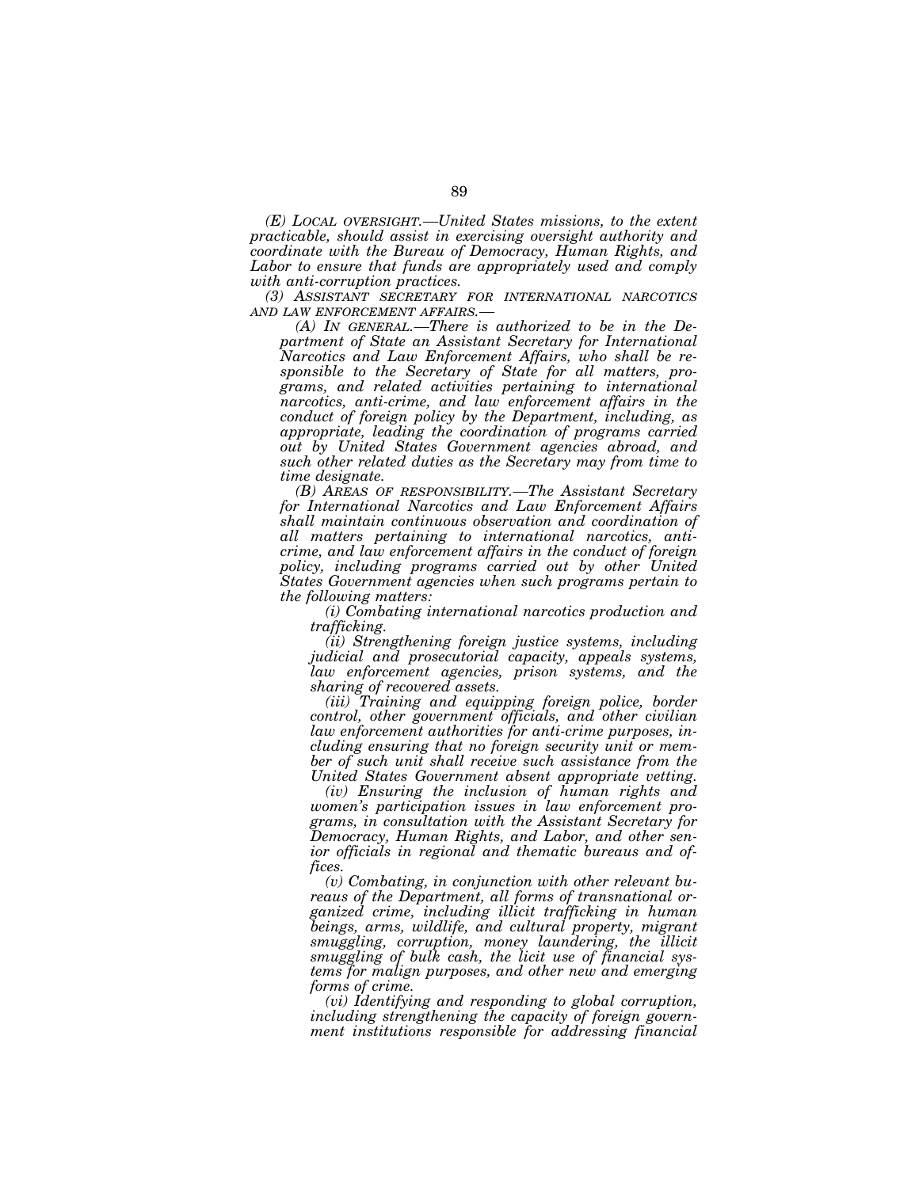*(E) LOCAL OVERSIGHT.—United States missions, to the extent practicable, should assist in exercising oversight authority and coordinate with the Bureau of Democracy, Human Rights, and Labor to ensure that funds are appropriately used and comply with anti-corruption practices.* 

*(3) ASSISTANT SECRETARY FOR INTERNATIONAL NARCOTICS AND LAW ENFORCEMENT AFFAIRS.— (A) IN GENERAL.—There is authorized to be in the De-*

*partment of State an Assistant Secretary for International Narcotics and Law Enforcement Affairs, who shall be responsible to the Secretary of State for all matters, programs, and related activities pertaining to international narcotics, anti-crime, and law enforcement affairs in the conduct of foreign policy by the Department, including, as appropriate, leading the coordination of programs carried out by United States Government agencies abroad, and such other related duties as the Secretary may from time to time designate.* 

*(B) AREAS OF RESPONSIBILITY.—The Assistant Secretary for International Narcotics and Law Enforcement Affairs shall maintain continuous observation and coordination of all matters pertaining to international narcotics, anticrime, and law enforcement affairs in the conduct of foreign policy, including programs carried out by other United States Government agencies when such programs pertain to the following matters:* 

*(i) Combating international narcotics production and trafficking.* 

*(ii) Strengthening foreign justice systems, including judicial and prosecutorial capacity, appeals systems, law enforcement agencies, prison systems, and the sharing of recovered assets.* 

*(iii) Training and equipping foreign police, border control, other government officials, and other civilian law enforcement authorities for anti-crime purposes, including ensuring that no foreign security unit or member of such unit shall receive such assistance from the United States Government absent appropriate vetting.* 

*(iv) Ensuring the inclusion of human rights and women's participation issues in law enforcement programs, in consultation with the Assistant Secretary for Democracy, Human Rights, and Labor, and other senior officials in regional and thematic bureaus and offices.* 

*(v) Combating, in conjunction with other relevant bureaus of the Department, all forms of transnational organized crime, including illicit trafficking in human beings, arms, wildlife, and cultural property, migrant smuggling, corruption, money laundering, the illicit smuggling of bulk cash, the licit use of financial systems for malign purposes, and other new and emerging forms of crime.* 

*(vi) Identifying and responding to global corruption, including strengthening the capacity of foreign government institutions responsible for addressing financial*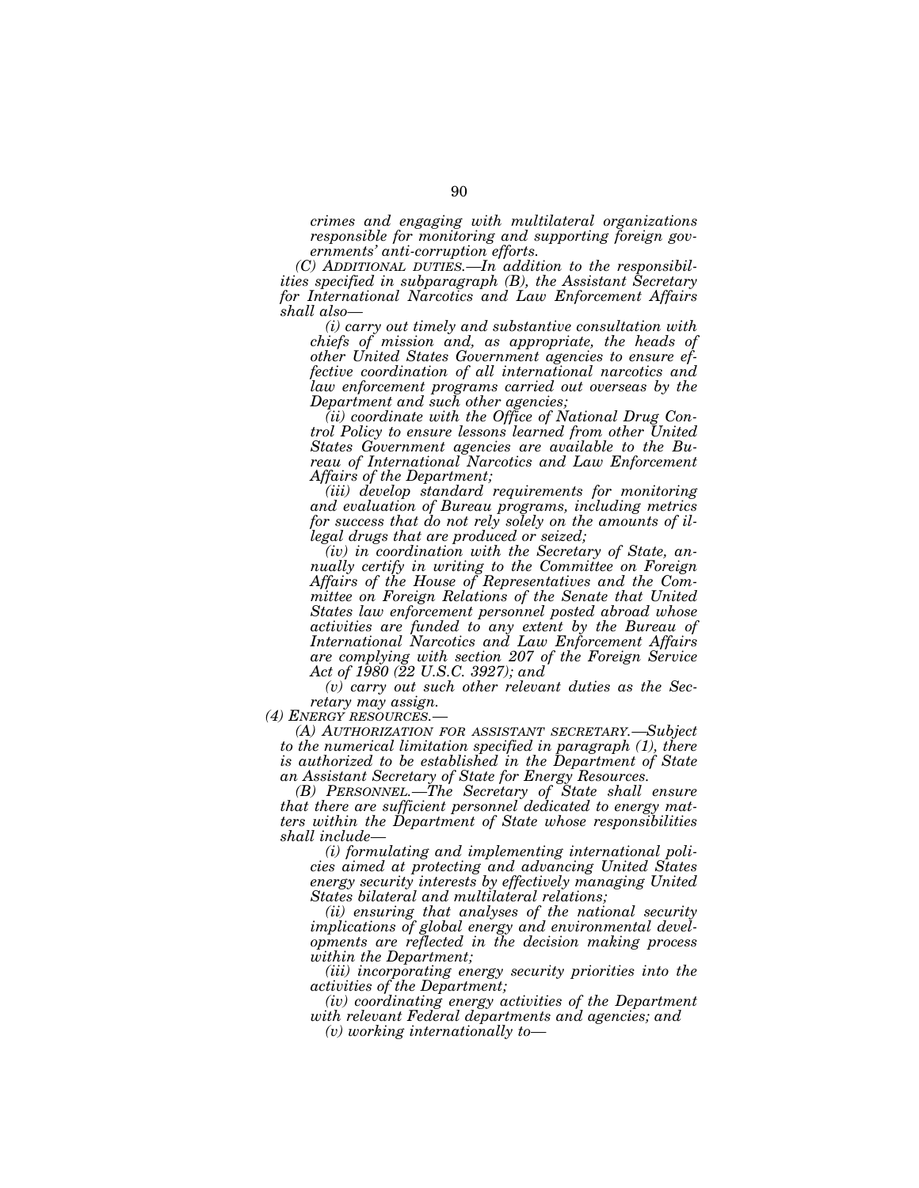*crimes and engaging with multilateral organizations responsible for monitoring and supporting foreign governments' anti-corruption efforts.* 

*(C) ADDITIONAL DUTIES.—In addition to the responsibilities specified in subparagraph (B), the Assistant Secretary for International Narcotics and Law Enforcement Affairs shall also—* 

*(i) carry out timely and substantive consultation with chiefs of mission and, as appropriate, the heads of other United States Government agencies to ensure effective coordination of all international narcotics and law enforcement programs carried out overseas by the Department and such other agencies;* 

*(ii) coordinate with the Office of National Drug Control Policy to ensure lessons learned from other United States Government agencies are available to the Bureau of International Narcotics and Law Enforcement Affairs of the Department;* 

*(iii) develop standard requirements for monitoring and evaluation of Bureau programs, including metrics for success that do not rely solely on the amounts of illegal drugs that are produced or seized;* 

*(iv) in coordination with the Secretary of State, annually certify in writing to the Committee on Foreign Affairs of the House of Representatives and the Committee on Foreign Relations of the Senate that United States law enforcement personnel posted abroad whose activities are funded to any extent by the Bureau of International Narcotics and Law Enforcement Affairs are complying with section 207 of the Foreign Service Act of 1980 (22 U.S.C. 3927); and* 

*(v) carry out such other relevant duties as the Secretary may assign.* 

*(4) ENERGY RESOURCES.—* 

*(A) AUTHORIZATION FOR ASSISTANT SECRETARY.—Subject to the numerical limitation specified in paragraph (1), there is authorized to be established in the Department of State an Assistant Secretary of State for Energy Resources.* 

*(B) PERSONNEL.—The Secretary of State shall ensure that there are sufficient personnel dedicated to energy matters within the Department of State whose responsibilities shall include—* 

*(i) formulating and implementing international policies aimed at protecting and advancing United States energy security interests by effectively managing United States bilateral and multilateral relations;* 

*(ii) ensuring that analyses of the national security implications of global energy and environmental developments are reflected in the decision making process within the Department;* 

*(iii) incorporating energy security priorities into the activities of the Department;* 

*(iv) coordinating energy activities of the Department with relevant Federal departments and agencies; and* 

*(v) working internationally to—*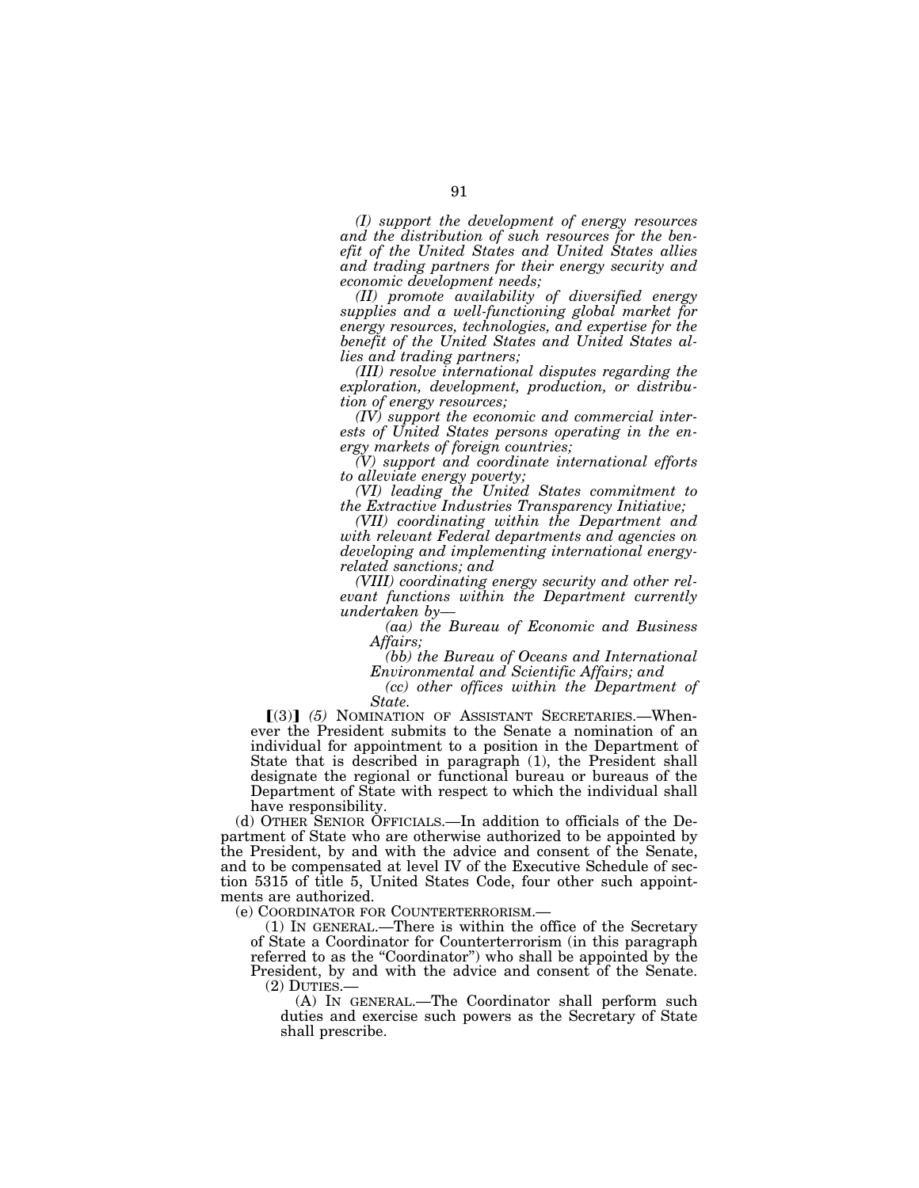*(I) support the development of energy resources and the distribution of such resources for the benefit of the United States and United States allies and trading partners for their energy security and economic development needs;* 

*(II) promote availability of diversified energy supplies and a well-functioning global market for energy resources, technologies, and expertise for the benefit of the United States and United States allies and trading partners;* 

*(III) resolve international disputes regarding the exploration, development, production, or distribution of energy resources;* 

*(IV) support the economic and commercial interests of United States persons operating in the energy markets of foreign countries;* 

*(V) support and coordinate international efforts to alleviate energy poverty;* 

*(VI) leading the United States commitment to the Extractive Industries Transparency Initiative;* 

*(VII) coordinating within the Department and with relevant Federal departments and agencies on developing and implementing international energyrelated sanctions; and* 

*(VIII) coordinating energy security and other relevant functions within the Department currently undertaken by—* 

*(aa) the Bureau of Economic and Business Affairs;* 

*(bb) the Bureau of Oceans and International Environmental and Scientific Affairs; and* 

*(cc) other offices within the Department of State.* 

[(3)] (5) NOMINATION OF ASSISTANT SECRETARIES.—Whenever the President submits to the Senate a nomination of an individual for appointment to a position in the Department of State that is described in paragraph (1), the President shall designate the regional or functional bureau or bureaus of the Department of State with respect to which the individual shall have responsibility.

(d) OTHER SENIOR OFFICIALS.—In addition to officials of the Department of State who are otherwise authorized to be appointed by the President, by and with the advice and consent of the Senate, and to be compensated at level IV of the Executive Schedule of section 5315 of title 5, United States Code, four other such appointments are authorized.

(e) COORDINATOR FOR COUNTERTERRORISM.—

(1) IN GENERAL.—There is within the office of the Secretary of State a Coordinator for Counterterrorism (in this paragraph referred to as the ''Coordinator'') who shall be appointed by the President, by and with the advice and consent of the Senate.

(2) DUTIES.— (A) IN GENERAL.—The Coordinator shall perform such duties and exercise such powers as the Secretary of State shall prescribe.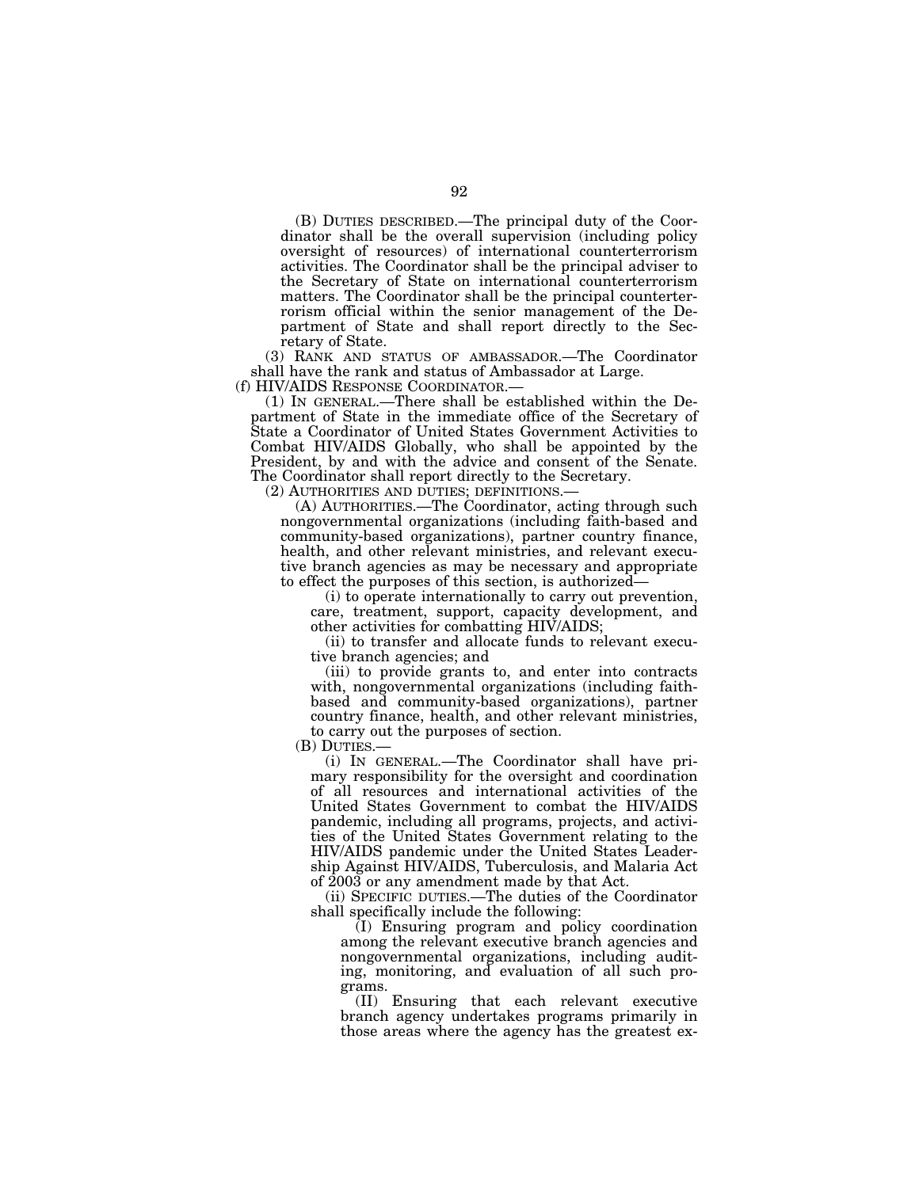(B) DUTIES DESCRIBED.—The principal duty of the Coordinator shall be the overall supervision (including policy oversight of resources) of international counterterrorism activities. The Coordinator shall be the principal adviser to the Secretary of State on international counterterrorism matters. The Coordinator shall be the principal counterterrorism official within the senior management of the Department of State and shall report directly to the Secretary of State.

(3) RANK AND STATUS OF AMBASSADOR.—The Coordinator shall have the rank and status of Ambassador at Large.<br>(f) HIV/AIDS RESPONSE COORDINATOR.—

(1) IN GENERAL.—There shall be established within the Department of State in the immediate office of the Secretary of State a Coordinator of United States Government Activities to Combat HIV/AIDS Globally, who shall be appointed by the President, by and with the advice and consent of the Senate. The Coordinator shall report directly to the Secretary.

(2) AUTHORITIES AND DUTIES; DEFINITIONS.— (A) AUTHORITIES.—The Coordinator, acting through such nongovernmental organizations (including faith-based and community-based organizations), partner country finance, health, and other relevant ministries, and relevant executive branch agencies as may be necessary and appropriate to effect the purposes of this section, is authorized—

> (i) to operate internationally to carry out prevention, care, treatment, support, capacity development, and other activities for combatting HIV/AIDS;

> (ii) to transfer and allocate funds to relevant executive branch agencies; and

> (iii) to provide grants to, and enter into contracts with, nongovernmental organizations (including faithbased and community-based organizations), partner country finance, health, and other relevant ministries, to carry out the purposes of section.

(B) DUTIES.— (i) IN GENERAL.—The Coordinator shall have primary responsibility for the oversight and coordination of all resources and international activities of the United States Government to combat the HIV/AIDS pandemic, including all programs, projects, and activities of the United States Government relating to the HIV/AIDS pandemic under the United States Leadership Against HIV/AIDS, Tuberculosis, and Malaria Act of 2003 or any amendment made by that Act.

(ii) SPECIFIC DUTIES.—The duties of the Coordinator shall specifically include the following:

(I) Ensuring program and policy coordination among the relevant executive branch agencies and nongovernmental organizations, including auditing, monitoring, and evaluation of all such programs.

(II) Ensuring that each relevant executive branch agency undertakes programs primarily in those areas where the agency has the greatest ex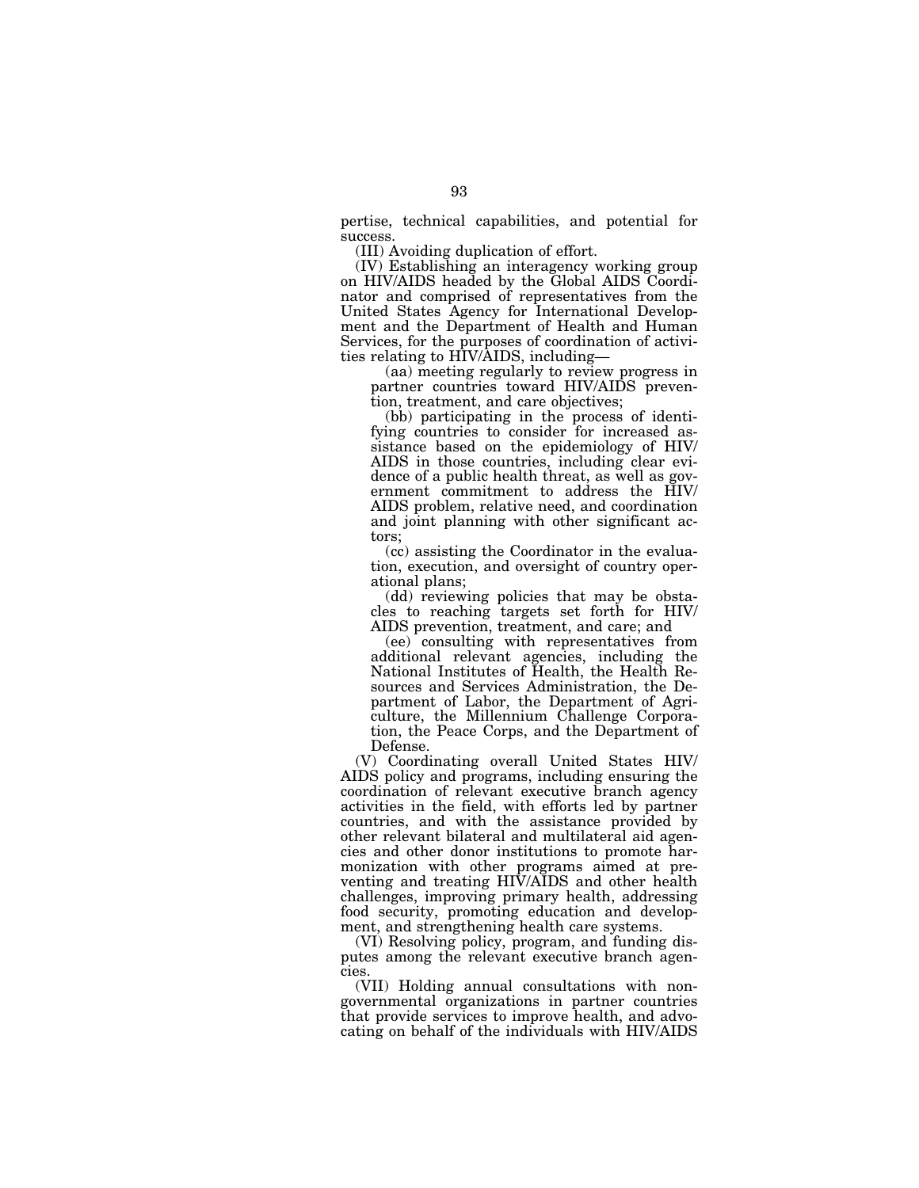pertise, technical capabilities, and potential for success.

(III) Avoiding duplication of effort.

(IV) Establishing an interagency working group on HIV/AIDS headed by the Global AIDS Coordinator and comprised of representatives from the United States Agency for International Development and the Department of Health and Human Services, for the purposes of coordination of activities relating to HIV/AIDS, including—

(aa) meeting regularly to review progress in partner countries toward HIV/AIDS prevention, treatment, and care objectives;

(bb) participating in the process of identifying countries to consider for increased assistance based on the epidemiology of HIV/ AIDS in those countries, including clear evidence of a public health threat, as well as government commitment to address the HIV/ AIDS problem, relative need, and coordination and joint planning with other significant actors;

(cc) assisting the Coordinator in the evaluation, execution, and oversight of country operational plans;

(dd) reviewing policies that may be obstacles to reaching targets set forth for HIV/ AIDS prevention, treatment, and care; and

(ee) consulting with representatives from additional relevant agencies, including the National Institutes of Health, the Health Resources and Services Administration, the Department of Labor, the Department of Agriculture, the Millennium Challenge Corporation, the Peace Corps, and the Department of Defense.

(V) Coordinating overall United States HIV/ AIDS policy and programs, including ensuring the coordination of relevant executive branch agency activities in the field, with efforts led by partner countries, and with the assistance provided by other relevant bilateral and multilateral aid agencies and other donor institutions to promote harmonization with other programs aimed at preventing and treating HIV/AIDS and other health challenges, improving primary health, addressing food security, promoting education and development, and strengthening health care systems.

(VI) Resolving policy, program, and funding disputes among the relevant executive branch agencies.

(VII) Holding annual consultations with nongovernmental organizations in partner countries that provide services to improve health, and advocating on behalf of the individuals with HIV/AIDS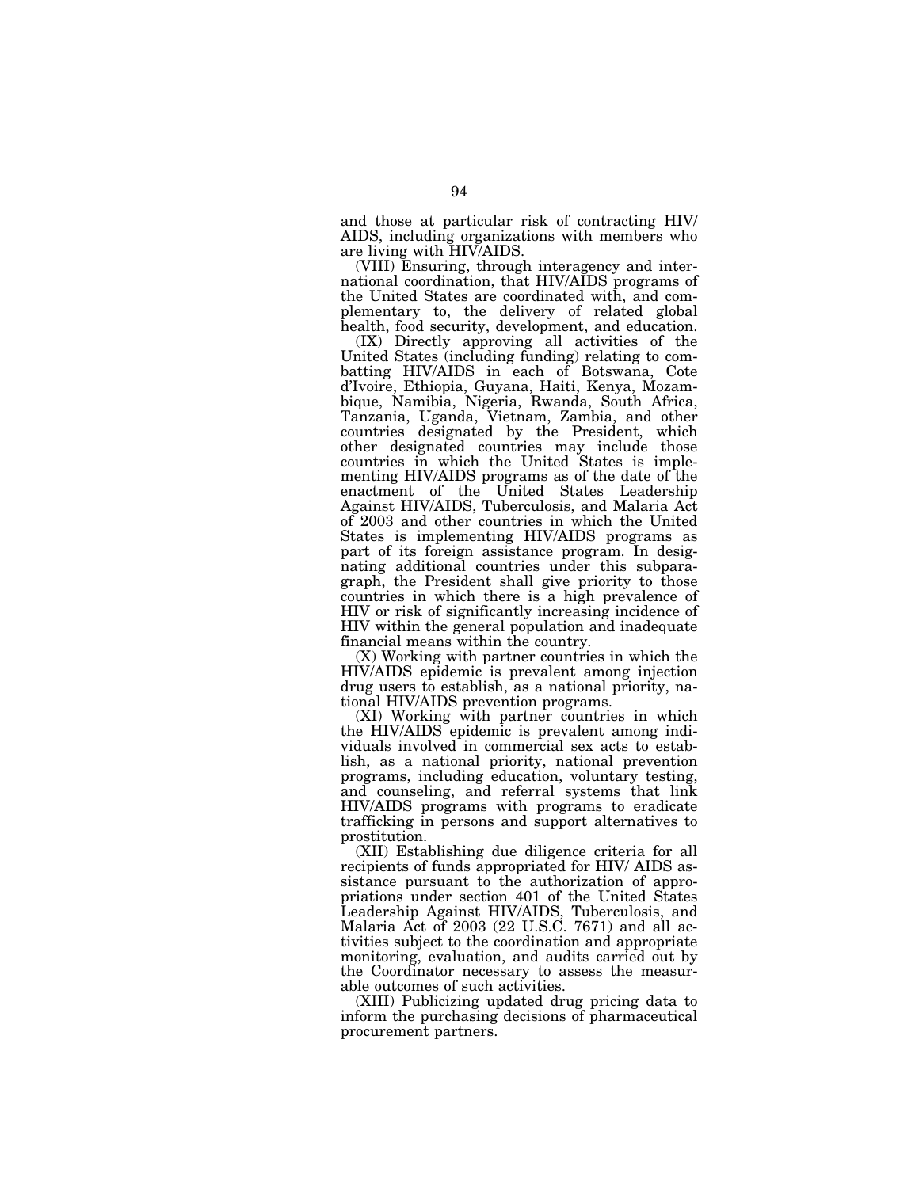and those at particular risk of contracting HIV/ AIDS, including organizations with members who are living with HIV/AIDS.

(VIII) Ensuring, through interagency and international coordination, that HIV/AIDS programs of the United States are coordinated with, and complementary to, the delivery of related global health, food security, development, and education.

(IX) Directly approving all activities of the United States (including funding) relating to combatting HIV/AIDS in each of Botswana, Cote d'Ivoire, Ethiopia, Guyana, Haiti, Kenya, Mozambique, Namibia, Nigeria, Rwanda, South Africa, Tanzania, Uganda, Vietnam, Zambia, and other countries designated by the President, which other designated countries may include those countries in which the United States is implementing HIV/AIDS programs as of the date of the enactment of the United States Leadership Against HIV/AIDS, Tuberculosis, and Malaria Act of 2003 and other countries in which the United States is implementing HIV/AIDS programs as part of its foreign assistance program. In designating additional countries under this subparagraph, the President shall give priority to those countries in which there is a high prevalence of HIV or risk of significantly increasing incidence of HIV within the general population and inadequate financial means within the country.

(X) Working with partner countries in which the HIV/AIDS epidemic is prevalent among injection drug users to establish, as a national priority, national HIV/AIDS prevention programs.

(XI) Working with partner countries in which the HIV/AIDS epidemic is prevalent among individuals involved in commercial sex acts to establish, as a national priority, national prevention programs, including education, voluntary testing, and counseling, and referral systems that link HIV/AIDS programs with programs to eradicate trafficking in persons and support alternatives to prostitution.

(XII) Establishing due diligence criteria for all recipients of funds appropriated for HIV/ AIDS assistance pursuant to the authorization of appropriations under section 401 of the United States Leadership Against HIV/AIDS, Tuberculosis, and Malaria Act of 2003 (22 U.S.C. 7671) and all activities subject to the coordination and appropriate monitoring, evaluation, and audits carried out by the Coordinator necessary to assess the measurable outcomes of such activities.

(XIII) Publicizing updated drug pricing data to inform the purchasing decisions of pharmaceutical procurement partners.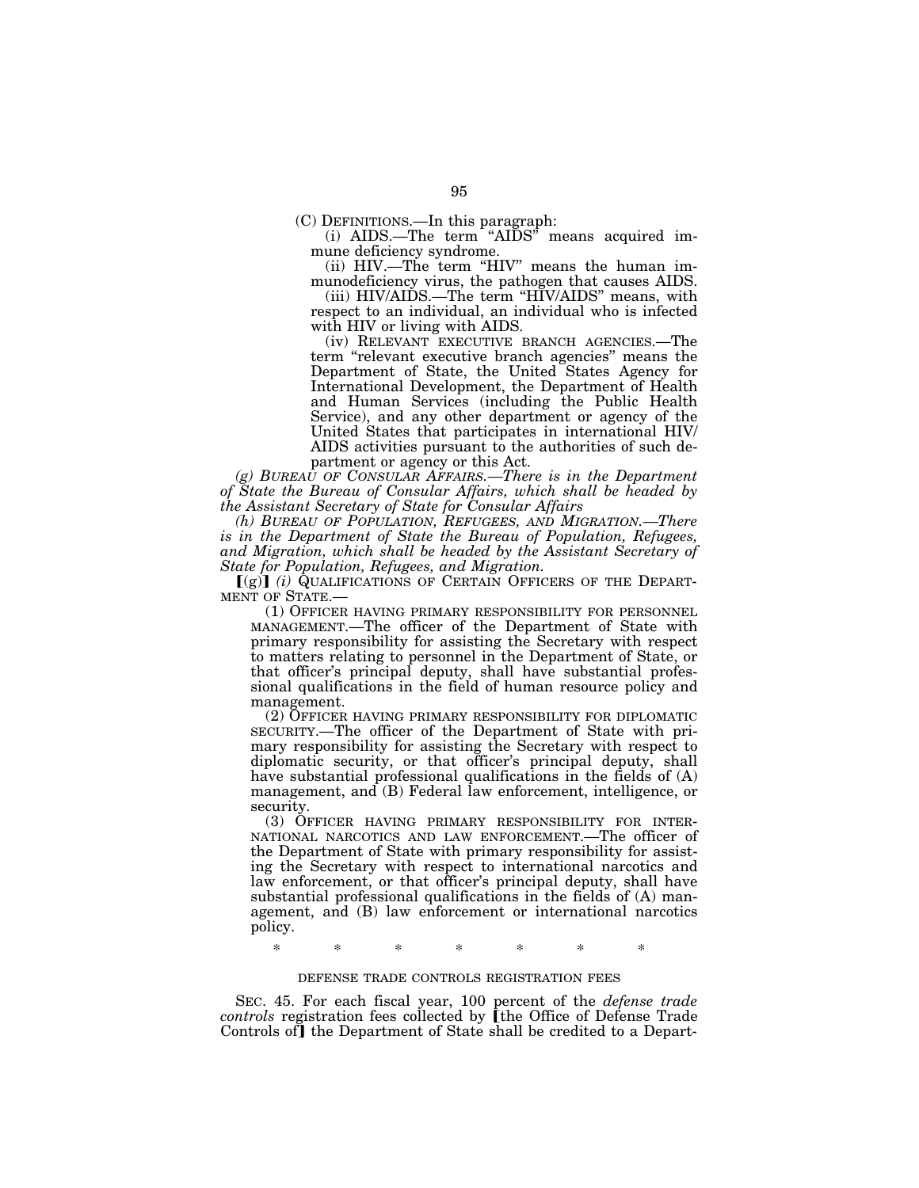(C) DEFINITIONS.—In this paragraph:

(i) AIDS.—The term ''AIDS'' means acquired immune deficiency syndrome.

(ii) HIV.—The term "HIV" means the human immunodeficiency virus, the pathogen that causes AIDS.

(iii) HIV/AIDS.—The term ''HIV/AIDS'' means, with respect to an individual, an individual who is infected with HIV or living with AIDS.

(iv) RELEVANT EXECUTIVE BRANCH AGENCIES.—The term ''relevant executive branch agencies'' means the Department of State, the United States Agency for International Development, the Department of Health and Human Services (including the Public Health Service), and any other department or agency of the United States that participates in international HIV/ AIDS activities pursuant to the authorities of such department or agency or this Act.

*(g) BUREAU OF CONSULAR AFFAIRS.—There is in the Department of State the Bureau of Consular Affairs, which shall be headed by the Assistant Secretary of State for Consular Affairs* 

*(h) BUREAU OF POPULATION, REFUGEES, AND MIGRATION.—There is in the Department of State the Bureau of Population, Refugees,*  and Migration, which shall be headed by the Assistant Secretary of *State for Population, Refugees, and Migration.* 

 $[(g)]$  *(i)* QUALIFICATIONS OF CERTAIN OFFICERS OF THE DEPART-

MENT OF STATE.— (1) OFFICER HAVING PRIMARY RESPONSIBILITY FOR PERSONNEL MANAGEMENT.—The officer of the Department of State with primary responsibility for assisting the Secretary with respect to matters relating to personnel in the Department of State, or that officer's principal deputy, shall have substantial professional qualifications in the field of human resource policy and management.

(2) OFFICER HAVING PRIMARY RESPONSIBILITY FOR DIPLOMATIC SECURITY.—The officer of the Department of State with primary responsibility for assisting the Secretary with respect to diplomatic security, or that officer's principal deputy, shall have substantial professional qualifications in the fields of (A) management, and (B) Federal law enforcement, intelligence, or security.

(3) OFFICER HAVING PRIMARY RESPONSIBILITY FOR INTER-NATIONAL NARCOTICS AND LAW ENFORCEMENT.—The officer of the Department of State with primary responsibility for assisting the Secretary with respect to international narcotics and law enforcement, or that officer's principal deputy, shall have substantial professional qualifications in the fields of (A) management, and (B) law enforcement or international narcotics policy.

\* \* \* \* \* \* \*

### DEFENSE TRADE CONTROLS REGISTRATION FEES

SEC. 45. For each fiscal year, 100 percent of the *defense trade controls* registration fees collected by the Office of Defense Trade Controls of the Department of State shall be credited to a Depart-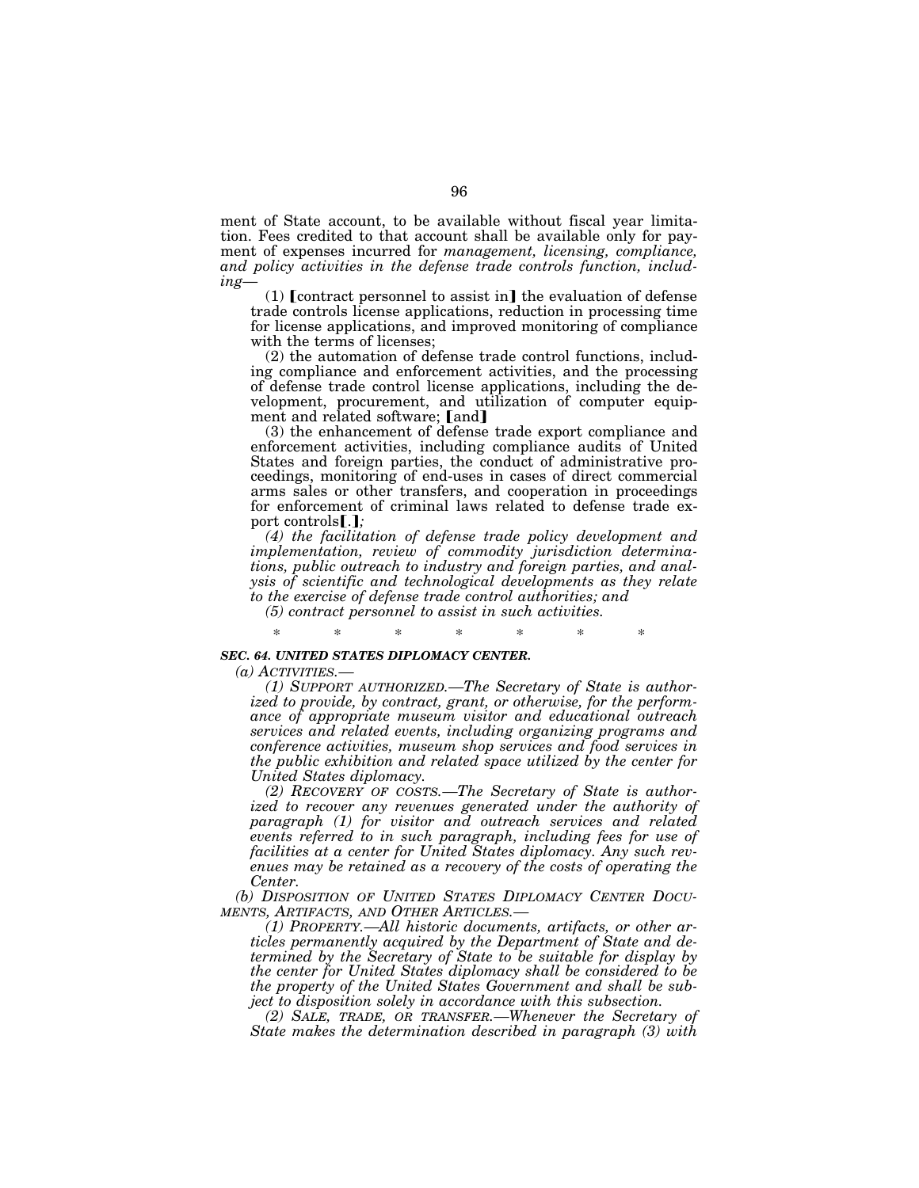ment of State account, to be available without fiscal year limitation. Fees credited to that account shall be available only for payment of expenses incurred for *management, licensing, compliance, and policy activities in the defense trade controls function, includ-*

*ing*—<br>(1) Contract personnel to assist in the evaluation of defense trade controls license applications, reduction in processing time for license applications, and improved monitoring of compliance with the terms of licenses;

(2) the automation of defense trade control functions, including compliance and enforcement activities, and the processing of defense trade control license applications, including the development, procurement, and utilization of computer equipment and related software; [and]

(3) the enhancement of defense trade export compliance and enforcement activities, including compliance audits of United States and foreign parties, the conduct of administrative proceedings, monitoring of end-uses in cases of direct commercial arms sales or other transfers, and cooperation in proceedings for enforcement of criminal laws related to defense trade export controls**[.**];

*(4) the facilitation of defense trade policy development and implementation, review of commodity jurisdiction determinations, public outreach to industry and foreign parties, and analysis of scientific and technological developments as they relate to the exercise of defense trade control authorities; and* 

*(5) contract personnel to assist in such activities.* 

\* \* \* \* \* \* \*

#### *SEC. 64. UNITED STATES DIPLOMACY CENTER.*

*(a) ACTIVITIES.— (1) SUPPORT AUTHORIZED.—The Secretary of State is authorized to provide, by contract, grant, or otherwise, for the performance of appropriate museum visitor and educational outreach services and related events, including organizing programs and conference activities, museum shop services and food services in the public exhibition and related space utilized by the center for United States diplomacy.* 

*(2) RECOVERY OF COSTS.—The Secretary of State is authorized to recover any revenues generated under the authority of paragraph (1) for visitor and outreach services and related events referred to in such paragraph, including fees for use of facilities at a center for United States diplomacy. Any such revenues may be retained as a recovery of the costs of operating the Center.* 

*(b) DISPOSITION OF UNITED STATES DIPLOMACY CENTER DOCU-MENTS, ARTIFACTS, AND OTHER ARTICLES.—* 

*(1) PROPERTY.—All historic documents, artifacts, or other articles permanently acquired by the Department of State and determined by the Secretary of State to be suitable for display by the center for United States diplomacy shall be considered to be the property of the United States Government and shall be subject to disposition solely in accordance with this subsection.* 

*(2) SALE, TRADE, OR TRANSFER.—Whenever the Secretary of State makes the determination described in paragraph (3) with*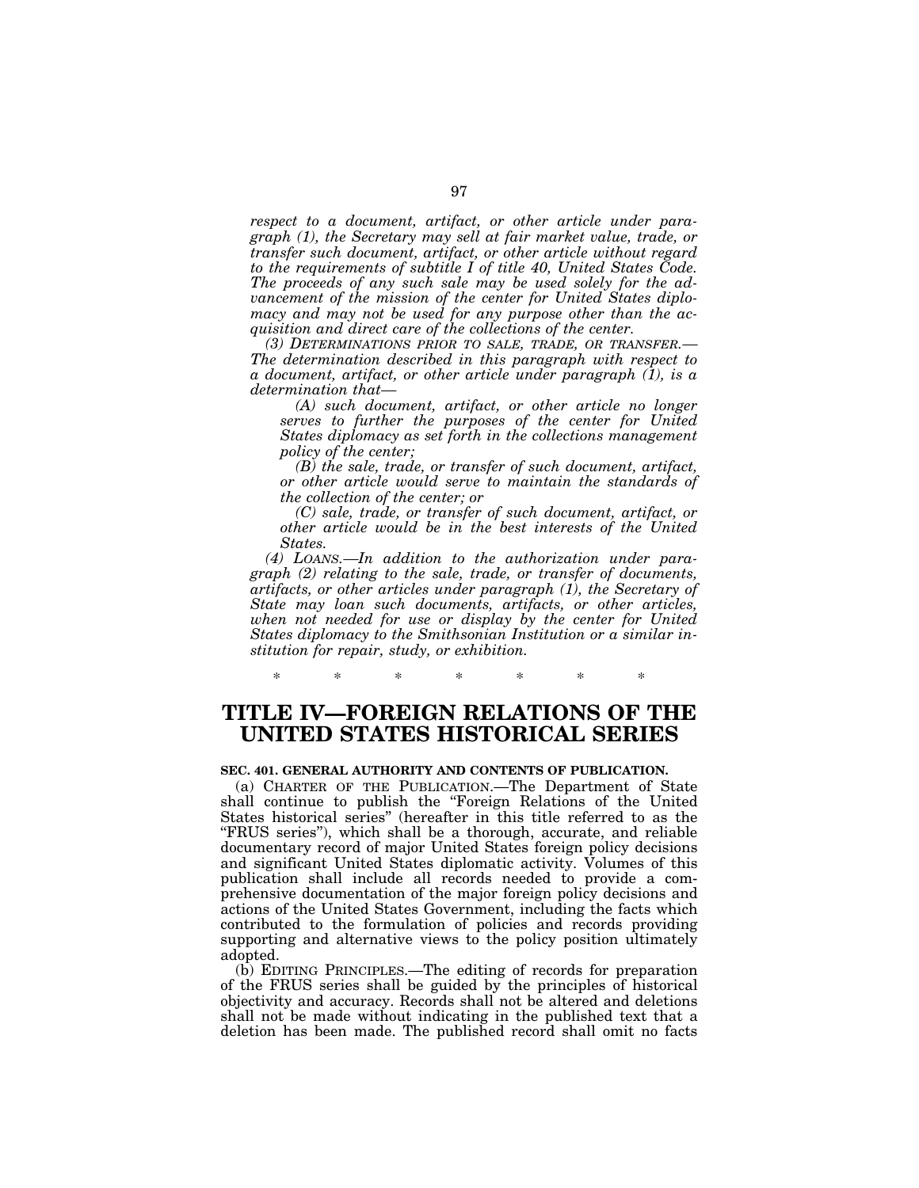*respect to a document, artifact, or other article under paragraph (1), the Secretary may sell at fair market value, trade, or transfer such document, artifact, or other article without regard to the requirements of subtitle I of title 40, United States Code. The proceeds of any such sale may be used solely for the advancement of the mission of the center for United States diplomacy and may not be used for any purpose other than the acquisition and direct care of the collections of the center.* 

*(3) DETERMINATIONS PRIOR TO SALE, TRADE, OR TRANSFER.— The determination described in this paragraph with respect to a document, artifact, or other article under paragraph (1), is a determination that—* 

*(A) such document, artifact, or other article no longer serves to further the purposes of the center for United States diplomacy as set forth in the collections management policy of the center;* 

*(B) the sale, trade, or transfer of such document, artifact, or other article would serve to maintain the standards of the collection of the center; or* 

*(C) sale, trade, or transfer of such document, artifact, or other article would be in the best interests of the United States.* 

*(4) LOANS.—In addition to the authorization under paragraph (2) relating to the sale, trade, or transfer of documents, artifacts, or other articles under paragraph (1), the Secretary of State may loan such documents, artifacts, or other articles, when not needed for use or display by the center for United States diplomacy to the Smithsonian Institution or a similar institution for repair, study, or exhibition.* 

\* \* \* \* \* \* \*

# **TITLE IV—FOREIGN RELATIONS OF THE UNITED STATES HISTORICAL SERIES**

#### **SEC. 401. GENERAL AUTHORITY AND CONTENTS OF PUBLICATION.**

(a) CHARTER OF THE PUBLICATION.—The Department of State shall continue to publish the ''Foreign Relations of the United States historical series'' (hereafter in this title referred to as the ''FRUS series''), which shall be a thorough, accurate, and reliable documentary record of major United States foreign policy decisions and significant United States diplomatic activity. Volumes of this publication shall include all records needed to provide a comprehensive documentation of the major foreign policy decisions and actions of the United States Government, including the facts which contributed to the formulation of policies and records providing supporting and alternative views to the policy position ultimately adopted.

(b) EDITING PRINCIPLES.—The editing of records for preparation of the FRUS series shall be guided by the principles of historical objectivity and accuracy. Records shall not be altered and deletions shall not be made without indicating in the published text that a deletion has been made. The published record shall omit no facts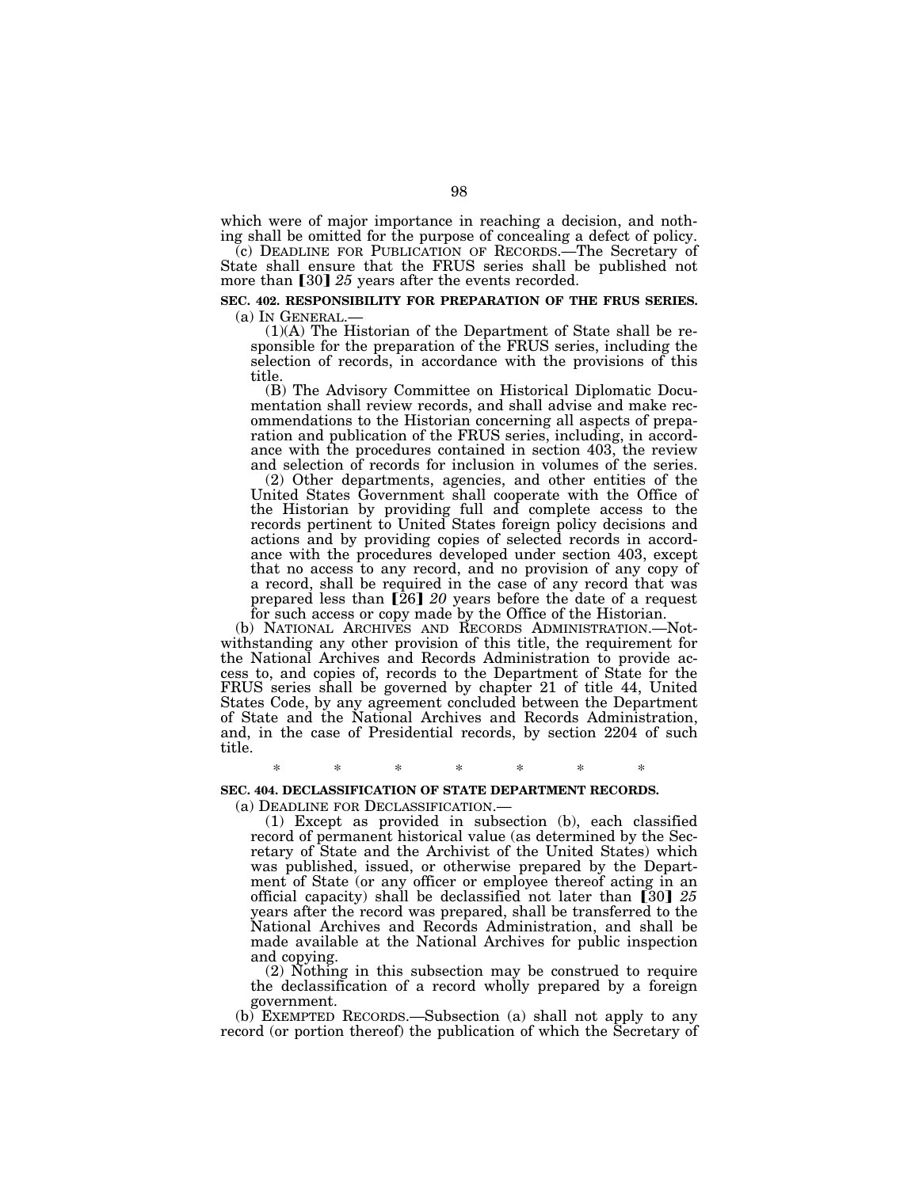which were of major importance in reaching a decision, and nothing shall be omitted for the purpose of concealing a defect of policy.

(c) DEADLINE FOR PUBLICATION OF RECORDS.—The Secretary of State shall ensure that the FRUS series shall be published not more than [30] 25 years after the events recorded.

### **SEC. 402. RESPONSIBILITY FOR PREPARATION OF THE FRUS SERIES.**

(a) IN GENERAL.—<br>(1)(A) The Historian of the Department of State shall be responsible for the preparation of the FRUS series, including the selection of records, in accordance with the provisions of this title.

(B) The Advisory Committee on Historical Diplomatic Documentation shall review records, and shall advise and make recommendations to the Historian concerning all aspects of preparation and publication of the FRUS series, including, in accordance with the procedures contained in section 403, the review and selection of records for inclusion in volumes of the series.

(2) Other departments, agencies, and other entities of the United States Government shall cooperate with the Office of the Historian by providing full and complete access to the records pertinent to United States foreign policy decisions and actions and by providing copies of selected records in accordance with the procedures developed under section 403, except that no access to any record, and no provision of any copy of a record, shall be required in the case of any record that was prepared less than  $\left[26\right]$  20 years before the date of a request for such access or copy made by the Office of the Historian.

(b) NATIONAL ARCHIVES AND RECORDS ADMINISTRATION.—Notwithstanding any other provision of this title, the requirement for the National Archives and Records Administration to provide access to, and copies of, records to the Department of State for the FRUS series shall be governed by chapter 21 of title 44, United States Code, by any agreement concluded between the Department of State and the National Archives and Records Administration, and, in the case of Presidential records, by section 2204 of such title.

\* \* \* \* \* \* \*

# **SEC. 404. DECLASSIFICATION OF STATE DEPARTMENT RECORDS.**

(a) DEADLINE FOR DECLASSIFICATION.—

(1) Except as provided in subsection (b), each classified record of permanent historical value (as determined by the Secretary of State and the Archivist of the United States) which was published, issued, or otherwise prepared by the Department of State (or any officer or employee thereof acting in an official capacity) shall be declassified not later than [30] 25 years after the record was prepared, shall be transferred to the National Archives and Records Administration, and shall be made available at the National Archives for public inspection and copying.

(2) Nothing in this subsection may be construed to require the declassification of a record wholly prepared by a foreign government.

(b) EXEMPTED RECORDS.—Subsection (a) shall not apply to any record (or portion thereof) the publication of which the Secretary of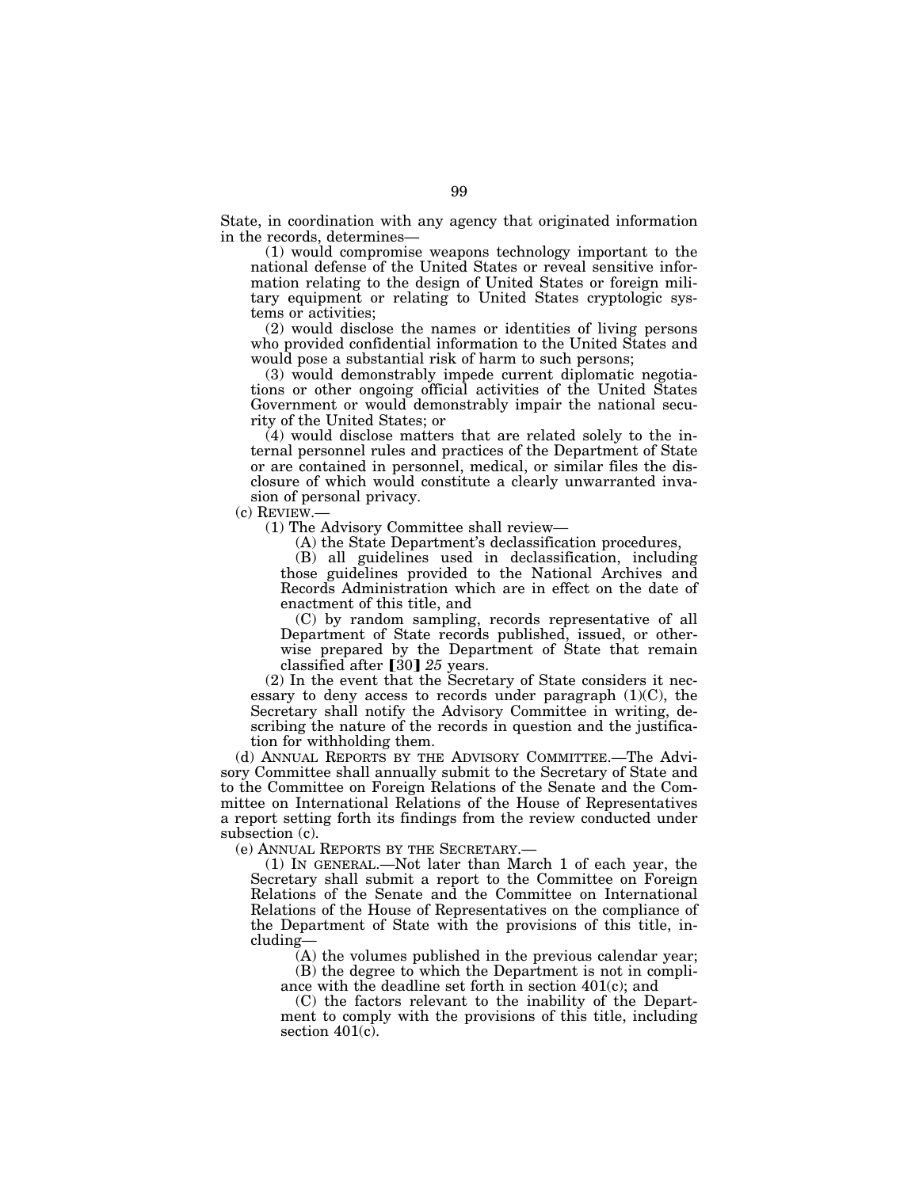State, in coordination with any agency that originated information in the records, determines—

(1) would compromise weapons technology important to the national defense of the United States or reveal sensitive information relating to the design of United States or foreign military equipment or relating to United States cryptologic systems or activities;

(2) would disclose the names or identities of living persons who provided confidential information to the United States and would pose a substantial risk of harm to such persons;

(3) would demonstrably impede current diplomatic negotiations or other ongoing official activities of the United States Government or would demonstrably impair the national security of the United States; or

(4) would disclose matters that are related solely to the internal personnel rules and practices of the Department of State or are contained in personnel, medical, or similar files the disclosure of which would constitute a clearly unwarranted invasion of personal privacy.

(c) REVIEW.—

(1) The Advisory Committee shall review—

(A) the State Department's declassification procedures,

(B) all guidelines used in declassification, including those guidelines provided to the National Archives and Records Administration which are in effect on the date of enactment of this title, and

(C) by random sampling, records representative of all Department of State records published, issued, or otherwise prepared by the Department of State that remain classified after [30] 25 years.

(2) In the event that the Secretary of State considers it necessary to deny access to records under paragraph  $(1)(C)$ , the Secretary shall notify the Advisory Committee in writing, describing the nature of the records in question and the justification for withholding them.

(d) ANNUAL REPORTS BY THE ADVISORY COMMITTEE.—The Advisory Committee shall annually submit to the Secretary of State and to the Committee on Foreign Relations of the Senate and the Committee on International Relations of the House of Representatives a report setting forth its findings from the review conducted under subsection (c).

(e) ANNUAL REPORTS BY THE SECRETARY.—

(1) IN GENERAL.—Not later than March 1 of each year, the Secretary shall submit a report to the Committee on Foreign Relations of the Senate and the Committee on International Relations of the House of Representatives on the compliance of the Department of State with the provisions of this title, including—

(A) the volumes published in the previous calendar year; (B) the degree to which the Department is not in compli-

ance with the deadline set forth in section 401(c); and

(C) the factors relevant to the inability of the Department to comply with the provisions of this title, including section  $401(c)$ .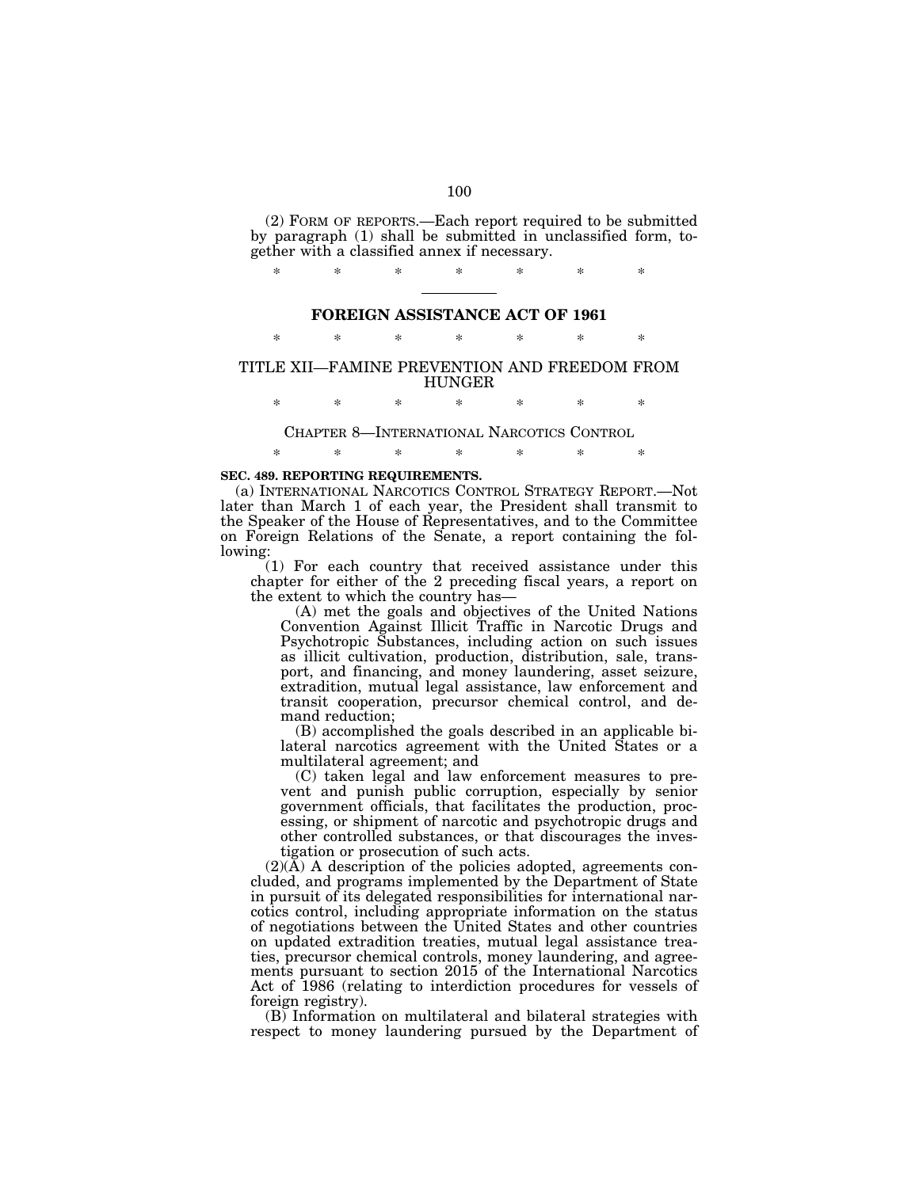(2) FORM OF REPORTS.—Each report required to be submitted by paragraph (1) shall be submitted in unclassified form, together with a classified annex if necessary.

\* \* \* \* \* \* \*

# **FOREIGN ASSISTANCE ACT OF 1961**

\* \* \* \* \* \* \*

## TITLE XII—FAMINE PREVENTION AND FREEDOM FROM HUNGER

\* \* \* \* \* \* \*

#### CHAPTER 8—INTERNATIONAL NARCOTICS CONTROL

# \* \* \* \* \* \* \* **SEC. 489. REPORTING REQUIREMENTS.**

(a) INTERNATIONAL NARCOTICS CONTROL STRATEGY REPORT.—Not later than March 1 of each year, the President shall transmit to the Speaker of the House of Representatives, and to the Committee on Foreign Relations of the Senate, a report containing the following:

(1) For each country that received assistance under this chapter for either of the 2 preceding fiscal years, a report on the extent to which the country has—

(A) met the goals and objectives of the United Nations Convention Against Illicit Traffic in Narcotic Drugs and Psychotropic Substances, including action on such issues as illicit cultivation, production, distribution, sale, transport, and financing, and money laundering, asset seizure, extradition, mutual legal assistance, law enforcement and transit cooperation, precursor chemical control, and demand reduction;

(B) accomplished the goals described in an applicable bilateral narcotics agreement with the United States or a multilateral agreement; and

(C) taken legal and law enforcement measures to prevent and punish public corruption, especially by senior government officials, that facilitates the production, processing, or shipment of narcotic and psychotropic drugs and other controlled substances, or that discourages the investigation or prosecution of such acts.

 $(2)(\overline{A})$  A description of the policies adopted, agreements concluded, and programs implemented by the Department of State in pursuit of its delegated responsibilities for international narcotics control, including appropriate information on the status of negotiations between the United States and other countries on updated extradition treaties, mutual legal assistance treaties, precursor chemical controls, money laundering, and agreements pursuant to section 2015 of the International Narcotics Act of 1986 (relating to interdiction procedures for vessels of foreign registry).

(B) Information on multilateral and bilateral strategies with respect to money laundering pursued by the Department of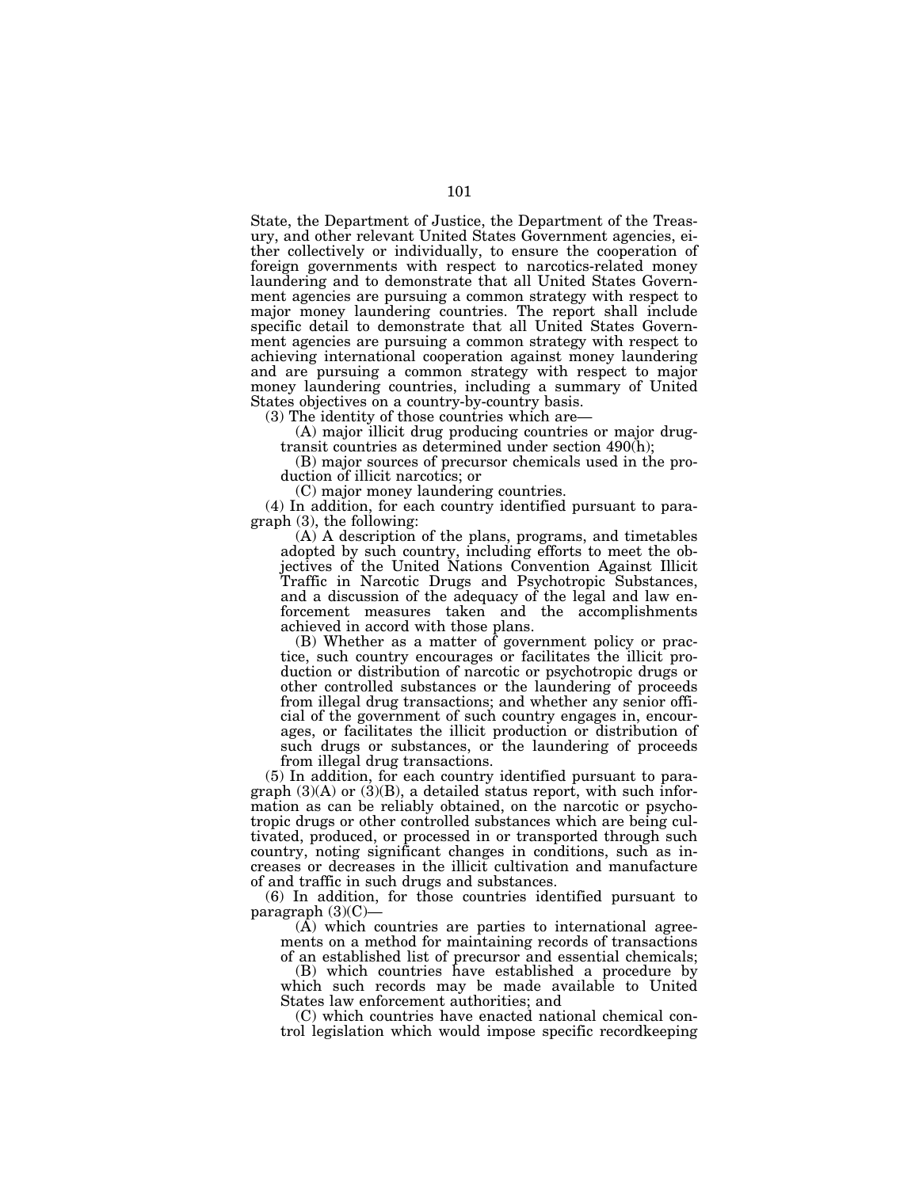State, the Department of Justice, the Department of the Treasury, and other relevant United States Government agencies, either collectively or individually, to ensure the cooperation of foreign governments with respect to narcotics-related money laundering and to demonstrate that all United States Government agencies are pursuing a common strategy with respect to major money laundering countries. The report shall include specific detail to demonstrate that all United States Government agencies are pursuing a common strategy with respect to achieving international cooperation against money laundering and are pursuing a common strategy with respect to major money laundering countries, including a summary of United States objectives on a country-by-country basis.

(3) The identity of those countries which are—

(A) major illicit drug producing countries or major drugtransit countries as determined under section 490(h);

(B) major sources of precursor chemicals used in the production of illicit narcotics; or

(C) major money laundering countries.

(4) In addition, for each country identified pursuant to paragraph (3), the following:

(A) A description of the plans, programs, and timetables adopted by such country, including efforts to meet the objectives of the United Nations Convention Against Illicit Traffic in Narcotic Drugs and Psychotropic Substances, and a discussion of the adequacy of the legal and law enforcement measures taken and the accomplishments achieved in accord with those plans.

(B) Whether as a matter of government policy or practice, such country encourages or facilitates the illicit production or distribution of narcotic or psychotropic drugs or other controlled substances or the laundering of proceeds from illegal drug transactions; and whether any senior official of the government of such country engages in, encourages, or facilitates the illicit production or distribution of such drugs or substances, or the laundering of proceeds from illegal drug transactions.

(5) In addition, for each country identified pursuant to paragraph (3)(A) or (3)(B), a detailed status report, with such information as can be reliably obtained, on the narcotic or psychotropic drugs or other controlled substances which are being cultivated, produced, or processed in or transported through such country, noting significant changes in conditions, such as increases or decreases in the illicit cultivation and manufacture of and traffic in such drugs and substances.

(6) In addition, for those countries identified pursuant to paragraph  $(3)(C)$ —

 $(A)$  which countries are parties to international agreements on a method for maintaining records of transactions of an established list of precursor and essential chemicals;

(B) which countries have established a procedure by which such records may be made available to United States law enforcement authorities; and

(C) which countries have enacted national chemical control legislation which would impose specific recordkeeping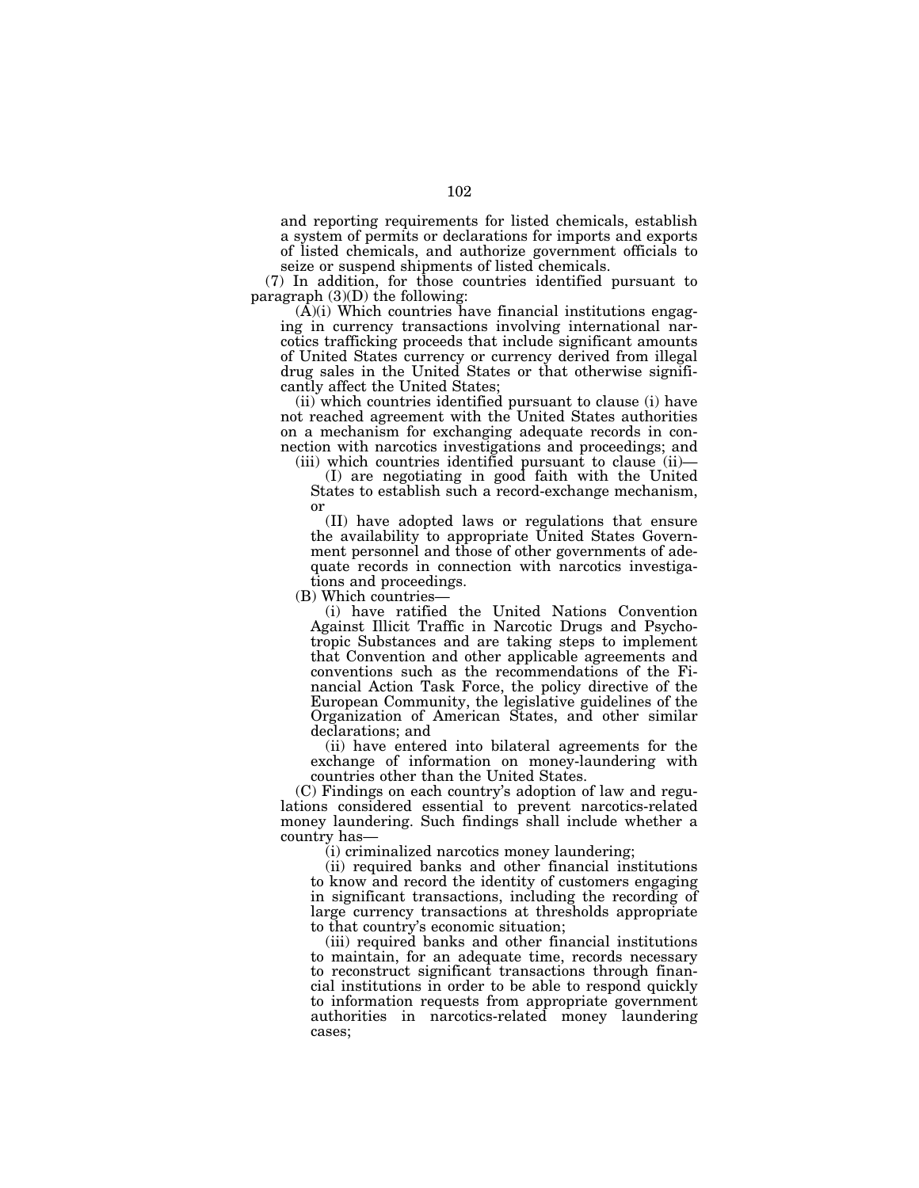and reporting requirements for listed chemicals, establish a system of permits or declarations for imports and exports of listed chemicals, and authorize government officials to seize or suspend shipments of listed chemicals.

(7) In addition, for those countries identified pursuant to paragraph  $(3)(D)$  the following:

 $(A)(i)$  Which countries have financial institutions engaging in currency transactions involving international narcotics trafficking proceeds that include significant amounts of United States currency or currency derived from illegal drug sales in the United States or that otherwise significantly affect the United States;

(ii) which countries identified pursuant to clause (i) have not reached agreement with the United States authorities on a mechanism for exchanging adequate records in connection with narcotics investigations and proceedings; and (iii) which countries identified pursuant to clause (ii)—

(I) are negotiating in good faith with the United States to establish such a record-exchange mechanism, or

(II) have adopted laws or regulations that ensure the availability to appropriate United States Government personnel and those of other governments of adequate records in connection with narcotics investigations and proceedings.

(B) Which countries—

(i) have ratified the United Nations Convention Against Illicit Traffic in Narcotic Drugs and Psychotropic Substances and are taking steps to implement that Convention and other applicable agreements and conventions such as the recommendations of the Financial Action Task Force, the policy directive of the European Community, the legislative guidelines of the Organization of American States, and other similar declarations; and

(ii) have entered into bilateral agreements for the exchange of information on money-laundering with countries other than the United States.

(C) Findings on each country's adoption of law and regulations considered essential to prevent narcotics-related money laundering. Such findings shall include whether a country has—

(i) criminalized narcotics money laundering;

(ii) required banks and other financial institutions to know and record the identity of customers engaging in significant transactions, including the recording of large currency transactions at thresholds appropriate to that country's economic situation;

(iii) required banks and other financial institutions to maintain, for an adequate time, records necessary to reconstruct significant transactions through financial institutions in order to be able to respond quickly to information requests from appropriate government authorities in narcotics-related money laundering cases;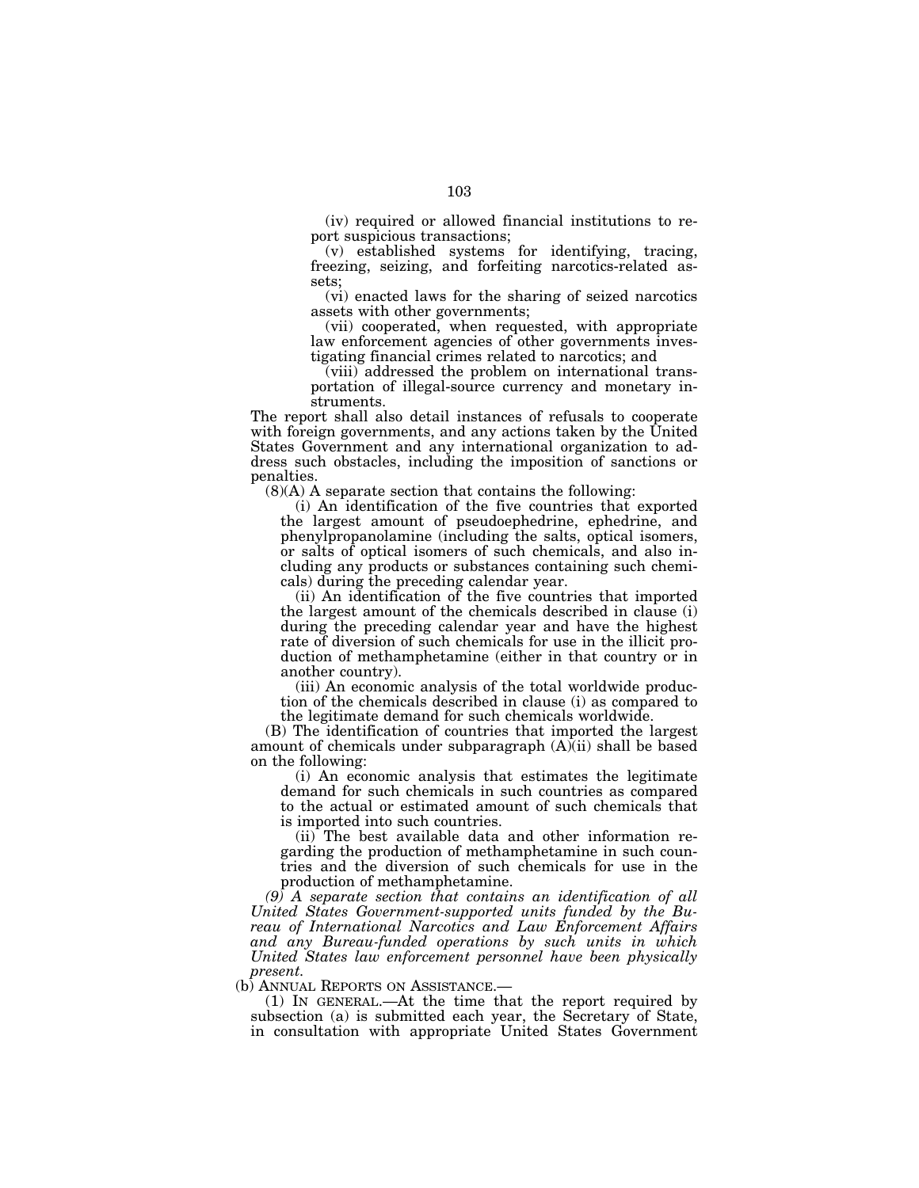(iv) required or allowed financial institutions to report suspicious transactions;

(v) established systems for identifying, tracing, freezing, seizing, and forfeiting narcotics-related assets;

(vi) enacted laws for the sharing of seized narcotics assets with other governments;

(vii) cooperated, when requested, with appropriate law enforcement agencies of other governments investigating financial crimes related to narcotics; and

(viii) addressed the problem on international transportation of illegal-source currency and monetary instruments.

The report shall also detail instances of refusals to cooperate with foreign governments, and any actions taken by the United States Government and any international organization to address such obstacles, including the imposition of sanctions or penalties.

 $(8)(A)$  A separate section that contains the following:

(i) An identification of the five countries that exported the largest amount of pseudoephedrine, ephedrine, and phenylpropanolamine (including the salts, optical isomers, or salts of optical isomers of such chemicals, and also including any products or substances containing such chemicals) during the preceding calendar year.

(ii) An identification of the five countries that imported the largest amount of the chemicals described in clause (i) during the preceding calendar year and have the highest rate of diversion of such chemicals for use in the illicit production of methamphetamine (either in that country or in another country).

(iii) An economic analysis of the total worldwide production of the chemicals described in clause (i) as compared to the legitimate demand for such chemicals worldwide.

(B) The identification of countries that imported the largest amount of chemicals under subparagraph (A)(ii) shall be based on the following:

(i) An economic analysis that estimates the legitimate demand for such chemicals in such countries as compared to the actual or estimated amount of such chemicals that is imported into such countries.

(ii) The best available data and other information regarding the production of methamphetamine in such countries and the diversion of such chemicals for use in the production of methamphetamine.

*(9) A separate section that contains an identification of all United States Government-supported units funded by the Bureau of International Narcotics and Law Enforcement Affairs and any Bureau-funded operations by such units in which United States law enforcement personnel have been physically present.*<br>(b) ANNUAL REPORTS ON ASSISTANCE.—

 $(1)$  In GENERAL.—At the time that the report required by subsection (a) is submitted each year, the Secretary of State, in consultation with appropriate United States Government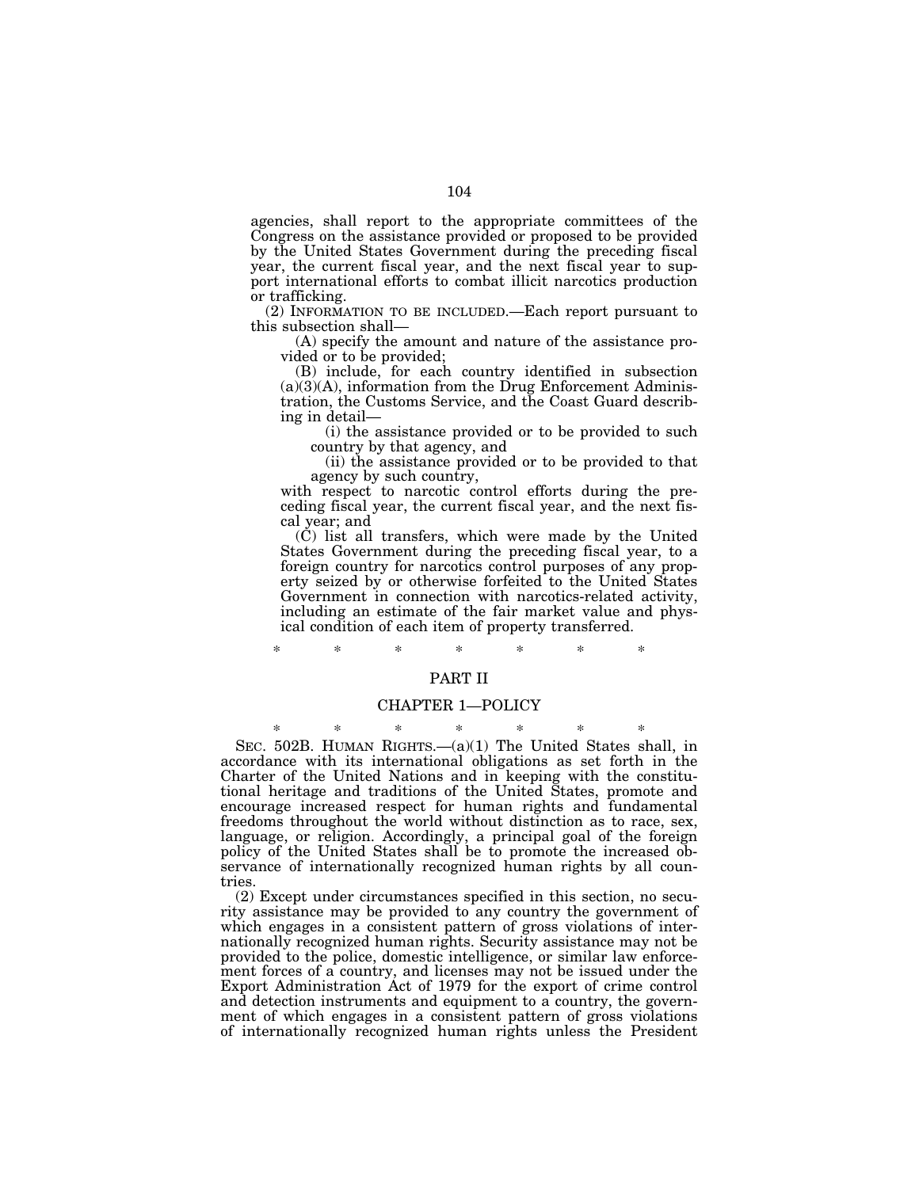agencies, shall report to the appropriate committees of the Congress on the assistance provided or proposed to be provided by the United States Government during the preceding fiscal year, the current fiscal year, and the next fiscal year to support international efforts to combat illicit narcotics production or trafficking.

(2) INFORMATION TO BE INCLUDED.—Each report pursuant to this subsection shall—

(A) specify the amount and nature of the assistance provided or to be provided;

(B) include, for each country identified in subsection  $(a)(3)(A)$ , information from the Drug Enforcement Administration, the Customs Service, and the Coast Guard describing in detail—

(i) the assistance provided or to be provided to such country by that agency, and

(ii) the assistance provided or to be provided to that agency by such country,

with respect to narcotic control efforts during the preceding fiscal year, the current fiscal year, and the next fiscal year; and

(C) list all transfers, which were made by the United States Government during the preceding fiscal year, to a foreign country for narcotics control purposes of any property seized by or otherwise forfeited to the United States Government in connection with narcotics-related activity, including an estimate of the fair market value and physical condition of each item of property transferred.

\* \* \* \* \* \* \*

## PART II

#### CHAPTER 1—POLICY

\* \* \* \* \* \* \* SEC. 502B. HUMAN RIGHTS.—(a)(1) The United States shall, in accordance with its international obligations as set forth in the Charter of the United Nations and in keeping with the constitutional heritage and traditions of the United States, promote and encourage increased respect for human rights and fundamental freedoms throughout the world without distinction as to race, sex, language, or religion. Accordingly, a principal goal of the foreign policy of the United States shall be to promote the increased observance of internationally recognized human rights by all countries.

(2) Except under circumstances specified in this section, no security assistance may be provided to any country the government of which engages in a consistent pattern of gross violations of internationally recognized human rights. Security assistance may not be provided to the police, domestic intelligence, or similar law enforcement forces of a country, and licenses may not be issued under the Export Administration Act of 1979 for the export of crime control and detection instruments and equipment to a country, the government of which engages in a consistent pattern of gross violations of internationally recognized human rights unless the President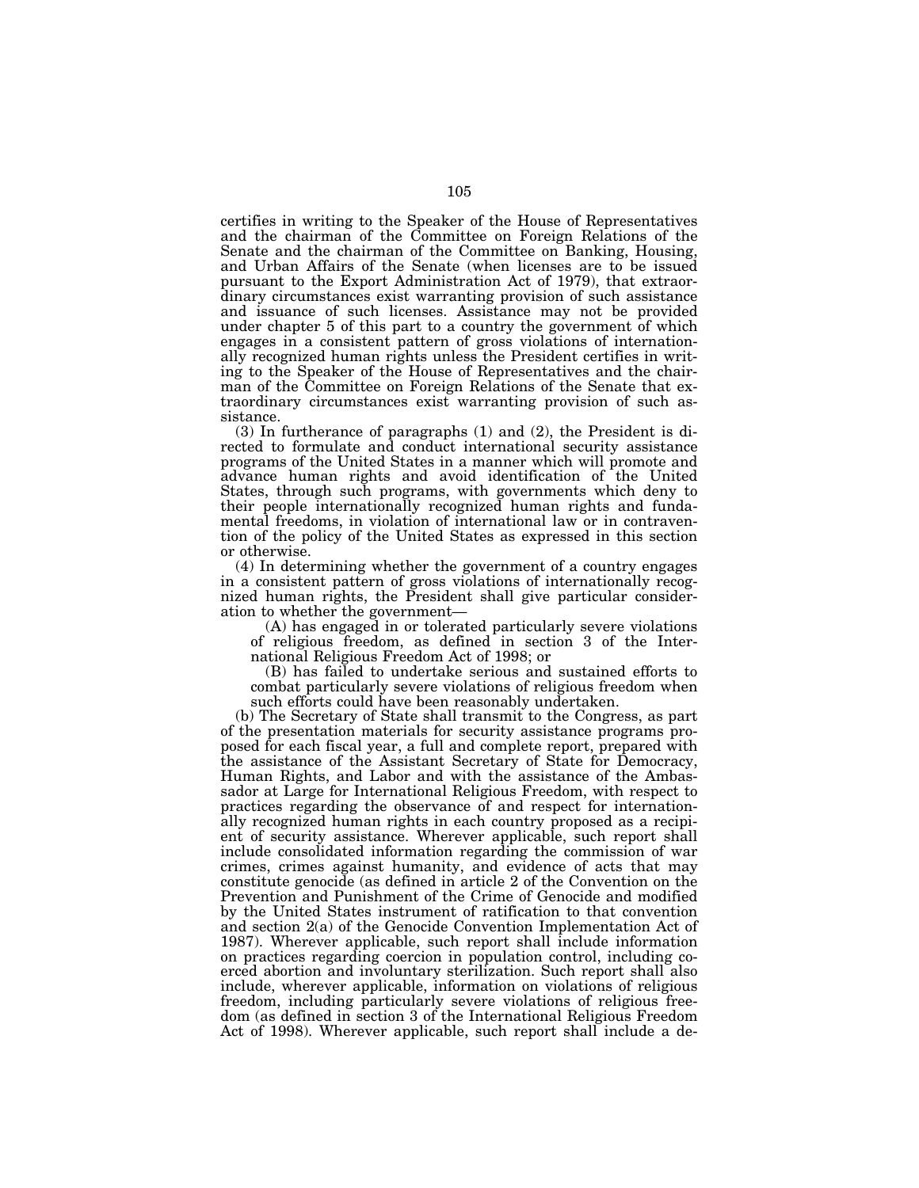certifies in writing to the Speaker of the House of Representatives and the chairman of the Committee on Foreign Relations of the Senate and the chairman of the Committee on Banking, Housing, and Urban Affairs of the Senate (when licenses are to be issued pursuant to the Export Administration Act of 1979), that extraordinary circumstances exist warranting provision of such assistance and issuance of such licenses. Assistance may not be provided under chapter 5 of this part to a country the government of which engages in a consistent pattern of gross violations of internationally recognized human rights unless the President certifies in writing to the Speaker of the House of Representatives and the chairman of the Committee on Foreign Relations of the Senate that extraordinary circumstances exist warranting provision of such assistance.

(3) In furtherance of paragraphs (1) and (2), the President is directed to formulate and conduct international security assistance programs of the United States in a manner which will promote and advance human rights and avoid identification of the United States, through such programs, with governments which deny to their people internationally recognized human rights and fundamental freedoms, in violation of international law or in contravention of the policy of the United States as expressed in this section or otherwise.

(4) In determining whether the government of a country engages in a consistent pattern of gross violations of internationally recognized human rights, the President shall give particular consideration to whether the government—

(A) has engaged in or tolerated particularly severe violations of religious freedom, as defined in section 3 of the International Religious Freedom Act of 1998; or

(B) has failed to undertake serious and sustained efforts to combat particularly severe violations of religious freedom when such efforts could have been reasonably undertaken.

(b) The Secretary of State shall transmit to the Congress, as part of the presentation materials for security assistance programs proposed for each fiscal year, a full and complete report, prepared with the assistance of the Assistant Secretary of State for Democracy, Human Rights, and Labor and with the assistance of the Ambassador at Large for International Religious Freedom, with respect to practices regarding the observance of and respect for internationally recognized human rights in each country proposed as a recipient of security assistance. Wherever applicable, such report shall include consolidated information regarding the commission of war crimes, crimes against humanity, and evidence of acts that may constitute genocide (as defined in article 2 of the Convention on the Prevention and Punishment of the Crime of Genocide and modified by the United States instrument of ratification to that convention and section 2(a) of the Genocide Convention Implementation Act of 1987). Wherever applicable, such report shall include information on practices regarding coercion in population control, including coerced abortion and involuntary sterilization. Such report shall also include, wherever applicable, information on violations of religious freedom, including particularly severe violations of religious freedom (as defined in section 3 of the International Religious Freedom Act of 1998). Wherever applicable, such report shall include a de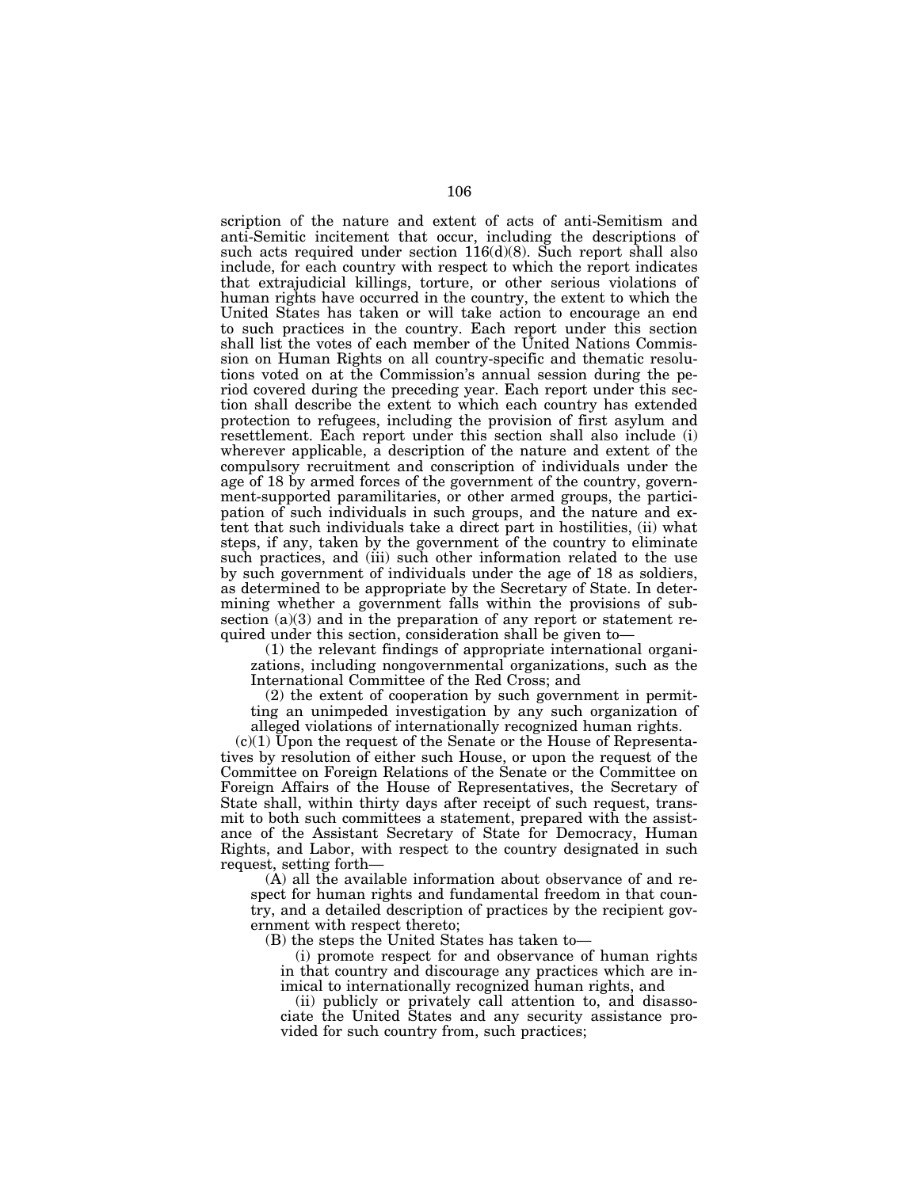scription of the nature and extent of acts of anti-Semitism and anti-Semitic incitement that occur, including the descriptions of such acts required under section 116(d)(8). Such report shall also include, for each country with respect to which the report indicates that extrajudicial killings, torture, or other serious violations of human rights have occurred in the country, the extent to which the United States has taken or will take action to encourage an end to such practices in the country. Each report under this section shall list the votes of each member of the United Nations Commission on Human Rights on all country-specific and thematic resolutions voted on at the Commission's annual session during the period covered during the preceding year. Each report under this section shall describe the extent to which each country has extended protection to refugees, including the provision of first asylum and resettlement. Each report under this section shall also include (i) wherever applicable, a description of the nature and extent of the compulsory recruitment and conscription of individuals under the age of 18 by armed forces of the government of the country, government-supported paramilitaries, or other armed groups, the participation of such individuals in such groups, and the nature and extent that such individuals take a direct part in hostilities, (ii) what steps, if any, taken by the government of the country to eliminate such practices, and (iii) such other information related to the use by such government of individuals under the age of 18 as soldiers, as determined to be appropriate by the Secretary of State. In determining whether a government falls within the provisions of subsection (a)(3) and in the preparation of any report or statement required under this section, consideration shall be given to—

(1) the relevant findings of appropriate international organizations, including nongovernmental organizations, such as the International Committee of the Red Cross; and

(2) the extent of cooperation by such government in permitting an unimpeded investigation by any such organization of alleged violations of internationally recognized human rights.

 $(c)(1)$  Upon the request of the Senate or the House of Representatives by resolution of either such House, or upon the request of the Committee on Foreign Relations of the Senate or the Committee on Foreign Affairs of the House of Representatives, the Secretary of State shall, within thirty days after receipt of such request, transmit to both such committees a statement, prepared with the assistance of the Assistant Secretary of State for Democracy, Human Rights, and Labor, with respect to the country designated in such request, setting forth—

(A) all the available information about observance of and respect for human rights and fundamental freedom in that country, and a detailed description of practices by the recipient government with respect thereto;

(B) the steps the United States has taken to—

(i) promote respect for and observance of human rights in that country and discourage any practices which are inimical to internationally recognized human rights, and

(ii) publicly or privately call attention to, and disassociate the United States and any security assistance provided for such country from, such practices;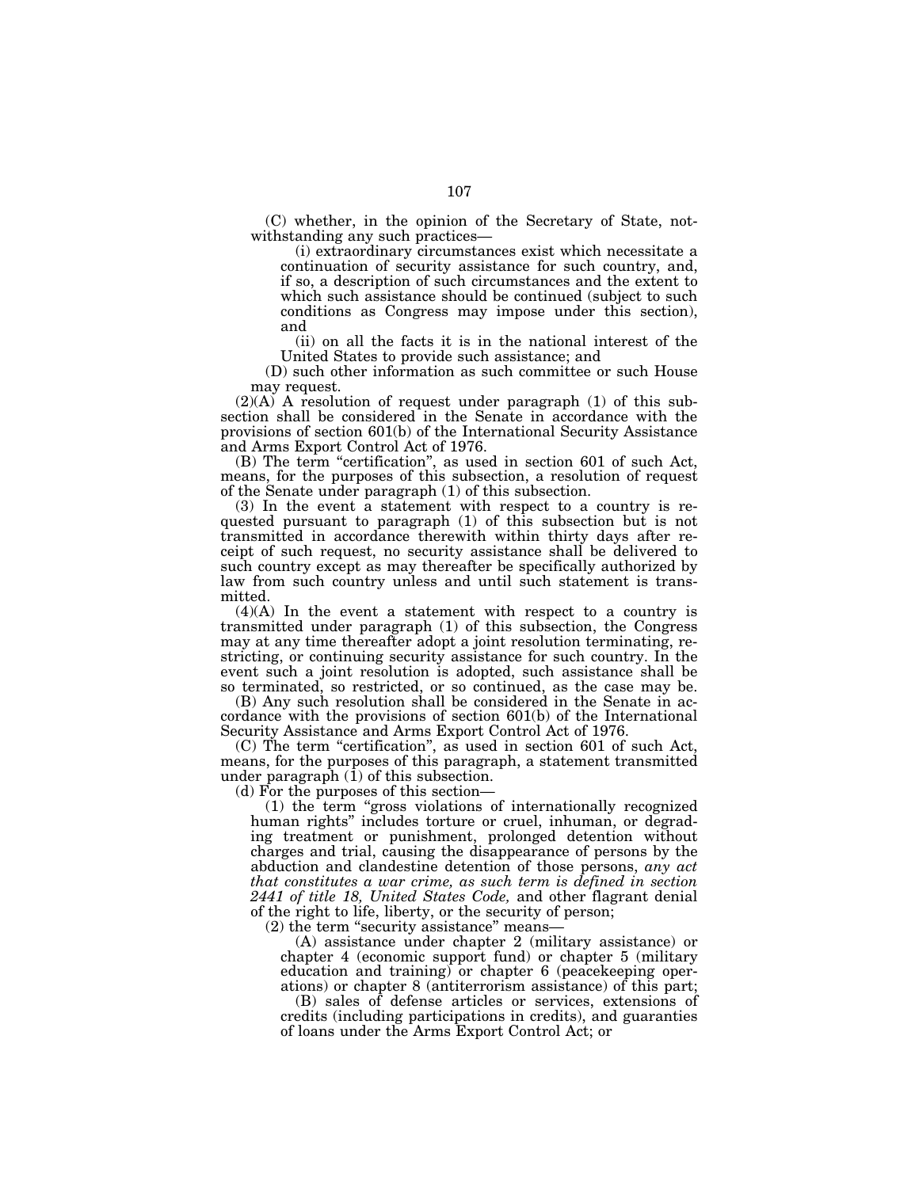(C) whether, in the opinion of the Secretary of State, notwithstanding any such practices—

(i) extraordinary circumstances exist which necessitate a continuation of security assistance for such country, and, if so, a description of such circumstances and the extent to which such assistance should be continued (subject to such conditions as Congress may impose under this section), and

(ii) on all the facts it is in the national interest of the United States to provide such assistance; and

(D) such other information as such committee or such House may request.

 $(2)(A)$  A resolution of request under paragraph  $(1)$  of this subsection shall be considered in the Senate in accordance with the provisions of section 601(b) of the International Security Assistance and Arms Export Control Act of 1976.

(B) The term ''certification'', as used in section 601 of such Act, means, for the purposes of this subsection, a resolution of request of the Senate under paragraph (1) of this subsection.

(3) In the event a statement with respect to a country is requested pursuant to paragraph (1) of this subsection but is not transmitted in accordance therewith within thirty days after receipt of such request, no security assistance shall be delivered to such country except as may thereafter be specifically authorized by law from such country unless and until such statement is transmitted.

(4)(A) In the event a statement with respect to a country is transmitted under paragraph (1) of this subsection, the Congress may at any time thereafter adopt a joint resolution terminating, restricting, or continuing security assistance for such country. In the event such a joint resolution is adopted, such assistance shall be so terminated, so restricted, or so continued, as the case may be.

(B) Any such resolution shall be considered in the Senate in accordance with the provisions of section 601(b) of the International Security Assistance and Arms Export Control Act of 1976.

(C) The term ''certification'', as used in section 601 of such Act, means, for the purposes of this paragraph, a statement transmitted under paragraph  $(1)$  of this subsection.

(d) For the purposes of this section—

(1) the term ''gross violations of internationally recognized human rights" includes torture or cruel, inhuman, or degrading treatment or punishment, prolonged detention without charges and trial, causing the disappearance of persons by the abduction and clandestine detention of those persons, *any act that constitutes a war crime, as such term is defined in section 2441 of title 18, United States Code,* and other flagrant denial of the right to life, liberty, or the security of person;

(2) the term "security assistance" means-

(A) assistance under chapter 2 (military assistance) or chapter 4 (economic support fund) or chapter 5 (military education and training) or chapter 6 (peacekeeping operations) or chapter 8 (antiterrorism assistance) of this part;

(B) sales of defense articles or services, extensions of credits (including participations in credits), and guaranties of loans under the Arms Export Control Act; or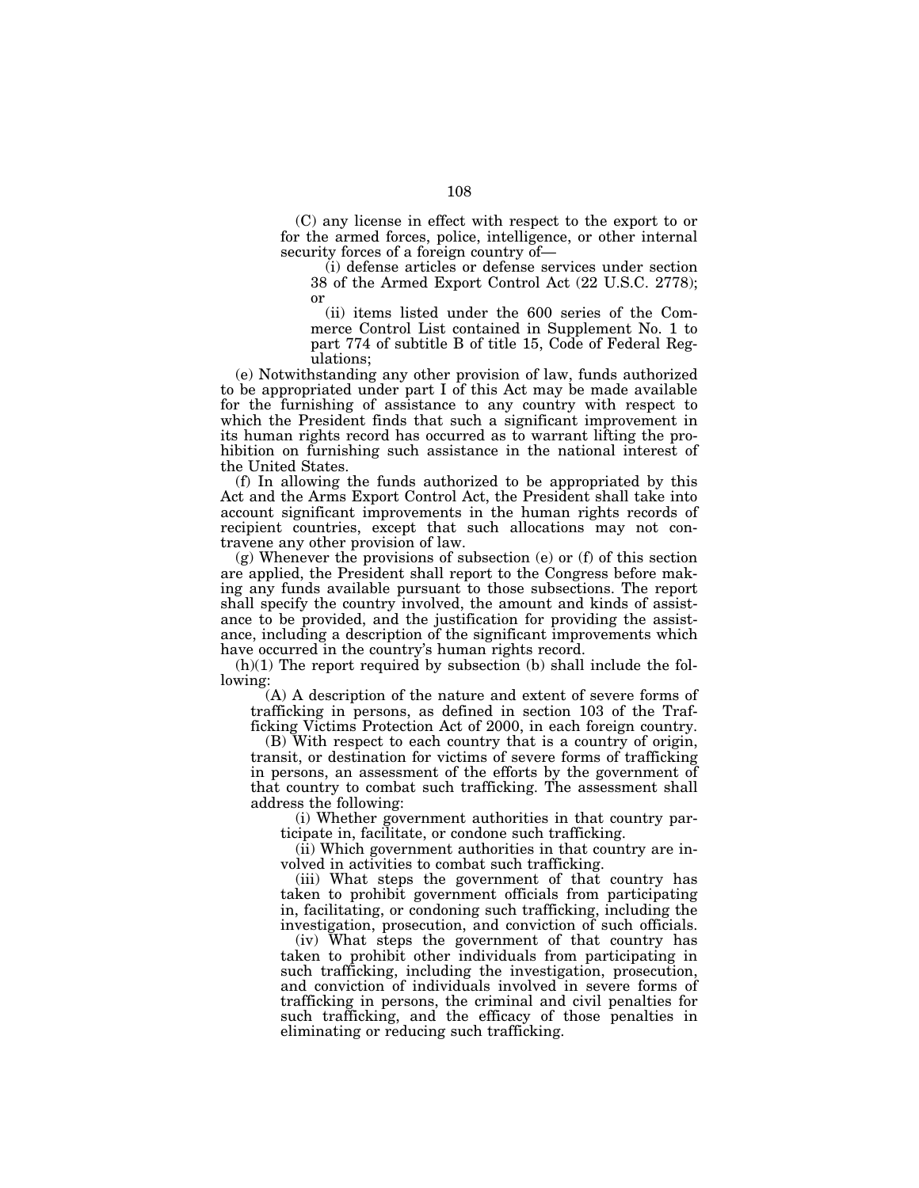(C) any license in effect with respect to the export to or for the armed forces, police, intelligence, or other internal security forces of a foreign country of—

(i) defense articles or defense services under section 38 of the Armed Export Control Act (22 U.S.C. 2778); or

(ii) items listed under the 600 series of the Commerce Control List contained in Supplement No. 1 to part 774 of subtitle B of title 15, Code of Federal Regulations;

(e) Notwithstanding any other provision of law, funds authorized to be appropriated under part I of this Act may be made available for the furnishing of assistance to any country with respect to which the President finds that such a significant improvement in its human rights record has occurred as to warrant lifting the prohibition on furnishing such assistance in the national interest of the United States.

(f) In allowing the funds authorized to be appropriated by this Act and the Arms Export Control Act, the President shall take into account significant improvements in the human rights records of recipient countries, except that such allocations may not contravene any other provision of law.

(g) Whenever the provisions of subsection (e) or (f) of this section are applied, the President shall report to the Congress before making any funds available pursuant to those subsections. The report shall specify the country involved, the amount and kinds of assistance to be provided, and the justification for providing the assistance, including a description of the significant improvements which have occurred in the country's human rights record.

(h)(1) The report required by subsection (b) shall include the following:

(A) A description of the nature and extent of severe forms of trafficking in persons, as defined in section 103 of the Trafficking Victims Protection Act of 2000, in each foreign country.

(B) With respect to each country that is a country of origin, transit, or destination for victims of severe forms of trafficking in persons, an assessment of the efforts by the government of that country to combat such trafficking. The assessment shall address the following:

(i) Whether government authorities in that country participate in, facilitate, or condone such trafficking.

(ii) Which government authorities in that country are involved in activities to combat such trafficking.

(iii) What steps the government of that country has taken to prohibit government officials from participating in, facilitating, or condoning such trafficking, including the investigation, prosecution, and conviction of such officials.

(iv) What steps the government of that country has taken to prohibit other individuals from participating in such trafficking, including the investigation, prosecution, and conviction of individuals involved in severe forms of trafficking in persons, the criminal and civil penalties for such trafficking, and the efficacy of those penalties in eliminating or reducing such trafficking.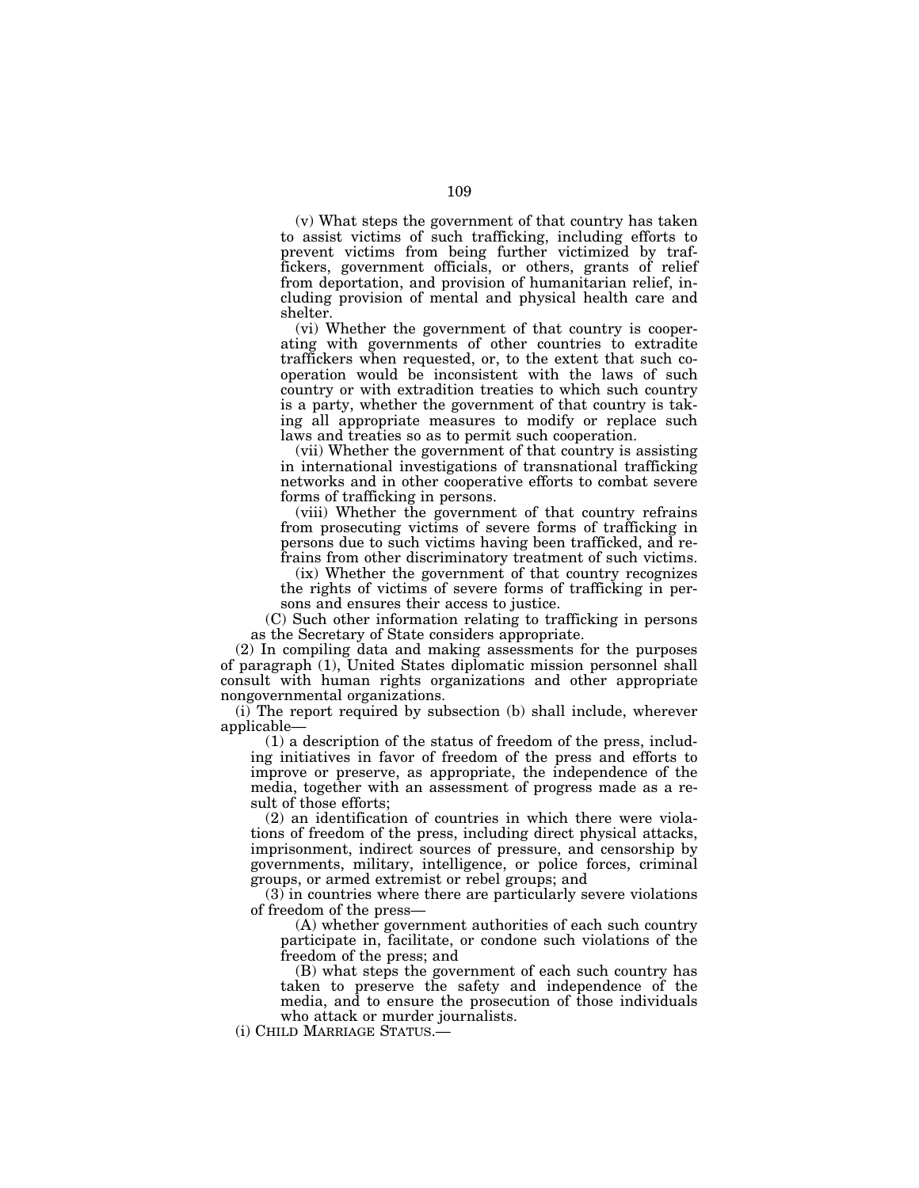(v) What steps the government of that country has taken to assist victims of such trafficking, including efforts to prevent victims from being further victimized by traffickers, government officials, or others, grants of relief from deportation, and provision of humanitarian relief, including provision of mental and physical health care and shelter.

(vi) Whether the government of that country is cooperating with governments of other countries to extradite traffickers when requested, or, to the extent that such cooperation would be inconsistent with the laws of such country or with extradition treaties to which such country is a party, whether the government of that country is taking all appropriate measures to modify or replace such laws and treaties so as to permit such cooperation.

(vii) Whether the government of that country is assisting in international investigations of transnational trafficking networks and in other cooperative efforts to combat severe forms of trafficking in persons.

(viii) Whether the government of that country refrains from prosecuting victims of severe forms of trafficking in persons due to such victims having been trafficked, and refrains from other discriminatory treatment of such victims.

(ix) Whether the government of that country recognizes the rights of victims of severe forms of trafficking in persons and ensures their access to justice.

(C) Such other information relating to trafficking in persons as the Secretary of State considers appropriate.

(2) In compiling data and making assessments for the purposes of paragraph (1), United States diplomatic mission personnel shall consult with human rights organizations and other appropriate nongovernmental organizations.

(i) The report required by subsection (b) shall include, wherever applicable—

(1) a description of the status of freedom of the press, including initiatives in favor of freedom of the press and efforts to improve or preserve, as appropriate, the independence of the media, together with an assessment of progress made as a result of those efforts;

(2) an identification of countries in which there were violations of freedom of the press, including direct physical attacks, imprisonment, indirect sources of pressure, and censorship by governments, military, intelligence, or police forces, criminal groups, or armed extremist or rebel groups; and

(3) in countries where there are particularly severe violations of freedom of the press—

(A) whether government authorities of each such country participate in, facilitate, or condone such violations of the freedom of the press; and

(B) what steps the government of each such country has taken to preserve the safety and independence of the media, and to ensure the prosecution of those individuals who attack or murder journalists.

(i) CHILD MARRIAGE STATUS.—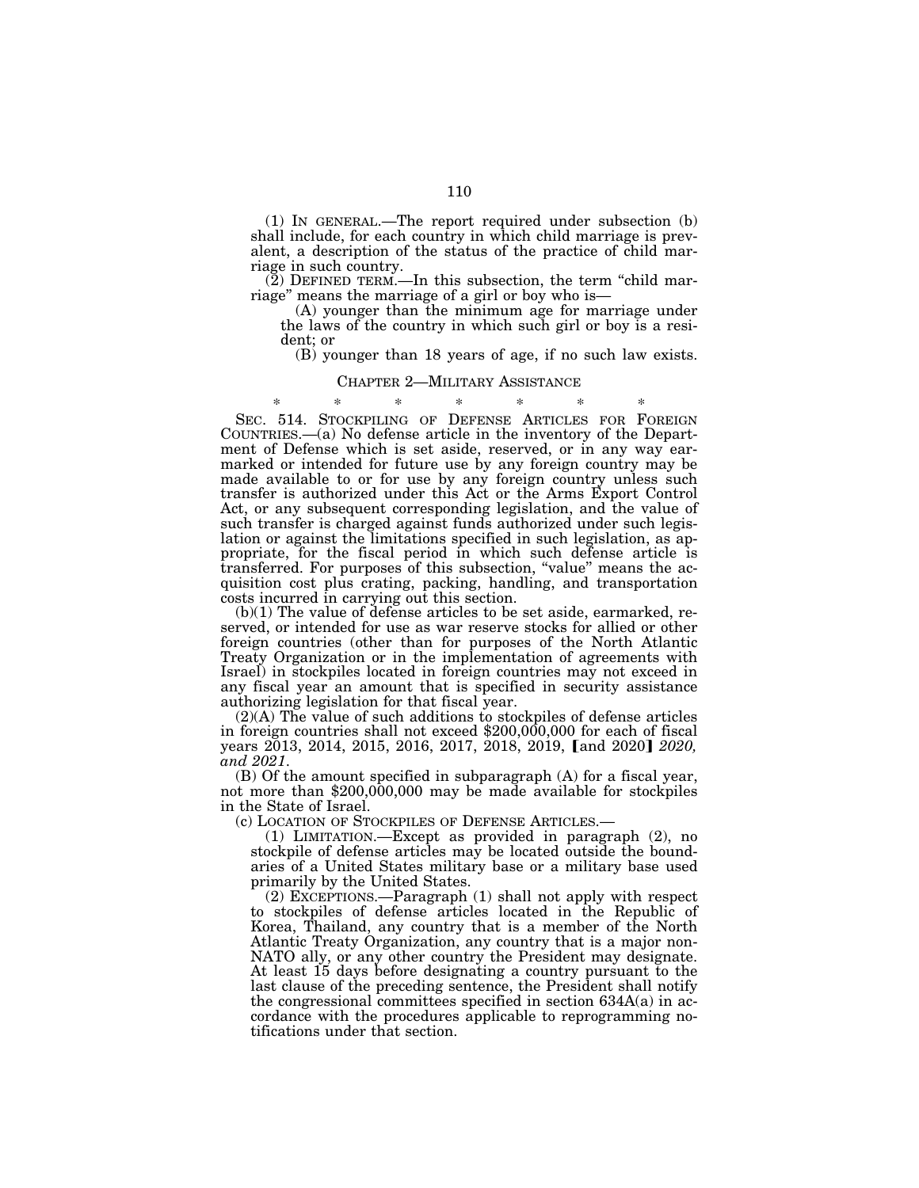(1) IN GENERAL.—The report required under subsection (b) shall include, for each country in which child marriage is prevalent, a description of the status of the practice of child marriage in such country.

 $(2)$  DEFINED TERM.—In this subsection, the term "child marriage'' means the marriage of a girl or boy who is—

(A) younger than the minimum age for marriage under the laws of the country in which such girl or boy is a resident; or

(B) younger than 18 years of age, if no such law exists.

#### CHAPTER 2—MILITARY ASSISTANCE

\* \* \* \* \* \* \* SEC. 514. STOCKPILING OF DEFENSE ARTICLES FOR FOREIGN COUNTRIES.—(a) No defense article in the inventory of the Department of Defense which is set aside, reserved, or in any way earmarked or intended for future use by any foreign country may be made available to or for use by any foreign country unless such transfer is authorized under this Act or the Arms Export Control Act, or any subsequent corresponding legislation, and the value of such transfer is charged against funds authorized under such legislation or against the limitations specified in such legislation, as appropriate, for the fiscal period in which such defense article is transferred. For purposes of this subsection, "value" means the acquisition cost plus crating, packing, handling, and transportation costs incurred in carrying out this section.

(b)(1) The value of defense articles to be set aside, earmarked, reserved, or intended for use as war reserve stocks for allied or other foreign countries (other than for purposes of the North Atlantic Treaty Organization or in the implementation of agreements with Israel) in stockpiles located in foreign countries may not exceed in any fiscal year an amount that is specified in security assistance authorizing legislation for that fiscal year.<br>(2)(A) The value of such additions to stockpiles of defense articles

in foreign countries shall not exceed \$200,000,000 for each of fiscal years 2013, 2014, 2015, 2016, 2017, 2018, 2019, and 2020 *2020*,

*and 2021*. (B) Of the amount specified in subparagraph (A) for a fiscal year, not more than \$200,000,000 may be made available for stockpiles in the State of Israel.

(c) LOCATION OF STOCKPILES OF DEFENSE ARTICLES.—

(1) LIMITATION.—Except as provided in paragraph (2), no stockpile of defense articles may be located outside the boundaries of a United States military base or a military base used primarily by the United States.

(2) EXCEPTIONS.—Paragraph (1) shall not apply with respect to stockpiles of defense articles located in the Republic of Korea, Thailand, any country that is a member of the North Atlantic Treaty Organization, any country that is a major non-NATO ally, or any other country the President may designate. At least 15 days before designating a country pursuant to the last clause of the preceding sentence, the President shall notify the congressional committees specified in section 634A(a) in accordance with the procedures applicable to reprogramming notifications under that section.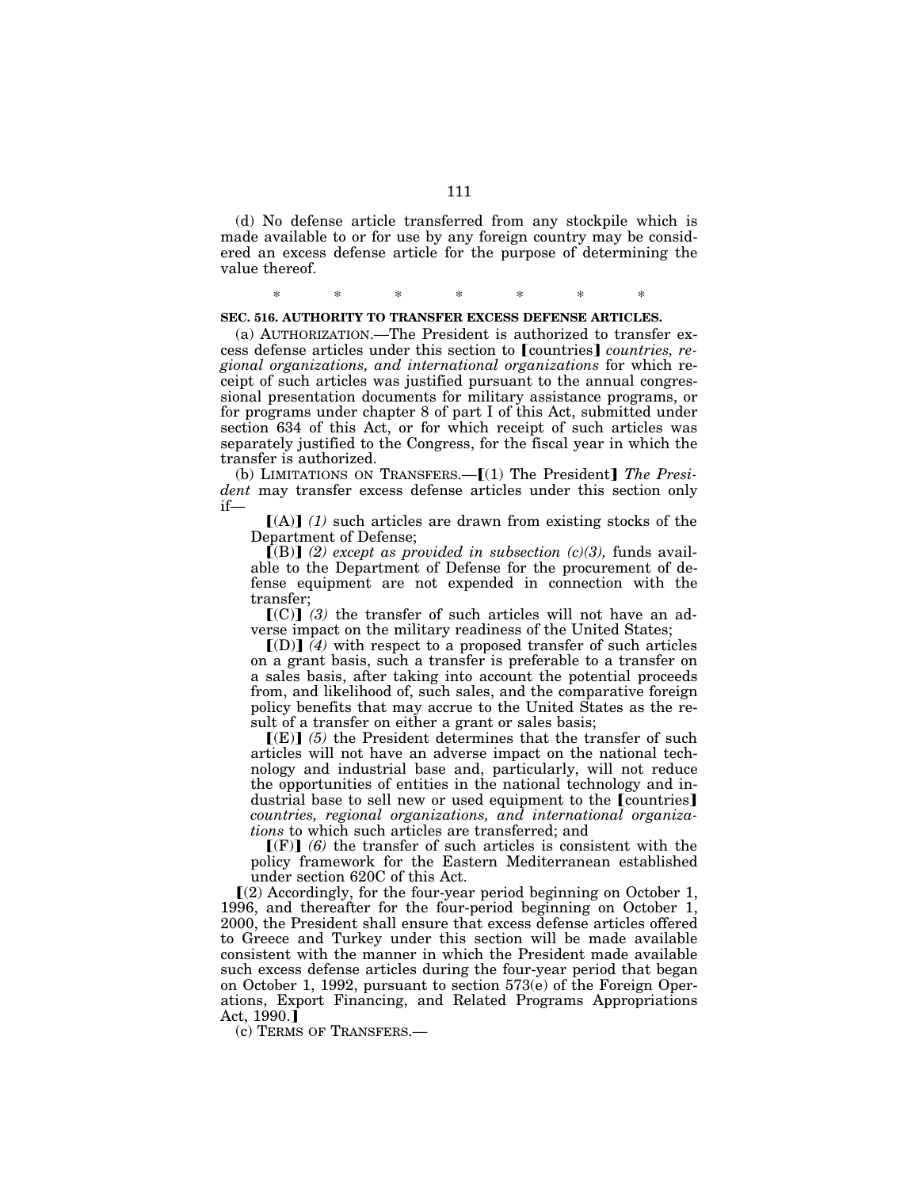(d) No defense article transferred from any stockpile which is made available to or for use by any foreign country may be considered an excess defense article for the purpose of determining the value thereof.

# \* \* \* \* \* \* \*

# **SEC. 516. AUTHORITY TO TRANSFER EXCESS DEFENSE ARTICLES.**

(a) AUTHORIZATION.—The President is authorized to transfer excess defense articles under this section to [countries] *countries, regional organizations, and international organizations* for which receipt of such articles was justified pursuant to the annual congressional presentation documents for military assistance programs, or for programs under chapter 8 of part I of this Act, submitted under section 634 of this Act, or for which receipt of such articles was separately justified to the Congress, for the fiscal year in which the transfer is authorized.

(b) LIMITATIONS ON TRANSFERS.—**[(1)** The President] The Presi*dent* may transfer excess defense articles under this section only if—

 $[(A)]$  (1) such articles are drawn from existing stocks of the Department of Defense;

 $[(B)]$  (2) except as provided in subsection (c)(3), funds available to the Department of Defense for the procurement of defense equipment are not expended in connection with the transfer;

 $(C)$  (3) the transfer of such articles will not have an adverse impact on the military readiness of the United States;

 $\lceil$ (D) $\rceil$  *(4)* with respect to a proposed transfer of such articles on a grant basis, such a transfer is preferable to a transfer on a sales basis, after taking into account the potential proceeds from, and likelihood of, such sales, and the comparative foreign policy benefits that may accrue to the United States as the result of a transfer on either a grant or sales basis;

 $[(E)]$  (5) the President determines that the transfer of such articles will not have an adverse impact on the national technology and industrial base and, particularly, will not reduce the opportunities of entities in the national technology and industrial base to sell new or used equipment to the [countries] *countries, regional organizations, and international organizations* to which such articles are transferred; and

 $\lfloor$ (F)) (6) the transfer of such articles is consistent with the policy framework for the Eastern Mediterranean established under section 620C of this Act.

 $(2)$  Accordingly, for the four-year period beginning on October 1, 1996, and thereafter for the four-period beginning on October 1, 2000, the President shall ensure that excess defense articles offered to Greece and Turkey under this section will be made available consistent with the manner in which the President made available such excess defense articles during the four-year period that began on October 1, 1992, pursuant to section 573(e) of the Foreign Operations, Export Financing, and Related Programs Appropriations Act, 1990.]

(c) TERMS OF TRANSFERS.—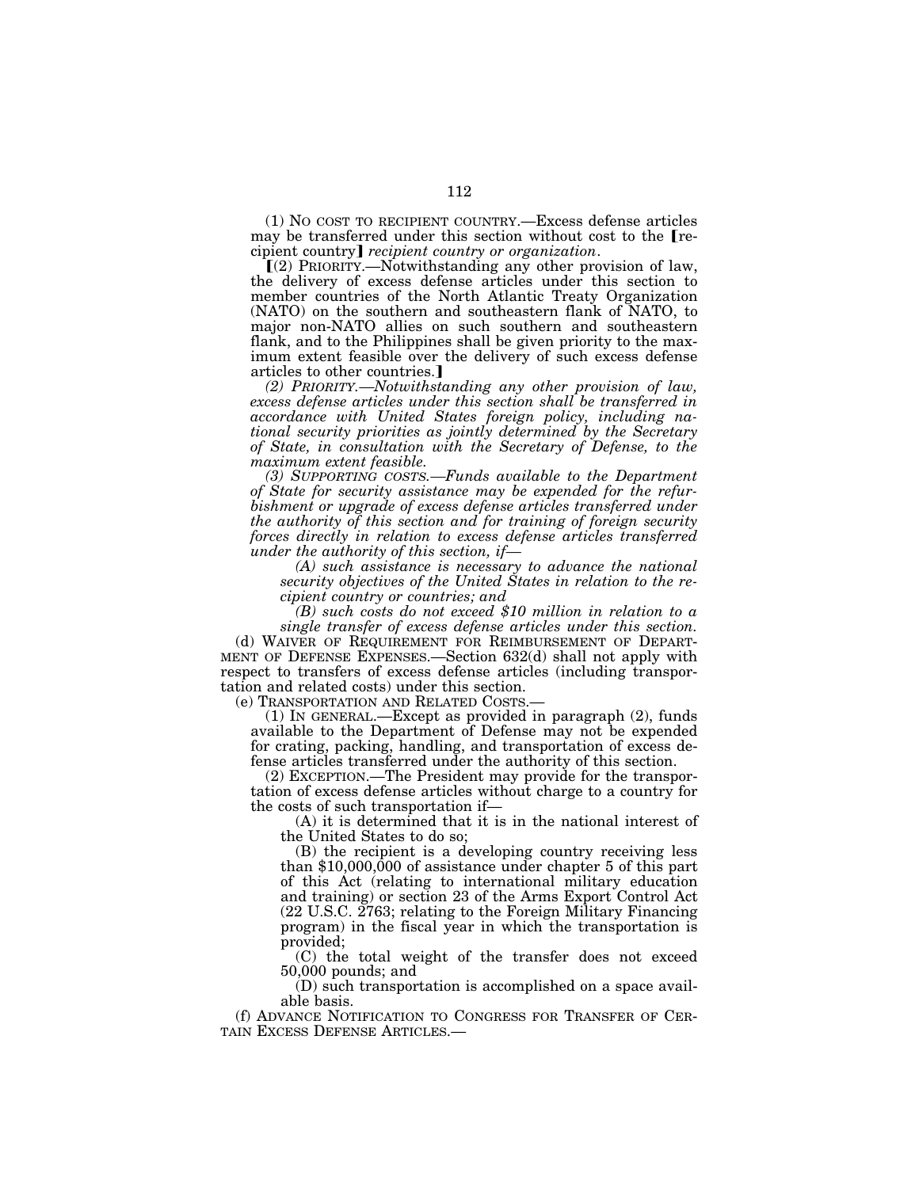(1) NO COST TO RECIPIENT COUNTRY.—Excess defense articles may be transferred under this section without cost to the [recipient country *recipient country or organization*.<br>
[(2) PRIORITY.—Notwithstanding any other provision of law,

the delivery of excess defense articles under this section to member countries of the North Atlantic Treaty Organization (NATO) on the southern and southeastern flank of NATO, to major non-NATO allies on such southern and southeastern flank, and to the Philippines shall be given priority to the maximum extent feasible over the delivery of such excess defense articles to other countries.]

*(2) PRIORITY.—Notwithstanding any other provision of law, excess defense articles under this section shall be transferred in accordance with United States foreign policy, including national security priorities as jointly determined by the Secretary of State, in consultation with the Secretary of Defense, to the maximum extent feasible.* 

*(3) SUPPORTING COSTS.—Funds available to the Department of State for security assistance may be expended for the refurbishment or upgrade of excess defense articles transferred under the authority of this section and for training of foreign security forces directly in relation to excess defense articles transferred under the authority of this section, if—* 

*(A) such assistance is necessary to advance the national security objectives of the United States in relation to the recipient country or countries; and (B) such costs do not exceed \$10 million in relation to a* 

*single transfer of excess defense articles under this section.* 

(d) WAIVER OF REQUIREMENT FOR REIMBURSEMENT OF DEPART- MENT OF DEFENSE EXPENSES.—Section 632(d) shall not apply with respect to transfers of excess defense articles (including transportation and related costs) under this section.

(1) IN GENERAL.—Except as provided in paragraph  $(2)$ , funds available to the Department of Defense may not be expended for crating, packing, handling, and transportation of excess defense articles transferred under the authority of this section.

(2) EXCEPTION.—The President may provide for the transportation of excess defense articles without charge to a country for the costs of such transportation if—

(A) it is determined that it is in the national interest of the United States to do so;<br>(B) the recipient is a developing country receiving less

than  $$10,000,000$  of assistance under chapter 5 of this part of this Act (relating to international military education and training) or section 23 of the Arms Export Control Act (22 U.S.C. 2763; relating to the Foreign Military Financing program) in the fiscal year in which the transportation is provided;

(C) the total weight of the transfer does not exceed 50,000 pounds; and

(D) such transportation is accomplished on a space available basis.

(f) ADVANCE NOTIFICATION TO CONGRESS FOR TRANSFER OF CER-TAIN EXCESS DEFENSE ARTICLES.—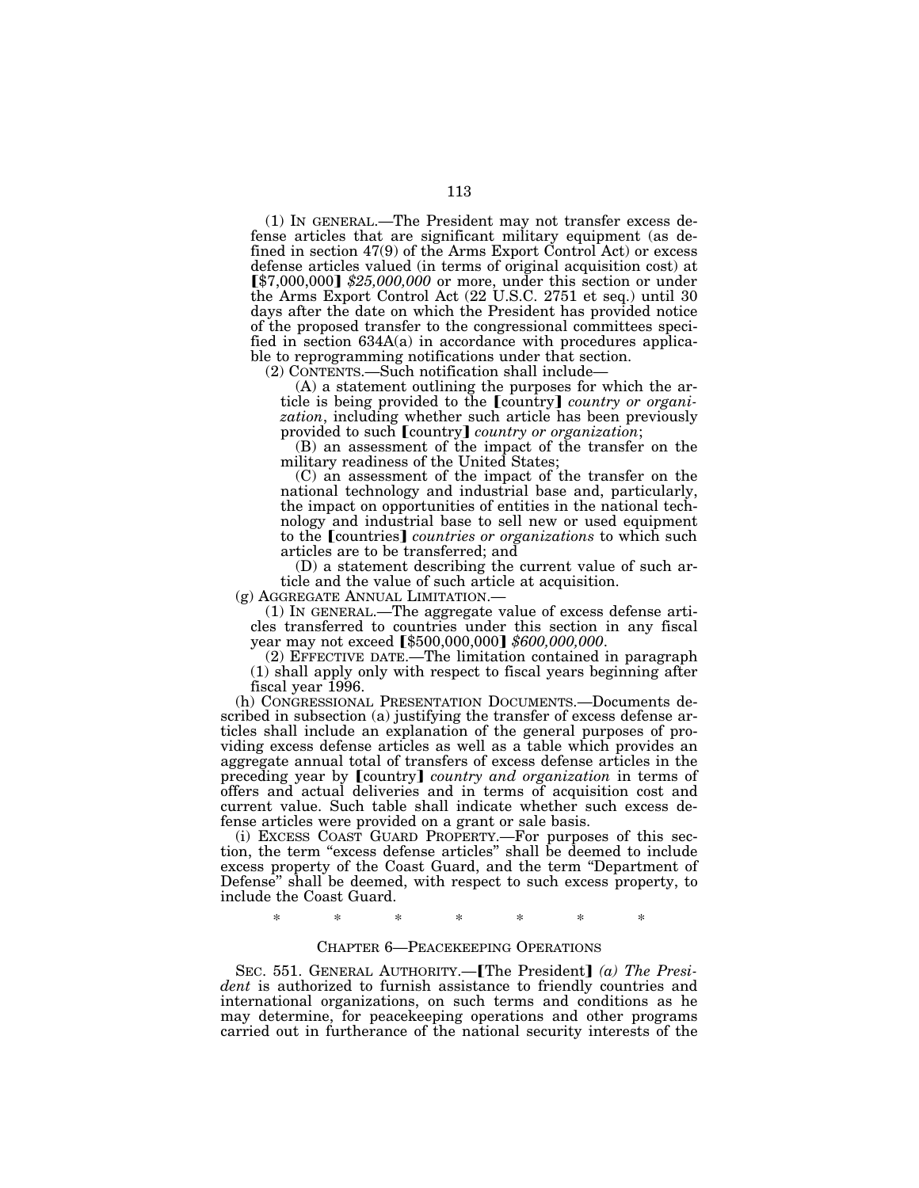(1) IN GENERAL.—The President may not transfer excess defense articles that are significant military equipment (as defined in section 47(9) of the Arms Export Control Act) or excess defense articles valued (in terms of original acquisition cost) at **[\$7,000,000] \$25,000,000** or more, under this section or under the Arms Export Control Act (22 U.S.C. 2751 et seq.) until 30 days after the date on which the President has provided notice of the proposed transfer to the congressional committees specified in section 634A(a) in accordance with procedures applicable to reprogramming notifications under that section.

(2) CONTENTS.—Such notification shall include—

(A) a statement outlining the purposes for which the article is being provided to the [country] *country or organization*, including whether such article has been previously provided to such **[**country**]** *country or organization*;

(B) an assessment of the impact of the transfer on the military readiness of the United States;

(C) an assessment of the impact of the transfer on the national technology and industrial base and, particularly, the impact on opportunities of entities in the national technology and industrial base to sell new or used equipment to the **[**countries**]** *countries or organizations* to which such articles are to be transferred; and

(D) a statement describing the current value of such article and the value of such article at acquisition.

(g) AGGREGATE ANNUAL LIMITATION.— (1) IN GENERAL.—The aggregate value of excess defense articles transferred to countries under this section in any fiscal year may not exceed [\$500,000,000] \$600,000,000.<br>(2) EFFECTIVE DATE.—The limitation contained in paragraph

(1) shall apply only with respect to fiscal years beginning after fiscal year 1996.

(h) CONGRESSIONAL PRESENTATION DOCUMENTS.—Documents described in subsection (a) justifying the transfer of excess defense articles shall include an explanation of the general purposes of providing excess defense articles as well as a table which provides an aggregate annual total of transfers of excess defense articles in the preceding year by **[country]** *country and organization* in terms of offers and actual deliveries and in terms of acquisition cost and current value. Such table shall indicate whether such excess defense articles were provided on a grant or sale basis.

(i) EXCESS COAST GUARD PROPERTY.—For purposes of this section, the term ''excess defense articles'' shall be deemed to include excess property of the Coast Guard, and the term ''Department of Defense'' shall be deemed, with respect to such excess property, to include the Coast Guard.

\* \* \* \* \* \* \*

#### CHAPTER 6—PEACEKEEPING OPERATIONS

SEC. 551. GENERAL AUTHORITY.—**[The President]** (a) The Presi*dent* is authorized to furnish assistance to friendly countries and international organizations, on such terms and conditions as he may determine, for peacekeeping operations and other programs carried out in furtherance of the national security interests of the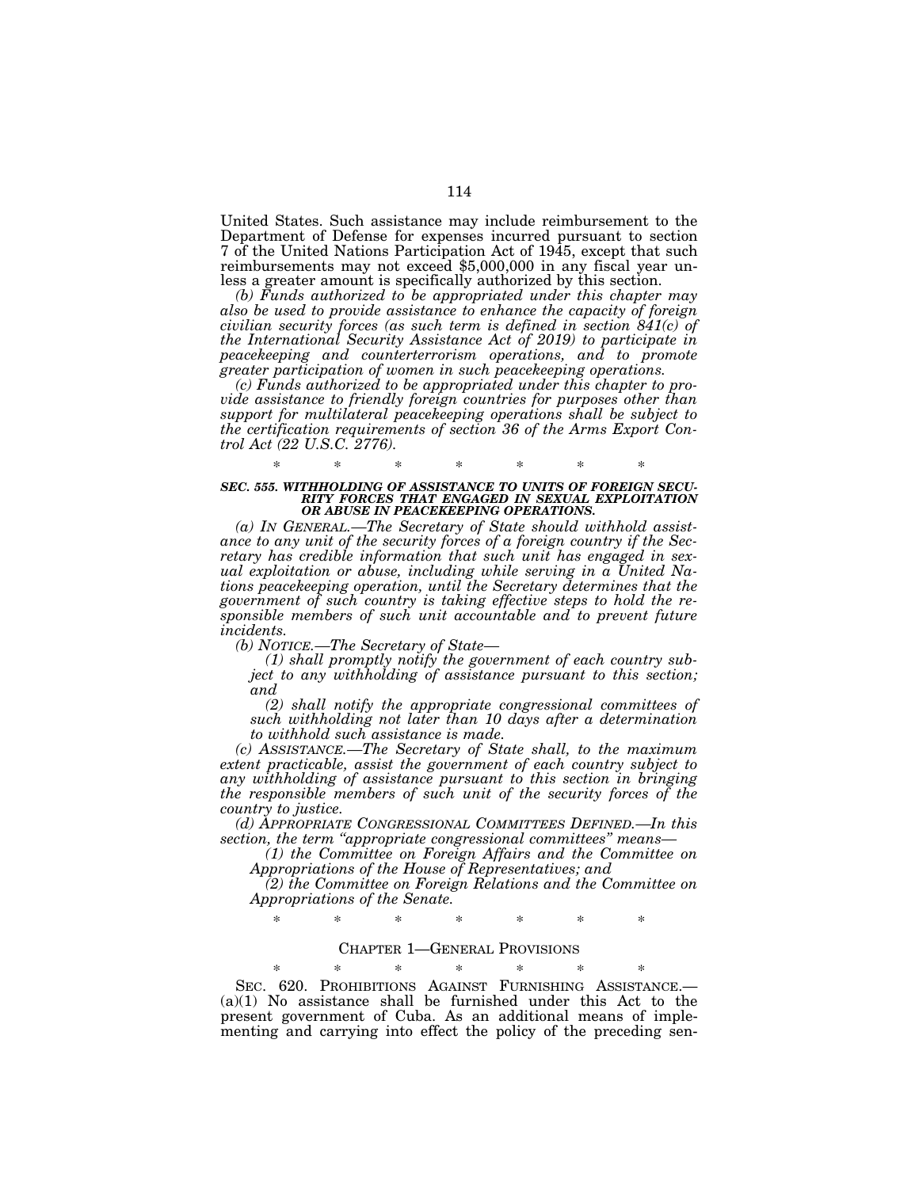United States. Such assistance may include reimbursement to the Department of Defense for expenses incurred pursuant to section 7 of the United Nations Participation Act of 1945, except that such reimbursements may not exceed \$5,000,000 in any fiscal year unless a greater amount is specifically authorized by this section.

*(b) Funds authorized to be appropriated under this chapter may also be used to provide assistance to enhance the capacity of foreign civilian security forces (as such term is defined in section 841(c) of the International Security Assistance Act of 2019) to participate in peacekeeping and counterterrorism operations, and to promote greater participation of women in such peacekeeping operations.* 

*(c) Funds authorized to be appropriated under this chapter to provide assistance to friendly foreign countries for purposes other than support for multilateral peacekeeping operations shall be subject to the certification requirements of section 36 of the Arms Export Control Act (22 U.S.C. 2776).* 

# \* \* \* \* \* \* \* *SEC. 555. WITHHOLDING OF ASSISTANCE TO UNITS OF FOREIGN SECU-RITY FORCES THAT ENGAGED IN SEXUAL EXPLOITATION OR ABUSE IN PEACEKEEPING OPERATIONS.*

*(a) IN GENERAL.—The Secretary of State should withhold assistance to any unit of the security forces of a foreign country if the Secretary has credible information that such unit has engaged in sexual exploitation or abuse, including while serving in a United Nations peacekeeping operation, until the Secretary determines that the government of such country is taking effective steps to hold the responsible members of such unit accountable and to prevent future incidents.* 

*(b) NOTICE.—The Secretary of State—* 

*(1) shall promptly notify the government of each country subject to any withholding of assistance pursuant to this section; and* 

*(2) shall notify the appropriate congressional committees of such withholding not later than 10 days after a determination to withhold such assistance is made.* 

*(c) ASSISTANCE.—The Secretary of State shall, to the maximum extent practicable, assist the government of each country subject to any withholding of assistance pursuant to this section in bringing the responsible members of such unit of the security forces of the country to justice.* 

*(d) APPROPRIATE CONGRESSIONAL COMMITTEES DEFINED.—In this section, the term ''appropriate congressional committees'' means—* 

*(1) the Committee on Foreign Affairs and the Committee on Appropriations of the House of Representatives; and* 

*(2) the Committee on Foreign Relations and the Committee on Appropriations of the Senate.* 

\* \* \* \* \* \* \*

# CHAPTER 1—GENERAL PROVISIONS

\* \* \* \* \* \* \* SEC. 620. PROHIBITIONS AGAINST FURNISHING ASSISTANCE.— (a)(1) No assistance shall be furnished under this Act to the present government of Cuba. As an additional means of implementing and carrying into effect the policy of the preceding sen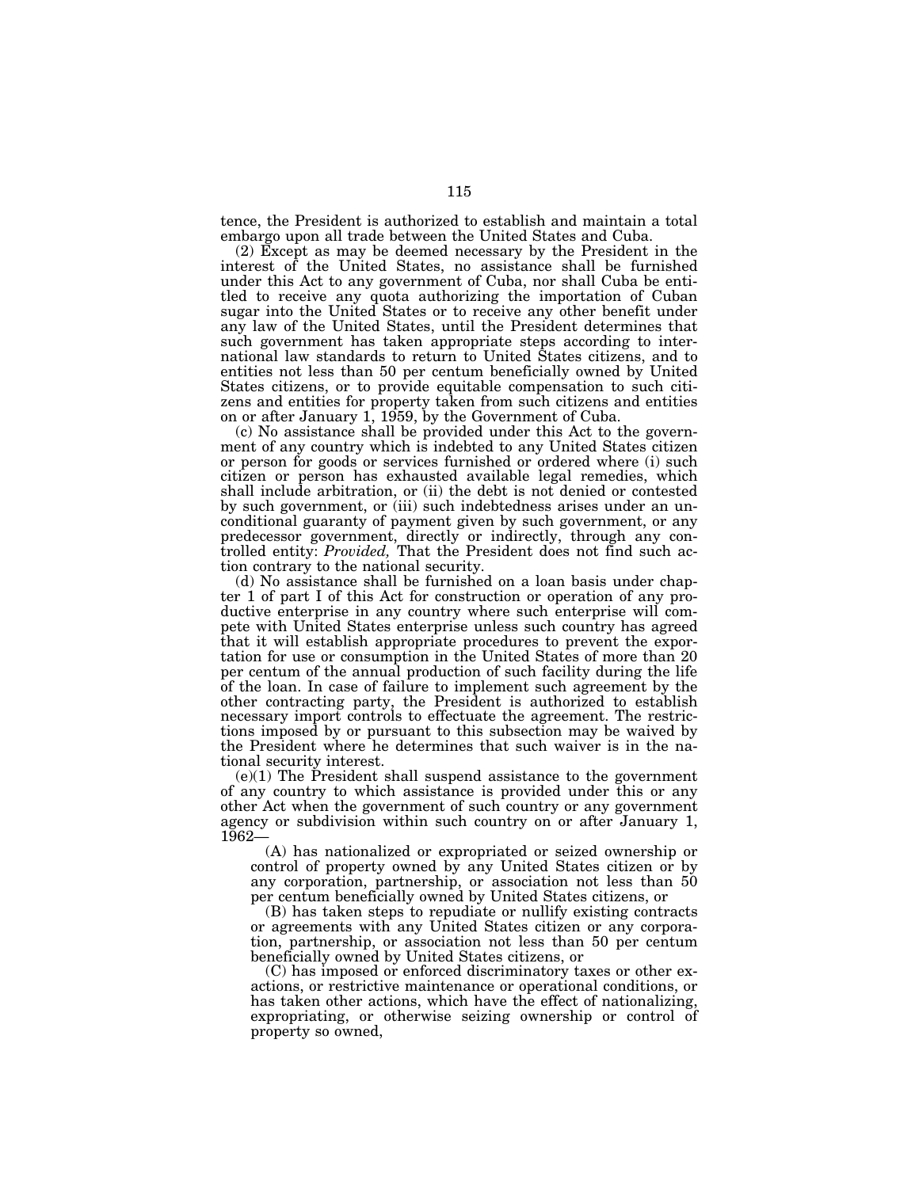tence, the President is authorized to establish and maintain a total embargo upon all trade between the United States and Cuba.

(2) Except as may be deemed necessary by the President in the interest of the United States, no assistance shall be furnished under this Act to any government of Cuba, nor shall Cuba be entitled to receive any quota authorizing the importation of Cuban sugar into the United States or to receive any other benefit under any law of the United States, until the President determines that such government has taken appropriate steps according to international law standards to return to United States citizens, and to entities not less than 50 per centum beneficially owned by United States citizens, or to provide equitable compensation to such citizens and entities for property taken from such citizens and entities on or after January 1, 1959, by the Government of Cuba.

(c) No assistance shall be provided under this Act to the government of any country which is indebted to any United States citizen or person for goods or services furnished or ordered where (i) such citizen or person has exhausted available legal remedies, which shall include arbitration, or (ii) the debt is not denied or contested by such government, or (iii) such indebtedness arises under an unconditional guaranty of payment given by such government, or any predecessor government, directly or indirectly, through any controlled entity: *Provided,* That the President does not find such action contrary to the national security.

(d) No assistance shall be furnished on a loan basis under chapter 1 of part I of this Act for construction or operation of any productive enterprise in any country where such enterprise will compete with United States enterprise unless such country has agreed that it will establish appropriate procedures to prevent the exportation for use or consumption in the United States of more than 20 per centum of the annual production of such facility during the life of the loan. In case of failure to implement such agreement by the other contracting party, the President is authorized to establish necessary import controls to effectuate the agreement. The restrictions imposed by or pursuant to this subsection may be waived by the President where he determines that such waiver is in the national security interest.

(e)(1) The President shall suspend assistance to the government of any country to which assistance is provided under this or any other Act when the government of such country or any government agency or subdivision within such country on or after January 1, 1962—

(A) has nationalized or expropriated or seized ownership or control of property owned by any United States citizen or by any corporation, partnership, or association not less than 50 per centum beneficially owned by United States citizens, or

(B) has taken steps to repudiate or nullify existing contracts or agreements with any United States citizen or any corporation, partnership, or association not less than 50 per centum beneficially owned by United States citizens, or

(C) has imposed or enforced discriminatory taxes or other exactions, or restrictive maintenance or operational conditions, or has taken other actions, which have the effect of nationalizing, expropriating, or otherwise seizing ownership or control of property so owned,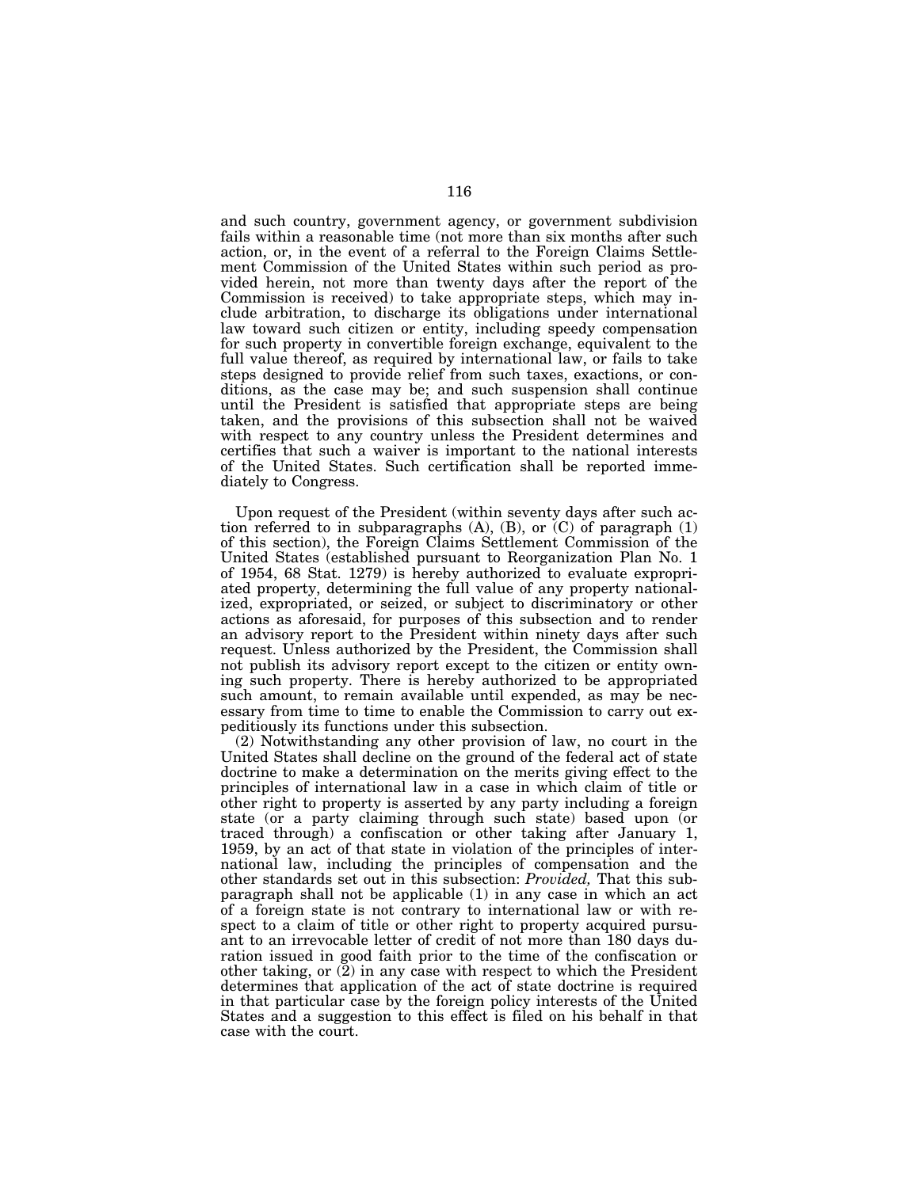and such country, government agency, or government subdivision fails within a reasonable time (not more than six months after such action, or, in the event of a referral to the Foreign Claims Settlement Commission of the United States within such period as provided herein, not more than twenty days after the report of the Commission is received) to take appropriate steps, which may include arbitration, to discharge its obligations under international law toward such citizen or entity, including speedy compensation for such property in convertible foreign exchange, equivalent to the full value thereof, as required by international law, or fails to take steps designed to provide relief from such taxes, exactions, or conditions, as the case may be; and such suspension shall continue until the President is satisfied that appropriate steps are being taken, and the provisions of this subsection shall not be waived with respect to any country unless the President determines and certifies that such a waiver is important to the national interests of the United States. Such certification shall be reported immediately to Congress.

Upon request of the President (within seventy days after such action referred to in subparagraphs  $(A)$ ,  $(B)$ , or  $(C)$  of paragraph  $(1)$ of this section), the Foreign Claims Settlement Commission of the United States (established pursuant to Reorganization Plan No. 1 of 1954, 68 Stat. 1279) is hereby authorized to evaluate expropriated property, determining the full value of any property nationalized, expropriated, or seized, or subject to discriminatory or other actions as aforesaid, for purposes of this subsection and to render an advisory report to the President within ninety days after such request. Unless authorized by the President, the Commission shall not publish its advisory report except to the citizen or entity owning such property. There is hereby authorized to be appropriated such amount, to remain available until expended, as may be necessary from time to time to enable the Commission to carry out expeditiously its functions under this subsection.

(2) Notwithstanding any other provision of law, no court in the United States shall decline on the ground of the federal act of state doctrine to make a determination on the merits giving effect to the principles of international law in a case in which claim of title or other right to property is asserted by any party including a foreign state (or a party claiming through such state) based upon (or traced through) a confiscation or other taking after January 1, 1959, by an act of that state in violation of the principles of international law, including the principles of compensation and the other standards set out in this subsection: *Provided,* That this subparagraph shall not be applicable (1) in any case in which an act of a foreign state is not contrary to international law or with respect to a claim of title or other right to property acquired pursuant to an irrevocable letter of credit of not more than 180 days duration issued in good faith prior to the time of the confiscation or other taking, or  $(2)$  in any case with respect to which the President determines that application of the act of state doctrine is required in that particular case by the foreign policy interests of the United States and a suggestion to this effect is filed on his behalf in that case with the court.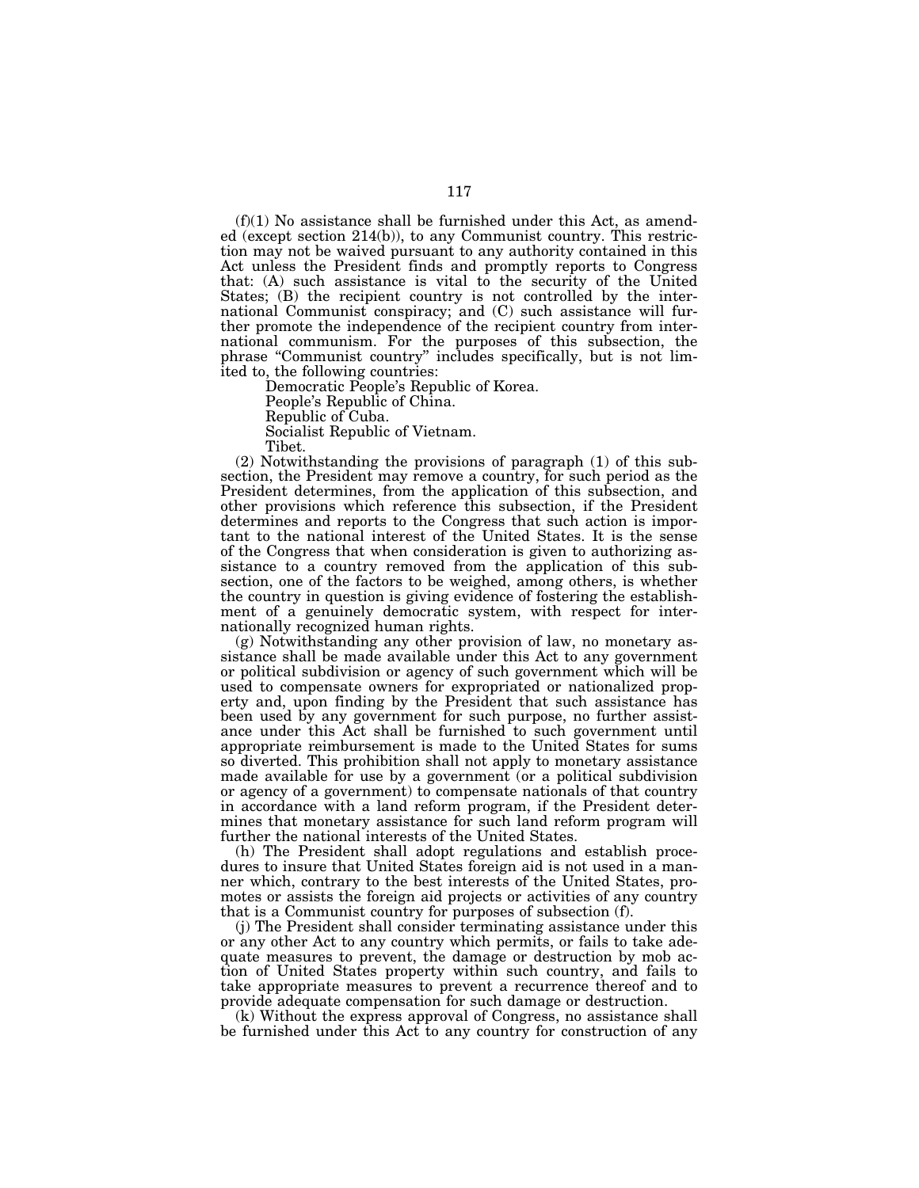$(f)(1)$  No assistance shall be furnished under this Act, as amended (except section 214(b)), to any Communist country. This restriction may not be waived pursuant to any authority contained in this Act unless the President finds and promptly reports to Congress that: (A) such assistance is vital to the security of the United States; (B) the recipient country is not controlled by the international Communist conspiracy; and (C) such assistance will further promote the independence of the recipient country from international communism. For the purposes of this subsection, the phrase ''Communist country'' includes specifically, but is not limited to, the following countries:

Democratic People's Republic of Korea.

People's Republic of China.

Republic of Cuba.

Socialist Republic of Vietnam.

Tibet.

(2) Notwithstanding the provisions of paragraph (1) of this subsection, the President may remove a country, for such period as the President determines, from the application of this subsection, and other provisions which reference this subsection, if the President determines and reports to the Congress that such action is important to the national interest of the United States. It is the sense of the Congress that when consideration is given to authorizing assistance to a country removed from the application of this subsection, one of the factors to be weighed, among others, is whether the country in question is giving evidence of fostering the establishment of a genuinely democratic system, with respect for internationally recognized human rights.

(g) Notwithstanding any other provision of law, no monetary assistance shall be made available under this Act to any government or political subdivision or agency of such government which will be used to compensate owners for expropriated or nationalized property and, upon finding by the President that such assistance has been used by any government for such purpose, no further assistance under this Act shall be furnished to such government until appropriate reimbursement is made to the United States for sums so diverted. This prohibition shall not apply to monetary assistance made available for use by a government (or a political subdivision or agency of a government) to compensate nationals of that country in accordance with a land reform program, if the President determines that monetary assistance for such land reform program will further the national interests of the United States.

(h) The President shall adopt regulations and establish procedures to insure that United States foreign aid is not used in a manner which, contrary to the best interests of the United States, promotes or assists the foreign aid projects or activities of any country that is a Communist country for purposes of subsection (f).

(j) The President shall consider terminating assistance under this or any other Act to any country which permits, or fails to take adequate measures to prevent, the damage or destruction by mob action of United States property within such country, and fails to take appropriate measures to prevent a recurrence thereof and to provide adequate compensation for such damage or destruction.

(k) Without the express approval of Congress, no assistance shall be furnished under this Act to any country for construction of any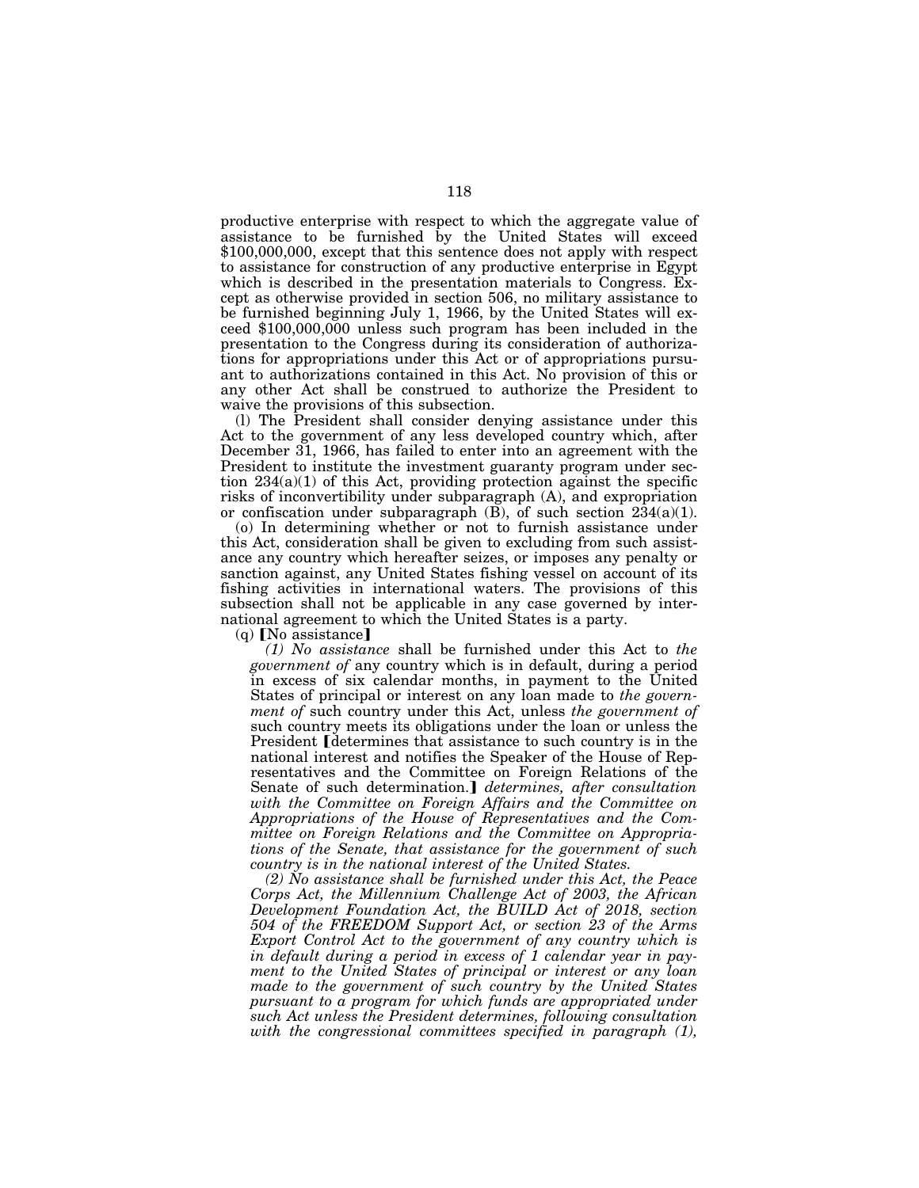productive enterprise with respect to which the aggregate value of assistance to be furnished by the United States will exceed \$100,000,000, except that this sentence does not apply with respect to assistance for construction of any productive enterprise in Egypt which is described in the presentation materials to Congress. Except as otherwise provided in section 506, no military assistance to be furnished beginning July 1, 1966, by the United States will exceed \$100,000,000 unless such program has been included in the presentation to the Congress during its consideration of authorizations for appropriations under this Act or of appropriations pursuant to authorizations contained in this Act. No provision of this or any other Act shall be construed to authorize the President to waive the provisions of this subsection.

(l) The President shall consider denying assistance under this Act to the government of any less developed country which, after December 31, 1966, has failed to enter into an agreement with the President to institute the investment guaranty program under section  $234(a)(1)$  of this Act, providing protection against the specific risks of inconvertibility under subparagraph (A), and expropriation or confiscation under subparagraph (B), of such section 234(a)(1).

(o) In determining whether or not to furnish assistance under this Act, consideration shall be given to excluding from such assistance any country which hereafter seizes, or imposes any penalty or sanction against, any United States fishing vessel on account of its fishing activities in international waters. The provisions of this subsection shall not be applicable in any case governed by international agreement to which the United States is a party.

(q) [No assistance]

*(1) No assistance* shall be furnished under this Act to *the government of* any country which is in default, during a period in excess of six calendar months, in payment to the United States of principal or interest on any loan made to *the government of* such country under this Act, unless *the government of*  such country meets its obligations under the loan or unless the President *determines* that assistance to such country is in the national interest and notifies the Speaker of the House of Representatives and the Committee on Foreign Relations of the Senate of such determination.] *determines, after consultation with the Committee on Foreign Affairs and the Committee on Appropriations of the House of Representatives and the Committee on Foreign Relations and the Committee on Appropriations of the Senate, that assistance for the government of such country is in the national interest of the United States.* 

*(2) No assistance shall be furnished under this Act, the Peace Corps Act, the Millennium Challenge Act of 2003, the African Development Foundation Act, the BUILD Act of 2018, section 504 of the FREEDOM Support Act, or section 23 of the Arms Export Control Act to the government of any country which is in default during a period in excess of 1 calendar year in payment to the United States of principal or interest or any loan made to the government of such country by the United States pursuant to a program for which funds are appropriated under such Act unless the President determines, following consultation with the congressional committees specified in paragraph (1),*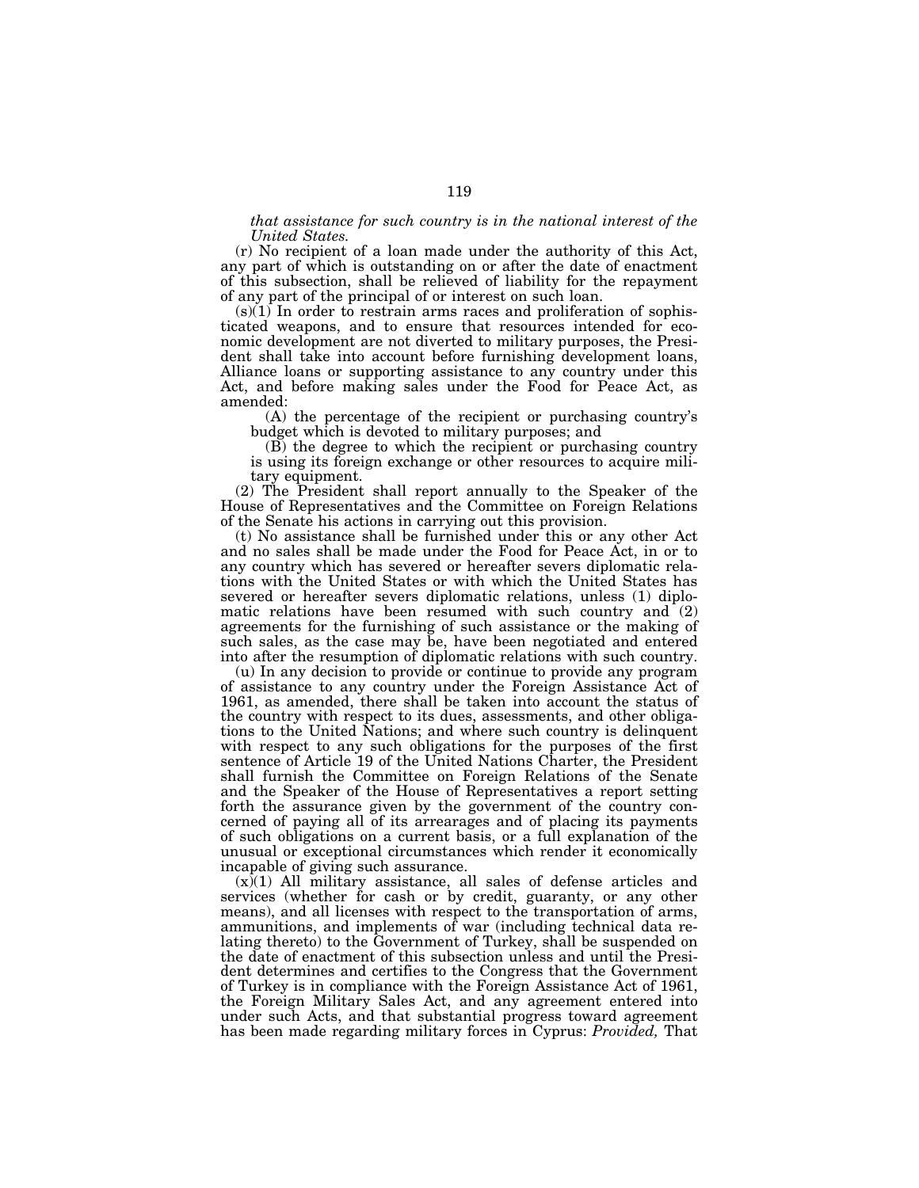*that assistance for such country is in the national interest of the United States.* 

(r) No recipient of a loan made under the authority of this Act, any part of which is outstanding on or after the date of enactment of this subsection, shall be relieved of liability for the repayment of any part of the principal of or interest on such loan.

 $(s)(1)$  In order to restrain arms races and proliferation of sophisticated weapons, and to ensure that resources intended for economic development are not diverted to military purposes, the President shall take into account before furnishing development loans, Alliance loans or supporting assistance to any country under this Act, and before making sales under the Food for Peace Act, as amended:

(A) the percentage of the recipient or purchasing country's budget which is devoted to military purposes; and

(B) the degree to which the recipient or purchasing country is using its foreign exchange or other resources to acquire military equipment.

(2) The President shall report annually to the Speaker of the House of Representatives and the Committee on Foreign Relations of the Senate his actions in carrying out this provision.

(t) No assistance shall be furnished under this or any other Act and no sales shall be made under the Food for Peace Act, in or to any country which has severed or hereafter severs diplomatic relations with the United States or with which the United States has severed or hereafter severs diplomatic relations, unless (1) diplomatic relations have been resumed with such country and  $(2)$ agreements for the furnishing of such assistance or the making of such sales, as the case may be, have been negotiated and entered into after the resumption of diplomatic relations with such country.

(u) In any decision to provide or continue to provide any program of assistance to any country under the Foreign Assistance Act of 1961, as amended, there shall be taken into account the status of the country with respect to its dues, assessments, and other obligations to the United Nations; and where such country is delinquent with respect to any such obligations for the purposes of the first sentence of Article 19 of the United Nations Charter, the President shall furnish the Committee on Foreign Relations of the Senate and the Speaker of the House of Representatives a report setting forth the assurance given by the government of the country concerned of paying all of its arrearages and of placing its payments of such obligations on a current basis, or a full explanation of the unusual or exceptional circumstances which render it economically incapable of giving such assurance.

(x)(1) All military assistance, all sales of defense articles and services (whether for cash or by credit, guaranty, or any other means), and all licenses with respect to the transportation of arms, ammunitions, and implements of war (including technical data relating thereto) to the Government of Turkey, shall be suspended on the date of enactment of this subsection unless and until the President determines and certifies to the Congress that the Government of Turkey is in compliance with the Foreign Assistance Act of 1961, the Foreign Military Sales Act, and any agreement entered into under such Acts, and that substantial progress toward agreement has been made regarding military forces in Cyprus: *Provided,* That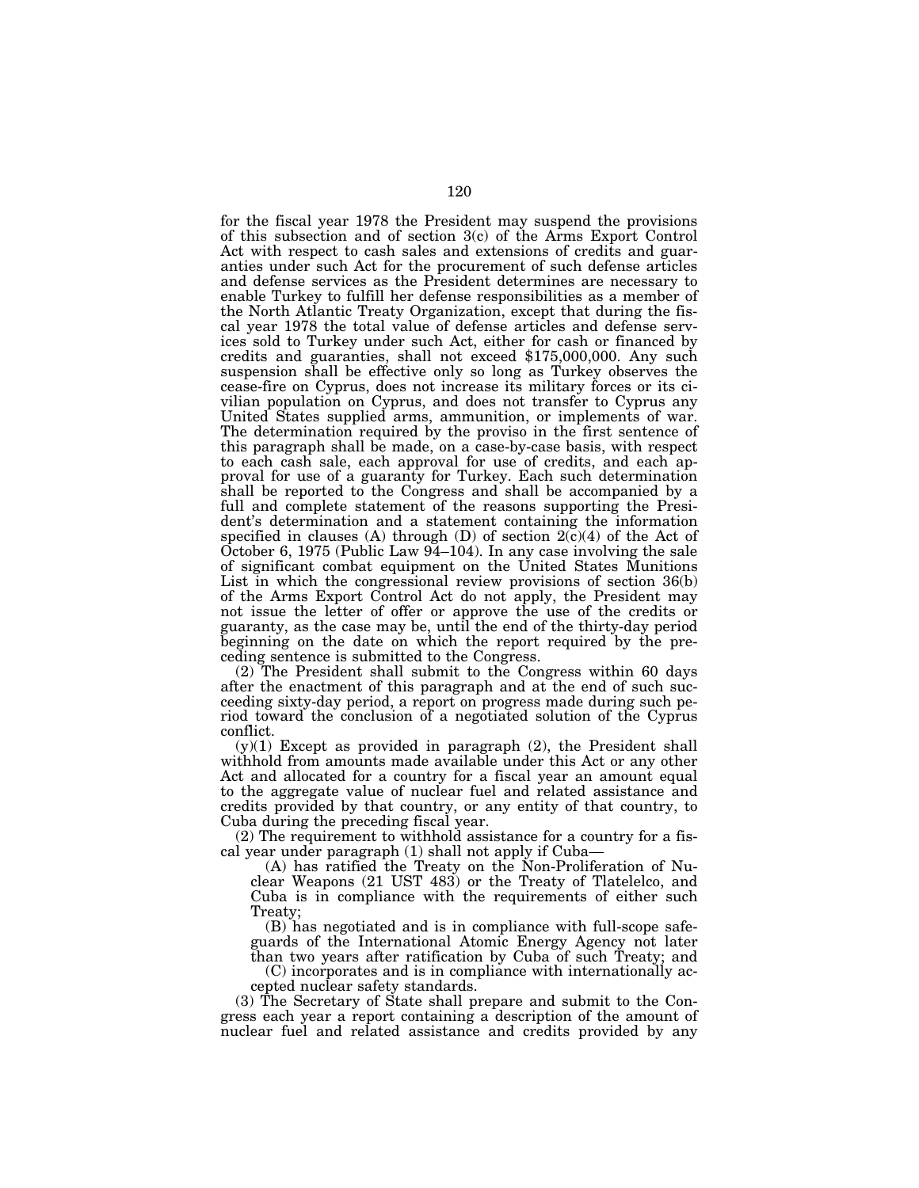for the fiscal year 1978 the President may suspend the provisions of this subsection and of section 3(c) of the Arms Export Control Act with respect to cash sales and extensions of credits and guaranties under such Act for the procurement of such defense articles and defense services as the President determines are necessary to enable Turkey to fulfill her defense responsibilities as a member of the North Atlantic Treaty Organization, except that during the fiscal year 1978 the total value of defense articles and defense services sold to Turkey under such Act, either for cash or financed by credits and guaranties, shall not exceed \$175,000,000. Any such suspension shall be effective only so long as Turkey observes the cease-fire on Cyprus, does not increase its military forces or its civilian population on Cyprus, and does not transfer to Cyprus any United States supplied arms, ammunition, or implements of war. The determination required by the proviso in the first sentence of this paragraph shall be made, on a case-by-case basis, with respect to each cash sale, each approval for use of credits, and each approval for use of a guaranty for Turkey. Each such determination shall be reported to the Congress and shall be accompanied by a full and complete statement of the reasons supporting the President's determination and a statement containing the information specified in clauses (A) through (D) of section  $2(c)(4)$  of the Act of October 6, 1975 (Public Law 94–104). In any case involving the sale of significant combat equipment on the United States Munitions List in which the congressional review provisions of section 36(b) of the Arms Export Control Act do not apply, the President may not issue the letter of offer or approve the use of the credits or guaranty, as the case may be, until the end of the thirty-day period beginning on the date on which the report required by the preceding sentence is submitted to the Congress.

(2) The President shall submit to the Congress within 60 days after the enactment of this paragraph and at the end of such succeeding sixty-day period, a report on progress made during such period toward the conclusion of a negotiated solution of the Cyprus conflict.

(y)(1) Except as provided in paragraph (2), the President shall withhold from amounts made available under this Act or any other Act and allocated for a country for a fiscal year an amount equal to the aggregate value of nuclear fuel and related assistance and credits provided by that country, or any entity of that country, to Cuba during the preceding fiscal year.

(2) The requirement to withhold assistance for a country for a fiscal year under paragraph (1) shall not apply if Cuba—

(A) has ratified the Treaty on the Non-Proliferation of Nuclear Weapons (21 UST 483) or the Treaty of Tlatelelco, and Cuba is in compliance with the requirements of either such Treaty;

(B) has negotiated and is in compliance with full-scope safeguards of the International Atomic Energy Agency not later than two years after ratification by Cuba of such Treaty; and

(C) incorporates and is in compliance with internationally accepted nuclear safety standards.

(3) The Secretary of State shall prepare and submit to the Congress each year a report containing a description of the amount of nuclear fuel and related assistance and credits provided by any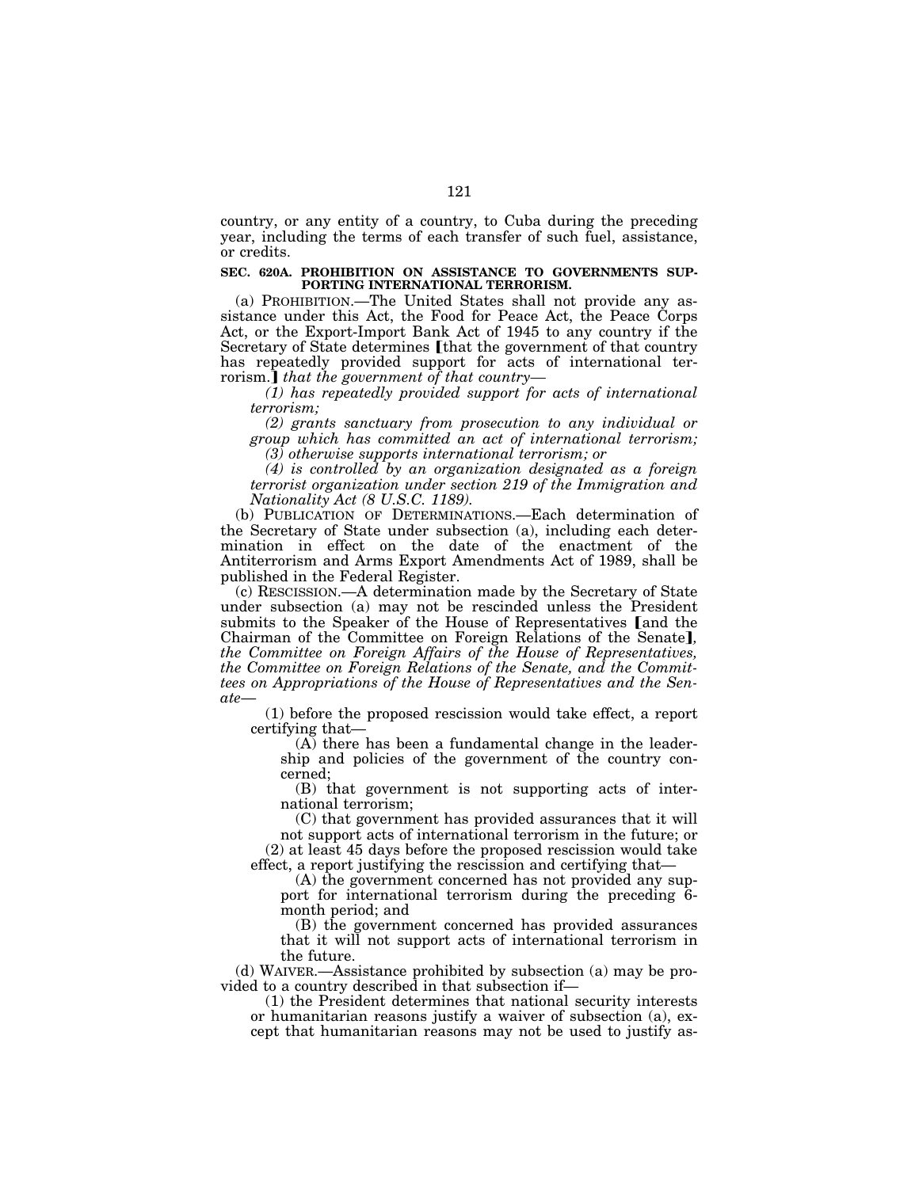country, or any entity of a country, to Cuba during the preceding year, including the terms of each transfer of such fuel, assistance, or credits.

# **SEC. 620A. PROHIBITION ON ASSISTANCE TO GOVERNMENTS SUP-PORTING INTERNATIONAL TERRORISM.**

(a) PROHIBITION.—The United States shall not provide any assistance under this Act, the Food for Peace Act, the Peace Corps Act, or the Export-Import Bank Act of 1945 to any country if the Secretary of State determines [that the government of that country has repeatedly provided support for acts of international terrorism.] *that the government of that country–* 

*(1) has repeatedly provided support for acts of international terrorism;* 

*(2) grants sanctuary from prosecution to any individual or group which has committed an act of international terrorism; (3) otherwise supports international terrorism; or* 

*(4) is controlled by an organization designated as a foreign terrorist organization under section 219 of the Immigration and Nationality Act (8 U.S.C. 1189).* 

(b) PUBLICATION OF DETERMINATIONS.—Each determination of the Secretary of State under subsection (a), including each determination in effect on the date of the enactment of the Antiterrorism and Arms Export Amendments Act of 1989, shall be published in the Federal Register.

(c) RESCISSION.—A determination made by the Secretary of State under subsection (a) may not be rescinded unless the President submits to the Speaker of the House of Representatives [and the Chairman of the Committee on Foreign Relations of the Senate<sup>*†,*</sup> *the Committee on Foreign Affairs of the House of Representatives, the Committee on Foreign Relations of the Senate, and the Committees on Appropriations of the House of Representatives and the Senate*—

(1) before the proposed rescission would take effect, a report certifying that—

(A) there has been a fundamental change in the leadership and policies of the government of the country concerned;

(B) that government is not supporting acts of international terrorism;

(C) that government has provided assurances that it will not support acts of international terrorism in the future; or (2) at least 45 days before the proposed rescission would take

effect, a report justifying the rescission and certifying that— (A) the government concerned has not provided any sup-

port for international terrorism during the preceding 6 month period; and

(B) the government concerned has provided assurances that it will not support acts of international terrorism in the future.

(d) WAIVER.—Assistance prohibited by subsection (a) may be provided to a country described in that subsection if—

(1) the President determines that national security interests or humanitarian reasons justify a waiver of subsection (a), except that humanitarian reasons may not be used to justify as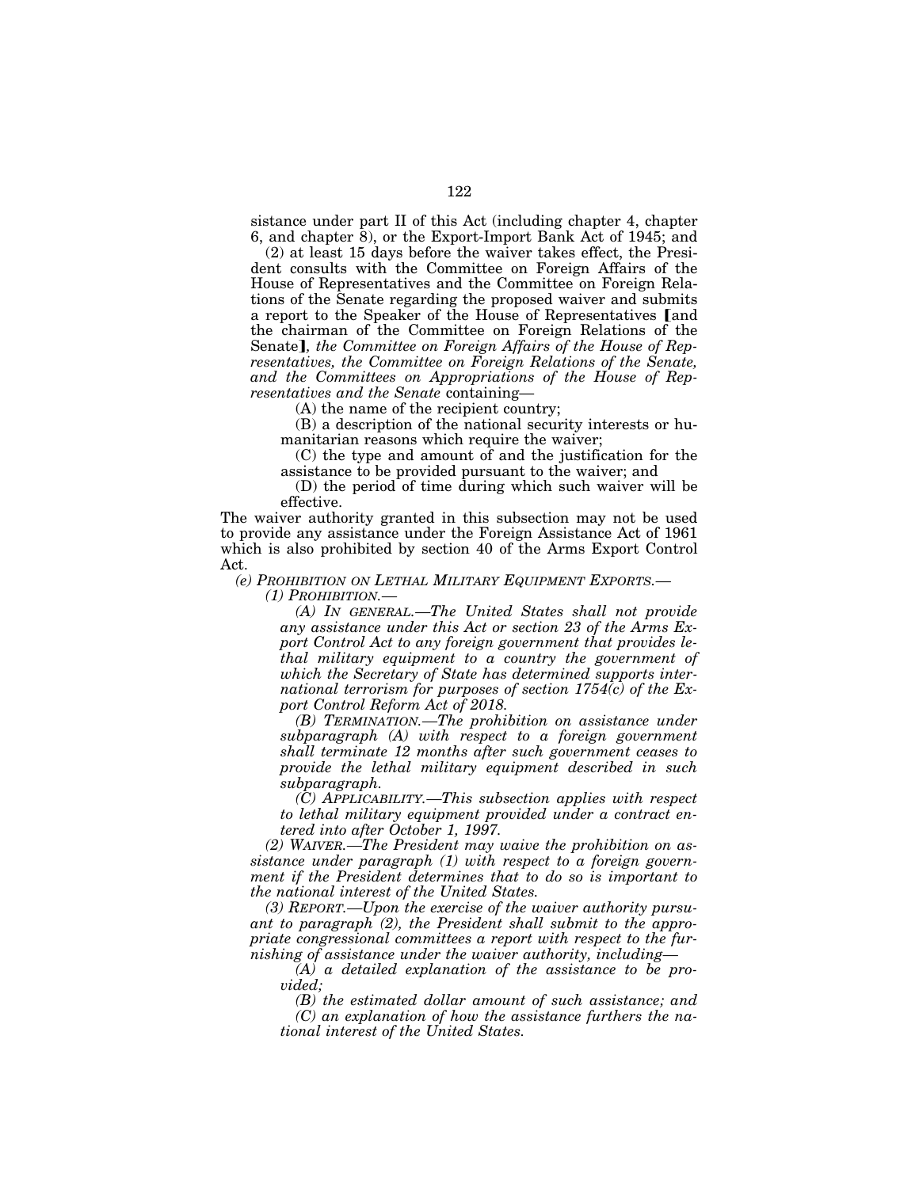sistance under part II of this Act (including chapter 4, chapter 6, and chapter 8), or the Export-Import Bank Act of 1945; and

(2) at least 15 days before the waiver takes effect, the President consults with the Committee on Foreign Affairs of the House of Representatives and the Committee on Foreign Relations of the Senate regarding the proposed waiver and submits a report to the Speaker of the House of Representatives [and the chairman of the Committee on Foreign Relations of the Senate], the Committee on Foreign Affairs of the House of Rep*resentatives, the Committee on Foreign Relations of the Senate, and the Committees on Appropriations of the House of Representatives and the Senate* containing—

(A) the name of the recipient country;

(B) a description of the national security interests or humanitarian reasons which require the waiver;

(C) the type and amount of and the justification for the assistance to be provided pursuant to the waiver; and

(D) the period of time during which such waiver will be effective.

The waiver authority granted in this subsection may not be used to provide any assistance under the Foreign Assistance Act of 1961 which is also prohibited by section 40 of the Arms Export Control Act.

*(e) PROHIBITION ON LETHAL MILITARY EQUIPMENT EXPORTS.—* 

*(1) PROHIBITION.—* 

*(A) IN GENERAL.—The United States shall not provide any assistance under this Act or section 23 of the Arms Export Control Act to any foreign government that provides lethal military equipment to a country the government of which the Secretary of State has determined supports international terrorism for purposes of section 1754(c) of the Export Control Reform Act of 2018.* 

*(B) TERMINATION.—The prohibition on assistance under subparagraph (A) with respect to a foreign government shall terminate 12 months after such government ceases to provide the lethal military equipment described in such subparagraph.* 

*(C) APPLICABILITY.—This subsection applies with respect to lethal military equipment provided under a contract entered into after October 1, 1997.* 

*(2) WAIVER.—The President may waive the prohibition on assistance under paragraph (1) with respect to a foreign government if the President determines that to do so is important to the national interest of the United States.* 

*(3) REPORT.—Upon the exercise of the waiver authority pursuant to paragraph (2), the President shall submit to the appropriate congressional committees a report with respect to the furnishing of assistance under the waiver authority, including—* 

*(A) a detailed explanation of the assistance to be provided;* 

*(B) the estimated dollar amount of such assistance; and (C) an explanation of how the assistance furthers the national interest of the United States.*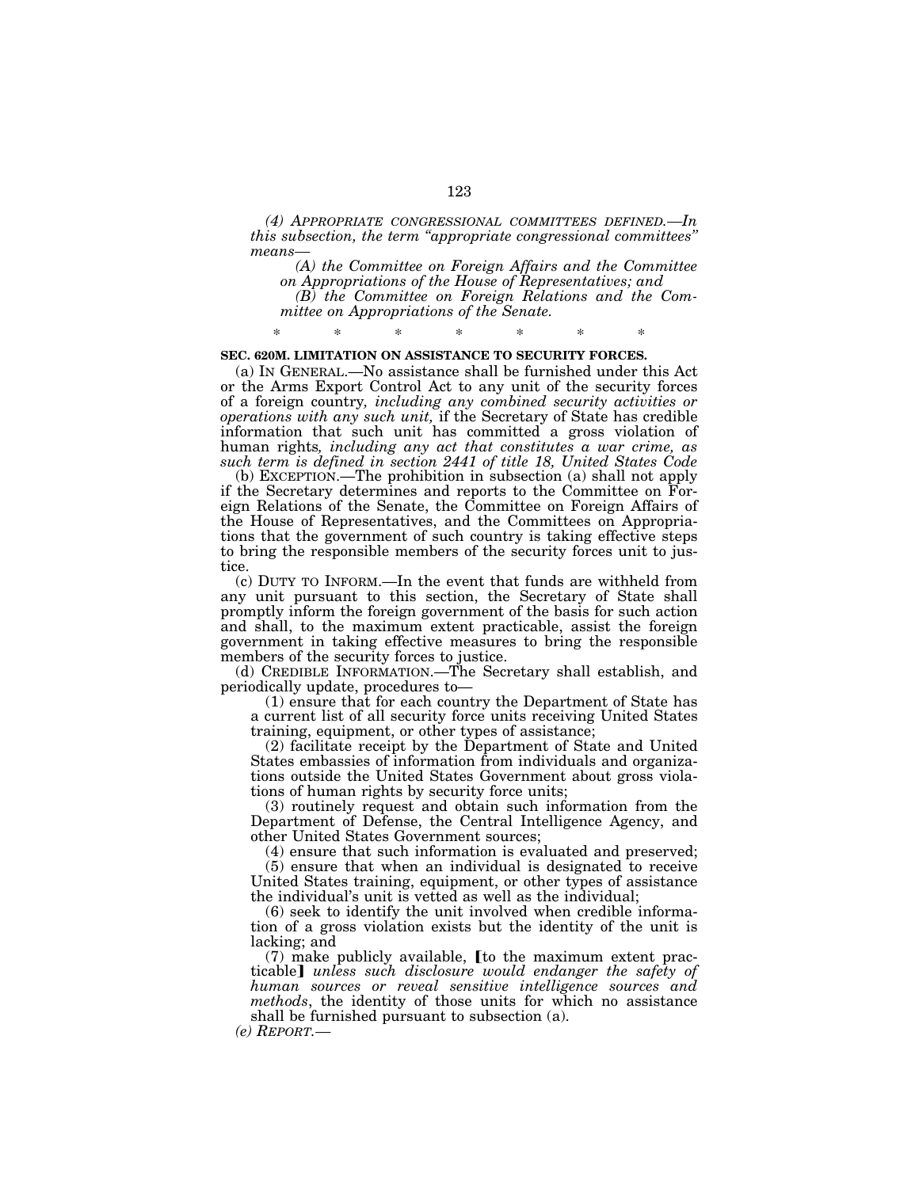*(4) APPROPRIATE CONGRESSIONAL COMMITTEES DEFINED.—In this subsection, the term ''appropriate congressional committees'' means—* 

*(A) the Committee on Foreign Affairs and the Committee on Appropriations of the House of Representatives; and (B) the Committee on Foreign Relations and the Committee on Appropriations of the Senate.* 

\* \* \* \* \* \* \*

# **SEC. 620M. LIMITATION ON ASSISTANCE TO SECURITY FORCES.**

(a) IN GENERAL.—No assistance shall be furnished under this Act or the Arms Export Control Act to any unit of the security forces of a foreign country*, including any combined security activities or operations with any such unit,* if the Secretary of State has credible information that such unit has committed a gross violation of human rights*, including any act that constitutes a war crime, as such term is defined in section 2441 of title 18, United States Code* 

(b) EXCEPTION.—The prohibition in subsection (a) shall not apply if the Secretary determines and reports to the Committee on Foreign Relations of the Senate, the Committee on Foreign Affairs of the House of Representatives, and the Committees on Appropriations that the government of such country is taking effective steps to bring the responsible members of the security forces unit to justice.

(c) DUTY TO INFORM.—In the event that funds are withheld from any unit pursuant to this section, the Secretary of State shall promptly inform the foreign government of the basis for such action and shall, to the maximum extent practicable, assist the foreign government in taking effective measures to bring the responsible members of the security forces to justice.

(d) CREDIBLE INFORMATION.—The Secretary shall establish, and periodically update, procedures to—

(1) ensure that for each country the Department of State has a current list of all security force units receiving United States training, equipment, or other types of assistance;

(2) facilitate receipt by the Department of State and United States embassies of information from individuals and organizations outside the United States Government about gross violations of human rights by security force units;

(3) routinely request and obtain such information from the Department of Defense, the Central Intelligence Agency, and other United States Government sources;

(4) ensure that such information is evaluated and preserved; (5) ensure that when an individual is designated to receive United States training, equipment, or other types of assistance the individual's unit is vetted as well as the individual;

(6) seek to identify the unit involved when credible information of a gross violation exists but the identity of the unit is lacking; and

 $(7)$  make publicly available, [to the maximum extent practicable¿ *unless such disclosure would endanger the safety of human sources or reveal sensitive intelligence sources and methods*, the identity of those units for which no assistance shall be furnished pursuant to subsection (a).

*(e) REPORT.—*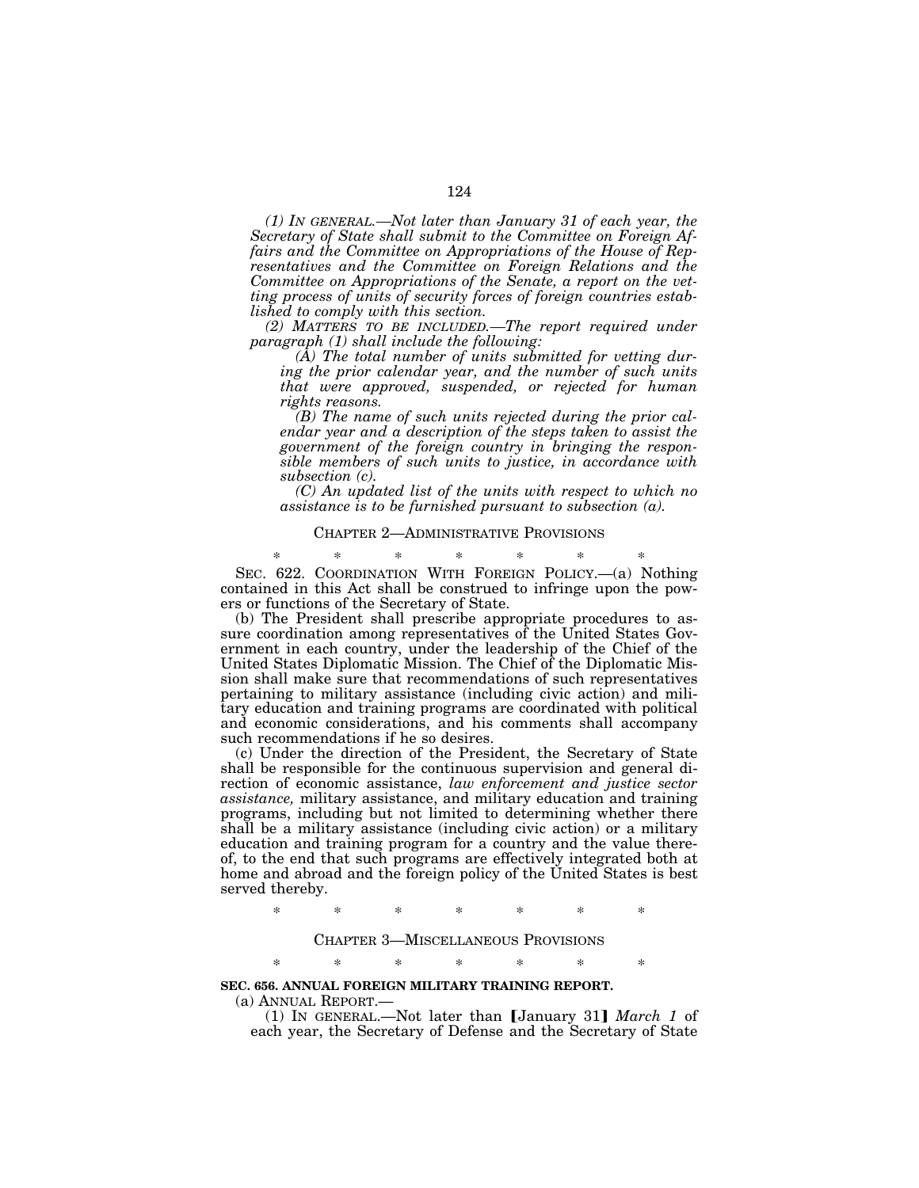*(1) IN GENERAL.—Not later than January 31 of each year, the Secretary of State shall submit to the Committee on Foreign Affairs and the Committee on Appropriations of the House of Representatives and the Committee on Foreign Relations and the Committee on Appropriations of the Senate, a report on the vetting process of units of security forces of foreign countries established to comply with this section.* 

*(2) MATTERS TO BE INCLUDED.—The report required under paragraph (1) shall include the following:* 

*(A) The total number of units submitted for vetting during the prior calendar year, and the number of such units that were approved, suspended, or rejected for human rights reasons.* 

*(B) The name of such units rejected during the prior calendar year and a description of the steps taken to assist the government of the foreign country in bringing the responsible members of such units to justice, in accordance with subsection (c).* 

*(C) An updated list of the units with respect to which no assistance is to be furnished pursuant to subsection (a).* 

#### CHAPTER 2—ADMINISTRATIVE PROVISIONS

\* \* \* \* \* \* \* SEC. 622. COORDINATION WITH FOREIGN POLICY.—(a) Nothing contained in this Act shall be construed to infringe upon the powers or functions of the Secretary of State.

(b) The President shall prescribe appropriate procedures to assure coordination among representatives of the United States Government in each country, under the leadership of the Chief of the United States Diplomatic Mission. The Chief of the Diplomatic Mission shall make sure that recommendations of such representatives pertaining to military assistance (including civic action) and military education and training programs are coordinated with political and economic considerations, and his comments shall accompany such recommendations if he so desires.

(c) Under the direction of the President, the Secretary of State shall be responsible for the continuous supervision and general direction of economic assistance, *law enforcement and justice sector assistance,* military assistance, and military education and training programs, including but not limited to determining whether there shall be a military assistance (including civic action) or a military education and training program for a country and the value thereof, to the end that such programs are effectively integrated both at home and abroad and the foreign policy of the United States is best served thereby.

\* \* \* \* \* \* \*

#### CHAPTER 3—MISCELLANEOUS PROVISIONS

\* \* \* \* \* \* \*

# **SEC. 656. ANNUAL FOREIGN MILITARY TRAINING REPORT.**

(a) ANNUAL REPORT.—

(1) IN GENERAL.—Not later than *[January 31] March 1* of each year, the Secretary of Defense and the Secretary of State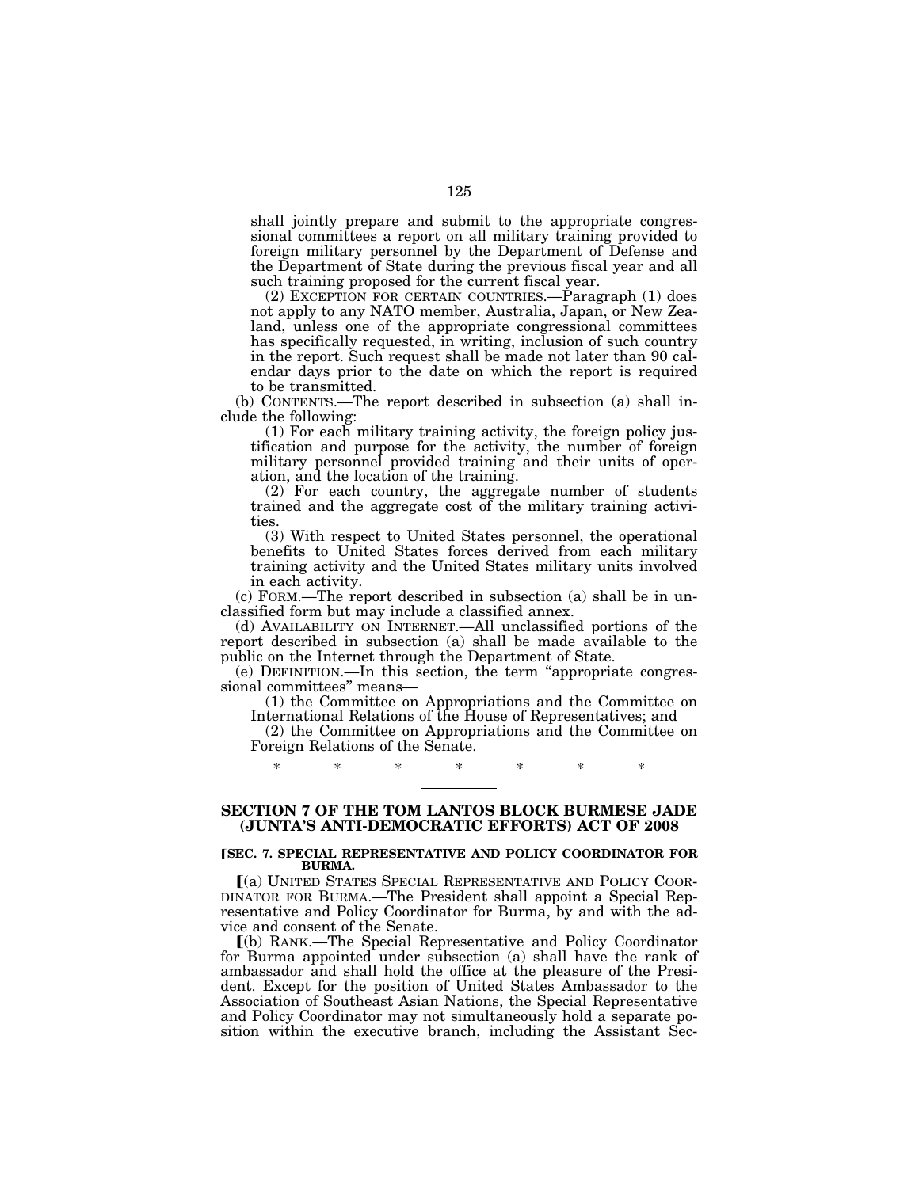shall jointly prepare and submit to the appropriate congressional committees a report on all military training provided to foreign military personnel by the Department of Defense and the Department of State during the previous fiscal year and all such training proposed for the current fiscal year.

(2) EXCEPTION FOR CERTAIN COUNTRIES.—Paragraph (1) does not apply to any NATO member, Australia, Japan, or New Zealand, unless one of the appropriate congressional committees has specifically requested, in writing, inclusion of such country in the report. Such request shall be made not later than 90 calendar days prior to the date on which the report is required to be transmitted.

(b) CONTENTS.—The report described in subsection (a) shall include the following:

(1) For each military training activity, the foreign policy justification and purpose for the activity, the number of foreign military personnel provided training and their units of operation, and the location of the training.

(2) For each country, the aggregate number of students trained and the aggregate cost of the military training activities.

(3) With respect to United States personnel, the operational benefits to United States forces derived from each military training activity and the United States military units involved in each activity.

(c) FORM.—The report described in subsection (a) shall be in unclassified form but may include a classified annex.

(d) AVAILABILITY ON INTERNET.—All unclassified portions of the report described in subsection (a) shall be made available to the public on the Internet through the Department of State.

(e) DEFINITION.—In this section, the term ''appropriate congressional committees'' means—

(1) the Committee on Appropriations and the Committee on International Relations of the House of Representatives; and

(2) the Committee on Appropriations and the Committee on Foreign Relations of the Senate.

\* \* \* \* \* \* \*

# **SECTION 7 OF THE TOM LANTOS BLOCK BURMESE JADE (JUNTA'S ANTI-DEMOCRATIC EFFORTS) ACT OF 2008**

#### **[SEC. 7. SPECIAL REPRESENTATIVE AND POLICY COORDINATOR FOR BURMA.**

ø(a) UNITED STATES SPECIAL REPRESENTATIVE AND POLICY COOR-DINATOR FOR BURMA.—The President shall appoint a Special Representative and Policy Coordinator for Burma, by and with the advice and consent of the Senate.

ø(b) RANK.—The Special Representative and Policy Coordinator for Burma appointed under subsection (a) shall have the rank of ambassador and shall hold the office at the pleasure of the President. Except for the position of United States Ambassador to the Association of Southeast Asian Nations, the Special Representative and Policy Coordinator may not simultaneously hold a separate position within the executive branch, including the Assistant Sec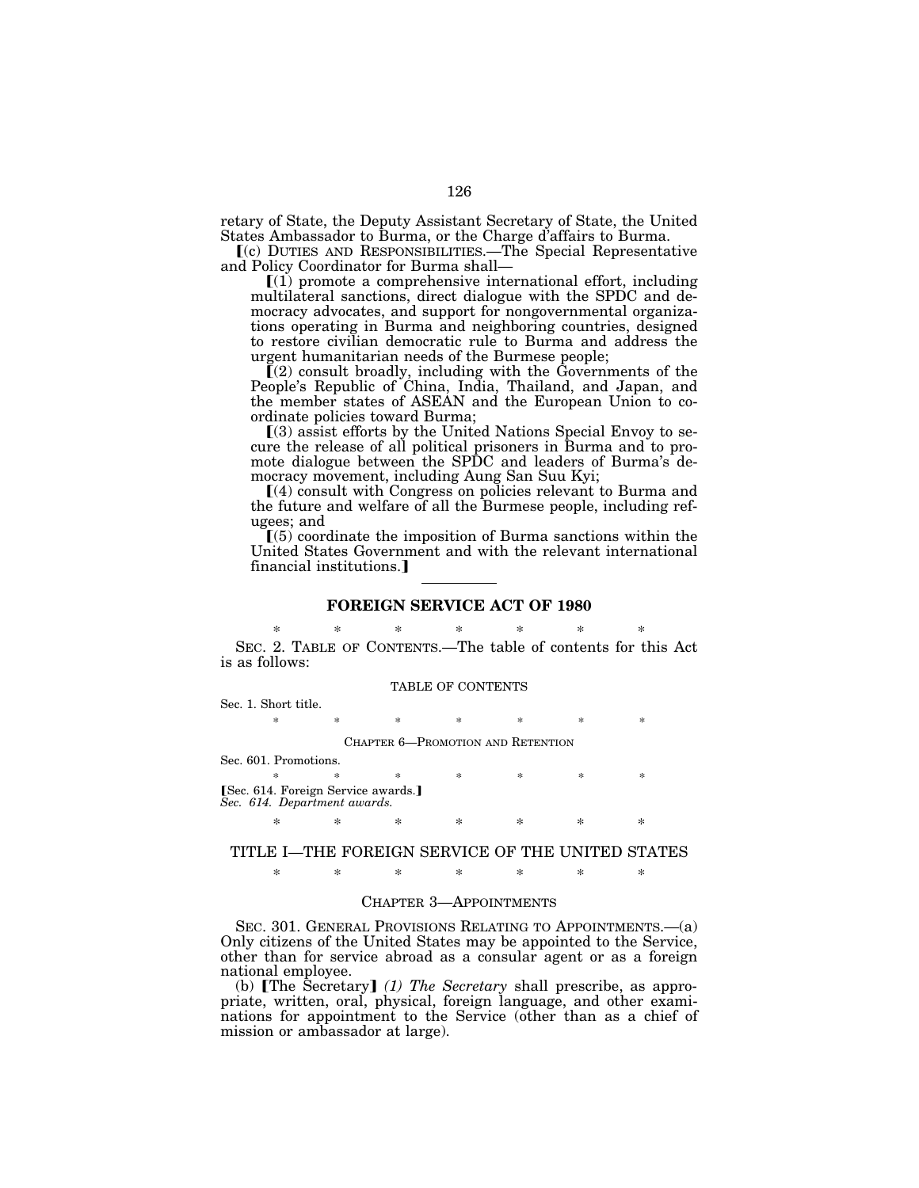retary of State, the Deputy Assistant Secretary of State, the United States Ambassador to Burma, or the Charge d'affairs to Burma.

ø(c) DUTIES AND RESPONSIBILITIES.—The Special Representative and Policy Coordinator for Burma shall—

 $(1)$  promote a comprehensive international effort, including multilateral sanctions, direct dialogue with the SPDC and democracy advocates, and support for nongovernmental organizations operating in Burma and neighboring countries, designed to restore civilian democratic rule to Burma and address the urgent humanitarian needs of the Burmese people;

ø(2) consult broadly, including with the Governments of the People's Republic of China, India, Thailand, and Japan, and the member states of ASEAN and the European Union to coordinate policies toward Burma;

 $(3)$  assist efforts by the United Nations Special Envoy to secure the release of all political prisoners in Burma and to promote dialogue between the SPDC and leaders of Burma's democracy movement, including Aung San Suu Kyi;

ø(4) consult with Congress on policies relevant to Burma and the future and welfare of all the Burmese people, including refugees; and

 $(5)$  coordinate the imposition of Burma sanctions within the United States Government and with the relevant international financial institutions.

# **FOREIGN SERVICE ACT OF 1980**

\* \* \* \* \* \* \* SEC. 2. TABLE OF CONTENTS.—The table of contents for this Act is as follows:

#### TABLE OF CONTENTS

Sec. 1. Short title.

\* \* \* \* \* \* \*

CHAPTER 6—PROMOTION AND RETENTION

Sec. 601. Promotions. \* \* \* \* \* \* \* \* [Sec. 614. Foreign Service awards.] *Sec. 614. Department awards.* 

# \* \* \* \* \* \* \*

TITLE I—THE FOREIGN SERVICE OF THE UNITED STATES

\* \* \* \* \* \* \*

# CHAPTER 3—APPOINTMENTS

SEC. 301. GENERAL PROVISIONS RELATING TO APPOINTMENTS.—(a) Only citizens of the United States may be appointed to the Service, other than for service abroad as a consular agent or as a foreign national employee.

(b) **[The Secretary]** (1) The Secretary shall prescribe, as appropriate, written, oral, physical, foreign language, and other examinations for appointment to the Service (other than as a chief of mission or ambassador at large).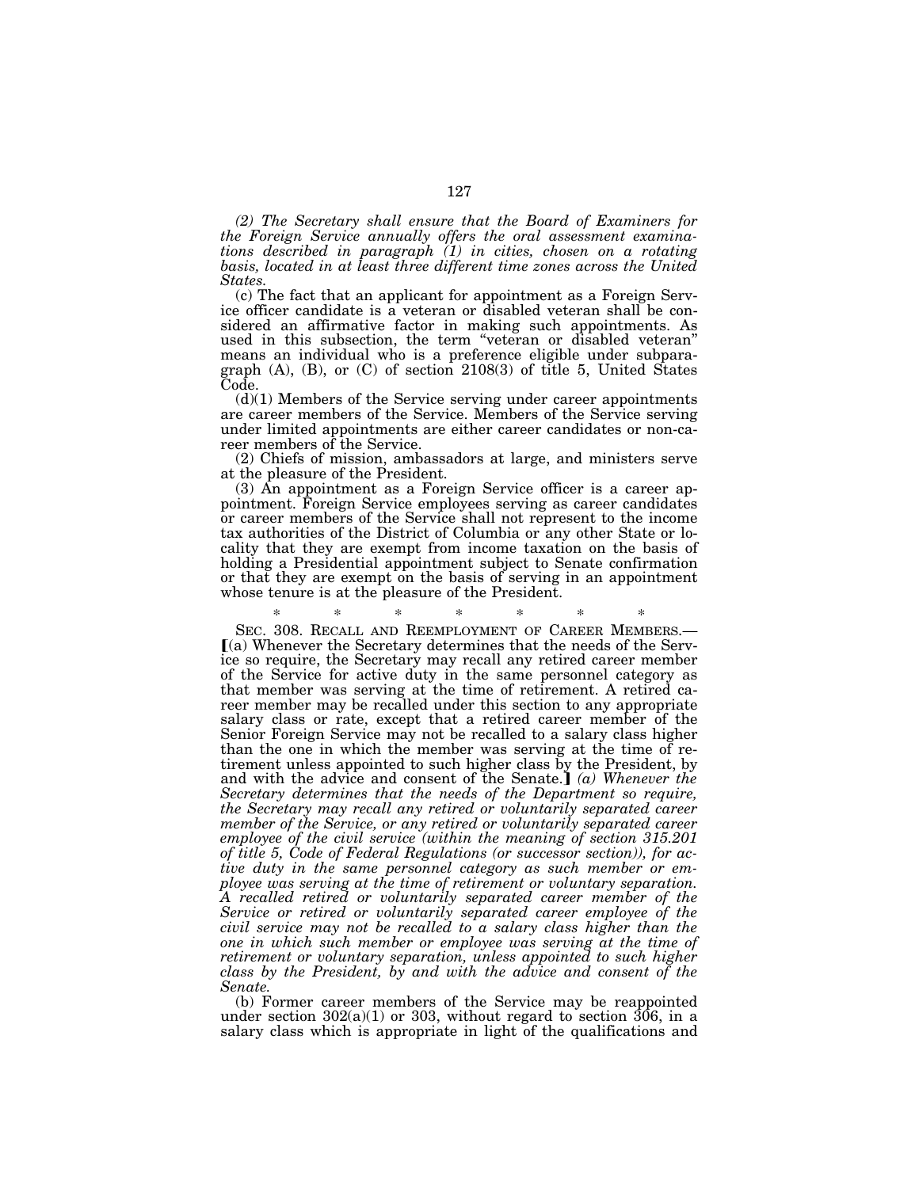*(2) The Secretary shall ensure that the Board of Examiners for the Foreign Service annually offers the oral assessment examinations described in paragraph (1) in cities, chosen on a rotating*  basis, located in at least three different time zones across the United *States.* 

(c) The fact that an applicant for appointment as a Foreign Service officer candidate is a veteran or disabled veteran shall be considered an affirmative factor in making such appointments. As used in this subsection, the term ''veteran or disabled veteran'' means an individual who is a preference eligible under subparagraph  $(A)$ ,  $(B)$ , or  $(C)$  of section 2108 $(3)$  of title 5, United States Code.

 $(d)(1)$  Members of the Service serving under career appointments are career members of the Service. Members of the Service serving under limited appointments are either career candidates or non-career members of the Service.

(2) Chiefs of mission, ambassadors at large, and ministers serve at the pleasure of the President.

(3) An appointment as a Foreign Service officer is a career appointment. Foreign Service employees serving as career candidates or career members of the Service shall not represent to the income tax authorities of the District of Columbia or any other State or locality that they are exempt from income taxation on the basis of holding a Presidential appointment subject to Senate confirmation or that they are exempt on the basis of serving in an appointment whose tenure is at the pleasure of the President.

\* \* \* \* \* \* \* SEC. 308. RECALL AND REEMPLOYMENT OF CAREER MEMBERS.— $[(a)$  Whenever the Secretary determines that the needs of the Service so require, the Secretary may recall any retired career member of the Service for active duty in the same personnel category as that member was serving at the time of retirement. A retired career member may be recalled under this section to any appropriate salary class or rate, except that a retired career member of the Senior Foreign Service may not be recalled to a salary class higher than the one in which the member was serving at the time of retirement unless appointed to such higher class by the President, by and with the advice and consent of the Senate.]  $(a)$  Whenever the *Secretary determines that the needs of the Department so require, the Secretary may recall any retired or voluntarily separated career member of the Service, or any retired or voluntarily separated career employee of the civil service (within the meaning of section 315.201 of title 5, Code of Federal Regulations (or successor section)), for active duty in the same personnel category as such member or employee was serving at the time of retirement or voluntary separation. A recalled retired or voluntarily separated career member of the Service or retired or voluntarily separated career employee of the civil service may not be recalled to a salary class higher than the one in which such member or employee was serving at the time of retirement or voluntary separation, unless appointed to such higher class by the President, by and with the advice and consent of the Senate.* 

(b) Former career members of the Service may be reappointed under section  $302(a)(1)$  or  $303$ , without regard to section 306, in a salary class which is appropriate in light of the qualifications and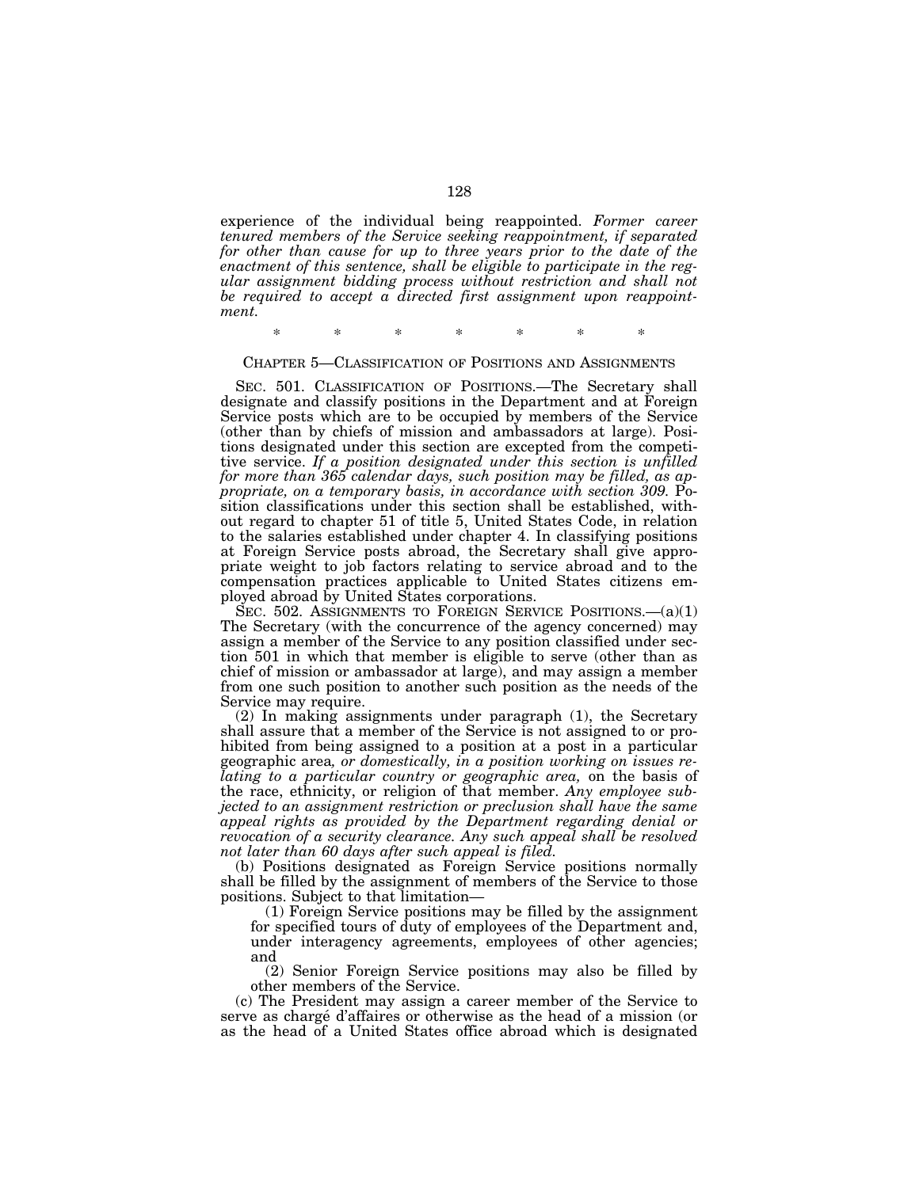experience of the individual being reappointed. *Former career tenured members of the Service seeking reappointment, if separated for other than cause for up to three years prior to the date of the enactment of this sentence, shall be eligible to participate in the regular assignment bidding process without restriction and shall not be required to accept a directed first assignment upon reappointment.* 

\* \* \* \* \* \* \*

#### CHAPTER 5—CLASSIFICATION OF POSITIONS AND ASSIGNMENTS

SEC. 501. CLASSIFICATION OF POSITIONS.—The Secretary shall designate and classify positions in the Department and at Foreign Service posts which are to be occupied by members of the Service (other than by chiefs of mission and ambassadors at large). Positions designated under this section are excepted from the competitive service. *If a position designated under this section is unfilled for more than 365 calendar days, such position may be filled, as appropriate, on a temporary basis, in accordance with section 309.* Position classifications under this section shall be established, without regard to chapter 51 of title 5, United States Code, in relation to the salaries established under chapter 4. In classifying positions at Foreign Service posts abroad, the Secretary shall give appropriate weight to job factors relating to service abroad and to the compensation practices applicable to United States citizens employed abroad by United States corporations.

SEC. 502. ASSIGNMENTS TO FOREIGN SERVICE POSITIONS.—(a)(1) The Secretary (with the concurrence of the agency concerned) may assign a member of the Service to any position classified under section 501 in which that member is eligible to serve (other than as chief of mission or ambassador at large), and may assign a member from one such position to another such position as the needs of the Service may require.

(2) In making assignments under paragraph (1), the Secretary shall assure that a member of the Service is not assigned to or prohibited from being assigned to a position at a post in a particular geographic area*, or domestically, in a position working on issues relating to a particular country or geographic area,* on the basis of the race, ethnicity, or religion of that member. *Any employee subjected to an assignment restriction or preclusion shall have the same appeal rights as provided by the Department regarding denial or revocation of a security clearance. Any such appeal shall be resolved not later than 60 days after such appeal is filed.* 

(b) Positions designated as Foreign Service positions normally shall be filled by the assignment of members of the Service to those positions. Subject to that limitation—

(1) Foreign Service positions may be filled by the assignment for specified tours of duty of employees of the Department and, under interagency agreements, employees of other agencies; and

(2) Senior Foreign Service positions may also be filled by other members of the Service.

(c) The President may assign a career member of the Service to serve as charge´ d'affaires or otherwise as the head of a mission (or as the head of a United States office abroad which is designated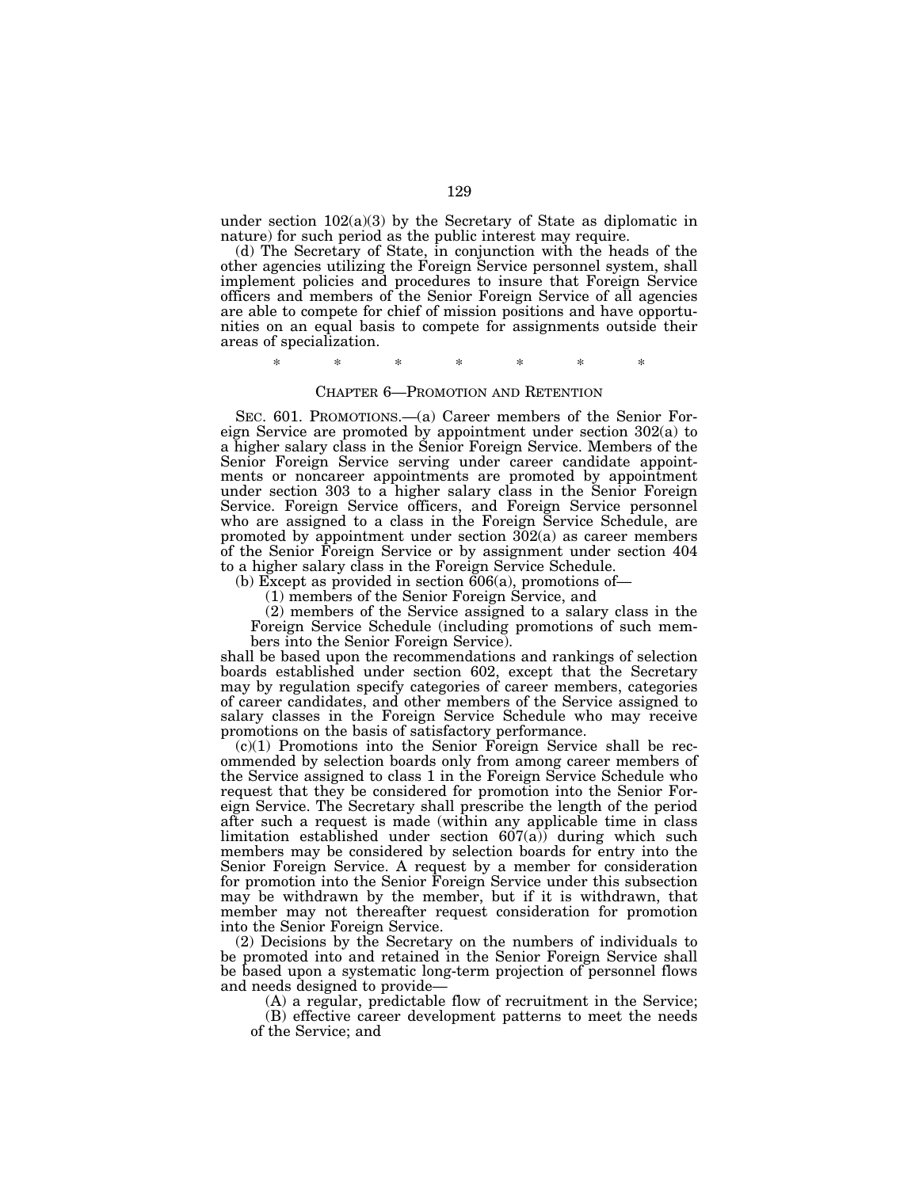under section  $102(a)(3)$  by the Secretary of State as diplomatic in nature) for such period as the public interest may require.

(d) The Secretary of State, in conjunction with the heads of the other agencies utilizing the Foreign Service personnel system, shall implement policies and procedures to insure that Foreign Service officers and members of the Senior Foreign Service of all agencies are able to compete for chief of mission positions and have opportunities on an equal basis to compete for assignments outside their areas of specialization.

\* \* \* \* \* \* \*

# CHAPTER 6—PROMOTION AND RETENTION

SEC. 601. PROMOTIONS.—(a) Career members of the Senior Foreign Service are promoted by appointment under section 302(a) to a higher salary class in the Senior Foreign Service. Members of the Senior Foreign Service serving under career candidate appointments or noncareer appointments are promoted by appointment under section 303 to a higher salary class in the Senior Foreign Service. Foreign Service officers, and Foreign Service personnel who are assigned to a class in the Foreign Service Schedule, are promoted by appointment under section 302(a) as career members of the Senior Foreign Service or by assignment under section 404 to a higher salary class in the Foreign Service Schedule.

(b) Except as provided in section 606(a), promotions of—

(1) members of the Senior Foreign Service, and

(2) members of the Service assigned to a salary class in the Foreign Service Schedule (including promotions of such members into the Senior Foreign Service).

shall be based upon the recommendations and rankings of selection boards established under section 602, except that the Secretary may by regulation specify categories of career members, categories of career candidates, and other members of the Service assigned to salary classes in the Foreign Service Schedule who may receive promotions on the basis of satisfactory performance.

 $(c)(1)$  Promotions into the Senior Foreign Service shall be recommended by selection boards only from among career members of the Service assigned to class 1 in the Foreign Service Schedule who request that they be considered for promotion into the Senior Foreign Service. The Secretary shall prescribe the length of the period after such a request is made (within any applicable time in class limitation established under section  $607(a)$  during which such members may be considered by selection boards for entry into the Senior Foreign Service. A request by a member for consideration for promotion into the Senior Foreign Service under this subsection may be withdrawn by the member, but if it is withdrawn, that member may not thereafter request consideration for promotion into the Senior Foreign Service.

(2) Decisions by the Secretary on the numbers of individuals to be promoted into and retained in the Senior Foreign Service shall be based upon a systematic long-term projection of personnel flows and needs designed to provide—

(A) a regular, predictable flow of recruitment in the Service;

(B) effective career development patterns to meet the needs of the Service; and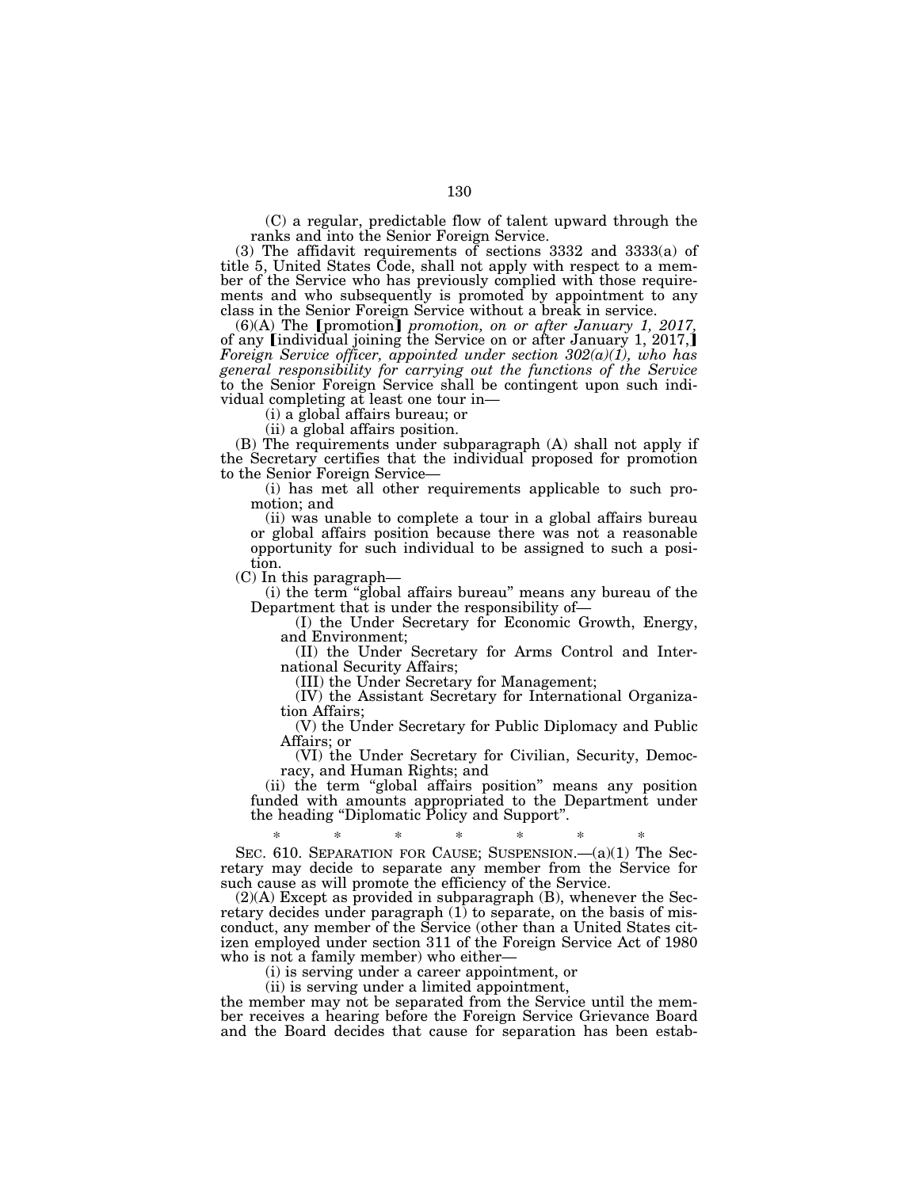(C) a regular, predictable flow of talent upward through the ranks and into the Senior Foreign Service.

(3) The affidavit requirements of sections 3332 and 3333(a) of title 5, United States Code, shall not apply with respect to a member of the Service who has previously complied with those requirements and who subsequently is promoted by appointment to any class in the Senior Foreign Service without a break in service.

 $(6)(A)$  The [promotion] *promotion, on or after January 1, 2017,* of any [individual joining the Service on or after January 1, 2017,] *Foreign Service officer, appointed under section 302(a)(1), who has general responsibility for carrying out the functions of the Service*  to the Senior Foreign Service shall be contingent upon such individual completing at least one tour in—

(i) a global affairs bureau; or

(ii) a global affairs position.

(B) The requirements under subparagraph (A) shall not apply if the Secretary certifies that the individual proposed for promotion to the Senior Foreign Service—

(i) has met all other requirements applicable to such promotion; and

(ii) was unable to complete a tour in a global affairs bureau or global affairs position because there was not a reasonable opportunity for such individual to be assigned to such a position.

(C) In this paragraph—

(i) the term ''global affairs bureau'' means any bureau of the Department that is under the responsibility of—

(I) the Under Secretary for Economic Growth, Energy, and Environment;

(II) the Under Secretary for Arms Control and International Security Affairs;

(III) the Under Secretary for Management;

(IV) the Assistant Secretary for International Organization Affairs;

(V) the Under Secretary for Public Diplomacy and Public Affairs; or

(VI) the Under Secretary for Civilian, Security, Democracy, and Human Rights; and

(ii) the term ''global affairs position'' means any position funded with amounts appropriated to the Department under the heading ''Diplomatic Policy and Support''.

\* \* \* \* \* \* \* SEC. 610. SEPARATION FOR CAUSE; SUSPENSION.—(a)(1) The Secretary may decide to separate any member from the Service for such cause as will promote the efficiency of the Service.

 $(2)(A)$  Except as provided in subparagraph  $(B)$ , whenever the Secretary decides under paragraph (1) to separate, on the basis of misconduct, any member of the Service (other than a United States citizen employed under section 311 of the Foreign Service Act of 1980 who is not a family member) who either-

(i) is serving under a career appointment, or

(ii) is serving under a limited appointment,

the member may not be separated from the Service until the member receives a hearing before the Foreign Service Grievance Board and the Board decides that cause for separation has been estab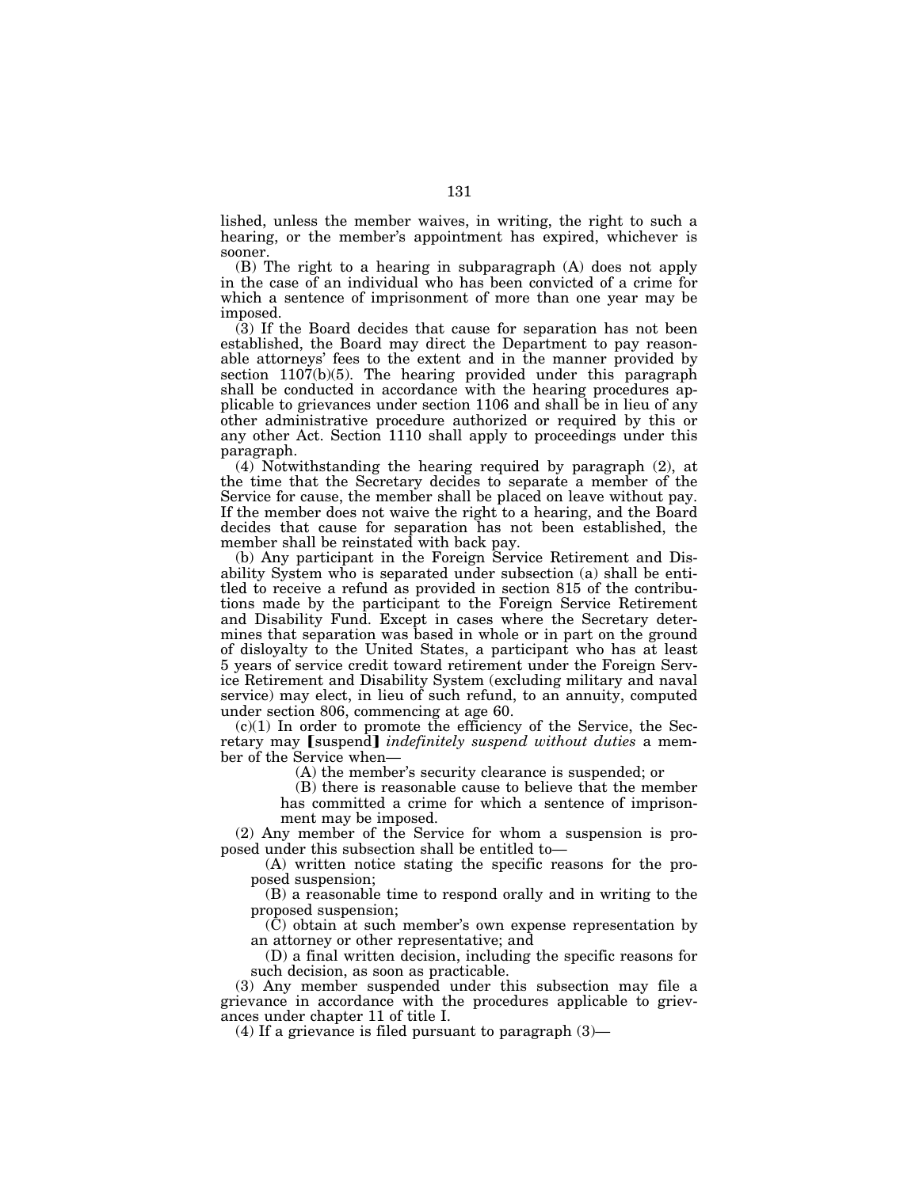lished, unless the member waives, in writing, the right to such a hearing, or the member's appointment has expired, whichever is sooner.

(B) The right to a hearing in subparagraph (A) does not apply in the case of an individual who has been convicted of a crime for which a sentence of imprisonment of more than one year may be imposed.

(3) If the Board decides that cause for separation has not been established, the Board may direct the Department to pay reasonable attorneys' fees to the extent and in the manner provided by section  $1107(b)(5)$ . The hearing provided under this paragraph shall be conducted in accordance with the hearing procedures applicable to grievances under section 1106 and shall be in lieu of any other administrative procedure authorized or required by this or any other Act. Section 1110 shall apply to proceedings under this paragraph.

(4) Notwithstanding the hearing required by paragraph (2), at the time that the Secretary decides to separate a member of the Service for cause, the member shall be placed on leave without pay. If the member does not waive the right to a hearing, and the Board decides that cause for separation has not been established, the member shall be reinstated with back pay.

(b) Any participant in the Foreign Service Retirement and Disability System who is separated under subsection (a) shall be entitled to receive a refund as provided in section 815 of the contributions made by the participant to the Foreign Service Retirement and Disability Fund. Except in cases where the Secretary determines that separation was based in whole or in part on the ground of disloyalty to the United States, a participant who has at least 5 years of service credit toward retirement under the Foreign Service Retirement and Disability System (excluding military and naval service) may elect, in lieu of such refund, to an annuity, computed under section 806, commencing at age 60.

 $(c)(1)$  In order to promote the efficiency of the Service, the Secretary may [suspend] *indefinitely suspend without duties* a member of the Service when—

(A) the member's security clearance is suspended; or

(B) there is reasonable cause to believe that the member has committed a crime for which a sentence of imprisonment may be imposed.

(2) Any member of the Service for whom a suspension is proposed under this subsection shall be entitled to—

(A) written notice stating the specific reasons for the proposed suspension;

(B) a reasonable time to respond orally and in writing to the proposed suspension;

(C) obtain at such member's own expense representation by an attorney or other representative; and

(D) a final written decision, including the specific reasons for such decision, as soon as practicable.

(3) Any member suspended under this subsection may file a grievance in accordance with the procedures applicable to grievances under chapter 11 of title I.

(4) If a grievance is filed pursuant to paragraph  $(3)$ —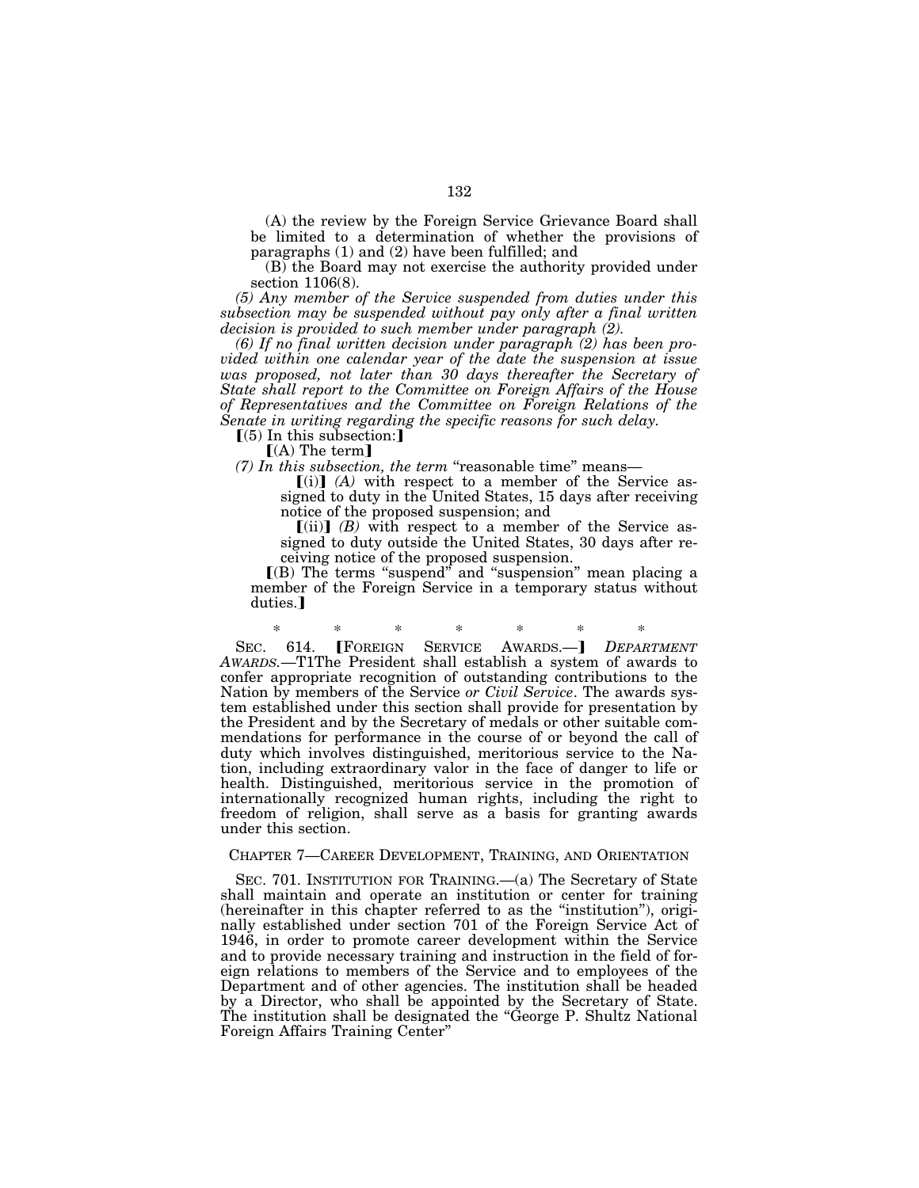(A) the review by the Foreign Service Grievance Board shall be limited to a determination of whether the provisions of paragraphs (1) and (2) have been fulfilled; and

(B) the Board may not exercise the authority provided under section 1106(8).

*(5) Any member of the Service suspended from duties under this subsection may be suspended without pay only after a final written decision is provided to such member under paragraph (2).* 

*(6) If no final written decision under paragraph (2) has been provided within one calendar year of the date the suspension at issue was proposed, not later than 30 days thereafter the Secretary of State shall report to the Committee on Foreign Affairs of the House of Representatives and the Committee on Foreign Relations of the Senate in writing regarding the specific reasons for such delay.* 

 $(5)$  In this subsection:

 $(A)$  The term

*(7) In this subsection, the term* "reasonable time" means—

 $[(i)]$   $(A)$  with respect to a member of the Service assigned to duty in the United States, 15 days after receiving notice of the proposed suspension; and

 $[(ii)]$   $(B)$  with respect to a member of the Service assigned to duty outside the United States, 30 days after receiving notice of the proposed suspension.

 $[(B)$  The terms "suspend" and "suspension" mean placing a member of the Foreign Service in a temporary status without duties.<sup>1</sup>

\* \* \* \* \* \* \* SEC. 614. **[FOREIGN SERVICE AWARDS.**-] DEPARTMENT *AWARDS.*—T1The President shall establish a system of awards to confer appropriate recognition of outstanding contributions to the Nation by members of the Service *or Civil Service*. The awards system established under this section shall provide for presentation by the President and by the Secretary of medals or other suitable commendations for performance in the course of or beyond the call of duty which involves distinguished, meritorious service to the Nation, including extraordinary valor in the face of danger to life or health. Distinguished, meritorious service in the promotion of internationally recognized human rights, including the right to freedom of religion, shall serve as a basis for granting awards under this section.

#### CHAPTER 7—CAREER DEVELOPMENT, TRAINING, AND ORIENTATION

SEC. 701. INSTITUTION FOR TRAINING.—(a) The Secretary of State shall maintain and operate an institution or center for training (hereinafter in this chapter referred to as the ''institution''), originally established under section 701 of the Foreign Service Act of 1946, in order to promote career development within the Service and to provide necessary training and instruction in the field of foreign relations to members of the Service and to employees of the Department and of other agencies. The institution shall be headed by a Director, who shall be appointed by the Secretary of State. The institution shall be designated the ''George P. Shultz National Foreign Affairs Training Center''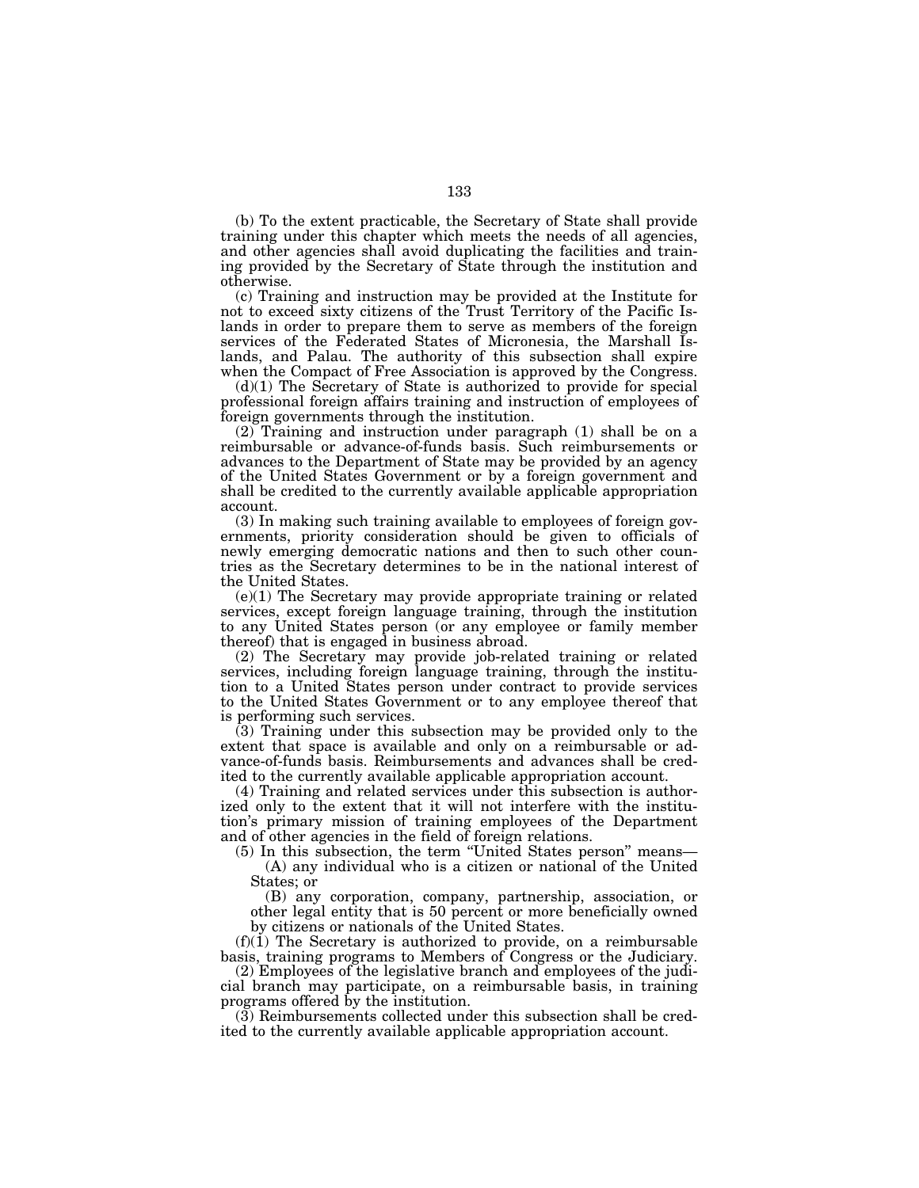(b) To the extent practicable, the Secretary of State shall provide training under this chapter which meets the needs of all agencies, and other agencies shall avoid duplicating the facilities and training provided by the Secretary of State through the institution and otherwise.

(c) Training and instruction may be provided at the Institute for not to exceed sixty citizens of the Trust Territory of the Pacific Islands in order to prepare them to serve as members of the foreign services of the Federated States of Micronesia, the Marshall Islands, and Palau. The authority of this subsection shall expire when the Compact of Free Association is approved by the Congress.

(d)(1) The Secretary of State is authorized to provide for special professional foreign affairs training and instruction of employees of foreign governments through the institution.

(2) Training and instruction under paragraph (1) shall be on a reimbursable or advance-of-funds basis. Such reimbursements or advances to the Department of State may be provided by an agency of the United States Government or by a foreign government and shall be credited to the currently available applicable appropriation account.

(3) In making such training available to employees of foreign governments, priority consideration should be given to officials of newly emerging democratic nations and then to such other countries as the Secretary determines to be in the national interest of the United States.

(e)(1) The Secretary may provide appropriate training or related services, except foreign language training, through the institution to any United States person (or any employee or family member thereof) that is engaged in business abroad.

(2) The Secretary may provide job-related training or related services, including foreign language training, through the institution to a United States person under contract to provide services to the United States Government or to any employee thereof that is performing such services.

(3) Training under this subsection may be provided only to the extent that space is available and only on a reimbursable or advance-of-funds basis. Reimbursements and advances shall be credited to the currently available applicable appropriation account.

(4) Training and related services under this subsection is authorized only to the extent that it will not interfere with the institution's primary mission of training employees of the Department and of other agencies in the field of foreign relations.

(5) In this subsection, the term ''United States person'' means— (A) any individual who is a citizen or national of the United States; or

(B) any corporation, company, partnership, association, or other legal entity that is 50 percent or more beneficially owned by citizens or nationals of the United States.

(f)(1) The Secretary is authorized to provide, on a reimbursable basis, training programs to Members of Congress or the Judiciary.

(2) Employees of the legislative branch and employees of the judicial branch may participate, on a reimbursable basis, in training programs offered by the institution.

(3) Reimbursements collected under this subsection shall be credited to the currently available applicable appropriation account.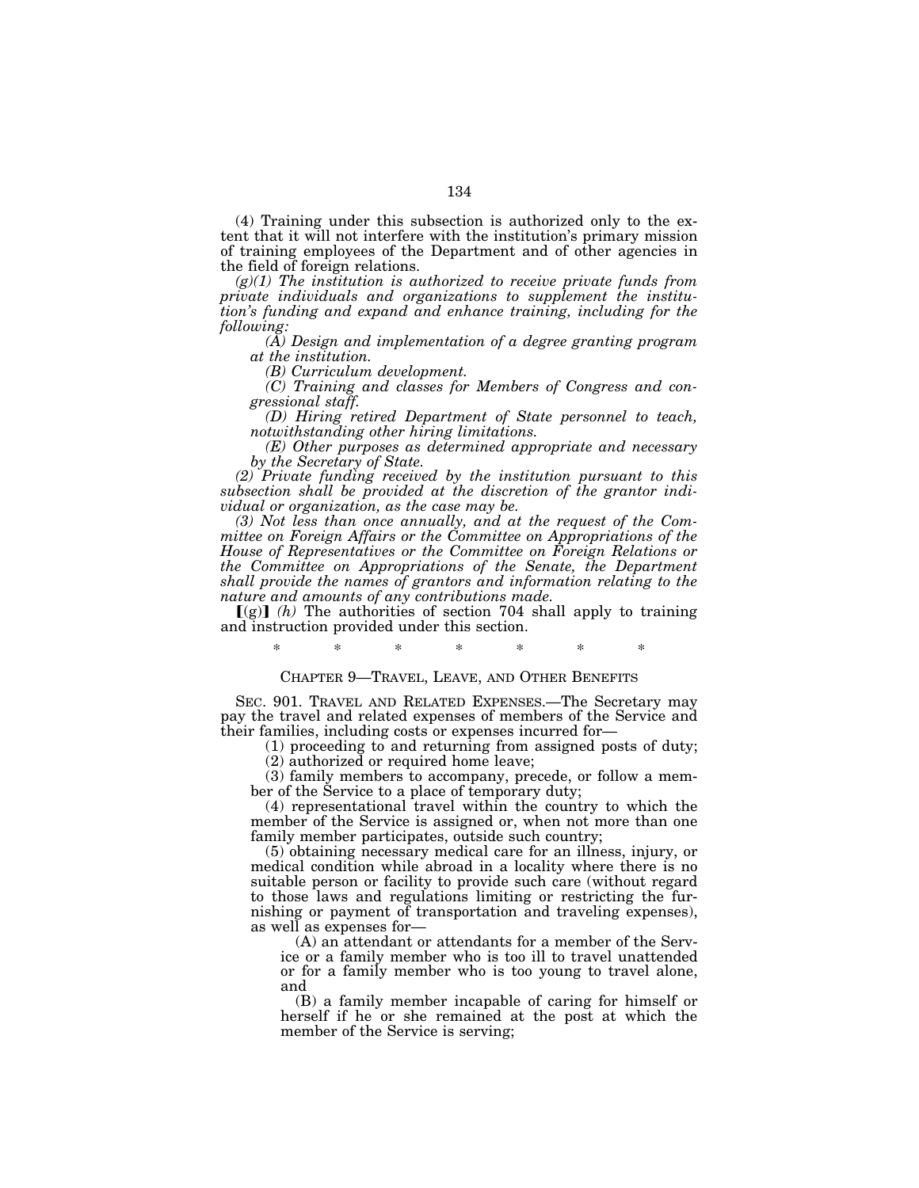(4) Training under this subsection is authorized only to the extent that it will not interfere with the institution's primary mission of training employees of the Department and of other agencies in the field of foreign relations.

*(g)(1) The institution is authorized to receive private funds from private individuals and organizations to supplement the institution's funding and expand and enhance training, including for the following:* 

*(A) Design and implementation of a degree granting program at the institution.* 

*(B) Curriculum development.* 

*(C) Training and classes for Members of Congress and congressional staff.* 

*(D) Hiring retired Department of State personnel to teach, notwithstanding other hiring limitations.* 

*(E) Other purposes as determined appropriate and necessary by the Secretary of State.* 

*(2) Private funding received by the institution pursuant to this subsection shall be provided at the discretion of the grantor individual or organization, as the case may be.* 

*(3) Not less than once annually, and at the request of the Committee on Foreign Affairs or the Committee on Appropriations of the House of Representatives or the Committee on Foreign Relations or the Committee on Appropriations of the Senate, the Department shall provide the names of grantors and information relating to the nature and amounts of any contributions made.* 

 $[(g)]$  *(h)* The authorities of section 704 shall apply to training and instruction provided under this section.

\* \* \* \* \* \* \*

# CHAPTER 9—TRAVEL, LEAVE, AND OTHER BENEFITS

SEC. 901. TRAVEL AND RELATED EXPENSES.—The Secretary may pay the travel and related expenses of members of the Service and their families, including costs or expenses incurred for—

(1) proceeding to and returning from assigned posts of duty; (2) authorized or required home leave;

(3) family members to accompany, precede, or follow a member of the Service to a place of temporary duty;

(4) representational travel within the country to which the member of the Service is assigned or, when not more than one family member participates, outside such country;

(5) obtaining necessary medical care for an illness, injury, or medical condition while abroad in a locality where there is no suitable person or facility to provide such care (without regard to those laws and regulations limiting or restricting the furnishing or payment of transportation and traveling expenses), as well as expenses for—

(A) an attendant or attendants for a member of the Service or a family member who is too ill to travel unattended or for a family member who is too young to travel alone, and

(B) a family member incapable of caring for himself or herself if he or she remained at the post at which the member of the Service is serving;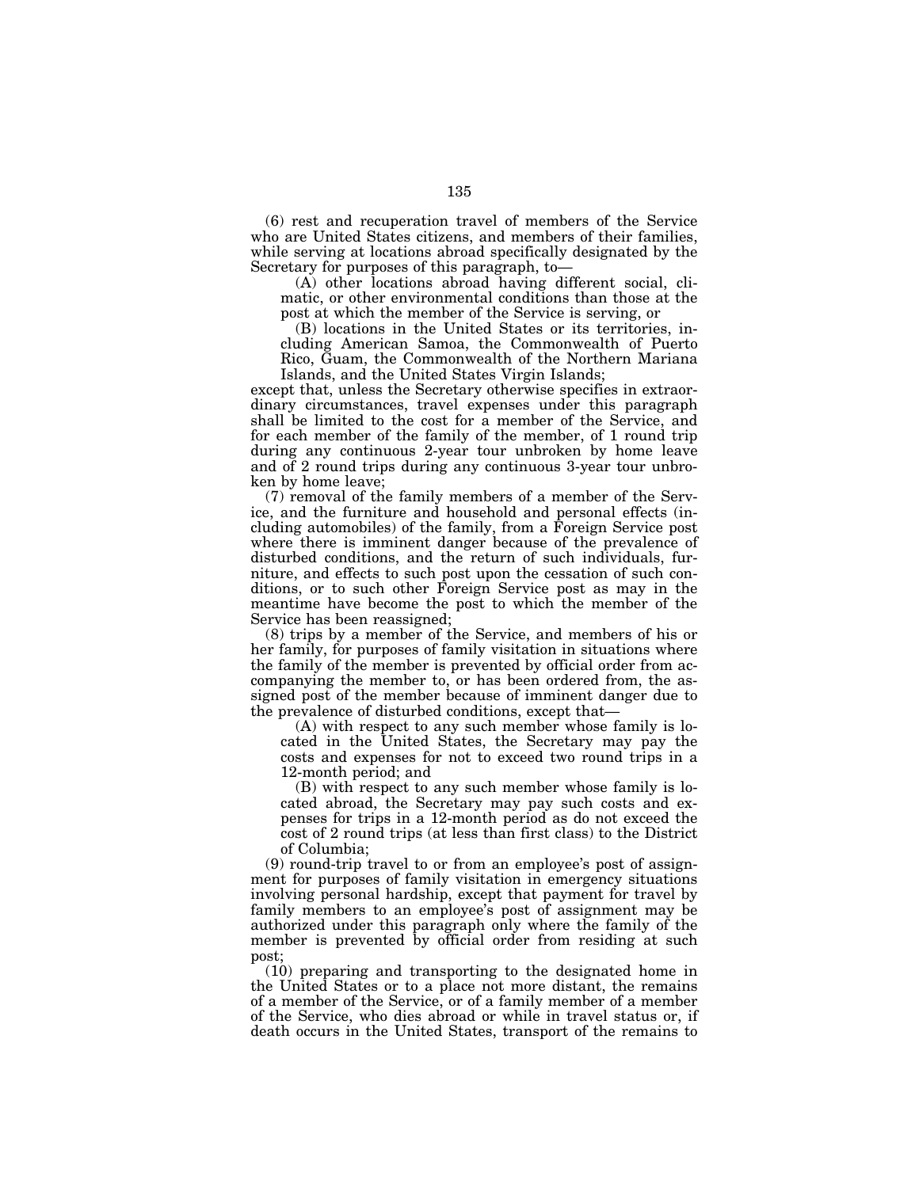(6) rest and recuperation travel of members of the Service who are United States citizens, and members of their families, while serving at locations abroad specifically designated by the Secretary for purposes of this paragraph, to—

(A) other locations abroad having different social, climatic, or other environmental conditions than those at the post at which the member of the Service is serving, or

(B) locations in the United States or its territories, including American Samoa, the Commonwealth of Puerto Rico, Guam, the Commonwealth of the Northern Mariana Islands, and the United States Virgin Islands;

except that, unless the Secretary otherwise specifies in extraordinary circumstances, travel expenses under this paragraph shall be limited to the cost for a member of the Service, and for each member of the family of the member, of 1 round trip during any continuous 2-year tour unbroken by home leave and of 2 round trips during any continuous 3-year tour unbroken by home leave;

(7) removal of the family members of a member of the Service, and the furniture and household and personal effects (including automobiles) of the family, from a Foreign Service post where there is imminent danger because of the prevalence of disturbed conditions, and the return of such individuals, furniture, and effects to such post upon the cessation of such conditions, or to such other Foreign Service post as may in the meantime have become the post to which the member of the Service has been reassigned;

(8) trips by a member of the Service, and members of his or her family, for purposes of family visitation in situations where the family of the member is prevented by official order from accompanying the member to, or has been ordered from, the assigned post of the member because of imminent danger due to the prevalence of disturbed conditions, except that—

(A) with respect to any such member whose family is located in the United States, the Secretary may pay the costs and expenses for not to exceed two round trips in a 12-month period; and

(B) with respect to any such member whose family is located abroad, the Secretary may pay such costs and expenses for trips in a 12-month period as do not exceed the cost of 2 round trips (at less than first class) to the District of Columbia;

(9) round-trip travel to or from an employee's post of assignment for purposes of family visitation in emergency situations involving personal hardship, except that payment for travel by family members to an employee's post of assignment may be authorized under this paragraph only where the family of the member is prevented by official order from residing at such post;

(10) preparing and transporting to the designated home in the United States or to a place not more distant, the remains of a member of the Service, or of a family member of a member of the Service, who dies abroad or while in travel status or, if death occurs in the United States, transport of the remains to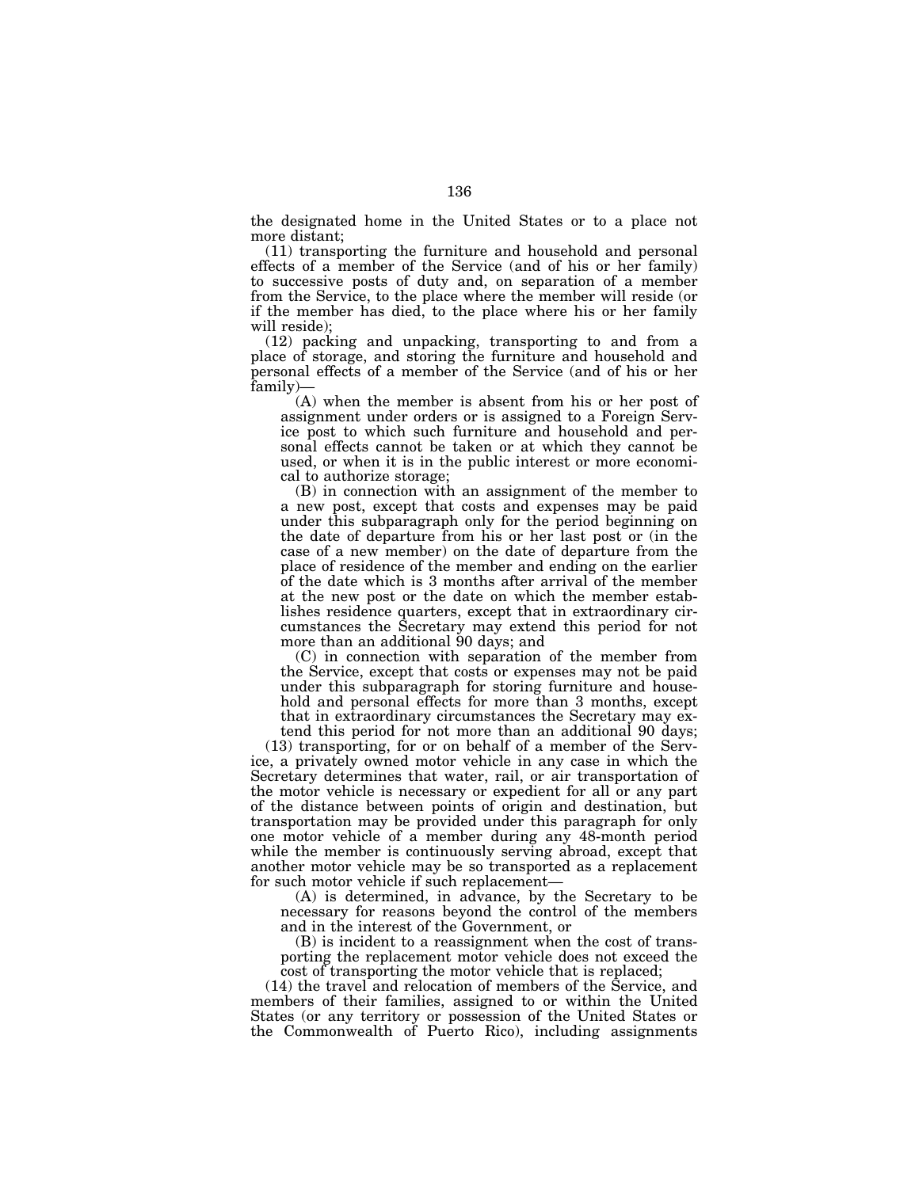the designated home in the United States or to a place not more distant;

(11) transporting the furniture and household and personal effects of a member of the Service (and of his or her family) to successive posts of duty and, on separation of a member from the Service, to the place where the member will reside (or if the member has died, to the place where his or her family will reside);

(12) packing and unpacking, transporting to and from a place of storage, and storing the furniture and household and personal effects of a member of the Service (and of his or her family)—

(A) when the member is absent from his or her post of assignment under orders or is assigned to a Foreign Service post to which such furniture and household and personal effects cannot be taken or at which they cannot be used, or when it is in the public interest or more economical to authorize storage;

(B) in connection with an assignment of the member to a new post, except that costs and expenses may be paid under this subparagraph only for the period beginning on the date of departure from his or her last post or (in the case of a new member) on the date of departure from the place of residence of the member and ending on the earlier of the date which is 3 months after arrival of the member at the new post or the date on which the member establishes residence quarters, except that in extraordinary circumstances the Secretary may extend this period for not more than an additional 90 days; and

(C) in connection with separation of the member from the Service, except that costs or expenses may not be paid under this subparagraph for storing furniture and household and personal effects for more than 3 months, except that in extraordinary circumstances the Secretary may extend this period for not more than an additional 90 days;

(13) transporting, for or on behalf of a member of the Service, a privately owned motor vehicle in any case in which the Secretary determines that water, rail, or air transportation of the motor vehicle is necessary or expedient for all or any part of the distance between points of origin and destination, but transportation may be provided under this paragraph for only one motor vehicle of a member during any 48-month period while the member is continuously serving abroad, except that another motor vehicle may be so transported as a replacement for such motor vehicle if such replacement—

(A) is determined, in advance, by the Secretary to be necessary for reasons beyond the control of the members and in the interest of the Government, or

(B) is incident to a reassignment when the cost of transporting the replacement motor vehicle does not exceed the cost of transporting the motor vehicle that is replaced;

(14) the travel and relocation of members of the Service, and members of their families, assigned to or within the United States (or any territory or possession of the United States or the Commonwealth of Puerto Rico), including assignments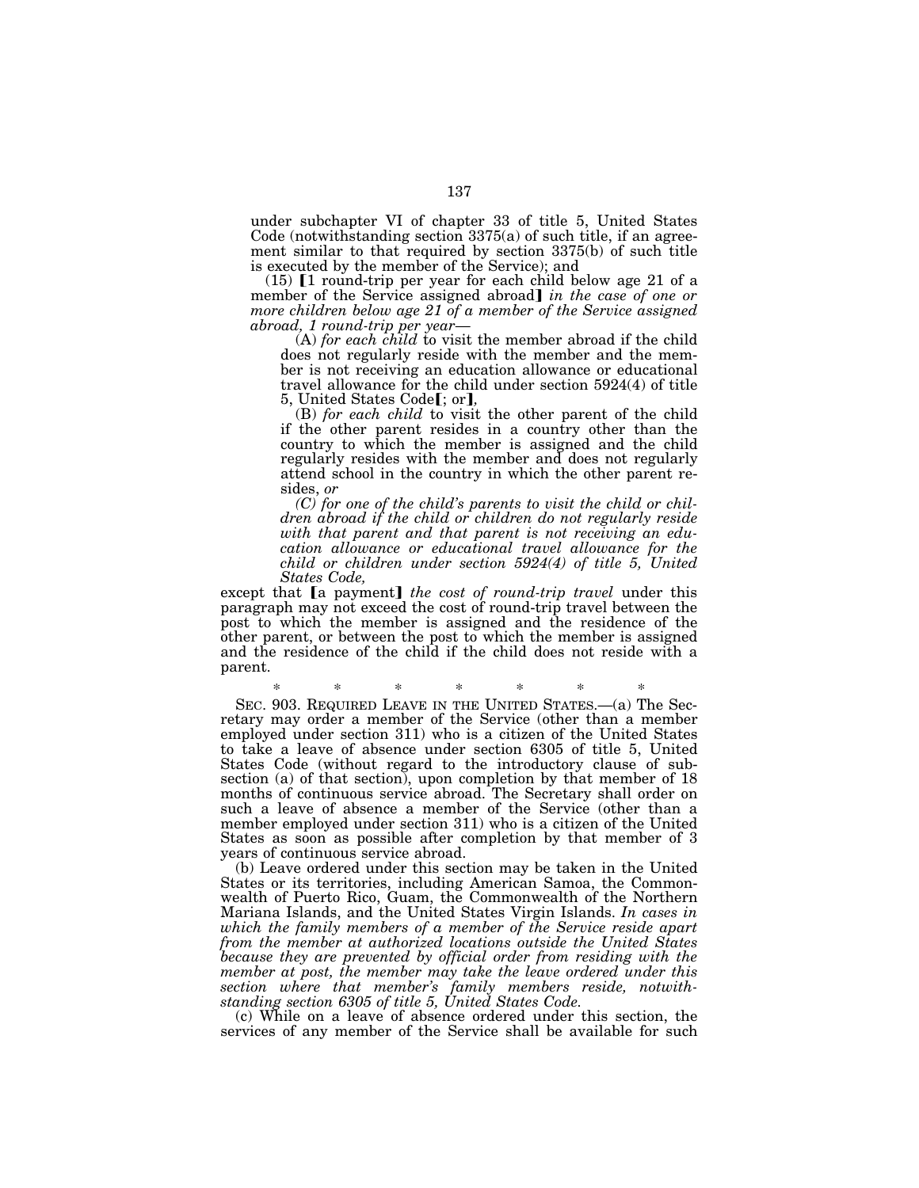under subchapter VI of chapter 33 of title 5, United States Code (notwithstanding section 3375(a) of such title, if an agreement similar to that required by section 3375(b) of such title is executed by the member of the Service); and

 $(15)$  [1 round-trip per year for each child below age 21 of a member of the Service assigned abroad] *in the case of one or more children below age 21 of a member of the Service assigned abroad, 1 round-trip per year*— (A) *for each child* to visit the member abroad if the child

does not regularly reside with the member and the member is not receiving an education allowance or educational travel allowance for the child under section  $5924(4)$  of title 5, United States Code[; or],

(B) *for each child* to visit the other parent of the child if the other parent resides in a country other than the country to which the member is assigned and the child regularly resides with the member and does not regularly attend school in the country in which the other parent resides, *or* 

*(C) for one of the child's parents to visit the child or children abroad if the child or children do not regularly reside with that parent and that parent is not receiving an education allowance or educational travel allowance for the child or children under section 5924(4) of title 5, United States Code,* 

except that [a payment] *the cost of round-trip travel* under this paragraph may not exceed the cost of round-trip travel between the post to which the member is assigned and the residence of the other parent, or between the post to which the member is assigned and the residence of the child if the child does not reside with a parent.

\* \* \* \* \* \* \* SEC. 903. REQUIRED LEAVE IN THE UNITED STATES.—(a) The Secretary may order a member of the Service (other than a member employed under section 311) who is a citizen of the United States to take a leave of absence under section 6305 of title 5, United States Code (without regard to the introductory clause of subsection (a) of that section), upon completion by that member of 18 months of continuous service abroad. The Secretary shall order on such a leave of absence a member of the Service (other than a member employed under section 311) who is a citizen of the United States as soon as possible after completion by that member of 3 years of continuous service abroad.

(b) Leave ordered under this section may be taken in the United States or its territories, including American Samoa, the Commonwealth of Puerto Rico, Guam, the Commonwealth of the Northern Mariana Islands, and the United States Virgin Islands. *In cases in which the family members of a member of the Service reside apart from the member at authorized locations outside the United States because they are prevented by official order from residing with the member at post, the member may take the leave ordered under this section where that member's family members reside, notwithstanding section 6305 of title 5, United States Code.* 

(c) While on a leave of absence ordered under this section, the services of any member of the Service shall be available for such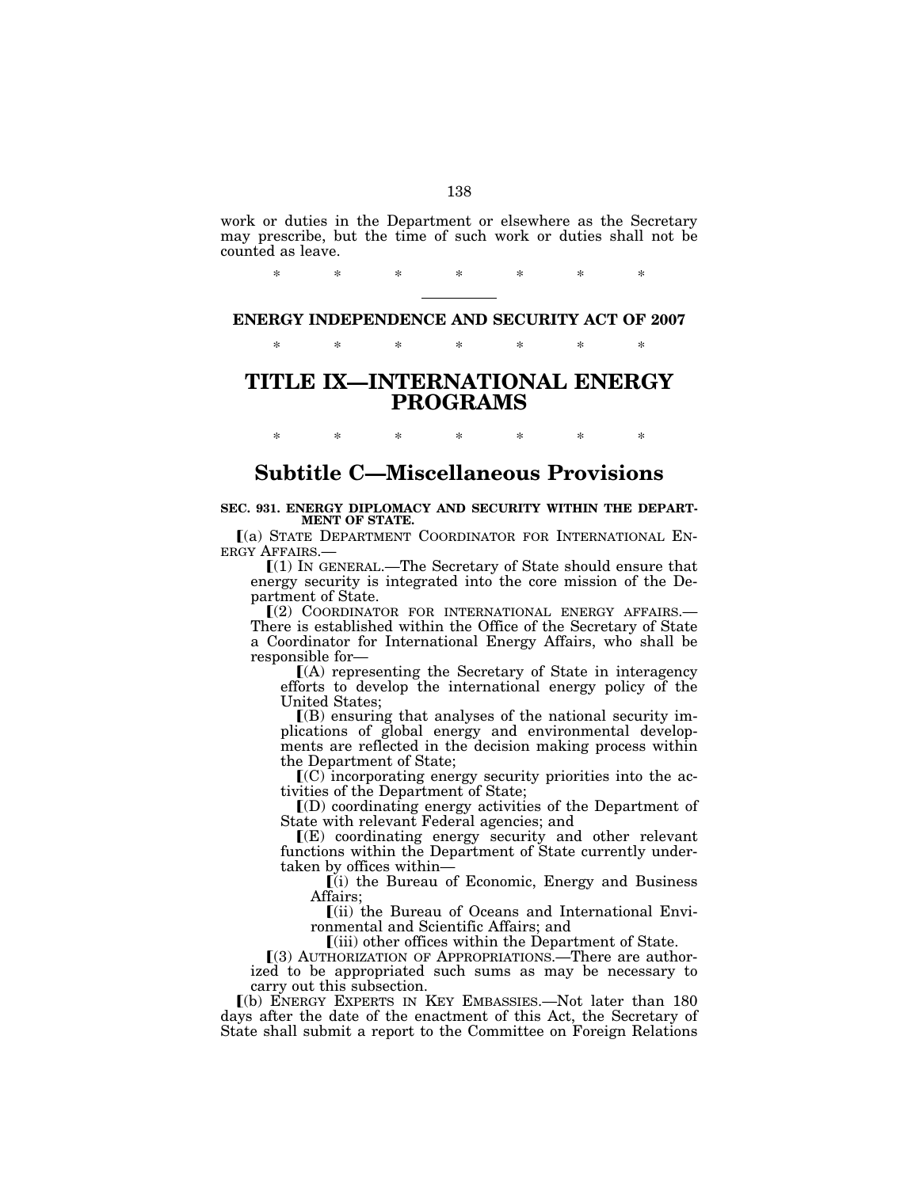work or duties in the Department or elsewhere as the Secretary may prescribe, but the time of such work or duties shall not be counted as leave.

\* \* \* \* \* \* \*

### **ENERGY INDEPENDENCE AND SECURITY ACT OF 2007**

\* \* \* \* \* \* \*

# **TITLE IX—INTERNATIONAL ENERGY PROGRAMS**

\* \* \* \* \* \* \*

# **Subtitle C—Miscellaneous Provisions**

#### **SEC. 931. ENERGY DIPLOMACY AND SECURITY WITHIN THE DEPART-MENT OF STATE.**

ø(a) STATE DEPARTMENT COORDINATOR FOR INTERNATIONAL EN- ERGY AFFAIRS.—

ø(1) IN GENERAL.—The Secretary of State should ensure that energy security is integrated into the core mission of the Department of State.

ø(2) COORDINATOR FOR INTERNATIONAL ENERGY AFFAIRS.— There is established within the Office of the Secretary of State a Coordinator for International Energy Affairs, who shall be responsible for—

 $[(A)$  representing the Secretary of State in interagency efforts to develop the international energy policy of the United States;

 $\mathbf{I}(\mathbf{B})$  ensuring that analyses of the national security implications of global energy and environmental developments are reflected in the decision making process within the Department of State;

 $\mathbb{I}(C)$  incorporating energy security priorities into the activities of the Department of State;

ø(D) coordinating energy activities of the Department of State with relevant Federal agencies; and

 $\mathbb{I}(E)$  coordinating energy security and other relevant functions within the Department of State currently undertaken by offices within—

 $(i)$  the Bureau of Economic, Energy and Business Affairs;

ø(ii) the Bureau of Oceans and International Environmental and Scientific Affairs; and

ø(iii) other offices within the Department of State.

ø(3) AUTHORIZATION OF APPROPRIATIONS.—There are authorized to be appropriated such sums as may be necessary to carry out this subsection.

ø(b) ENERGY EXPERTS IN KEY EMBASSIES.—Not later than 180 days after the date of the enactment of this Act, the Secretary of State shall submit a report to the Committee on Foreign Relations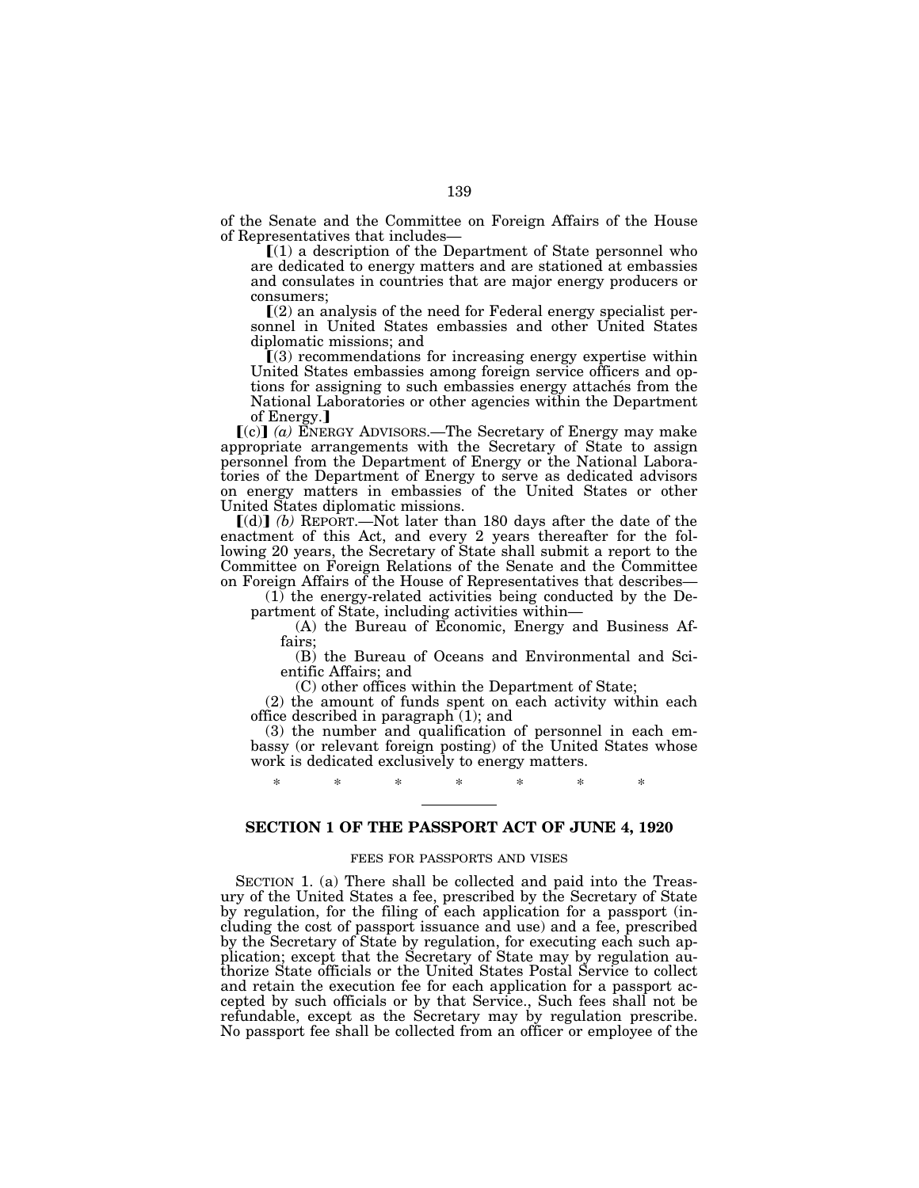of the Senate and the Committee on Foreign Affairs of the House of Representatives that includes—

 $(1)$  a description of the Department of State personnel who are dedicated to energy matters and are stationed at embassies and consulates in countries that are major energy producers or consumers;

 $(2)$  an analysis of the need for Federal energy specialist personnel in United States embassies and other United States diplomatic missions; and

 $(3)$  recommendations for increasing energy expertise within United States embassies among foreign service officers and options for assigning to such embassies energy attaches from the National Laboratories or other agencies within the Department of Energy.]

 $\lceil (c) \rceil$  *(a)* ENERGY ADVISORS.—The Secretary of Energy may make appropriate arrangements with the Secretary of State to assign personnel from the Department of Energy or the National Laboratories of the Department of Energy to serve as dedicated advisors on energy matters in embassies of the United States or other United States diplomatic missions.

 $\lceil(\mathbf{d})\rceil$  (b) REPORT.—Not later than 180 days after the date of the enactment of this Act, and every 2 years thereafter for the following 20 years, the Secretary of State shall submit a report to the Committee on Foreign Relations of the Senate and the Committee on Foreign Affairs of the House of Representatives that describes—

(1) the energy-related activities being conducted by the Department of State, including activities within—

(A) the Bureau of Economic, Energy and Business Affairs;

(B) the Bureau of Oceans and Environmental and Scientific Affairs; and

(C) other offices within the Department of State;

(2) the amount of funds spent on each activity within each office described in paragraph  $(1)$ ; and

(3) the number and qualification of personnel in each embassy (or relevant foreign posting) of the United States whose work is dedicated exclusively to energy matters.

\* \* \* \* \* \* \*

# **SECTION 1 OF THE PASSPORT ACT OF JUNE 4, 1920**

#### FEES FOR PASSPORTS AND VISES

SECTION 1. (a) There shall be collected and paid into the Treasury of the United States a fee, prescribed by the Secretary of State by regulation, for the filing of each application for a passport (including the cost of passport issuance and use) and a fee, prescribed by the Secretary of State by regulation, for executing each such application; except that the Secretary of State may by regulation authorize State officials or the United States Postal Service to collect and retain the execution fee for each application for a passport accepted by such officials or by that Service., Such fees shall not be refundable, except as the Secretary may by regulation prescribe. No passport fee shall be collected from an officer or employee of the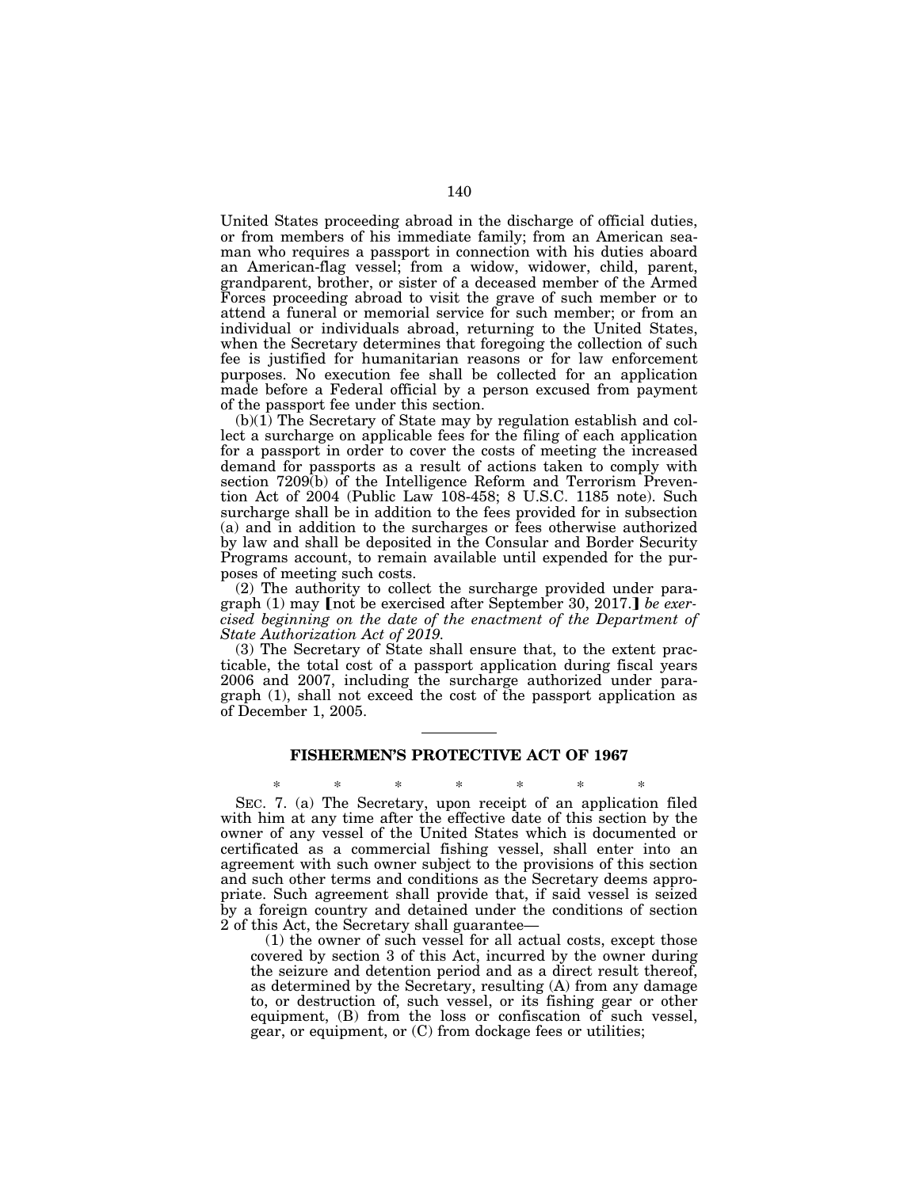United States proceeding abroad in the discharge of official duties, or from members of his immediate family; from an American seaman who requires a passport in connection with his duties aboard an American-flag vessel; from a widow, widower, child, parent, grandparent, brother, or sister of a deceased member of the Armed Forces proceeding abroad to visit the grave of such member or to attend a funeral or memorial service for such member; or from an individual or individuals abroad, returning to the United States, when the Secretary determines that foregoing the collection of such fee is justified for humanitarian reasons or for law enforcement purposes. No execution fee shall be collected for an application made before a Federal official by a person excused from payment of the passport fee under this section.

(b)(1) The Secretary of State may by regulation establish and collect a surcharge on applicable fees for the filing of each application for a passport in order to cover the costs of meeting the increased demand for passports as a result of actions taken to comply with section 7209(b) of the Intelligence Reform and Terrorism Prevention Act of 2004 (Public Law 108-458; 8 U.S.C. 1185 note). Such surcharge shall be in addition to the fees provided for in subsection (a) and in addition to the surcharges or fees otherwise authorized by law and shall be deposited in the Consular and Border Security Programs account, to remain available until expended for the purposes of meeting such costs.

(2) The authority to collect the surcharge provided under paragraph (1) may [not be exercised after September 30, 2017.] be exer*cised beginning on the date of the enactment of the Department of State Authorization Act of 2019.* 

(3) The Secretary of State shall ensure that, to the extent practicable, the total cost of a passport application during fiscal years 2006 and 2007, including the surcharge authorized under paragraph (1), shall not exceed the cost of the passport application as of December 1, 2005.

# **FISHERMEN'S PROTECTIVE ACT OF 1967**

\* \* \* \* \* \* \* SEC. 7. (a) The Secretary, upon receipt of an application filed with him at any time after the effective date of this section by the owner of any vessel of the United States which is documented or certificated as a commercial fishing vessel, shall enter into an agreement with such owner subject to the provisions of this section and such other terms and conditions as the Secretary deems appropriate. Such agreement shall provide that, if said vessel is seized by a foreign country and detained under the conditions of section 2 of this Act, the Secretary shall guarantee—

(1) the owner of such vessel for all actual costs, except those covered by section 3 of this Act, incurred by the owner during the seizure and detention period and as a direct result thereof, as determined by the Secretary, resulting (A) from any damage to, or destruction of, such vessel, or its fishing gear or other equipment, (B) from the loss or confiscation of such vessel, gear, or equipment, or (C) from dockage fees or utilities;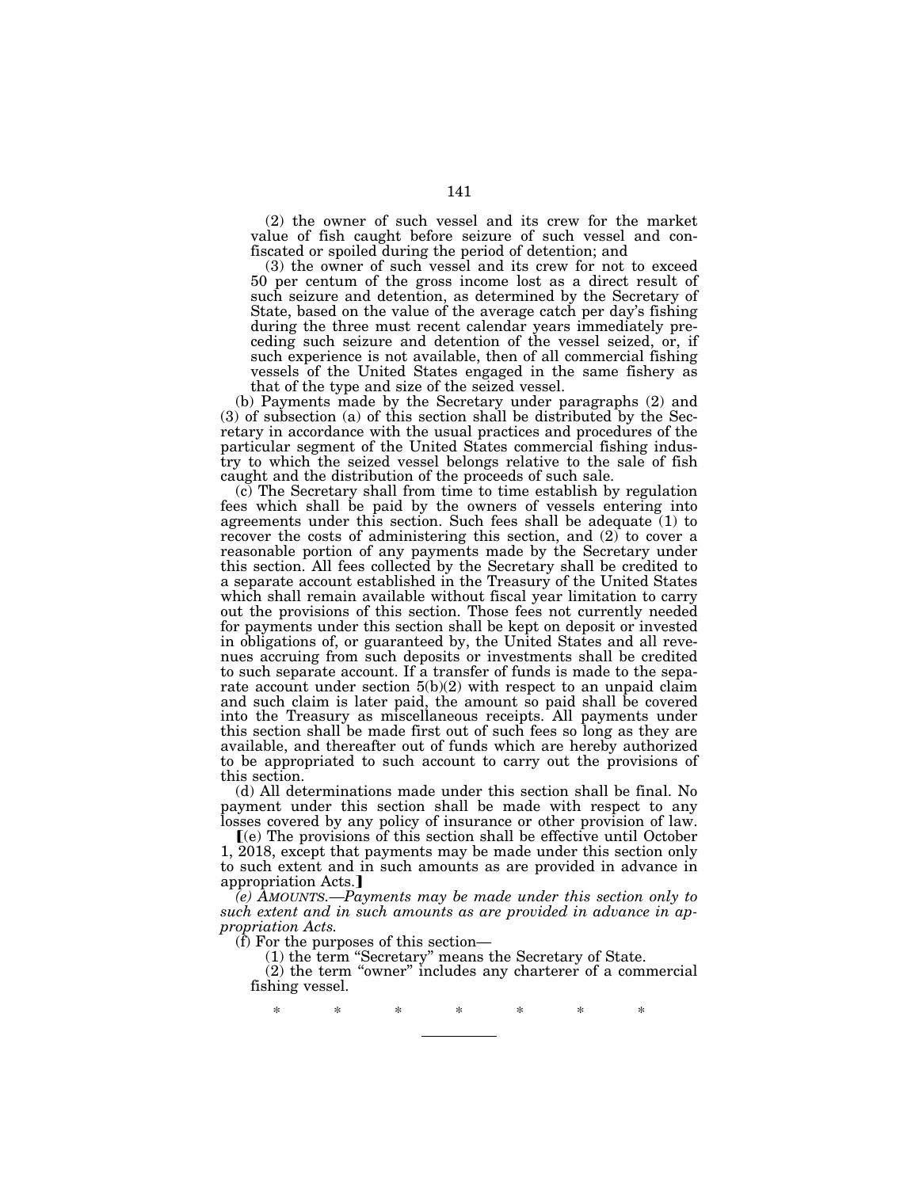(2) the owner of such vessel and its crew for the market value of fish caught before seizure of such vessel and confiscated or spoiled during the period of detention; and

(3) the owner of such vessel and its crew for not to exceed 50 per centum of the gross income lost as a direct result of such seizure and detention, as determined by the Secretary of State, based on the value of the average catch per day's fishing during the three must recent calendar years immediately preceding such seizure and detention of the vessel seized, or, if such experience is not available, then of all commercial fishing vessels of the United States engaged in the same fishery as that of the type and size of the seized vessel.

(b) Payments made by the Secretary under paragraphs (2) and (3) of subsection (a) of this section shall be distributed by the Secretary in accordance with the usual practices and procedures of the particular segment of the United States commercial fishing industry to which the seized vessel belongs relative to the sale of fish caught and the distribution of the proceeds of such sale.

(c) The Secretary shall from time to time establish by regulation fees which shall be paid by the owners of vessels entering into agreements under this section. Such fees shall be adequate (1) to recover the costs of administering this section, and (2) to cover a reasonable portion of any payments made by the Secretary under this section. All fees collected by the Secretary shall be credited to a separate account established in the Treasury of the United States which shall remain available without fiscal year limitation to carry out the provisions of this section. Those fees not currently needed for payments under this section shall be kept on deposit or invested in obligations of, or guaranteed by, the United States and all revenues accruing from such deposits or investments shall be credited to such separate account. If a transfer of funds is made to the separate account under section 5(b)(2) with respect to an unpaid claim and such claim is later paid, the amount so paid shall be covered into the Treasury as miscellaneous receipts. All payments under this section shall be made first out of such fees so long as they are available, and thereafter out of funds which are hereby authorized to be appropriated to such account to carry out the provisions of this section.

(d) All determinations made under this section shall be final. No payment under this section shall be made with respect to any losses covered by any policy of insurance or other provision of law.

ø(e) The provisions of this section shall be effective until October 1, 2018, except that payments may be made under this section only to such extent and in such amounts as are provided in advance in appropriation Acts.]

*(e) AMOUNTS.—Payments may be made under this section only to such extent and in such amounts as are provided in advance in appropriation Acts.* 

 $(f)$  For the purposes of this section—

(1) the term ''Secretary'' means the Secretary of State.

(2) the term "owner" includes any charterer of a commercial fishing vessel.

\* \* \* \* \* \* \*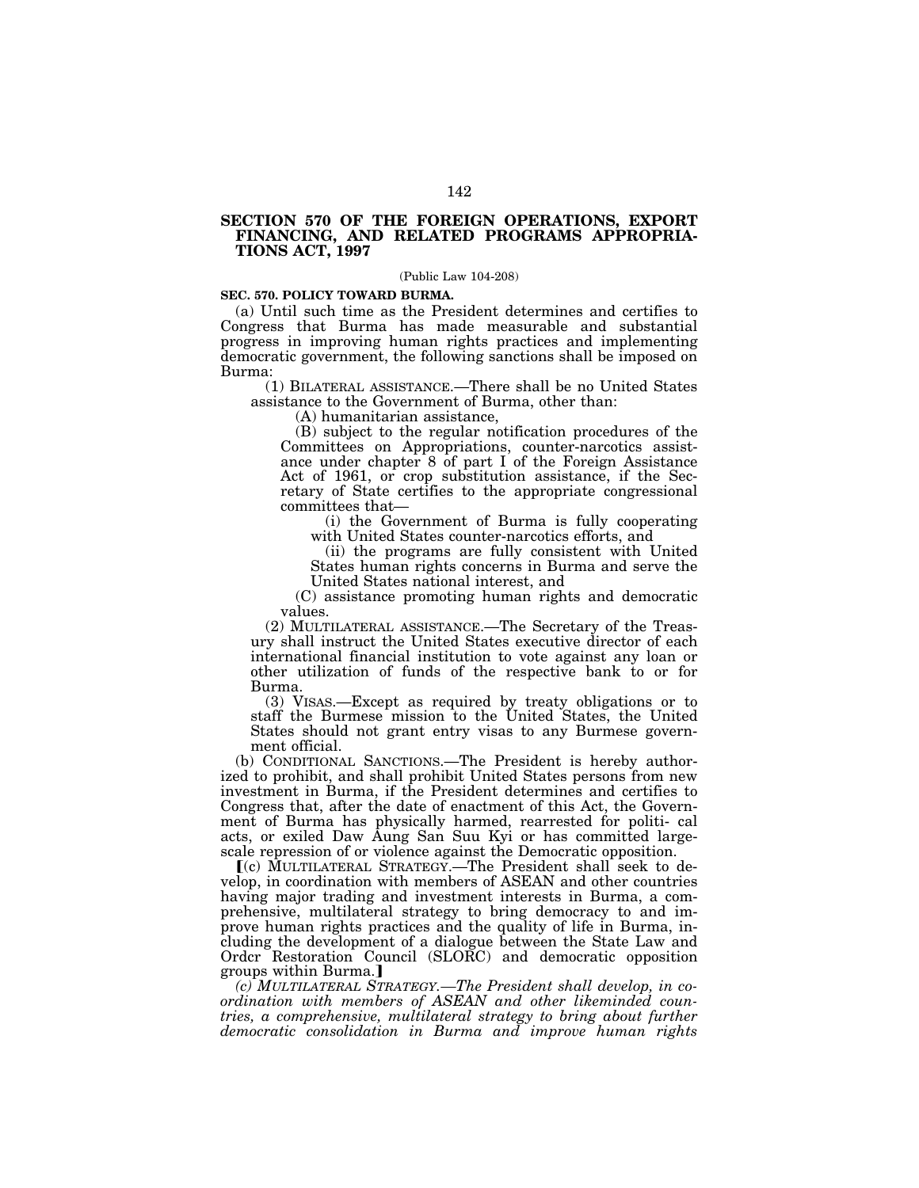# **SECTION 570 OF THE FOREIGN OPERATIONS, EXPORT FINANCING, AND RELATED PROGRAMS APPROPRIA-TIONS ACT, 1997**

#### (Public Law 104-208)

**SEC. 570. POLICY TOWARD BURMA.** 

(a) Until such time as the President determines and certifies to Congress that Burma has made measurable and substantial progress in improving human rights practices and implementing democratic government, the following sanctions shall be imposed on Burma:

(1) BILATERAL ASSISTANCE.—There shall be no United States assistance to the Government of Burma, other than:

(A) humanitarian assistance,

(B) subject to the regular notification procedures of the Committees on Appropriations, counter-narcotics assistance under chapter 8 of part I of the Foreign Assistance Act of 1961, or crop substitution assistance, if the Secretary of State certifies to the appropriate congressional committees that—

(i) the Government of Burma is fully cooperating with United States counter-narcotics efforts, and

(ii) the programs are fully consistent with United States human rights concerns in Burma and serve the United States national interest, and

(C) assistance promoting human rights and democratic values.

(2) MULTILATERAL ASSISTANCE.—The Secretary of the Treasury shall instruct the United States executive director of each international financial institution to vote against any loan or other utilization of funds of the respective bank to or for Burma.

(3) VISAS.—Except as required by treaty obligations or to staff the Burmese mission to the United States, the United States should not grant entry visas to any Burmese government official.

(b) CONDITIONAL SANCTIONS.—The President is hereby authorized to prohibit, and shall prohibit United States persons from new investment in Burma, if the President determines and certifies to Congress that, after the date of enactment of this Act, the Government of Burma has physically harmed, rearrested for politi- cal acts, or exiled Daw Aung San Suu Kyi or has committed largescale repression of or violence against the Democratic opposition.

ø(c) MULTILATERAL STRATEGY.—The President shall seek to develop, in coordination with members of ASEAN and other countries having major trading and investment interests in Burma, a comprehensive, multilateral strategy to bring democracy to and improve human rights practices and the quality of life in Burma, including the development of a dialogue between the State Law and Ordcr Restoration Council (SLORC) and democratic opposition groups within Burma.]

*(c) MULTILATERAL STRATEGY.—The President shall develop, in coordination with members of ASEAN and other likeminded countries, a comprehensive, multilateral strategy to bring about further democratic consolidation in Burma and improve human rights*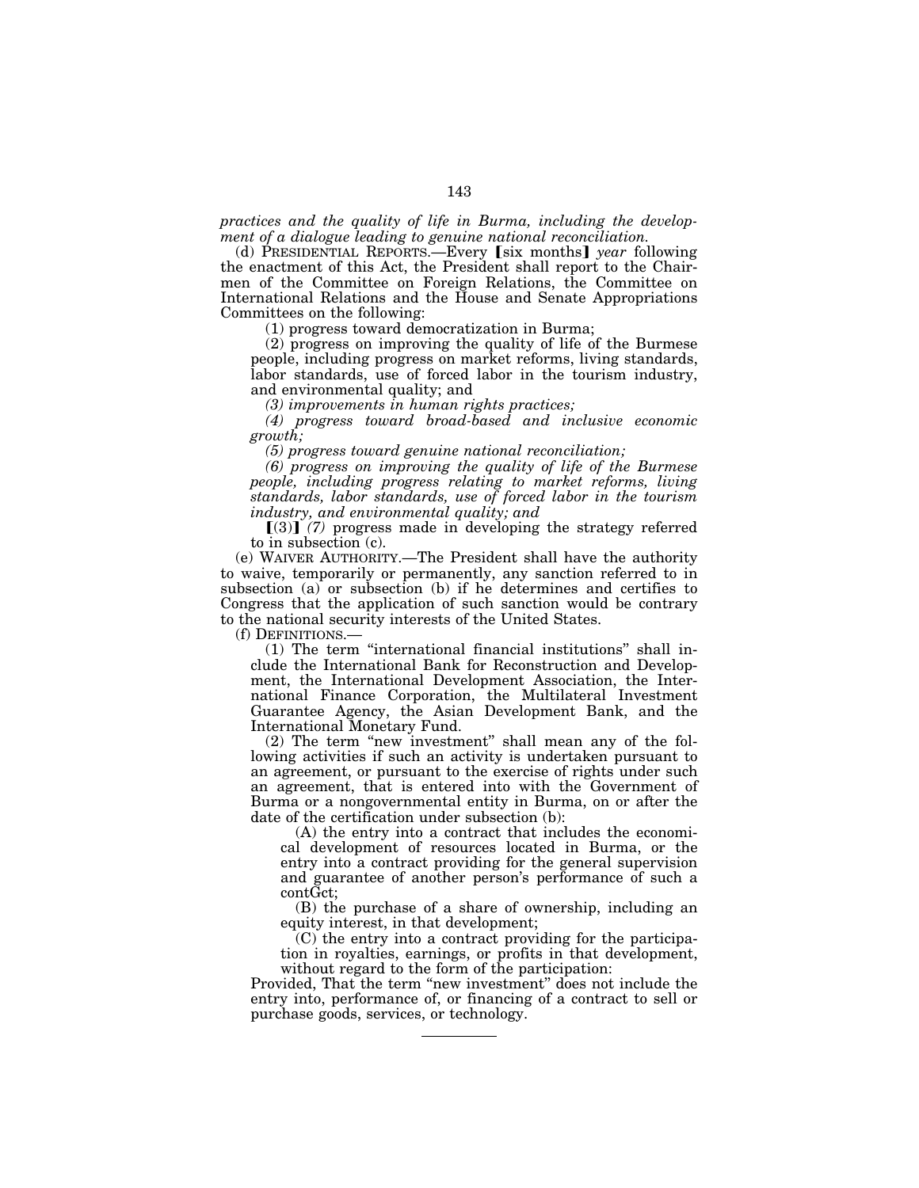*practices and the quality of life in Burma, including the development of a dialogue leading to genuine national reconciliation.* 

(d) PRESIDENTIAL REPORTS.—Every [six months] *year* following the enactment of this Act, the President shall report to the Chairmen of the Committee on Foreign Relations, the Committee on International Relations and the House and Senate Appropriations Committees on the following:

(1) progress toward democratization in Burma;

(2) progress on improving the quality of life of the Burmese people, including progress on market reforms, living standards, labor standards, use of forced labor in the tourism industry, and environmental quality; and

*(3) improvements in human rights practices;* 

*(4) progress toward broad-based and inclusive economic growth;* 

*(5) progress toward genuine national reconciliation;* 

*(6) progress on improving the quality of life of the Burmese people, including progress relating to market reforms, living standards, labor standards, use of forced labor in the tourism industry, and environmental quality; and* 

 $[(3)]$ <sup> $(7)$ </sup> progress made in developing the strategy referred to in subsection (c).

(e) WAIVER AUTHORITY.—The President shall have the authority to waive, temporarily or permanently, any sanction referred to in subsection (a) or subsection (b) if he determines and certifies to Congress that the application of such sanction would be contrary to the national security interests of the United States.

(f) DEFINITIONS.—

(1) The term ''international financial institutions'' shall include the International Bank for Reconstruction and Development, the International Development Association, the International Finance Corporation, the Multilateral Investment Guarantee Agency, the Asian Development Bank, and the International Monetary Fund.

 $(2)$  The term "new investment" shall mean any of the following activities if such an activity is undertaken pursuant to an agreement, or pursuant to the exercise of rights under such an agreement, that is entered into with the Government of Burma or a nongovernmental entity in Burma, on or after the date of the certification under subsection (b):

(A) the entry into a contract that includes the economical development of resources located in Burma, or the entry into a contract providing for the general supervision and guarantee of another person's performance of such a contGct;

(B) the purchase of a share of ownership, including an equity interest, in that development;

(C) the entry into a contract providing for the participation in royalties, earnings, or profits in that development, without regard to the form of the participation:

Provided, That the term "new investment" does not include the entry into, performance of, or financing of a contract to sell or purchase goods, services, or technology.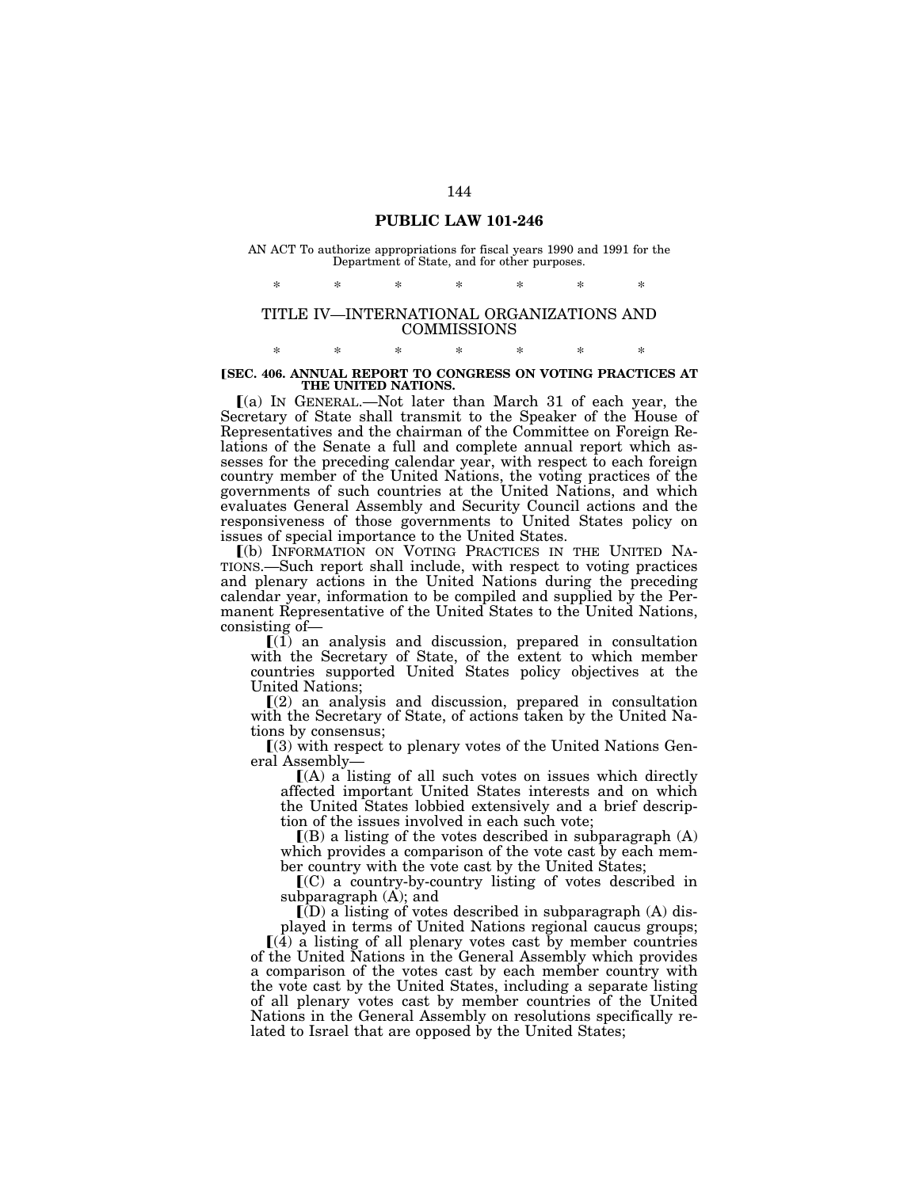# **PUBLIC LAW 101-246**

AN ACT To authorize appropriations for fiscal years 1990 and 1991 for the Department of State, and for other purposes.

\* \* \* \* \* \* \*

# TITLE IV—INTERNATIONAL ORGANIZATIONS AND COMMISSIONS

# \* \* \* \* \* \* \* **[SEC. 406. ANNUAL REPORT TO CONGRESS ON VOTING PRACTICES AT THE UNITED NATIONS.**

 $(a)$  IN GENERAL.—Not later than March 31 of each year, the Secretary of State shall transmit to the Speaker of the House of Representatives and the chairman of the Committee on Foreign Relations of the Senate a full and complete annual report which assesses for the preceding calendar year, with respect to each foreign country member of the United Nations, the voting practices of the governments of such countries at the United Nations, and which evaluates General Assembly and Security Council actions and the responsiveness of those governments to United States policy on issues of special importance to the United States.

<sup>ø</sup>(b) INFORMATION ON VOTING PRACTICES IN THE UNITED NA- TIONS.—Such report shall include, with respect to voting practices and plenary actions in the United Nations during the preceding calendar year, information to be compiled and supplied by the Permanent Representative of the United States to the United Nations, consisting of—

 $(1)$  an analysis and discussion, prepared in consultation with the Secretary of State, of the extent to which member countries supported United States policy objectives at the United Nations;

 $(2)$  an analysis and discussion, prepared in consultation with the Secretary of State, of actions taken by the United Nations by consensus;

 $(3)$  with respect to plenary votes of the United Nations General Assembly—

 $(A)$  a listing of all such votes on issues which directly affected important United States interests and on which the United States lobbied extensively and a brief description of the issues involved in each such vote;

 $($ B) a listing of the votes described in subparagraph  $(A)$ which provides a comparison of the vote cast by each member country with the vote cast by the United States;

 $(C)$  a country-by-country listing of votes described in subparagraph (A); and

 $\overline{I}(D)$  a listing of votes described in subparagraph (A) displayed in terms of United Nations regional caucus groups;

 $(a)$  a listing of all plenary votes cast by member countries of the United Nations in the General Assembly which provides a comparison of the votes cast by each member country with the vote cast by the United States, including a separate listing of all plenary votes cast by member countries of the United Nations in the General Assembly on resolutions specifically related to Israel that are opposed by the United States;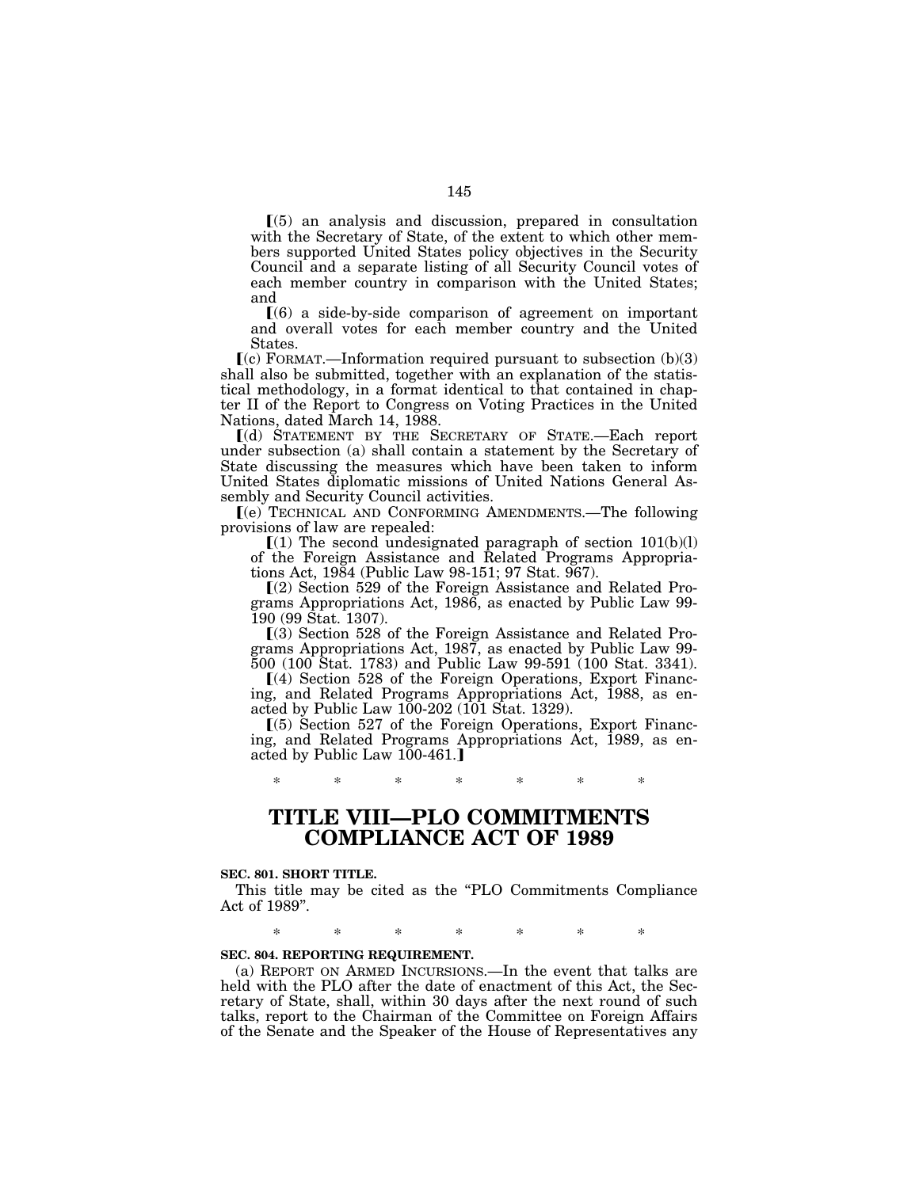$(5)$  an analysis and discussion, prepared in consultation with the Secretary of State, of the extent to which other members supported United States policy objectives in the Security Council and a separate listing of all Security Council votes of each member country in comparison with the United States; and

 $(6)$  a side-by-side comparison of agreement on important and overall votes for each member country and the United States.

 $(c)$  FORMAT.—Information required pursuant to subsection  $(b)(3)$ shall also be submitted, together with an explanation of the statistical methodology, in a format identical to that contained in chapter II of the Report to Congress on Voting Practices in the United Nations, dated March 14, 1988.

ø(d) STATEMENT BY THE SECRETARY OF STATE.—Each report under subsection (a) shall contain a statement by the Secretary of State discussing the measures which have been taken to inform United States diplomatic missions of United Nations General Assembly and Security Council activities.

ø(e) TECHNICAL AND CONFORMING AMENDMENTS.—The following provisions of law are repealed:

 $[(1)$  The second undesignated paragraph of section  $101(b)(l)$ of the Foreign Assistance and Related Programs Appropriations Act, 1984 (Public Law 98-151; 97 Stat. 967).

 $(2)$  Section 529 of the Foreign Assistance and Related Programs Appropriations Act, 1986, as enacted by Public Law 99- 190 (99 Stat. 1307).

ø(3) Section 528 of the Foreign Assistance and Related Programs Appropriations Act, 1987, as enacted by Public Law 99- 500 (100 Stat. 1783) and Public Law 99-591 (100 Stat. 3341).

 $(a)$  Section 528 of the Foreign Operations, Export Financing, and Related Programs Appropriations Act, 1988, as enacted by Public Law  $100-202$  ( $101$  Stat. 1329).

 $(5)$  Section 527 of the Foreign Operations, Export Financing, and Related Programs Appropriations Act, 1989, as enacted by Public Law 100-461.]

\* \* \* \* \* \* \*

# **TITLE VIII—PLO COMMITMENTS COMPLIANCE ACT OF 1989**

#### **SEC. 801. SHORT TITLE.**

This title may be cited as the ''PLO Commitments Compliance Act of 1989''.

\* \* \* \* \* \* \*

#### **SEC. 804. REPORTING REQUIREMENT.**

(a) REPORT ON ARMED INCURSIONS.—In the event that talks are held with the PLO after the date of enactment of this Act, the Secretary of State, shall, within 30 days after the next round of such talks, report to the Chairman of the Committee on Foreign Affairs of the Senate and the Speaker of the House of Representatives any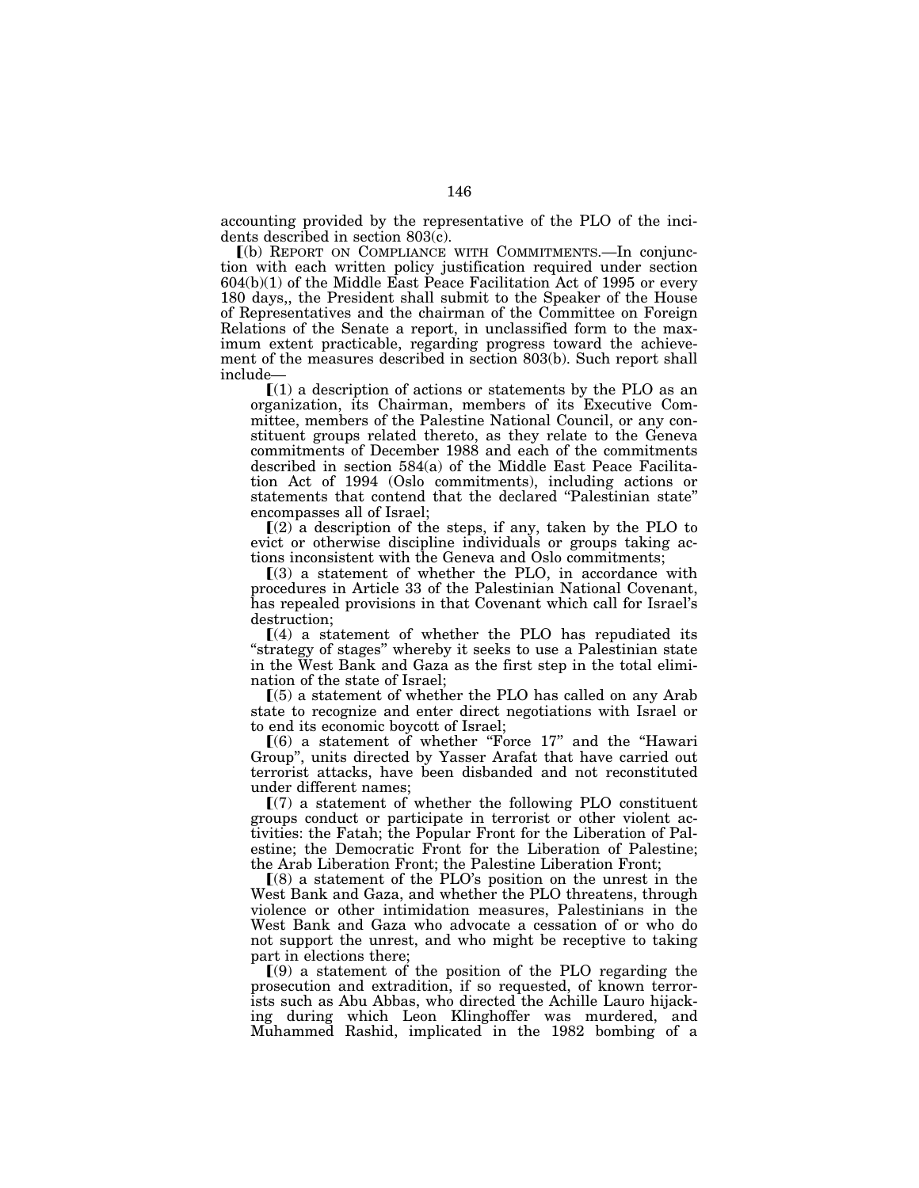accounting provided by the representative of the PLO of the incidents described in section 803(c).

ø(b) REPORT ON COMPLIANCE WITH COMMITMENTS.—In conjunction with each written policy justification required under section 604(b)(1) of the Middle East Peace Facilitation Act of 1995 or every 180 days,, the President shall submit to the Speaker of the House of Representatives and the chairman of the Committee on Foreign Relations of the Senate a report, in unclassified form to the maximum extent practicable, regarding progress toward the achievement of the measures described in section 803(b). Such report shall include—

 $\Gamma(1)$  a description of actions or statements by the PLO as an organization, its Chairman, members of its Executive Committee, members of the Palestine National Council, or any constituent groups related thereto, as they relate to the Geneva commitments of December 1988 and each of the commitments described in section 584(a) of the Middle East Peace Facilitation Act of 1994 (Oslo commitments), including actions or statements that contend that the declared ''Palestinian state'' encompasses all of Israel;

 $(2)$  a description of the steps, if any, taken by the PLO to evict or otherwise discipline individuals or groups taking actions inconsistent with the Geneva and Oslo commitments;

 $(3)$  a statement of whether the PLO, in accordance with procedures in Article 33 of the Palestinian National Covenant, has repealed provisions in that Covenant which call for Israel's destruction;

 $(4)$  a statement of whether the PLO has repudiated its ''strategy of stages'' whereby it seeks to use a Palestinian state in the West Bank and Gaza as the first step in the total elimination of the state of Israel;

 $(5)$  a statement of whether the PLO has called on any Arab state to recognize and enter direct negotiations with Israel or to end its economic boycott of Israel;

 $(6)$  a statement of whether "Force 17" and the "Hawari Group'', units directed by Yasser Arafat that have carried out terrorist attacks, have been disbanded and not reconstituted under different names;

 $(7)$  a statement of whether the following PLO constituent groups conduct or participate in terrorist or other violent activities: the Fatah; the Popular Front for the Liberation of Palestine; the Democratic Front for the Liberation of Palestine; the Arab Liberation Front; the Palestine Liberation Front;

 $(8)$  a statement of the PLO's position on the unrest in the West Bank and Gaza, and whether the PLO threatens, through violence or other intimidation measures, Palestinians in the West Bank and Gaza who advocate a cessation of or who do not support the unrest, and who might be receptive to taking part in elections there;

 $(9)$  a statement of the position of the PLO regarding the prosecution and extradition, if so requested, of known terrorists such as Abu Abbas, who directed the Achille Lauro hijacking during which Leon Klinghoffer was murdered, and Muhammed Rashid, implicated in the 1982 bombing of a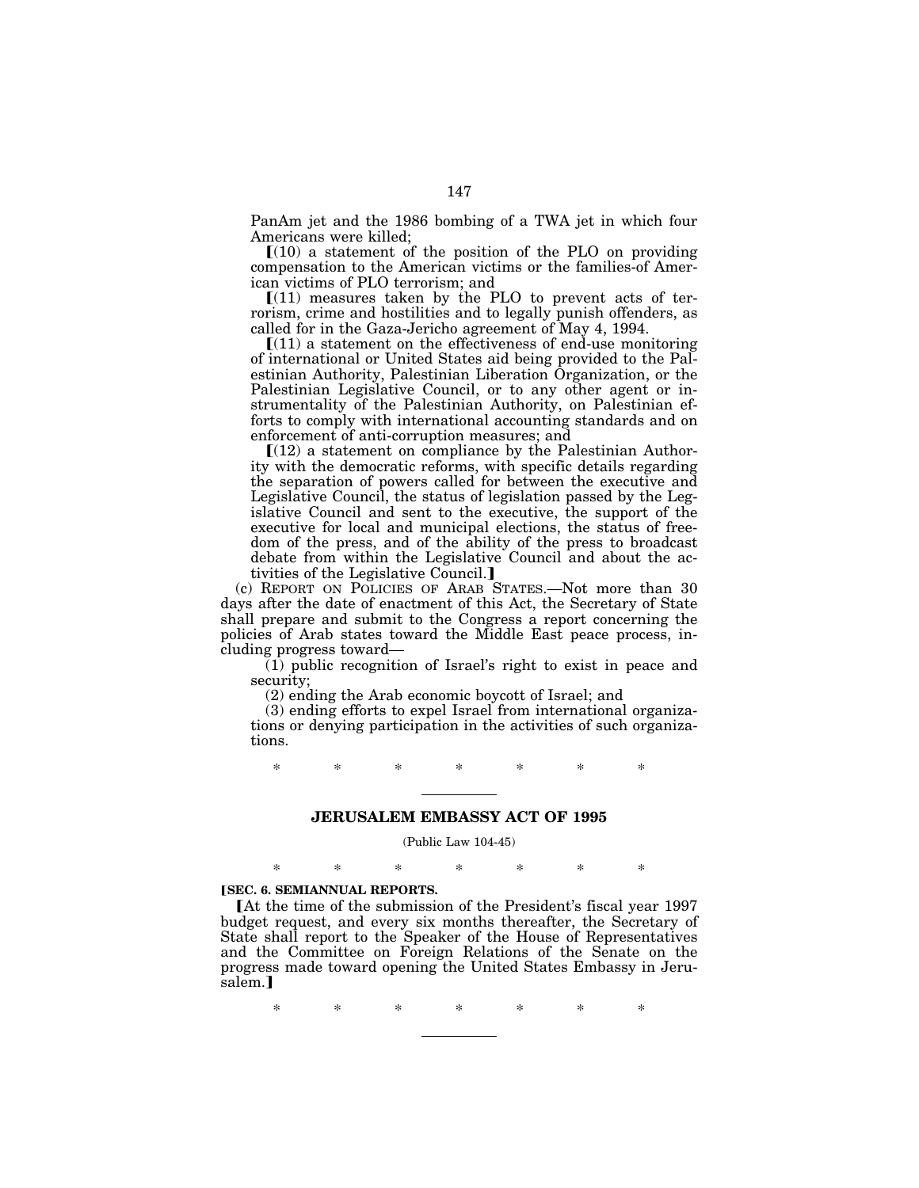PanAm jet and the 1986 bombing of a TWA jet in which four Americans were killed;

 $(10)$  a statement of the position of the PLO on providing compensation to the American victims or the families-of American victims of PLO terrorism; and

 $[(11)$  measures taken by the PLO to prevent acts of terrorism, crime and hostilities and to legally punish offenders, as called for in the Gaza-Jericho agreement of May 4, 1994.

 $(11)$  a statement on the effectiveness of end-use monitoring of international or United States aid being provided to the Palestinian Authority, Palestinian Liberation Organization, or the Palestinian Legislative Council, or to any other agent or instrumentality of the Palestinian Authority, on Palestinian efforts to comply with international accounting standards and on enforcement of anti-corruption measures; and

 $\Gamma(12)$  a statement on compliance by the Palestinian Authority with the democratic reforms, with specific details regarding the separation of powers called for between the executive and Legislative Council, the status of legislation passed by the Legislative Council and sent to the executive, the support of the executive for local and municipal elections, the status of freedom of the press, and of the ability of the press to broadcast debate from within the Legislative Council and about the activities of the Legislative Council.

(c) REPORT ON POLICIES OF ARAB STATES.—Not more than 30 days after the date of enactment of this Act, the Secretary of State shall prepare and submit to the Congress a report concerning the policies of Arab states toward the Middle East peace process, including progress toward—

(1) public recognition of Israel's right to exist in peace and security;

(2) ending the Arab economic boycott of Israel; and

(3) ending efforts to expel Israel from international organizations or denying participation in the activities of such organizations.

\* \* \* \* \* \* \*

### **JERUSALEM EMBASSY ACT OF 1995**

(Public Law 104-45)

\* \* \* \* \* \* \*

#### **[SEC. 6. SEMIANNUAL REPORTS.**

At the time of the submission of the President's fiscal year 1997 budget request, and every six months thereafter, the Secretary of State shall report to the Speaker of the House of Representatives and the Committee on Foreign Relations of the Senate on the progress made toward opening the United States Embassy in Jerusalem.]

\* \* \* \* \* \* \*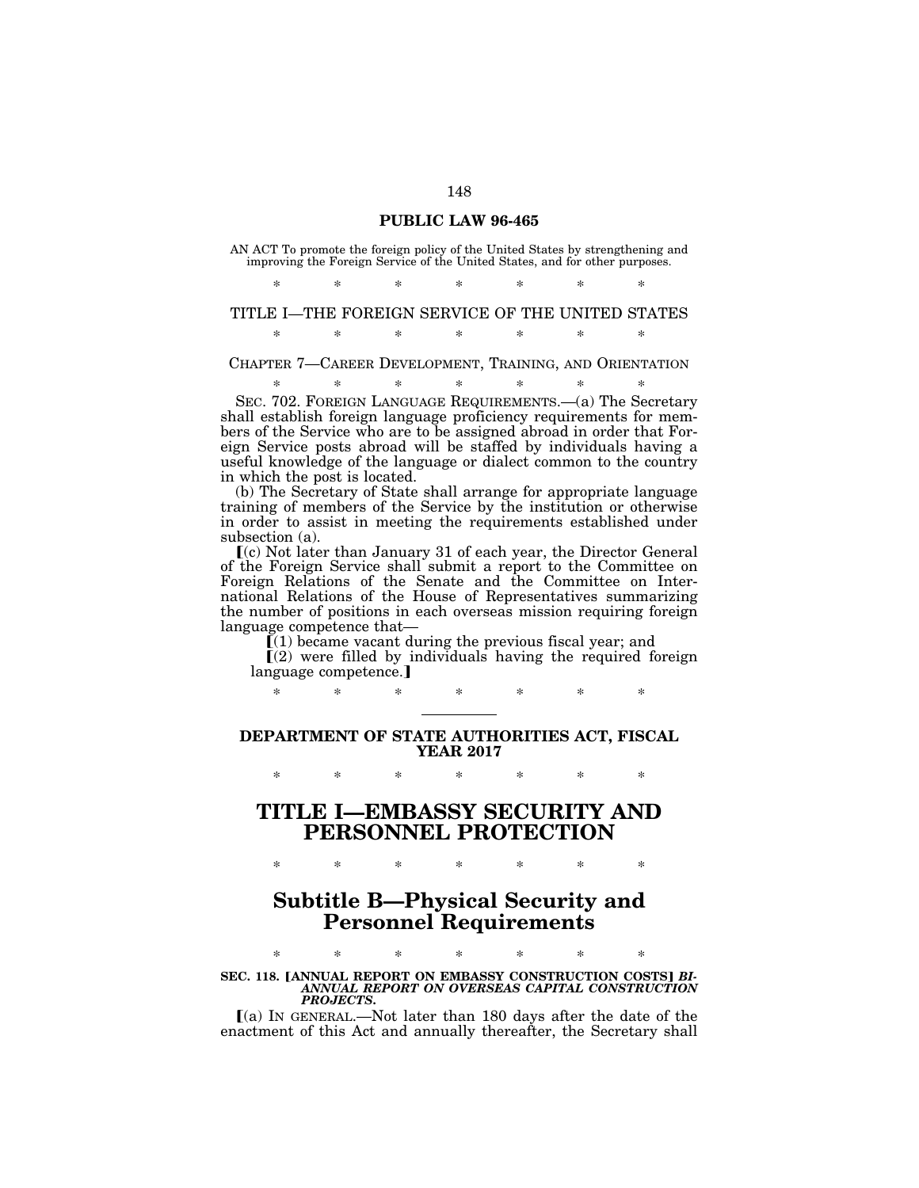#### **PUBLIC LAW 96-465**

AN ACT To promote the foreign policy of the United States by strengthening and improving the Foreign Service of the United States, and for other purposes.

\* \* \* \* \* \* \*

## TITLE I—THE FOREIGN SERVICE OF THE UNITED STATES

\* \* \* \* \* \* \*

#### CHAPTER 7—CAREER DEVELOPMENT, TRAINING, AND ORIENTATION

\* \* \* \* \* \* \* SEC. 702. FOREIGN LANGUAGE REQUIREMENTS.—(a) The Secretary shall establish foreign language proficiency requirements for members of the Service who are to be assigned abroad in order that Foreign Service posts abroad will be staffed by individuals having a useful knowledge of the language or dialect common to the country in which the post is located.

(b) The Secretary of State shall arrange for appropriate language training of members of the Service by the institution or otherwise in order to assist in meeting the requirements established under subsection (a).

ø(c) Not later than January 31 of each year, the Director General of the Foreign Service shall submit a report to the Committee on Foreign Relations of the Senate and the Committee on International Relations of the House of Representatives summarizing the number of positions in each overseas mission requiring foreign language competence that—

 $(1)$  became vacant during the previous fiscal year; and

 $(2)$  were filled by individuals having the required foreign language competence.

\* \* \* \* \* \* \*

#### **DEPARTMENT OF STATE AUTHORITIES ACT, FISCAL YEAR 2017**

\* \* \* \* \* \* \*

# **TITLE I—EMBASSY SECURITY AND PERSONNEL PROTECTION**

\* \* \* \* \* \* \*

# **Subtitle B—Physical Security and Personnel Requirements**

#### \* \* \* \* \* \* \* **SEC. 118. [ANNUAL REPORT ON EMBASSY CONSTRUCTION COSTS] BI-***ANNUAL REPORT ON OVERSEAS CAPITAL CONSTRUCTION PROJECTS***.**

 $(a)$  In GENERAL.—Not later than 180 days after the date of the enactment of this Act and annually thereafter, the Secretary shall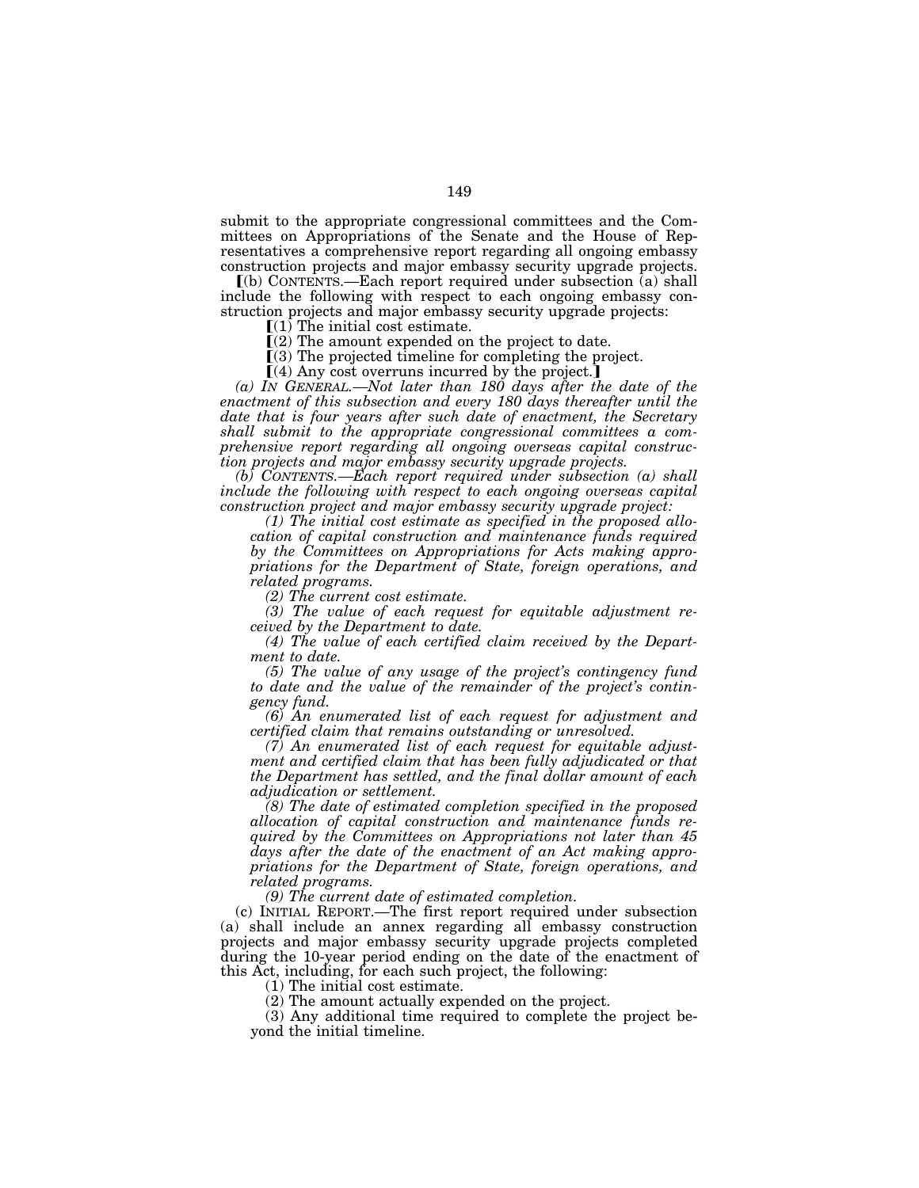submit to the appropriate congressional committees and the Committees on Appropriations of the Senate and the House of Representatives a comprehensive report regarding all ongoing embassy construction projects and major embassy security upgrade projects.

 $(a)$  CONTENTS.—Each report required under subsection  $(a)$  shall include the following with respect to each ongoing embassy construction projects and major embassy security upgrade projects:

 $(1)$  The initial cost estimate.

 $(2)$  The amount expended on the project to date.

 $(3)$  The projected timeline for completing the project.

 $(4)$  Any cost overruns incurred by the project.]

*(a) IN GENERAL.—Not later than 180 days after the date of the enactment of this subsection and every 180 days thereafter until the date that is four years after such date of enactment, the Secretary shall submit to the appropriate congressional committees a comprehensive report regarding all ongoing overseas capital construction projects and major embassy security upgrade projects.* 

*(b) CONTENTS.—Each report required under subsection (a) shall include the following with respect to each ongoing overseas capital construction project and major embassy security upgrade project:* 

*(1) The initial cost estimate as specified in the proposed allocation of capital construction and maintenance funds required by the Committees on Appropriations for Acts making appropriations for the Department of State, foreign operations, and related programs.* 

*(2) The current cost estimate.* 

*(3) The value of each request for equitable adjustment received by the Department to date.* 

*(4) The value of each certified claim received by the Department to date.* 

*(5) The value of any usage of the project's contingency fund to date and the value of the remainder of the project's contingency fund.* 

*(6) An enumerated list of each request for adjustment and certified claim that remains outstanding or unresolved.* 

*(7) An enumerated list of each request for equitable adjustment and certified claim that has been fully adjudicated or that the Department has settled, and the final dollar amount of each adjudication or settlement.* 

*(8) The date of estimated completion specified in the proposed allocation of capital construction and maintenance funds required by the Committees on Appropriations not later than 45 days after the date of the enactment of an Act making appropriations for the Department of State, foreign operations, and related programs.* 

*(9) The current date of estimated completion.* 

(c) INITIAL REPORT.—The first report required under subsection (a) shall include an annex regarding all embassy construction projects and major embassy security upgrade projects completed during the 10-year period ending on the date of the enactment of this Act, including, for each such project, the following:

(1) The initial cost estimate.

(2) The amount actually expended on the project.

(3) Any additional time required to complete the project beyond the initial timeline.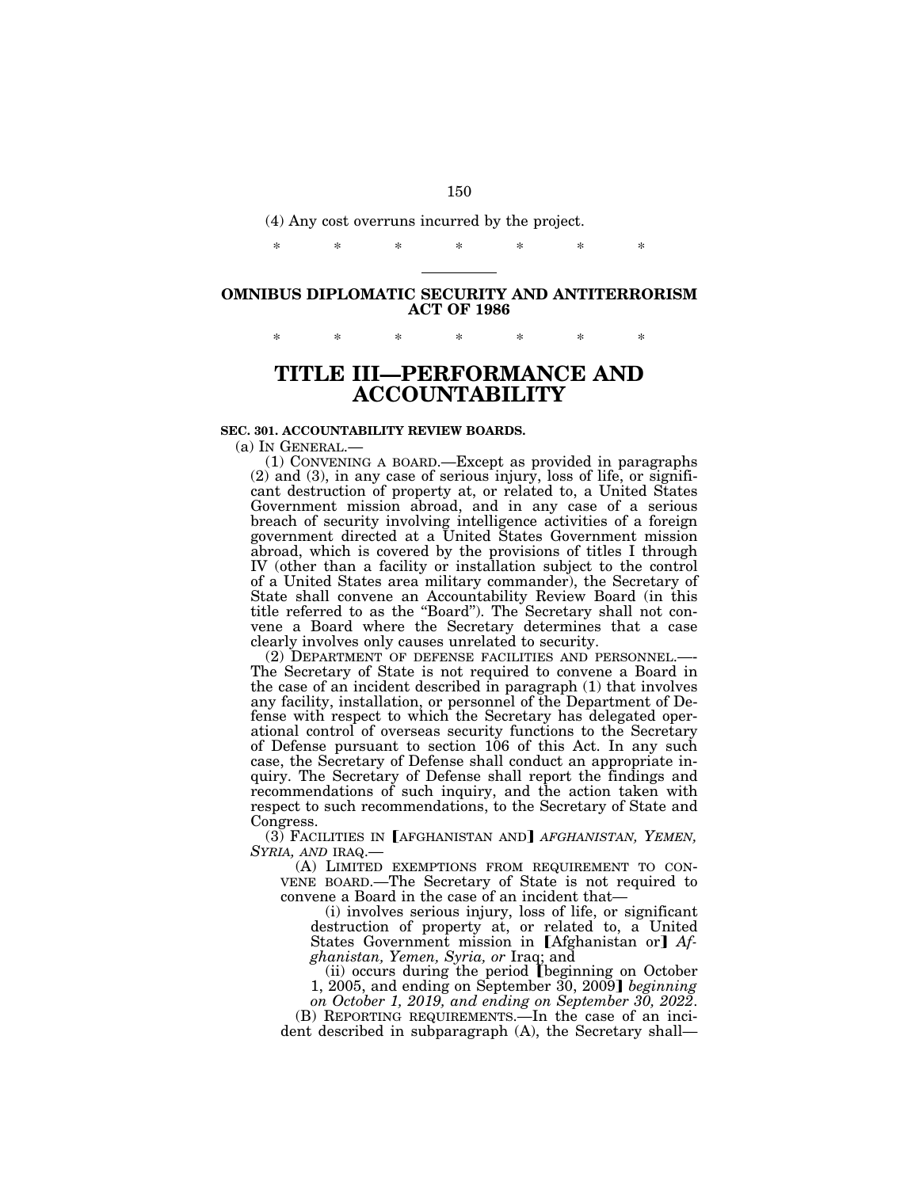#### (4) Any cost overruns incurred by the project.

\* \* \* \* \* \* \*

#### **OMNIBUS DIPLOMATIC SECURITY AND ANTITERRORISM ACT OF 1986**

\* \* \* \* \* \* \*

# **TITLE III—PERFORMANCE AND ACCOUNTABILITY**

#### **SEC. 301. ACCOUNTABILITY REVIEW BOARDS.**

(a) IN GENERAL.— (1) CONVENING A BOARD.—Except as provided in paragraphs (2) and (3), in any case of serious injury, loss of life, or significant destruction of property at, or related to, a United States Government mission abroad, and in any case of a serious breach of security involving intelligence activities of a foreign government directed at a United States Government mission abroad, which is covered by the provisions of titles I through IV (other than a facility or installation subject to the control of a United States area military commander), the Secretary of State shall convene an Accountability Review Board (in this title referred to as the ''Board''). The Secretary shall not convene a Board where the Secretary determines that a case clearly involves only causes unrelated to security.

(2) DEPARTMENT OF DEFENSE FACILITIES AND PERSONNEL.-The Secretary of State is not required to convene a Board in the case of an incident described in paragraph (1) that involves any facility, installation, or personnel of the Department of Defense with respect to which the Secretary has delegated operational control of overseas security functions to the Secretary of Defense pursuant to section 106 of this Act. In any such case, the Secretary of Defense shall conduct an appropriate inquiry. The Secretary of Defense shall report the findings and recommendations of such inquiry, and the action taken with respect to such recommendations, to the Secretary of State and Congress.

(3) FACILITIES IN [AFGHANISTAN AND] *AFGHANISTAN*, YEMEN, *SYRIA, AND* IRAQ.—

(A) LIMITED EXEMPTIONS FROM REQUIREMENT TO CON-VENE BOARD.—The Secretary of State is not required to convene a Board in the case of an incident that—

(i) involves serious injury, loss of life, or significant destruction of property at, or related to, a United States Government mission in [Afghanistan or] Af*ghanistan, Yemen, Syria, or Iraq; and* (ii) occurs during the period *Deginning* on October

1, 2005, and ending on September 30, 2009¿ *beginning* 

*on October 1, 2019, and ending on September 30, 2022*. (B) REPORTING REQUIREMENTS.—In the case of an inci-

dent described in subparagraph (A), the Secretary shall—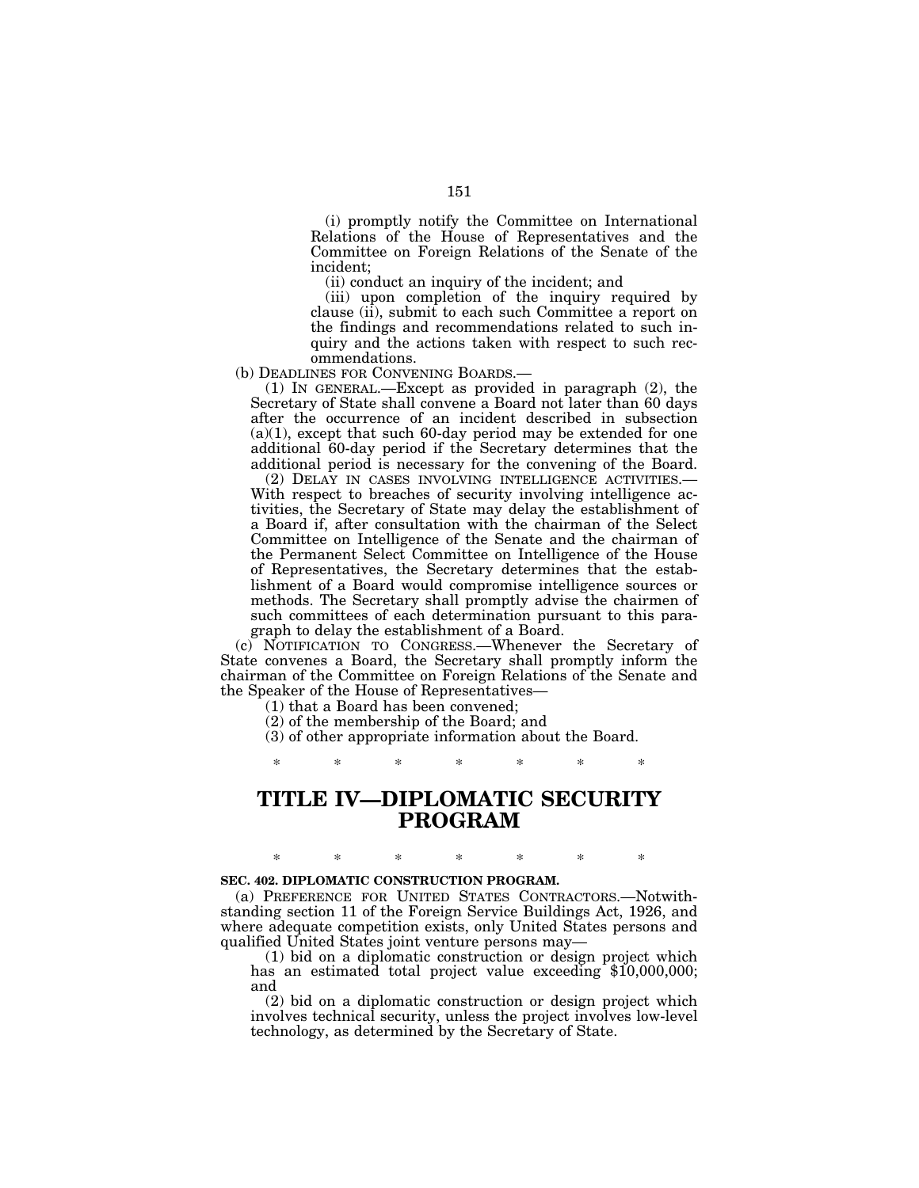(i) promptly notify the Committee on International Relations of the House of Representatives and the Committee on Foreign Relations of the Senate of the incident;

(ii) conduct an inquiry of the incident; and

(iii) upon completion of the inquiry required by clause (ii), submit to each such Committee a report on the findings and recommendations related to such inquiry and the actions taken with respect to such recommendations.

(b) DEADLINES FOR CONVENING BOARDS.—

(1) IN GENERAL.—Except as provided in paragraph (2), the Secretary of State shall convene a Board not later than 60 days after the occurrence of an incident described in subsection  $(a)(1)$ , except that such 60-day period may be extended for one additional 60-day period if the Secretary determines that the additional period is necessary for the convening of the Board.

(2) DELAY IN CASES INVOLVING INTELLIGENCE ACTIVITIES.— With respect to breaches of security involving intelligence activities, the Secretary of State may delay the establishment of a Board if, after consultation with the chairman of the Select Committee on Intelligence of the Senate and the chairman of the Permanent Select Committee on Intelligence of the House of Representatives, the Secretary determines that the establishment of a Board would compromise intelligence sources or methods. The Secretary shall promptly advise the chairmen of such committees of each determination pursuant to this paragraph to delay the establishment of a Board.

(c) NOTIFICATION TO CONGRESS.—Whenever the Secretary of State convenes a Board, the Secretary shall promptly inform the chairman of the Committee on Foreign Relations of the Senate and the Speaker of the House of Representatives—

(1) that a Board has been convened;

(2) of the membership of the Board; and

(3) of other appropriate information about the Board.

\* \* \* \* \* \* \*

# **TITLE IV—DIPLOMATIC SECURITY PROGRAM**

## \* \* \* \* \* \* \* **SEC. 402. DIPLOMATIC CONSTRUCTION PROGRAM.**

(a) PREFERENCE FOR UNITED STATES CONTRACTORS.—Notwithstanding section 11 of the Foreign Service Buildings Act, 1926, and where adequate competition exists, only United States persons and qualified United States joint venture persons may—

(1) bid on a diplomatic construction or design project which has an estimated total project value exceeding \$10,000,000; and

(2) bid on a diplomatic construction or design project which involves technical security, unless the project involves low-level technology, as determined by the Secretary of State.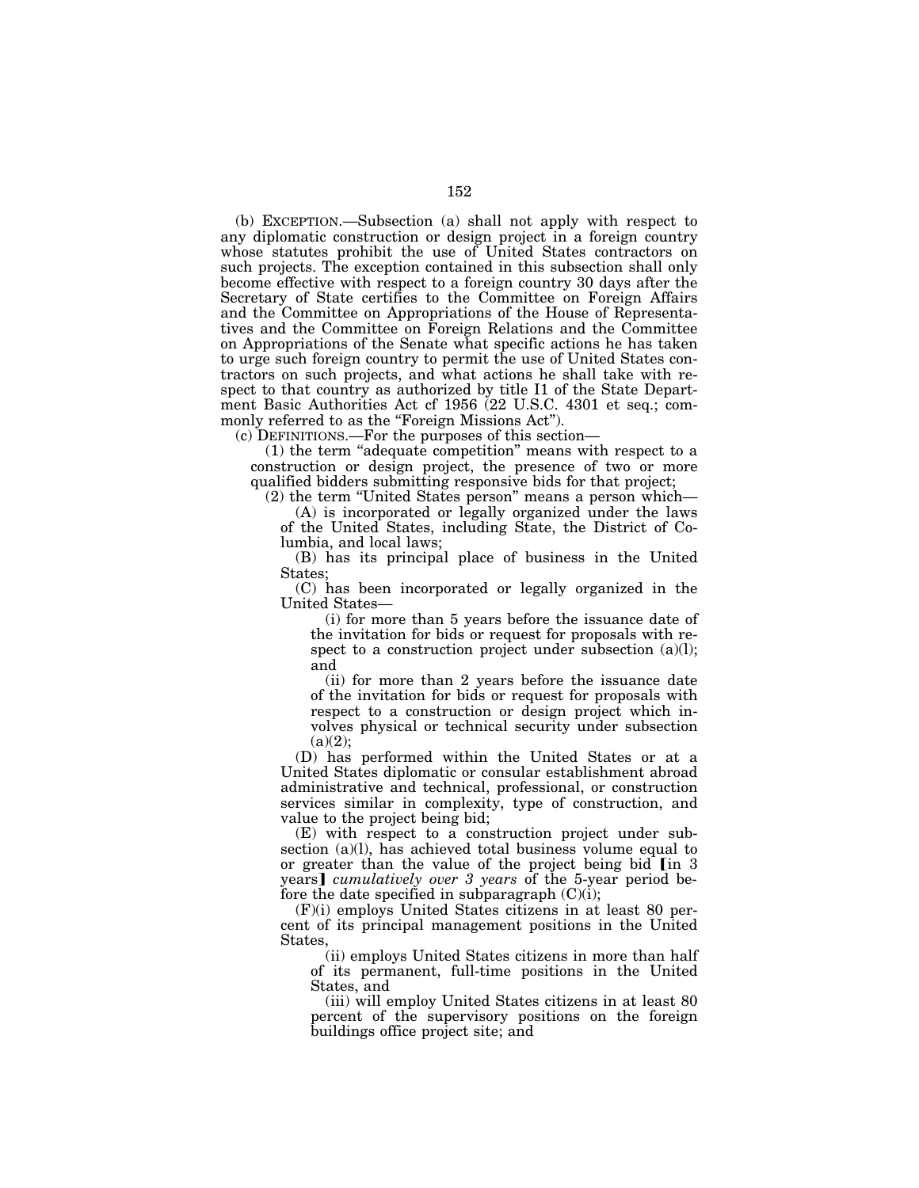(b) EXCEPTION.—Subsection (a) shall not apply with respect to any diplomatic construction or design project in a foreign country whose statutes prohibit the use of United States contractors on such projects. The exception contained in this subsection shall only become effective with respect to a foreign country 30 days after the Secretary of State certifies to the Committee on Foreign Affairs and the Committee on Appropriations of the House of Representatives and the Committee on Foreign Relations and the Committee on Appropriations of the Senate what specific actions he has taken to urge such foreign country to permit the use of United States contractors on such projects, and what actions he shall take with respect to that country as authorized by title I1 of the State Department Basic Authorities Act cf 1956 (22 U.S.C. 4301 et seq.; commonly referred to as the "Foreign Missions Act").

(c) DEFINITIONS.—For the purposes of this section—

(1) the term ''adequate competition'' means with respect to a construction or design project, the presence of two or more qualified bidders submitting responsive bids for that project;

(2) the term ''United States person'' means a person which—

(A) is incorporated or legally organized under the laws of the United States, including State, the District of Columbia, and local laws;

(B) has its principal place of business in the United States;

(C) has been incorporated or legally organized in the United States—

(i) for more than 5 years before the issuance date of the invitation for bids or request for proposals with respect to a construction project under subsection (a)(l); and

(ii) for more than 2 years before the issuance date of the invitation for bids or request for proposals with respect to a construction or design project which involves physical or technical security under subsection  $(a)(2);$ 

(D) has performed within the United States or at a United States diplomatic or consular establishment abroad administrative and technical, professional, or construction services similar in complexity, type of construction, and value to the project being bid;

(E) with respect to a construction project under subsection (a)(l), has achieved total business volume equal to or greater than the value of the project being bid [in 3 years] *cumulatively over 3 years* of the 5-year period before the date specified in subparagraph  $(C)(i)$ ;

(F)(i) employs United States citizens in at least 80 percent of its principal management positions in the United States,

(ii) employs United States citizens in more than half of its permanent, full-time positions in the United States, and

(iii) will employ United States citizens in at least 80 percent of the supervisory positions on the foreign buildings office project site; and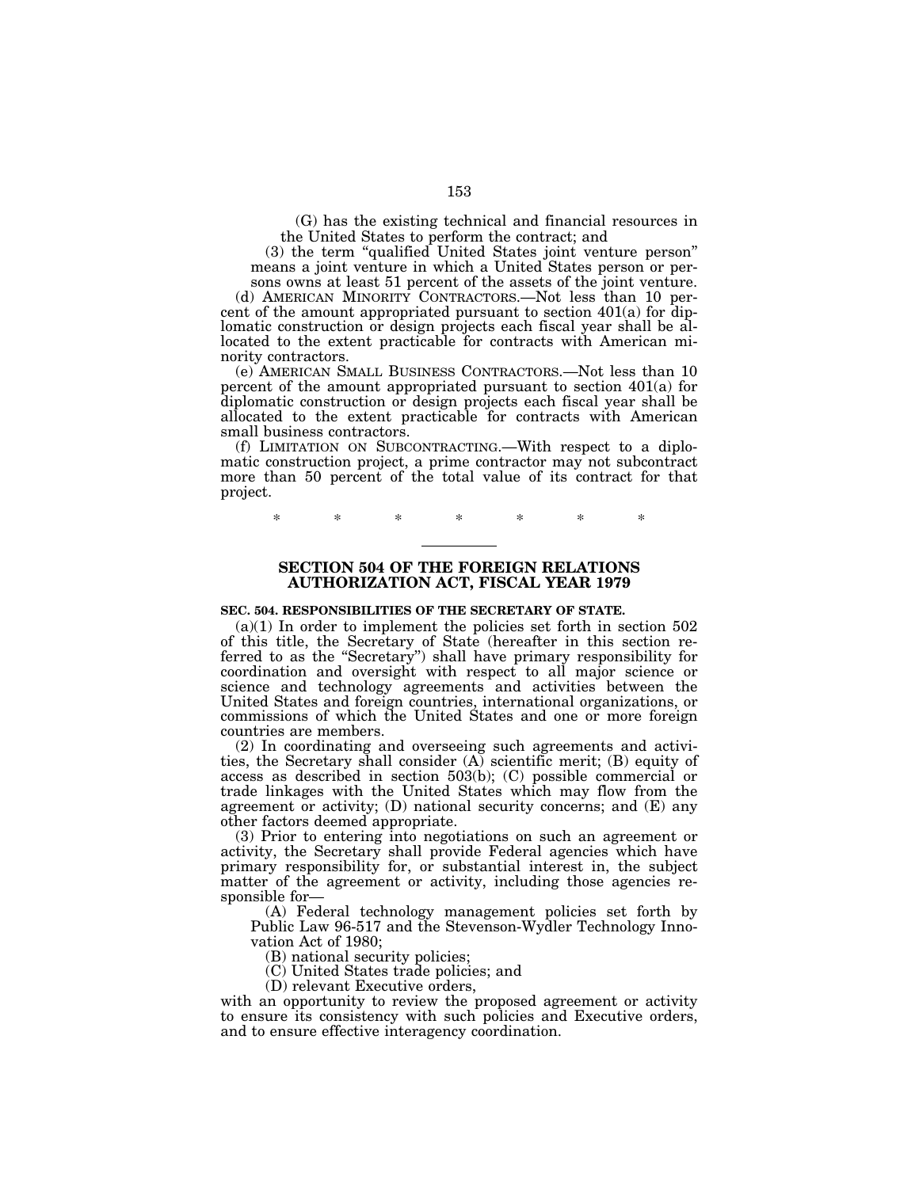(G) has the existing technical and financial resources in the United States to perform the contract; and

(3) the term ''qualified United States joint venture person'' means a joint venture in which a United States person or persons owns at least 51 percent of the assets of the joint venture.

(d) AMERICAN MINORITY CONTRACTORS.—Not less than 10 percent of the amount appropriated pursuant to section 401(a) for diplomatic construction or design projects each fiscal year shall be allocated to the extent practicable for contracts with American minority contractors.

(e) AMERICAN SMALL BUSINESS CONTRACTORS.—Not less than 10 percent of the amount appropriated pursuant to section 401(a) for diplomatic construction or design projects each fiscal year shall be allocated to the extent practicable for contracts with American small business contractors.

(f) LIMITATION ON SUBCONTRACTING.—With respect to a diplomatic construction project, a prime contractor may not subcontract more than 50 percent of the total value of its contract for that project.

\* \* \* \* \* \* \*

#### **SECTION 504 OF THE FOREIGN RELATIONS AUTHORIZATION ACT, FISCAL YEAR 1979**

#### **SEC. 504. RESPONSIBILITIES OF THE SECRETARY OF STATE.**

 $(a)(1)$  In order to implement the policies set forth in section 502 of this title, the Secretary of State (hereafter in this section referred to as the ''Secretary'') shall have primary responsibility for coordination and oversight with respect to all major science or science and technology agreements and activities between the United States and foreign countries, international organizations, or commissions of which the United States and one or more foreign countries are members.

(2) In coordinating and overseeing such agreements and activities, the Secretary shall consider  $(A)$  scientific merit;  $(B)$  equity of access as described in section 503(b); (C) possible commercial or trade linkages with the United States which may flow from the agreement or activity; (D) national security concerns; and (E) any other factors deemed appropriate.

(3) Prior to entering into negotiations on such an agreement or activity, the Secretary shall provide Federal agencies which have primary responsibility for, or substantial interest in, the subject matter of the agreement or activity, including those agencies responsible for—

(A) Federal technology management policies set forth by Public Law 96-517 and the Stevenson-Wydler Technology Innovation Act of 1980;

(B) national security policies;

(C) United States trade policies; and

(D) relevant Executive orders,

with an opportunity to review the proposed agreement or activity to ensure its consistency with such policies and Executive orders, and to ensure effective interagency coordination.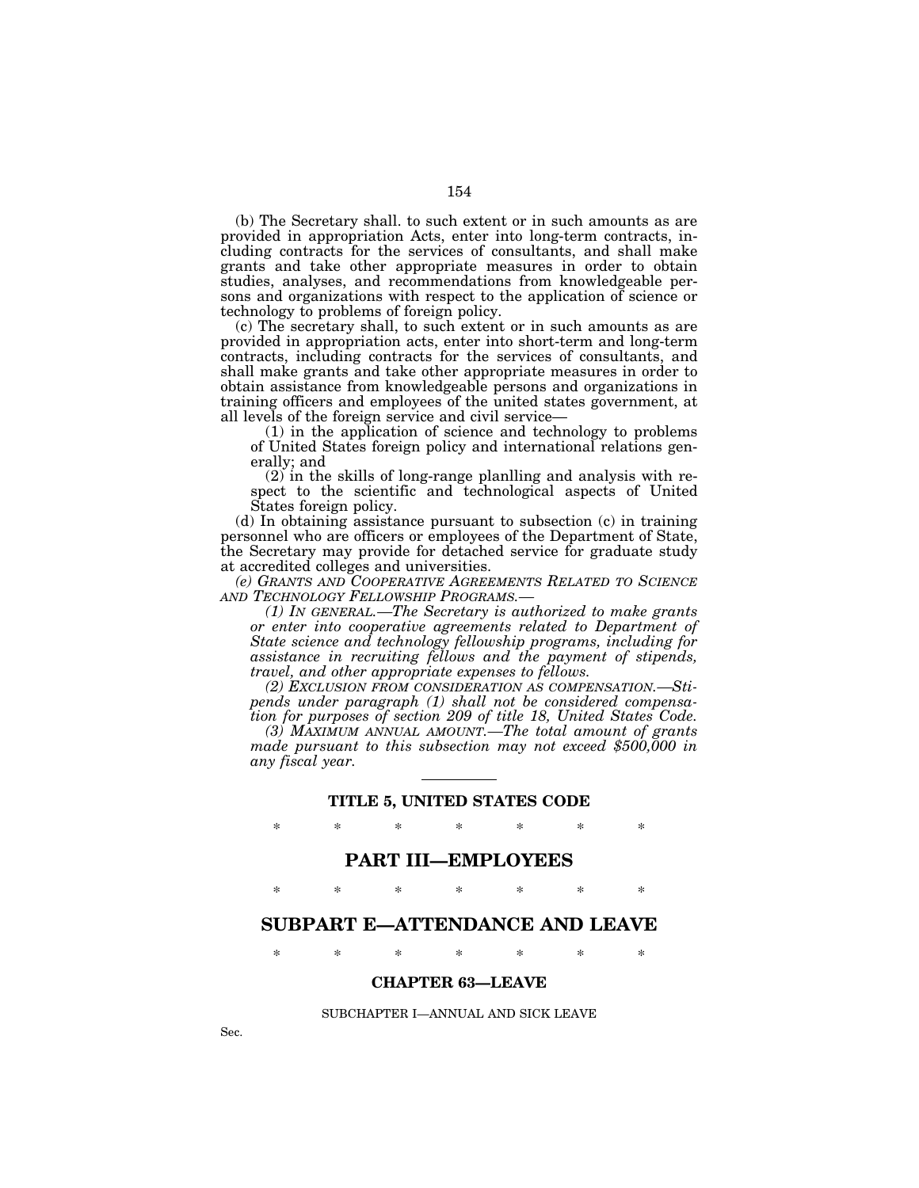(b) The Secretary shall. to such extent or in such amounts as are provided in appropriation Acts, enter into long-term contracts, including contracts for the services of consultants, and shall make grants and take other appropriate measures in order to obtain studies, analyses, and recommendations from knowledgeable persons and organizations with respect to the application of science or technology to problems of foreign policy.

(c) The secretary shall, to such extent or in such amounts as are provided in appropriation acts, enter into short-term and long-term contracts, including contracts for the services of consultants, and shall make grants and take other appropriate measures in order to obtain assistance from knowledgeable persons and organizations in training officers and employees of the united states government, at all levels of the foreign service and civil service—

(1) in the application of science and technology to problems of United States foreign policy and international relations generally; and

(2) in the skills of long-range planlling and analysis with respect to the scientific and technological aspects of United States foreign policy.

(d) In obtaining assistance pursuant to subsection (c) in training personnel who are officers or employees of the Department of State, the Secretary may provide for detached service for graduate study at accredited colleges and universities.

*(e) GRANTS AND COOPERATIVE AGREEMENTS RELATED TO SCIENCE AND TECHNOLOGY FELLOWSHIP PROGRAMS.— (1) IN GENERAL.—The Secretary is authorized to make grants* 

*or enter into cooperative agreements related to Department of State science and technology fellowship programs, including for assistance in recruiting fellows and the payment of stipends, travel, and other appropriate expenses to fellows.* 

*(2) EXCLUSION FROM CONSIDERATION AS COMPENSATION.—Stipends under paragraph (1) shall not be considered compensation for purposes of section 209 of title 18, United States Code.* 

*(3) MAXIMUM ANNUAL AMOUNT.—The total amount of grants made pursuant to this subsection may not exceed \$500,000 in any fiscal year.* 

### **TITLE 5, UNITED STATES CODE**

\* \* \* \* \* \* \*

# **PART III—EMPLOYEES**

\* \* \* \* \* \* \*

# **SUBPART E—ATTENDANCE AND LEAVE**

\* \* \* \* \* \* \*

### **CHAPTER 63—LEAVE**

SUBCHAPTER I—ANNUAL AND SICK LEAVE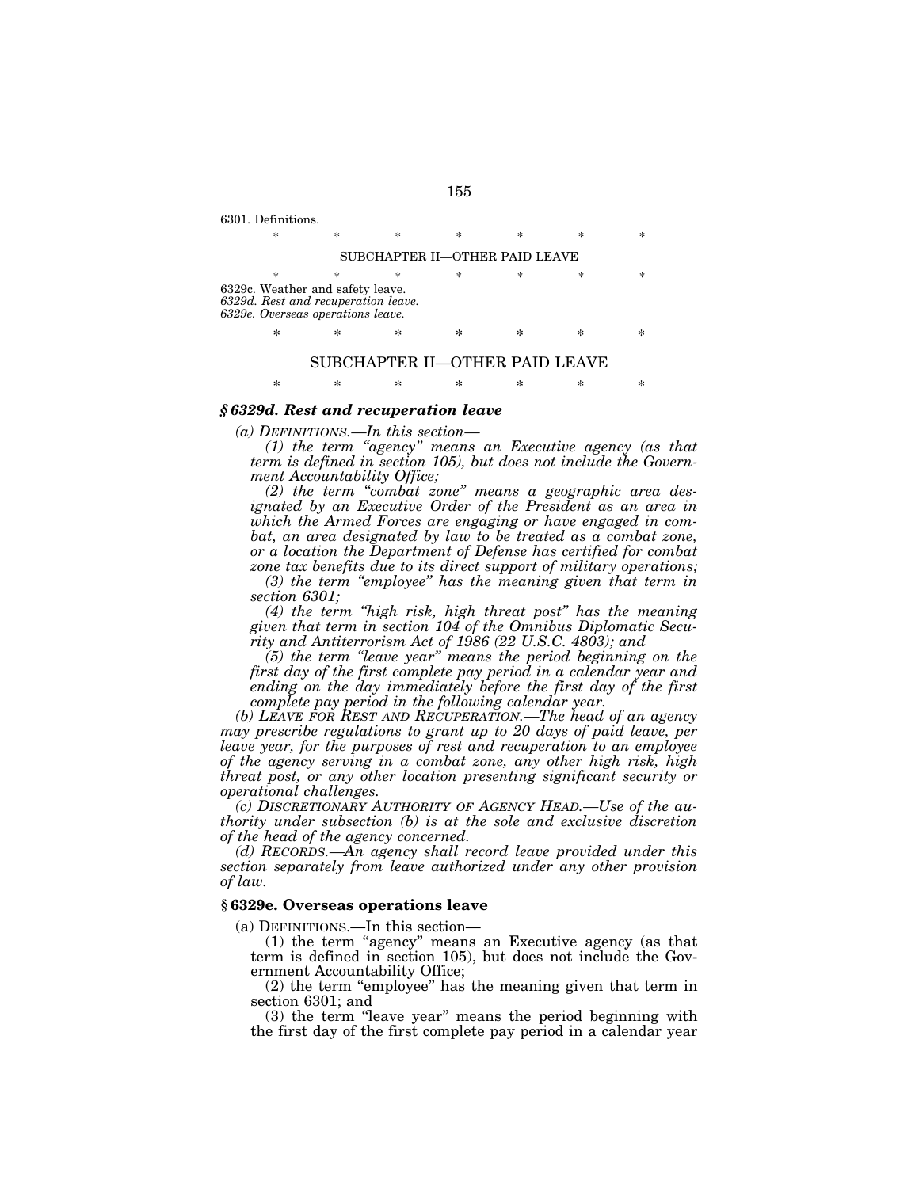|                                                                                                              | 6301. Definitions. |   |           |        |    |           |        |
|--------------------------------------------------------------------------------------------------------------|--------------------|---|-----------|--------|----|-----------|--------|
|                                                                                                              | *                  | 冰 | 冰         | ∗      | *  | ×         | $\ast$ |
| SUBCHAPTER II—OTHER PAID LEAVE                                                                               |                    |   |           |        |    |           |        |
|                                                                                                              | *                  | 冰 | ×.        | ∗      | ×. | ×.        | 冰      |
| 6329c. Weather and safety leave.<br>6329d. Rest and recuperation leave.<br>6329e. Overseas operations leave. |                    |   |           |        |    |           |        |
|                                                                                                              | $\ast$             | × | $^{\ast}$ | $\ast$ | ×  | $^{\ast}$ | $\ast$ |

## SUBCHAPTER II—OTHER PAID LEAVE

\* \* \* \* \* \* \*

## *§ 6329d. Rest and recuperation leave*

*(a) DEFINITIONS.—In this section—* 

*(1) the term ''agency'' means an Executive agency (as that term is defined in section 105), but does not include the Government Accountability Office;* 

*(2) the term ''combat zone'' means a geographic area designated by an Executive Order of the President as an area in which the Armed Forces are engaging or have engaged in com*bat, an area designated by law to be treated as a combat zone, *or a location the Department of Defense has certified for combat zone tax benefits due to its direct support of military operations;* 

*(3) the term ''employee'' has the meaning given that term in section 6301;* 

*(4) the term ''high risk, high threat post'' has the meaning given that term in section 104 of the Omnibus Diplomatic Security and Antiterrorism Act of 1986 (22 U.S.C. 4803); and* 

*(5) the term ''leave year'' means the period beginning on the first day of the first complete pay period in a calendar year and*  ending on the day immediately before the first day of the first *complete pay period in the following calendar year.* 

*(b) LEAVE FOR REST AND RECUPERATION.—The head of an agency may prescribe regulations to grant up to 20 days of paid leave, per leave year, for the purposes of rest and recuperation to an employee of the agency serving in a combat zone, any other high risk, high threat post, or any other location presenting significant security or operational challenges.* 

*(c) DISCRETIONARY AUTHORITY OF AGENCY HEAD.—Use of the authority under subsection (b) is at the sole and exclusive discretion of the head of the agency concerned.* 

*(d) RECORDS.—An agency shall record leave provided under this section separately from leave authorized under any other provision of law.* 

#### **§ 6329e. Overseas operations leave**

(a) DEFINITIONS.—In this section—

(1) the term ''agency'' means an Executive agency (as that term is defined in section 105), but does not include the Government Accountability Office;

(2) the term ''employee'' has the meaning given that term in section 6301; and

(3) the term ''leave year'' means the period beginning with the first day of the first complete pay period in a calendar year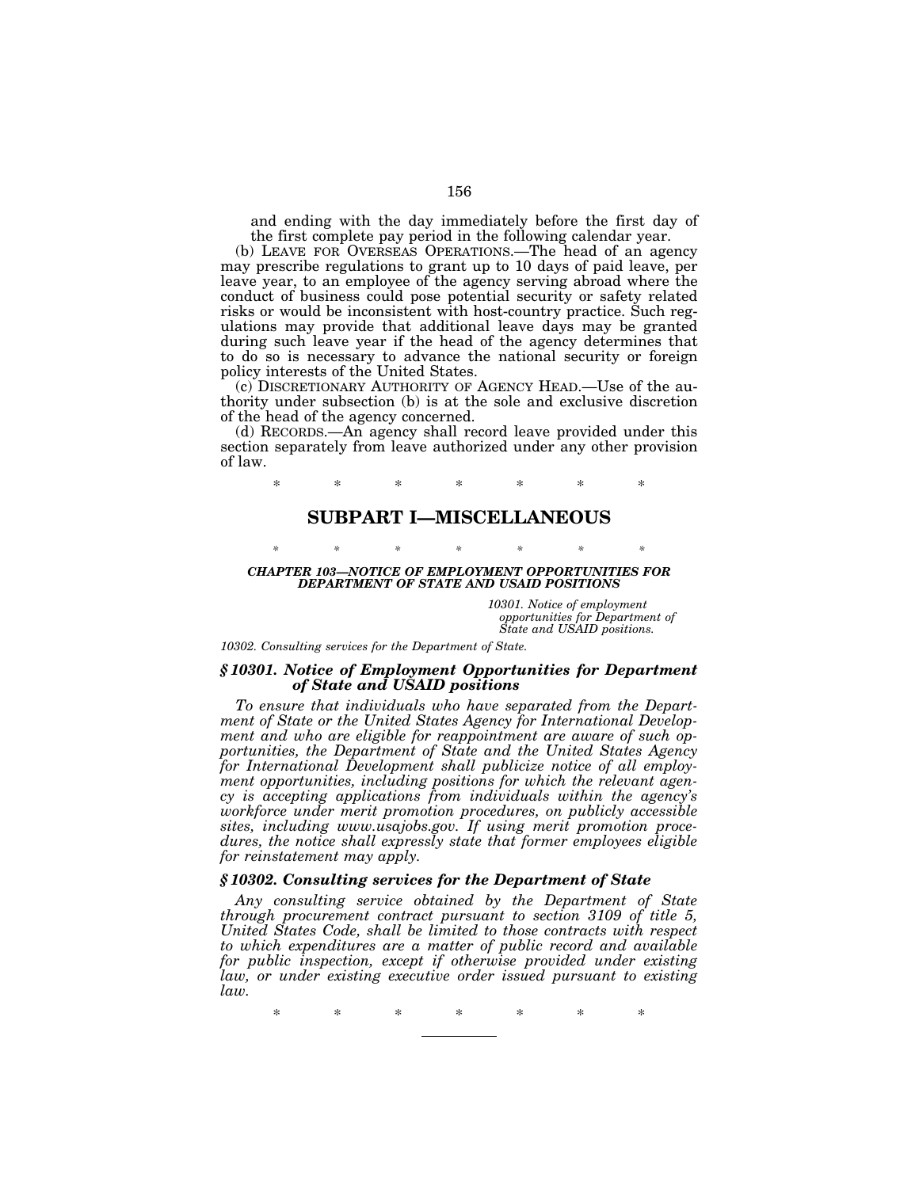and ending with the day immediately before the first day of the first complete pay period in the following calendar year.

(b) LEAVE FOR OVERSEAS OPERATIONS.—The head of an agency may prescribe regulations to grant up to 10 days of paid leave, per leave year, to an employee of the agency serving abroad where the conduct of business could pose potential security or safety related risks or would be inconsistent with host-country practice. Such regulations may provide that additional leave days may be granted during such leave year if the head of the agency determines that to do so is necessary to advance the national security or foreign policy interests of the United States.

(c) DISCRETIONARY AUTHORITY OF AGENCY HEAD.—Use of the authority under subsection (b) is at the sole and exclusive discretion of the head of the agency concerned.

(d) RECORDS.—An agency shall record leave provided under this section separately from leave authorized under any other provision of law.

# \* \* \* \* \* \* \*

# **SUBPART I—MISCELLANEOUS**

#### *\* \* \* \* \* \* \* CHAPTER 103—NOTICE OF EMPLOYMENT OPPORTUNITIES FOR DEPARTMENT OF STATE AND USAID POSITIONS*

*10301. Notice of employment opportunities for Department of State and USAID positions.* 

*10302. Consulting services for the Department of State.* 

#### *§ 10301. Notice of Employment Opportunities for Department of State and USAID positions*

*To ensure that individuals who have separated from the Department of State or the United States Agency for International Development and who are eligible for reappointment are aware of such opportunities, the Department of State and the United States Agency for International Development shall publicize notice of all employment opportunities, including positions for which the relevant agency is accepting applications from individuals within the agency's workforce under merit promotion procedures, on publicly accessible sites, including www.usajobs.gov. If using merit promotion procedures, the notice shall expressly state that former employees eligible for reinstatement may apply.* 

#### *§ 10302. Consulting services for the Department of State*

*Any consulting service obtained by the Department of State through procurement contract pursuant to section 3109 of title 5, United States Code, shall be limited to those contracts with respect to which expenditures are a matter of public record and available for public inspection, except if otherwise provided under existing law, or under existing executive order issued pursuant to existing law.* 

\* \* \* \* \* \* \*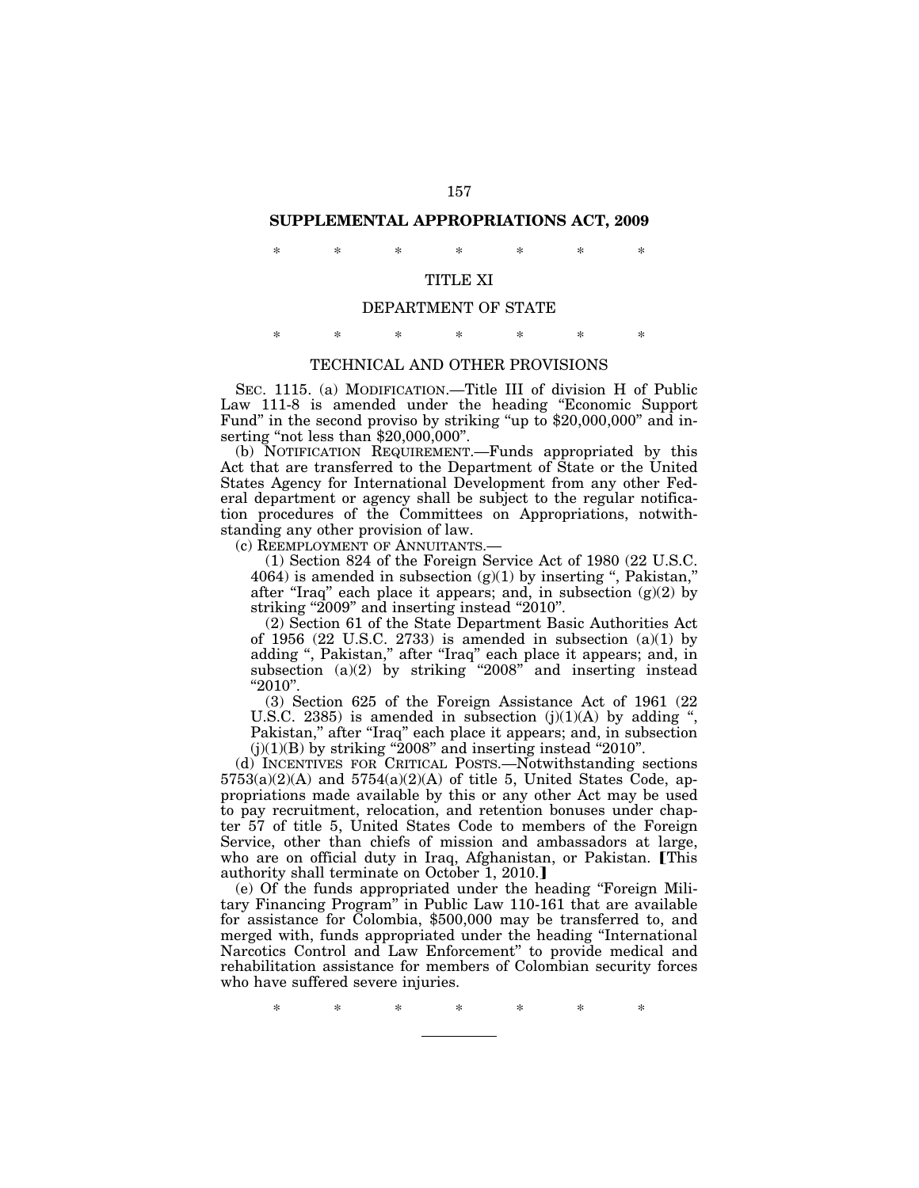#### **SUPPLEMENTAL APPROPRIATIONS ACT, 2009**

\* \* \* \* \* \* \*

## TITLE XI

#### DEPARTMENT OF STATE

\* \* \* \* \* \* \*

#### TECHNICAL AND OTHER PROVISIONS

SEC. 1115. (a) MODIFICATION.—Title III of division H of Public Law 111-8 is amended under the heading "Economic Support Fund'' in the second proviso by striking ''up to \$20,000,000'' and inserting "not less than \$20,000,000".

(b) NOTIFICATION REQUIREMENT.—Funds appropriated by this Act that are transferred to the Department of State or the United States Agency for International Development from any other Federal department or agency shall be subject to the regular notification procedures of the Committees on Appropriations, notwithstanding any other provision of law.

(c) REEMPLOYMENT OF ANNUITANTS.—

(1) Section 824 of the Foreign Service Act of 1980 (22 U.S.C. 4064) is amended in subsection  $(g)(1)$  by inserting ", Pakistan," after "Iraq" each place it appears; and, in subsection  $(g)(2)$  by striking "2009" and inserting instead "2010".

(2) Section 61 of the State Department Basic Authorities Act of 1956  $(22 \text{ U.S.C. } 2733)$  is amended in subsection  $(a)(1)$  by adding '', Pakistan,'' after ''Iraq'' each place it appears; and, in subsection  $(a)(2)$  by striking "2008" and inserting instead ''2010''.

(3) Section 625 of the Foreign Assistance Act of 1961 (22 U.S.C. 2385) is amended in subsection  $(j)(1)(A)$  by adding ", Pakistan," after "Iraq" each place it appears; and, in subsection  $(j)(1)(B)$  by striking "2008" and inserting instead "2010".

(d) INCENTIVES FOR CRITICAL POSTS.—Notwithstanding sections  $5753(a)(2)(A)$  and  $5754(a)(2)(A)$  of title 5, United States Code, appropriations made available by this or any other Act may be used to pay recruitment, relocation, and retention bonuses under chapter 57 of title 5, United States Code to members of the Foreign Service, other than chiefs of mission and ambassadors at large, who are on official duty in Iraq, Afghanistan, or Pakistan. [This authority shall terminate on October 1, 2010.]

(e) Of the funds appropriated under the heading ''Foreign Military Financing Program'' in Public Law 110-161 that are available for assistance for Colombia, \$500,000 may be transferred to, and merged with, funds appropriated under the heading ''International Narcotics Control and Law Enforcement'' to provide medical and rehabilitation assistance for members of Colombian security forces who have suffered severe injuries.

\* \* \* \* \* \* \*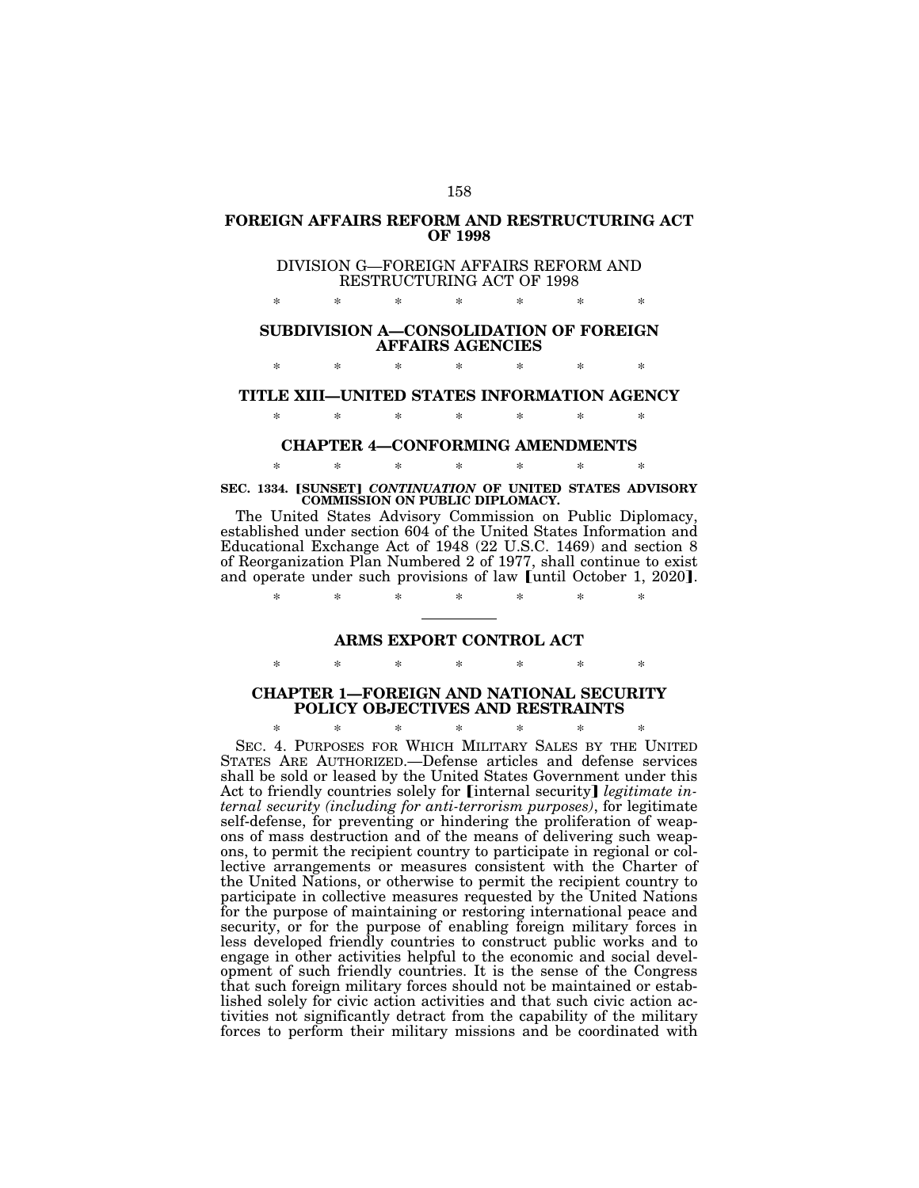#### **FOREIGN AFFAIRS REFORM AND RESTRUCTURING ACT OF 1998**

## DIVISION G—FOREIGN AFFAIRS REFORM AND RESTRUCTURING ACT OF 1998

## \* \* \* \* \* \* \*

# **SUBDIVISION A—CONSOLIDATION OF FOREIGN AFFAIRS AGENCIES**

\* \* \* \* \* \* \*

#### **TITLE XIII—UNITED STATES INFORMATION AGENCY**

#### \* \* \* \* \* \* \*

# **CHAPTER 4—CONFORMING AMENDMENTS**  \* \* \* \* \* \* \*

#### **SEC. 1334. [SUNSET]** *CONTINUATION* OF UNITED STATES ADVISORY **COMMISSION ON PUBLIC DIPLOMACY.**

The United States Advisory Commission on Public Diplomacy, established under section 604 of the United States Information and Educational Exchange Act of 1948 (22 U.S.C. 1469) and section 8 of Reorganization Plan Numbered 2 of 1977, shall continue to exist and operate under such provisions of law [until October 1, 2020].

# **ARMS EXPORT CONTROL ACT**  \* \* \* \* \* \* \*

\* \* \* \* \* \* \*

## **CHAPTER 1—FOREIGN AND NATIONAL SECURITY POLICY OBJECTIVES AND RESTRAINTS**

\* \* \* \* \* \* \* SEC. 4. PURPOSES FOR WHICH MILITARY SALES BY THE UNITED STATES ARE AUTHORIZED.—Defense articles and defense services shall be sold or leased by the United States Government under this Act to friendly countries solely for [internal security] *legitimate internal security (including for anti-terrorism purposes)*, for legitimate self-defense, for preventing or hindering the proliferation of weapons of mass destruction and of the means of delivering such weapons, to permit the recipient country to participate in regional or collective arrangements or measures consistent with the Charter of the United Nations, or otherwise to permit the recipient country to participate in collective measures requested by the United Nations for the purpose of maintaining or restoring international peace and security, or for the purpose of enabling foreign military forces in less developed friendly countries to construct public works and to engage in other activities helpful to the economic and social development of such friendly countries. It is the sense of the Congress that such foreign military forces should not be maintained or established solely for civic action activities and that such civic action activities not significantly detract from the capability of the military forces to perform their military missions and be coordinated with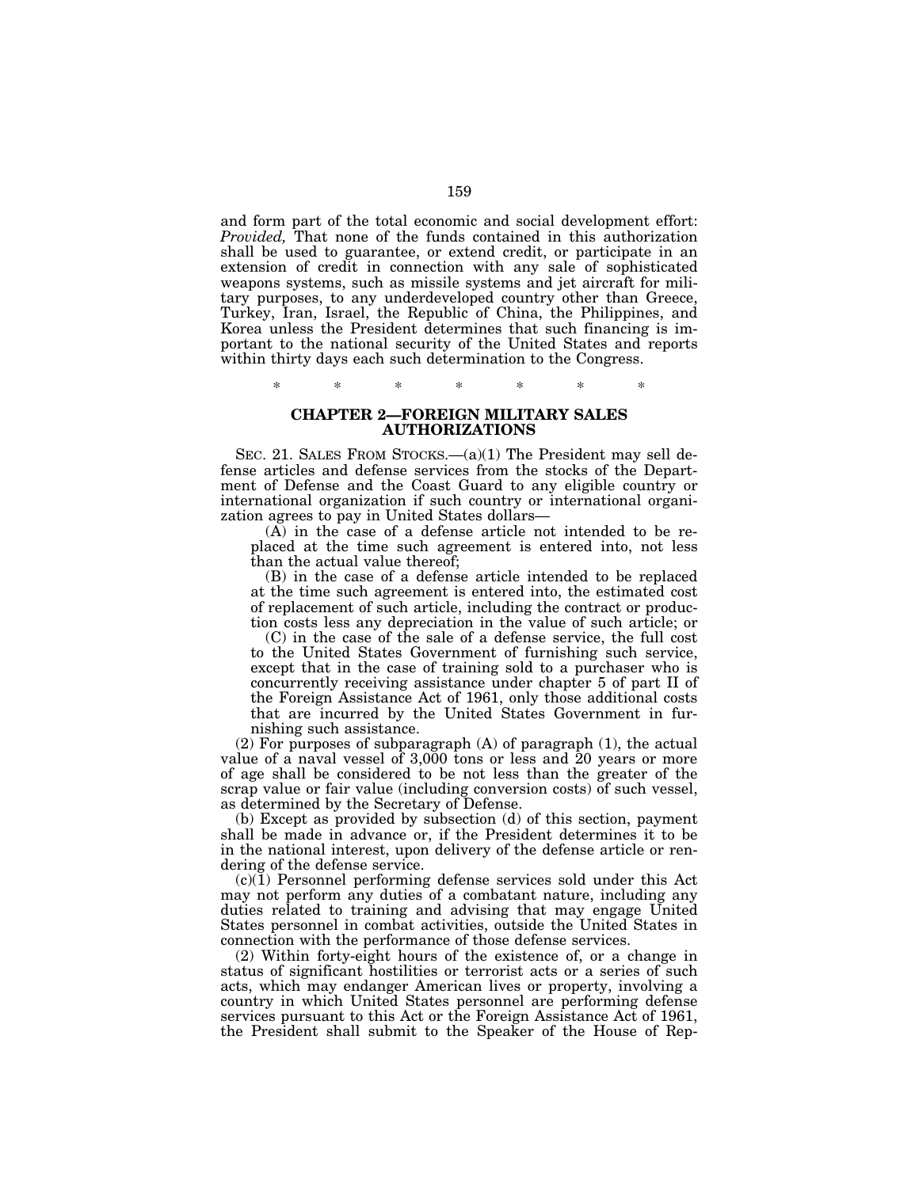and form part of the total economic and social development effort: *Provided,* That none of the funds contained in this authorization shall be used to guarantee, or extend credit, or participate in an extension of credit in connection with any sale of sophisticated weapons systems, such as missile systems and jet aircraft for military purposes, to any underdeveloped country other than Greece, Turkey, Iran, Israel, the Republic of China, the Philippines, and Korea unless the President determines that such financing is important to the national security of the United States and reports within thirty days each such determination to the Congress.

\* \* \* \* \* \* \*

#### **CHAPTER 2—FOREIGN MILITARY SALES AUTHORIZATIONS**

SEC. 21. SALES FROM STOCKS.—(a)(1) The President may sell defense articles and defense services from the stocks of the Department of Defense and the Coast Guard to any eligible country or international organization if such country or international organization agrees to pay in United States dollars—

(A) in the case of a defense article not intended to be replaced at the time such agreement is entered into, not less than the actual value thereof;

(B) in the case of a defense article intended to be replaced at the time such agreement is entered into, the estimated cost of replacement of such article, including the contract or production costs less any depreciation in the value of such article; or

(C) in the case of the sale of a defense service, the full cost to the United States Government of furnishing such service, except that in the case of training sold to a purchaser who is concurrently receiving assistance under chapter 5 of part II of the Foreign Assistance Act of 1961, only those additional costs that are incurred by the United States Government in furnishing such assistance.

(2) For purposes of subparagraph (A) of paragraph (1), the actual value of a naval vessel of 3,000 tons or less and 20 years or more of age shall be considered to be not less than the greater of the scrap value or fair value (including conversion costs) of such vessel, as determined by the Secretary of Defense.

(b) Except as provided by subsection (d) of this section, payment shall be made in advance or, if the President determines it to be in the national interest, upon delivery of the defense article or rendering of the defense service.

(c)(1) Personnel performing defense services sold under this Act may not perform any duties of a combatant nature, including any duties related to training and advising that may engage United States personnel in combat activities, outside the United States in connection with the performance of those defense services.

(2) Within forty-eight hours of the existence of, or a change in status of significant hostilities or terrorist acts or a series of such acts, which may endanger American lives or property, involving a country in which United States personnel are performing defense services pursuant to this Act or the Foreign Assistance Act of 1961, the President shall submit to the Speaker of the House of Rep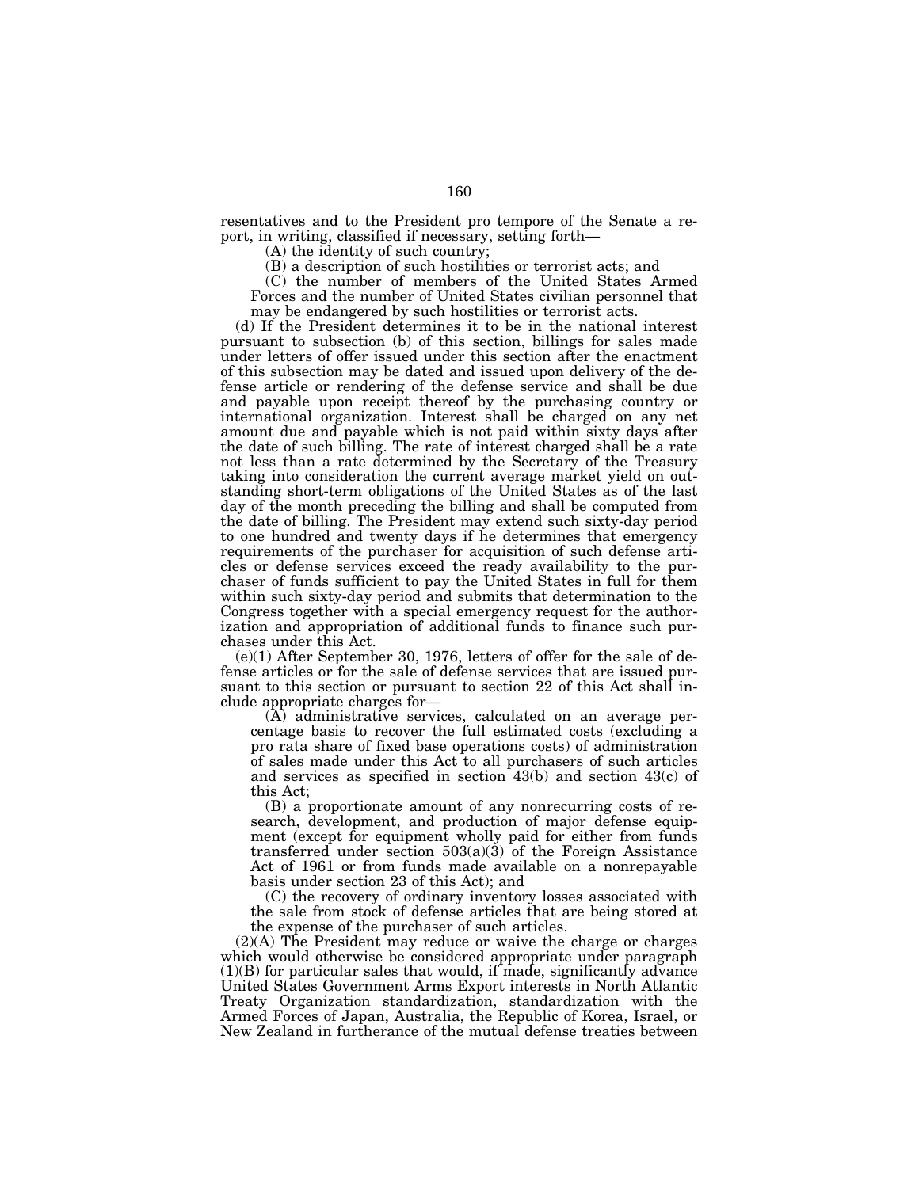resentatives and to the President pro tempore of the Senate a report, in writing, classified if necessary, setting forth—

(A) the identity of such country;

(B) a description of such hostilities or terrorist acts; and

(C) the number of members of the United States Armed Forces and the number of United States civilian personnel that may be endangered by such hostilities or terrorist acts.

(d) If the President determines it to be in the national interest pursuant to subsection (b) of this section, billings for sales made under letters of offer issued under this section after the enactment of this subsection may be dated and issued upon delivery of the defense article or rendering of the defense service and shall be due and payable upon receipt thereof by the purchasing country or international organization. Interest shall be charged on any net amount due and payable which is not paid within sixty days after the date of such billing. The rate of interest charged shall be a rate not less than a rate determined by the Secretary of the Treasury taking into consideration the current average market yield on outstanding short-term obligations of the United States as of the last day of the month preceding the billing and shall be computed from the date of billing. The President may extend such sixty-day period to one hundred and twenty days if he determines that emergency requirements of the purchaser for acquisition of such defense articles or defense services exceed the ready availability to the purchaser of funds sufficient to pay the United States in full for them within such sixty-day period and submits that determination to the Congress together with a special emergency request for the authorization and appropriation of additional funds to finance such purchases under this Act.

(e)(1) After September 30, 1976, letters of offer for the sale of defense articles or for the sale of defense services that are issued pursuant to this section or pursuant to section 22 of this Act shall include appropriate charges for—

(A) administrative services, calculated on an average percentage basis to recover the full estimated costs (excluding a pro rata share of fixed base operations costs) of administration of sales made under this Act to all purchasers of such articles and services as specified in section 43(b) and section 43(c) of this Act;

(B) a proportionate amount of any nonrecurring costs of research, development, and production of major defense equipment (except for equipment wholly paid for either from funds transferred under section  $503(a)(3)$  of the Foreign Assistance Act of 1961 or from funds made available on a nonrepayable basis under section 23 of this Act); and

(C) the recovery of ordinary inventory losses associated with the sale from stock of defense articles that are being stored at the expense of the purchaser of such articles.

(2)(A) The President may reduce or waive the charge or charges which would otherwise be considered appropriate under paragraph (1)(B) for particular sales that would, if made, significantly advance United States Government Arms Export interests in North Atlantic Treaty Organization standardization, standardization with the Armed Forces of Japan, Australia, the Republic of Korea, Israel, or New Zealand in furtherance of the mutual defense treaties between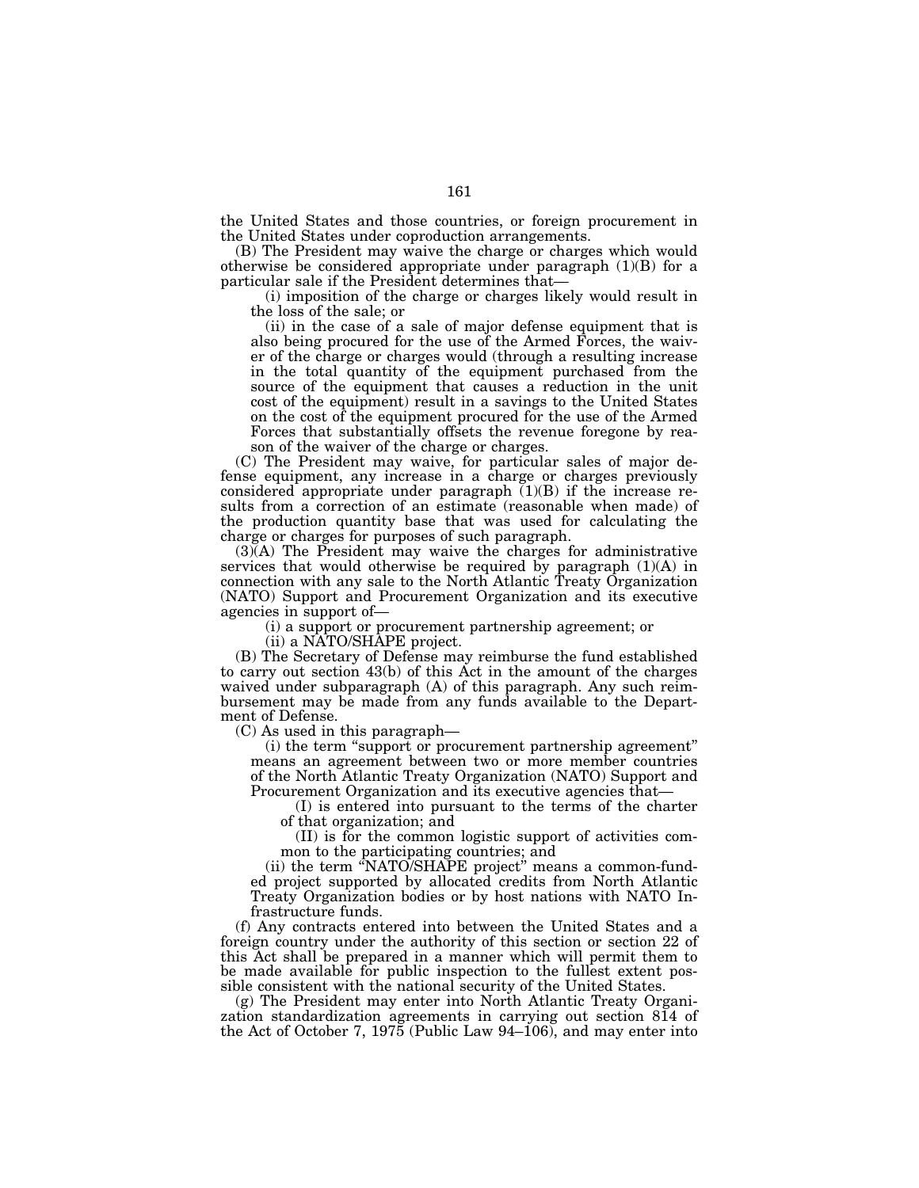the United States and those countries, or foreign procurement in the United States under coproduction arrangements.

(B) The President may waive the charge or charges which would otherwise be considered appropriate under paragraph  $(1)(B)$  for a particular sale if the President determines that—

(i) imposition of the charge or charges likely would result in the loss of the sale; or

(ii) in the case of a sale of major defense equipment that is also being procured for the use of the Armed Forces, the waiver of the charge or charges would (through a resulting increase in the total quantity of the equipment purchased from the source of the equipment that causes a reduction in the unit cost of the equipment) result in a savings to the United States on the cost of the equipment procured for the use of the Armed Forces that substantially offsets the revenue foregone by reason of the waiver of the charge or charges.

(C) The President may waive, for particular sales of major defense equipment, any increase in a charge or charges previously considered appropriate under paragraph  $(1)(B)$  if the increase results from a correction of an estimate (reasonable when made) of the production quantity base that was used for calculating the charge or charges for purposes of such paragraph.

 $(3)$  $(A)$  The President may waive the charges for administrative services that would otherwise be required by paragraph (1)(A) in connection with any sale to the North Atlantic Treaty Organization (NATO) Support and Procurement Organization and its executive agencies in support of—

(i) a support or procurement partnership agreement; or

(ii) a NATO/SHAPE project.

(B) The Secretary of Defense may reimburse the fund established to carry out section 43(b) of this Act in the amount of the charges waived under subparagraph (A) of this paragraph. Any such reimbursement may be made from any funds available to the Department of Defense.

(C) As used in this paragraph—

(i) the term ''support or procurement partnership agreement'' means an agreement between two or more member countries of the North Atlantic Treaty Organization (NATO) Support and Procurement Organization and its executive agencies that—

(I) is entered into pursuant to the terms of the charter of that organization; and

(II) is for the common logistic support of activities common to the participating countries; and

(ii) the term "NATO/SHAPE project" means a common-funded project supported by allocated credits from North Atlantic Treaty Organization bodies or by host nations with NATO Infrastructure funds.

(f) Any contracts entered into between the United States and a foreign country under the authority of this section or section 22 of this Act shall be prepared in a manner which will permit them to be made available for public inspection to the fullest extent possible consistent with the national security of the United States.

(g) The President may enter into North Atlantic Treaty Organization standardization agreements in carrying out section 814 of the Act of October 7, 1975 (Public Law  $94-106$ ), and may enter into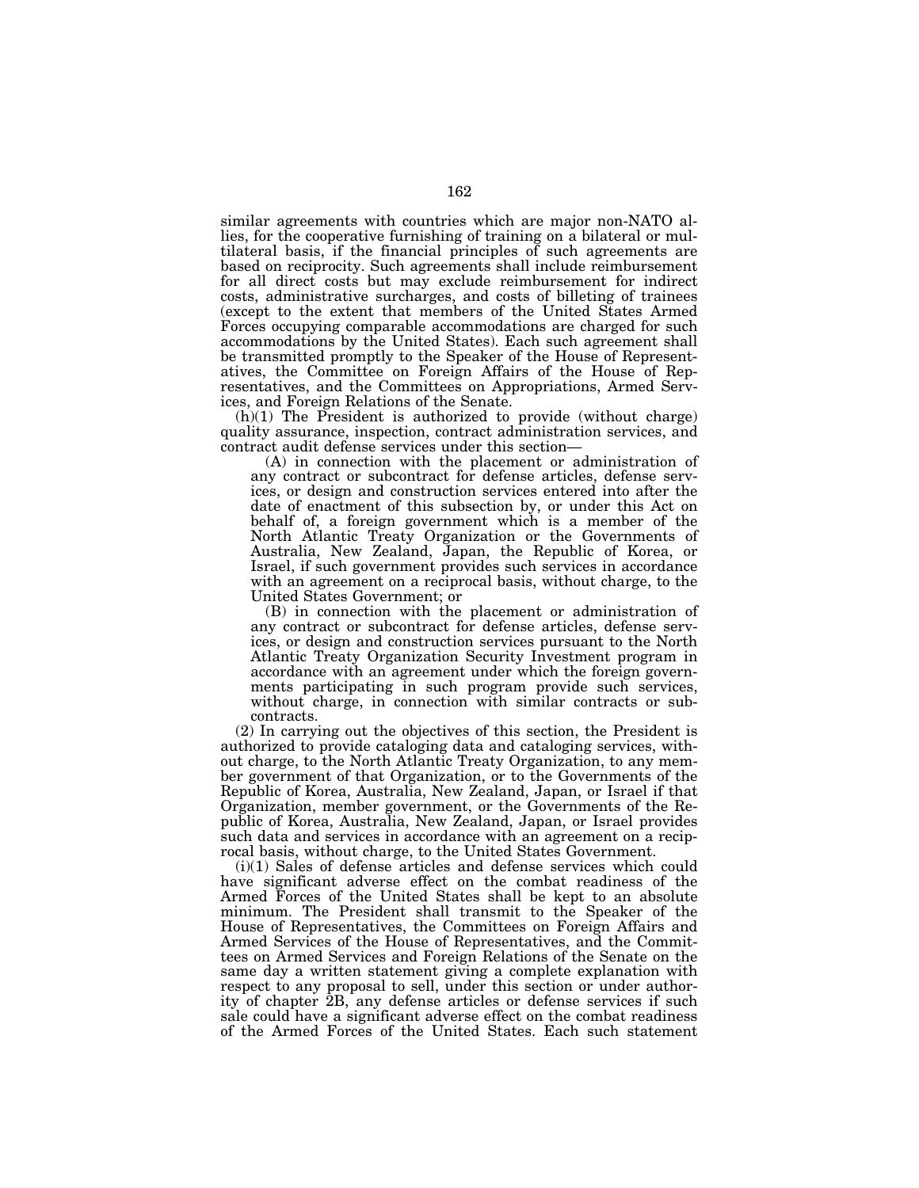similar agreements with countries which are major non-NATO allies, for the cooperative furnishing of training on a bilateral or multilateral basis, if the financial principles of such agreements are based on reciprocity. Such agreements shall include reimbursement for all direct costs but may exclude reimbursement for indirect costs, administrative surcharges, and costs of billeting of trainees (except to the extent that members of the United States Armed Forces occupying comparable accommodations are charged for such accommodations by the United States). Each such agreement shall be transmitted promptly to the Speaker of the House of Representatives, the Committee on Foreign Affairs of the House of Representatives, and the Committees on Appropriations, Armed Services, and Foreign Relations of the Senate.

(h)(1) The President is authorized to provide (without charge) quality assurance, inspection, contract administration services, and contract audit defense services under this section—

(A) in connection with the placement or administration of any contract or subcontract for defense articles, defense services, or design and construction services entered into after the date of enactment of this subsection by, or under this Act on behalf of, a foreign government which is a member of the North Atlantic Treaty Organization or the Governments of Australia, New Zealand, Japan, the Republic of Korea, or Israel, if such government provides such services in accordance with an agreement on a reciprocal basis, without charge, to the United States Government; or

(B) in connection with the placement or administration of any contract or subcontract for defense articles, defense services, or design and construction services pursuant to the North Atlantic Treaty Organization Security Investment program in accordance with an agreement under which the foreign governments participating in such program provide such services, without charge, in connection with similar contracts or subcontracts.

(2) In carrying out the objectives of this section, the President is authorized to provide cataloging data and cataloging services, without charge, to the North Atlantic Treaty Organization, to any member government of that Organization, or to the Governments of the Republic of Korea, Australia, New Zealand, Japan, or Israel if that Organization, member government, or the Governments of the Republic of Korea, Australia, New Zealand, Japan, or Israel provides such data and services in accordance with an agreement on a reciprocal basis, without charge, to the United States Government.

(i)(1) Sales of defense articles and defense services which could have significant adverse effect on the combat readiness of the Armed Forces of the United States shall be kept to an absolute minimum. The President shall transmit to the Speaker of the House of Representatives, the Committees on Foreign Affairs and Armed Services of the House of Representatives, and the Committees on Armed Services and Foreign Relations of the Senate on the same day a written statement giving a complete explanation with respect to any proposal to sell, under this section or under authority of chapter 2B, any defense articles or defense services if such sale could have a significant adverse effect on the combat readiness of the Armed Forces of the United States. Each such statement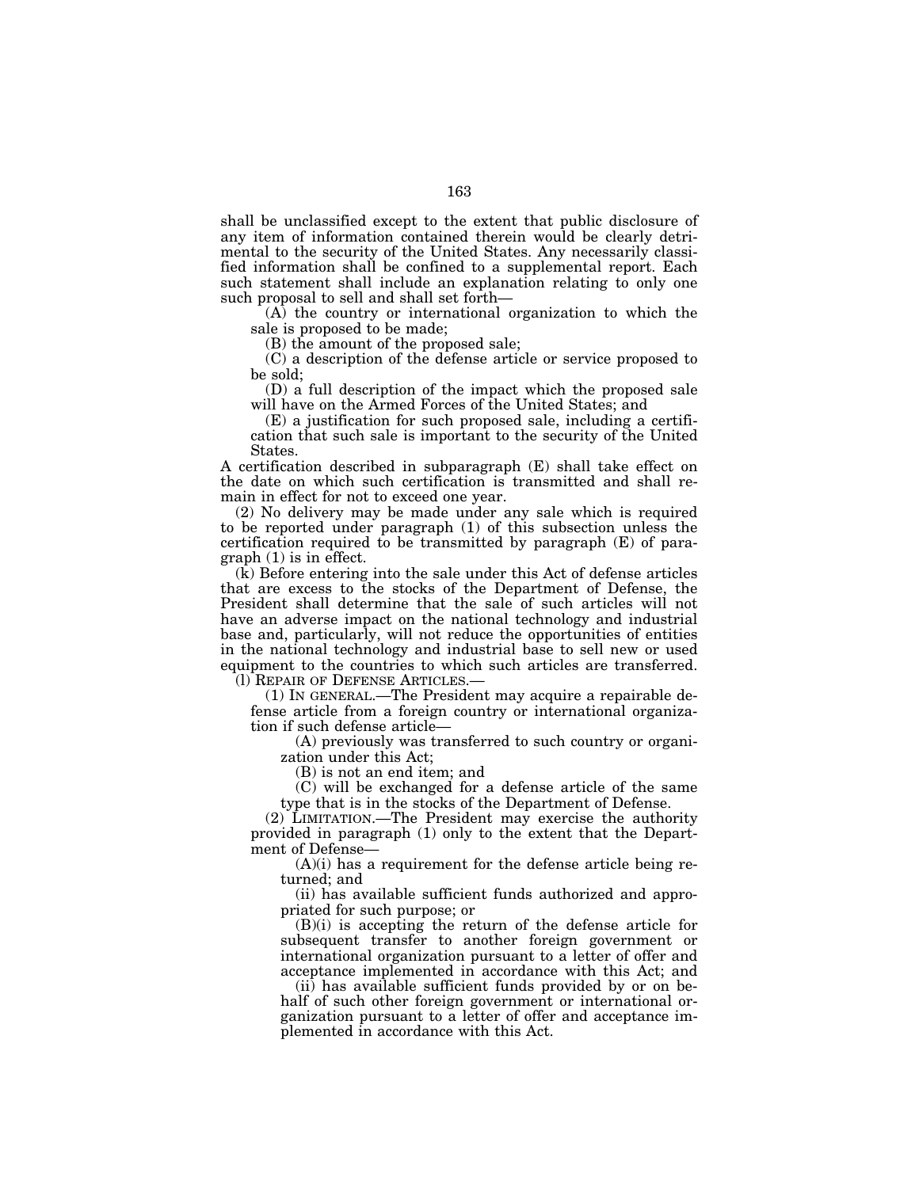shall be unclassified except to the extent that public disclosure of any item of information contained therein would be clearly detrimental to the security of the United States. Any necessarily classified information shall be confined to a supplemental report. Each such statement shall include an explanation relating to only one such proposal to sell and shall set forth—

(A) the country or international organization to which the sale is proposed to be made;

(B) the amount of the proposed sale;

(C) a description of the defense article or service proposed to be sold;

(D) a full description of the impact which the proposed sale will have on the Armed Forces of the United States; and

(E) a justification for such proposed sale, including a certification that such sale is important to the security of the United States.

A certification described in subparagraph (E) shall take effect on the date on which such certification is transmitted and shall remain in effect for not to exceed one year.

(2) No delivery may be made under any sale which is required to be reported under paragraph (1) of this subsection unless the certification required to be transmitted by paragraph (E) of paragraph (1) is in effect.

(k) Before entering into the sale under this Act of defense articles that are excess to the stocks of the Department of Defense, the President shall determine that the sale of such articles will not have an adverse impact on the national technology and industrial base and, particularly, will not reduce the opportunities of entities in the national technology and industrial base to sell new or used equipment to the countries to which such articles are transferred.

(l) REPAIR OF DEFENSE ARTICLES.—

(1) IN GENERAL.—The President may acquire a repairable defense article from a foreign country or international organization if such defense article—

(A) previously was transferred to such country or organization under this Act;

(B) is not an end item; and

(C) will be exchanged for a defense article of the same type that is in the stocks of the Department of Defense.

(2) LIMITATION.—The President may exercise the authority provided in paragraph (1) only to the extent that the Department of Defense—

(A)(i) has a requirement for the defense article being returned; and

(ii) has available sufficient funds authorized and appropriated for such purpose; or

(B)(i) is accepting the return of the defense article for subsequent transfer to another foreign government or international organization pursuant to a letter of offer and acceptance implemented in accordance with this Act; and

(ii) has available sufficient funds provided by or on behalf of such other foreign government or international organization pursuant to a letter of offer and acceptance implemented in accordance with this Act.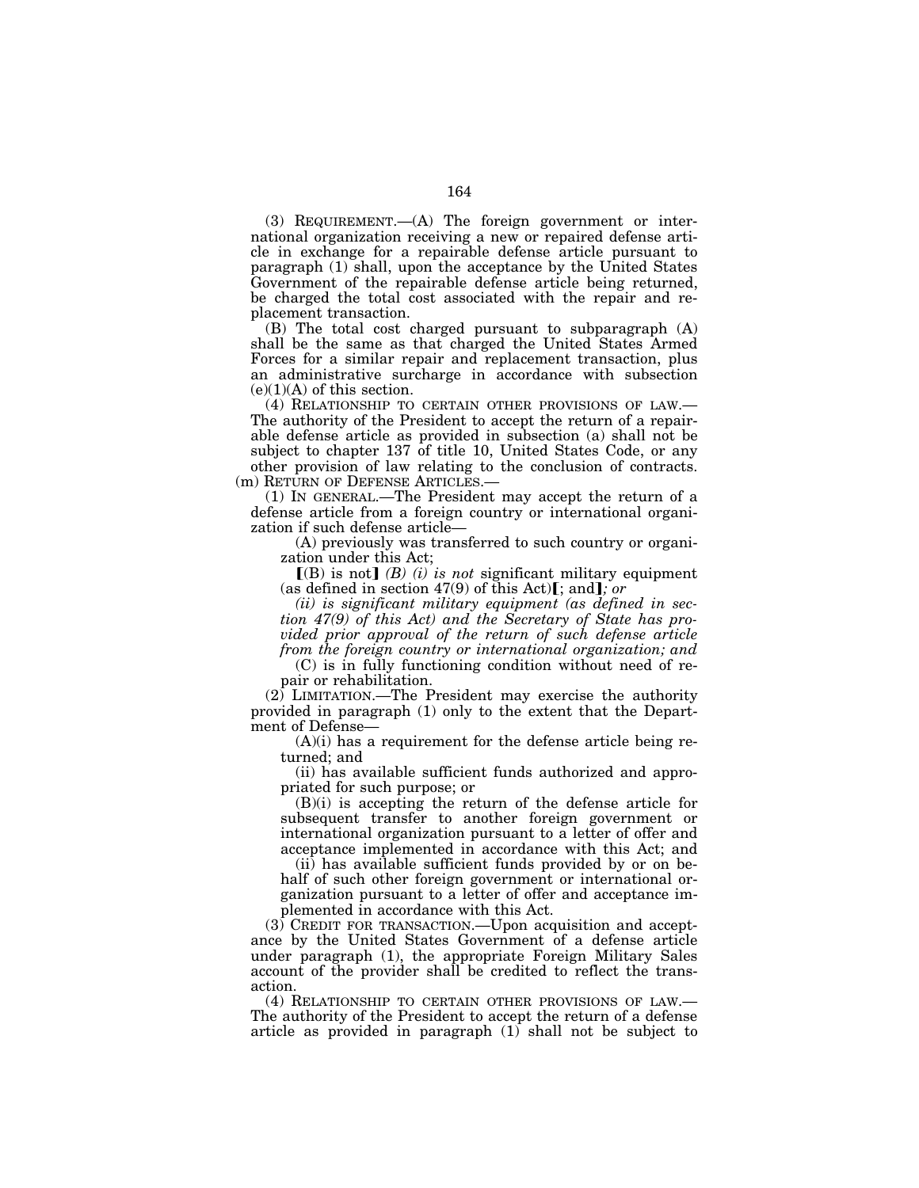(3) REQUIREMENT.—(A) The foreign government or international organization receiving a new or repaired defense article in exchange for a repairable defense article pursuant to paragraph (1) shall, upon the acceptance by the United States Government of the repairable defense article being returned, be charged the total cost associated with the repair and replacement transaction.

(B) The total cost charged pursuant to subparagraph (A) shall be the same as that charged the United States Armed Forces for a similar repair and replacement transaction, plus an administrative surcharge in accordance with subsection  $(e)(1)(A)$  of this section.

(4) RELATIONSHIP TO CERTAIN OTHER PROVISIONS OF LAW.— The authority of the President to accept the return of a repairable defense article as provided in subsection (a) shall not be subject to chapter 137 of title 10, United States Code, or any other provision of law relating to the conclusion of contracts. (m) RETURN OF DEFENSE ARTICLES.—

(1) IN GENERAL.—The President may accept the return of a defense article from a foreign country or international organization if such defense article—

(A) previously was transferred to such country or organization under this Act;

 $\Gamma(B)$  is not  $\Gamma(B)$  *(i) is not* significant military equipment (as defined in section  $47(9)$  of this Act)[; and]; *or* 

*(ii) is significant military equipment (as defined in section 47(9) of this Act) and the Secretary of State has provided prior approval of the return of such defense article from the foreign country or international organization; and* 

(C) is in fully functioning condition without need of repair or rehabilitation.

 $(2)$  LIMITATION.—The President may exercise the authority provided in paragraph (1) only to the extent that the Department of Defense—

(A)(i) has a requirement for the defense article being returned; and

(ii) has available sufficient funds authorized and appropriated for such purpose; or

(B)(i) is accepting the return of the defense article for subsequent transfer to another foreign government or international organization pursuant to a letter of offer and acceptance implemented in accordance with this Act; and

(ii) has available sufficient funds provided by or on behalf of such other foreign government or international organization pursuant to a letter of offer and acceptance implemented in accordance with this Act.

(3) CREDIT FOR TRANSACTION.—Upon acquisition and acceptance by the United States Government of a defense article under paragraph (1), the appropriate Foreign Military Sales account of the provider shall be credited to reflect the transaction.

(4) RELATIONSHIP TO CERTAIN OTHER PROVISIONS OF LAW.— The authority of the President to accept the return of a defense article as provided in paragraph  $(1)$  shall not be subject to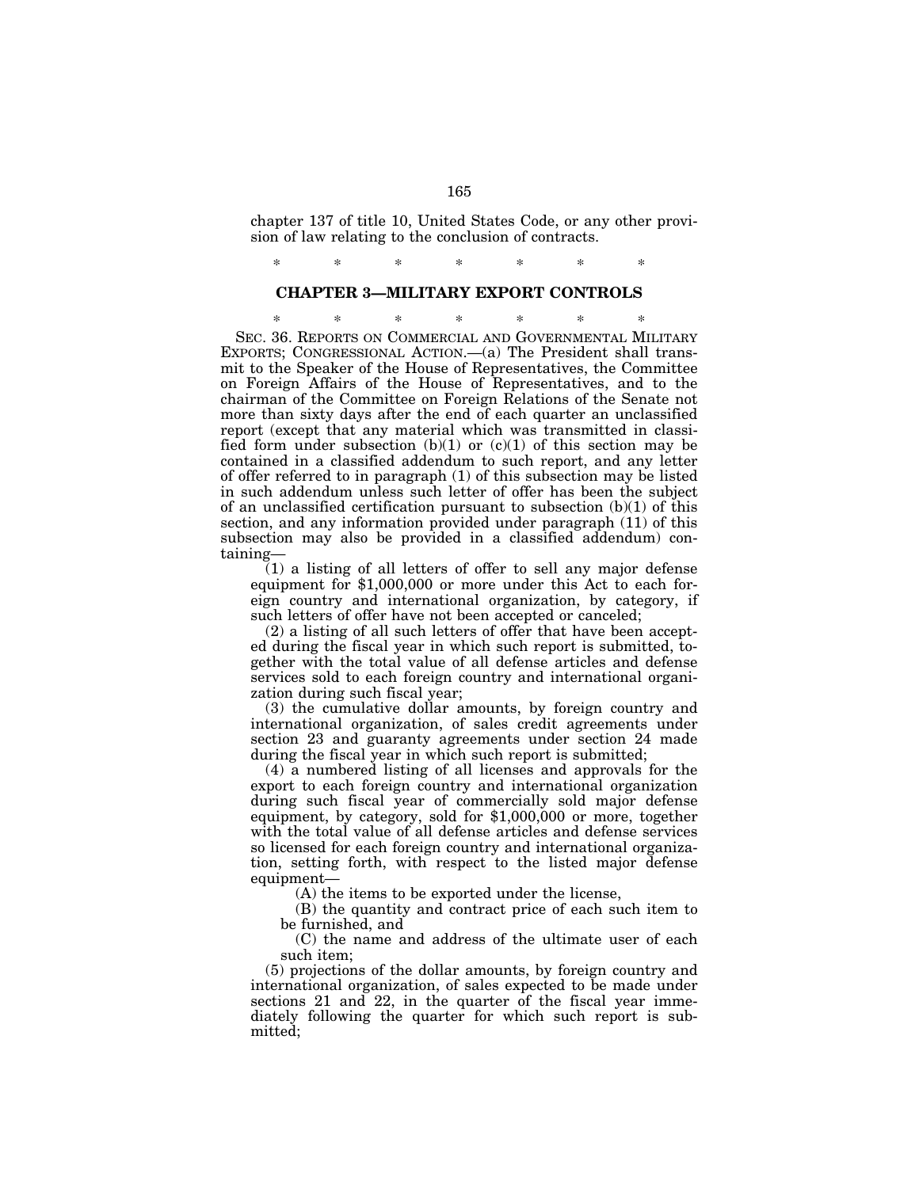chapter 137 of title 10, United States Code, or any other provision of law relating to the conclusion of contracts.

# \* \* \* \* \* \* \* **CHAPTER 3—MILITARY EXPORT CONTROLS**

\* \* \* \* \* \* \* SEC. 36. REPORTS ON COMMERCIAL AND GOVERNMENTAL MILITARY EXPORTS; CONGRESSIONAL ACTION.—(a) The President shall transmit to the Speaker of the House of Representatives, the Committee on Foreign Affairs of the House of Representatives, and to the chairman of the Committee on Foreign Relations of the Senate not more than sixty days after the end of each quarter an unclassified report (except that any material which was transmitted in classified form under subsection  $(b)(1)$  or  $(c)(1)$  of this section may be contained in a classified addendum to such report, and any letter of offer referred to in paragraph (1) of this subsection may be listed in such addendum unless such letter of offer has been the subject of an unclassified certification pursuant to subsection  $(b)(1)$  of this section, and any information provided under paragraph (11) of this subsection may also be provided in a classified addendum) containing—

(1) a listing of all letters of offer to sell any major defense equipment for \$1,000,000 or more under this Act to each foreign country and international organization, by category, if such letters of offer have not been accepted or canceled;

(2) a listing of all such letters of offer that have been accepted during the fiscal year in which such report is submitted, together with the total value of all defense articles and defense services sold to each foreign country and international organization during such fiscal year;

(3) the cumulative dollar amounts, by foreign country and international organization, of sales credit agreements under section 23 and guaranty agreements under section 24 made during the fiscal year in which such report is submitted;

(4) a numbered listing of all licenses and approvals for the export to each foreign country and international organization during such fiscal year of commercially sold major defense equipment, by category, sold for \$1,000,000 or more, together with the total value of all defense articles and defense services so licensed for each foreign country and international organization, setting forth, with respect to the listed major defense equipment—

(A) the items to be exported under the license,

(B) the quantity and contract price of each such item to be furnished, and

(C) the name and address of the ultimate user of each such item;

(5) projections of the dollar amounts, by foreign country and international organization, of sales expected to be made under sections 21 and 22, in the quarter of the fiscal year immediately following the quarter for which such report is submitted;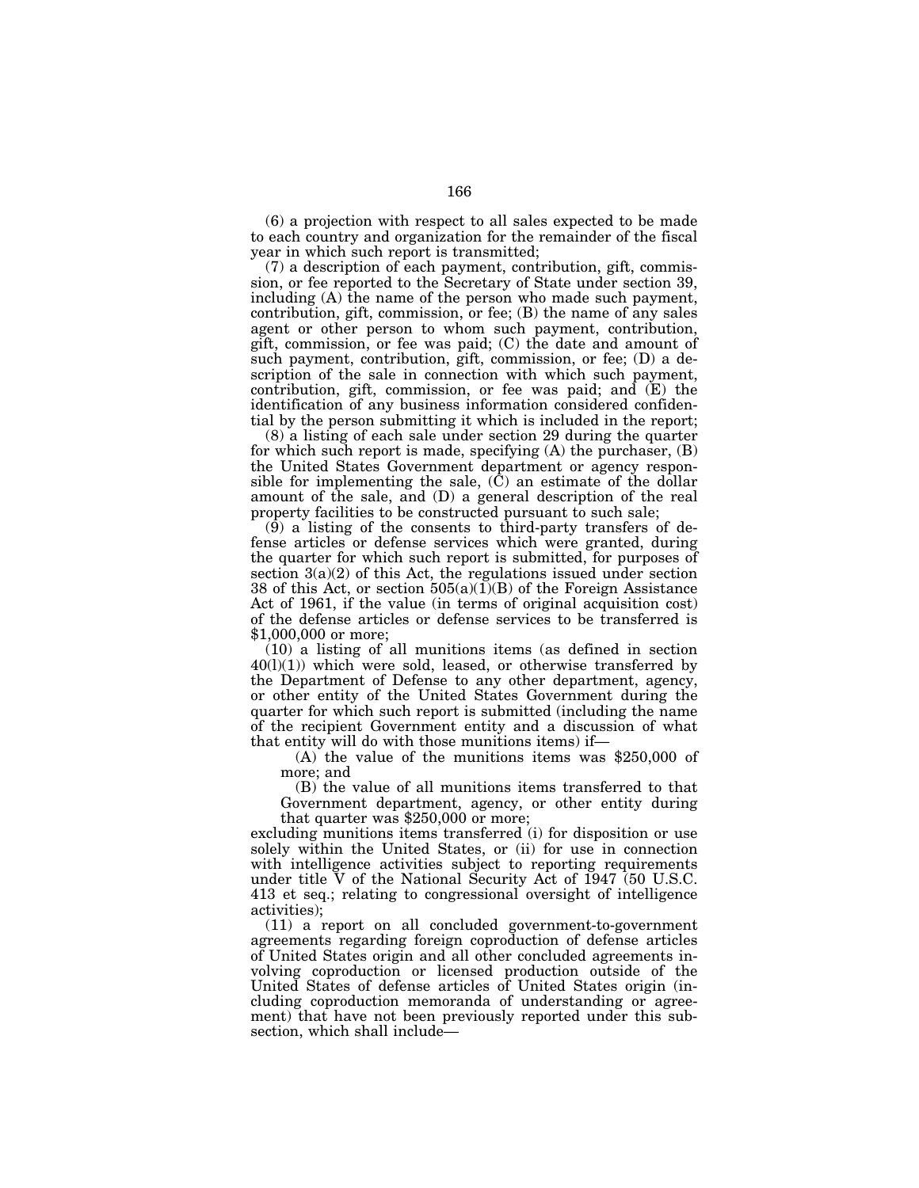(6) a projection with respect to all sales expected to be made to each country and organization for the remainder of the fiscal year in which such report is transmitted;

(7) a description of each payment, contribution, gift, commission, or fee reported to the Secretary of State under section 39, including (A) the name of the person who made such payment, contribution, gift, commission, or fee; (B) the name of any sales agent or other person to whom such payment, contribution, gift, commission, or fee was paid; (C) the date and amount of such payment, contribution, gift, commission, or fee; (D) a description of the sale in connection with which such payment, contribution, gift, commission, or fee was paid; and (E) the identification of any business information considered confidential by the person submitting it which is included in the report;

(8) a listing of each sale under section 29 during the quarter for which such report is made, specifying (A) the purchaser, (B) the United States Government department or agency responsible for implementing the sale, (C) an estimate of the dollar amount of the sale, and (D) a general description of the real property facilities to be constructed pursuant to such sale;

 $(9)$  a listing of the consents to third-party transfers of defense articles or defense services which were granted, during the quarter for which such report is submitted, for purposes of section  $3(a)(2)$  of this Act, the regulations issued under section 38 of this Act, or section  $505(a)(1)(B)$  of the Foreign Assistance Act of 1961, if the value (in terms of original acquisition cost) of the defense articles or defense services to be transferred is \$1,000,000 or more;

(10) a listing of all munitions items (as defined in section  $40(1)(1)$ ) which were sold, leased, or otherwise transferred by the Department of Defense to any other department, agency, or other entity of the United States Government during the quarter for which such report is submitted (including the name of the recipient Government entity and a discussion of what that entity will do with those munitions items) if—

(A) the value of the munitions items was \$250,000 of more; and

(B) the value of all munitions items transferred to that Government department, agency, or other entity during that quarter was \$250,000 or more;

excluding munitions items transferred (i) for disposition or use solely within the United States, or (ii) for use in connection with intelligence activities subject to reporting requirements under title V of the National Security Act of 1947 (50 U.S.C. 413 et seq.; relating to congressional oversight of intelligence activities);

(11) a report on all concluded government-to-government agreements regarding foreign coproduction of defense articles of United States origin and all other concluded agreements involving coproduction or licensed production outside of the United States of defense articles of United States origin (including coproduction memoranda of understanding or agreement) that have not been previously reported under this subsection, which shall include—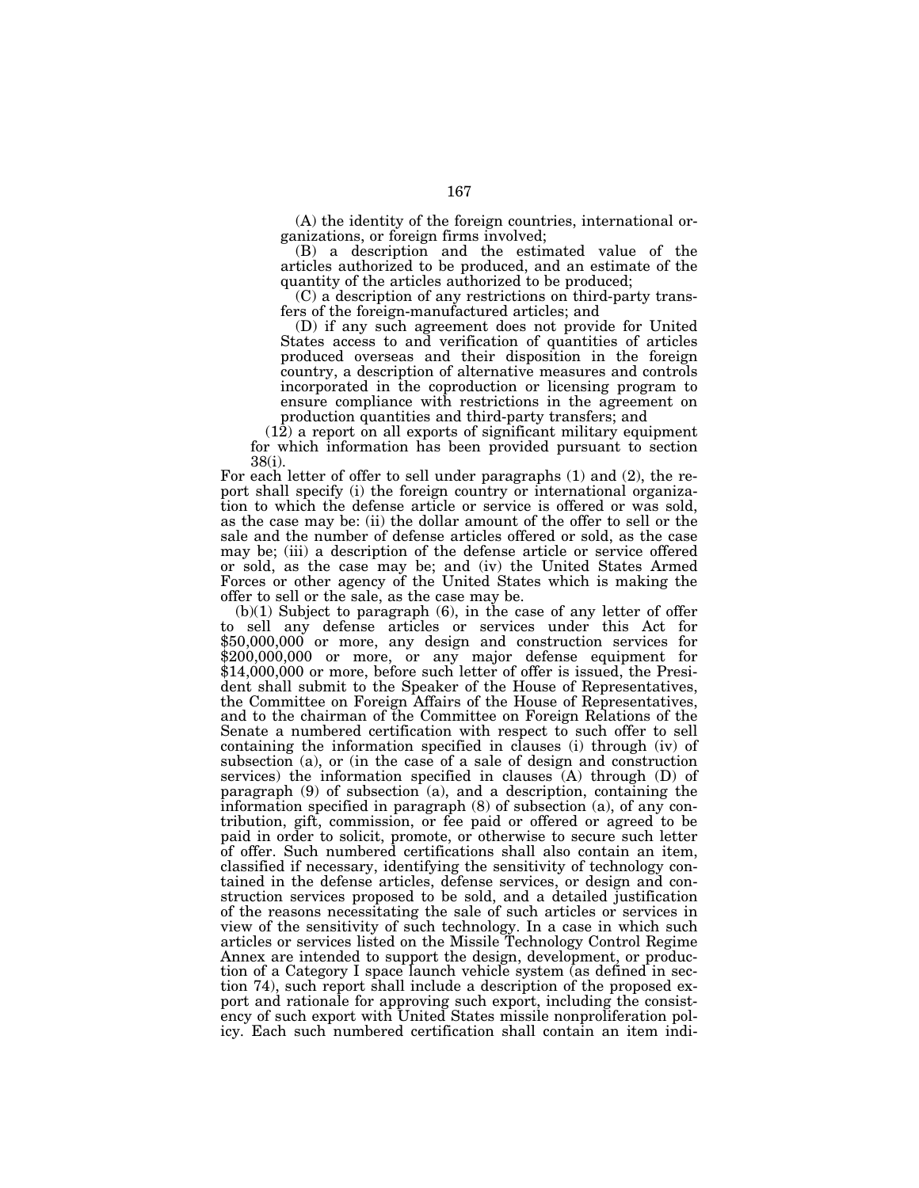(A) the identity of the foreign countries, international organizations, or foreign firms involved;

(B) a description and the estimated value of the articles authorized to be produced, and an estimate of the quantity of the articles authorized to be produced;

(C) a description of any restrictions on third-party transfers of the foreign-manufactured articles; and

(D) if any such agreement does not provide for United States access to and verification of quantities of articles produced overseas and their disposition in the foreign country, a description of alternative measures and controls incorporated in the coproduction or licensing program to ensure compliance with restrictions in the agreement on production quantities and third-party transfers; and

 $(12)$  a report on all exports of significant military equipment for which information has been provided pursuant to section 38(i).

For each letter of offer to sell under paragraphs (1) and (2), the report shall specify (i) the foreign country or international organization to which the defense article or service is offered or was sold, as the case may be: (ii) the dollar amount of the offer to sell or the sale and the number of defense articles offered or sold, as the case may be; (iii) a description of the defense article or service offered or sold, as the case may be; and (iv) the United States Armed Forces or other agency of the United States which is making the offer to sell or the sale, as the case may be.

 $(b)(1)$  Subject to paragraph  $(6)$ , in the case of any letter of offer to sell any defense articles or services under this Act for \$50,000,000 or more, any design and construction services for \$200,000,000 or more, or any major defense equipment for \$14,000,000 or more, before such letter of offer is issued, the President shall submit to the Speaker of the House of Representatives, the Committee on Foreign Affairs of the House of Representatives, and to the chairman of the Committee on Foreign Relations of the Senate a numbered certification with respect to such offer to sell containing the information specified in clauses (i) through (iv) of subsection (a), or (in the case of a sale of design and construction services) the information specified in clauses (A) through (D) of paragraph (9) of subsection (a), and a description, containing the information specified in paragraph (8) of subsection (a), of any contribution, gift, commission, or fee paid or offered or agreed to be paid in order to solicit, promote, or otherwise to secure such letter of offer. Such numbered certifications shall also contain an item, classified if necessary, identifying the sensitivity of technology contained in the defense articles, defense services, or design and construction services proposed to be sold, and a detailed justification of the reasons necessitating the sale of such articles or services in view of the sensitivity of such technology. In a case in which such articles or services listed on the Missile Technology Control Regime Annex are intended to support the design, development, or production of a Category I space launch vehicle system (as defined in section 74), such report shall include a description of the proposed export and rationale for approving such export, including the consistency of such export with United States missile nonproliferation policy. Each such numbered certification shall contain an item indi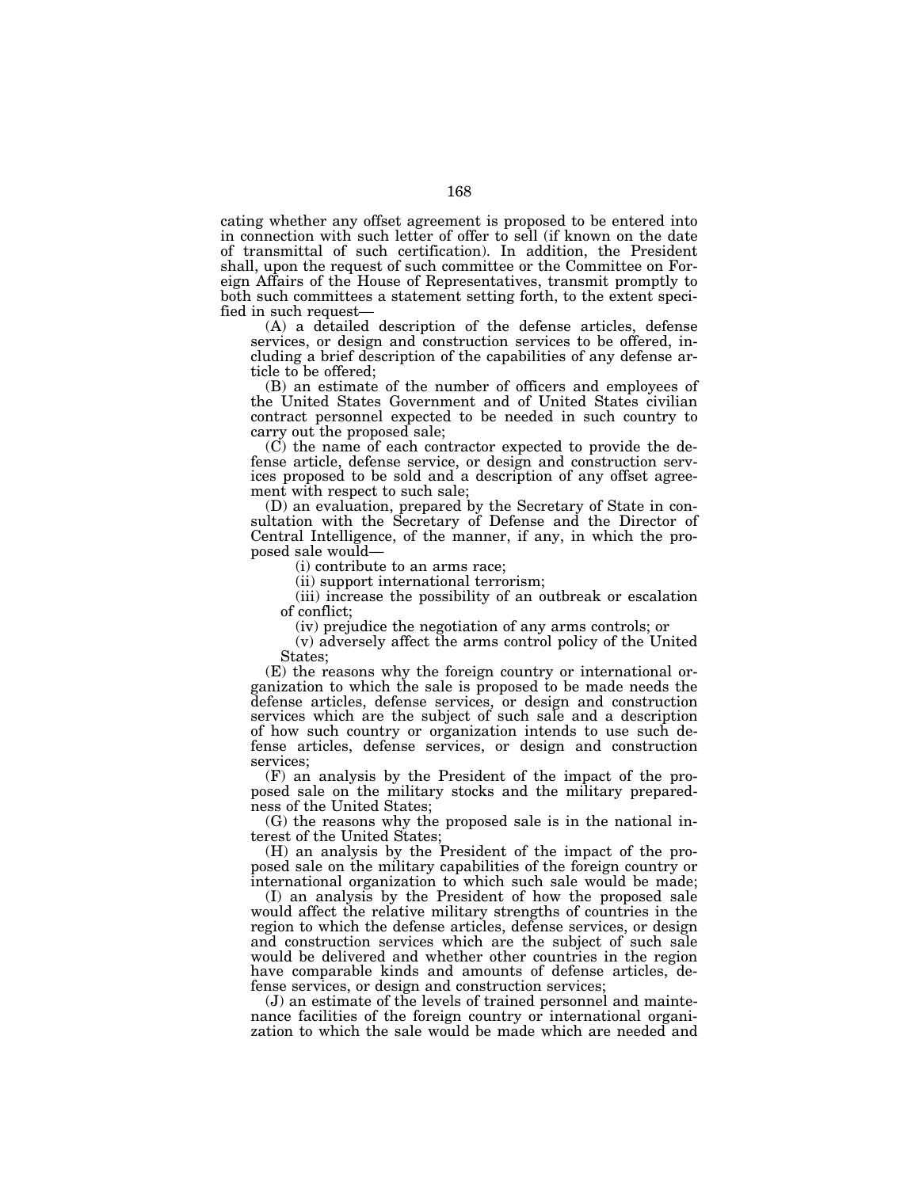cating whether any offset agreement is proposed to be entered into in connection with such letter of offer to sell (if known on the date of transmittal of such certification). In addition, the President shall, upon the request of such committee or the Committee on Foreign Affairs of the House of Representatives, transmit promptly to both such committees a statement setting forth, to the extent specified in such request—

(A) a detailed description of the defense articles, defense services, or design and construction services to be offered, including a brief description of the capabilities of any defense article to be offered;

(B) an estimate of the number of officers and employees of the United States Government and of United States civilian contract personnel expected to be needed in such country to carry out the proposed sale;

(C) the name of each contractor expected to provide the defense article, defense service, or design and construction services proposed to be sold and a description of any offset agreement with respect to such sale;

(D) an evaluation, prepared by the Secretary of State in consultation with the Secretary of Defense and the Director of Central Intelligence, of the manner, if any, in which the proposed sale would—

(i) contribute to an arms race;

(ii) support international terrorism;

(iii) increase the possibility of an outbreak or escalation of conflict;

(iv) prejudice the negotiation of any arms controls; or

(v) adversely affect the arms control policy of the United States;

(E) the reasons why the foreign country or international organization to which the sale is proposed to be made needs the defense articles, defense services, or design and construction services which are the subject of such sale and a description of how such country or organization intends to use such defense articles, defense services, or design and construction services;

(F) an analysis by the President of the impact of the proposed sale on the military stocks and the military preparedness of the United States;

(G) the reasons why the proposed sale is in the national interest of the United States;

(H) an analysis by the President of the impact of the proposed sale on the military capabilities of the foreign country or international organization to which such sale would be made;

(I) an analysis by the President of how the proposed sale would affect the relative military strengths of countries in the region to which the defense articles, defense services, or design and construction services which are the subject of such sale would be delivered and whether other countries in the region have comparable kinds and amounts of defense articles, defense services, or design and construction services;

(J) an estimate of the levels of trained personnel and maintenance facilities of the foreign country or international organization to which the sale would be made which are needed and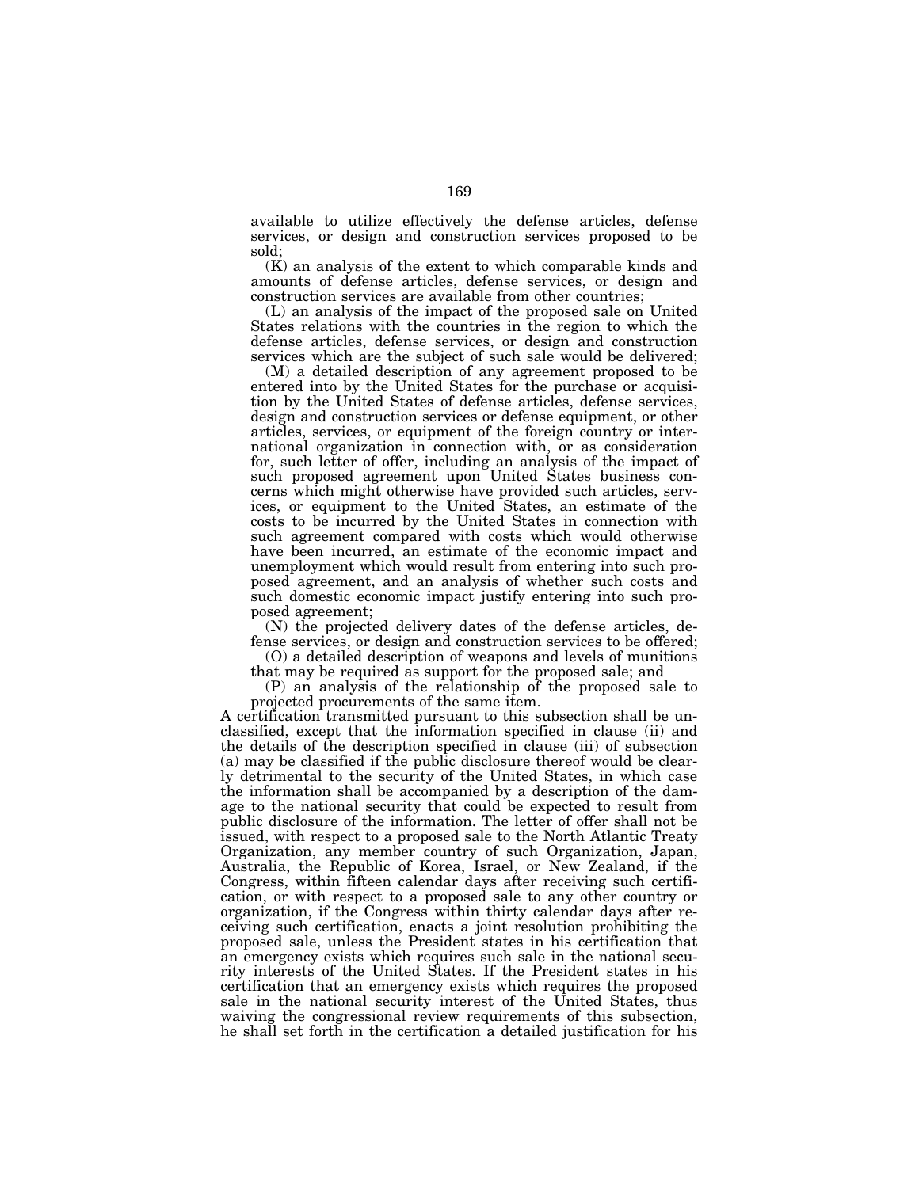available to utilize effectively the defense articles, defense services, or design and construction services proposed to be sold;

(K) an analysis of the extent to which comparable kinds and amounts of defense articles, defense services, or design and construction services are available from other countries;

(L) an analysis of the impact of the proposed sale on United States relations with the countries in the region to which the defense articles, defense services, or design and construction services which are the subject of such sale would be delivered;

(M) a detailed description of any agreement proposed to be entered into by the United States for the purchase or acquisition by the United States of defense articles, defense services, design and construction services or defense equipment, or other articles, services, or equipment of the foreign country or international organization in connection with, or as consideration for, such letter of offer, including an analysis of the impact of such proposed agreement upon United States business concerns which might otherwise have provided such articles, services, or equipment to the United States, an estimate of the costs to be incurred by the United States in connection with such agreement compared with costs which would otherwise have been incurred, an estimate of the economic impact and unemployment which would result from entering into such proposed agreement, and an analysis of whether such costs and such domestic economic impact justify entering into such proposed agreement;

(N) the projected delivery dates of the defense articles, defense services, or design and construction services to be offered;

(O) a detailed description of weapons and levels of munitions that may be required as support for the proposed sale; and

(P) an analysis of the relationship of the proposed sale to projected procurements of the same item.

A certification transmitted pursuant to this subsection shall be unclassified, except that the information specified in clause (ii) and the details of the description specified in clause (iii) of subsection (a) may be classified if the public disclosure thereof would be clearly detrimental to the security of the United States, in which case the information shall be accompanied by a description of the damage to the national security that could be expected to result from public disclosure of the information. The letter of offer shall not be issued, with respect to a proposed sale to the North Atlantic Treaty Organization, any member country of such Organization, Japan, Australia, the Republic of Korea, Israel, or New Zealand, if the Congress, within fifteen calendar days after receiving such certification, or with respect to a proposed sale to any other country or organization, if the Congress within thirty calendar days after receiving such certification, enacts a joint resolution prohibiting the proposed sale, unless the President states in his certification that an emergency exists which requires such sale in the national security interests of the United States. If the President states in his certification that an emergency exists which requires the proposed sale in the national security interest of the United States, thus waiving the congressional review requirements of this subsection, he shall set forth in the certification a detailed justification for his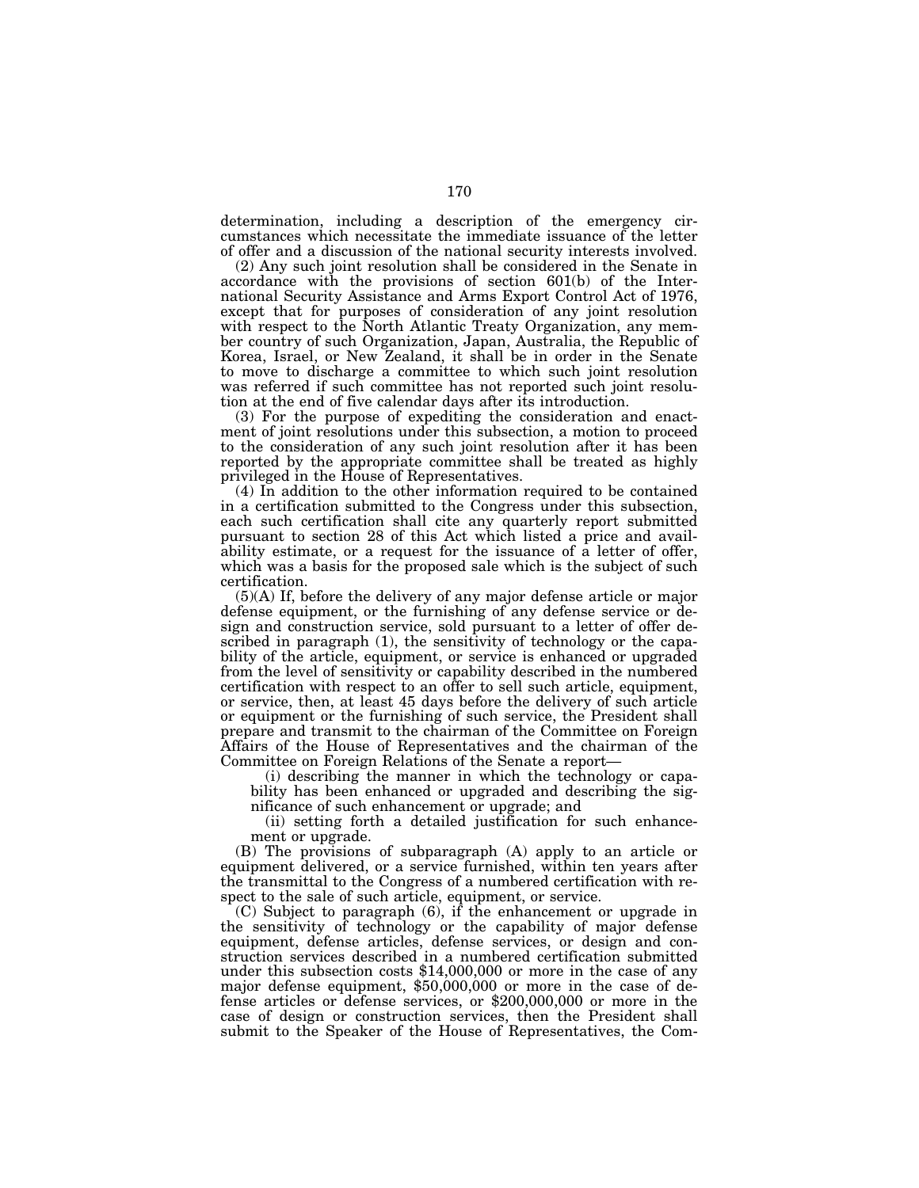determination, including a description of the emergency circumstances which necessitate the immediate issuance of the letter of offer and a discussion of the national security interests involved.

(2) Any such joint resolution shall be considered in the Senate in accordance with the provisions of section 601(b) of the International Security Assistance and Arms Export Control Act of 1976, except that for purposes of consideration of any joint resolution with respect to the North Atlantic Treaty Organization, any member country of such Organization, Japan, Australia, the Republic of Korea, Israel, or New Zealand, it shall be in order in the Senate to move to discharge a committee to which such joint resolution was referred if such committee has not reported such joint resolution at the end of five calendar days after its introduction.

(3) For the purpose of expediting the consideration and enactment of joint resolutions under this subsection, a motion to proceed to the consideration of any such joint resolution after it has been reported by the appropriate committee shall be treated as highly privileged in the House of Representatives.

(4) In addition to the other information required to be contained in a certification submitted to the Congress under this subsection, each such certification shall cite any quarterly report submitted pursuant to section 28 of this Act which listed a price and availability estimate, or a request for the issuance of a letter of offer, which was a basis for the proposed sale which is the subject of such certification.

(5)(A) If, before the delivery of any major defense article or major defense equipment, or the furnishing of any defense service or design and construction service, sold pursuant to a letter of offer described in paragraph (1), the sensitivity of technology or the capability of the article, equipment, or service is enhanced or upgraded from the level of sensitivity or capability described in the numbered certification with respect to an offer to sell such article, equipment, or service, then, at least 45 days before the delivery of such article or equipment or the furnishing of such service, the President shall prepare and transmit to the chairman of the Committee on Foreign Affairs of the House of Representatives and the chairman of the Committee on Foreign Relations of the Senate a report—

(i) describing the manner in which the technology or capability has been enhanced or upgraded and describing the significance of such enhancement or upgrade; and

(ii) setting forth a detailed justification for such enhancement or upgrade.

(B) The provisions of subparagraph (A) apply to an article or equipment delivered, or a service furnished, within ten years after the transmittal to the Congress of a numbered certification with respect to the sale of such article, equipment, or service.

(C) Subject to paragraph (6), if the enhancement or upgrade in the sensitivity of technology or the capability of major defense equipment, defense articles, defense services, or design and construction services described in a numbered certification submitted under this subsection costs \$14,000,000 or more in the case of any major defense equipment, \$50,000,000 or more in the case of defense articles or defense services, or \$200,000,000 or more in the case of design or construction services, then the President shall submit to the Speaker of the House of Representatives, the Com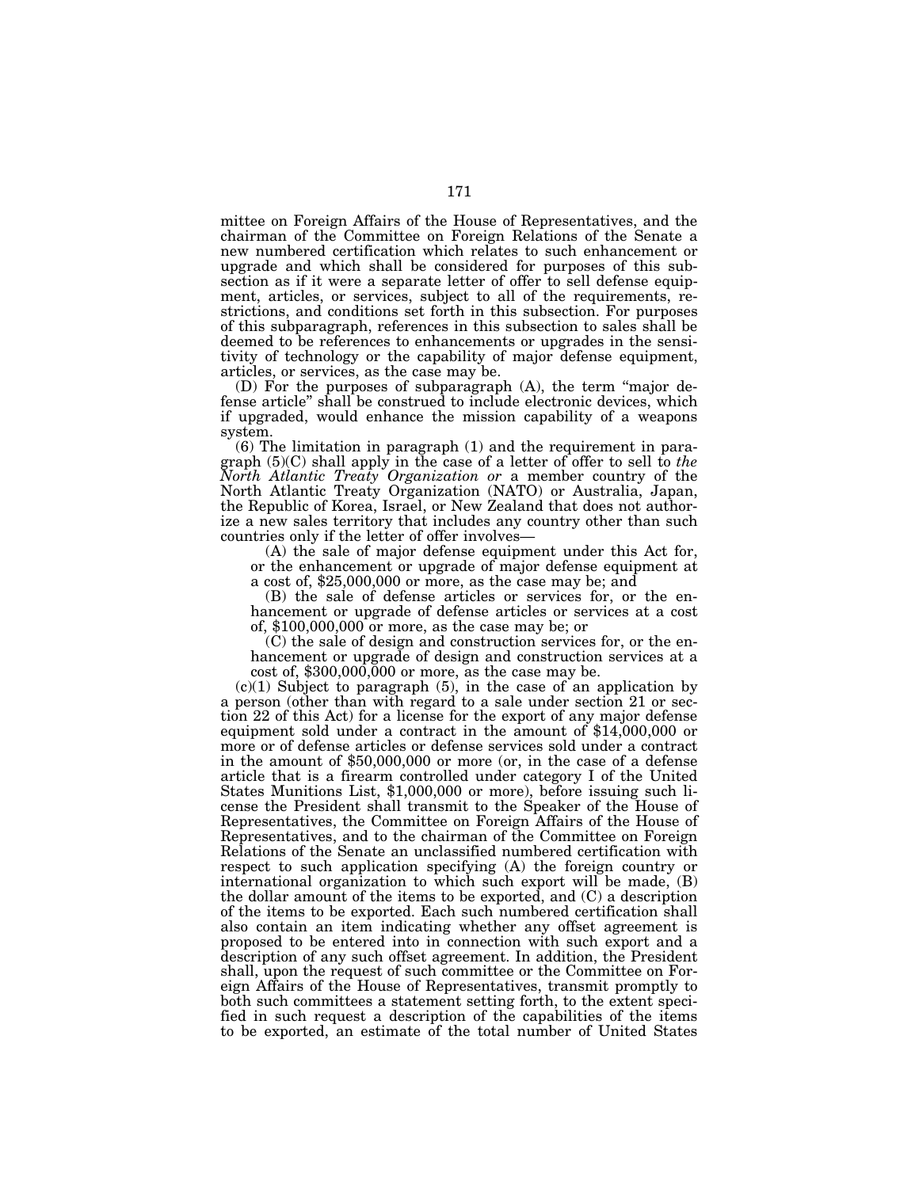mittee on Foreign Affairs of the House of Representatives, and the chairman of the Committee on Foreign Relations of the Senate a new numbered certification which relates to such enhancement or upgrade and which shall be considered for purposes of this subsection as if it were a separate letter of offer to sell defense equipment, articles, or services, subject to all of the requirements, restrictions, and conditions set forth in this subsection. For purposes of this subparagraph, references in this subsection to sales shall be deemed to be references to enhancements or upgrades in the sensitivity of technology or the capability of major defense equipment, articles, or services, as the case may be.

(D) For the purposes of subparagraph (A), the term ''major defense article'' shall be construed to include electronic devices, which if upgraded, would enhance the mission capability of a weapons system.

(6) The limitation in paragraph (1) and the requirement in paragraph (5)(C) shall apply in the case of a letter of offer to sell to *the North Atlantic Treaty Organization or* a member country of the North Atlantic Treaty Organization (NATO) or Australia, Japan, the Republic of Korea, Israel, or New Zealand that does not authorize a new sales territory that includes any country other than such countries only if the letter of offer involves—

(A) the sale of major defense equipment under this Act for, or the enhancement or upgrade of major defense equipment at a cost of, \$25,000,000 or more, as the case may be; and

(B) the sale of defense articles or services for, or the enhancement or upgrade of defense articles or services at a cost of, \$100,000,000 or more, as the case may be; or

(C) the sale of design and construction services for, or the enhancement or upgrade of design and construction services at a cost of,  $$300,000,000$  or more, as the case may be.

 $(c)(1)$  Subject to paragraph  $(5)$ , in the case of an application by a person (other than with regard to a sale under section 21 or section 22 of this Act) for a license for the export of any major defense equipment sold under a contract in the amount of \$14,000,000 or more or of defense articles or defense services sold under a contract in the amount of \$50,000,000 or more (or, in the case of a defense article that is a firearm controlled under category I of the United States Munitions List, \$1,000,000 or more), before issuing such license the President shall transmit to the Speaker of the House of Representatives, the Committee on Foreign Affairs of the House of Representatives, and to the chairman of the Committee on Foreign Relations of the Senate an unclassified numbered certification with respect to such application specifying (A) the foreign country or international organization to which such export will be made, (B) the dollar amount of the items to be exported, and (C) a description of the items to be exported. Each such numbered certification shall also contain an item indicating whether any offset agreement is proposed to be entered into in connection with such export and a description of any such offset agreement. In addition, the President shall, upon the request of such committee or the Committee on Foreign Affairs of the House of Representatives, transmit promptly to both such committees a statement setting forth, to the extent specified in such request a description of the capabilities of the items to be exported, an estimate of the total number of United States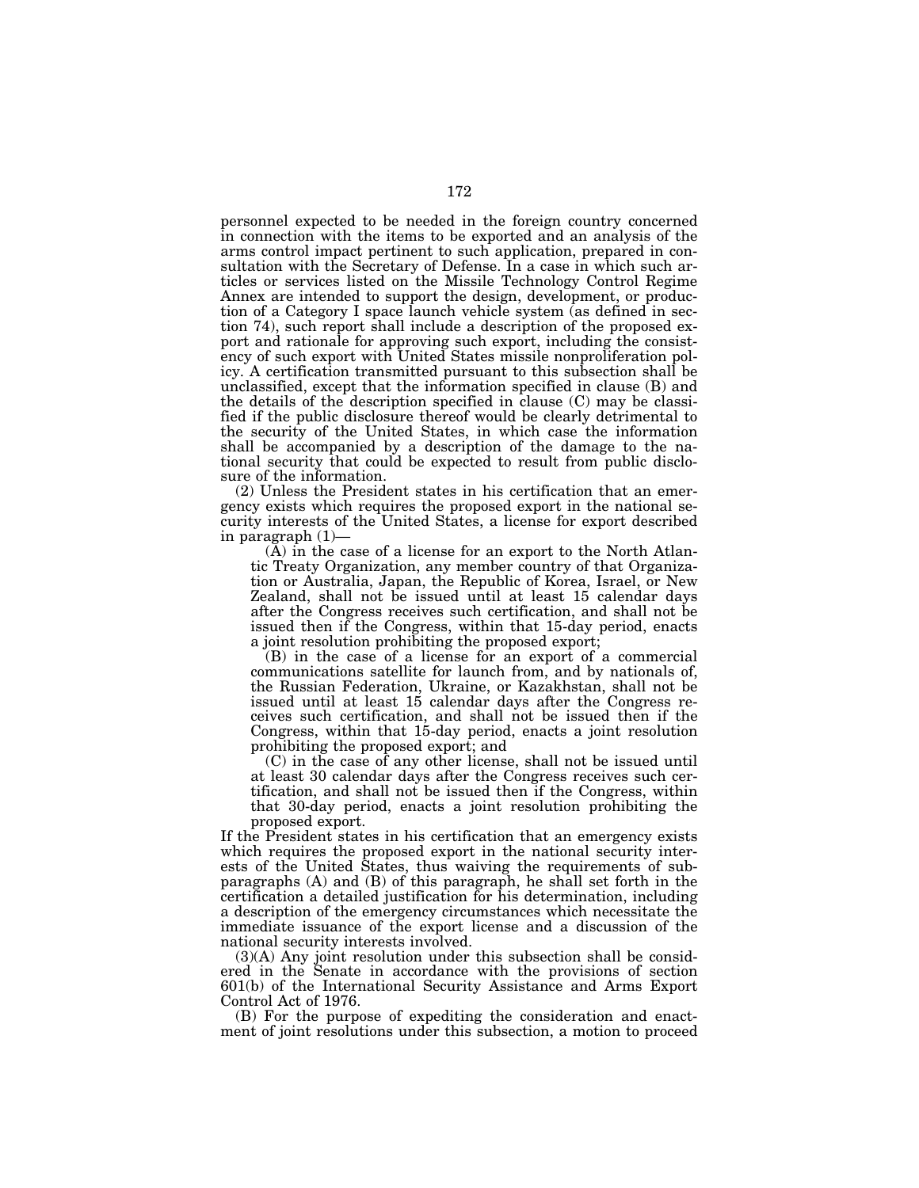personnel expected to be needed in the foreign country concerned in connection with the items to be exported and an analysis of the arms control impact pertinent to such application, prepared in consultation with the Secretary of Defense. In a case in which such articles or services listed on the Missile Technology Control Regime Annex are intended to support the design, development, or production of a Category I space launch vehicle system (as defined in section 74), such report shall include a description of the proposed export and rationale for approving such export, including the consistency of such export with United States missile nonproliferation policy. A certification transmitted pursuant to this subsection shall be unclassified, except that the information specified in clause (B) and the details of the description specified in clause (C) may be classified if the public disclosure thereof would be clearly detrimental to the security of the United States, in which case the information shall be accompanied by a description of the damage to the national security that could be expected to result from public disclosure of the information.

(2) Unless the President states in his certification that an emergency exists which requires the proposed export in the national security interests of the United States, a license for export described in paragraph (1)—

(A) in the case of a license for an export to the North Atlantic Treaty Organization, any member country of that Organization or Australia, Japan, the Republic of Korea, Israel, or New Zealand, shall not be issued until at least 15 calendar days after the Congress receives such certification, and shall not be issued then if the Congress, within that 15-day period, enacts a joint resolution prohibiting the proposed export;

(B) in the case of a license for an export of a commercial communications satellite for launch from, and by nationals of, the Russian Federation, Ukraine, or Kazakhstan, shall not be issued until at least 15 calendar days after the Congress receives such certification, and shall not be issued then if the Congress, within that 15-day period, enacts a joint resolution prohibiting the proposed export; and

(C) in the case of any other license, shall not be issued until at least 30 calendar days after the Congress receives such certification, and shall not be issued then if the Congress, within that 30-day period, enacts a joint resolution prohibiting the proposed export.

If the President states in his certification that an emergency exists which requires the proposed export in the national security interests of the United States, thus waiving the requirements of subparagraphs (A) and (B) of this paragraph, he shall set forth in the certification a detailed justification for his determination, including a description of the emergency circumstances which necessitate the immediate issuance of the export license and a discussion of the national security interests involved.

(3)(A) Any joint resolution under this subsection shall be considered in the Senate in accordance with the provisions of section 601(b) of the International Security Assistance and Arms Export Control Act of 1976.

(B) For the purpose of expediting the consideration and enactment of joint resolutions under this subsection, a motion to proceed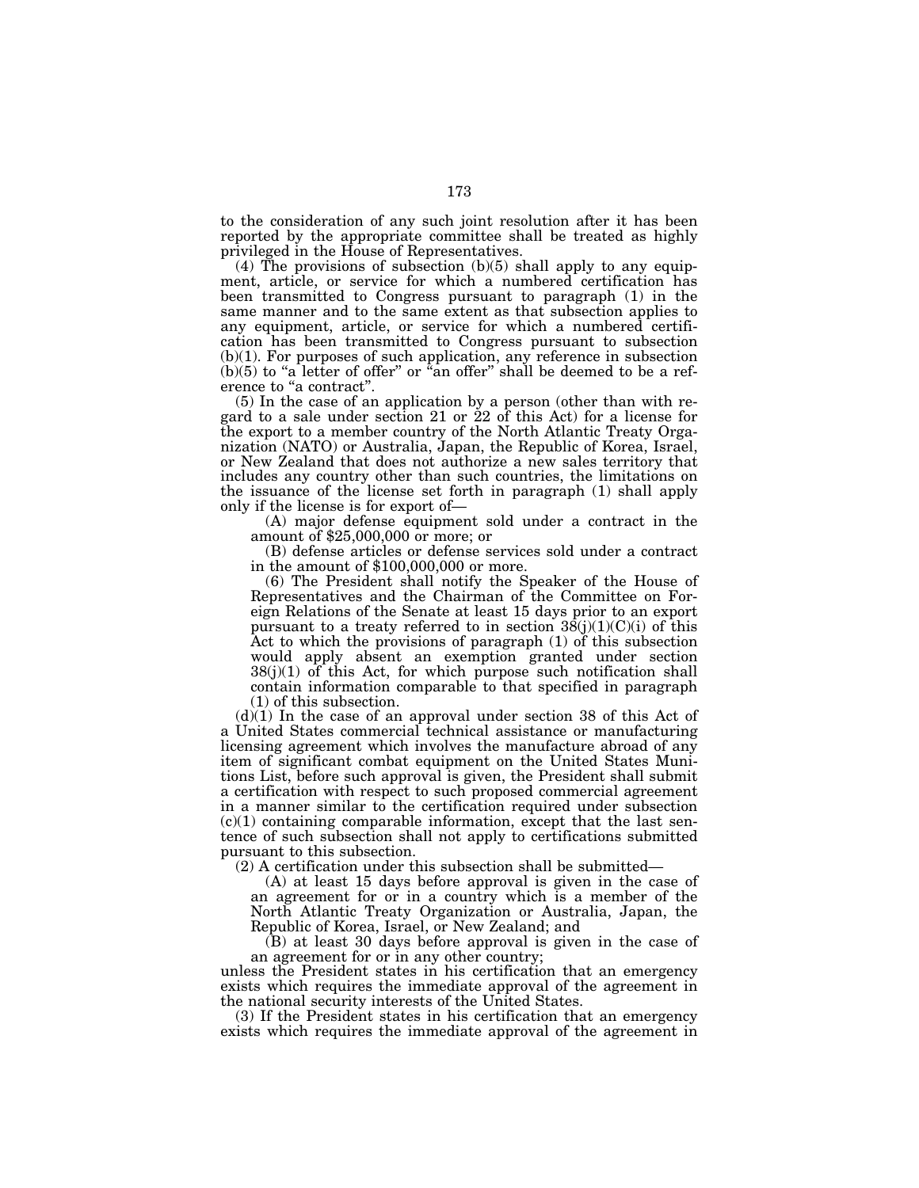to the consideration of any such joint resolution after it has been reported by the appropriate committee shall be treated as highly privileged in the House of Representatives.

(4) The provisions of subsection  $(b)(5)$  shall apply to any equipment, article, or service for which a numbered certification has been transmitted to Congress pursuant to paragraph (1) in the same manner and to the same extent as that subsection applies to any equipment, article, or service for which a numbered certification has been transmitted to Congress pursuant to subsection (b)(1). For purposes of such application, any reference in subsection (b)(5) to "a letter of offer" or "an offer" shall be deemed to be a reference to "a contract".

(5) In the case of an application by a person (other than with regard to a sale under section 21 or  $22$  of this Act) for a license for the export to a member country of the North Atlantic Treaty Organization (NATO) or Australia, Japan, the Republic of Korea, Israel, or New Zealand that does not authorize a new sales territory that includes any country other than such countries, the limitations on the issuance of the license set forth in paragraph (1) shall apply only if the license is for export of—

(A) major defense equipment sold under a contract in the amount of \$25,000,000 or more; or

(B) defense articles or defense services sold under a contract in the amount of \$100,000,000 or more.

(6) The President shall notify the Speaker of the House of Representatives and the Chairman of the Committee on Foreign Relations of the Senate at least 15 days prior to an export pursuant to a treaty referred to in section  $3\delta(j)(1)(C)(i)$  of this Act to which the provisions of paragraph (1) of this subsection would apply absent an exemption granted under section  $38(j)(1)$  of this Act, for which purpose such notification shall contain information comparable to that specified in paragraph (1) of this subsection.

 $(d)(1)$  In the case of an approval under section 38 of this Act of a United States commercial technical assistance or manufacturing licensing agreement which involves the manufacture abroad of any item of significant combat equipment on the United States Munitions List, before such approval is given, the President shall submit a certification with respect to such proposed commercial agreement in a manner similar to the certification required under subsection  $(c)(1)$  containing comparable information, except that the last sentence of such subsection shall not apply to certifications submitted pursuant to this subsection.

(2) A certification under this subsection shall be submitted—

(A) at least 15 days before approval is given in the case of an agreement for or in a country which is a member of the North Atlantic Treaty Organization or Australia, Japan, the Republic of Korea, Israel, or New Zealand; and

(B) at least 30 days before approval is given in the case of an agreement for or in any other country;

unless the President states in his certification that an emergency exists which requires the immediate approval of the agreement in the national security interests of the United States.

(3) If the President states in his certification that an emergency exists which requires the immediate approval of the agreement in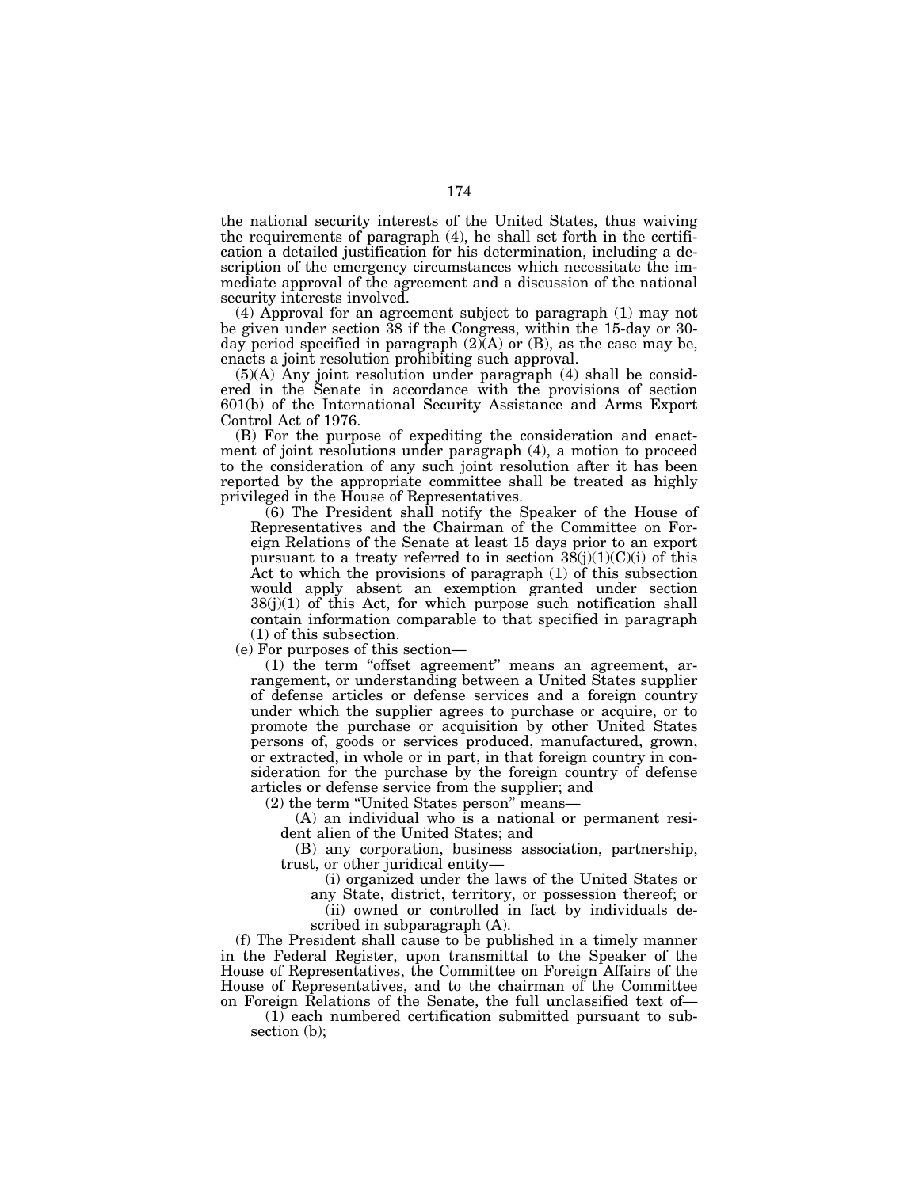the national security interests of the United States, thus waiving the requirements of paragraph (4), he shall set forth in the certification a detailed justification for his determination, including a description of the emergency circumstances which necessitate the immediate approval of the agreement and a discussion of the national security interests involved.

(4) Approval for an agreement subject to paragraph (1) may not be given under section 38 if the Congress, within the 15-day or 30 day period specified in paragraph  $(2)(A)$  or  $(B)$ , as the case may be, enacts a joint resolution prohibiting such approval.

(5)(A) Any joint resolution under paragraph (4) shall be considered in the Senate in accordance with the provisions of section 601(b) of the International Security Assistance and Arms Export Control Act of 1976.

(B) For the purpose of expediting the consideration and enactment of joint resolutions under paragraph (4), a motion to proceed to the consideration of any such joint resolution after it has been reported by the appropriate committee shall be treated as highly privileged in the House of Representatives.

(6) The President shall notify the Speaker of the House of Representatives and the Chairman of the Committee on Foreign Relations of the Senate at least 15 days prior to an export pursuant to a treaty referred to in section  $38(j)(1)(C)(i)$  of this Act to which the provisions of paragraph (1) of this subsection would apply absent an exemption granted under section  $38(j)(1)$  of this Act, for which purpose such notification shall contain information comparable to that specified in paragraph (1) of this subsection.

(e) For purposes of this section—

 $(1)$  the term "offset agreement" means an agreement, arrangement, or understanding between a United States supplier of defense articles or defense services and a foreign country under which the supplier agrees to purchase or acquire, or to promote the purchase or acquisition by other United States persons of, goods or services produced, manufactured, grown, or extracted, in whole or in part, in that foreign country in consideration for the purchase by the foreign country of defense articles or defense service from the supplier; and

(2) the term ''United States person'' means—

(A) an individual who is a national or permanent resident alien of the United States; and

(B) any corporation, business association, partnership, trust, or other juridical entity—

(i) organized under the laws of the United States or

any State, district, territory, or possession thereof; or (ii) owned or controlled in fact by individuals described in subparagraph (A).

(f) The President shall cause to be published in a timely manner in the Federal Register, upon transmittal to the Speaker of the House of Representatives, the Committee on Foreign Affairs of the House of Representatives, and to the chairman of the Committee on Foreign Relations of the Senate, the full unclassified text of—

(1) each numbered certification submitted pursuant to subsection (b);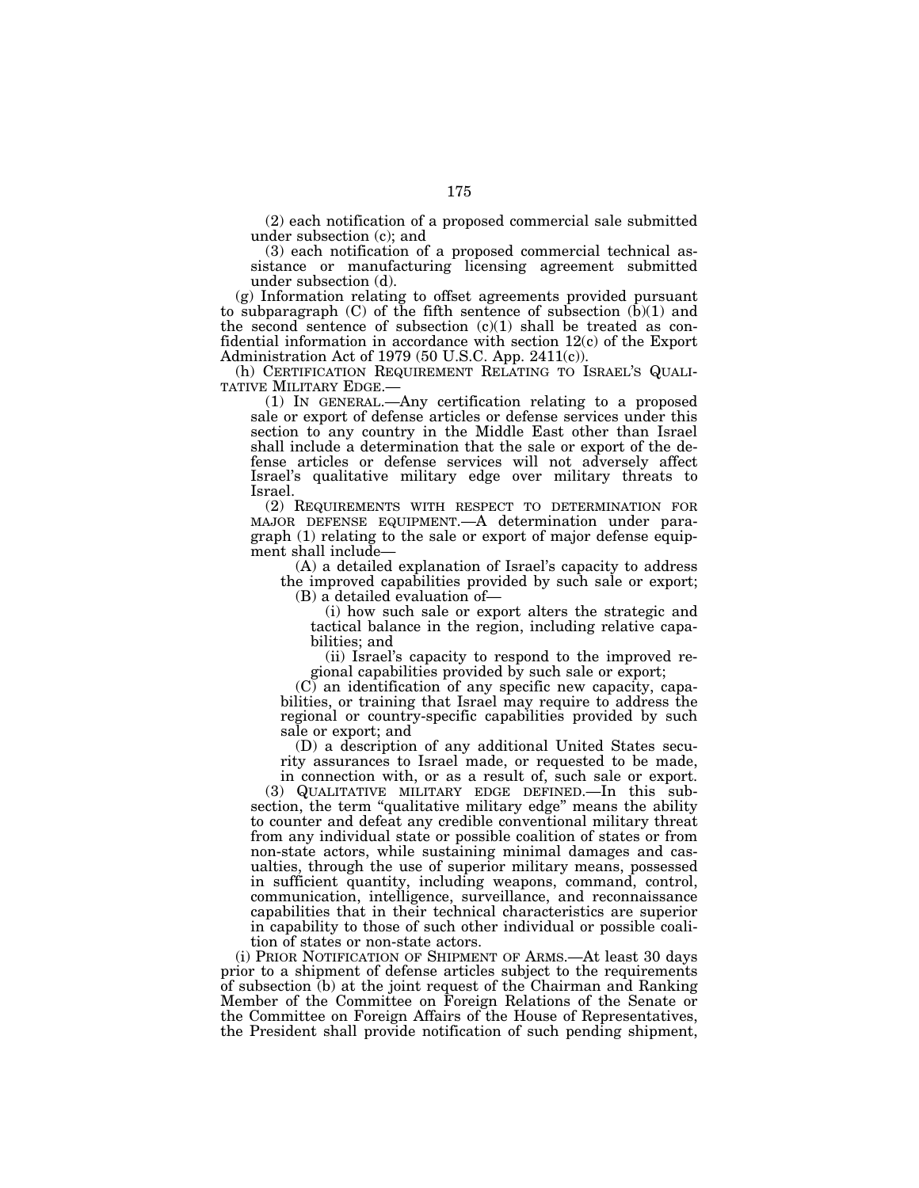(2) each notification of a proposed commercial sale submitted under subsection (c); and

(3) each notification of a proposed commercial technical assistance or manufacturing licensing agreement submitted under subsection (d).

(g) Information relating to offset agreements provided pursuant to subparagraph  $(C)$  of the fifth sentence of subsection  $(b)(1)$  and the second sentence of subsection  $(c)(1)$  shall be treated as confidential information in accordance with section 12(c) of the Export Administration Act of 1979 (50 U.S.C. App. 2411(c)).

(h) CERTIFICATION REQUIREMENT RELATING TO ISRAEL'S QUALI- TATIVE MILITARY EDGE.— (1) IN GENERAL.—Any certification relating to a proposed

sale or export of defense articles or defense services under this section to any country in the Middle East other than Israel shall include a determination that the sale or export of the defense articles or defense services will not adversely affect Israel's qualitative military edge over military threats to Israel.

(2) REQUIREMENTS WITH RESPECT TO DETERMINATION FOR MAJOR DEFENSE EQUIPMENT.—A determination under paragraph (1) relating to the sale or export of major defense equipment shall include—

(A) a detailed explanation of Israel's capacity to address the improved capabilities provided by such sale or export; (B) a detailed evaluation of—

(i) how such sale or export alters the strategic and tactical balance in the region, including relative capabilities; and

(ii) Israel's capacity to respond to the improved regional capabilities provided by such sale or export;

(C) an identification of any specific new capacity, capabilities, or training that Israel may require to address the regional or country-specific capabilities provided by such sale or export; and

(D) a description of any additional United States security assurances to Israel made, or requested to be made,

in connection with, or as a result of, such sale or export. (3) QUALITATIVE MILITARY EDGE DEFINED.—In this subsection, the term "qualitative military edge" means the ability to counter and defeat any credible conventional military threat from any individual state or possible coalition of states or from non-state actors, while sustaining minimal damages and casualties, through the use of superior military means, possessed in sufficient quantity, including weapons, command, control, communication, intelligence, surveillance, and reconnaissance capabilities that in their technical characteristics are superior in capability to those of such other individual or possible coalition of states or non-state actors.

(i) PRIOR NOTIFICATION OF SHIPMENT OF ARMS.—At least 30 days prior to a shipment of defense articles subject to the requirements of subsection (b) at the joint request of the Chairman and Ranking Member of the Committee on Foreign Relations of the Senate or the Committee on Foreign Affairs of the House of Representatives, the President shall provide notification of such pending shipment,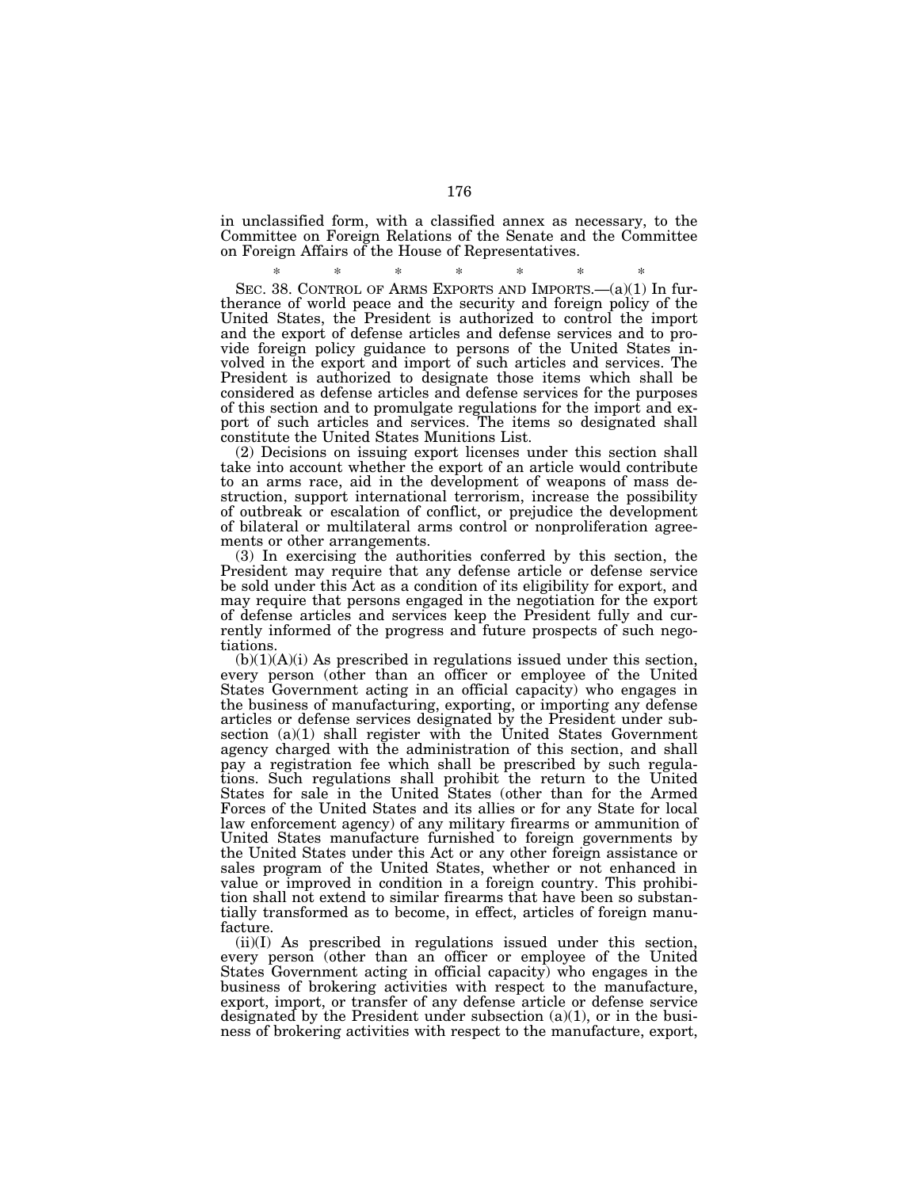in unclassified form, with a classified annex as necessary, to the Committee on Foreign Relations of the Senate and the Committee on Foreign Affairs of the House of Representatives.

\* \* \* \* \* \* \* SEC. 38. CONTROL OF ARMS EXPORTS AND IMPORTS.—(a)(1) In furtherance of world peace and the security and foreign policy of the United States, the President is authorized to control the import and the export of defense articles and defense services and to provide foreign policy guidance to persons of the United States involved in the export and import of such articles and services. The President is authorized to designate those items which shall be considered as defense articles and defense services for the purposes of this section and to promulgate regulations for the import and export of such articles and services. The items so designated shall constitute the United States Munitions List.

(2) Decisions on issuing export licenses under this section shall take into account whether the export of an article would contribute to an arms race, aid in the development of weapons of mass destruction, support international terrorism, increase the possibility of outbreak or escalation of conflict, or prejudice the development of bilateral or multilateral arms control or nonproliferation agreements or other arrangements.

(3) In exercising the authorities conferred by this section, the President may require that any defense article or defense service be sold under this Act as a condition of its eligibility for export, and may require that persons engaged in the negotiation for the export of defense articles and services keep the President fully and currently informed of the progress and future prospects of such negotiations.

 $(b)(1)(A)(i)$  As prescribed in regulations issued under this section, every person (other than an officer or employee of the United States Government acting in an official capacity) who engages in the business of manufacturing, exporting, or importing any defense articles or defense services designated by the President under subsection (a)(1) shall register with the United States Government agency charged with the administration of this section, and shall pay a registration fee which shall be prescribed by such regulations. Such regulations shall prohibit the return to the United States for sale in the United States (other than for the Armed Forces of the United States and its allies or for any State for local law enforcement agency) of any military firearms or ammunition of United States manufacture furnished to foreign governments by the United States under this Act or any other foreign assistance or sales program of the United States, whether or not enhanced in value or improved in condition in a foreign country. This prohibition shall not extend to similar firearms that have been so substantially transformed as to become, in effect, articles of foreign manufacture.

(ii)(I) As prescribed in regulations issued under this section, every person (other than an officer or employee of the United States Government acting in official capacity) who engages in the business of brokering activities with respect to the manufacture, export, import, or transfer of any defense article or defense service designated by the President under subsection  $(a)(1)$ , or in the business of brokering activities with respect to the manufacture, export,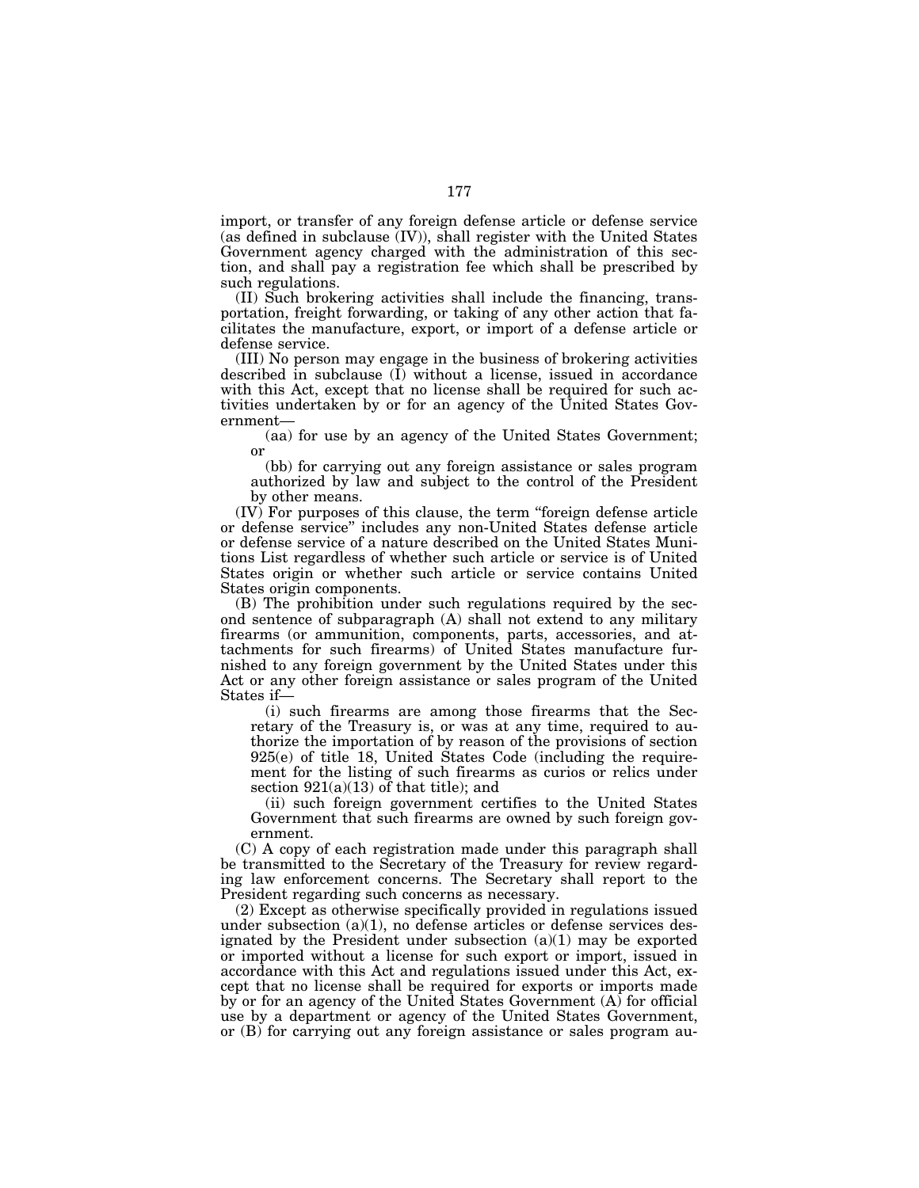import, or transfer of any foreign defense article or defense service (as defined in subclause (IV)), shall register with the United States Government agency charged with the administration of this section, and shall pay a registration fee which shall be prescribed by such regulations.

(II) Such brokering activities shall include the financing, transportation, freight forwarding, or taking of any other action that facilitates the manufacture, export, or import of a defense article or defense service.

(III) No person may engage in the business of brokering activities described in subclause (I) without a license, issued in accordance with this Act, except that no license shall be required for such activities undertaken by or for an agency of the United States Government—

(aa) for use by an agency of the United States Government; or

(bb) for carrying out any foreign assistance or sales program authorized by law and subject to the control of the President by other means.

(IV) For purposes of this clause, the term ''foreign defense article or defense service'' includes any non-United States defense article or defense service of a nature described on the United States Munitions List regardless of whether such article or service is of United States origin or whether such article or service contains United States origin components.

(B) The prohibition under such regulations required by the second sentence of subparagraph (A) shall not extend to any military firearms (or ammunition, components, parts, accessories, and attachments for such firearms) of United States manufacture furnished to any foreign government by the United States under this Act or any other foreign assistance or sales program of the United States if—

(i) such firearms are among those firearms that the Secretary of the Treasury is, or was at any time, required to authorize the importation of by reason of the provisions of section 925(e) of title 18, United States Code (including the requirement for the listing of such firearms as curios or relics under section 921(a)(13) of that title); and

(ii) such foreign government certifies to the United States Government that such firearms are owned by such foreign government.

(C) A copy of each registration made under this paragraph shall be transmitted to the Secretary of the Treasury for review regarding law enforcement concerns. The Secretary shall report to the President regarding such concerns as necessary.

(2) Except as otherwise specifically provided in regulations issued under subsection  $(a)(1)$ , no defense articles or defense services designated by the President under subsection (a)(1) may be exported or imported without a license for such export or import, issued in accordance with this Act and regulations issued under this Act, except that no license shall be required for exports or imports made by or for an agency of the United States Government (A) for official use by a department or agency of the United States Government, or (B) for carrying out any foreign assistance or sales program au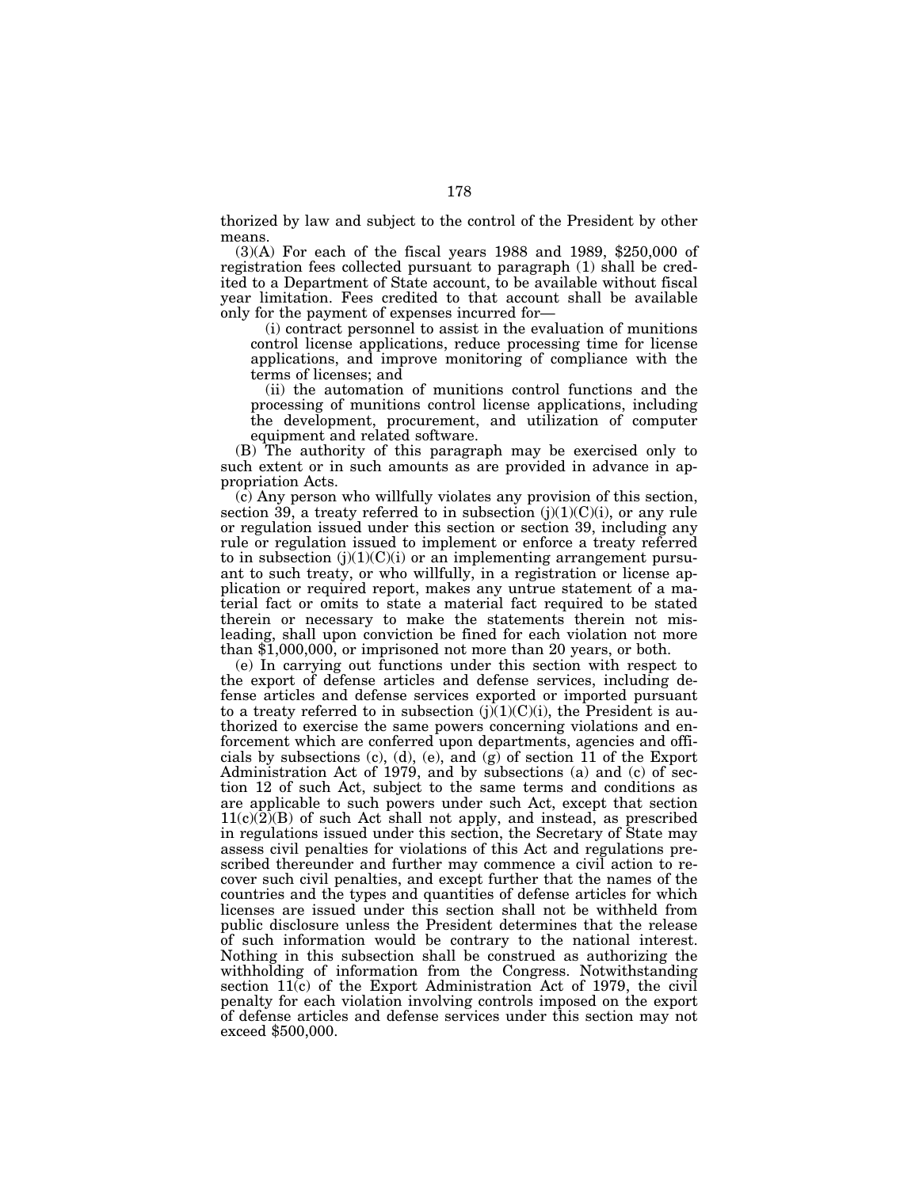thorized by law and subject to the control of the President by other means.

(3)(A) For each of the fiscal years 1988 and 1989, \$250,000 of registration fees collected pursuant to paragraph (1) shall be credited to a Department of State account, to be available without fiscal year limitation. Fees credited to that account shall be available only for the payment of expenses incurred for—

(i) contract personnel to assist in the evaluation of munitions control license applications, reduce processing time for license applications, and improve monitoring of compliance with the terms of licenses; and

(ii) the automation of munitions control functions and the processing of munitions control license applications, including the development, procurement, and utilization of computer equipment and related software.

(B) The authority of this paragraph may be exercised only to such extent or in such amounts as are provided in advance in appropriation Acts.

(c) Any person who willfully violates any provision of this section, section 39, a treaty referred to in subsection  $(j)(1)(C)(i)$ , or any rule or regulation issued under this section or section 39, including any rule or regulation issued to implement or enforce a treaty referred to in subsection  $(j)(1)(C)(i)$  or an implementing arrangement pursuant to such treaty, or who willfully, in a registration or license application or required report, makes any untrue statement of a material fact or omits to state a material fact required to be stated therein or necessary to make the statements therein not misleading, shall upon conviction be fined for each violation not more than \$1,000,000, or imprisoned not more than 20 years, or both.

(e) In carrying out functions under this section with respect to the export of defense articles and defense services, including defense articles and defense services exported or imported pursuant to a treaty referred to in subsection  $(j)(1)(C)(i)$ , the President is authorized to exercise the same powers concerning violations and enforcement which are conferred upon departments, agencies and officials by subsections  $(c)$ ,  $(d)$ ,  $(e)$ , and  $(g)$  of section 11 of the Export Administration Act of 1979, and by subsections (a) and (c) of section 12 of such Act, subject to the same terms and conditions as are applicable to such powers under such Act, except that section  $11(c)(2)(B)$  of such Act shall not apply, and instead, as prescribed in regulations issued under this section, the Secretary of State may assess civil penalties for violations of this Act and regulations prescribed thereunder and further may commence a civil action to recover such civil penalties, and except further that the names of the countries and the types and quantities of defense articles for which licenses are issued under this section shall not be withheld from public disclosure unless the President determines that the release of such information would be contrary to the national interest. Nothing in this subsection shall be construed as authorizing the withholding of information from the Congress. Notwithstanding section 11(c) of the Export Administration Act of 1979, the civil penalty for each violation involving controls imposed on the export of defense articles and defense services under this section may not exceed \$500,000.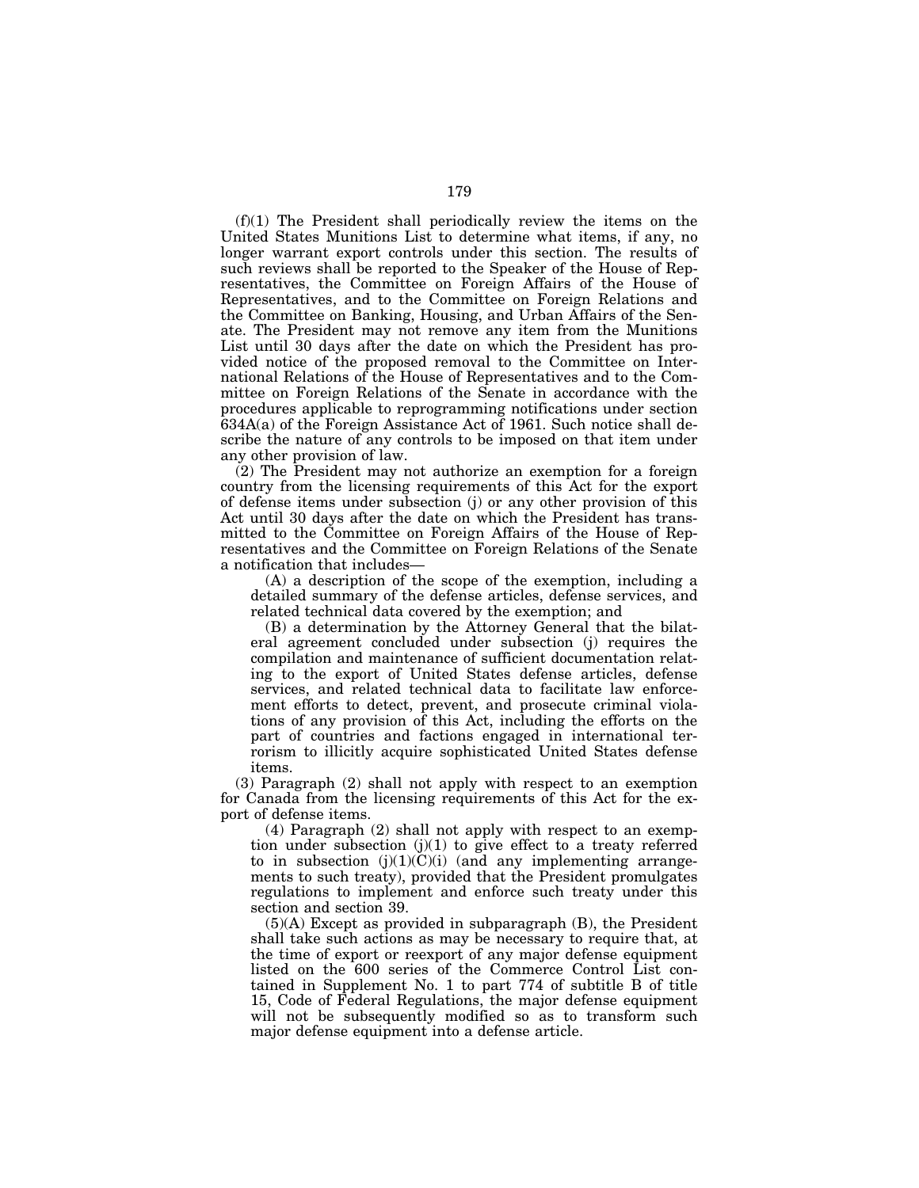(f)(1) The President shall periodically review the items on the United States Munitions List to determine what items, if any, no longer warrant export controls under this section. The results of such reviews shall be reported to the Speaker of the House of Representatives, the Committee on Foreign Affairs of the House of Representatives, and to the Committee on Foreign Relations and the Committee on Banking, Housing, and Urban Affairs of the Senate. The President may not remove any item from the Munitions List until 30 days after the date on which the President has provided notice of the proposed removal to the Committee on International Relations of the House of Representatives and to the Committee on Foreign Relations of the Senate in accordance with the procedures applicable to reprogramming notifications under section 634A(a) of the Foreign Assistance Act of 1961. Such notice shall describe the nature of any controls to be imposed on that item under any other provision of law.

(2) The President may not authorize an exemption for a foreign country from the licensing requirements of this Act for the export of defense items under subsection (j) or any other provision of this Act until 30 days after the date on which the President has transmitted to the Committee on Foreign Affairs of the House of Representatives and the Committee on Foreign Relations of the Senate a notification that includes—

(A) a description of the scope of the exemption, including a detailed summary of the defense articles, defense services, and related technical data covered by the exemption; and

(B) a determination by the Attorney General that the bilateral agreement concluded under subsection (j) requires the compilation and maintenance of sufficient documentation relating to the export of United States defense articles, defense services, and related technical data to facilitate law enforcement efforts to detect, prevent, and prosecute criminal violations of any provision of this Act, including the efforts on the part of countries and factions engaged in international terrorism to illicitly acquire sophisticated United States defense items.

(3) Paragraph (2) shall not apply with respect to an exemption for Canada from the licensing requirements of this Act for the export of defense items.

(4) Paragraph (2) shall not apply with respect to an exemption under subsection (j)(1) to give effect to a treaty referred to in subsection  $(j)(1)(C)(i)$  (and any implementing arrangements to such treaty), provided that the President promulgates regulations to implement and enforce such treaty under this section and section 39.

(5)(A) Except as provided in subparagraph (B), the President shall take such actions as may be necessary to require that, at the time of export or reexport of any major defense equipment listed on the 600 series of the Commerce Control List contained in Supplement No. 1 to part 774 of subtitle B of title 15, Code of Federal Regulations, the major defense equipment will not be subsequently modified so as to transform such major defense equipment into a defense article.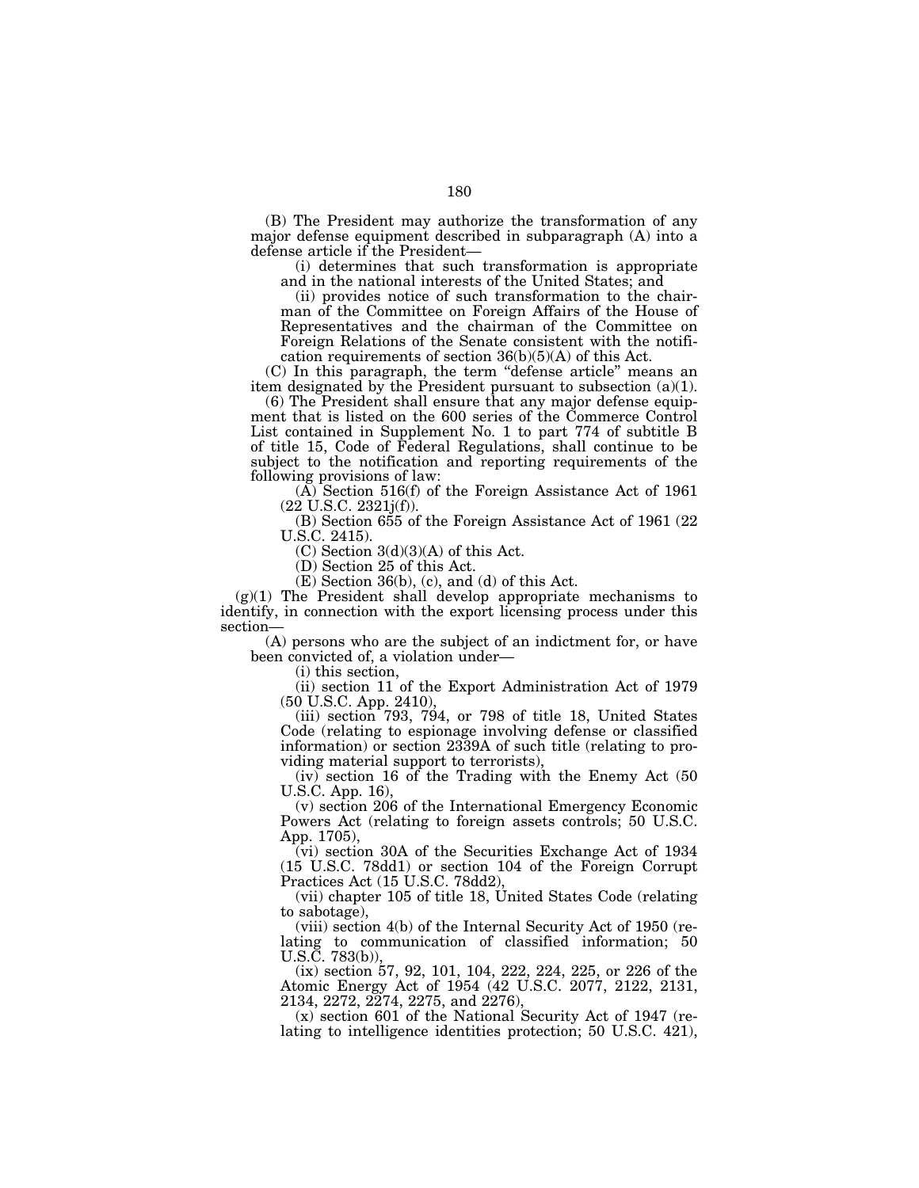(B) The President may authorize the transformation of any major defense equipment described in subparagraph (A) into a defense article if the President—

(i) determines that such transformation is appropriate and in the national interests of the United States; and

(ii) provides notice of such transformation to the chairman of the Committee on Foreign Affairs of the House of Representatives and the chairman of the Committee on Foreign Relations of the Senate consistent with the notification requirements of section  $36(b)(5)(A)$  of this Act.

(C) In this paragraph, the term ''defense article'' means an item designated by the President pursuant to subsection (a)(1).

(6) The President shall ensure that any major defense equipment that is listed on the 600 series of the Commerce Control List contained in Supplement No. 1 to part 774 of subtitle B of title 15, Code of Federal Regulations, shall continue to be subject to the notification and reporting requirements of the following provisions of law:

(A) Section 516(f) of the Foreign Assistance Act of 1961  $(22 \text{ U.S.C. } 2321 \text{j(f)}).$ 

(B) Section 655 of the Foreign Assistance Act of 1961 (22 U.S.C. 2415).

 $(C)$  Section  $3(d)(3)(A)$  of this Act.

(D) Section 25 of this Act.

(E) Section 36(b), (c), and (d) of this Act.

 $(g)(1)$  The President shall develop appropriate mechanisms to identify, in connection with the export licensing process under this section—

(A) persons who are the subject of an indictment for, or have been convicted of, a violation under—

(i) this section,

(ii) section 11 of the Export Administration Act of 1979 (50 U.S.C. App. 2410),

(iii) section 793, 794, or 798 of title 18, United States Code (relating to espionage involving defense or classified information) or section 2339A of such title (relating to providing material support to terrorists),

(iv) section 16 of the Trading with the Enemy Act (50 U.S.C. App. 16),

(v) section 206 of the International Emergency Economic Powers Act (relating to foreign assets controls; 50 U.S.C. App. 1705),

(vi) section 30A of the Securities Exchange Act of 1934 (15 U.S.C. 78dd1) or section 104 of the Foreign Corrupt Practices Act (15 U.S.C. 78dd2),

(vii) chapter 105 of title 18, United States Code (relating to sabotage),

(viii) section 4(b) of the Internal Security Act of 1950 (relating to communication of classified information; 50 U.S.C. 783(b)),

(ix) section 57, 92, 101, 104, 222, 224, 225, or 226 of the Atomic Energy Act of 1954 (42 U.S.C. 2077, 2122, 2131, 2134, 2272, 2274, 2275, and 2276),

(x) section 601 of the National Security Act of 1947 (relating to intelligence identities protection; 50 U.S.C. 421),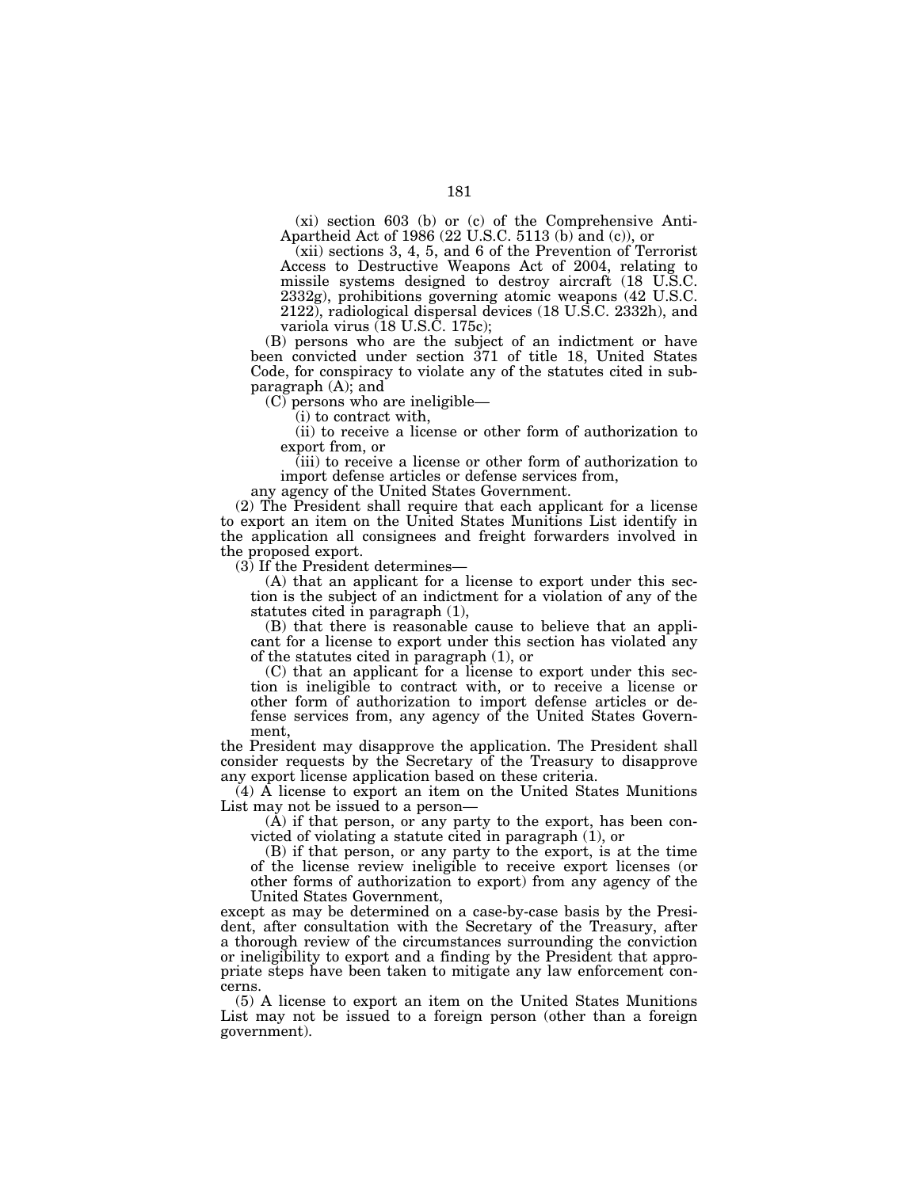(xi) section 603 (b) or (c) of the Comprehensive Anti-Apartheid Act of 1986 (22 U.S.C. 5113 (b) and (c)), or

(xii) sections 3, 4, 5, and 6 of the Prevention of Terrorist Access to Destructive Weapons Act of 2004, relating to missile systems designed to destroy aircraft (18 U.S.C. 2332g), prohibitions governing atomic weapons (42 U.S.C. 2122), radiological dispersal devices (18 U.S.C. 2332h), and variola virus (18 U.S.C. 175c);

(B) persons who are the subject of an indictment or have been convicted under section 371 of title 18, United States Code, for conspiracy to violate any of the statutes cited in subparagraph (A); and

(C) persons who are ineligible—

(i) to contract with,

(ii) to receive a license or other form of authorization to export from, or

(iii) to receive a license or other form of authorization to import defense articles or defense services from,

any agency of the United States Government.

(2) The President shall require that each applicant for a license to export an item on the United States Munitions List identify in the application all consignees and freight forwarders involved in the proposed export.

(3) If the President determines—

(A) that an applicant for a license to export under this section is the subject of an indictment for a violation of any of the statutes cited in paragraph (1),

(B) that there is reasonable cause to believe that an applicant for a license to export under this section has violated any of the statutes cited in paragraph (1), or

(C) that an applicant for a license to export under this section is ineligible to contract with, or to receive a license or other form of authorization to import defense articles or defense services from, any agency of the United States Government,

the President may disapprove the application. The President shall consider requests by the Secretary of the Treasury to disapprove any export license application based on these criteria.

(4) A license to export an item on the United States Munitions List may not be issued to a person—

(A) if that person, or any party to the export, has been convicted of violating a statute cited in paragraph (1), or

(B) if that person, or any party to the export, is at the time of the license review ineligible to receive export licenses (or other forms of authorization to export) from any agency of the United States Government,

except as may be determined on a case-by-case basis by the President, after consultation with the Secretary of the Treasury, after a thorough review of the circumstances surrounding the conviction or ineligibility to export and a finding by the President that appropriate steps have been taken to mitigate any law enforcement concerns.

(5) A license to export an item on the United States Munitions List may not be issued to a foreign person (other than a foreign government).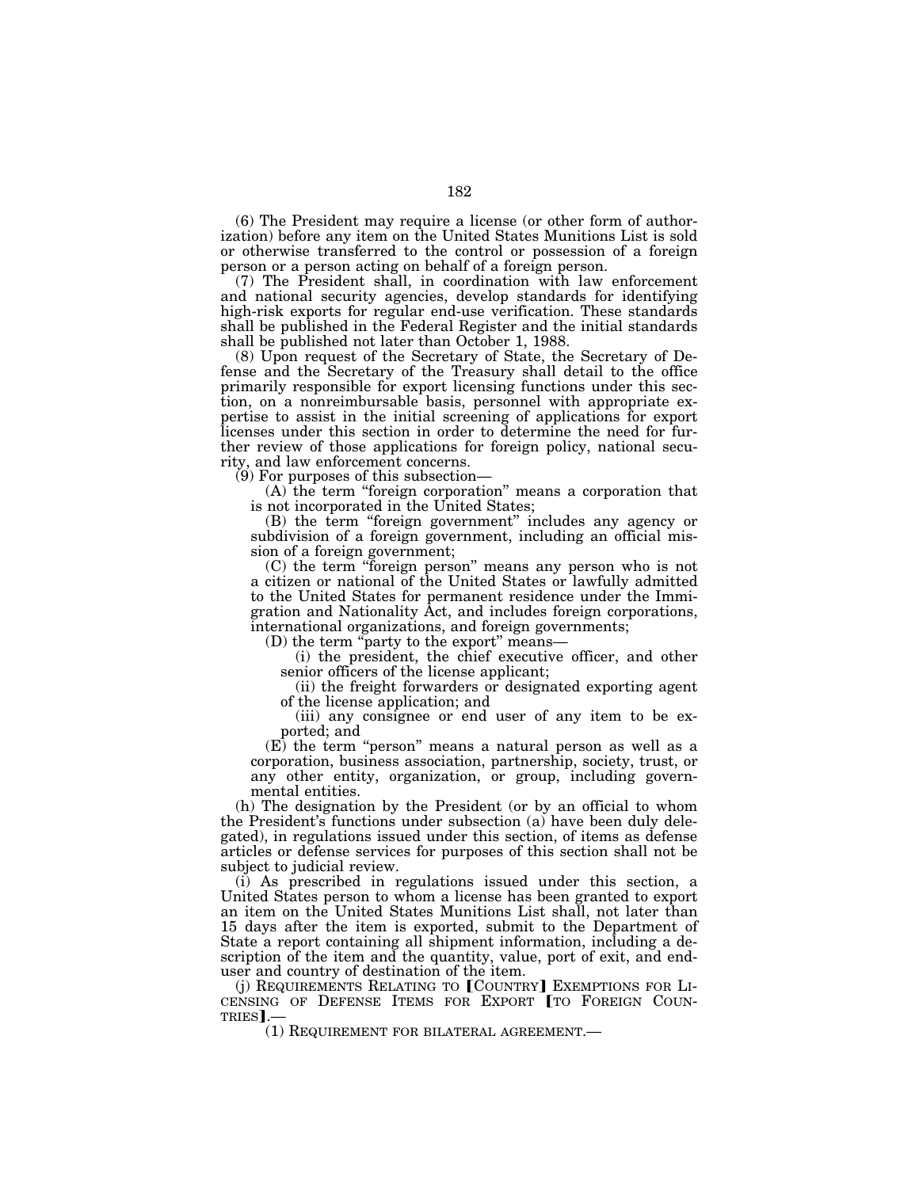(6) The President may require a license (or other form of authorization) before any item on the United States Munitions List is sold or otherwise transferred to the control or possession of a foreign person or a person acting on behalf of a foreign person.

(7) The President shall, in coordination with law enforcement and national security agencies, develop standards for identifying high-risk exports for regular end-use verification. These standards shall be published in the Federal Register and the initial standards shall be published not later than October 1, 1988.

(8) Upon request of the Secretary of State, the Secretary of Defense and the Secretary of the Treasury shall detail to the office primarily responsible for export licensing functions under this section, on a nonreimbursable basis, personnel with appropriate expertise to assist in the initial screening of applications for export licenses under this section in order to determine the need for further review of those applications for foreign policy, national security, and law enforcement concerns.

(9) For purposes of this subsection—

(A) the term ''foreign corporation'' means a corporation that is not incorporated in the United States;

(B) the term ''foreign government'' includes any agency or subdivision of a foreign government, including an official mission of a foreign government;

(C) the term ''foreign person'' means any person who is not a citizen or national of the United States or lawfully admitted to the United States for permanent residence under the Immigration and Nationality Act, and includes foreign corporations, international organizations, and foreign governments;

(D) the term "party to the export" means-

(i) the president, the chief executive officer, and other senior officers of the license applicant;

(ii) the freight forwarders or designated exporting agent of the license application; and

(iii) any consignee or end user of any item to be exported; and

(E) the term ''person'' means a natural person as well as a corporation, business association, partnership, society, trust, or any other entity, organization, or group, including governmental entities.

(h) The designation by the President (or by an official to whom the President's functions under subsection (a) have been duly delegated), in regulations issued under this section, of items as defense articles or defense services for purposes of this section shall not be subject to judicial review.

(i) As prescribed in regulations issued under this section, a United States person to whom a license has been granted to export an item on the United States Munitions List shall, not later than 15 days after the item is exported, submit to the Department of State a report containing all shipment information, including a description of the item and the quantity, value, port of exit, and enduser and country of destination of the item.

(j) REQUIREMENTS RELATING TO [COUNTRY] EXEMPTIONS FOR LI-CENSING OF DEFENSE ITEMS FOR EXPORT [TO FOREIGN COUN-TRIES<sup>1</sup>-

(1) REQUIREMENT FOR BILATERAL AGREEMENT.—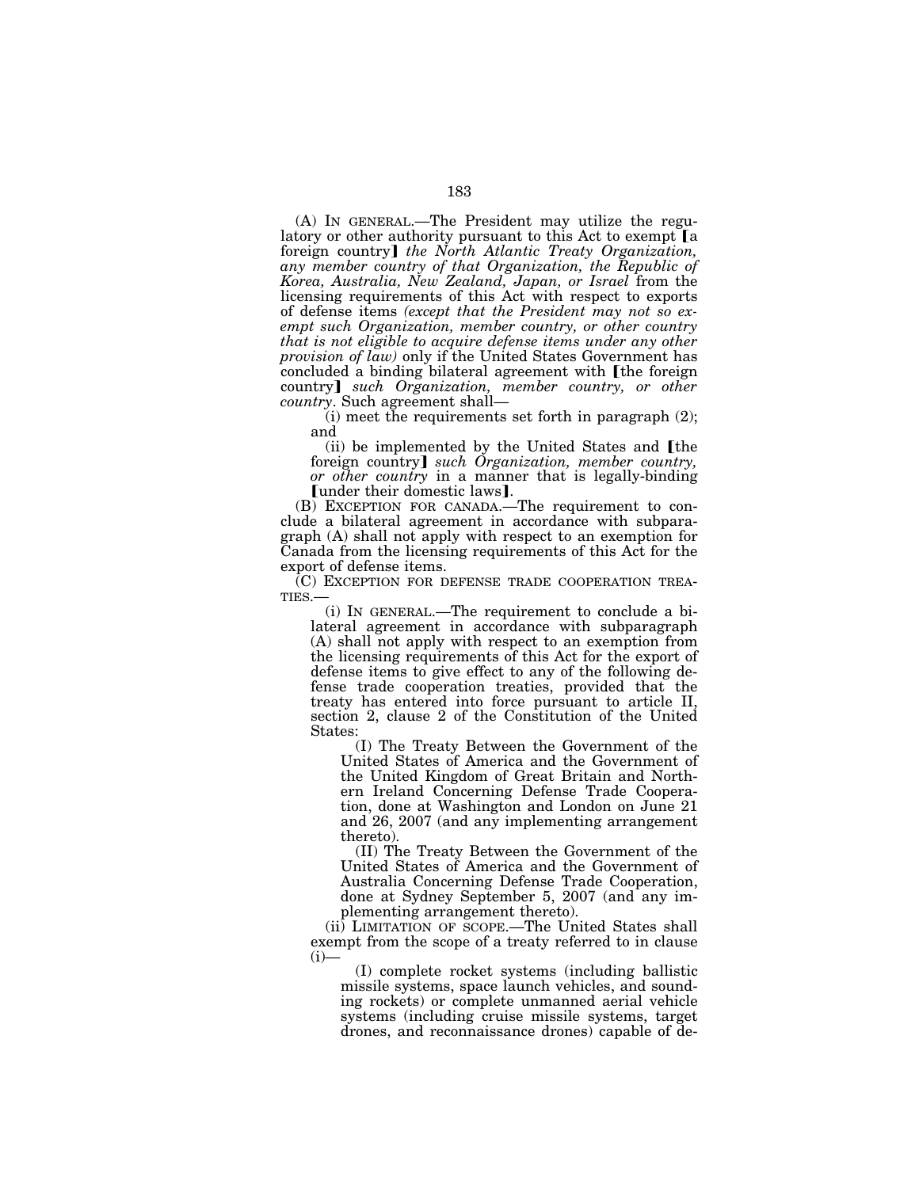(A) IN GENERAL.—The President may utilize the regulatory or other authority pursuant to this Act to exempt  $[a]$ foreign country] *the North Atlantic Treaty Organization*, *any member country of that Organization, the Republic of Korea, Australia, New Zealand, Japan, or Israel* from the licensing requirements of this Act with respect to exports of defense items *(except that the President may not so exempt such Organization, member country, or other country that is not eligible to acquire defense items under any other provision of law)* only if the United States Government has concluded a binding bilateral agreement with [the foreign] country] such Organization, member country, or other *country*. Such agreement shall—

(i) meet the requirements set forth in paragraph (2); and

(ii) be implemented by the United States and [the foreign country] *such Organization, member country, or other country* in a manner that is legally-binding

[under their domestic laws].<br>(B) EXCEPTION FOR CANADA.—The requirement to conclude a bilateral agreement in accordance with subparagraph (A) shall not apply with respect to an exemption for Canada from the licensing requirements of this Act for the export of defense items.

(C) EXCEPTION FOR DEFENSE TRADE COOPERATION TREA-<br>TIES.—<br>(i) IN GENERAL.—The requirement to conclude a bi-

lateral agreement in accordance with subparagraph (A) shall not apply with respect to an exemption from the licensing requirements of this Act for the export of defense items to give effect to any of the following defense trade cooperation treaties, provided that the treaty has entered into force pursuant to article II, section 2, clause 2 of the Constitution of the United States:

(I) The Treaty Between the Government of the United States of America and the Government of the United Kingdom of Great Britain and Northern Ireland Concerning Defense Trade Cooperation, done at Washington and London on June 21 and 26, 2007 (and any implementing arrangement thereto).

(II) The Treaty Between the Government of the United States of America and the Government of Australia Concerning Defense Trade Cooperation, done at Sydney September 5, 2007 (and any implementing arrangement thereto).

(ii) LIMITATION OF SCOPE.—The United States shall exempt from the scope of a treaty referred to in clause  $(i)$ —

(I) complete rocket systems (including ballistic missile systems, space launch vehicles, and sounding rockets) or complete unmanned aerial vehicle systems (including cruise missile systems, target drones, and reconnaissance drones) capable of de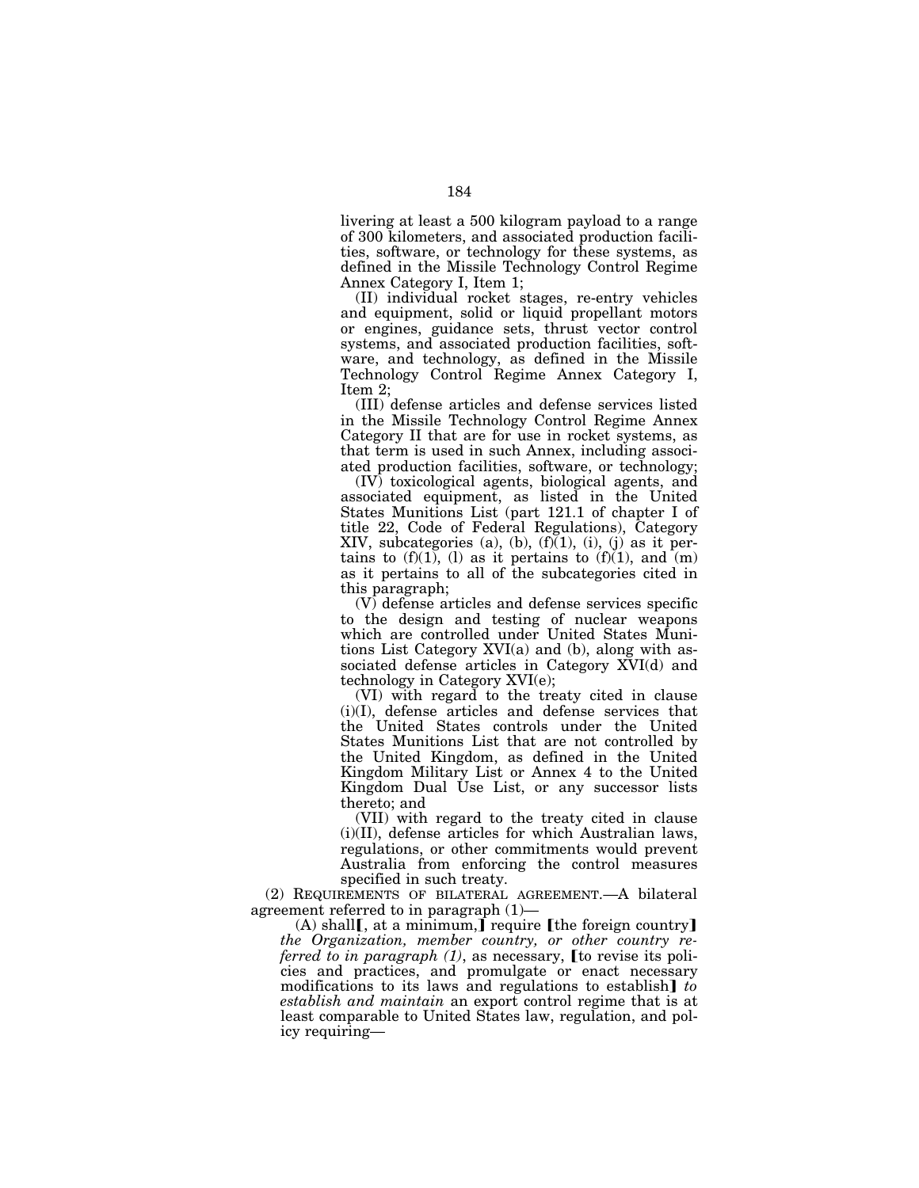livering at least a 500 kilogram payload to a range of 300 kilometers, and associated production facilities, software, or technology for these systems, as defined in the Missile Technology Control Regime Annex Category I, Item 1;

(II) individual rocket stages, re-entry vehicles and equipment, solid or liquid propellant motors or engines, guidance sets, thrust vector control systems, and associated production facilities, software, and technology, as defined in the Missile Technology Control Regime Annex Category I, Item 2;

(III) defense articles and defense services listed in the Missile Technology Control Regime Annex Category II that are for use in rocket systems, as that term is used in such Annex, including associated production facilities, software, or technology;

(IV) toxicological agents, biological agents, and associated equipment, as listed in the United States Munitions List (part 121.1 of chapter I of title 22, Code of Federal Regulations), Category XIV, subcategories (a), (b),  $(f)(1)$ , (i), (j) as it pertains to  $(f)(1)$ ,  $(l)$  as it pertains to  $(f)(1)$ , and  $(m)$ as it pertains to all of the subcategories cited in this paragraph;

(V) defense articles and defense services specific to the design and testing of nuclear weapons which are controlled under United States Munitions List Category XVI(a) and (b), along with associated defense articles in Category XVI(d) and technology in Category XVI(e);

(VI) with regard to the treaty cited in clause (i)(I), defense articles and defense services that the United States controls under the United States Munitions List that are not controlled by the United Kingdom, as defined in the United Kingdom Military List or Annex 4 to the United Kingdom Dual Use List, or any successor lists thereto; and

(VII) with regard to the treaty cited in clause (i)(II), defense articles for which Australian laws, regulations, or other commitments would prevent Australia from enforcing the control measures specified in such treaty.

(2) REQUIREMENTS OF BILATERAL AGREEMENT.—A bilateral agreement referred to in paragraph (1)—

 $(A)$  shall, at a minimum, require the foreign country *the Organization, member country, or other country referred to in paragraph*  $(1)$ , as necessary, *[to revise its poli*cies and practices, and promulgate or enact necessary modifications to its laws and regulations to establish] to *establish and maintain* an export control regime that is at least comparable to United States law, regulation, and policy requiring—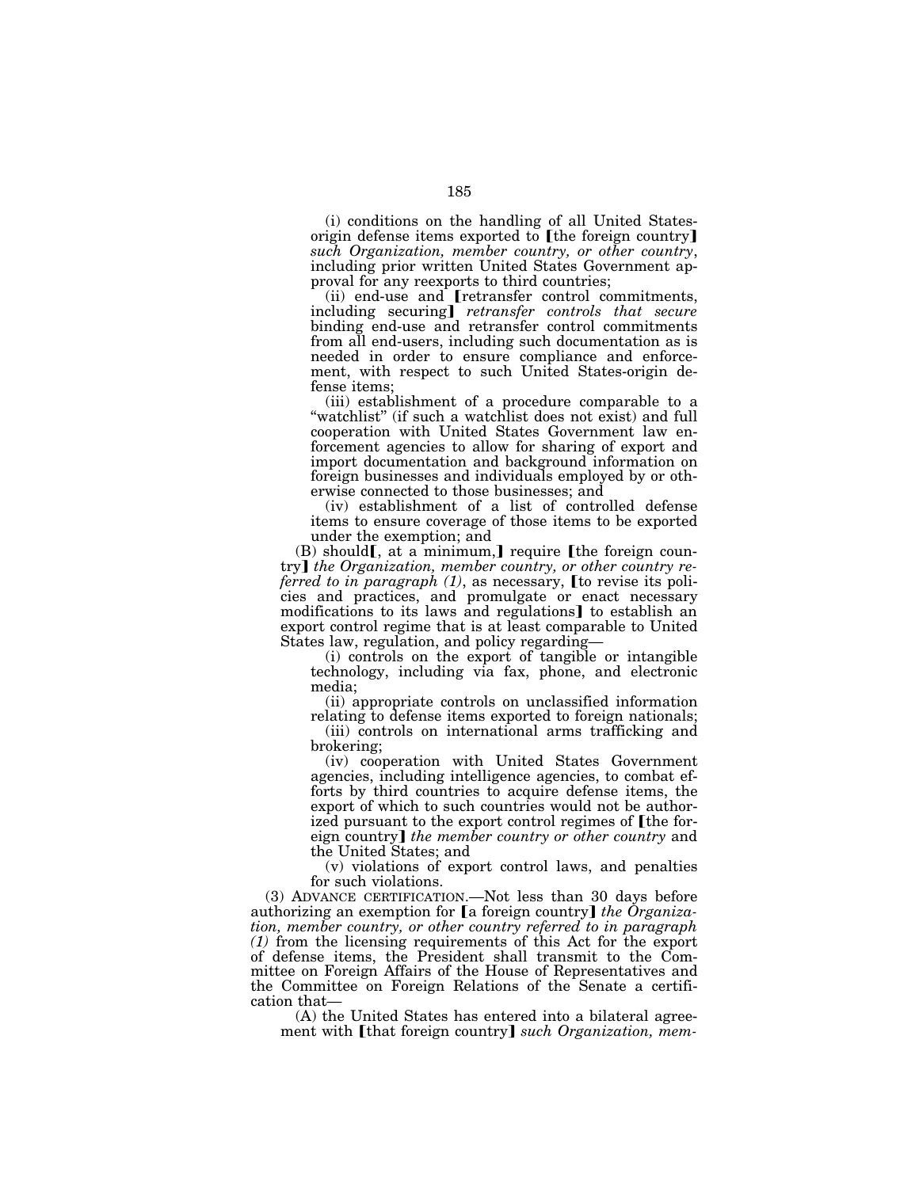(i) conditions on the handling of all United Statesorigin defense items exported to [the foreign country] *such Organization, member country, or other country*, including prior written United States Government approval for any reexports to third countries;

(ii) end-use and **[**retransfer control commitments, including securing] *retransfer controls that secure* binding end-use and retransfer control commitments from all end-users, including such documentation as is needed in order to ensure compliance and enforcement, with respect to such United States-origin defense items;

(iii) establishment of a procedure comparable to a "watchlist" (if such a watchlist does not exist) and full cooperation with United States Government law enforcement agencies to allow for sharing of export and import documentation and background information on foreign businesses and individuals employed by or otherwise connected to those businesses; and

(iv) establishment of a list of controlled defense items to ensure coverage of those items to be exported under the exemption; and

 $(B)$  should[, at a minimum,] require [the foreign country] the Organization, member country, or other country re*ferred to in paragraph*  $(1)$ , as necessary, [to revise its policies and practices, and promulgate or enact necessary modifications to its laws and regulations¿ to establish an export control regime that is at least comparable to United States law, regulation, and policy regarding—

(i) controls on the export of tangible or intangible technology, including via fax, phone, and electronic media;

(ii) appropriate controls on unclassified information relating to defense items exported to foreign nationals;

(iii) controls on international arms trafficking and brokering;

(iv) cooperation with United States Government agencies, including intelligence agencies, to combat efforts by third countries to acquire defense items, the export of which to such countries would not be authorized pursuant to the export control regimes of the foreign country] *the member country or other country* and the United States; and

(v) violations of export control laws, and penalties for such violations.

(3) ADVANCE CERTIFICATION.—Not less than 30 days before authorizing an exemption for [a foreign country] *the Organization, member country, or other country referred to in paragraph (1)* from the licensing requirements of this Act for the export of defense items, the President shall transmit to the Committee on Foreign Affairs of the House of Representatives and the Committee on Foreign Relations of the Senate a certification that—

(A) the United States has entered into a bilateral agreement with [that foreign country] *such Organization, mem-*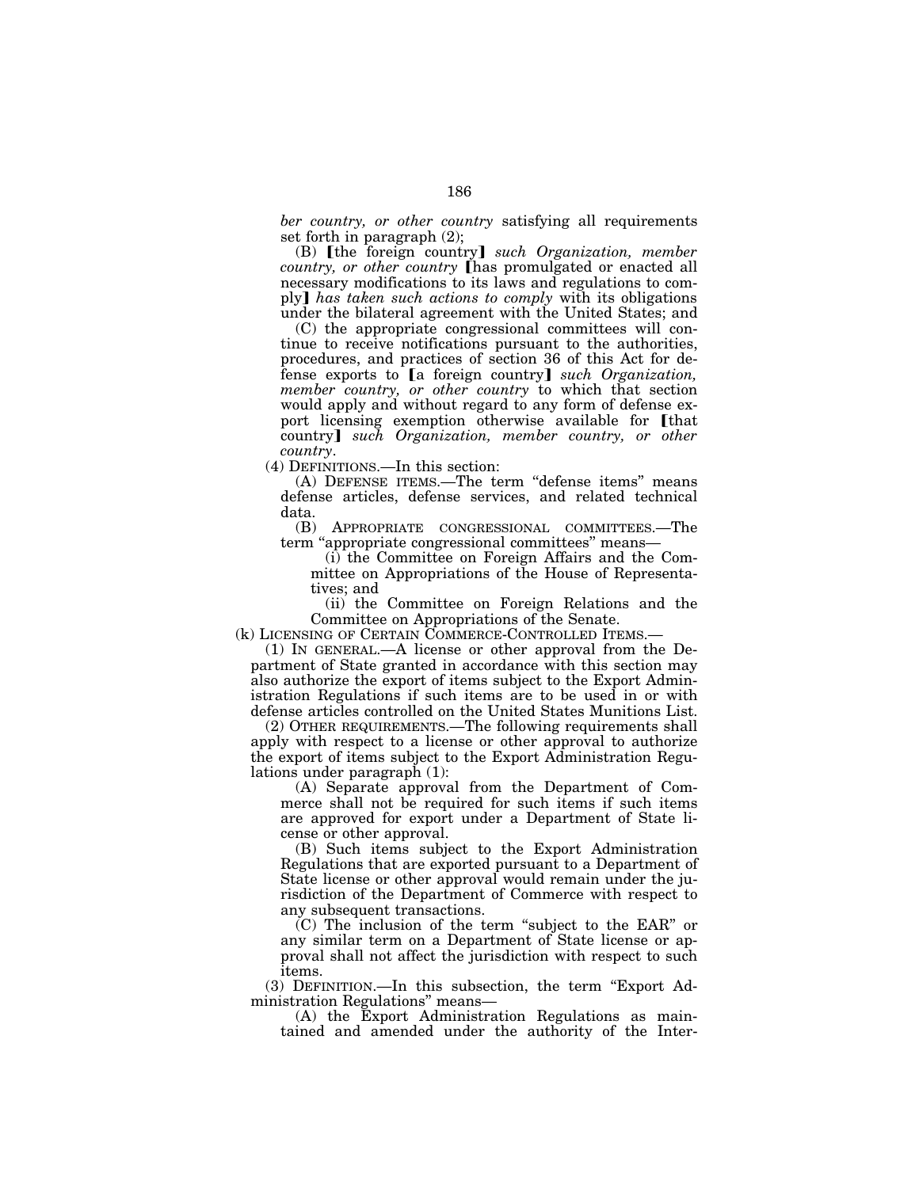*ber country, or other country* satisfying all requirements set forth in paragraph (2);

(B) [the foreign country] *such Organization, member country, or other country* [has promulgated or enacted all necessary modifications to its laws and regulations to comply¿ *has taken such actions to comply* with its obligations under the bilateral agreement with the United States; and

(C) the appropriate congressional committees will continue to receive notifications pursuant to the authorities, procedures, and practices of section 36 of this Act for defense exports to [a foreign country] *such Organization*, *member country, or other country* to which that section would apply and without regard to any form of defense export licensing exemption otherwise available for [that country] *such Organization, member country, or other country*.

(4) DEFINITIONS.—In this section:

(A) DEFENSE ITEMS.—The term ''defense items'' means defense articles, defense services, and related technical data.

(B) APPROPRIATE CONGRESSIONAL COMMITTEES.—The term ''appropriate congressional committees'' means—

(i) the Committee on Foreign Affairs and the Committee on Appropriations of the House of Representatives; and

(ii) the Committee on Foreign Relations and the Committee on Appropriations of the Senate.

(k) LICENSING OF CERTAIN COMMERCE-CONTROLLED ITEMS.—

(1) IN GENERAL.—A license or other approval from the Department of State granted in accordance with this section may also authorize the export of items subject to the Export Administration Regulations if such items are to be used in or with defense articles controlled on the United States Munitions List.

(2) OTHER REQUIREMENTS.—The following requirements shall apply with respect to a license or other approval to authorize the export of items subject to the Export Administration Regulations under paragraph (1):

(A) Separate approval from the Department of Commerce shall not be required for such items if such items are approved for export under a Department of State license or other approval.

(B) Such items subject to the Export Administration Regulations that are exported pursuant to a Department of State license or other approval would remain under the jurisdiction of the Department of Commerce with respect to any subsequent transactions.

(C) The inclusion of the term ''subject to the EAR'' or any similar term on a Department of State license or approval shall not affect the jurisdiction with respect to such items.

(3) DEFINITION.—In this subsection, the term ''Export Administration Regulations'' means—

(A) the Export Administration Regulations as maintained and amended under the authority of the Inter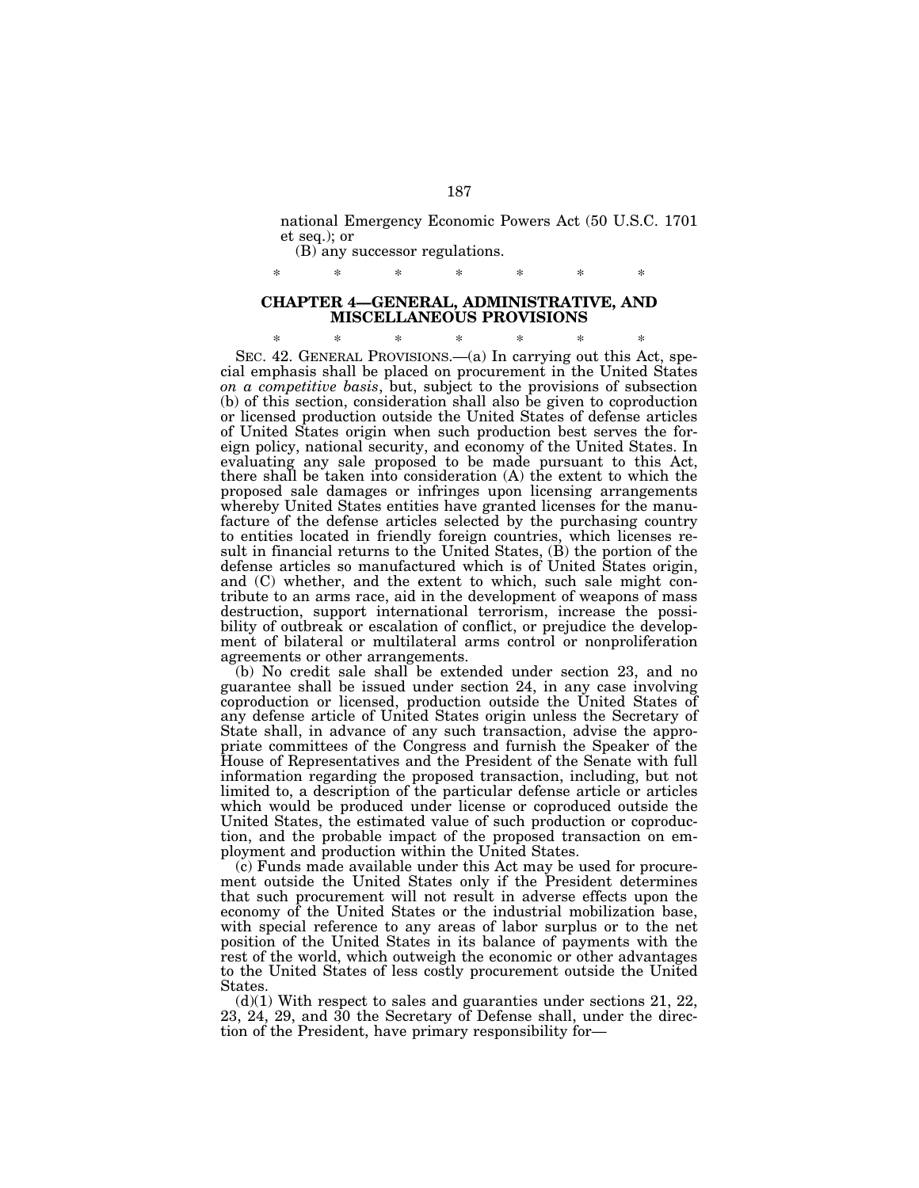national Emergency Economic Powers Act (50 U.S.C. 1701 et seq.); or

(B) any successor regulations.

### **CHAPTER 4—GENERAL, ADMINISTRATIVE, AND MISCELLANEOUS PROVISIONS**

\* \* \* \* \* \* \*

\* \* \* \* \* \* \* SEC. 42. GENERAL PROVISIONS.—(a) In carrying out this Act, special emphasis shall be placed on procurement in the United States *on a competitive basis*, but, subject to the provisions of subsection (b) of this section, consideration shall also be given to coproduction or licensed production outside the United States of defense articles of United States origin when such production best serves the foreign policy, national security, and economy of the United States. In evaluating any sale proposed to be made pursuant to this Act, there shall be taken into consideration (A) the extent to which the proposed sale damages or infringes upon licensing arrangements whereby United States entities have granted licenses for the manufacture of the defense articles selected by the purchasing country to entities located in friendly foreign countries, which licenses result in financial returns to the United States, (B) the portion of the defense articles so manufactured which is of United States origin, and (C) whether, and the extent to which, such sale might contribute to an arms race, aid in the development of weapons of mass destruction, support international terrorism, increase the possibility of outbreak or escalation of conflict, or prejudice the development of bilateral or multilateral arms control or nonproliferation agreements or other arrangements.

(b) No credit sale shall be extended under section 23, and no guarantee shall be issued under section 24, in any case involving coproduction or licensed, production outside the United States of any defense article of United States origin unless the Secretary of State shall, in advance of any such transaction, advise the appropriate committees of the Congress and furnish the Speaker of the House of Representatives and the President of the Senate with full information regarding the proposed transaction, including, but not limited to, a description of the particular defense article or articles which would be produced under license or coproduced outside the United States, the estimated value of such production or coproduction, and the probable impact of the proposed transaction on employment and production within the United States.

(c) Funds made available under this Act may be used for procurement outside the United States only if the President determines that such procurement will not result in adverse effects upon the economy of the United States or the industrial mobilization base, with special reference to any areas of labor surplus or to the net position of the United States in its balance of payments with the rest of the world, which outweigh the economic or other advantages to the United States of less costly procurement outside the United States.

 $(d)(1)$  With respect to sales and guaranties under sections 21, 22, 23, 24, 29, and 30 the Secretary of Defense shall, under the direction of the President, have primary responsibility for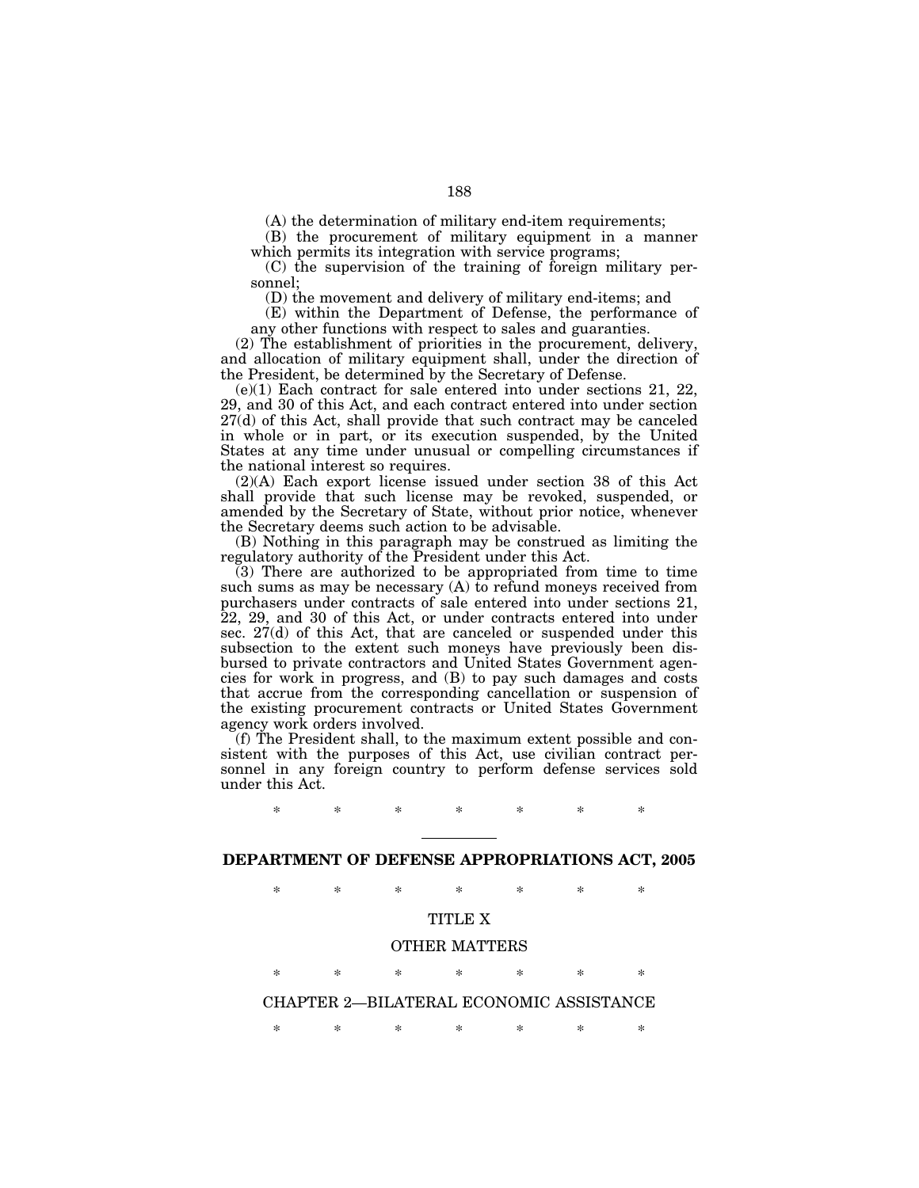(A) the determination of military end-item requirements;

(B) the procurement of military equipment in a manner which permits its integration with service programs;

(C) the supervision of the training of foreign military personnel;

(D) the movement and delivery of military end-items; and

(E) within the Department of Defense, the performance of any other functions with respect to sales and guaranties.

(2) The establishment of priorities in the procurement, delivery, and allocation of military equipment shall, under the direction of the President, be determined by the Secretary of Defense.

 $(e)(1)$  Each contract for sale entered into under sections 21, 22, 29, and 30 of this Act, and each contract entered into under section  $27(d)$  of this Act, shall provide that such contract may be canceled in whole or in part, or its execution suspended, by the United States at any time under unusual or compelling circumstances if the national interest so requires.

(2)(A) Each export license issued under section 38 of this Act shall provide that such license may be revoked, suspended, or amended by the Secretary of State, without prior notice, whenever the Secretary deems such action to be advisable.

(B) Nothing in this paragraph may be construed as limiting the regulatory authority of the President under this Act.

(3) There are authorized to be appropriated from time to time such sums as may be necessary (A) to refund moneys received from purchasers under contracts of sale entered into under sections 21, 22, 29, and 30 of this Act, or under contracts entered into under sec. 27(d) of this Act, that are canceled or suspended under this subsection to the extent such moneys have previously been disbursed to private contractors and United States Government agencies for work in progress, and (B) to pay such damages and costs that accrue from the corresponding cancellation or suspension of the existing procurement contracts or United States Government agency work orders involved.

(f) The President shall, to the maximum extent possible and consistent with the purposes of this Act, use civilian contract personnel in any foreign country to perform defense services sold under this Act.

\* \* \* \* \* \* \*

### **DEPARTMENT OF DEFENSE APPROPRIATIONS ACT, 2005**

\* \* \* \* \* \* \* TITLE X OTHER MATTERS \* \* \* \* \* \* \* CHAPTER 2—BILATERAL ECONOMIC ASSISTANCE

\* \* \* \* \* \* \*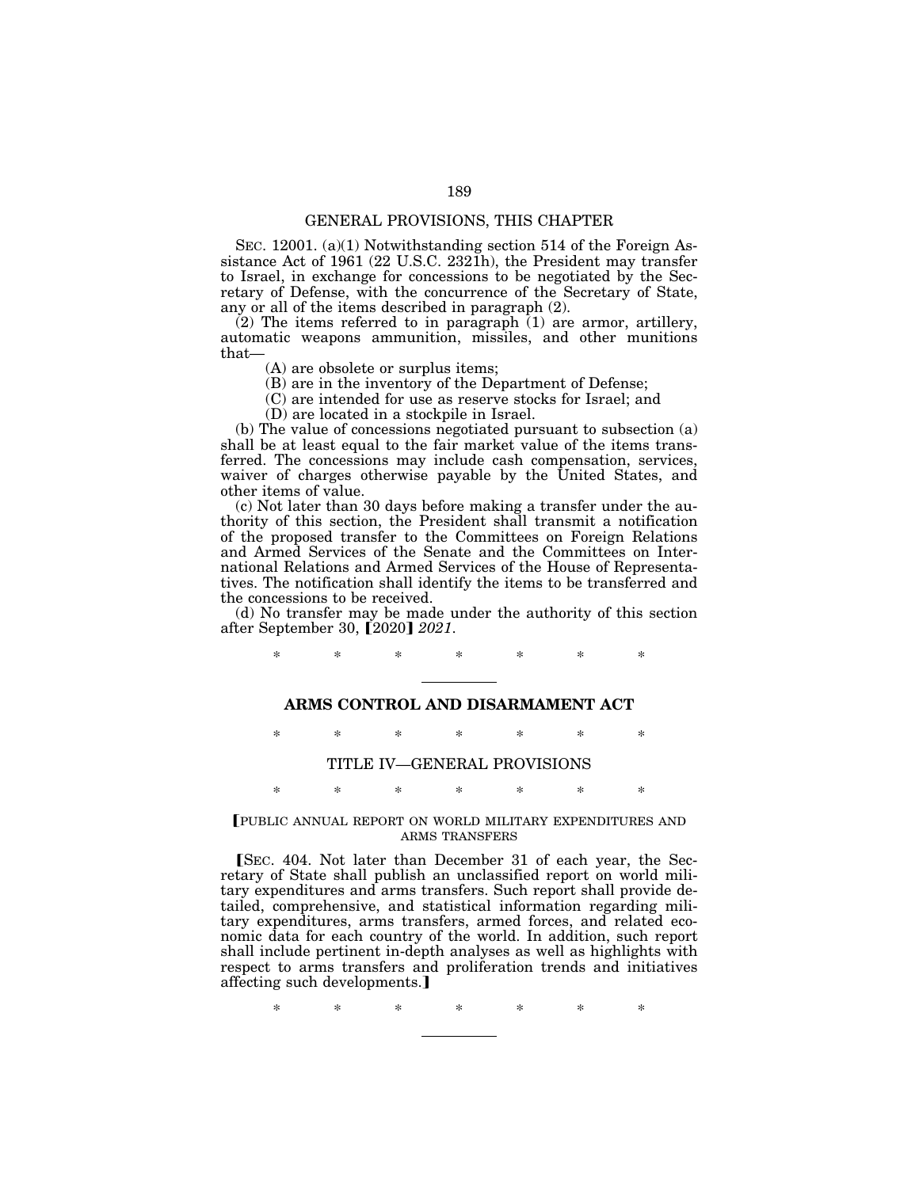### GENERAL PROVISIONS, THIS CHAPTER

SEC. 12001. (a)(1) Notwithstanding section 514 of the Foreign Assistance Act of 1961 (22 U.S.C. 2321h), the President may transfer to Israel, in exchange for concessions to be negotiated by the Secretary of Defense, with the concurrence of the Secretary of State, any or all of the items described in paragraph (2).

 $(2)$  The items referred to in paragraph  $(1)$  are armor, artillery, automatic weapons ammunition, missiles, and other munitions that—

(A) are obsolete or surplus items;

(B) are in the inventory of the Department of Defense;

(C) are intended for use as reserve stocks for Israel; and

(D) are located in a stockpile in Israel.

(b) The value of concessions negotiated pursuant to subsection (a) shall be at least equal to the fair market value of the items transferred. The concessions may include cash compensation, services, waiver of charges otherwise payable by the United States, and other items of value.

(c) Not later than 30 days before making a transfer under the authority of this section, the President shall transmit a notification of the proposed transfer to the Committees on Foreign Relations and Armed Services of the Senate and the Committees on International Relations and Armed Services of the House of Representatives. The notification shall identify the items to be transferred and the concessions to be received.

(d) No transfer may be made under the authority of this section after September 30, [2020] 2021.

\* \* \* \* \* \* \*

### **ARMS CONTROL AND DISARMAMENT ACT**

\* \* \* \* \* \* \*

### TITLE IV—GENERAL PROVISIONS

\* \* \* \* \* \* \*

### PUBLIC ANNUAL REPORT ON WORLD MILITARY EXPENDITURES AND ARMS TRANSFERS

SEC. 404. Not later than December 31 of each year, the Secretary of State shall publish an unclassified report on world military expenditures and arms transfers. Such report shall provide detailed, comprehensive, and statistical information regarding military expenditures, arms transfers, armed forces, and related economic data for each country of the world. In addition, such report shall include pertinent in-depth analyses as well as highlights with respect to arms transfers and proliferation trends and initiatives affecting such developments.]

\* \* \* \* \* \* \*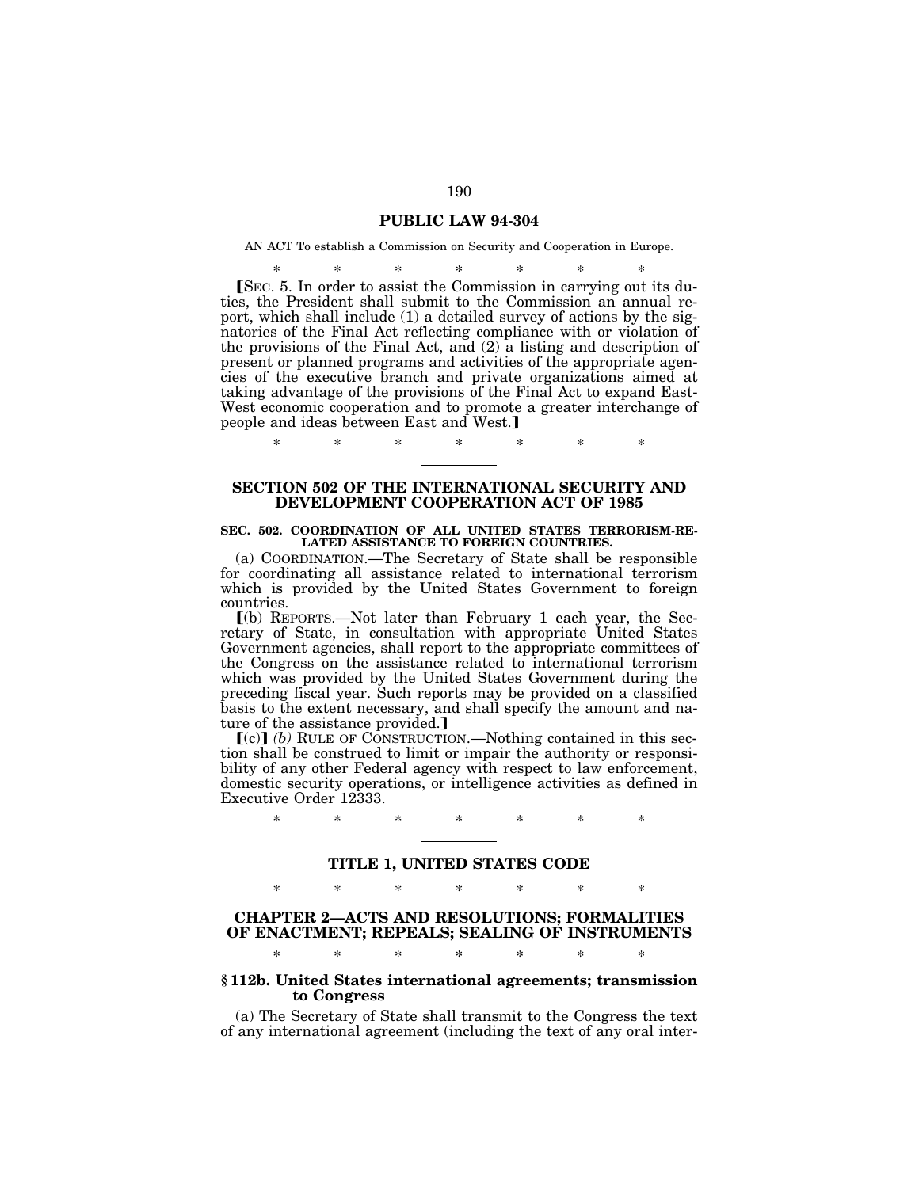### **PUBLIC LAW 94-304**

#### AN ACT To establish a Commission on Security and Cooperation in Europe.

\* \* \* \* \* \* \* **[SEC. 5. In order to assist the Commission in carrying out its du**ties, the President shall submit to the Commission an annual report, which shall include (1) a detailed survey of actions by the signatories of the Final Act reflecting compliance with or violation of the provisions of the Final Act, and (2) a listing and description of present or planned programs and activities of the appropriate agencies of the executive branch and private organizations aimed at taking advantage of the provisions of the Final Act to expand East-West economic cooperation and to promote a greater interchange of people and ideas between East and West.

### **SECTION 502 OF THE INTERNATIONAL SECURITY AND DEVELOPMENT COOPERATION ACT OF 1985**

\* \* \* \* \* \* \*

#### **SEC. 502. COORDINATION OF ALL UNITED STATES TERRORISM-RE-LATED ASSISTANCE TO FOREIGN COUNTRIES.**

(a) COORDINATION.—The Secretary of State shall be responsible for coordinating all assistance related to international terrorism which is provided by the United States Government to foreign countries.

ø(b) REPORTS.—Not later than February 1 each year, the Secretary of State, in consultation with appropriate United States Government agencies, shall report to the appropriate committees of the Congress on the assistance related to international terrorism which was provided by the United States Government during the preceding fiscal year. Such reports may be provided on a classified basis to the extent necessary, and shall specify the amount and nature of the assistance provided.]

 $(c)$  (b) RULE OF CONSTRUCTION.—Nothing contained in this section shall be construed to limit or impair the authority or responsibility of any other Federal agency with respect to law enforcement, domestic security operations, or intelligence activities as defined in Executive Order 12333.

\* \* \* \* \* \* \*

### **TITLE 1, UNITED STATES CODE**

### \* \* \* \* \* \* \* **CHAPTER 2—ACTS AND RESOLUTIONS; FORMALITIES**

# **OF ENACTMENT; REPEALS; SEALING OF INSTRUMENTS**  \* \* \* \* \* \* \*

### **§ 112b. United States international agreements; transmission to Congress**

(a) The Secretary of State shall transmit to the Congress the text of any international agreement (including the text of any oral inter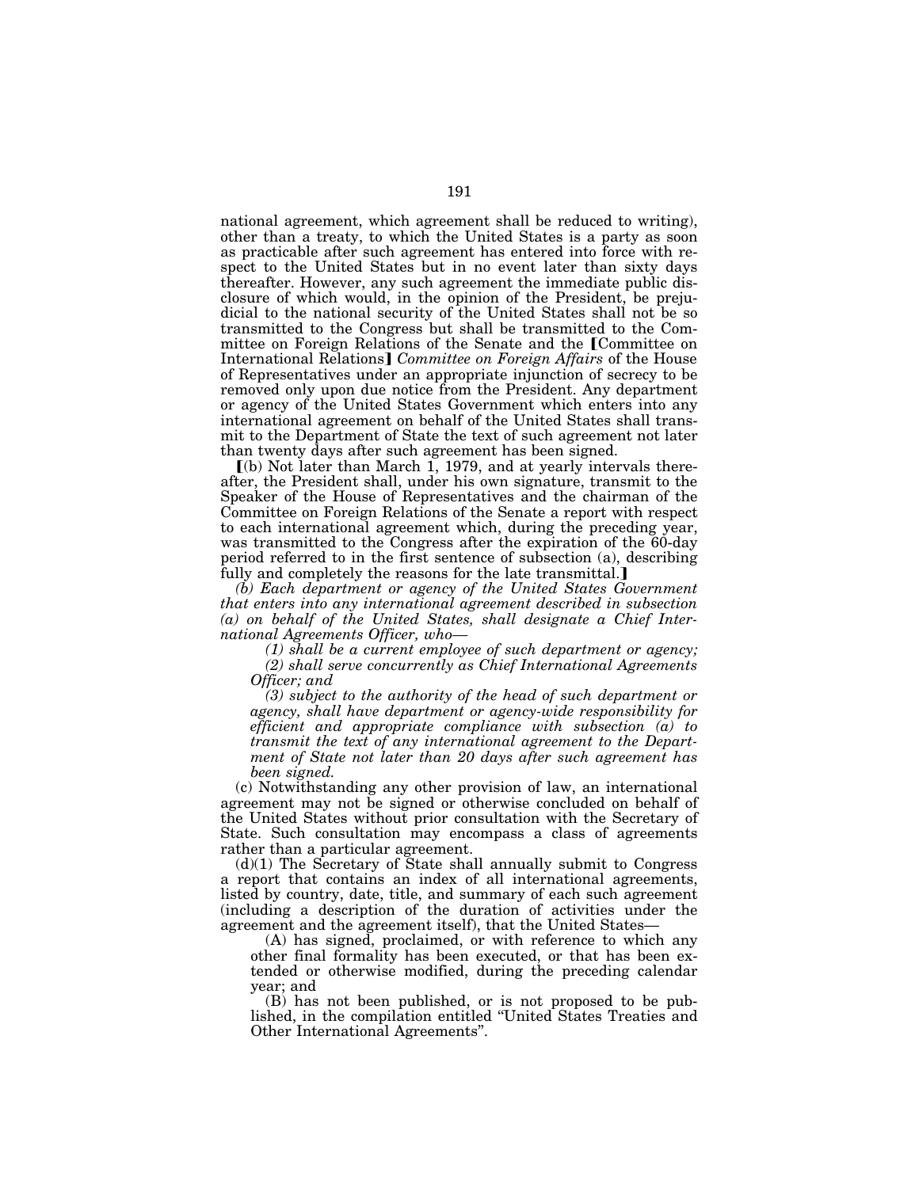national agreement, which agreement shall be reduced to writing), other than a treaty, to which the United States is a party as soon as practicable after such agreement has entered into force with respect to the United States but in no event later than sixty days thereafter. However, any such agreement the immediate public disclosure of which would, in the opinion of the President, be prejudicial to the national security of the United States shall not be so transmitted to the Congress but shall be transmitted to the Committee on Foreign Relations of the Senate and the [Committee on International Relations¿ *Committee on Foreign Affairs* of the House of Representatives under an appropriate injunction of secrecy to be removed only upon due notice from the President. Any department or agency of the United States Government which enters into any international agreement on behalf of the United States shall transmit to the Department of State the text of such agreement not later than twenty days after such agreement has been signed.

ø(b) Not later than March 1, 1979, and at yearly intervals thereafter, the President shall, under his own signature, transmit to the Speaker of the House of Representatives and the chairman of the Committee on Foreign Relations of the Senate a report with respect to each international agreement which, during the preceding year, was transmitted to the Congress after the expiration of the 60-day period referred to in the first sentence of subsection (a), describing fully and completely the reasons for the late transmittal.

*(b) Each department or agency of the United States Government that enters into any international agreement described in subsection (a) on behalf of the United States, shall designate a Chief International Agreements Officer, who—* 

*(1) shall be a current employee of such department or agency; (2) shall serve concurrently as Chief International Agreements Officer; and* 

*(3) subject to the authority of the head of such department or agency, shall have department or agency-wide responsibility for efficient and appropriate compliance with subsection (a) to transmit the text of any international agreement to the Department of State not later than 20 days after such agreement has been signed.* 

(c) Notwithstanding any other provision of law, an international agreement may not be signed or otherwise concluded on behalf of the United States without prior consultation with the Secretary of State. Such consultation may encompass a class of agreements rather than a particular agreement.

(d)(1) The Secretary of State shall annually submit to Congress a report that contains an index of all international agreements, listed by country, date, title, and summary of each such agreement (including a description of the duration of activities under the agreement and the agreement itself), that the United States—

(A) has signed, proclaimed, or with reference to which any other final formality has been executed, or that has been extended or otherwise modified, during the preceding calendar year; and

(B) has not been published, or is not proposed to be published, in the compilation entitled ''United States Treaties and Other International Agreements''.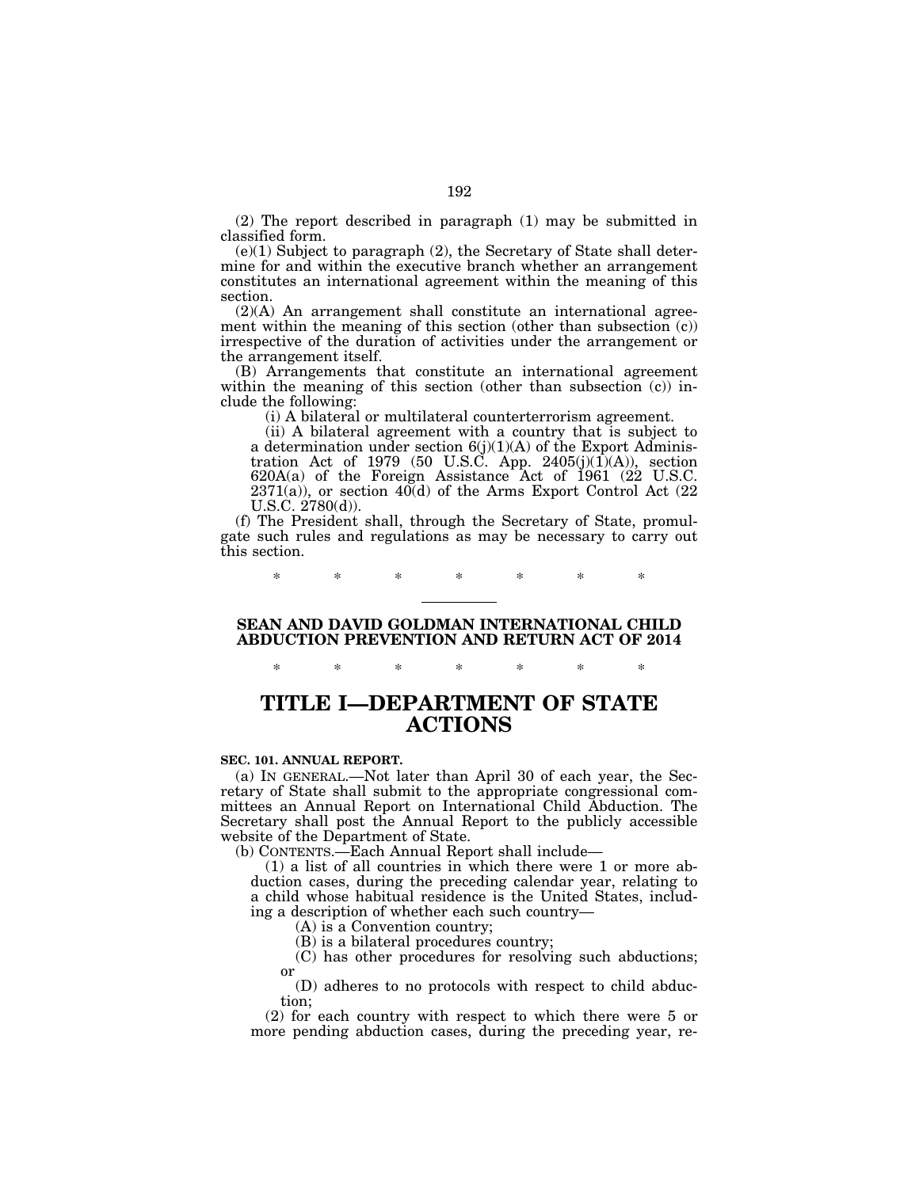(2) The report described in paragraph (1) may be submitted in classified form.

(e)(1) Subject to paragraph (2), the Secretary of State shall determine for and within the executive branch whether an arrangement constitutes an international agreement within the meaning of this section.

(2)(A) An arrangement shall constitute an international agreement within the meaning of this section (other than subsection (c)) irrespective of the duration of activities under the arrangement or the arrangement itself.

(B) Arrangements that constitute an international agreement within the meaning of this section (other than subsection (c)) include the following:

(i) A bilateral or multilateral counterterrorism agreement.

(ii) A bilateral agreement with a country that is subject to a determination under section  $6(j)(1)(A)$  of the Export Administration Act of 1979 (50 U.S.C. App.  $2405(j)(1)(A)$ ), section 620A(a) of the Foreign Assistance Act of 1961 (22 U.S.C.  $2371(a)$ , or section  $40(d)$  of the Arms Export Control Act  $(22)$ U.S.C. 2780(d)).

(f) The President shall, through the Secretary of State, promulgate such rules and regulations as may be necessary to carry out this section.

\* \* \* \* \* \* \*

### **SEAN AND DAVID GOLDMAN INTERNATIONAL CHILD ABDUCTION PREVENTION AND RETURN ACT OF 2014**

\* \* \* \* \* \* \*

## **TITLE I—DEPARTMENT OF STATE ACTIONS**

### **SEC. 101. ANNUAL REPORT.**

(a) IN GENERAL.—Not later than April 30 of each year, the Secretary of State shall submit to the appropriate congressional committees an Annual Report on International Child Abduction. The Secretary shall post the Annual Report to the publicly accessible website of the Department of State.

(b) CONTENTS.—Each Annual Report shall include—

(1) a list of all countries in which there were 1 or more abduction cases, during the preceding calendar year, relating to a child whose habitual residence is the United States, including a description of whether each such country—

(A) is a Convention country;

(B) is a bilateral procedures country;

(C) has other procedures for resolving such abductions; or

(D) adheres to no protocols with respect to child abduction;

(2) for each country with respect to which there were 5 or more pending abduction cases, during the preceding year, re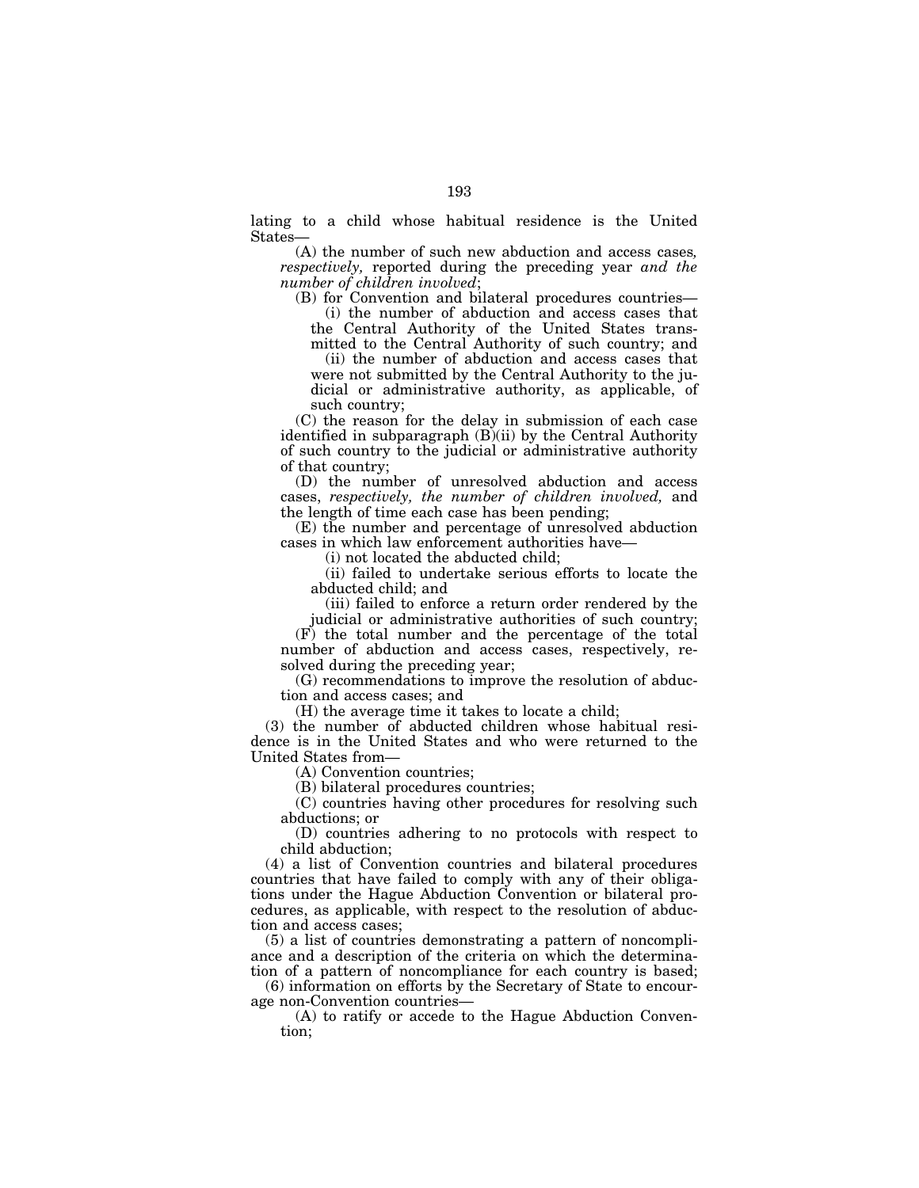lating to a child whose habitual residence is the United States—

(A) the number of such new abduction and access cases*, respectively,* reported during the preceding year *and the number of children involved*;

(B) for Convention and bilateral procedures countries—

(i) the number of abduction and access cases that the Central Authority of the United States trans-

mitted to the Central Authority of such country; and (ii) the number of abduction and access cases that

were not submitted by the Central Authority to the judicial or administrative authority, as applicable, of such country;

(C) the reason for the delay in submission of each case identified in subparagraph (B)(ii) by the Central Authority of such country to the judicial or administrative authority of that country;

(D) the number of unresolved abduction and access cases, *respectively, the number of children involved,* and the length of time each case has been pending;

(E) the number and percentage of unresolved abduction cases in which law enforcement authorities have—

(i) not located the abducted child;

(ii) failed to undertake serious efforts to locate the abducted child; and

(iii) failed to enforce a return order rendered by the

judicial or administrative authorities of such country; (F) the total number and the percentage of the total number of abduction and access cases, respectively, resolved during the preceding year;

(G) recommendations to improve the resolution of abduction and access cases; and

(H) the average time it takes to locate a child;

(3) the number of abducted children whose habitual residence is in the United States and who were returned to the United States from—

(A) Convention countries;

(B) bilateral procedures countries;

(C) countries having other procedures for resolving such abductions; or

(D) countries adhering to no protocols with respect to child abduction;

(4) a list of Convention countries and bilateral procedures countries that have failed to comply with any of their obligations under the Hague Abduction Convention or bilateral procedures, as applicable, with respect to the resolution of abduction and access cases;

(5) a list of countries demonstrating a pattern of noncompliance and a description of the criteria on which the determination of a pattern of noncompliance for each country is based;

(6) information on efforts by the Secretary of State to encourage non-Convention countries—

(A) to ratify or accede to the Hague Abduction Convention;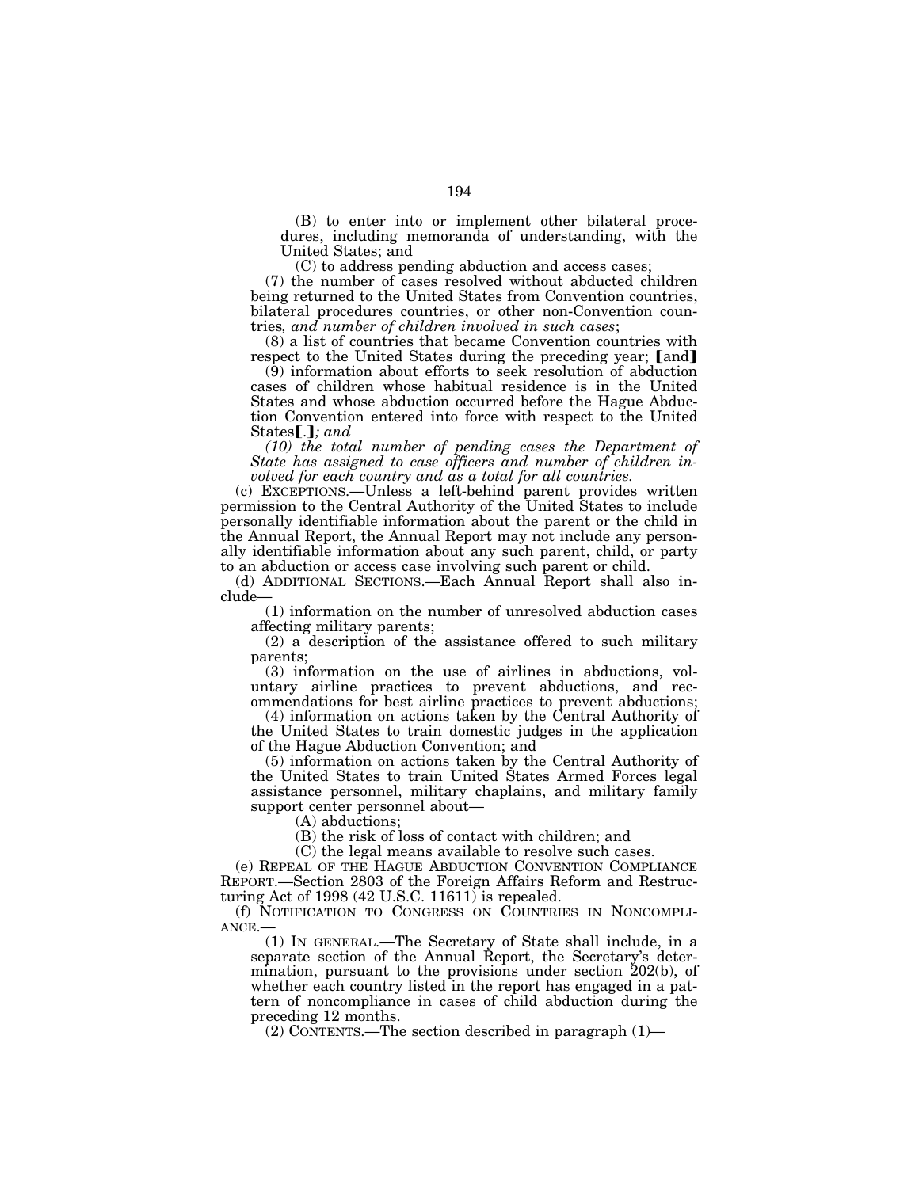(B) to enter into or implement other bilateral procedures, including memoranda of understanding, with the United States; and

(C) to address pending abduction and access cases;

(7) the number of cases resolved without abducted children being returned to the United States from Convention countries, bilateral procedures countries, or other non-Convention countries*, and number of children involved in such cases*;

(8) a list of countries that became Convention countries with respect to the United States during the preceding year; [and]

(9) information about efforts to seek resolution of abduction cases of children whose habitual residence is in the United States and whose abduction occurred before the Hague Abduction Convention entered into force with respect to the United States **[.**] *; and* 

*(10) the total number of pending cases the Department of State has assigned to case officers and number of children involved for each country and as a total for all countries.* 

(c) EXCEPTIONS.—Unless a left-behind parent provides written permission to the Central Authority of the United States to include personally identifiable information about the parent or the child in the Annual Report, the Annual Report may not include any personally identifiable information about any such parent, child, or party to an abduction or access case involving such parent or child.

(d) ADDITIONAL SECTIONS.—Each Annual Report shall also include—

(1) information on the number of unresolved abduction cases affecting military parents;

(2) a description of the assistance offered to such military parents;

(3) information on the use of airlines in abductions, voluntary airline practices to prevent abductions, and recommendations for best airline practices to prevent abductions;

(4) information on actions taken by the Central Authority of the United States to train domestic judges in the application of the Hague Abduction Convention; and

(5) information on actions taken by the Central Authority of the United States to train United States Armed Forces legal assistance personnel, military chaplains, and military family support center personnel about—

(A) abductions;

(B) the risk of loss of contact with children; and

(C) the legal means available to resolve such cases.

(e) REPEAL OF THE HAGUE ABDUCTION CONVENTION COMPLIANCE REPORT.—Section 2803 of the Foreign Affairs Reform and Restructuring Act of 1998  $(42 \text{ U.S.C. } 11611)$  is repealed.

(f) NOTIFICATION TO CONGRESS ON COUNTRIES IN NONCOMPLIANCE.—

(1) IN GENERAL.—The Secretary of State shall include, in a separate section of the Annual Report, the Secretary's determination, pursuant to the provisions under section 202(b), of whether each country listed in the report has engaged in a pattern of noncompliance in cases of child abduction during the preceding 12 months.

 $(2)$  CONTENTS.—The section described in paragraph  $(1)$ —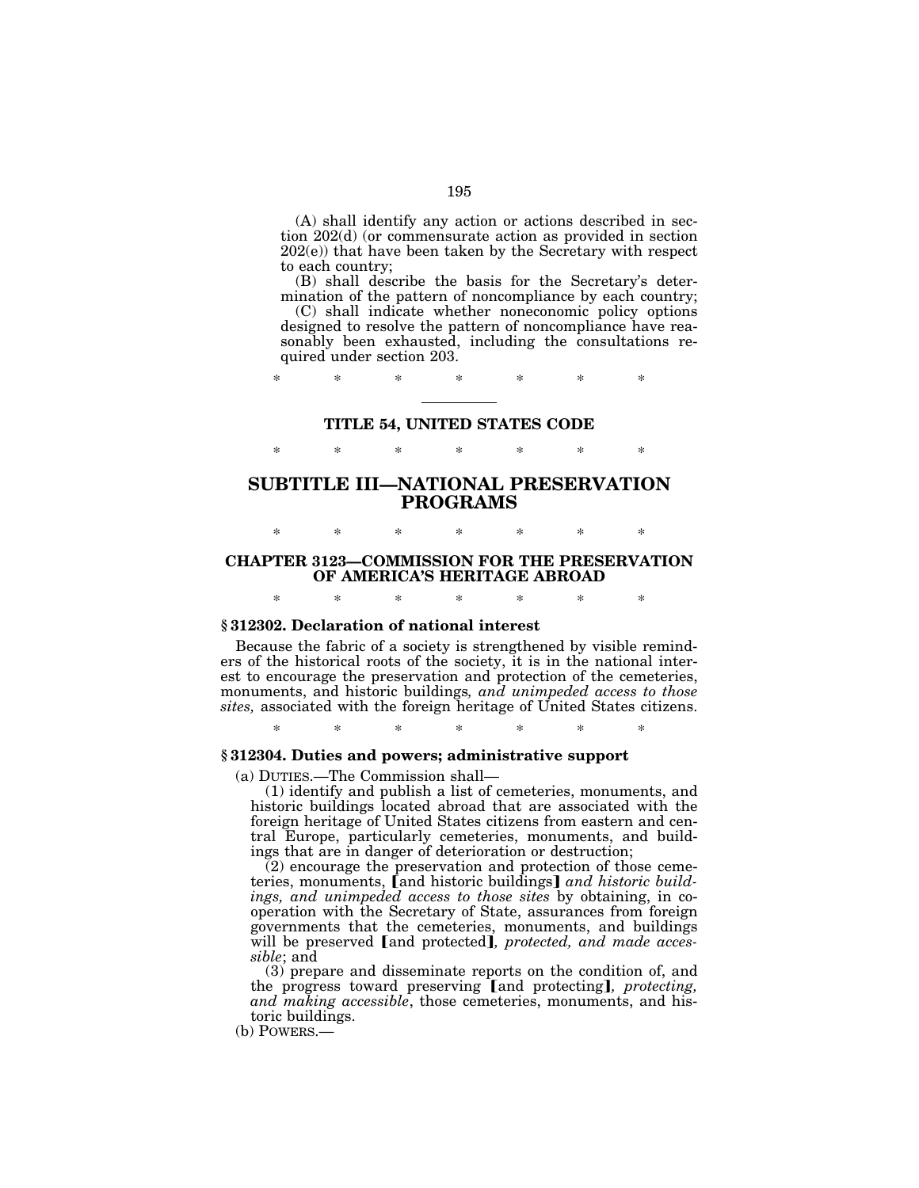(A) shall identify any action or actions described in section 202(d) (or commensurate action as provided in section 202(e)) that have been taken by the Secretary with respect to each country;

(B) shall describe the basis for the Secretary's determination of the pattern of noncompliance by each country;

(C) shall indicate whether noneconomic policy options designed to resolve the pattern of noncompliance have reasonably been exhausted, including the consultations required under section 203.

\* \* \* \* \* \* \*

## **TITLE 54, UNITED STATES CODE**  \* \* \* \* \* \* \*

### **SUBTITLE III—NATIONAL PRESERVATION PROGRAMS**

### **CHAPTER 3123—COMMISSION FOR THE PRESERVATION OF AMERICA'S HERITAGE ABROAD**

\* \* \* \* \* \* \*

\* \* \* \* \* \* \*

### **§ 312302. Declaration of national interest**

Because the fabric of a society is strengthened by visible reminders of the historical roots of the society, it is in the national interest to encourage the preservation and protection of the cemeteries, monuments, and historic buildings*, and unimpeded access to those sites,* associated with the foreign heritage of United States citizens.

\* \* \* \* \* \* \*

#### **§ 312304. Duties and powers; administrative support**

(a) DUTIES.—The Commission shall—

(1) identify and publish a list of cemeteries, monuments, and historic buildings located abroad that are associated with the foreign heritage of United States citizens from eastern and central Europe, particularly cemeteries, monuments, and buildings that are in danger of deterioration or destruction;

(2) encourage the preservation and protection of those cemeteries, monuments, [and historic buildings] and historic build*ings, and unimpeded access to those sites* by obtaining, in cooperation with the Secretary of State, assurances from foreign governments that the cemeteries, monuments, and buildings will be preserved [and protected], *protected*, and made acces*sible*; and

(3) prepare and disseminate reports on the condition of, and the progress toward preserving [and protecting], *protecting*, *and making accessible*, those cemeteries, monuments, and historic buildings.

(b) POWERS.—